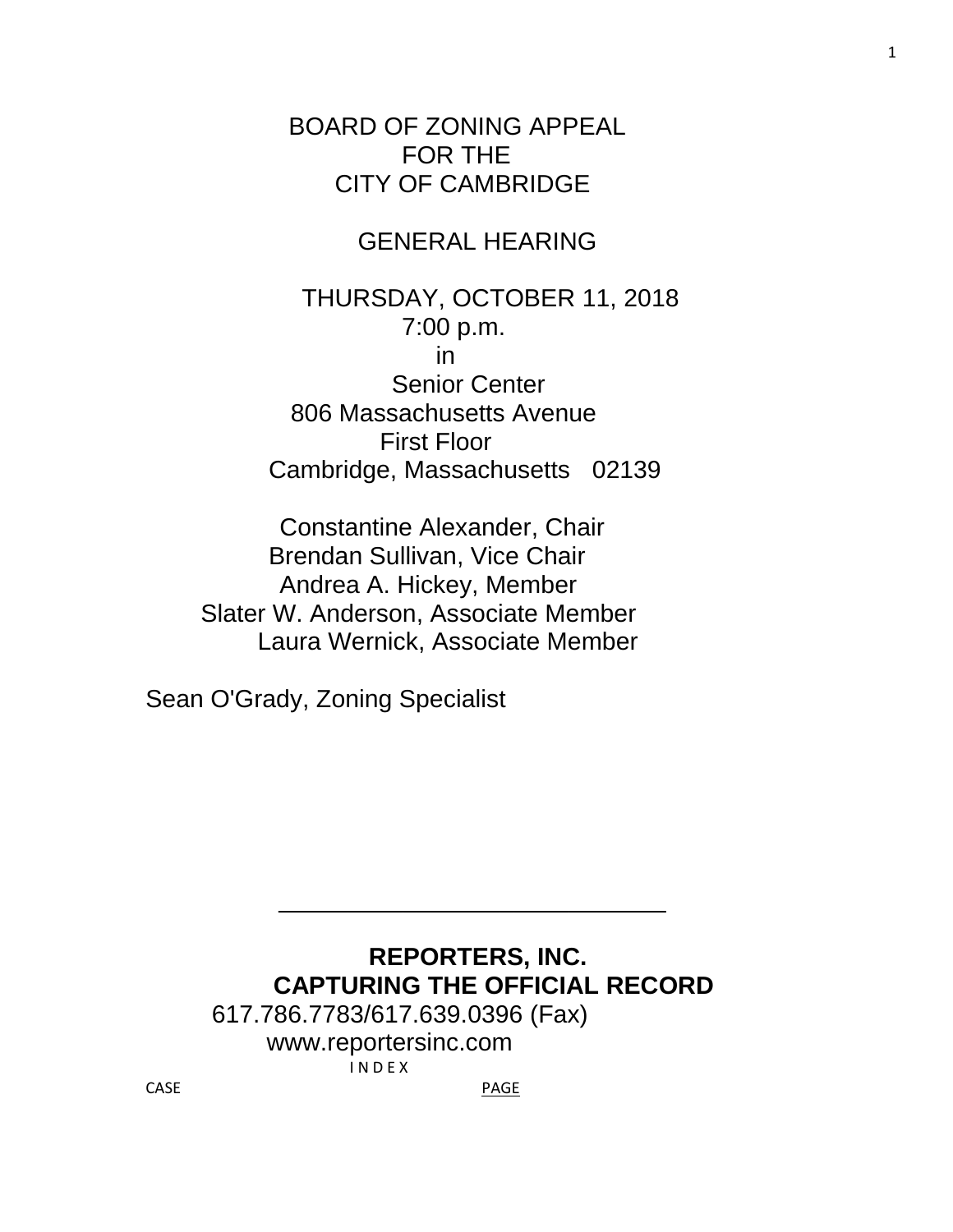BOARD OF ZONING APPEAL FOR THE CITY OF CAMBRIDGE

## GENERAL HEARING

 THURSDAY, OCTOBER 11, 2018 7:00 p.m. in Senior Center 806 Massachusetts Avenue First Floor Cambridge, Massachusetts 02139

 Constantine Alexander, Chair Brendan Sullivan, Vice Chair Andrea A. Hickey, Member Slater W. Anderson, Associate Member Laura Wernick, Associate Member

Sean O'Grady, Zoning Specialist

# **REPORTERS, INC. CAPTURING THE OFFICIAL RECORD**

 $\frac{1}{\sqrt{2}}$  ,  $\frac{1}{\sqrt{2}}$  ,  $\frac{1}{\sqrt{2}}$  ,  $\frac{1}{\sqrt{2}}$  ,  $\frac{1}{\sqrt{2}}$  ,  $\frac{1}{\sqrt{2}}$  ,  $\frac{1}{\sqrt{2}}$  ,  $\frac{1}{\sqrt{2}}$  ,  $\frac{1}{\sqrt{2}}$  ,  $\frac{1}{\sqrt{2}}$  ,  $\frac{1}{\sqrt{2}}$  ,  $\frac{1}{\sqrt{2}}$  ,  $\frac{1}{\sqrt{2}}$  ,  $\frac{1}{\sqrt{2}}$  ,  $\frac{1}{\sqrt{2}}$ 

 617.786.7783/617.639.0396 (Fax) www.reportersinc.com I N D E X CASE **PAGE**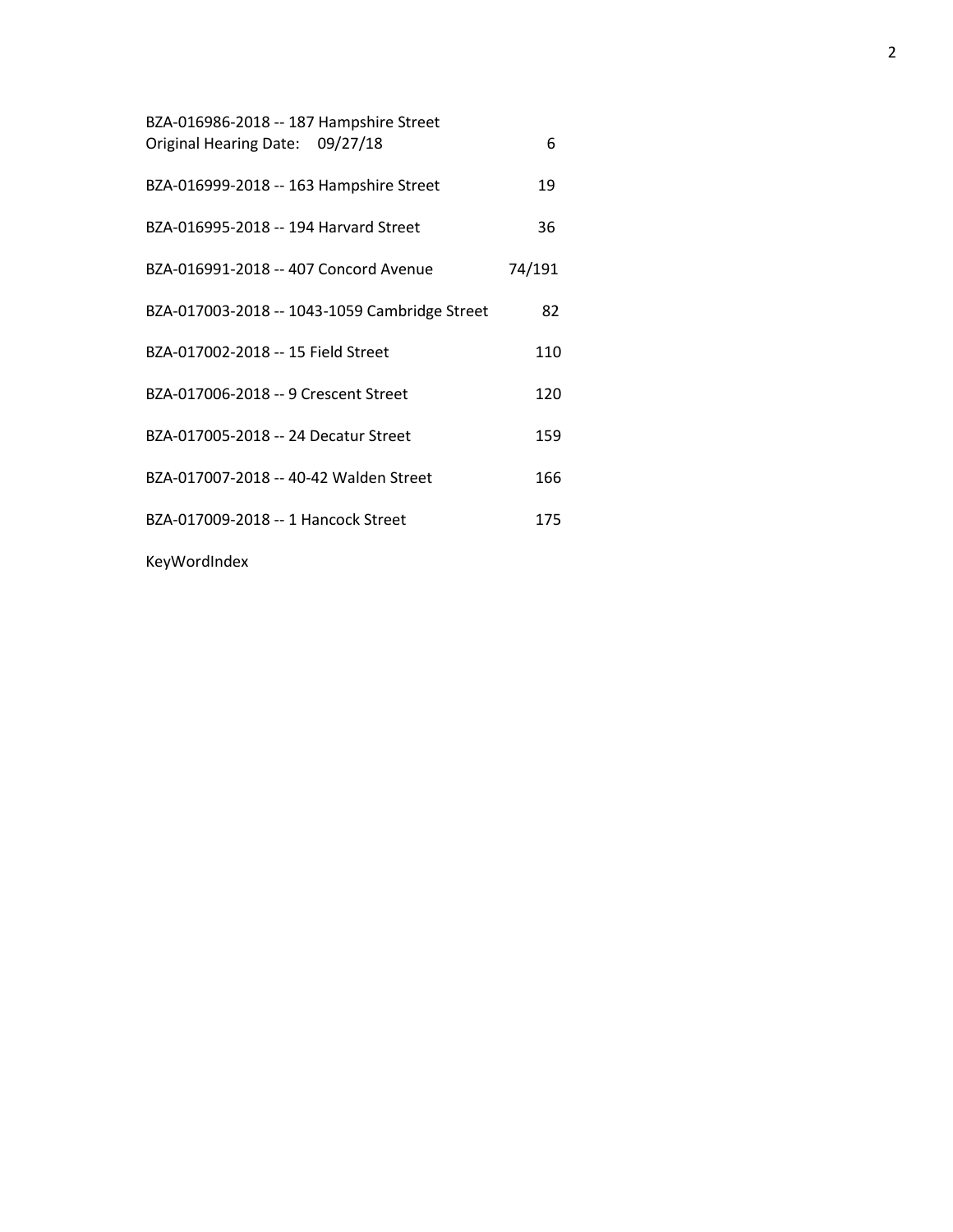| BZA-016986-2018 -- 187 Hampshire Street<br>Original Hearing Date: 09/27/18 | 6      |
|----------------------------------------------------------------------------|--------|
| BZA-016999-2018 -- 163 Hampshire Street                                    | 19     |
| BZA-016995-2018 -- 194 Harvard Street                                      | 36     |
| BZA-016991-2018 -- 407 Concord Avenue                                      | 74/191 |
| BZA-017003-2018 -- 1043-1059 Cambridge Street                              | 82     |
| BZA-017002-2018 -- 15 Field Street                                         | 110    |
| BZA-017006-2018 -- 9 Crescent Street                                       | 120    |
| BZA-017005-2018 -- 24 Decatur Street                                       | 159    |
| BZA-017007-2018 -- 40-42 Walden Street                                     | 166    |
| BZA-017009-2018 -- 1 Hancock Street                                        | 175    |
|                                                                            |        |

KeyWordIndex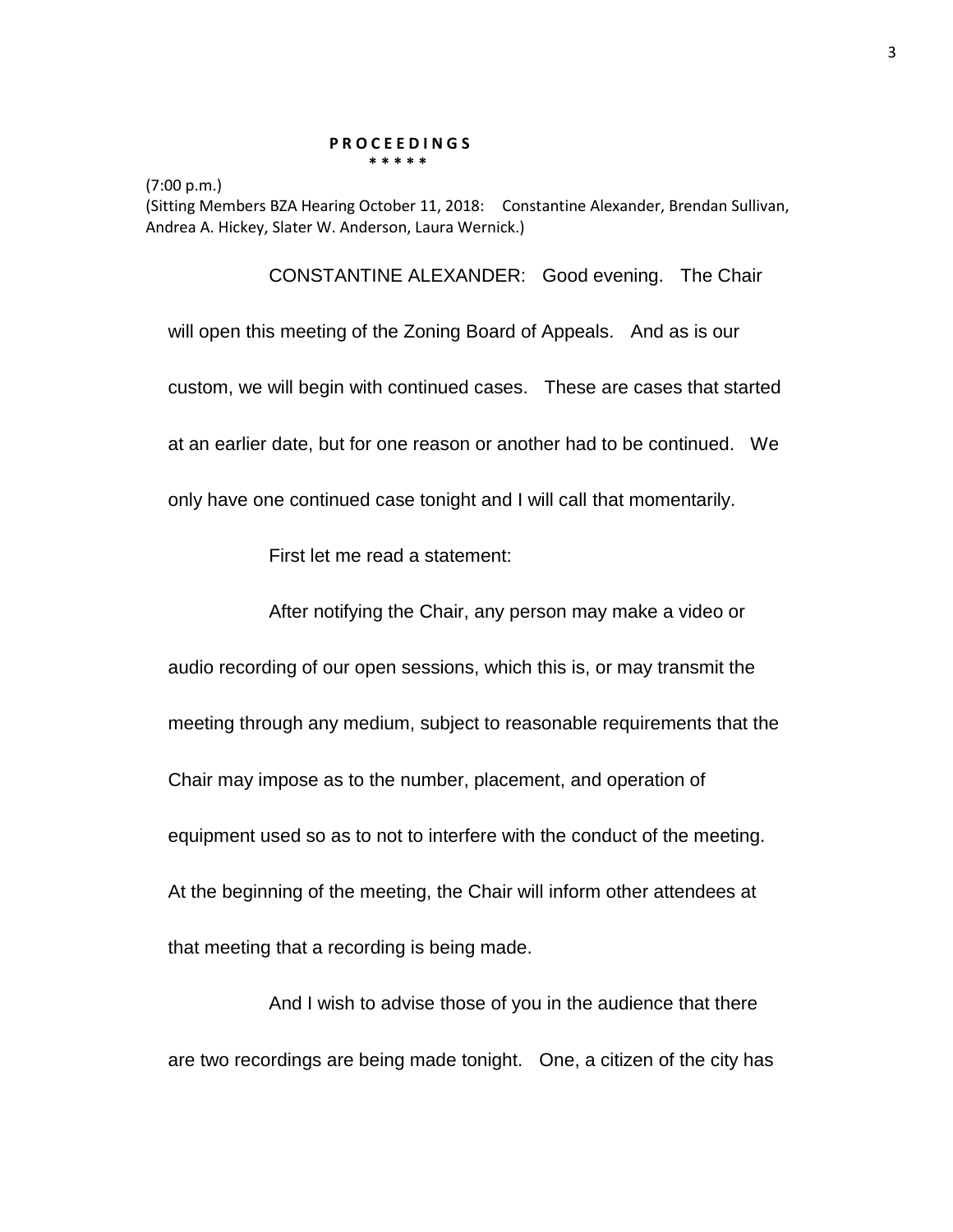#### **P R O C E E D I N G S \* \* \* \* \***

(7:00 p.m.)

(Sitting Members BZA Hearing October 11, 2018: Constantine Alexander, Brendan Sullivan, Andrea A. Hickey, Slater W. Anderson, Laura Wernick.)

CONSTANTINE ALEXANDER: Good evening. The Chair will open this meeting of the Zoning Board of Appeals. And as is our custom, we will begin with continued cases. These are cases that started at an earlier date, but for one reason or another had to be continued. We only have one continued case tonight and I will call that momentarily.

First let me read a statement:

After notifying the Chair, any person may make a video or

audio recording of our open sessions, which this is, or may transmit the meeting through any medium, subject to reasonable requirements that the Chair may impose as to the number, placement, and operation of equipment used so as to not to interfere with the conduct of the meeting. At the beginning of the meeting, the Chair will inform other attendees at that meeting that a recording is being made.

And I wish to advise those of you in the audience that there are two recordings are being made tonight. One, a citizen of the city has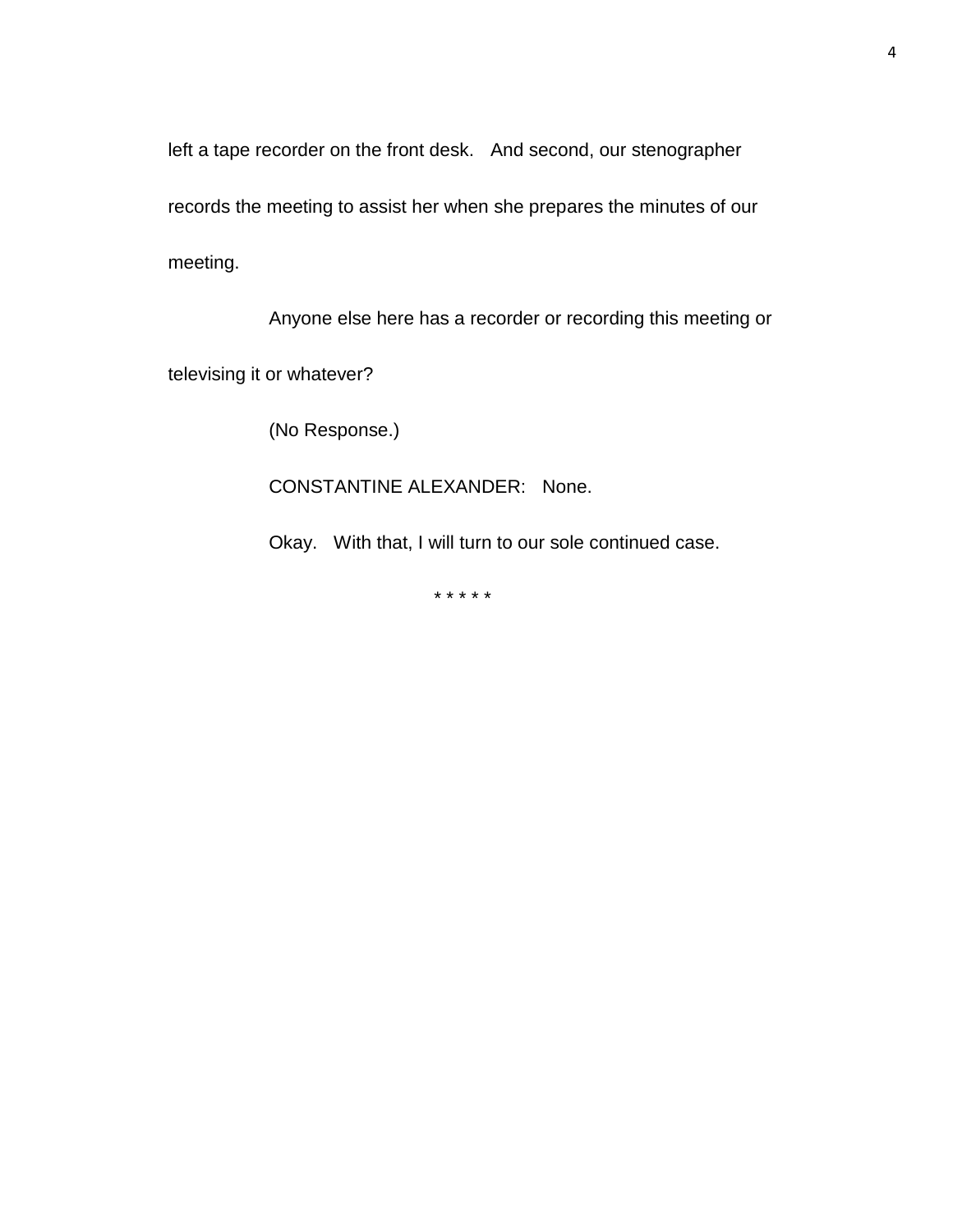left a tape recorder on the front desk. And second, our stenographer

records the meeting to assist her when she prepares the minutes of our

meeting.

Anyone else here has a recorder or recording this meeting or

televising it or whatever?

(No Response.)

CONSTANTINE ALEXANDER: None.

Okay. With that, I will turn to our sole continued case.

\* \* \* \* \*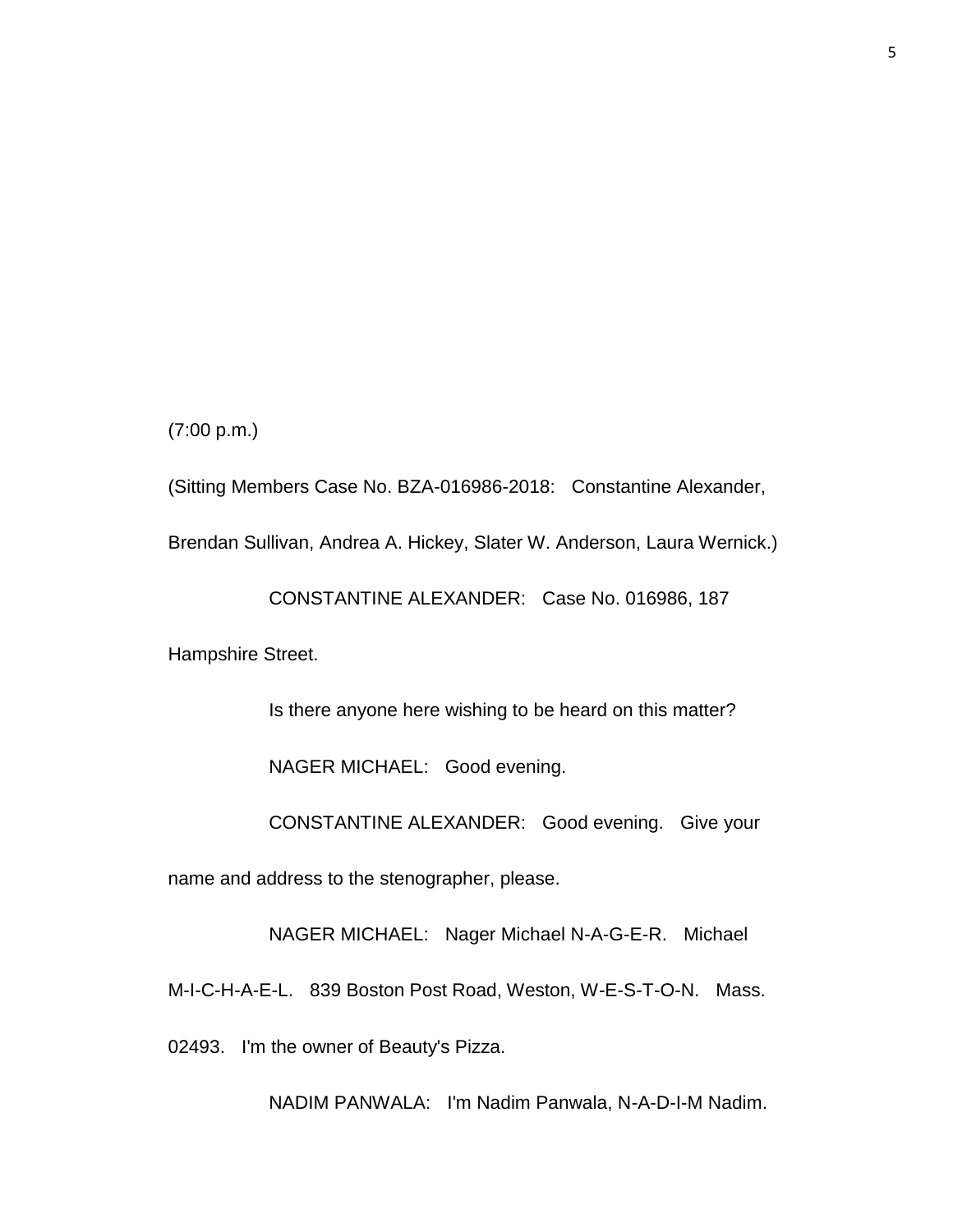(7:00 p.m.)

(Sitting Members Case No. BZA-016986-2018: Constantine Alexander,

Brendan Sullivan, Andrea A. Hickey, Slater W. Anderson, Laura Wernick.)

CONSTANTINE ALEXANDER: Case No. 016986, 187

Hampshire Street.

Is there anyone here wishing to be heard on this matter?

NAGER MICHAEL: Good evening.

CONSTANTINE ALEXANDER: Good evening. Give your

name and address to the stenographer, please.

NAGER MICHAEL: Nager Michael N-A-G-E-R. Michael

M-I-C-H-A-E-L. 839 Boston Post Road, Weston, W-E-S-T-O-N. Mass.

02493. I'm the owner of Beauty's Pizza.

NADIM PANWALA: I'm Nadim Panwala, N-A-D-I-M Nadim.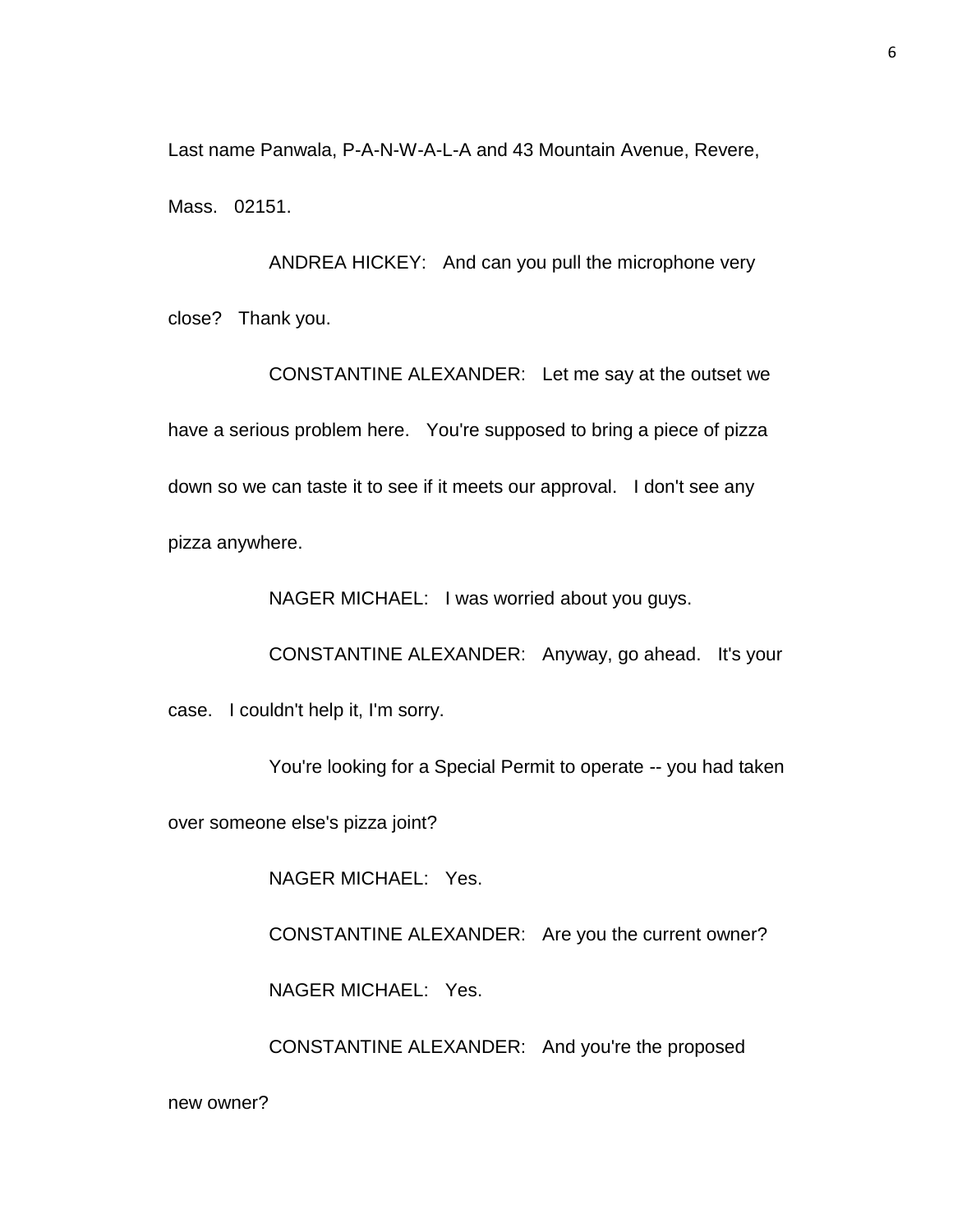Last name Panwala, P-A-N-W-A-L-A and 43 Mountain Avenue, Revere, Mass. 02151.

ANDREA HICKEY: And can you pull the microphone very close? Thank you.

CONSTANTINE ALEXANDER: Let me say at the outset we have a serious problem here. You're supposed to bring a piece of pizza down so we can taste it to see if it meets our approval. I don't see any pizza anywhere.

NAGER MICHAEL: I was worried about you guys.

CONSTANTINE ALEXANDER: Anyway, go ahead. It's your

case. I couldn't help it, I'm sorry.

You're looking for a Special Permit to operate -- you had taken

over someone else's pizza joint?

NAGER MICHAEL: Yes.

CONSTANTINE ALEXANDER: Are you the current owner?

NAGER MICHAEL: Yes.

CONSTANTINE ALEXANDER: And you're the proposed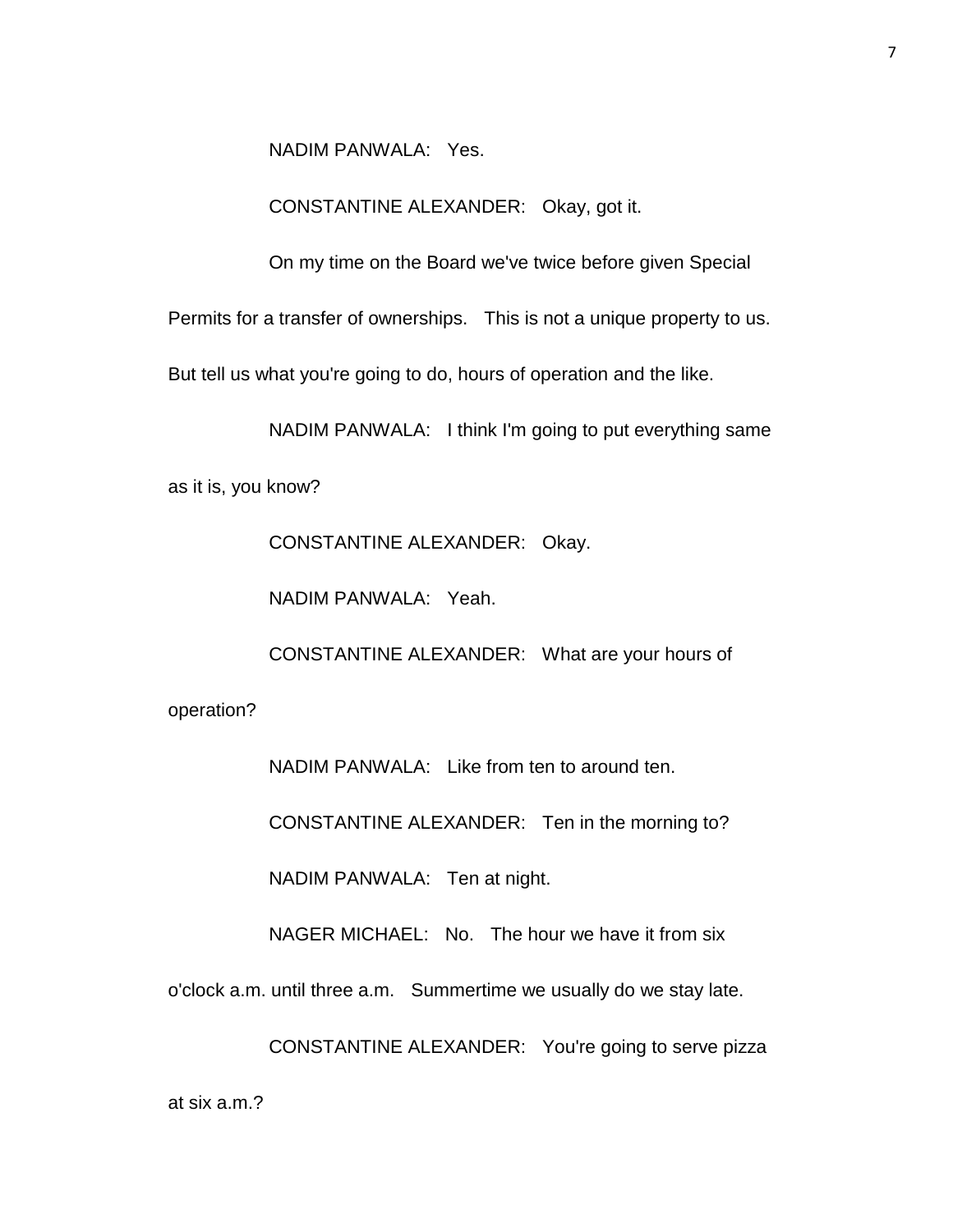NADIM PANWALA: Yes.

CONSTANTINE ALEXANDER: Okay, got it.

On my time on the Board we've twice before given Special

Permits for a transfer of ownerships. This is not a unique property to us.

But tell us what you're going to do, hours of operation and the like.

NADIM PANWALA: I think I'm going to put everything same

as it is, you know?

CONSTANTINE ALEXANDER: Okay.

NADIM PANWALA: Yeah.

CONSTANTINE ALEXANDER: What are your hours of

operation?

NADIM PANWALA: Like from ten to around ten.

CONSTANTINE ALEXANDER: Ten in the morning to?

NADIM PANWALA: Ten at night.

NAGER MICHAEL: No. The hour we have it from six

o'clock a.m. until three a.m. Summertime we usually do we stay late.

CONSTANTINE ALEXANDER: You're going to serve pizza

7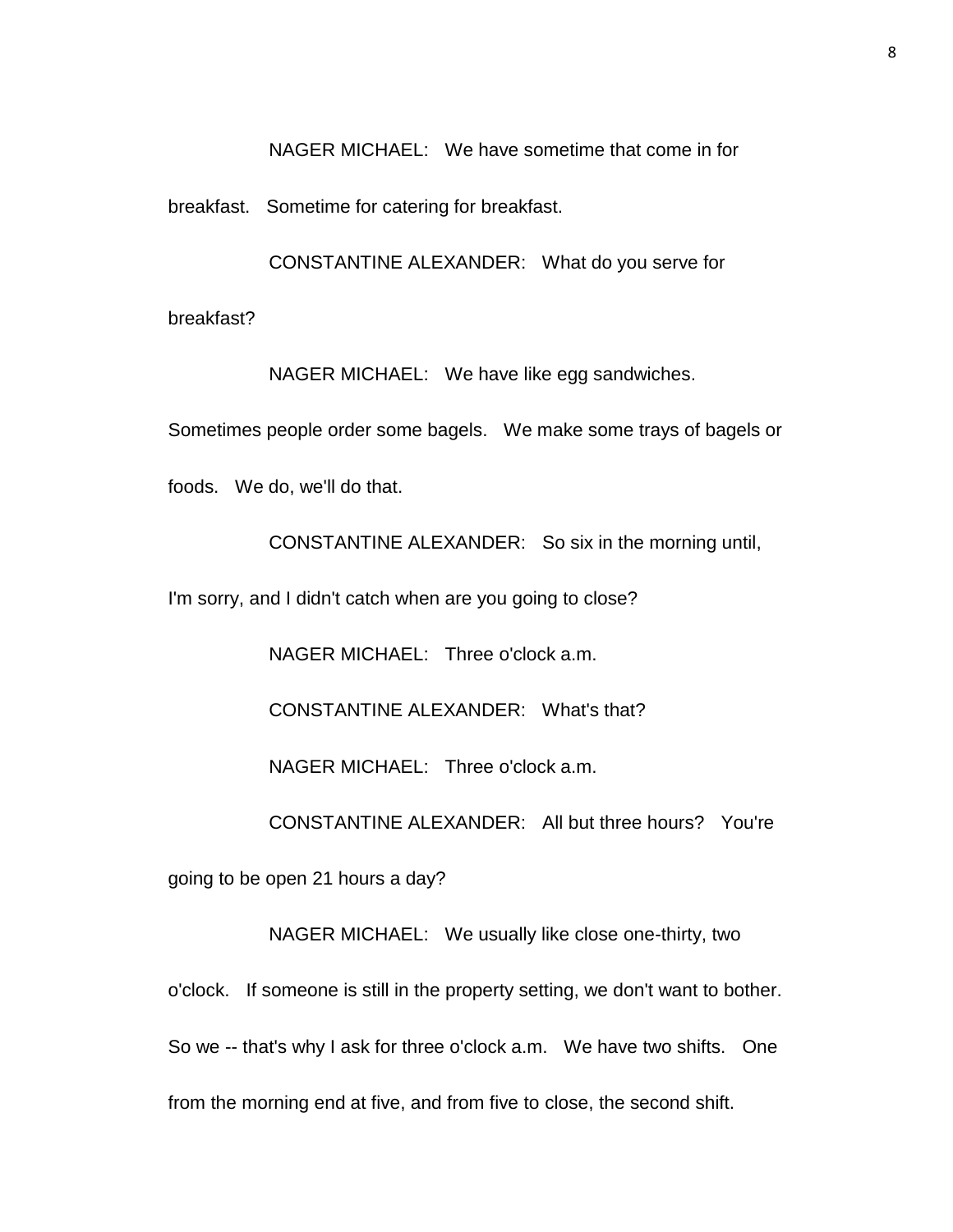NAGER MICHAEL: We have sometime that come in for

breakfast. Sometime for catering for breakfast.

CONSTANTINE ALEXANDER: What do you serve for

breakfast?

NAGER MICHAEL: We have like egg sandwiches.

Sometimes people order some bagels. We make some trays of bagels or

foods. We do, we'll do that.

CONSTANTINE ALEXANDER: So six in the morning until,

I'm sorry, and I didn't catch when are you going to close?

NAGER MICHAEL: Three o'clock a.m.

CONSTANTINE ALEXANDER: What's that?

NAGER MICHAEL: Three o'clock a.m.

CONSTANTINE ALEXANDER: All but three hours? You're

going to be open 21 hours a day?

NAGER MICHAEL: We usually like close one-thirty, two

o'clock. If someone is still in the property setting, we don't want to bother. So we -- that's why I ask for three o'clock a.m. We have two shifts. One from the morning end at five, and from five to close, the second shift.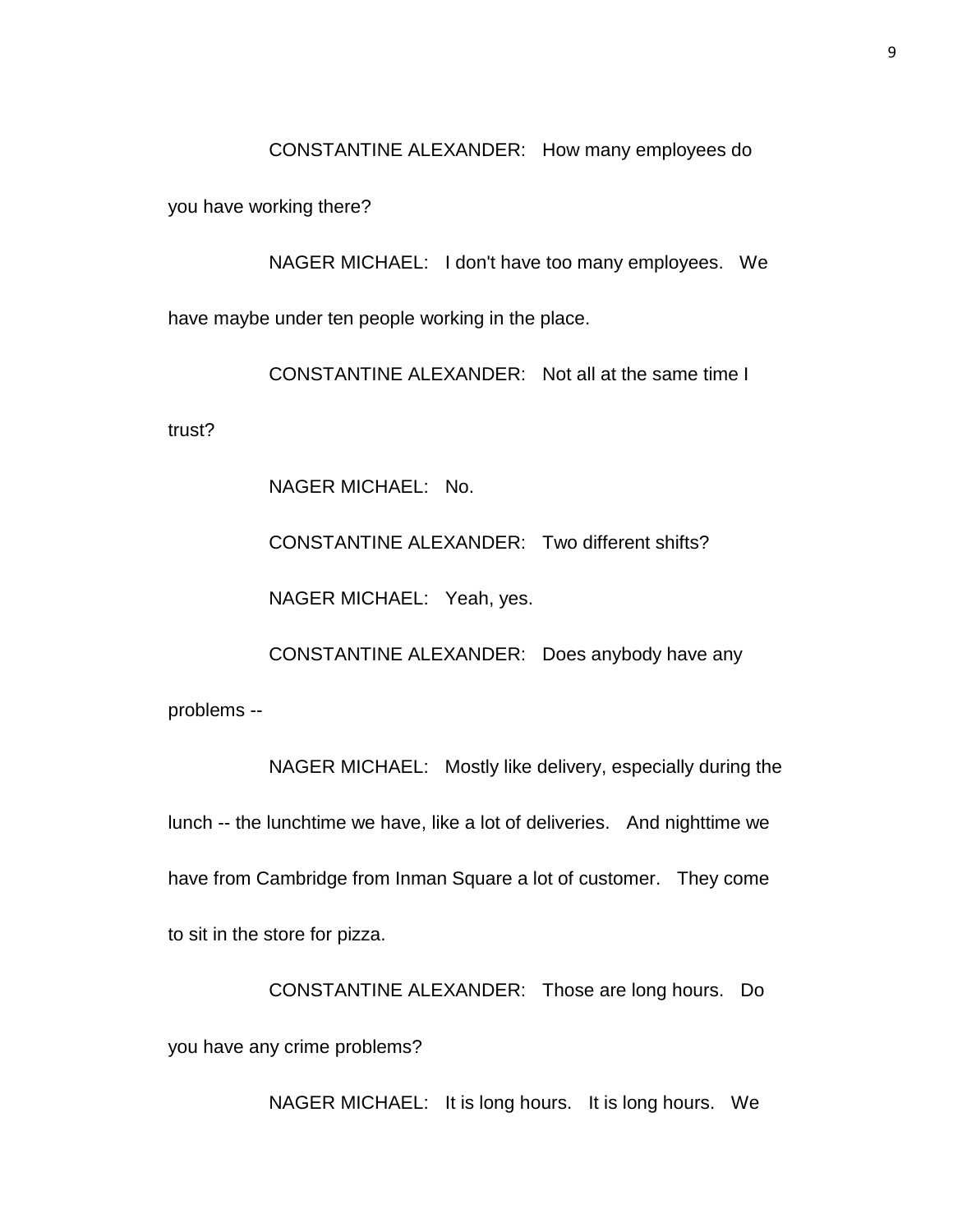CONSTANTINE ALEXANDER: How many employees do

you have working there?

NAGER MICHAEL: I don't have too many employees. We have maybe under ten people working in the place.

CONSTANTINE ALEXANDER: Not all at the same time I

trust?

NAGER MICHAEL: No.

CONSTANTINE ALEXANDER: Two different shifts?

NAGER MICHAEL: Yeah, yes.

CONSTANTINE ALEXANDER: Does anybody have any

problems --

NAGER MICHAEL: Mostly like delivery, especially during the lunch -- the lunchtime we have, like a lot of deliveries. And nighttime we have from Cambridge from Inman Square a lot of customer. They come to sit in the store for pizza.

CONSTANTINE ALEXANDER: Those are long hours. Do you have any crime problems?

NAGER MICHAEL: It is long hours. It is long hours. We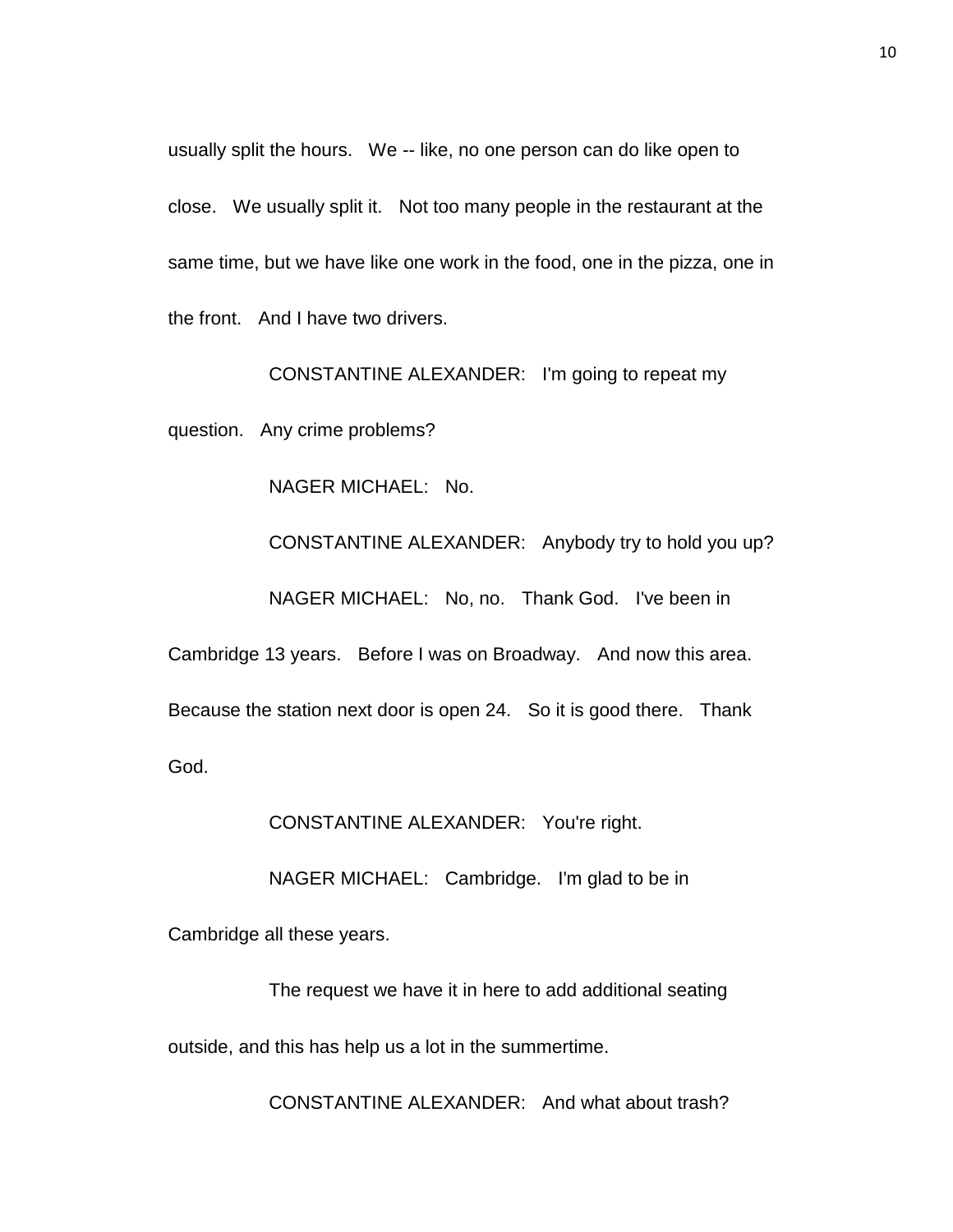usually split the hours. We -- like, no one person can do like open to close. We usually split it. Not too many people in the restaurant at the same time, but we have like one work in the food, one in the pizza, one in the front. And I have two drivers.

CONSTANTINE ALEXANDER: I'm going to repeat my

question. Any crime problems?

NAGER MICHAEL: No.

CONSTANTINE ALEXANDER: Anybody try to hold you up?

NAGER MICHAEL: No, no. Thank God. I've been in

Cambridge 13 years. Before I was on Broadway. And now this area.

Because the station next door is open 24. So it is good there. Thank

God.

CONSTANTINE ALEXANDER: You're right.

NAGER MICHAEL: Cambridge. I'm glad to be in

Cambridge all these years.

The request we have it in here to add additional seating outside, and this has help us a lot in the summertime.

CONSTANTINE ALEXANDER: And what about trash?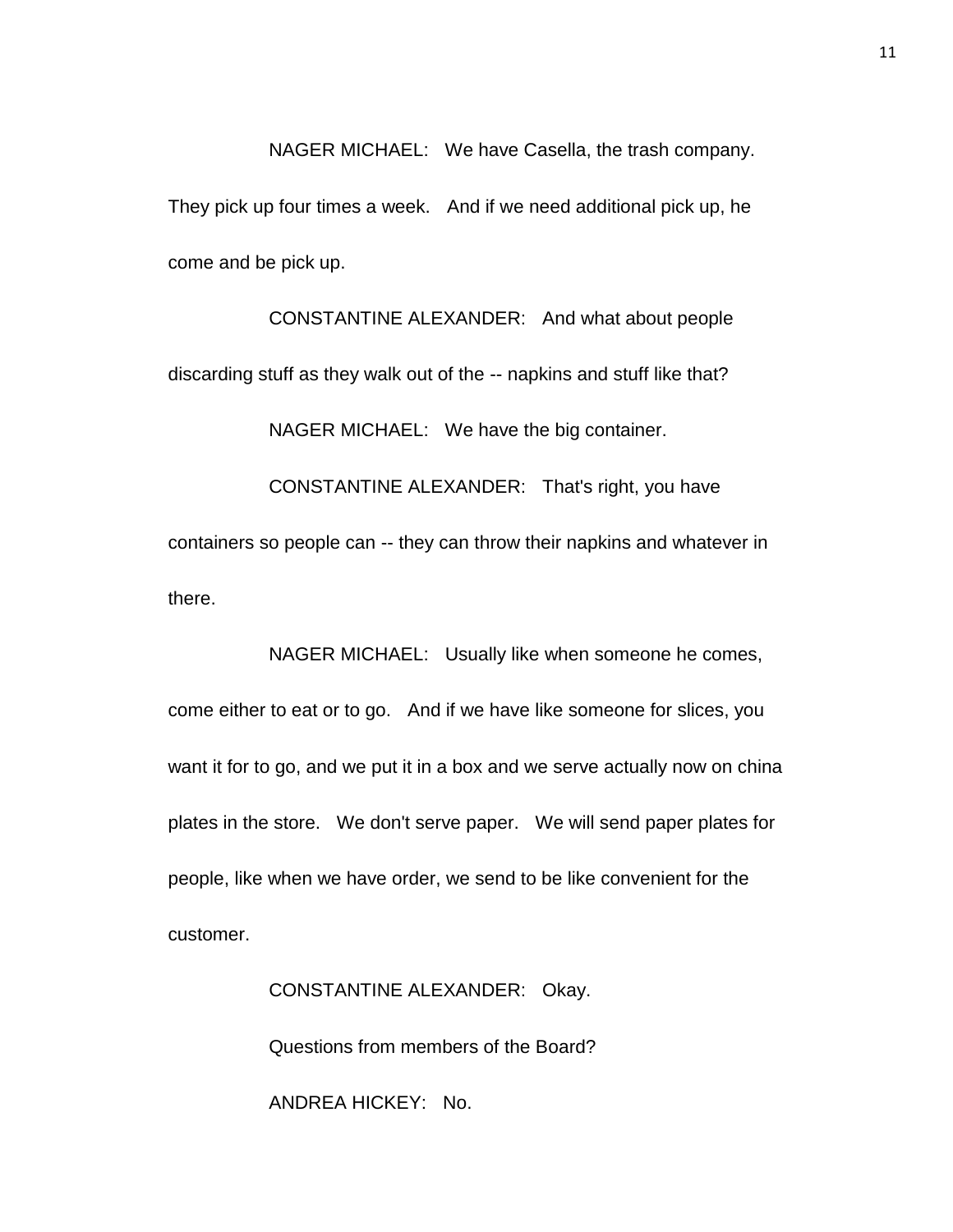NAGER MICHAEL: We have Casella, the trash company. They pick up four times a week. And if we need additional pick up, he come and be pick up.

CONSTANTINE ALEXANDER: And what about people discarding stuff as they walk out of the -- napkins and stuff like that? NAGER MICHAEL: We have the big container. CONSTANTINE ALEXANDER: That's right, you have containers so people can -- they can throw their napkins and whatever in

there.

NAGER MICHAEL: Usually like when someone he comes, come either to eat or to go. And if we have like someone for slices, you want it for to go, and we put it in a box and we serve actually now on china plates in the store. We don't serve paper. We will send paper plates for people, like when we have order, we send to be like convenient for the customer.

> CONSTANTINE ALEXANDER: Okay. Questions from members of the Board? ANDREA HICKEY: No.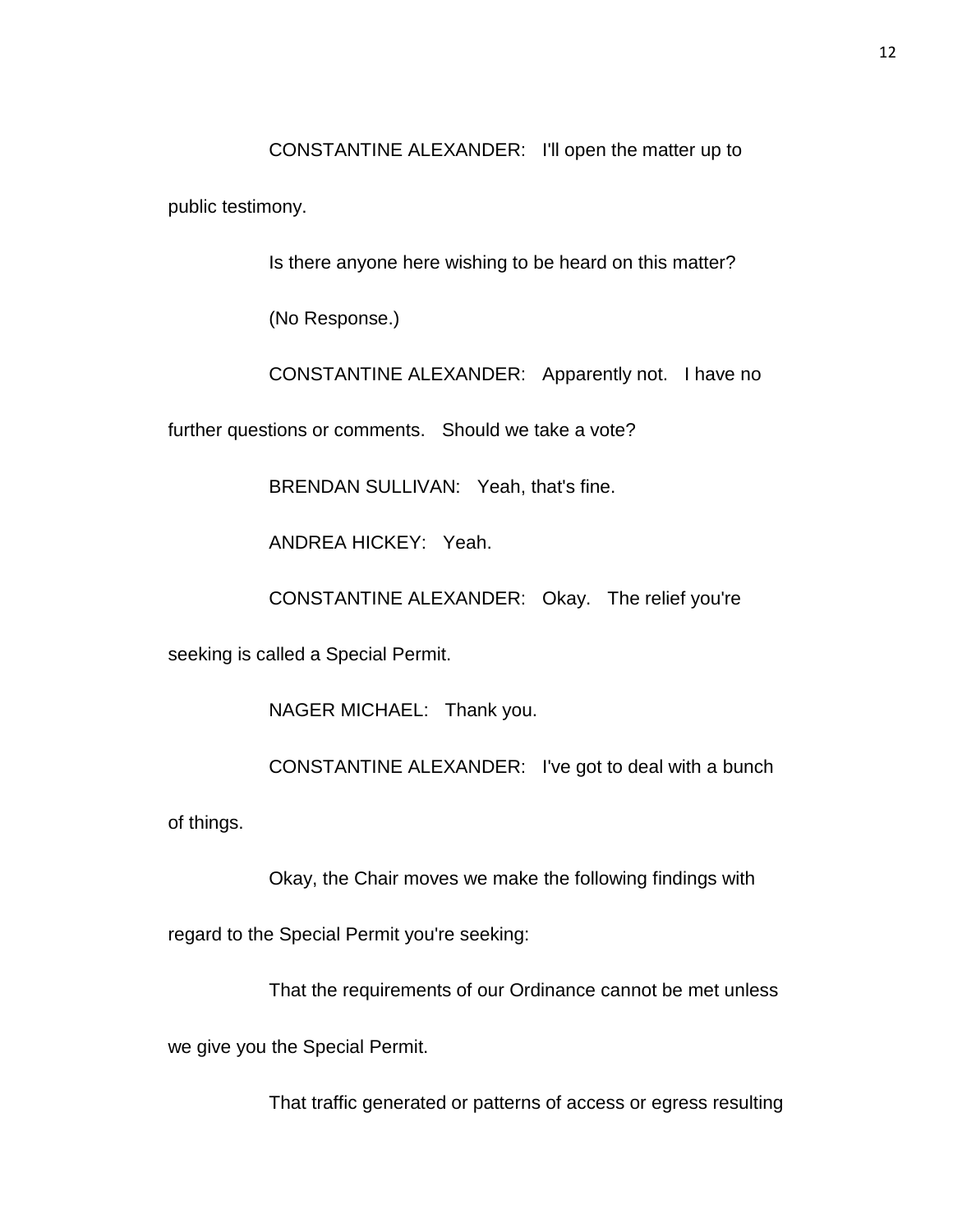CONSTANTINE ALEXANDER: I'll open the matter up to

public testimony.

Is there anyone here wishing to be heard on this matter?

(No Response.)

CONSTANTINE ALEXANDER: Apparently not. I have no

further questions or comments. Should we take a vote?

BRENDAN SULLIVAN: Yeah, that's fine.

ANDREA HICKEY: Yeah.

CONSTANTINE ALEXANDER: Okay. The relief you're

seeking is called a Special Permit.

NAGER MICHAEL: Thank you.

CONSTANTINE ALEXANDER: I've got to deal with a bunch

of things.

Okay, the Chair moves we make the following findings with

regard to the Special Permit you're seeking:

That the requirements of our Ordinance cannot be met unless

we give you the Special Permit.

That traffic generated or patterns of access or egress resulting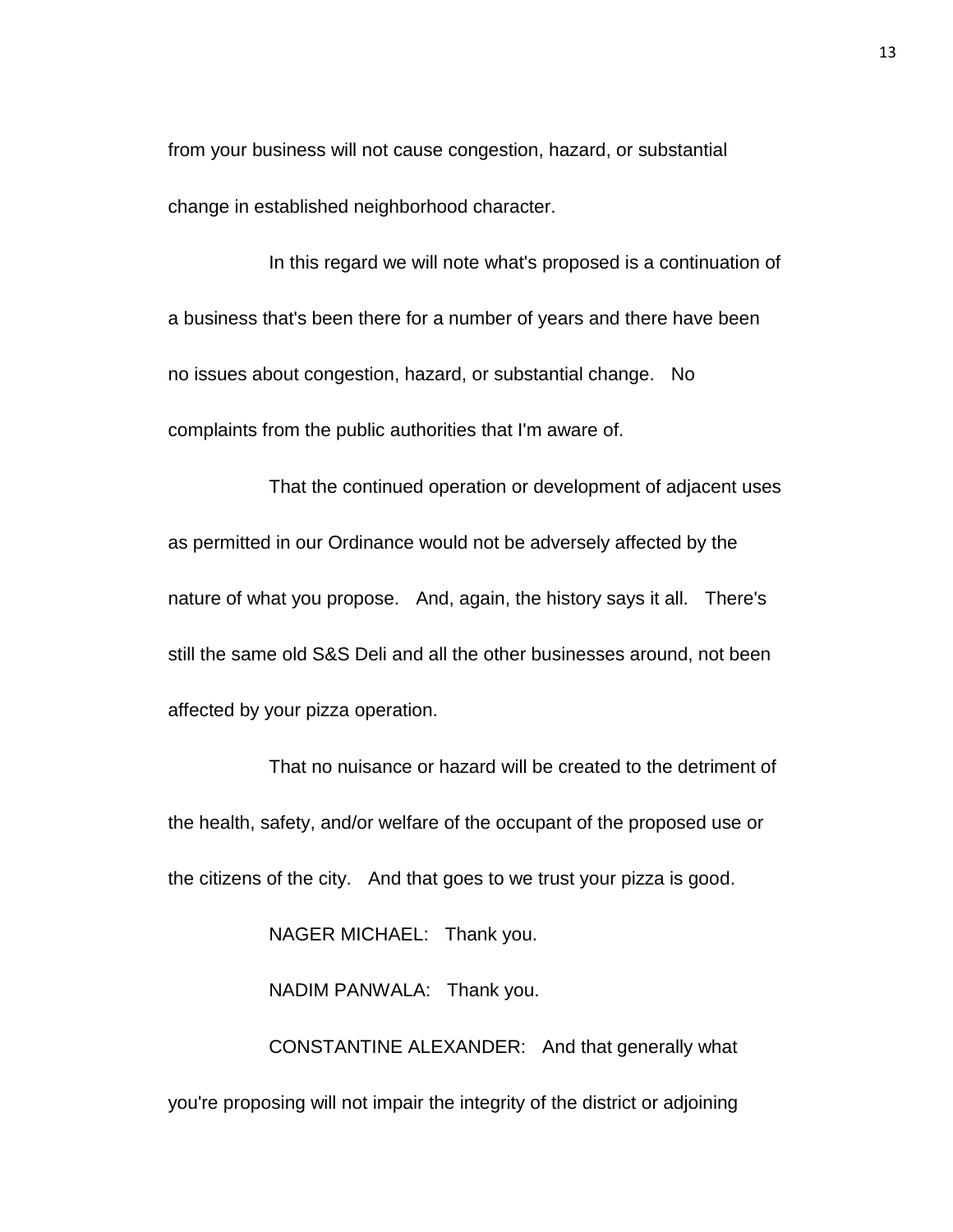from your business will not cause congestion, hazard, or substantial change in established neighborhood character.

In this regard we will note what's proposed is a continuation of a business that's been there for a number of years and there have been no issues about congestion, hazard, or substantial change. No complaints from the public authorities that I'm aware of.

That the continued operation or development of adjacent uses as permitted in our Ordinance would not be adversely affected by the nature of what you propose. And, again, the history says it all. There's still the same old S&S Deli and all the other businesses around, not been affected by your pizza operation.

That no nuisance or hazard will be created to the detriment of the health, safety, and/or welfare of the occupant of the proposed use or the citizens of the city. And that goes to we trust your pizza is good.

NAGER MICHAEL: Thank you.

NADIM PANWALA: Thank you.

CONSTANTINE ALEXANDER: And that generally what you're proposing will not impair the integrity of the district or adjoining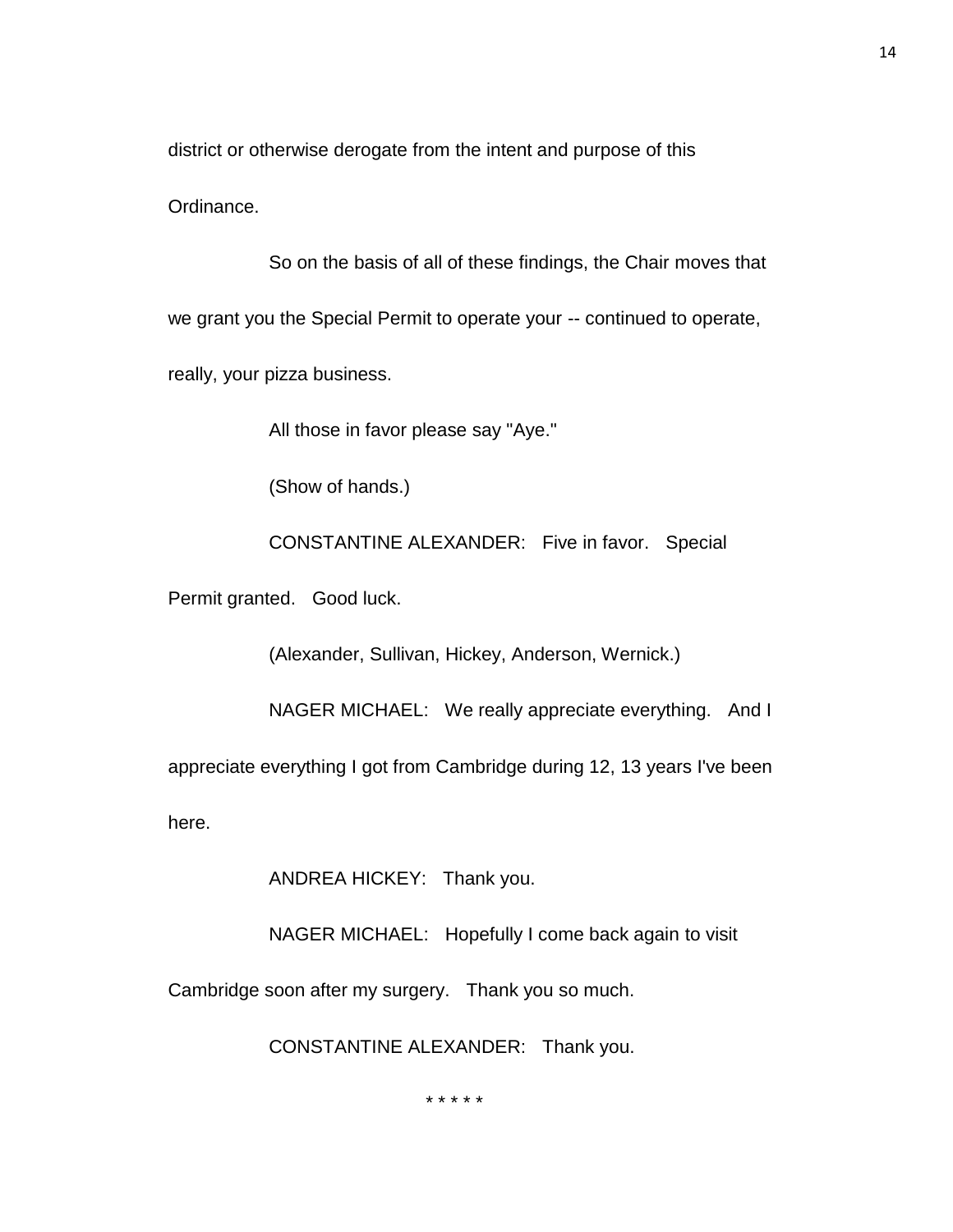district or otherwise derogate from the intent and purpose of this

Ordinance.

So on the basis of all of these findings, the Chair moves that we grant you the Special Permit to operate your -- continued to operate, really, your pizza business.

All those in favor please say "Aye."

(Show of hands.)

CONSTANTINE ALEXANDER: Five in favor. Special

Permit granted. Good luck.

(Alexander, Sullivan, Hickey, Anderson, Wernick.)

NAGER MICHAEL: We really appreciate everything. And I

appreciate everything I got from Cambridge during 12, 13 years I've been

here.

ANDREA HICKEY: Thank you.

NAGER MICHAEL: Hopefully I come back again to visit

Cambridge soon after my surgery. Thank you so much.

CONSTANTINE ALEXANDER: Thank you.

\* \* \* \* \*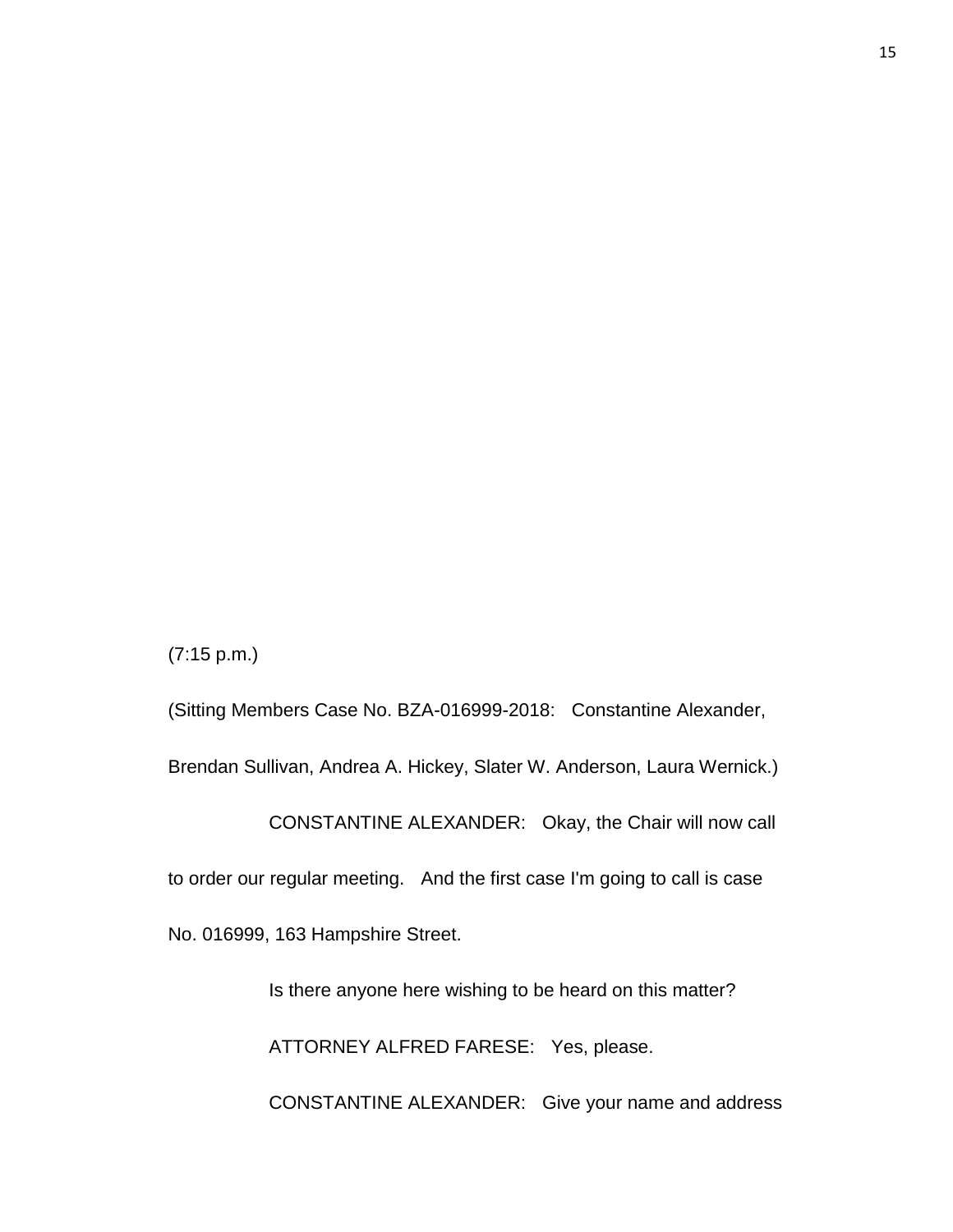(7:15 p.m.)

(Sitting Members Case No. BZA-016999-2018: Constantine Alexander, Brendan Sullivan, Andrea A. Hickey, Slater W. Anderson, Laura Wernick.)

CONSTANTINE ALEXANDER: Okay, the Chair will now call

to order our regular meeting. And the first case I'm going to call is case

No. 016999, 163 Hampshire Street.

Is there anyone here wishing to be heard on this matter?

ATTORNEY ALFRED FARESE: Yes, please.

CONSTANTINE ALEXANDER: Give your name and address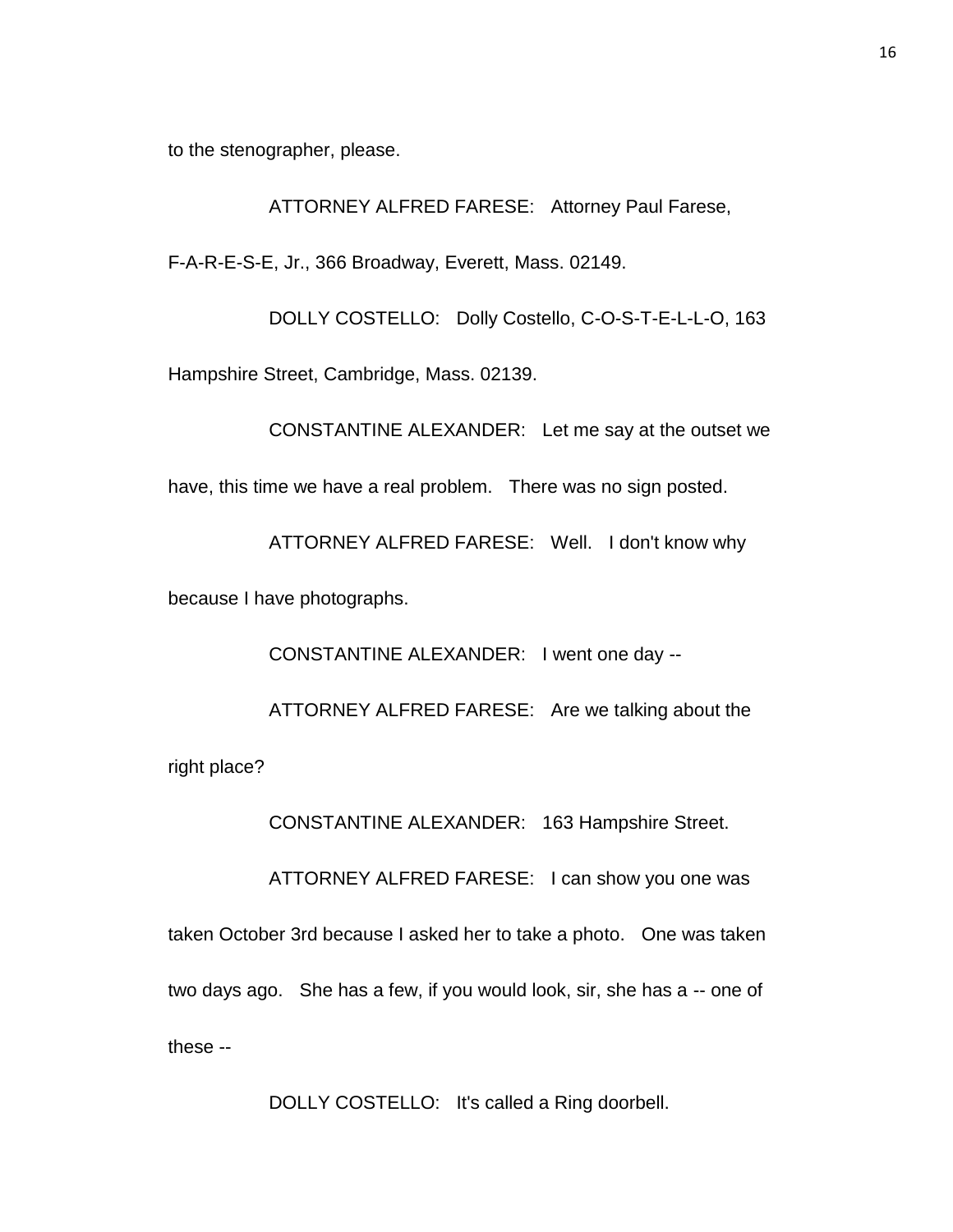to the stenographer, please.

ATTORNEY ALFRED FARESE: Attorney Paul Farese,

F-A-R-E-S-E, Jr., 366 Broadway, Everett, Mass. 02149.

DOLLY COSTELLO: Dolly Costello, C-O-S-T-E-L-L-O, 163 Hampshire Street, Cambridge, Mass. 02139.

CONSTANTINE ALEXANDER: Let me say at the outset we have, this time we have a real problem. There was no sign posted.

ATTORNEY ALFRED FARESE: Well. I don't know why because I have photographs.

CONSTANTINE ALEXANDER: I went one day --

ATTORNEY ALFRED FARESE: Are we talking about the right place?

CONSTANTINE ALEXANDER: 163 Hampshire Street.

ATTORNEY ALFRED FARESE: I can show you one was

taken October 3rd because I asked her to take a photo. One was taken two days ago. She has a few, if you would look, sir, she has a -- one of these --

DOLLY COSTELLO: It's called a Ring doorbell.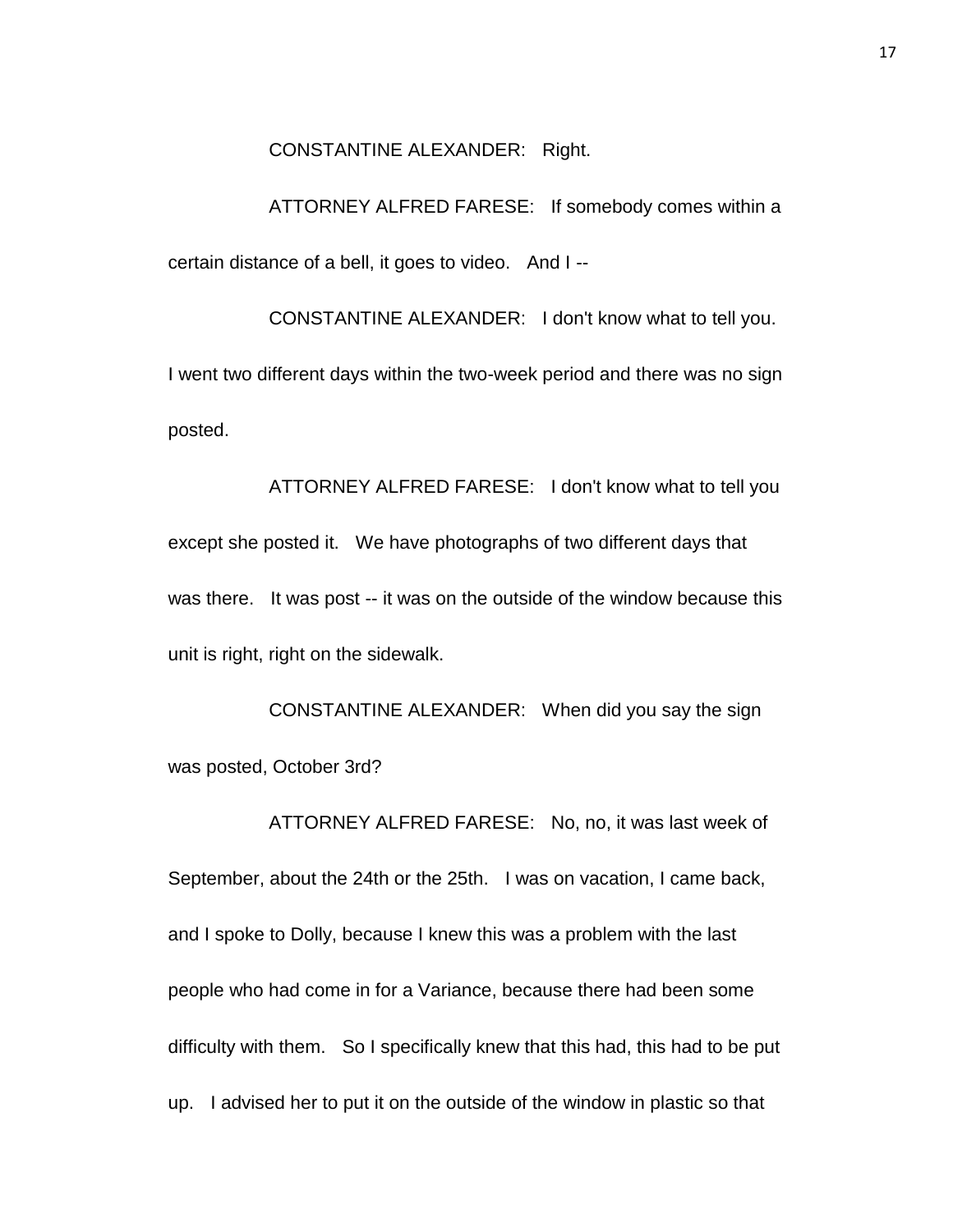### CONSTANTINE ALEXANDER: Right.

ATTORNEY ALFRED FARESE: If somebody comes within a certain distance of a bell, it goes to video. And I --

CONSTANTINE ALEXANDER: I don't know what to tell you. I went two different days within the two-week period and there was no sign posted.

ATTORNEY ALFRED FARESE: I don't know what to tell you except she posted it. We have photographs of two different days that was there. It was post -- it was on the outside of the window because this unit is right, right on the sidewalk.

CONSTANTINE ALEXANDER: When did you say the sign was posted, October 3rd?

ATTORNEY ALFRED FARESE: No, no, it was last week of September, about the 24th or the 25th. I was on vacation, I came back, and I spoke to Dolly, because I knew this was a problem with the last people who had come in for a Variance, because there had been some difficulty with them. So I specifically knew that this had, this had to be put up. I advised her to put it on the outside of the window in plastic so that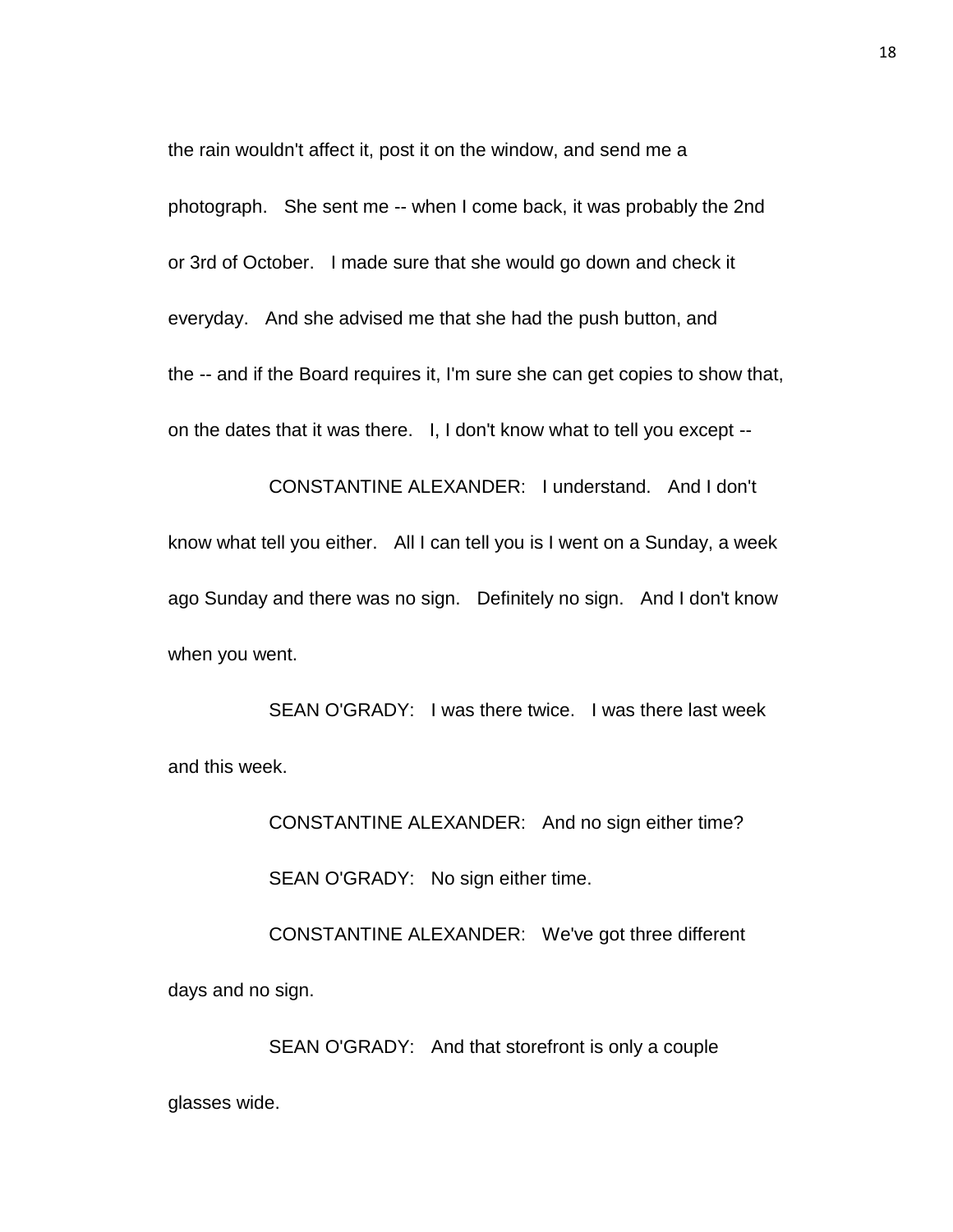the rain wouldn't affect it, post it on the window, and send me a photograph. She sent me -- when I come back, it was probably the 2nd or 3rd of October. I made sure that she would go down and check it everyday. And she advised me that she had the push button, and the -- and if the Board requires it, I'm sure she can get copies to show that, on the dates that it was there. I, I don't know what to tell you except --

CONSTANTINE ALEXANDER: I understand. And I don't know what tell you either. All I can tell you is I went on a Sunday, a week ago Sunday and there was no sign. Definitely no sign. And I don't know when you went.

SEAN O'GRADY: I was there twice. I was there last week and this week.

> CONSTANTINE ALEXANDER: And no sign either time? SEAN O'GRADY: No sign either time.

CONSTANTINE ALEXANDER: We've got three different days and no sign.

SEAN O'GRADY: And that storefront is only a couple glasses wide.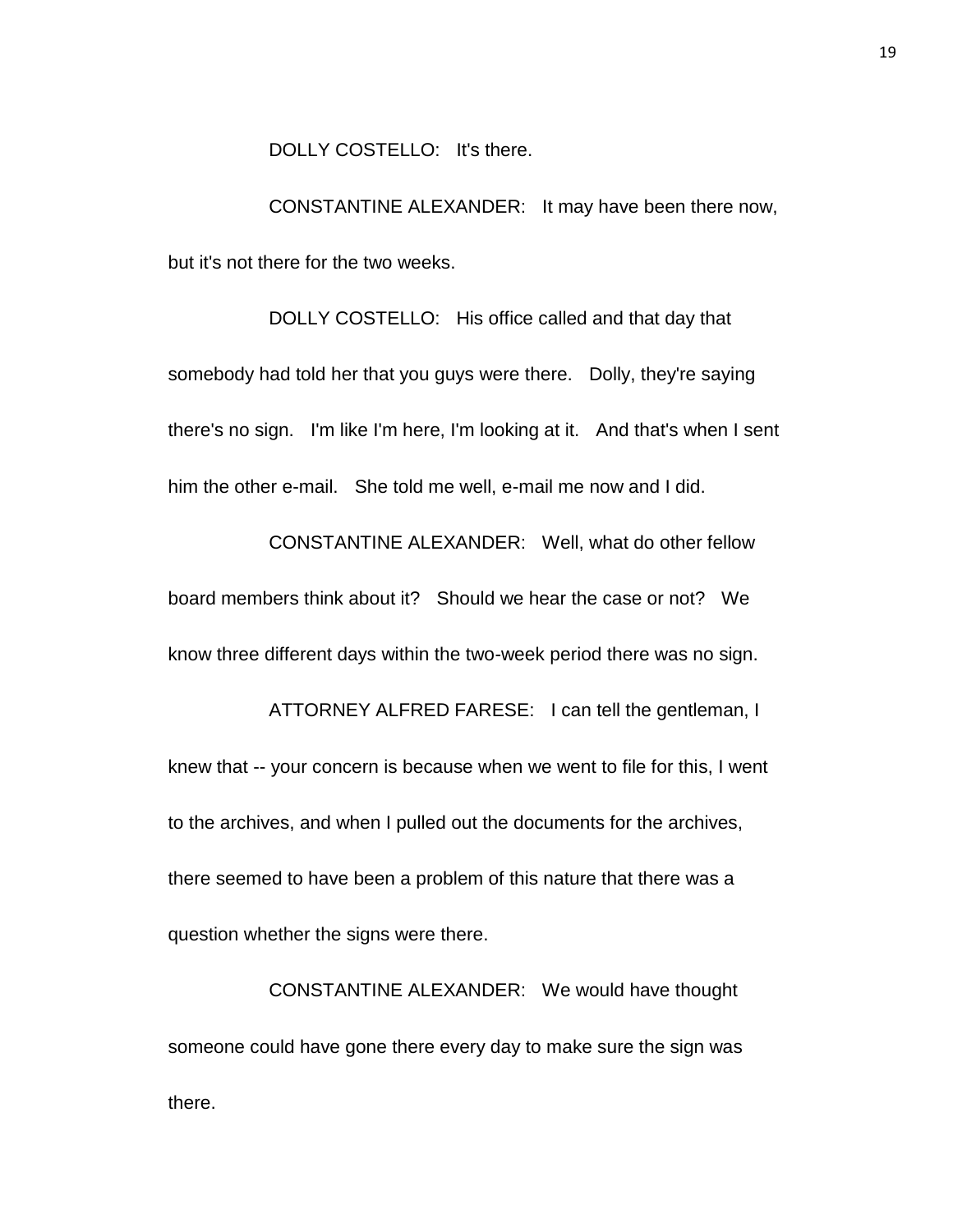DOLLY COSTELLO: It's there.

CONSTANTINE ALEXANDER: It may have been there now, but it's not there for the two weeks.

DOLLY COSTELLO: His office called and that day that somebody had told her that you guys were there. Dolly, they're saying there's no sign. I'm like I'm here, I'm looking at it. And that's when I sent him the other e-mail. She told me well, e-mail me now and I did.

CONSTANTINE ALEXANDER: Well, what do other fellow board members think about it? Should we hear the case or not? We know three different days within the two-week period there was no sign. ATTORNEY ALFRED FARESE: I can tell the gentleman, I knew that -- your concern is because when we went to file for this, I went

to the archives, and when I pulled out the documents for the archives, there seemed to have been a problem of this nature that there was a question whether the signs were there.

CONSTANTINE ALEXANDER: We would have thought someone could have gone there every day to make sure the sign was there.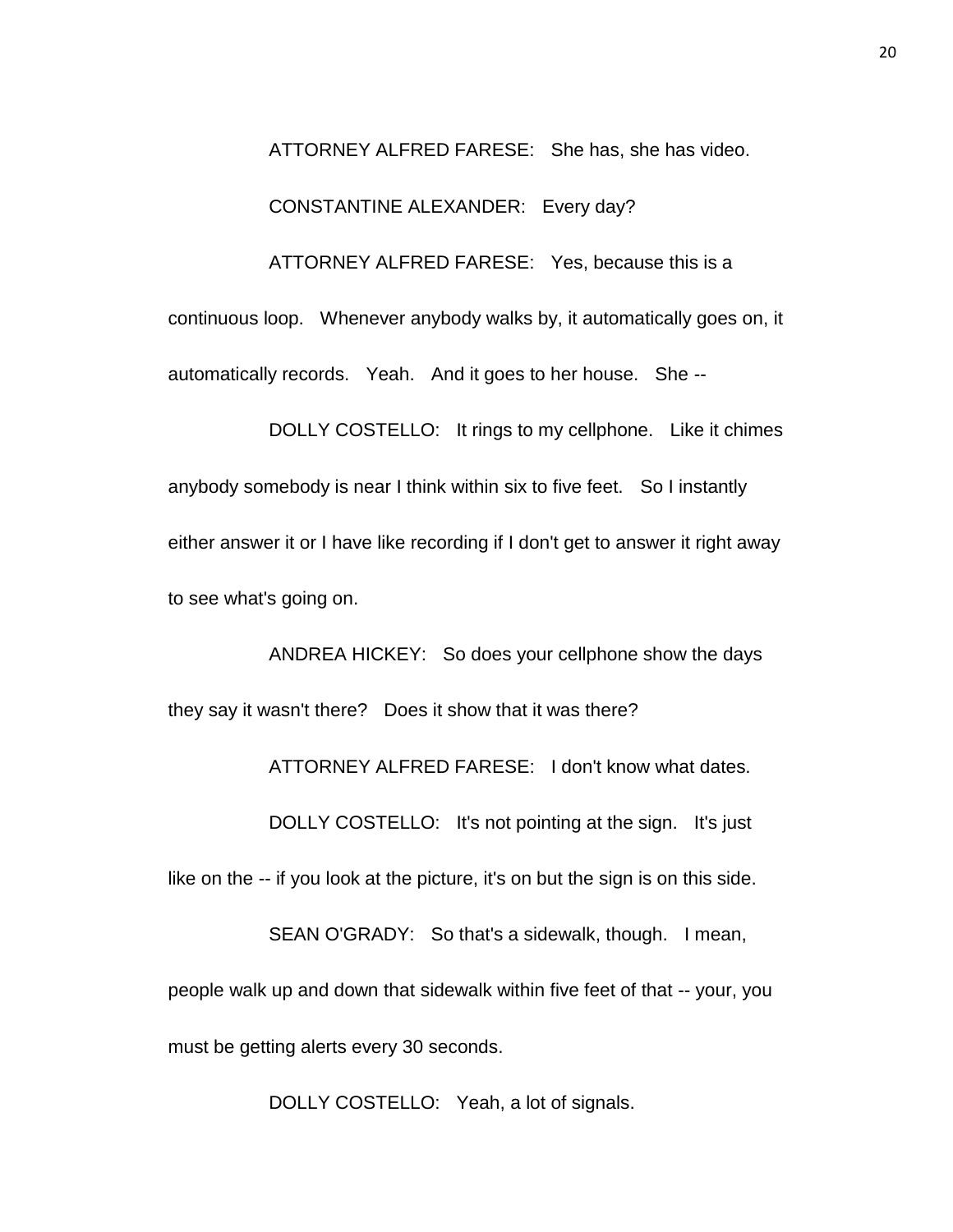ATTORNEY ALFRED FARESE: She has, she has video.

CONSTANTINE ALEXANDER: Every day?

ATTORNEY ALFRED FARESE: Yes, because this is a

continuous loop. Whenever anybody walks by, it automatically goes on, it automatically records. Yeah. And it goes to her house. She --

DOLLY COSTELLO: It rings to my cellphone. Like it chimes anybody somebody is near I think within six to five feet. So I instantly either answer it or I have like recording if I don't get to answer it right away to see what's going on.

ANDREA HICKEY: So does your cellphone show the days they say it wasn't there? Does it show that it was there?

ATTORNEY ALFRED FARESE: I don't know what dates.

DOLLY COSTELLO: It's not pointing at the sign. It's just

like on the -- if you look at the picture, it's on but the sign is on this side.

SEAN O'GRADY: So that's a sidewalk, though. I mean, people walk up and down that sidewalk within five feet of that -- your, you must be getting alerts every 30 seconds.

DOLLY COSTELLO: Yeah, a lot of signals.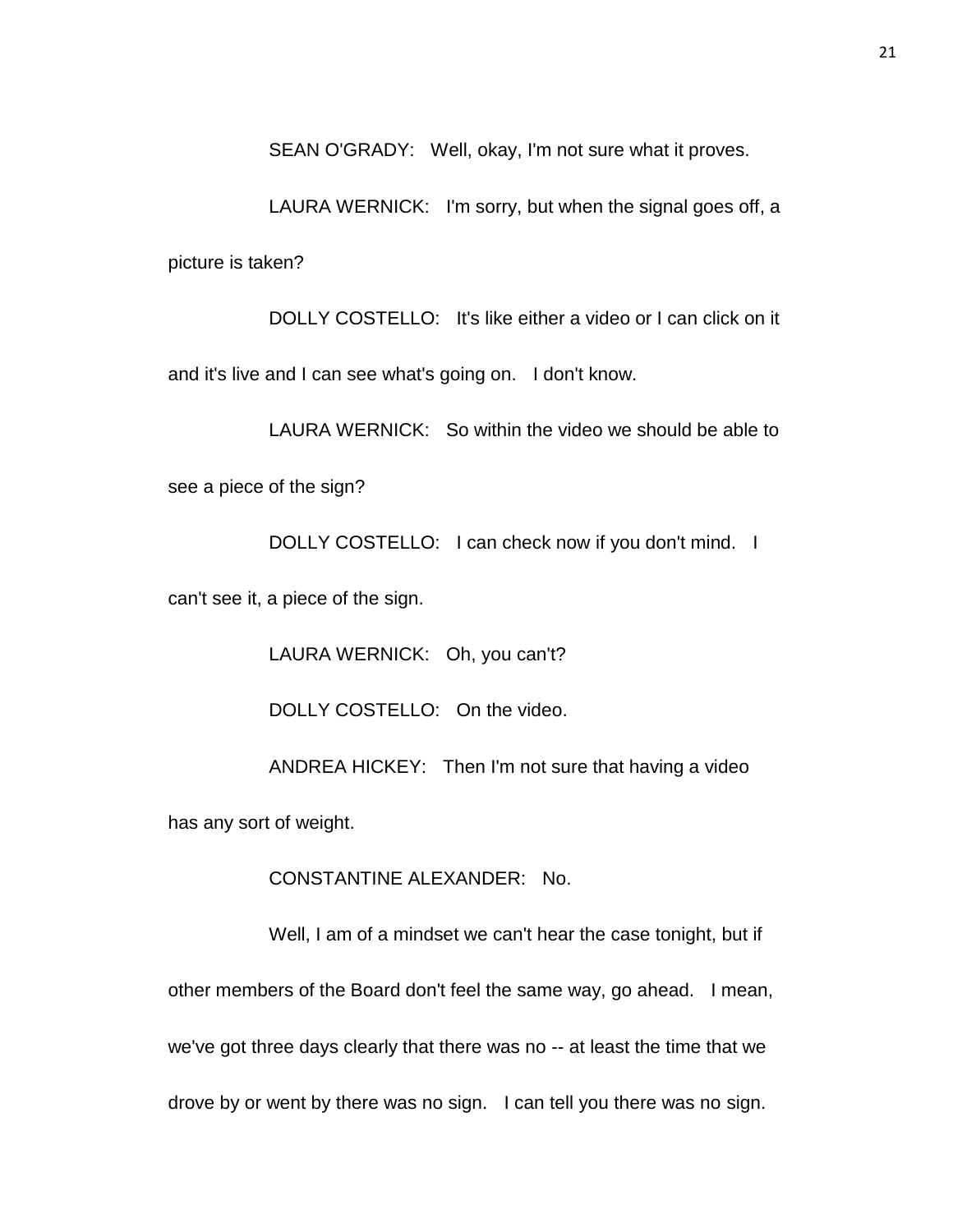SEAN O'GRADY: Well, okay, I'm not sure what it proves.

LAURA WERNICK: I'm sorry, but when the signal goes off, a picture is taken?

DOLLY COSTELLO: It's like either a video or I can click on it and it's live and I can see what's going on. I don't know.

LAURA WERNICK: So within the video we should be able to

see a piece of the sign?

DOLLY COSTELLO: I can check now if you don't mind. I

can't see it, a piece of the sign.

LAURA WERNICK: Oh, you can't?

DOLLY COSTELLO: On the video.

ANDREA HICKEY: Then I'm not sure that having a video

has any sort of weight.

CONSTANTINE ALEXANDER: No.

Well, I am of a mindset we can't hear the case tonight, but if other members of the Board don't feel the same way, go ahead. I mean, we've got three days clearly that there was no -- at least the time that we drove by or went by there was no sign. I can tell you there was no sign.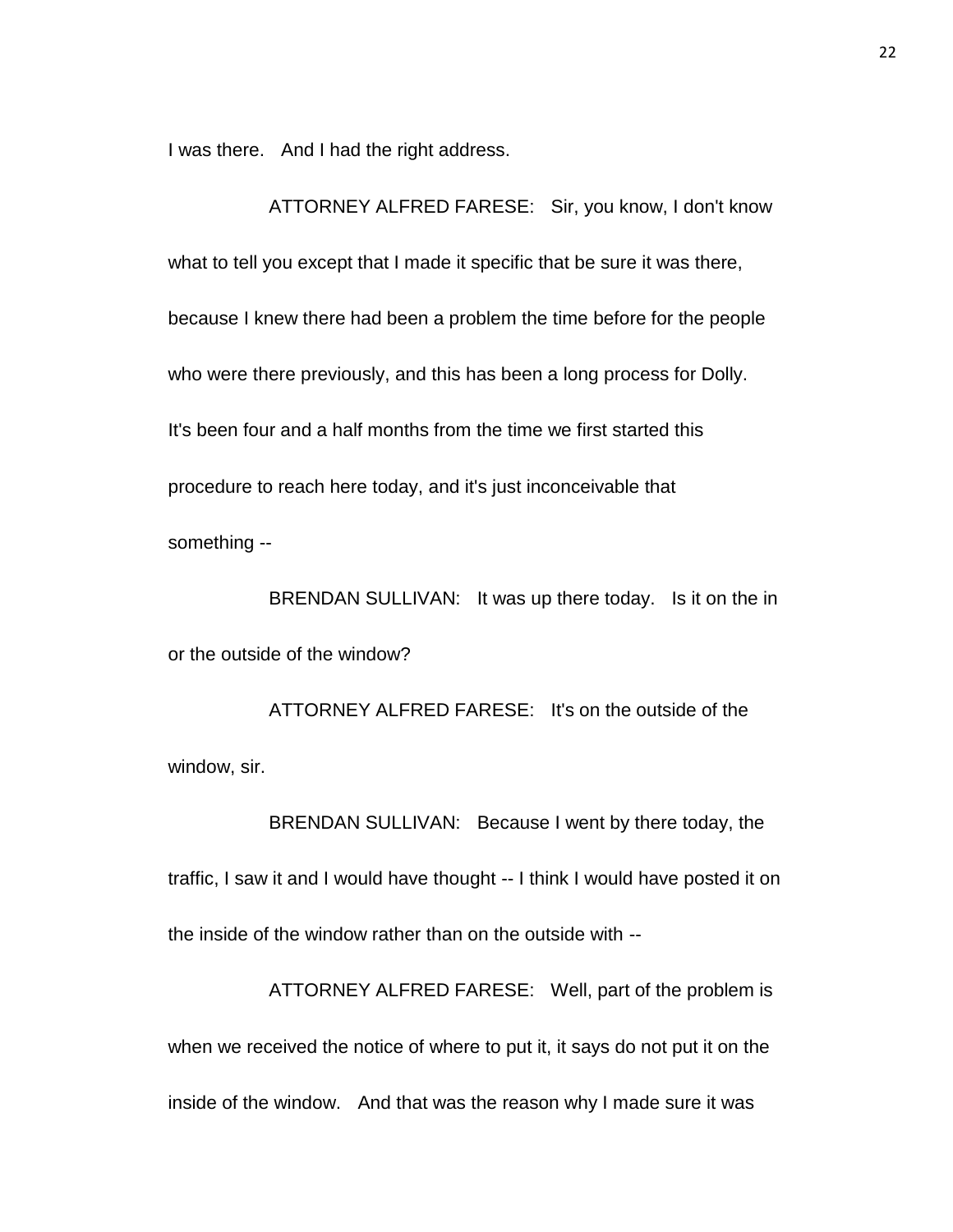I was there. And I had the right address.

ATTORNEY ALFRED FARESE: Sir, you know, I don't know what to tell you except that I made it specific that be sure it was there, because I knew there had been a problem the time before for the people who were there previously, and this has been a long process for Dolly. It's been four and a half months from the time we first started this procedure to reach here today, and it's just inconceivable that something --

BRENDAN SULLIVAN: It was up there today. Is it on the in or the outside of the window?

ATTORNEY ALFRED FARESE: It's on the outside of the window, sir.

BRENDAN SULLIVAN: Because I went by there today, the traffic, I saw it and I would have thought -- I think I would have posted it on the inside of the window rather than on the outside with --

ATTORNEY ALFRED FARESE: Well, part of the problem is when we received the notice of where to put it, it says do not put it on the inside of the window. And that was the reason why I made sure it was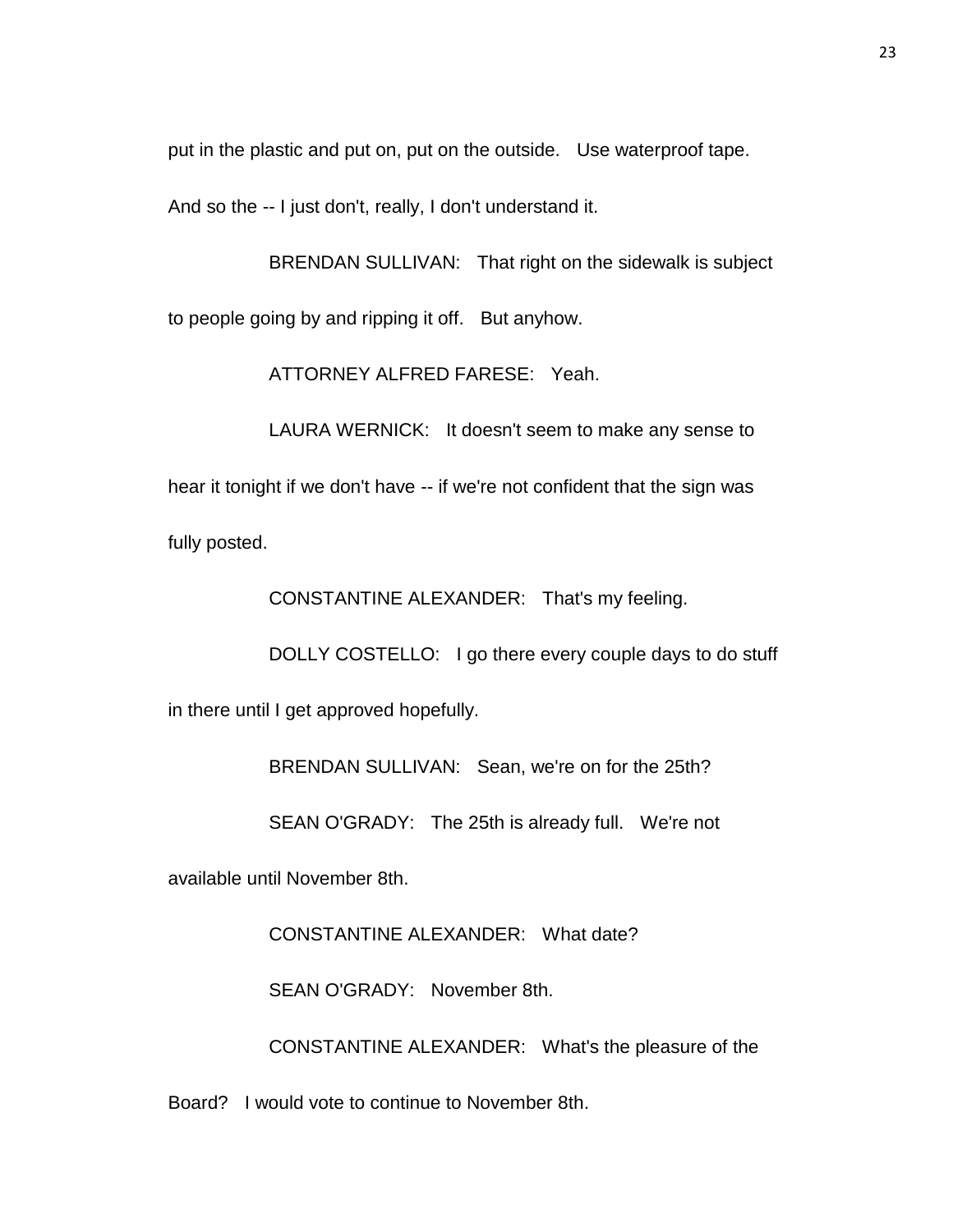put in the plastic and put on, put on the outside. Use waterproof tape.

And so the -- I just don't, really, I don't understand it.

BRENDAN SULLIVAN: That right on the sidewalk is subject to people going by and ripping it off. But anyhow.

ATTORNEY ALFRED FARESE: Yeah.

LAURA WERNICK: It doesn't seem to make any sense to hear it tonight if we don't have -- if we're not confident that the sign was fully posted.

CONSTANTINE ALEXANDER: That's my feeling.

DOLLY COSTELLO: I go there every couple days to do stuff

in there until I get approved hopefully.

BRENDAN SULLIVAN: Sean, we're on for the 25th?

SEAN O'GRADY: The 25th is already full. We're not

available until November 8th.

CONSTANTINE ALEXANDER: What date?

SEAN O'GRADY: November 8th.

CONSTANTINE ALEXANDER: What's the pleasure of the

Board? I would vote to continue to November 8th.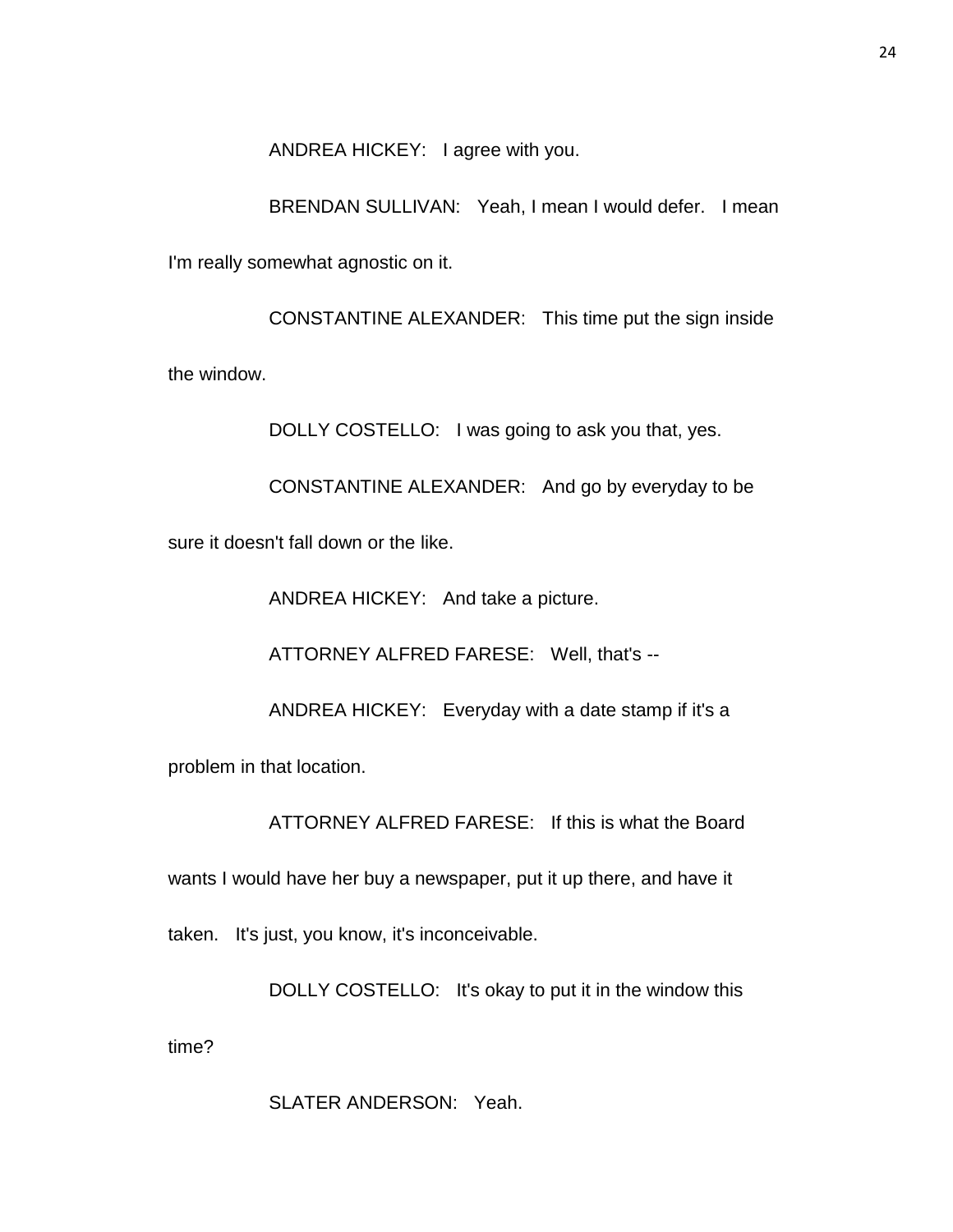ANDREA HICKEY: I agree with you.

BRENDAN SULLIVAN: Yeah, I mean I would defer. I mean I'm really somewhat agnostic on it.

CONSTANTINE ALEXANDER: This time put the sign inside the window.

DOLLY COSTELLO: I was going to ask you that, yes.

CONSTANTINE ALEXANDER: And go by everyday to be sure it doesn't fall down or the like.

ANDREA HICKEY: And take a picture.

ATTORNEY ALFRED FARESE: Well, that's --

ANDREA HICKEY: Everyday with a date stamp if it's a

problem in that location.

ATTORNEY ALFRED FARESE: If this is what the Board

wants I would have her buy a newspaper, put it up there, and have it

taken. It's just, you know, it's inconceivable.

DOLLY COSTELLO: It's okay to put it in the window this time?

SLATER ANDERSON: Yeah.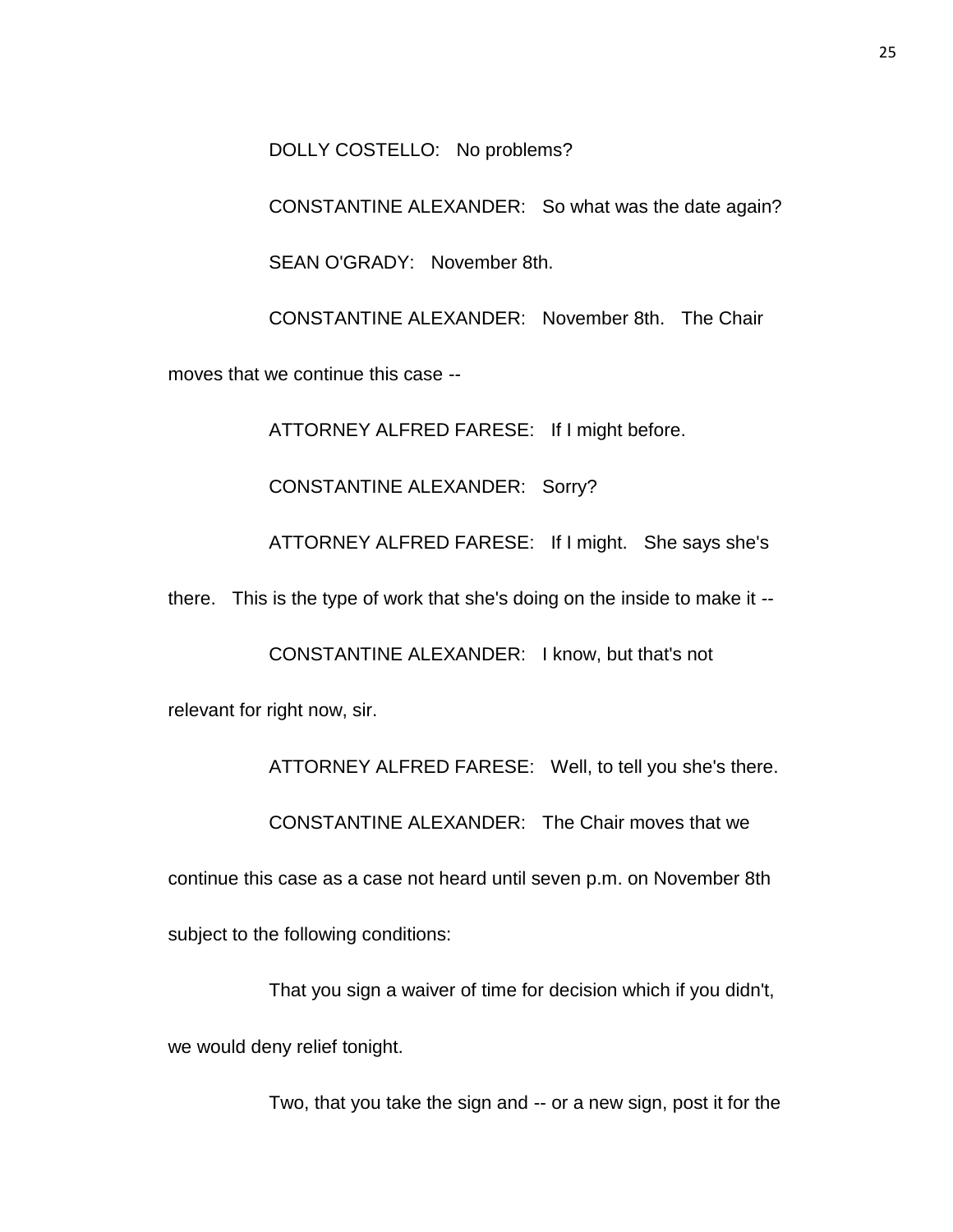DOLLY COSTELLO: No problems?

CONSTANTINE ALEXANDER: So what was the date again?

SEAN O'GRADY: November 8th.

CONSTANTINE ALEXANDER: November 8th. The Chair

moves that we continue this case --

ATTORNEY ALFRED FARESE: If I might before.

CONSTANTINE ALEXANDER: Sorry?

ATTORNEY ALFRED FARESE: If I might. She says she's

there. This is the type of work that she's doing on the inside to make it --

CONSTANTINE ALEXANDER: I know, but that's not

relevant for right now, sir.

ATTORNEY ALFRED FARESE: Well, to tell you she's there.

CONSTANTINE ALEXANDER: The Chair moves that we

continue this case as a case not heard until seven p.m. on November 8th

subject to the following conditions:

That you sign a waiver of time for decision which if you didn't, we would deny relief tonight.

Two, that you take the sign and -- or a new sign, post it for the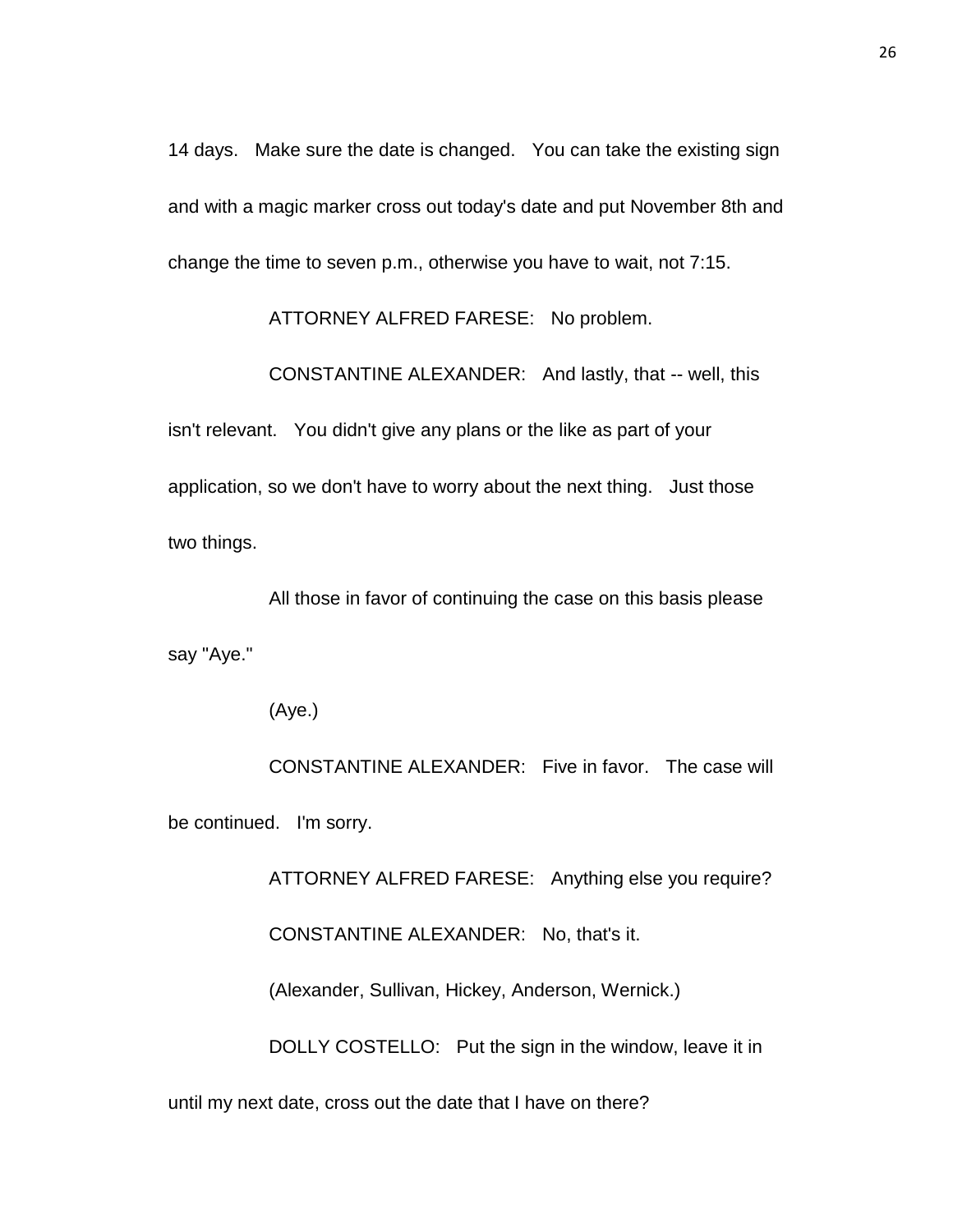14 days. Make sure the date is changed. You can take the existing sign and with a magic marker cross out today's date and put November 8th and change the time to seven p.m., otherwise you have to wait, not 7:15.

ATTORNEY ALFRED FARESE: No problem.

CONSTANTINE ALEXANDER: And lastly, that -- well, this

isn't relevant. You didn't give any plans or the like as part of your application, so we don't have to worry about the next thing. Just those two things.

All those in favor of continuing the case on this basis please say "Aye."

(Aye.)

CONSTANTINE ALEXANDER: Five in favor. The case will be continued. I'm sorry.

> ATTORNEY ALFRED FARESE: Anything else you require? CONSTANTINE ALEXANDER: No, that's it. (Alexander, Sullivan, Hickey, Anderson, Wernick.) DOLLY COSTELLO: Put the sign in the window, leave it in

until my next date, cross out the date that I have on there?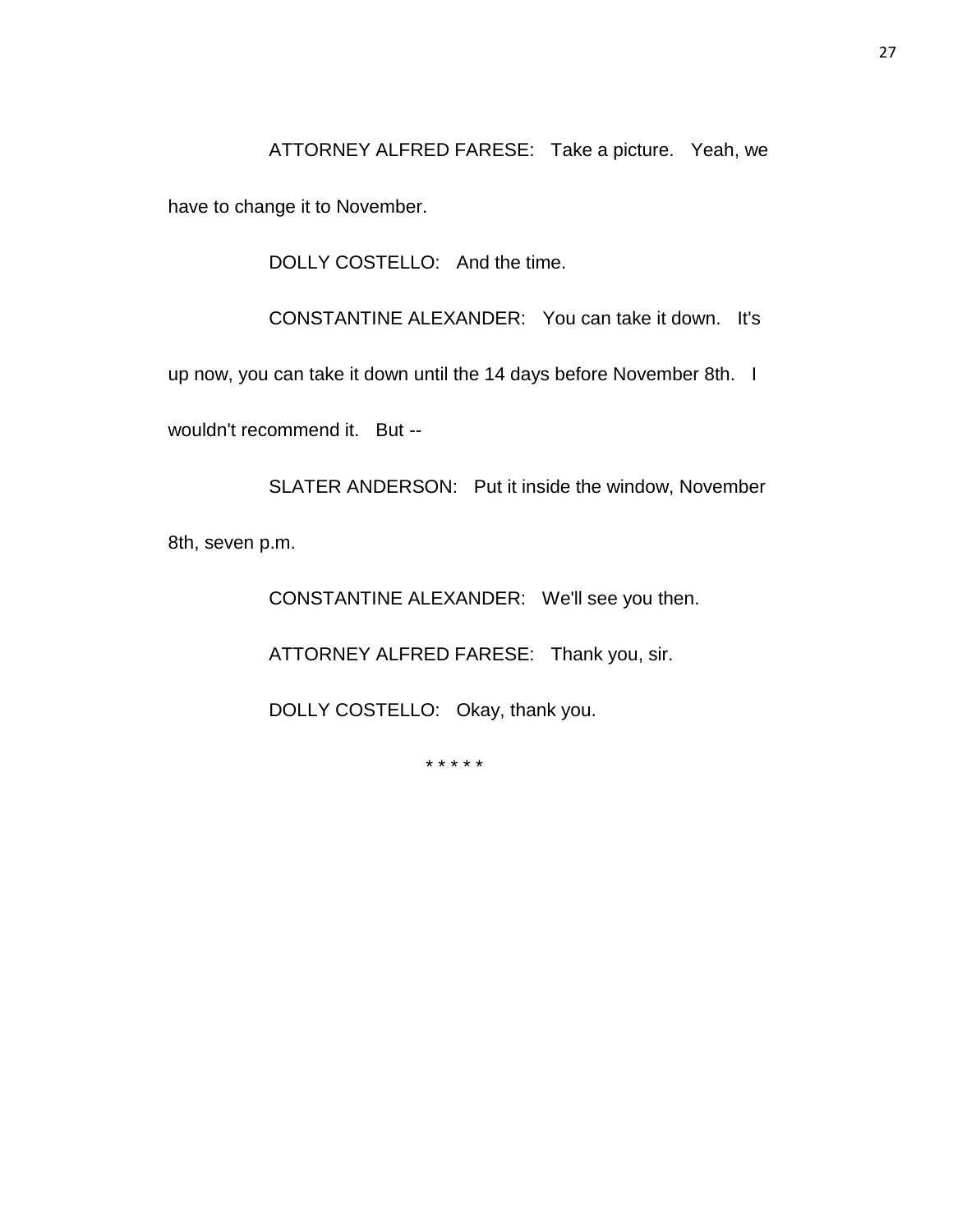ATTORNEY ALFRED FARESE: Take a picture. Yeah, we

have to change it to November.

DOLLY COSTELLO: And the time.

CONSTANTINE ALEXANDER: You can take it down. It's

up now, you can take it down until the 14 days before November 8th. I

wouldn't recommend it. But --

SLATER ANDERSON: Put it inside the window, November 8th, seven p.m.

CONSTANTINE ALEXANDER: We'll see you then.

ATTORNEY ALFRED FARESE: Thank you, sir.

DOLLY COSTELLO: Okay, thank you.

\* \* \* \* \*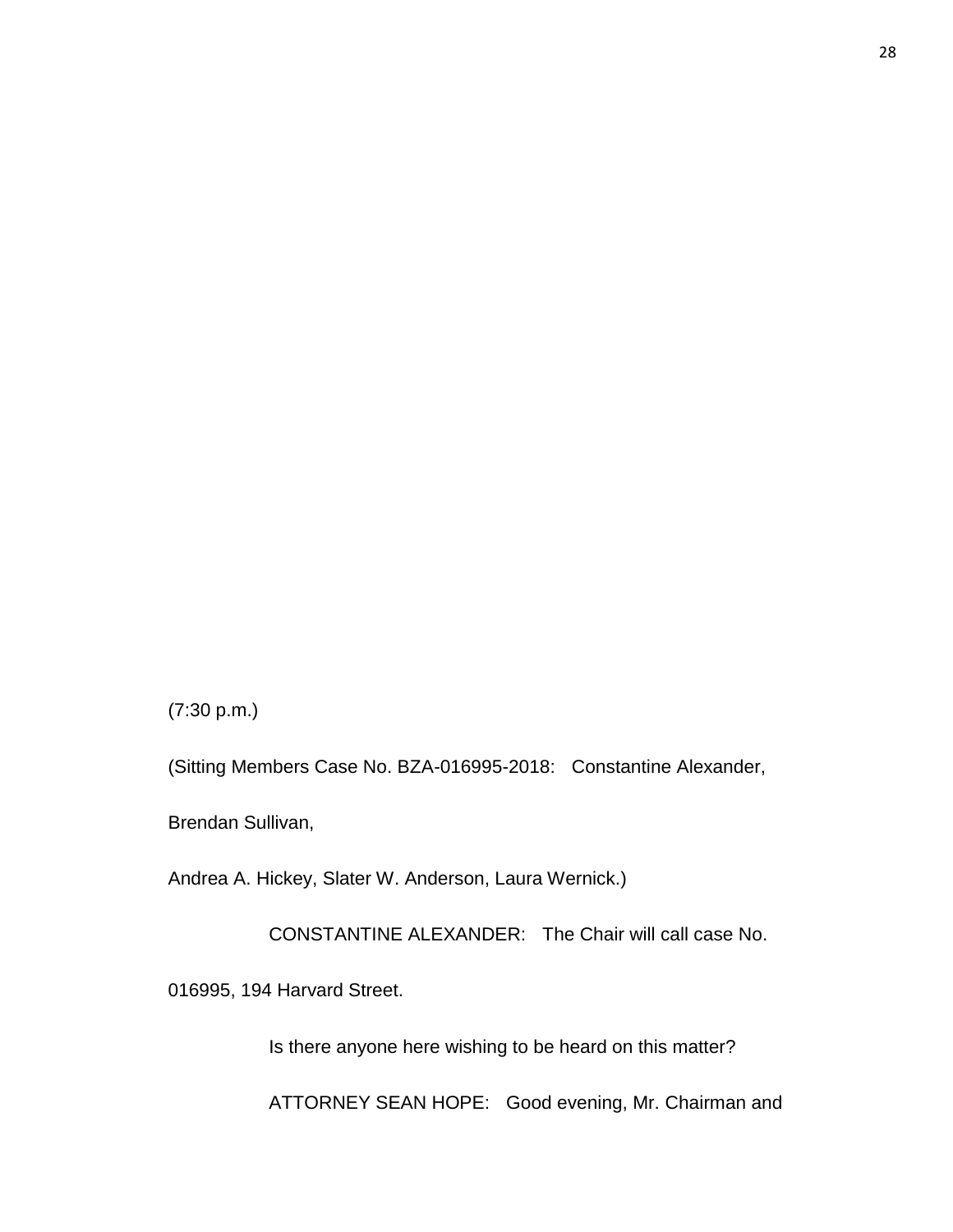(7:30 p.m.)

(Sitting Members Case No. BZA-016995-2018: Constantine Alexander,

Brendan Sullivan,

Andrea A. Hickey, Slater W. Anderson, Laura Wernick.)

CONSTANTINE ALEXANDER: The Chair will call case No.

016995, 194 Harvard Street.

Is there anyone here wishing to be heard on this matter?

ATTORNEY SEAN HOPE: Good evening, Mr. Chairman and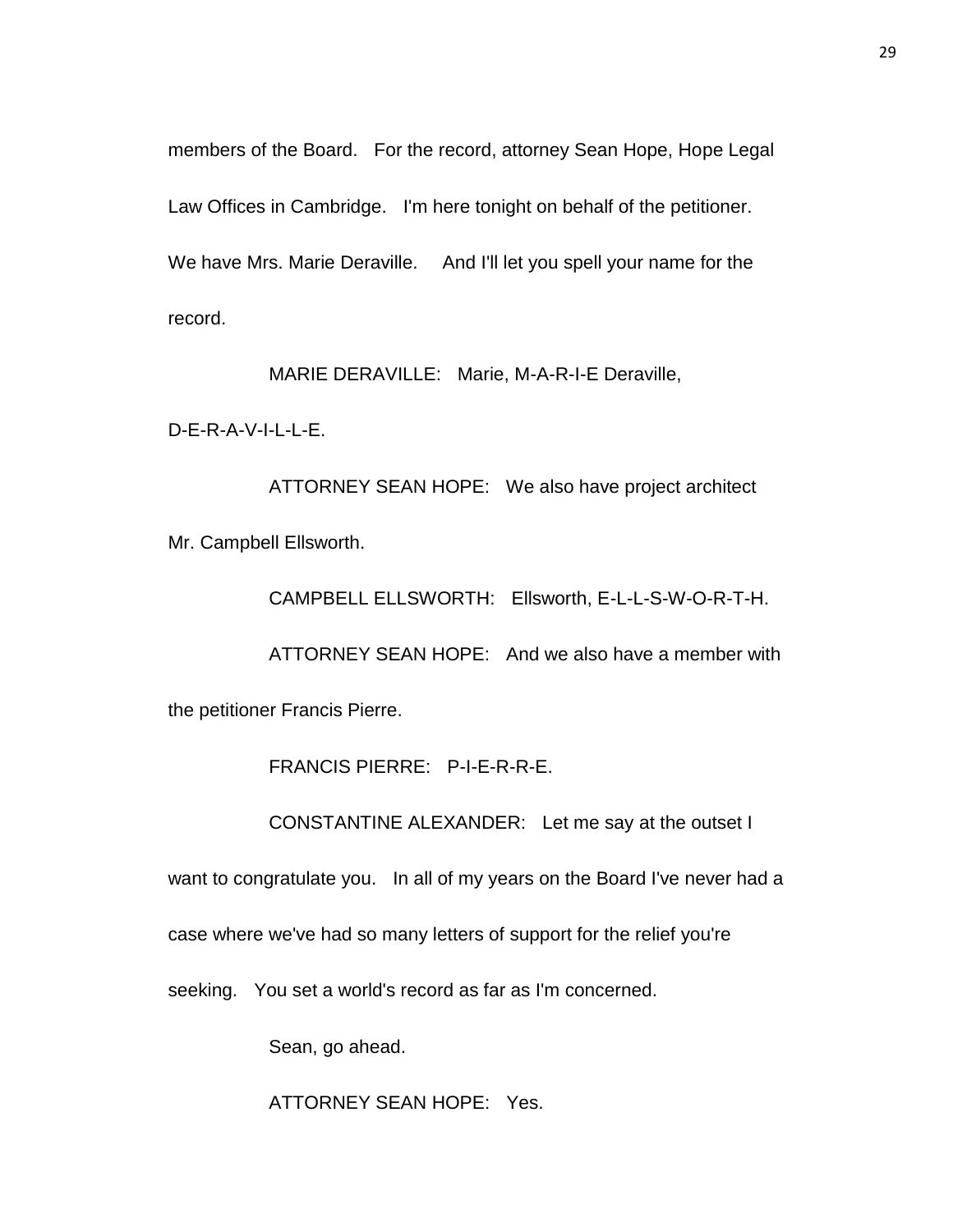members of the Board. For the record, attorney Sean Hope, Hope Legal Law Offices in Cambridge. I'm here tonight on behalf of the petitioner. We have Mrs. Marie Deraville. And I'll let you spell your name for the record.

MARIE DERAVILLE: Marie, M-A-R-I-E Deraville,

D-E-R-A-V-I-L-L-E.

ATTORNEY SEAN HOPE: We also have project architect Mr. Campbell Ellsworth.

CAMPBELL ELLSWORTH: Ellsworth, E-L-L-S-W-O-R-T-H.

ATTORNEY SEAN HOPE: And we also have a member with

the petitioner Francis Pierre.

FRANCIS PIERRE: P-I-E-R-R-E.

CONSTANTINE ALEXANDER: Let me say at the outset I

want to congratulate you. In all of my years on the Board I've never had a

case where we've had so many letters of support for the relief you're

seeking. You set a world's record as far as I'm concerned.

Sean, go ahead.

ATTORNEY SEAN HOPE: Yes.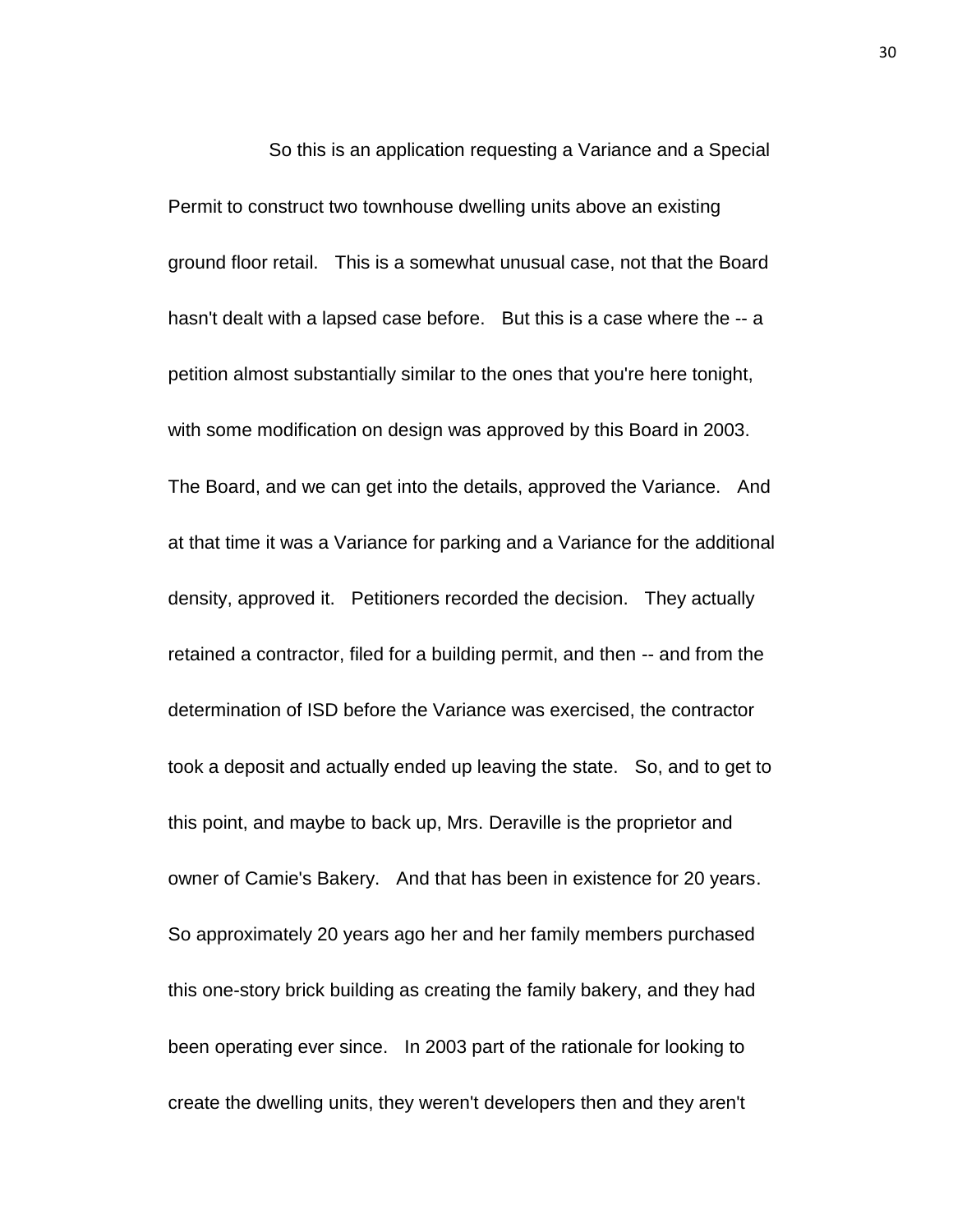So this is an application requesting a Variance and a Special Permit to construct two townhouse dwelling units above an existing ground floor retail. This is a somewhat unusual case, not that the Board hasn't dealt with a lapsed case before. But this is a case where the -- a petition almost substantially similar to the ones that you're here tonight, with some modification on design was approved by this Board in 2003. The Board, and we can get into the details, approved the Variance. And at that time it was a Variance for parking and a Variance for the additional density, approved it. Petitioners recorded the decision. They actually retained a contractor, filed for a building permit, and then -- and from the determination of ISD before the Variance was exercised, the contractor took a deposit and actually ended up leaving the state. So, and to get to this point, and maybe to back up, Mrs. Deraville is the proprietor and owner of Camie's Bakery. And that has been in existence for 20 years. So approximately 20 years ago her and her family members purchased this one-story brick building as creating the family bakery, and they had been operating ever since. In 2003 part of the rationale for looking to create the dwelling units, they weren't developers then and they aren't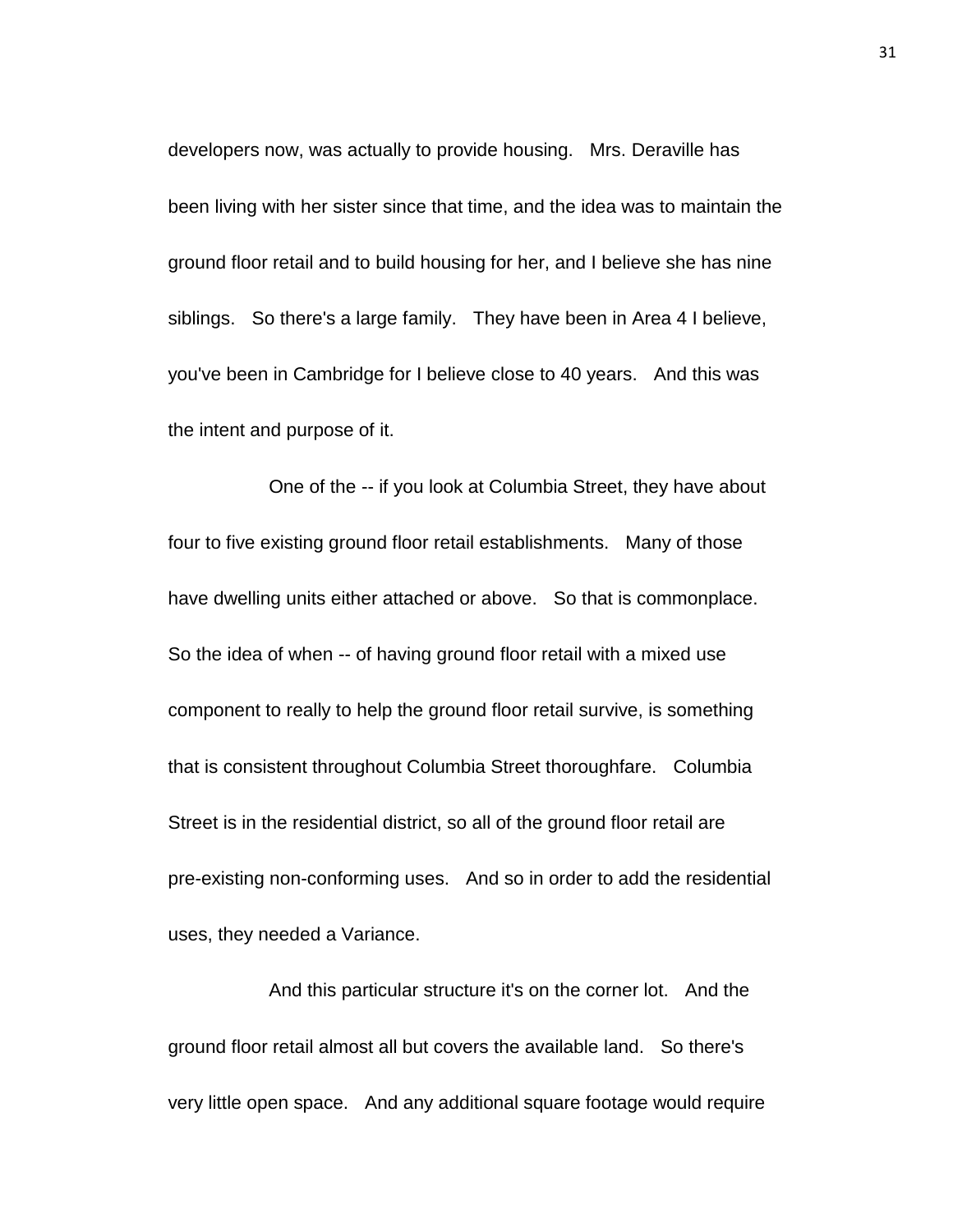developers now, was actually to provide housing. Mrs. Deraville has been living with her sister since that time, and the idea was to maintain the ground floor retail and to build housing for her, and I believe she has nine siblings. So there's a large family. They have been in Area 4 I believe, you've been in Cambridge for I believe close to 40 years. And this was the intent and purpose of it.

One of the -- if you look at Columbia Street, they have about four to five existing ground floor retail establishments. Many of those have dwelling units either attached or above. So that is commonplace. So the idea of when -- of having ground floor retail with a mixed use component to really to help the ground floor retail survive, is something that is consistent throughout Columbia Street thoroughfare. Columbia Street is in the residential district, so all of the ground floor retail are pre-existing non-conforming uses. And so in order to add the residential uses, they needed a Variance.

And this particular structure it's on the corner lot. And the ground floor retail almost all but covers the available land. So there's very little open space. And any additional square footage would require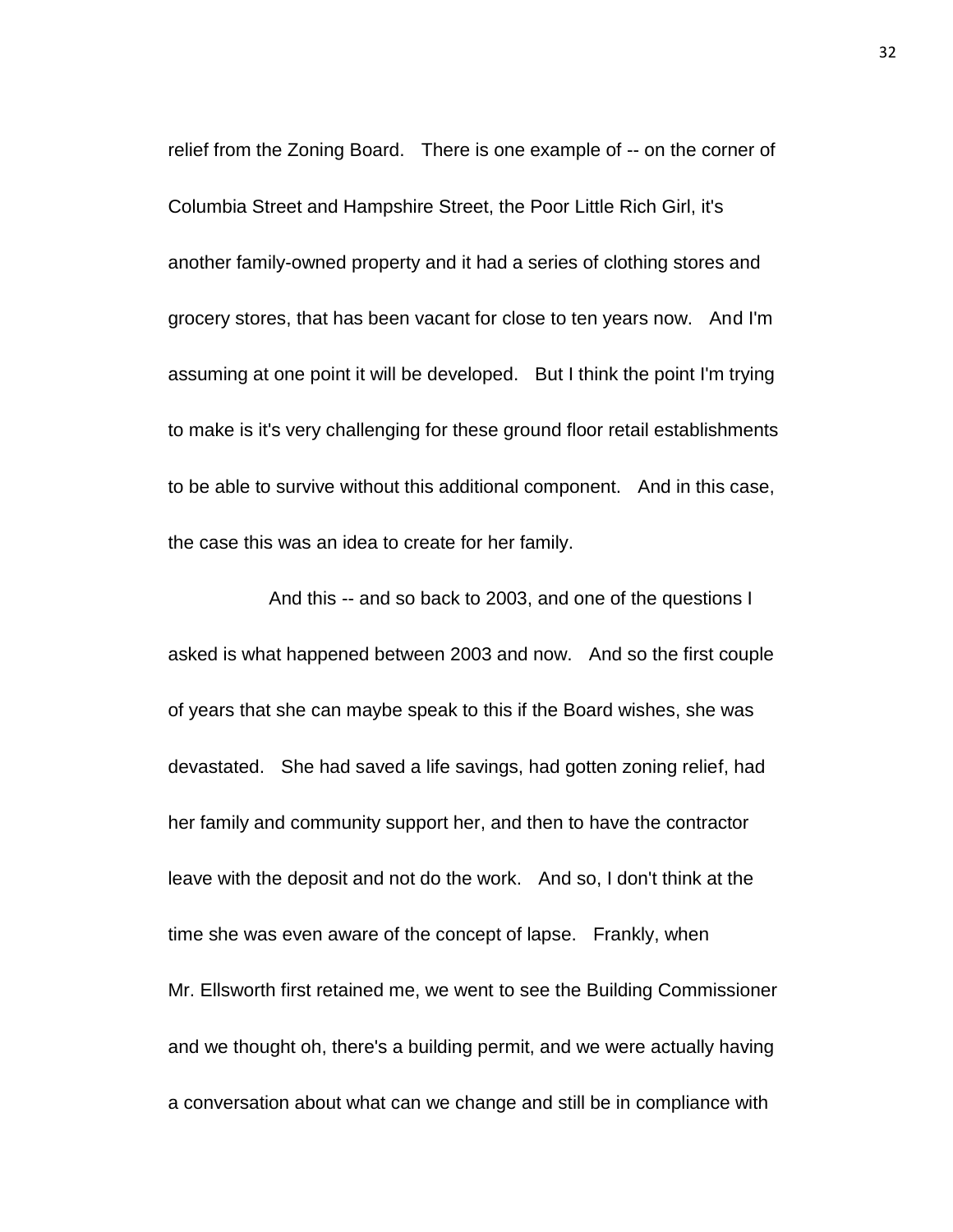relief from the Zoning Board. There is one example of -- on the corner of Columbia Street and Hampshire Street, the Poor Little Rich Girl, it's another family-owned property and it had a series of clothing stores and grocery stores, that has been vacant for close to ten years now. And I'm assuming at one point it will be developed. But I think the point I'm trying to make is it's very challenging for these ground floor retail establishments to be able to survive without this additional component. And in this case, the case this was an idea to create for her family.

And this -- and so back to 2003, and one of the questions I asked is what happened between 2003 and now. And so the first couple of years that she can maybe speak to this if the Board wishes, she was devastated. She had saved a life savings, had gotten zoning relief, had her family and community support her, and then to have the contractor leave with the deposit and not do the work. And so, I don't think at the time she was even aware of the concept of lapse. Frankly, when Mr. Ellsworth first retained me, we went to see the Building Commissioner and we thought oh, there's a building permit, and we were actually having a conversation about what can we change and still be in compliance with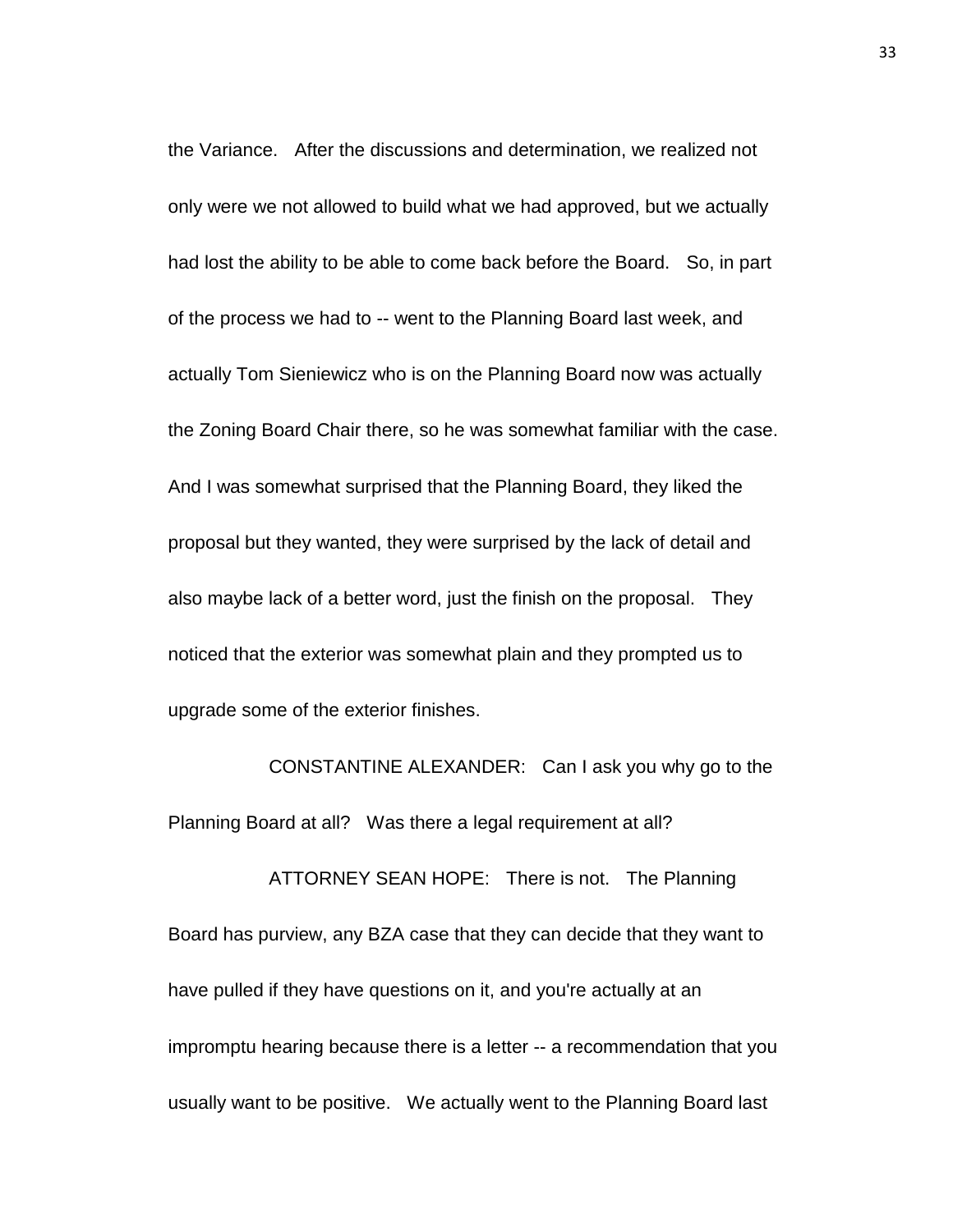the Variance. After the discussions and determination, we realized not only were we not allowed to build what we had approved, but we actually had lost the ability to be able to come back before the Board. So, in part of the process we had to -- went to the Planning Board last week, and actually Tom Sieniewicz who is on the Planning Board now was actually the Zoning Board Chair there, so he was somewhat familiar with the case. And I was somewhat surprised that the Planning Board, they liked the proposal but they wanted, they were surprised by the lack of detail and also maybe lack of a better word, just the finish on the proposal. They noticed that the exterior was somewhat plain and they prompted us to upgrade some of the exterior finishes.

CONSTANTINE ALEXANDER: Can I ask you why go to the Planning Board at all? Was there a legal requirement at all?

ATTORNEY SEAN HOPE: There is not. The Planning Board has purview, any BZA case that they can decide that they want to have pulled if they have questions on it, and you're actually at an impromptu hearing because there is a letter -- a recommendation that you usually want to be positive. We actually went to the Planning Board last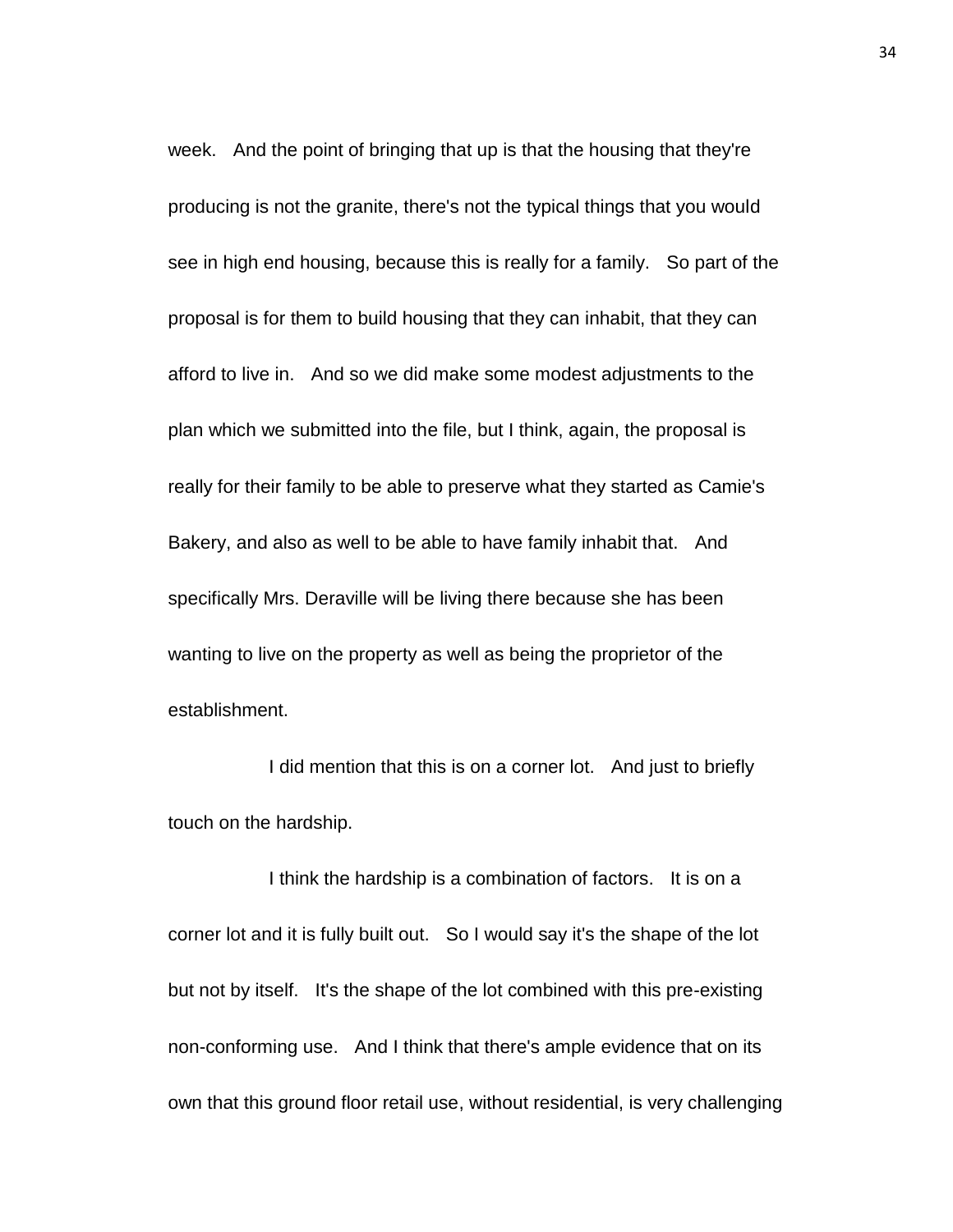week. And the point of bringing that up is that the housing that they're producing is not the granite, there's not the typical things that you would see in high end housing, because this is really for a family. So part of the proposal is for them to build housing that they can inhabit, that they can afford to live in. And so we did make some modest adjustments to the plan which we submitted into the file, but I think, again, the proposal is really for their family to be able to preserve what they started as Camie's Bakery, and also as well to be able to have family inhabit that. And specifically Mrs. Deraville will be living there because she has been wanting to live on the property as well as being the proprietor of the establishment.

I did mention that this is on a corner lot. And just to briefly touch on the hardship.

I think the hardship is a combination of factors. It is on a corner lot and it is fully built out. So I would say it's the shape of the lot but not by itself. It's the shape of the lot combined with this pre-existing non-conforming use. And I think that there's ample evidence that on its own that this ground floor retail use, without residential, is very challenging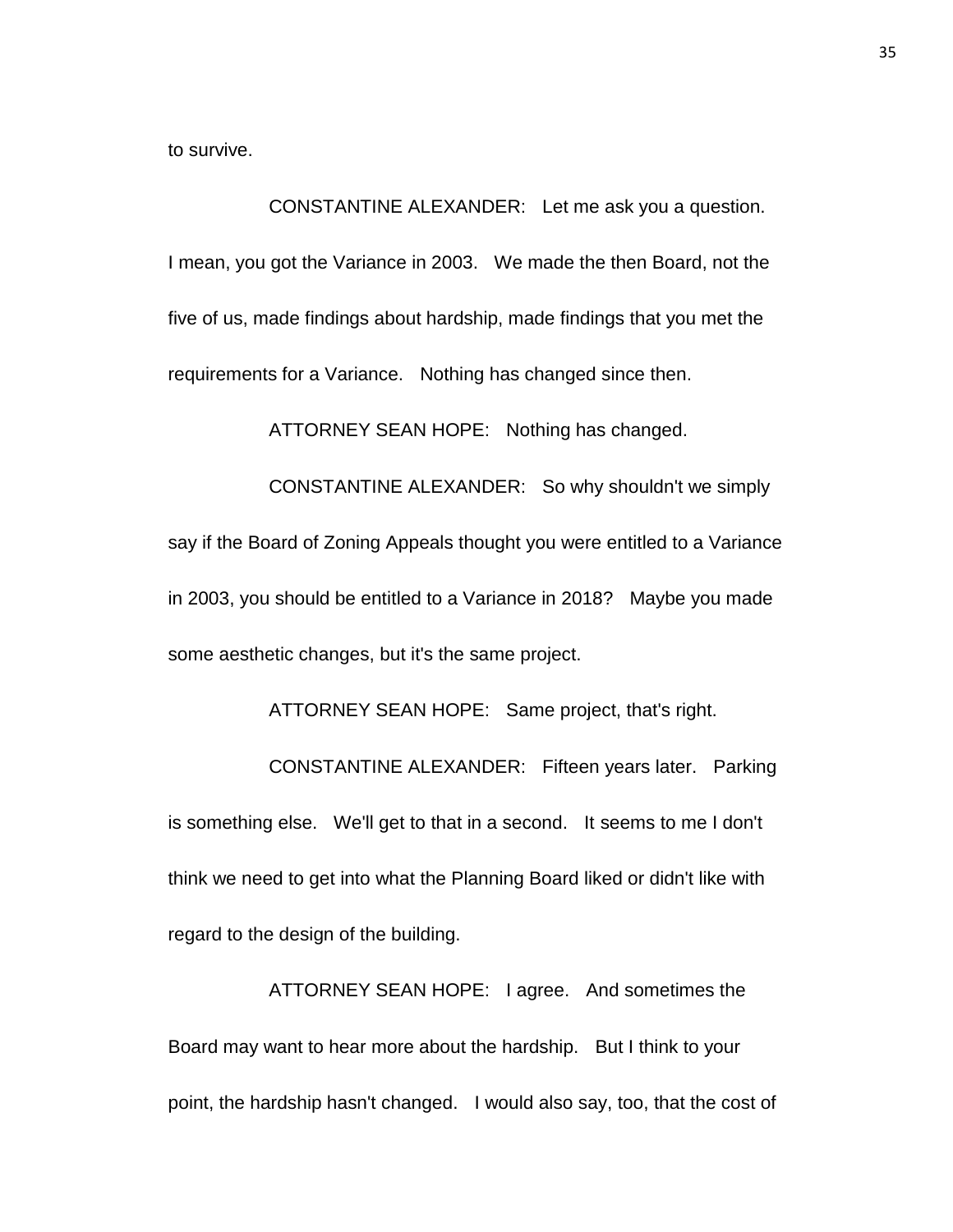to survive.

CONSTANTINE ALEXANDER: Let me ask you a question. I mean, you got the Variance in 2003. We made the then Board, not the five of us, made findings about hardship, made findings that you met the requirements for a Variance. Nothing has changed since then.

ATTORNEY SEAN HOPE: Nothing has changed.

CONSTANTINE ALEXANDER: So why shouldn't we simply say if the Board of Zoning Appeals thought you were entitled to a Variance in 2003, you should be entitled to a Variance in 2018? Maybe you made some aesthetic changes, but it's the same project.

ATTORNEY SEAN HOPE: Same project, that's right. CONSTANTINE ALEXANDER: Fifteen years later. Parking is something else. We'll get to that in a second. It seems to me I don't think we need to get into what the Planning Board liked or didn't like with regard to the design of the building.

ATTORNEY SEAN HOPE: I agree. And sometimes the Board may want to hear more about the hardship. But I think to your point, the hardship hasn't changed. I would also say, too, that the cost of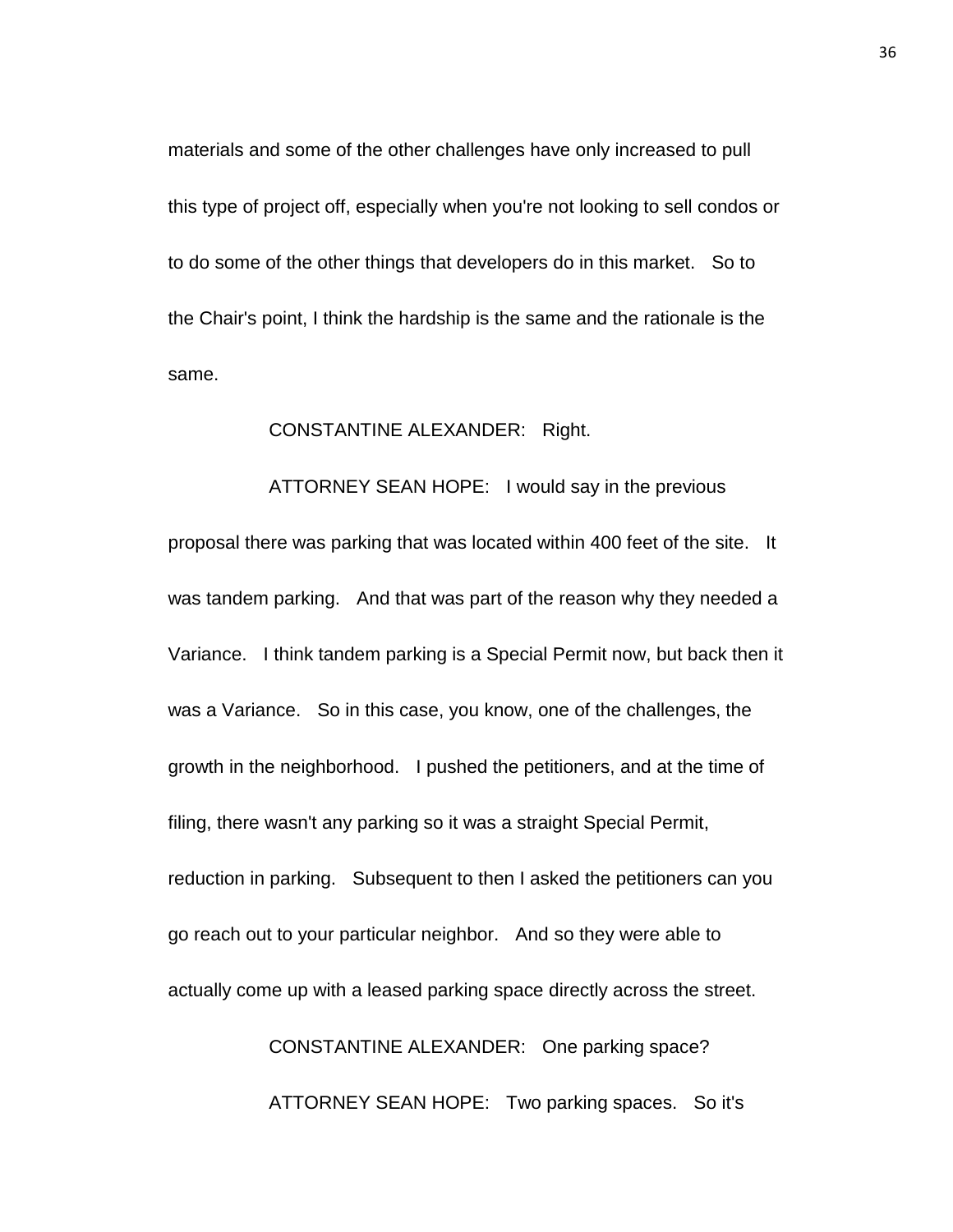materials and some of the other challenges have only increased to pull this type of project off, especially when you're not looking to sell condos or to do some of the other things that developers do in this market. So to the Chair's point, I think the hardship is the same and the rationale is the same.

## CONSTANTINE ALEXANDER: Right.

ATTORNEY SEAN HOPE: I would say in the previous proposal there was parking that was located within 400 feet of the site. It was tandem parking. And that was part of the reason why they needed a Variance. I think tandem parking is a Special Permit now, but back then it was a Variance. So in this case, you know, one of the challenges, the growth in the neighborhood. I pushed the petitioners, and at the time of filing, there wasn't any parking so it was a straight Special Permit, reduction in parking. Subsequent to then I asked the petitioners can you go reach out to your particular neighbor. And so they were able to actually come up with a leased parking space directly across the street. CONSTANTINE ALEXANDER: One parking space?

ATTORNEY SEAN HOPE: Two parking spaces. So it's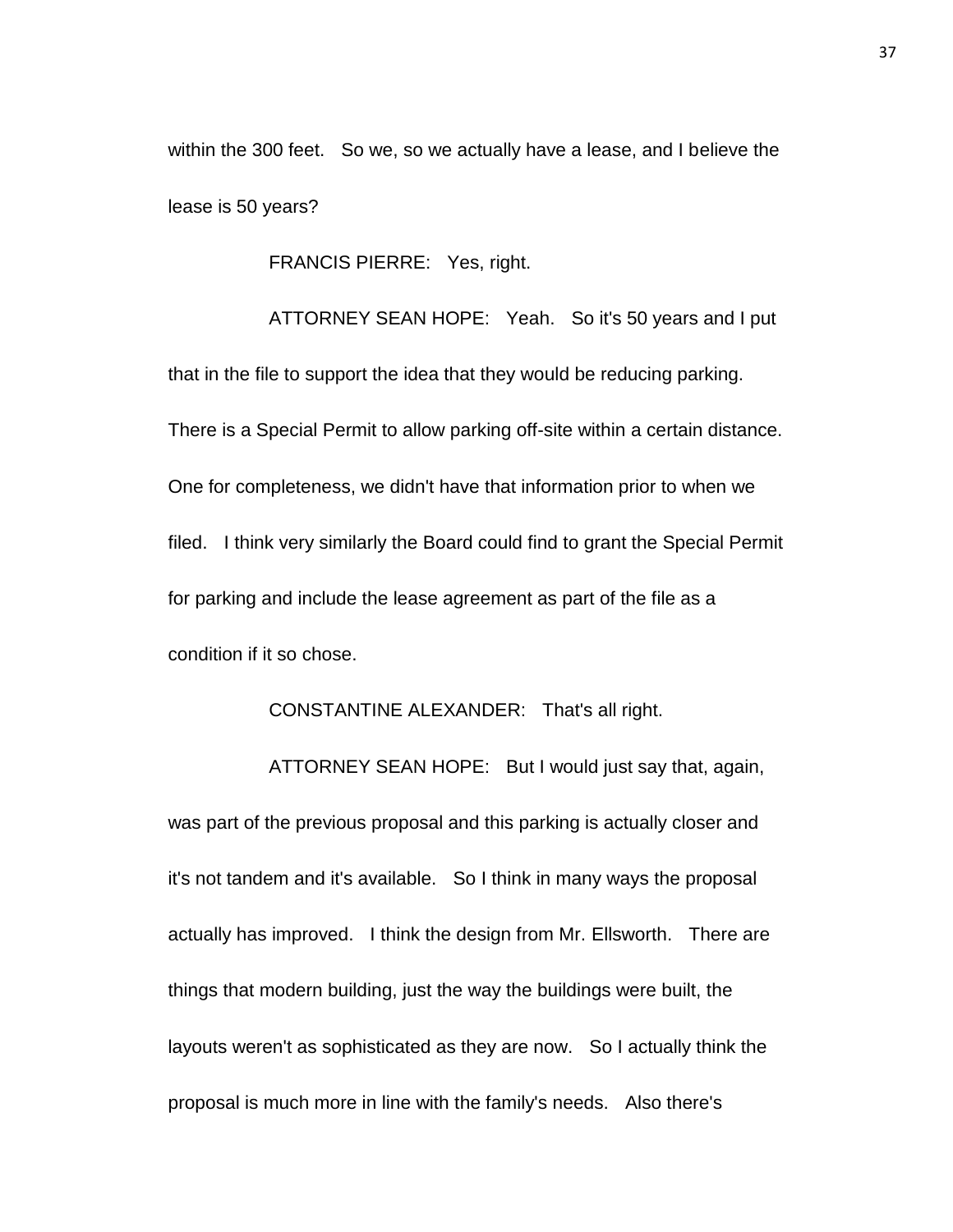within the 300 feet. So we, so we actually have a lease, and I believe the lease is 50 years?

FRANCIS PIERRE: Yes, right.

ATTORNEY SEAN HOPE: Yeah. So it's 50 years and I put that in the file to support the idea that they would be reducing parking. There is a Special Permit to allow parking off-site within a certain distance. One for completeness, we didn't have that information prior to when we filed. I think very similarly the Board could find to grant the Special Permit for parking and include the lease agreement as part of the file as a condition if it so chose.

## CONSTANTINE ALEXANDER: That's all right.

ATTORNEY SEAN HOPE: But I would just say that, again, was part of the previous proposal and this parking is actually closer and it's not tandem and it's available. So I think in many ways the proposal actually has improved. I think the design from Mr. Ellsworth. There are things that modern building, just the way the buildings were built, the layouts weren't as sophisticated as they are now. So I actually think the proposal is much more in line with the family's needs. Also there's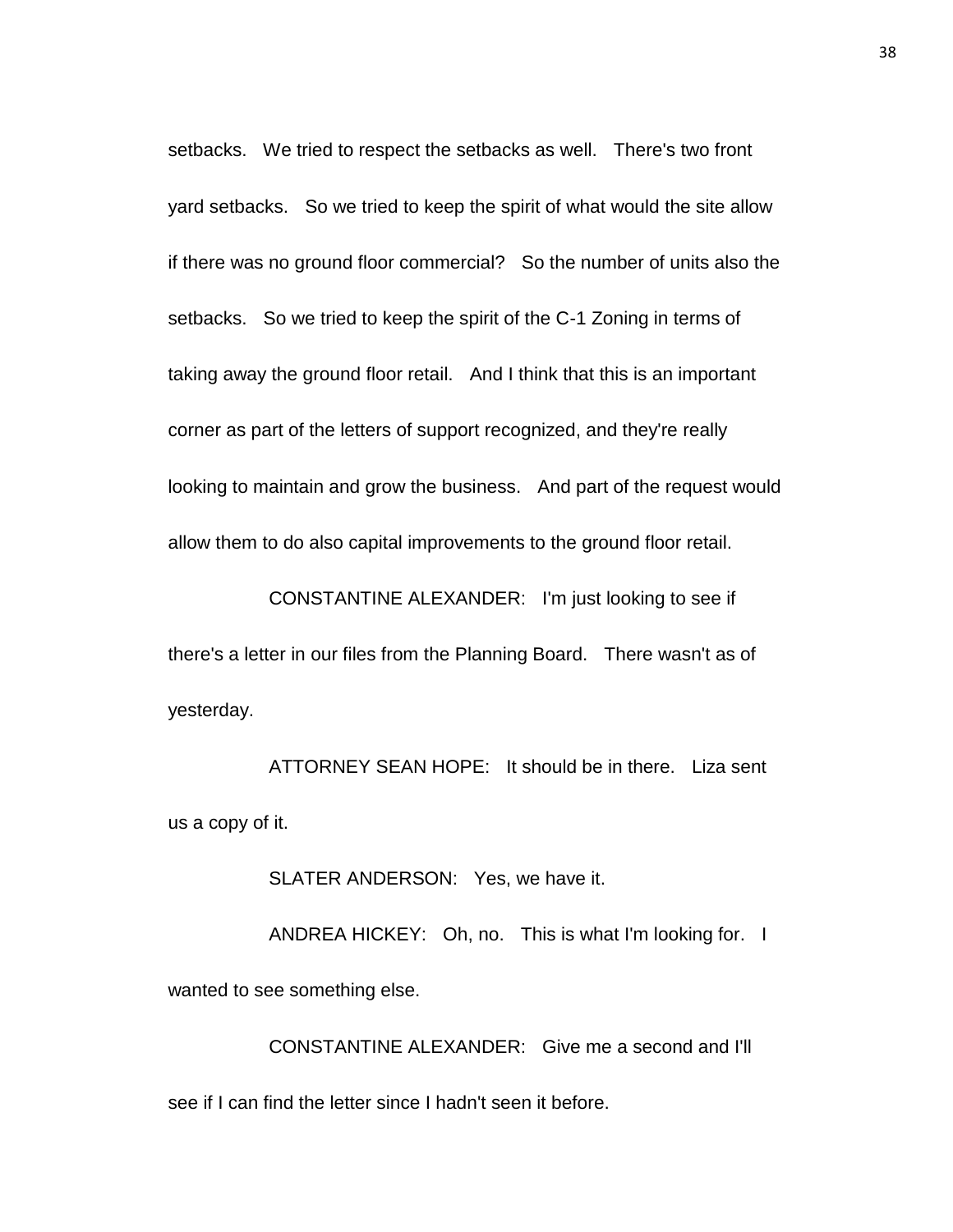setbacks. We tried to respect the setbacks as well. There's two front yard setbacks. So we tried to keep the spirit of what would the site allow if there was no ground floor commercial? So the number of units also the setbacks. So we tried to keep the spirit of the C-1 Zoning in terms of taking away the ground floor retail. And I think that this is an important corner as part of the letters of support recognized, and they're really looking to maintain and grow the business. And part of the request would allow them to do also capital improvements to the ground floor retail.

CONSTANTINE ALEXANDER: I'm just looking to see if there's a letter in our files from the Planning Board. There wasn't as of yesterday.

ATTORNEY SEAN HOPE: It should be in there. Liza sent us a copy of it.

SLATER ANDERSON: Yes, we have it.

ANDREA HICKEY: Oh, no. This is what I'm looking for. I wanted to see something else.

CONSTANTINE ALEXANDER: Give me a second and I'll see if I can find the letter since I hadn't seen it before.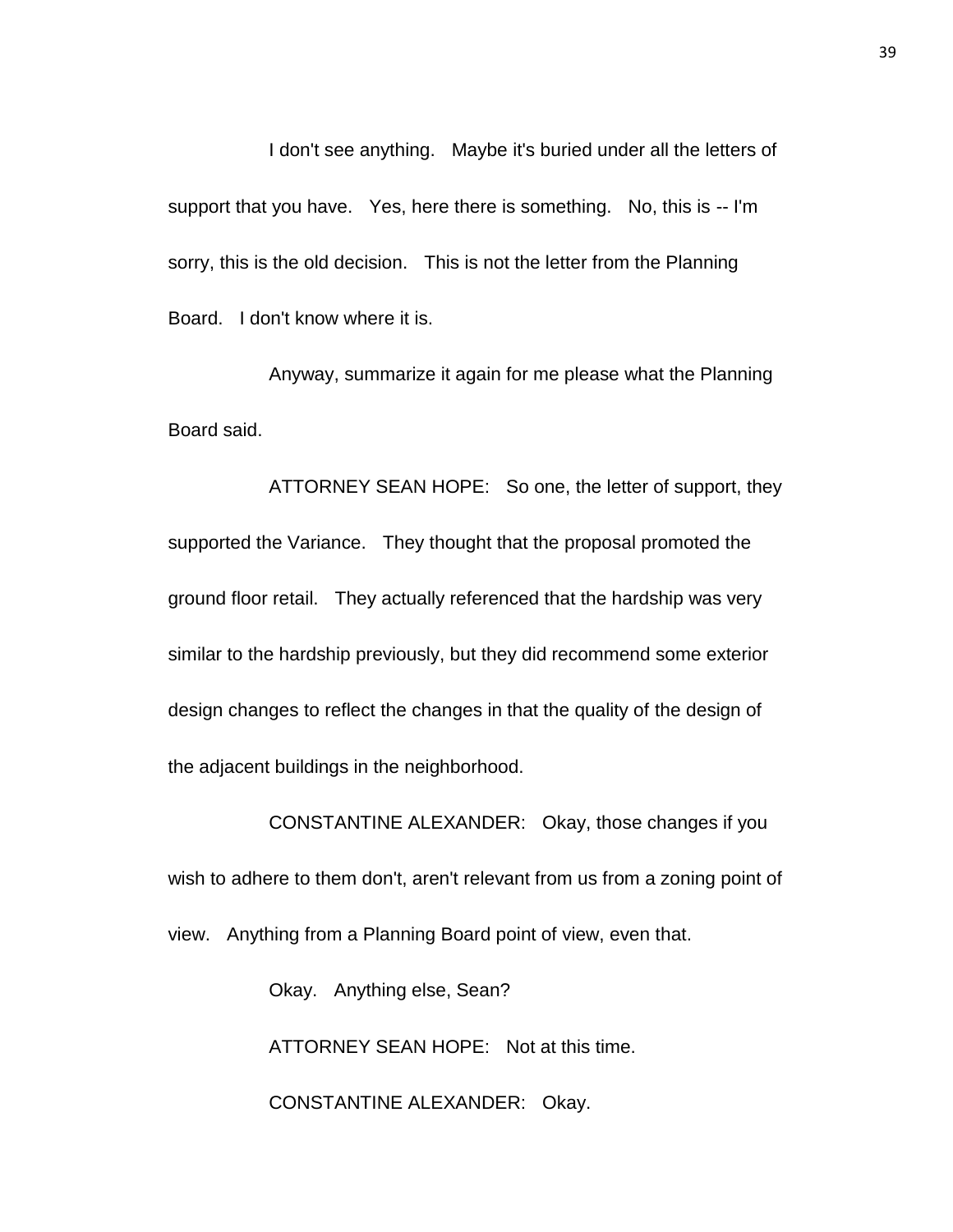I don't see anything. Maybe it's buried under all the letters of support that you have. Yes, here there is something. No, this is -- I'm sorry, this is the old decision. This is not the letter from the Planning Board. I don't know where it is.

Anyway, summarize it again for me please what the Planning Board said.

ATTORNEY SEAN HOPE: So one, the letter of support, they supported the Variance. They thought that the proposal promoted the ground floor retail. They actually referenced that the hardship was very similar to the hardship previously, but they did recommend some exterior design changes to reflect the changes in that the quality of the design of the adjacent buildings in the neighborhood.

CONSTANTINE ALEXANDER: Okay, those changes if you wish to adhere to them don't, aren't relevant from us from a zoning point of view. Anything from a Planning Board point of view, even that.

> Okay. Anything else, Sean? ATTORNEY SEAN HOPE: Not at this time. CONSTANTINE ALEXANDER: Okay.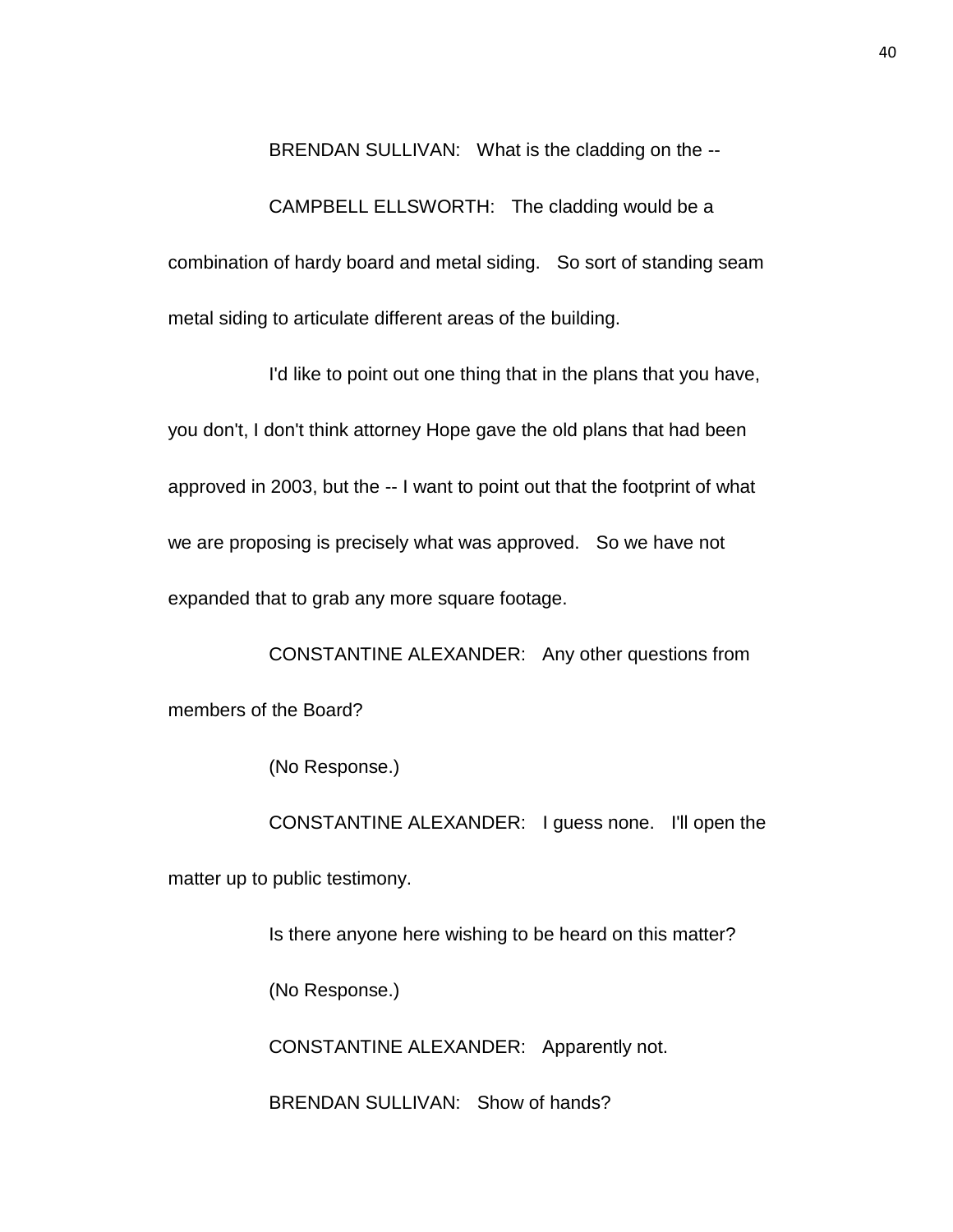BRENDAN SULLIVAN: What is the cladding on the --

CAMPBELL ELLSWORTH: The cladding would be a combination of hardy board and metal siding. So sort of standing seam metal siding to articulate different areas of the building.

I'd like to point out one thing that in the plans that you have, you don't, I don't think attorney Hope gave the old plans that had been approved in 2003, but the -- I want to point out that the footprint of what we are proposing is precisely what was approved. So we have not expanded that to grab any more square footage.

CONSTANTINE ALEXANDER: Any other questions from members of the Board?

(No Response.)

CONSTANTINE ALEXANDER: I guess none. I'll open the matter up to public testimony.

Is there anyone here wishing to be heard on this matter?

(No Response.)

CONSTANTINE ALEXANDER: Apparently not.

BRENDAN SULLIVAN: Show of hands?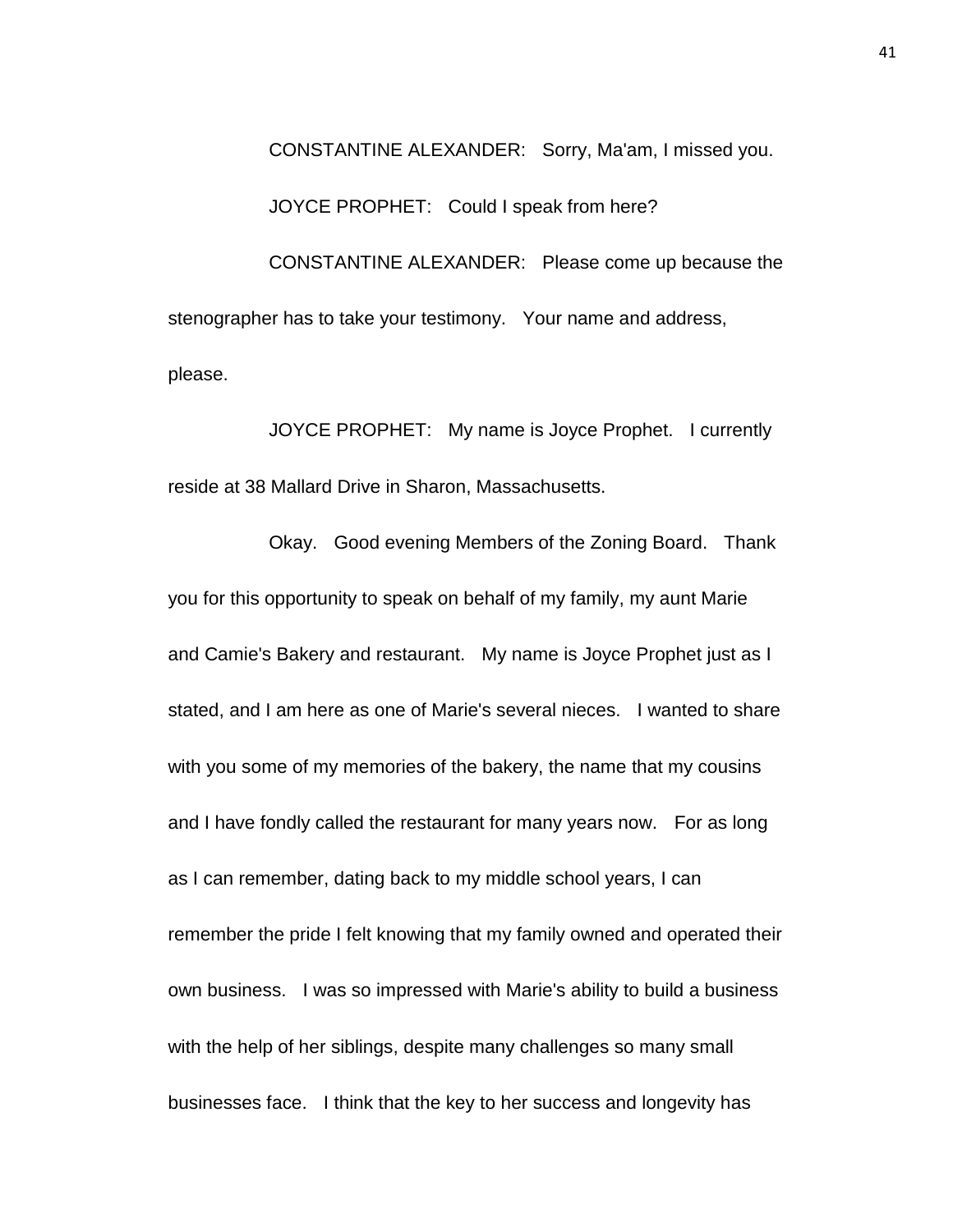CONSTANTINE ALEXANDER: Sorry, Ma'am, I missed you. JOYCE PROPHET: Could I speak from here? CONSTANTINE ALEXANDER: Please come up because the stenographer has to take your testimony. Your name and address, please.

JOYCE PROPHET: My name is Joyce Prophet. I currently reside at 38 Mallard Drive in Sharon, Massachusetts.

Okay. Good evening Members of the Zoning Board. Thank you for this opportunity to speak on behalf of my family, my aunt Marie and Camie's Bakery and restaurant. My name is Joyce Prophet just as I stated, and I am here as one of Marie's several nieces. I wanted to share with you some of my memories of the bakery, the name that my cousins and I have fondly called the restaurant for many years now. For as long as I can remember, dating back to my middle school years, I can remember the pride I felt knowing that my family owned and operated their own business. I was so impressed with Marie's ability to build a business with the help of her siblings, despite many challenges so many small businesses face. I think that the key to her success and longevity has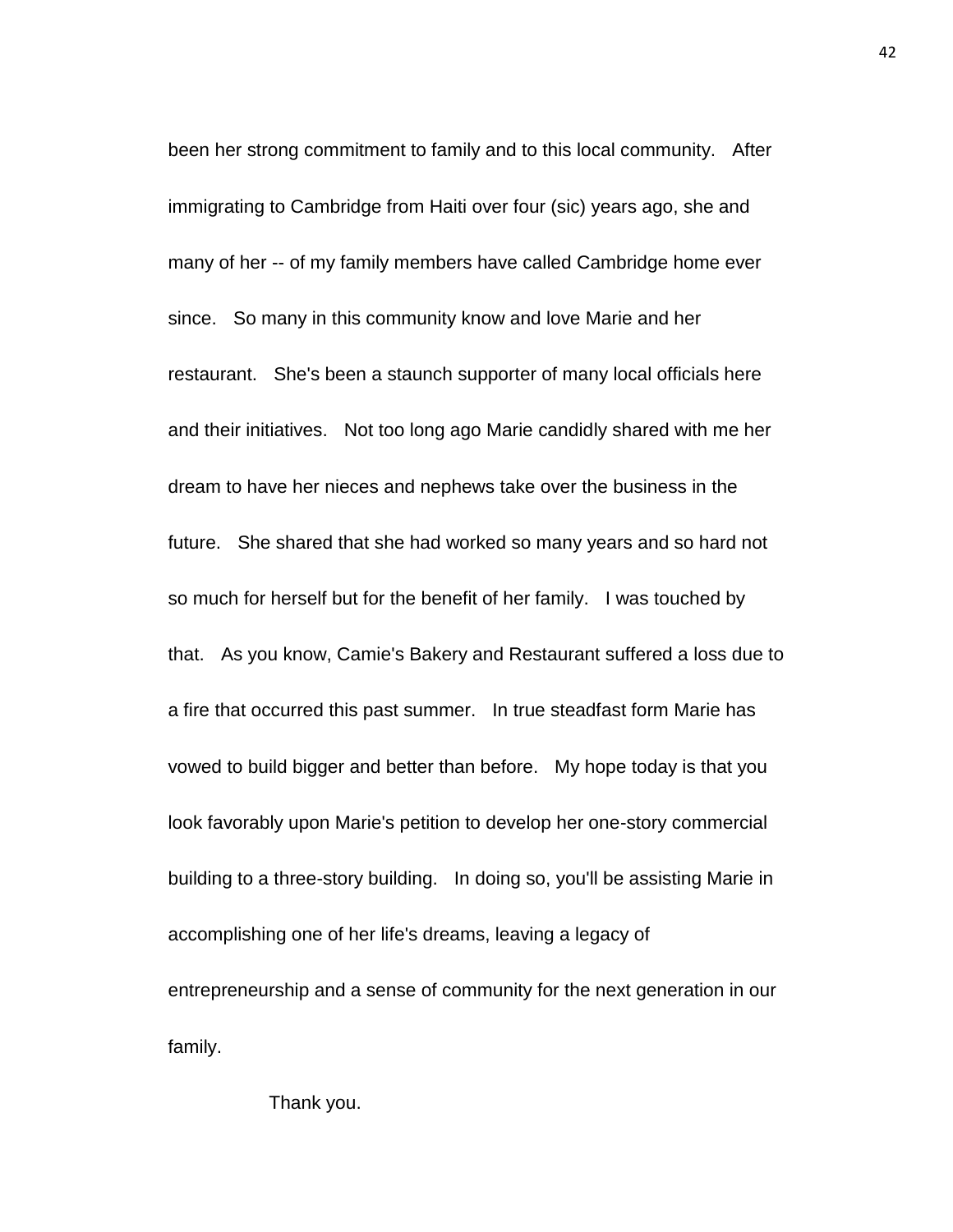been her strong commitment to family and to this local community. After immigrating to Cambridge from Haiti over four (sic) years ago, she and many of her -- of my family members have called Cambridge home ever since. So many in this community know and love Marie and her restaurant. She's been a staunch supporter of many local officials here and their initiatives. Not too long ago Marie candidly shared with me her dream to have her nieces and nephews take over the business in the future. She shared that she had worked so many years and so hard not so much for herself but for the benefit of her family. I was touched by that. As you know, Camie's Bakery and Restaurant suffered a loss due to a fire that occurred this past summer. In true steadfast form Marie has vowed to build bigger and better than before. My hope today is that you look favorably upon Marie's petition to develop her one-story commercial building to a three-story building. In doing so, you'll be assisting Marie in accomplishing one of her life's dreams, leaving a legacy of entrepreneurship and a sense of community for the next generation in our family.

Thank you.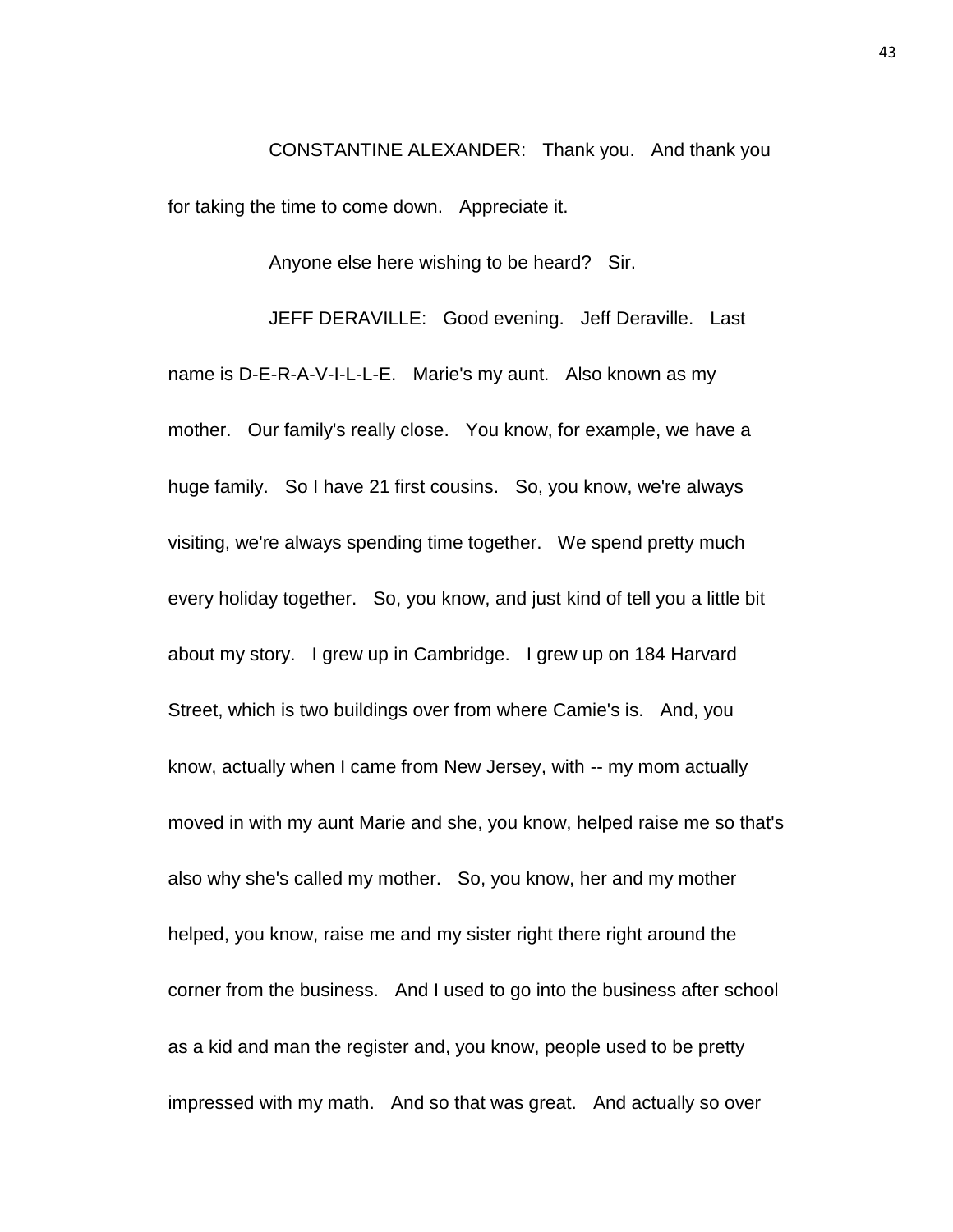CONSTANTINE ALEXANDER: Thank you. And thank you for taking the time to come down. Appreciate it.

Anyone else here wishing to be heard? Sir.

JEFF DERAVILLE: Good evening. Jeff Deraville. Last name is D-E-R-A-V-I-L-L-E. Marie's my aunt. Also known as my mother. Our family's really close. You know, for example, we have a huge family. So I have 21 first cousins. So, you know, we're always visiting, we're always spending time together. We spend pretty much every holiday together. So, you know, and just kind of tell you a little bit about my story. I grew up in Cambridge. I grew up on 184 Harvard Street, which is two buildings over from where Camie's is. And, you know, actually when I came from New Jersey, with -- my mom actually moved in with my aunt Marie and she, you know, helped raise me so that's also why she's called my mother. So, you know, her and my mother helped, you know, raise me and my sister right there right around the corner from the business. And I used to go into the business after school as a kid and man the register and, you know, people used to be pretty impressed with my math. And so that was great. And actually so over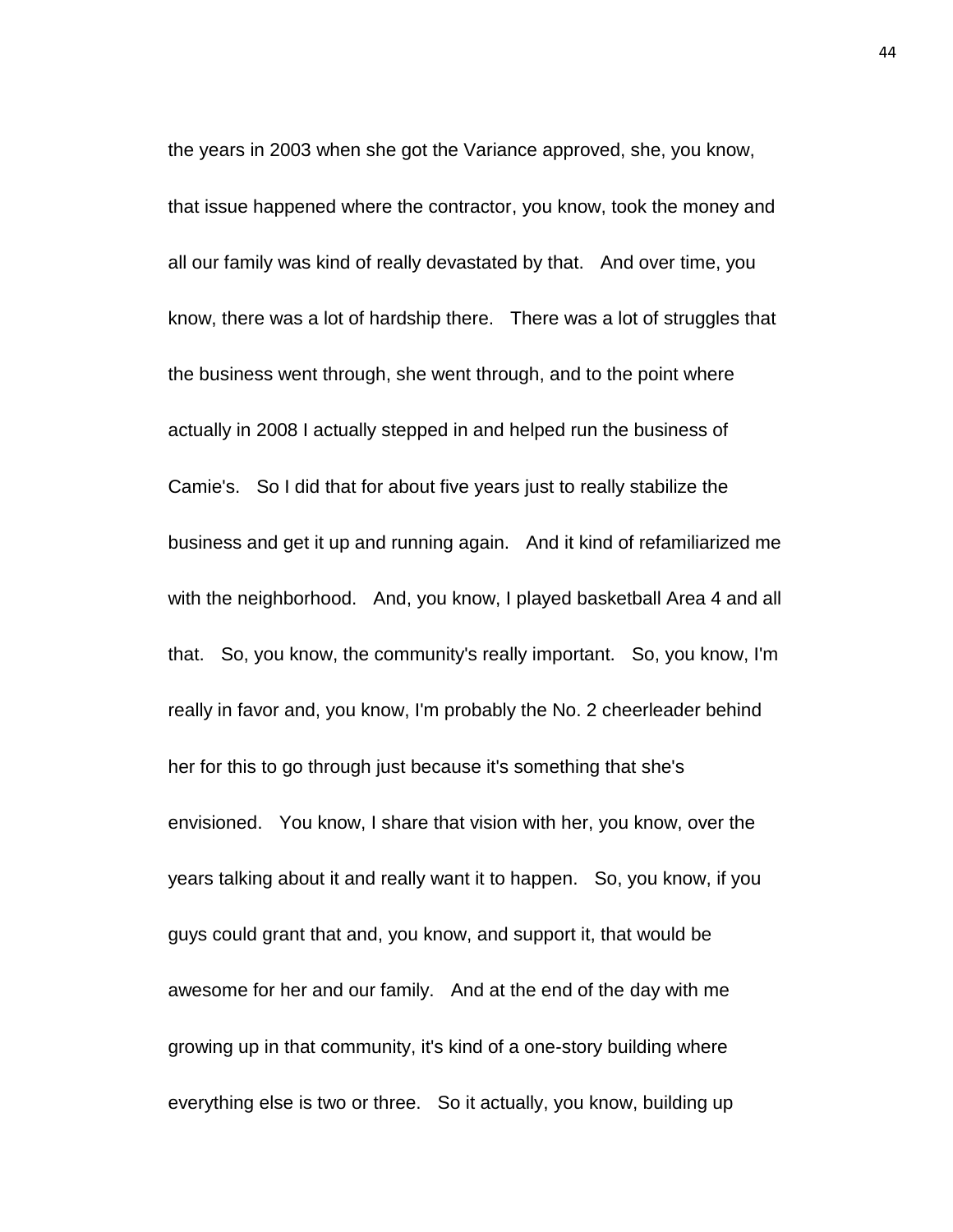the years in 2003 when she got the Variance approved, she, you know, that issue happened where the contractor, you know, took the money and all our family was kind of really devastated by that. And over time, you know, there was a lot of hardship there. There was a lot of struggles that the business went through, she went through, and to the point where actually in 2008 I actually stepped in and helped run the business of Camie's. So I did that for about five years just to really stabilize the business and get it up and running again. And it kind of refamiliarized me with the neighborhood. And, you know, I played basketball Area 4 and all that. So, you know, the community's really important. So, you know, I'm really in favor and, you know, I'm probably the No. 2 cheerleader behind her for this to go through just because it's something that she's envisioned. You know, I share that vision with her, you know, over the years talking about it and really want it to happen. So, you know, if you guys could grant that and, you know, and support it, that would be awesome for her and our family. And at the end of the day with me growing up in that community, it's kind of a one-story building where everything else is two or three. So it actually, you know, building up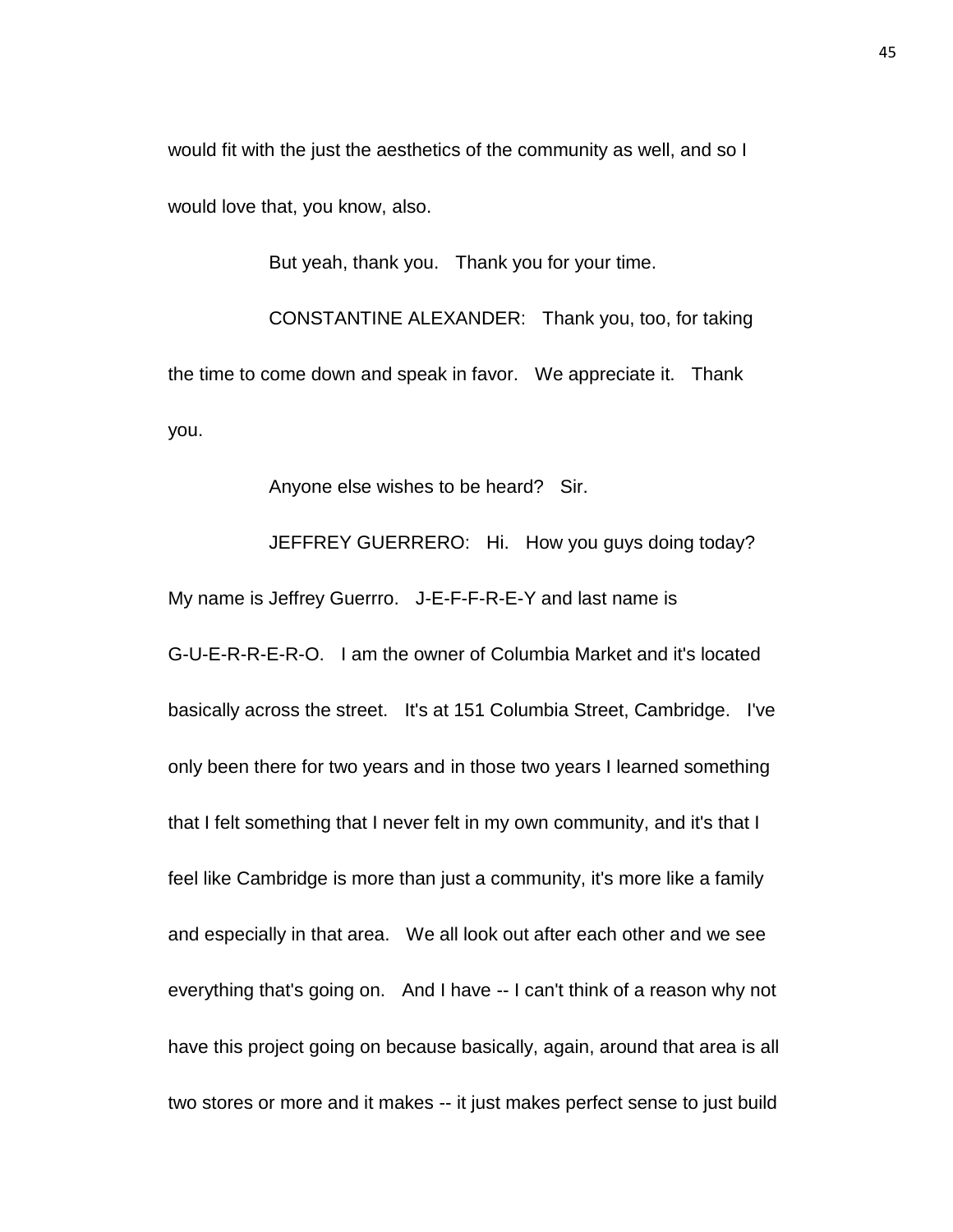would fit with the just the aesthetics of the community as well, and so I would love that, you know, also.

But yeah, thank you. Thank you for your time.

CONSTANTINE ALEXANDER: Thank you, too, for taking the time to come down and speak in favor. We appreciate it. Thank you.

Anyone else wishes to be heard? Sir.

JEFFREY GUERRERO: Hi. How you guys doing today? My name is Jeffrey Guerrro. J-E-F-F-R-E-Y and last name is G-U-E-R-R-E-R-O. I am the owner of Columbia Market and it's located basically across the street. It's at 151 Columbia Street, Cambridge. I've only been there for two years and in those two years I learned something that I felt something that I never felt in my own community, and it's that I feel like Cambridge is more than just a community, it's more like a family and especially in that area. We all look out after each other and we see everything that's going on. And I have -- I can't think of a reason why not have this project going on because basically, again, around that area is all two stores or more and it makes -- it just makes perfect sense to just build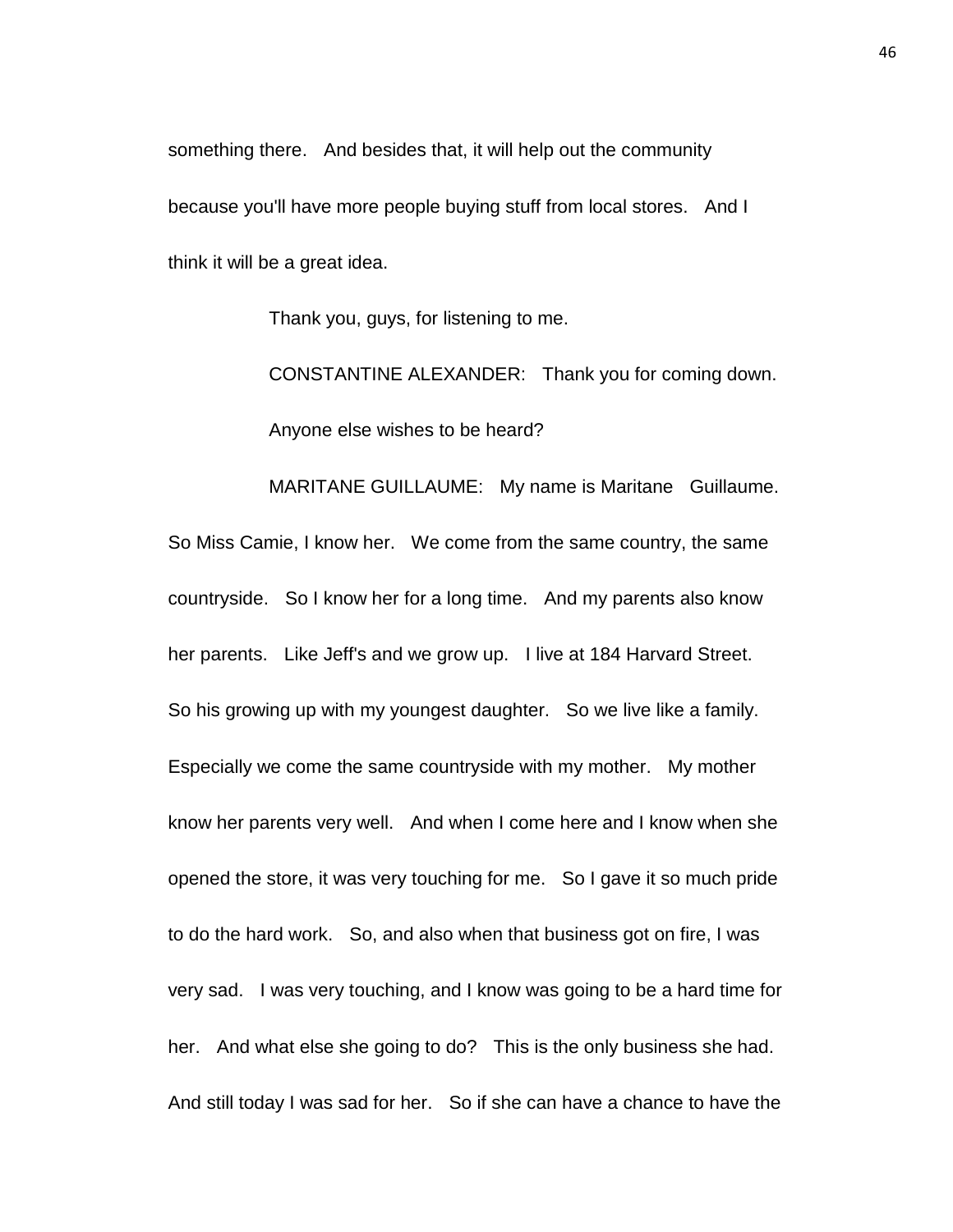something there. And besides that, it will help out the community because you'll have more people buying stuff from local stores. And I think it will be a great idea.

Thank you, guys, for listening to me.

CONSTANTINE ALEXANDER: Thank you for coming down. Anyone else wishes to be heard?

MARITANE GUILLAUME: My name is Maritane Guillaume. So Miss Camie, I know her. We come from the same country, the same countryside. So I know her for a long time. And my parents also know her parents. Like Jeff's and we grow up. I live at 184 Harvard Street. So his growing up with my youngest daughter. So we live like a family. Especially we come the same countryside with my mother. My mother know her parents very well. And when I come here and I know when she opened the store, it was very touching for me. So I gave it so much pride to do the hard work. So, and also when that business got on fire, I was very sad. I was very touching, and I know was going to be a hard time for her. And what else she going to do? This is the only business she had. And still today I was sad for her. So if she can have a chance to have the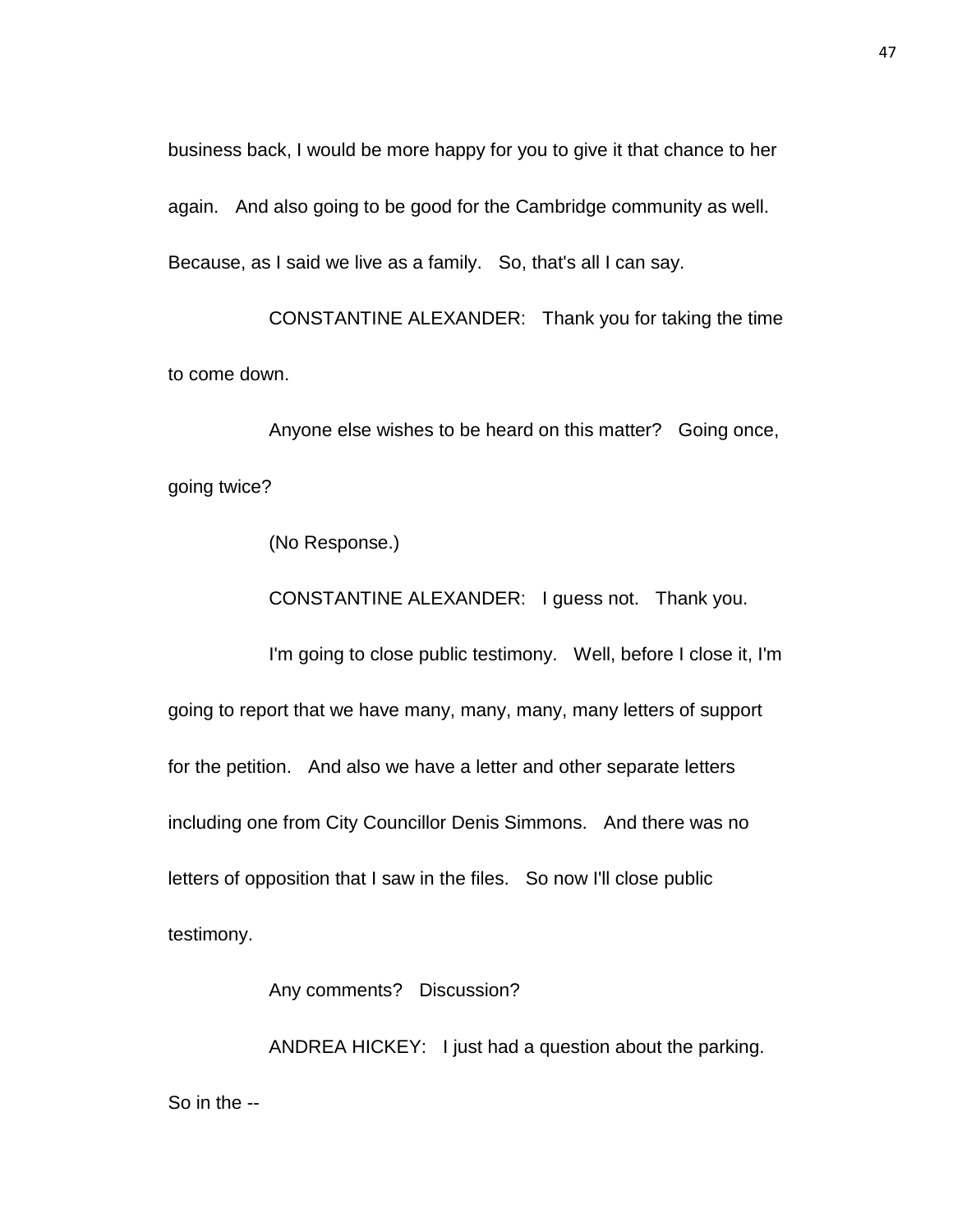business back, I would be more happy for you to give it that chance to her again. And also going to be good for the Cambridge community as well. Because, as I said we live as a family. So, that's all I can say.

CONSTANTINE ALEXANDER: Thank you for taking the time to come down.

Anyone else wishes to be heard on this matter? Going once, going twice?

(No Response.)

CONSTANTINE ALEXANDER: I guess not. Thank you.

I'm going to close public testimony. Well, before I close it, I'm going to report that we have many, many, many, many letters of support for the petition. And also we have a letter and other separate letters including one from City Councillor Denis Simmons. And there was no letters of opposition that I saw in the files. So now I'll close public testimony.

Any comments? Discussion?

ANDREA HICKEY: I just had a question about the parking. So in the --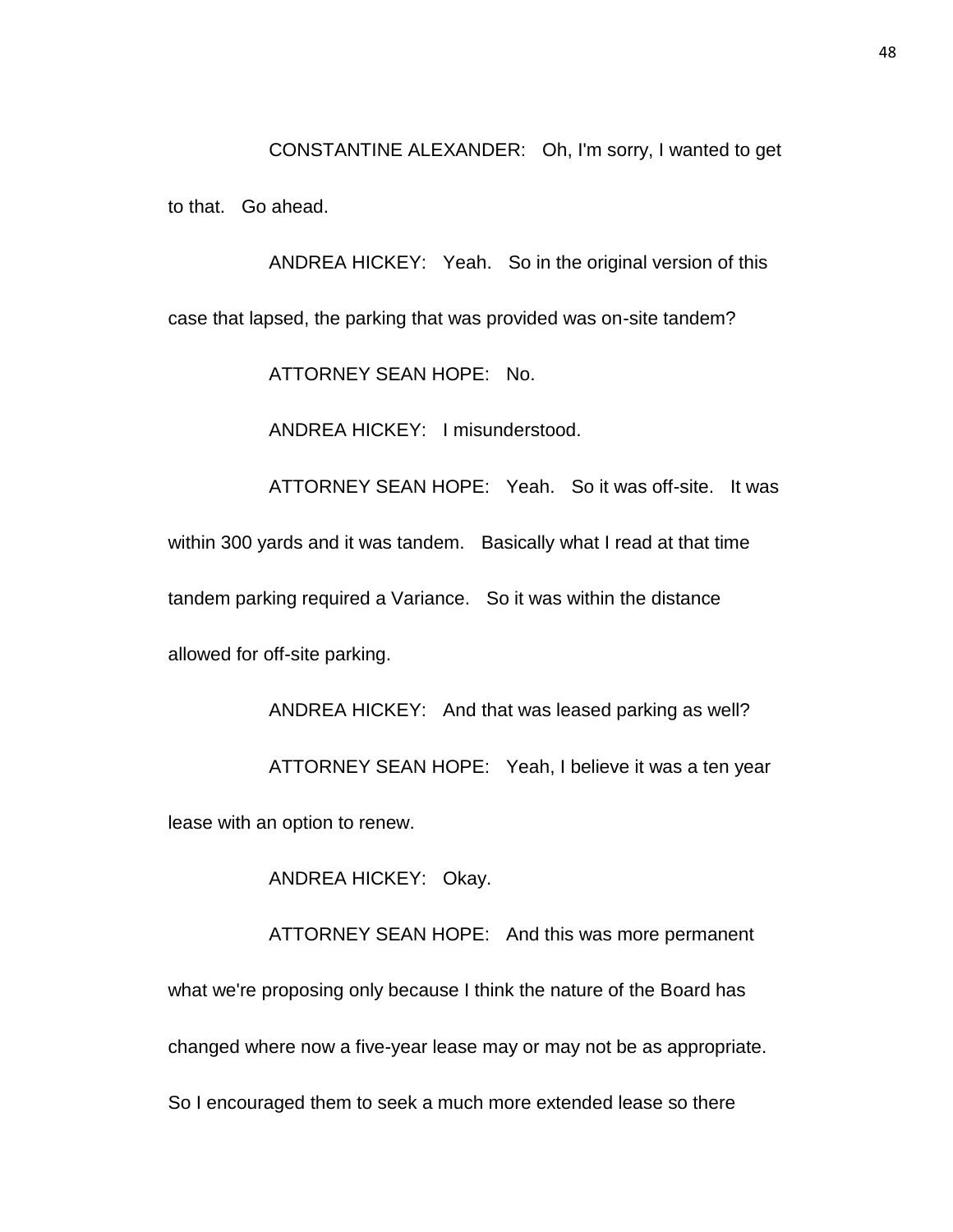CONSTANTINE ALEXANDER: Oh, I'm sorry, I wanted to get

to that. Go ahead.

ANDREA HICKEY: Yeah. So in the original version of this case that lapsed, the parking that was provided was on-site tandem?

ATTORNEY SEAN HOPE: No.

ANDREA HICKEY: I misunderstood.

ATTORNEY SEAN HOPE: Yeah. So it was off-site. It was within 300 yards and it was tandem. Basically what I read at that time tandem parking required a Variance. So it was within the distance allowed for off-site parking.

ANDREA HICKEY: And that was leased parking as well? ATTORNEY SEAN HOPE: Yeah, I believe it was a ten year lease with an option to renew.

ANDREA HICKEY: Okay.

ATTORNEY SEAN HOPE: And this was more permanent what we're proposing only because I think the nature of the Board has changed where now a five-year lease may or may not be as appropriate. So I encouraged them to seek a much more extended lease so there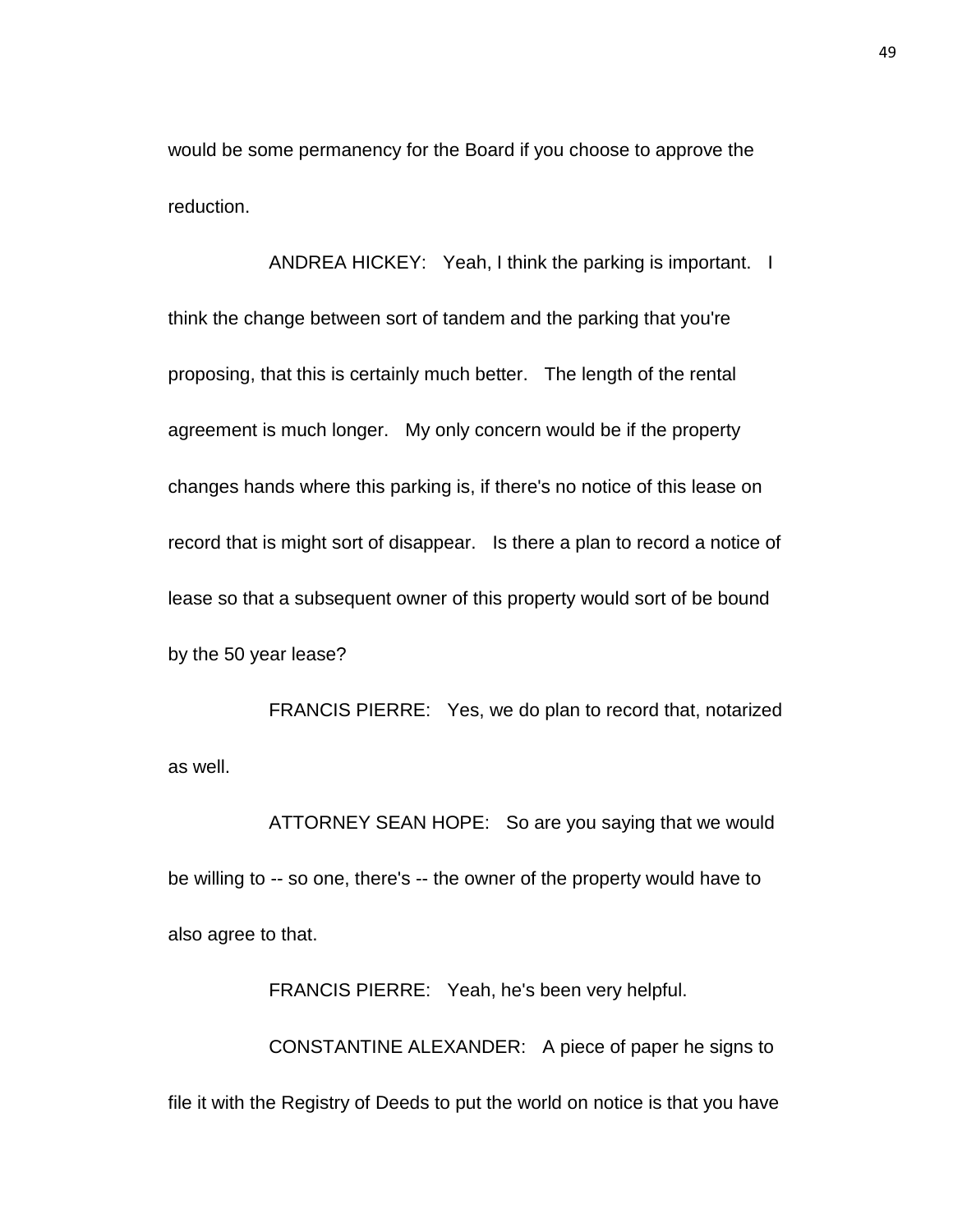would be some permanency for the Board if you choose to approve the reduction.

ANDREA HICKEY: Yeah, I think the parking is important. I think the change between sort of tandem and the parking that you're proposing, that this is certainly much better. The length of the rental agreement is much longer. My only concern would be if the property changes hands where this parking is, if there's no notice of this lease on record that is might sort of disappear. Is there a plan to record a notice of lease so that a subsequent owner of this property would sort of be bound by the 50 year lease?

FRANCIS PIERRE: Yes, we do plan to record that, notarized as well.

ATTORNEY SEAN HOPE: So are you saying that we would be willing to -- so one, there's -- the owner of the property would have to also agree to that.

FRANCIS PIERRE: Yeah, he's been very helpful. CONSTANTINE ALEXANDER: A piece of paper he signs to file it with the Registry of Deeds to put the world on notice is that you have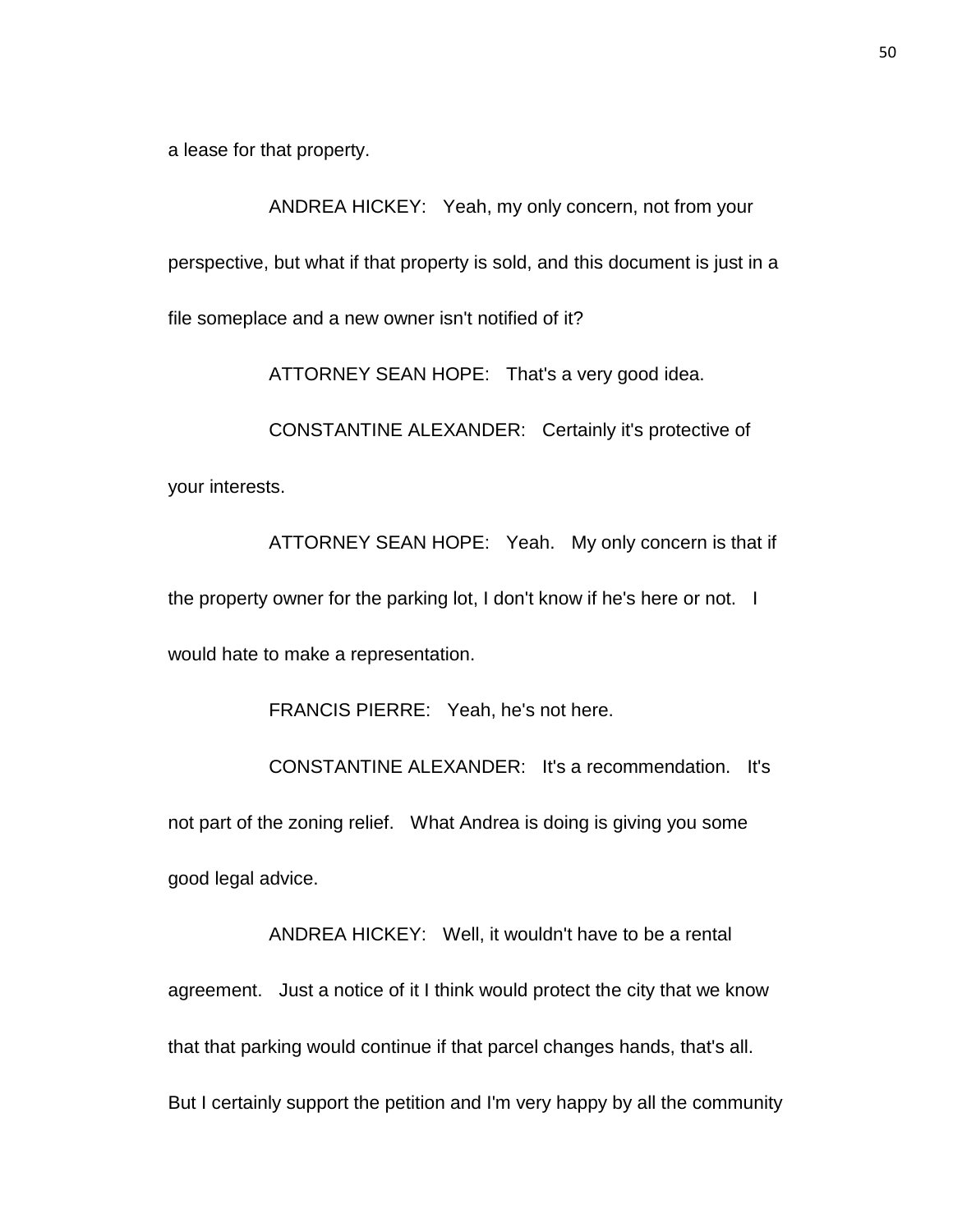a lease for that property.

ANDREA HICKEY: Yeah, my only concern, not from your perspective, but what if that property is sold, and this document is just in a file someplace and a new owner isn't notified of it?

ATTORNEY SEAN HOPE: That's a very good idea.

CONSTANTINE ALEXANDER: Certainly it's protective of your interests.

ATTORNEY SEAN HOPE: Yeah. My only concern is that if the property owner for the parking lot, I don't know if he's here or not. I would hate to make a representation.

FRANCIS PIERRE: Yeah, he's not here.

CONSTANTINE ALEXANDER: It's a recommendation. It's not part of the zoning relief. What Andrea is doing is giving you some good legal advice.

ANDREA HICKEY: Well, it wouldn't have to be a rental agreement. Just a notice of it I think would protect the city that we know that that parking would continue if that parcel changes hands, that's all. But I certainly support the petition and I'm very happy by all the community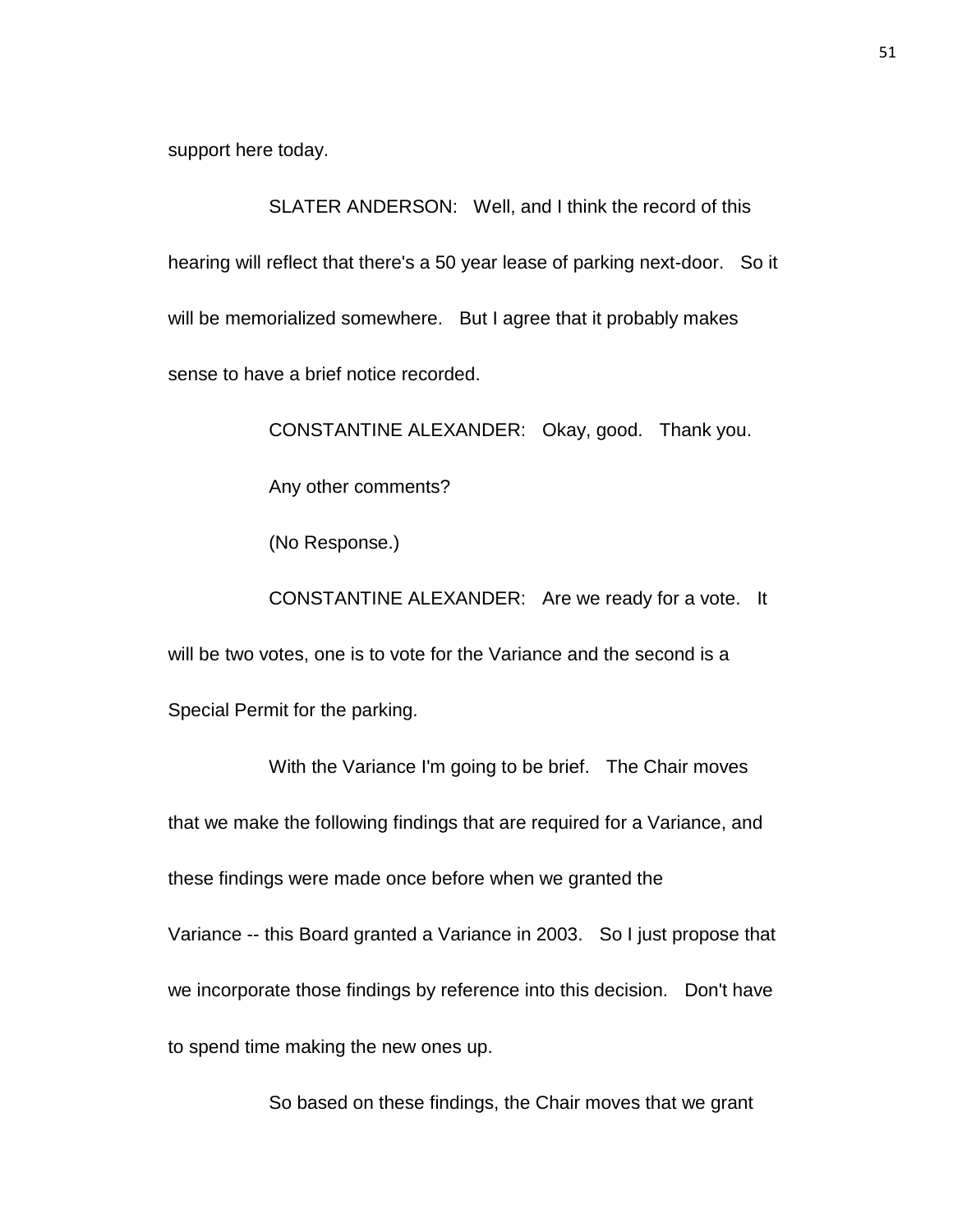support here today.

SLATER ANDERSON: Well, and I think the record of this hearing will reflect that there's a 50 year lease of parking next-door. So it will be memorialized somewhere. But I agree that it probably makes sense to have a brief notice recorded.

> CONSTANTINE ALEXANDER: Okay, good. Thank you. Any other comments? (No Response.)

CONSTANTINE ALEXANDER: Are we ready for a vote. It will be two votes, one is to vote for the Variance and the second is a Special Permit for the parking.

With the Variance I'm going to be brief. The Chair moves that we make the following findings that are required for a Variance, and these findings were made once before when we granted the Variance -- this Board granted a Variance in 2003. So I just propose that we incorporate those findings by reference into this decision. Don't have to spend time making the new ones up.

So based on these findings, the Chair moves that we grant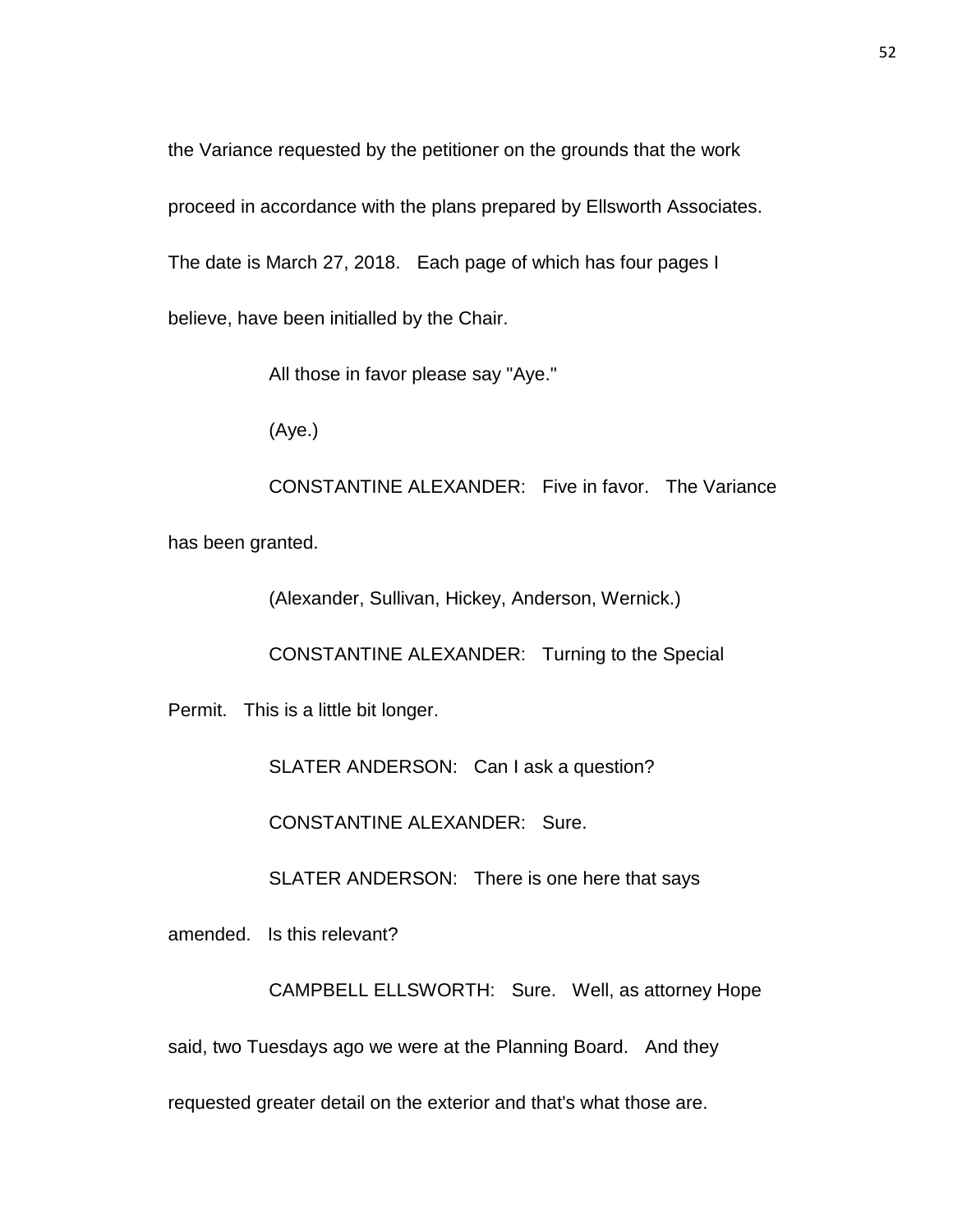the Variance requested by the petitioner on the grounds that the work

proceed in accordance with the plans prepared by Ellsworth Associates.

The date is March 27, 2018. Each page of which has four pages I

believe, have been initialled by the Chair.

All those in favor please say "Aye."

(Aye.)

CONSTANTINE ALEXANDER: Five in favor. The Variance has been granted.

(Alexander, Sullivan, Hickey, Anderson, Wernick.)

CONSTANTINE ALEXANDER: Turning to the Special

Permit. This is a little bit longer.

SLATER ANDERSON: Can I ask a question?

CONSTANTINE ALEXANDER: Sure.

SLATER ANDERSON: There is one here that says

amended. Is this relevant?

CAMPBELL ELLSWORTH: Sure. Well, as attorney Hope

said, two Tuesdays ago we were at the Planning Board. And they

requested greater detail on the exterior and that's what those are.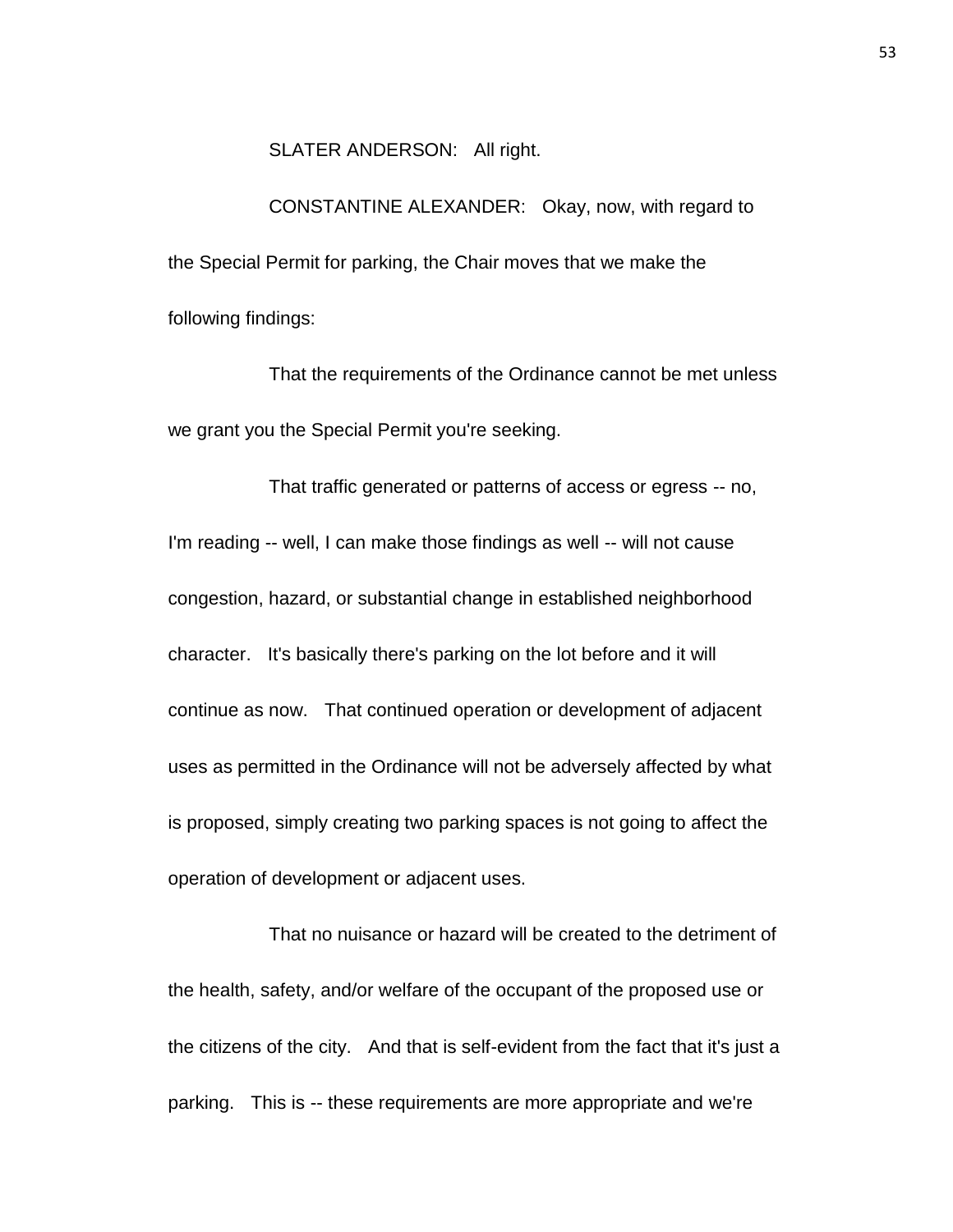## SLATER ANDERSON: All right.

CONSTANTINE ALEXANDER: Okay, now, with regard to the Special Permit for parking, the Chair moves that we make the following findings:

That the requirements of the Ordinance cannot be met unless we grant you the Special Permit you're seeking.

That traffic generated or patterns of access or egress -- no, I'm reading -- well, I can make those findings as well -- will not cause congestion, hazard, or substantial change in established neighborhood character. It's basically there's parking on the lot before and it will continue as now. That continued operation or development of adjacent uses as permitted in the Ordinance will not be adversely affected by what is proposed, simply creating two parking spaces is not going to affect the operation of development or adjacent uses.

That no nuisance or hazard will be created to the detriment of the health, safety, and/or welfare of the occupant of the proposed use or the citizens of the city. And that is self-evident from the fact that it's just a parking. This is -- these requirements are more appropriate and we're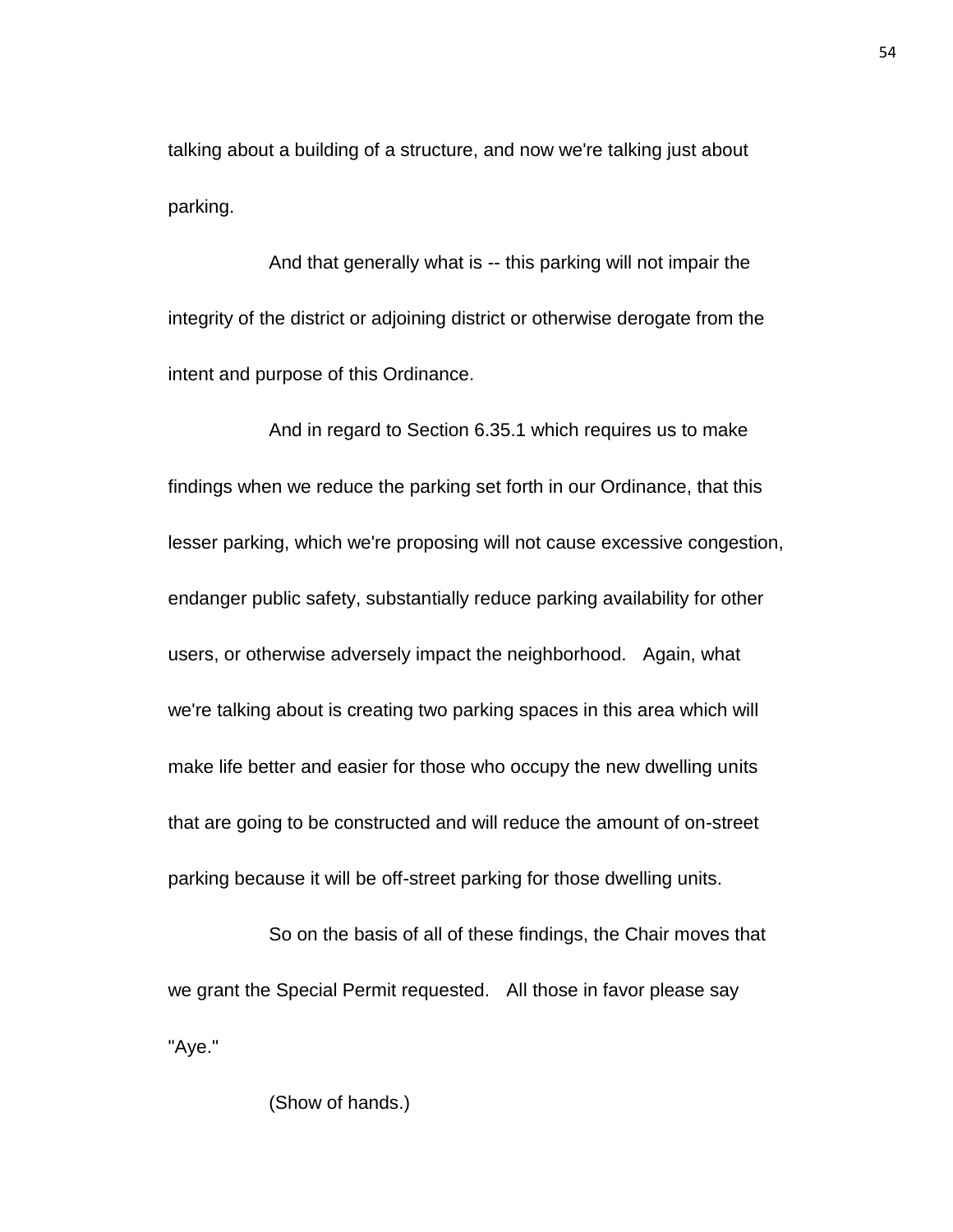talking about a building of a structure, and now we're talking just about parking.

And that generally what is -- this parking will not impair the integrity of the district or adjoining district or otherwise derogate from the intent and purpose of this Ordinance.

And in regard to Section 6.35.1 which requires us to make findings when we reduce the parking set forth in our Ordinance, that this lesser parking, which we're proposing will not cause excessive congestion, endanger public safety, substantially reduce parking availability for other users, or otherwise adversely impact the neighborhood. Again, what we're talking about is creating two parking spaces in this area which will make life better and easier for those who occupy the new dwelling units that are going to be constructed and will reduce the amount of on-street parking because it will be off-street parking for those dwelling units.

So on the basis of all of these findings, the Chair moves that we grant the Special Permit requested. All those in favor please say "Aye."

## (Show of hands.)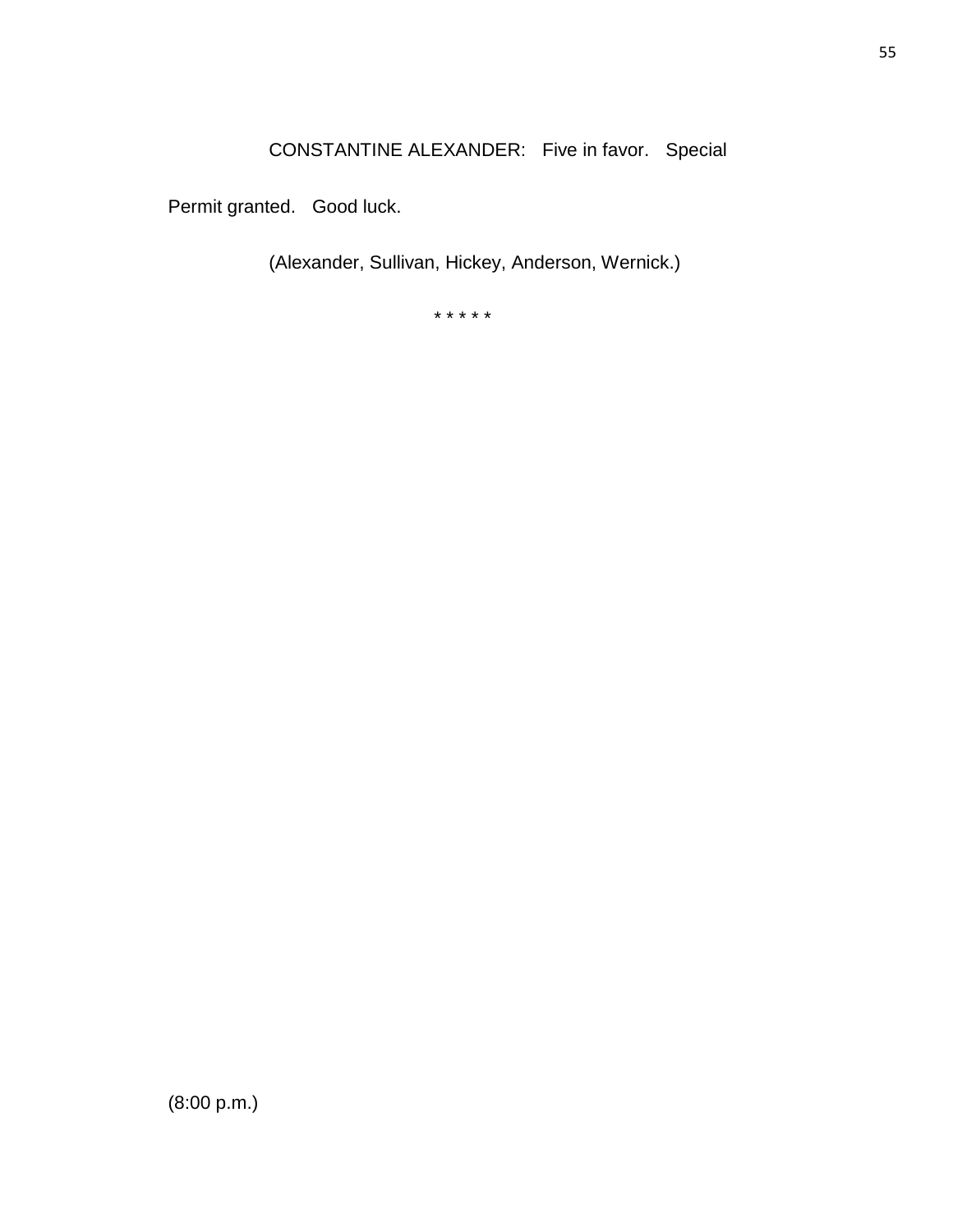CONSTANTINE ALEXANDER: Five in favor. Special

Permit granted. Good luck.

(Alexander, Sullivan, Hickey, Anderson, Wernick.)

\* \* \* \* \*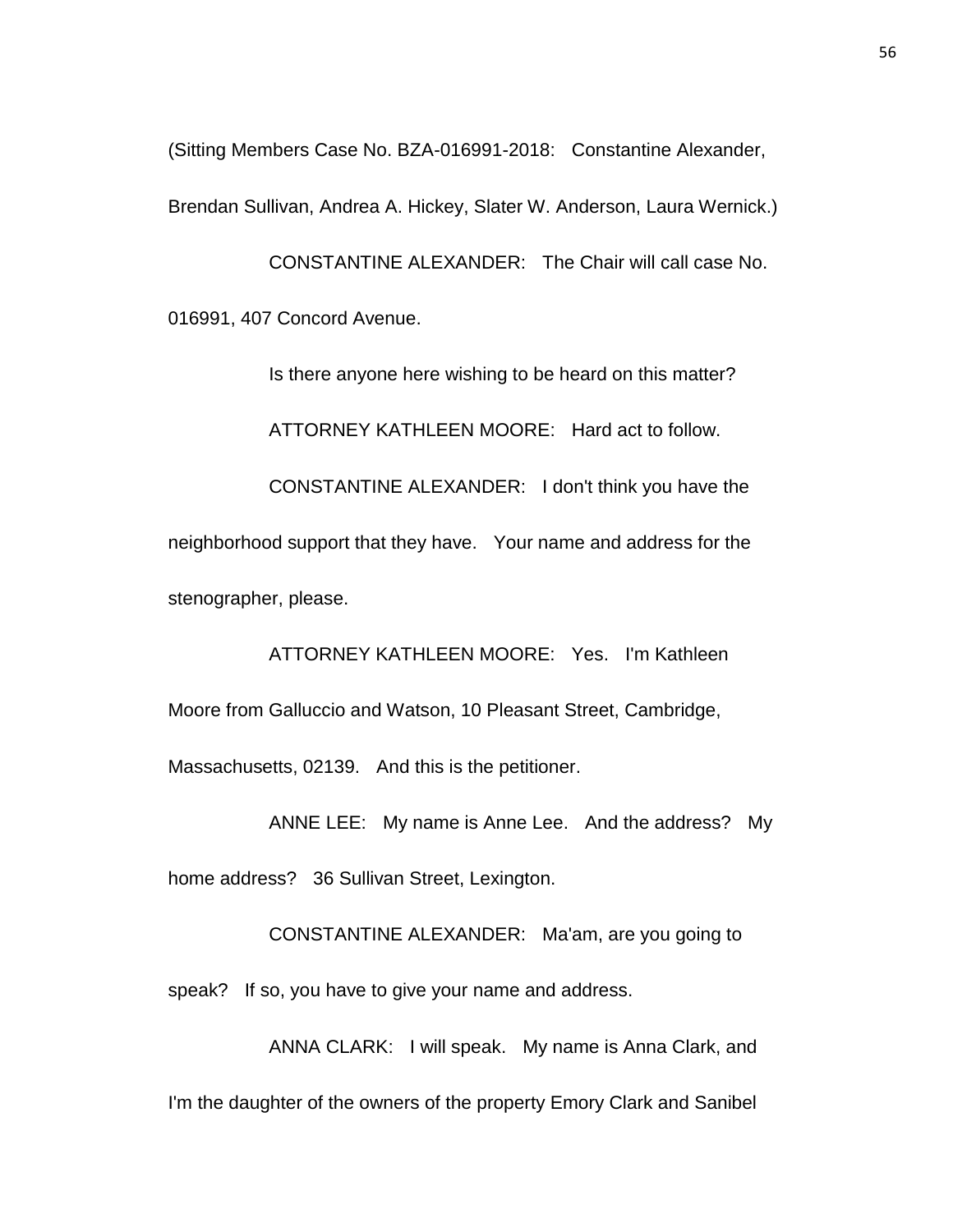(Sitting Members Case No. BZA-016991-2018: Constantine Alexander, Brendan Sullivan, Andrea A. Hickey, Slater W. Anderson, Laura Wernick.)

CONSTANTINE ALEXANDER: The Chair will call case No. 016991, 407 Concord Avenue.

Is there anyone here wishing to be heard on this matter?

ATTORNEY KATHLEEN MOORE: Hard act to follow.

CONSTANTINE ALEXANDER: I don't think you have the neighborhood support that they have. Your name and address for the stenographer, please.

ATTORNEY KATHLEEN MOORE: Yes. I'm Kathleen Moore from Galluccio and Watson, 10 Pleasant Street, Cambridge, Massachusetts, 02139. And this is the petitioner.

ANNE LEE: My name is Anne Lee. And the address? My

home address? 36 Sullivan Street, Lexington.

CONSTANTINE ALEXANDER: Ma'am, are you going to

speak? If so, you have to give your name and address.

ANNA CLARK: I will speak. My name is Anna Clark, and I'm the daughter of the owners of the property Emory Clark and Sanibel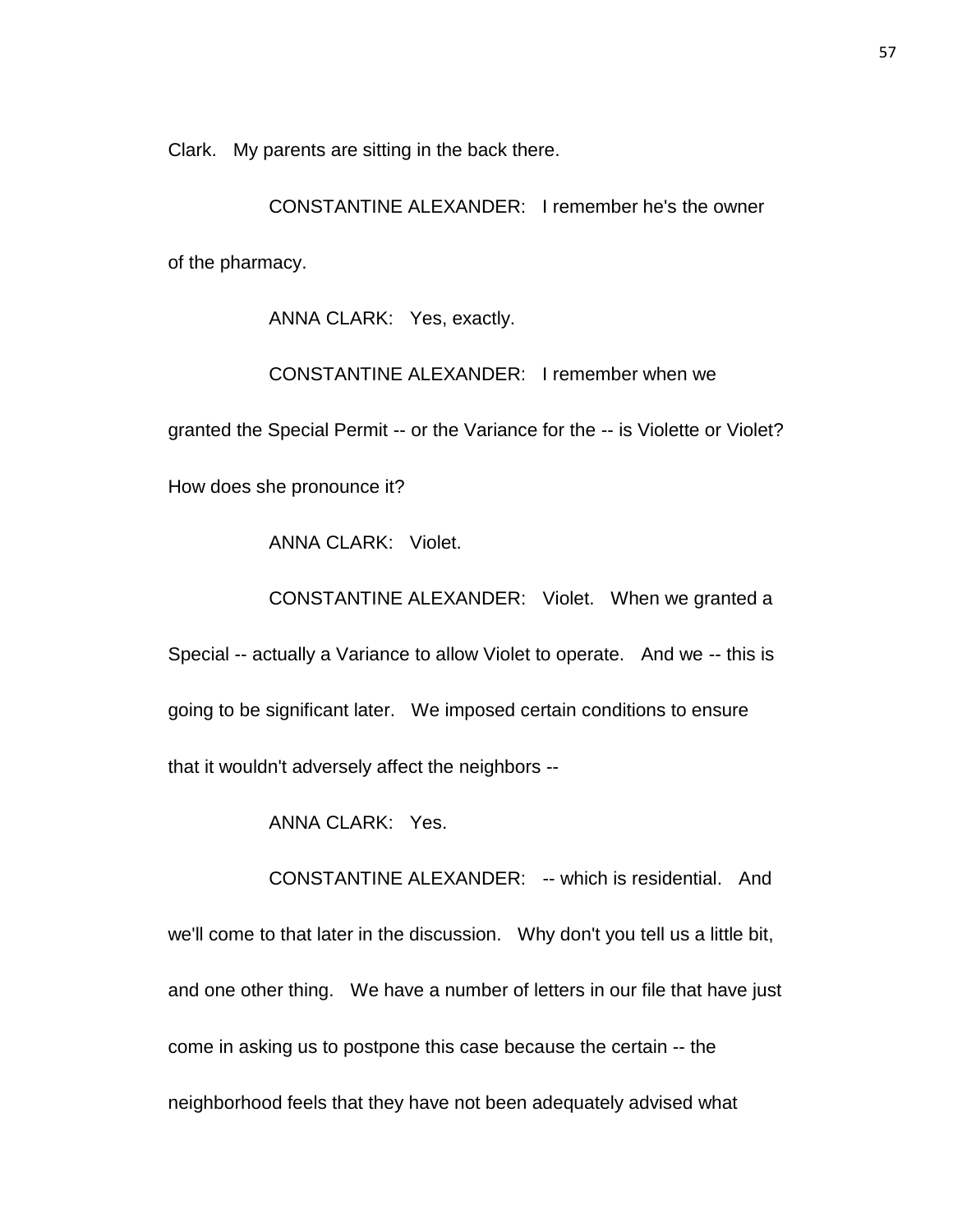Clark. My parents are sitting in the back there.

CONSTANTINE ALEXANDER: I remember he's the owner of the pharmacy.

ANNA CLARK: Yes, exactly.

CONSTANTINE ALEXANDER: I remember when we

granted the Special Permit -- or the Variance for the -- is Violette or Violet?

How does she pronounce it?

ANNA CLARK: Violet.

CONSTANTINE ALEXANDER: Violet. When we granted a

Special -- actually a Variance to allow Violet to operate. And we -- this is going to be significant later. We imposed certain conditions to ensure that it wouldn't adversely affect the neighbors --

ANNA CLARK: Yes.

CONSTANTINE ALEXANDER: -- which is residential. And we'll come to that later in the discussion. Why don't you tell us a little bit, and one other thing. We have a number of letters in our file that have just come in asking us to postpone this case because the certain -- the neighborhood feels that they have not been adequately advised what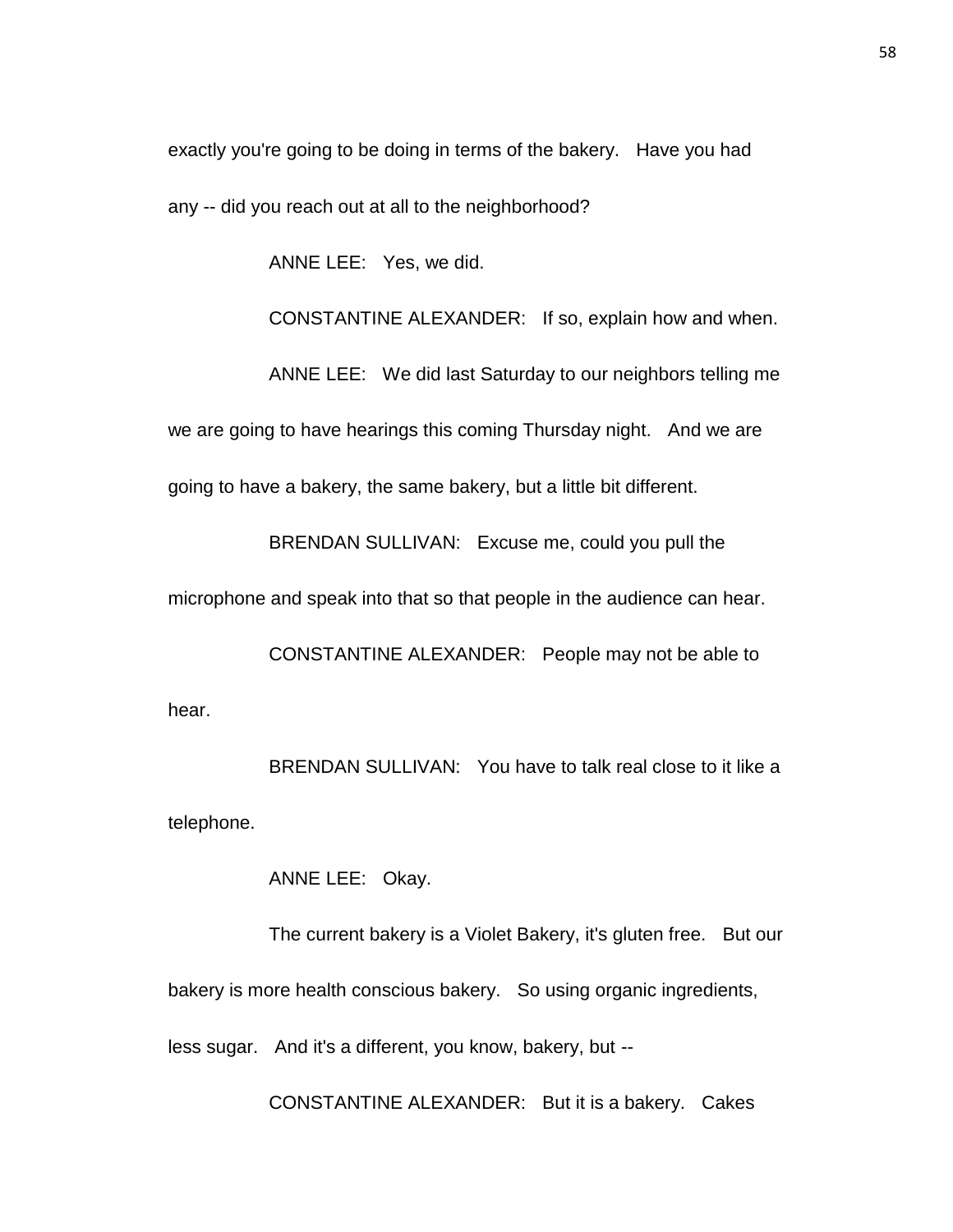exactly you're going to be doing in terms of the bakery. Have you had any -- did you reach out at all to the neighborhood?

ANNE LEE: Yes, we did.

CONSTANTINE ALEXANDER: If so, explain how and when.

ANNE LEE: We did last Saturday to our neighbors telling me we are going to have hearings this coming Thursday night. And we are going to have a bakery, the same bakery, but a little bit different.

BRENDAN SULLIVAN: Excuse me, could you pull the

microphone and speak into that so that people in the audience can hear.

CONSTANTINE ALEXANDER: People may not be able to hear.

BRENDAN SULLIVAN: You have to talk real close to it like a telephone.

ANNE LEE: Okay.

The current bakery is a Violet Bakery, it's gluten free. But our bakery is more health conscious bakery. So using organic ingredients, less sugar. And it's a different, you know, bakery, but --

CONSTANTINE ALEXANDER: But it is a bakery. Cakes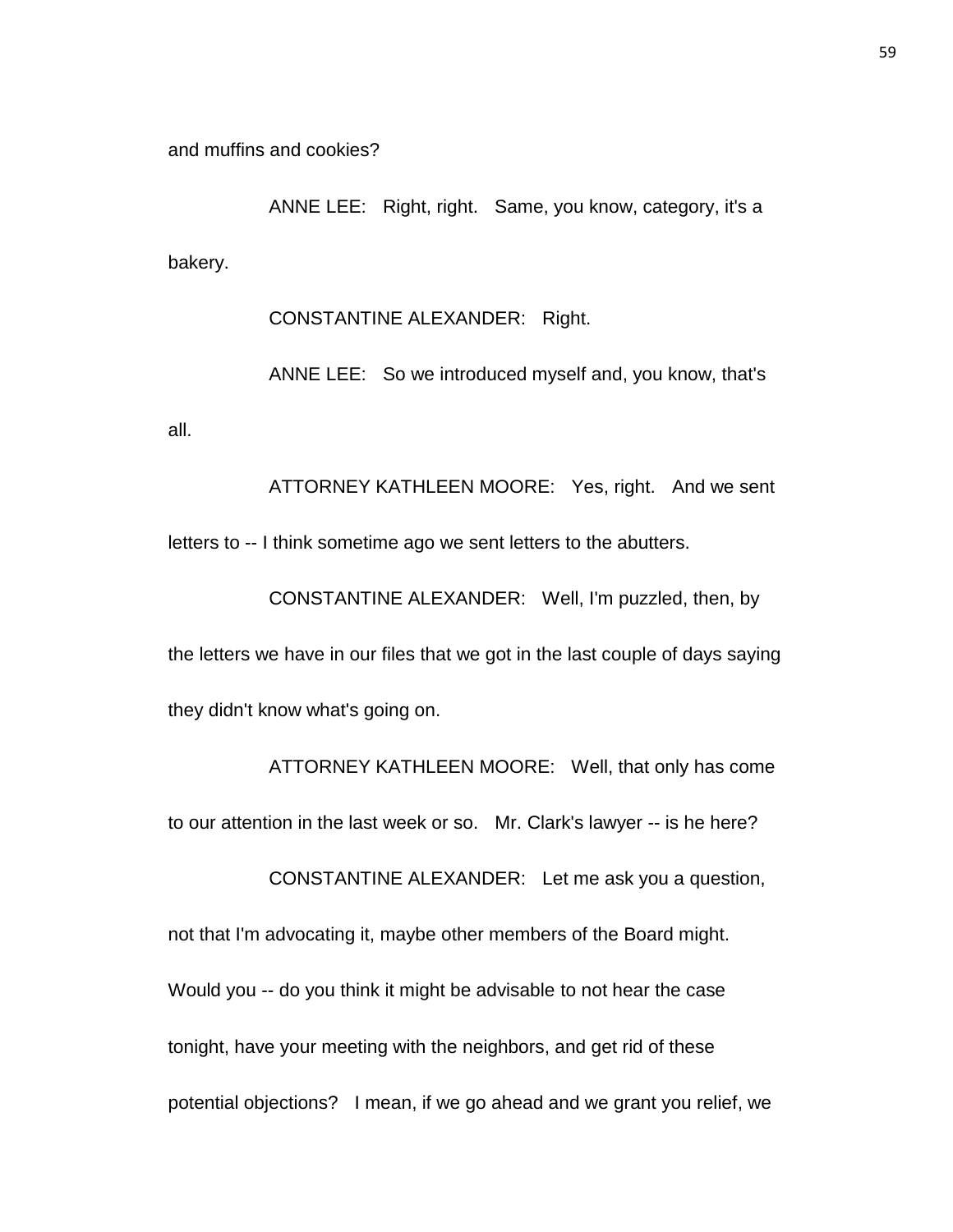and muffins and cookies?

ANNE LEE: Right, right. Same, you know, category, it's a bakery.

CONSTANTINE ALEXANDER: Right.

ANNE LEE: So we introduced myself and, you know, that's all.

ATTORNEY KATHLEEN MOORE: Yes, right. And we sent letters to -- I think sometime ago we sent letters to the abutters.

CONSTANTINE ALEXANDER: Well, I'm puzzled, then, by the letters we have in our files that we got in the last couple of days saying they didn't know what's going on.

ATTORNEY KATHLEEN MOORE: Well, that only has come to our attention in the last week or so. Mr. Clark's lawyer -- is he here? CONSTANTINE ALEXANDER: Let me ask you a question, not that I'm advocating it, maybe other members of the Board might. Would you -- do you think it might be advisable to not hear the case tonight, have your meeting with the neighbors, and get rid of these potential objections? I mean, if we go ahead and we grant you relief, we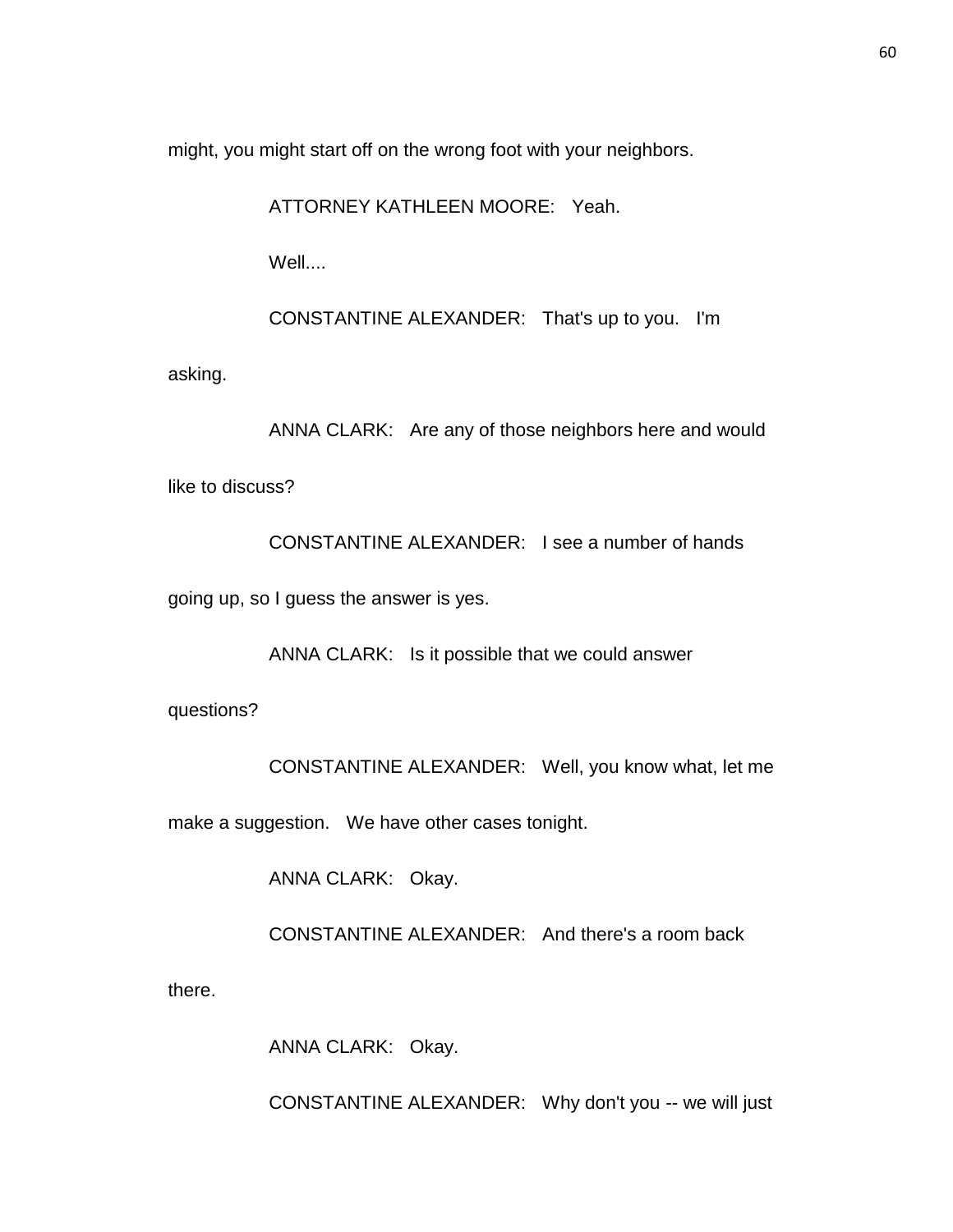might, you might start off on the wrong foot with your neighbors.

ATTORNEY KATHLEEN MOORE: Yeah.

Well....

CONSTANTINE ALEXANDER: That's up to you. I'm

asking.

ANNA CLARK: Are any of those neighbors here and would like to discuss?

CONSTANTINE ALEXANDER: I see a number of hands

going up, so I guess the answer is yes.

ANNA CLARK: Is it possible that we could answer

questions?

CONSTANTINE ALEXANDER: Well, you know what, let me

make a suggestion. We have other cases tonight.

ANNA CLARK: Okay.

CONSTANTINE ALEXANDER: And there's a room back

there.

ANNA CLARK: Okay.

CONSTANTINE ALEXANDER: Why don't you -- we will just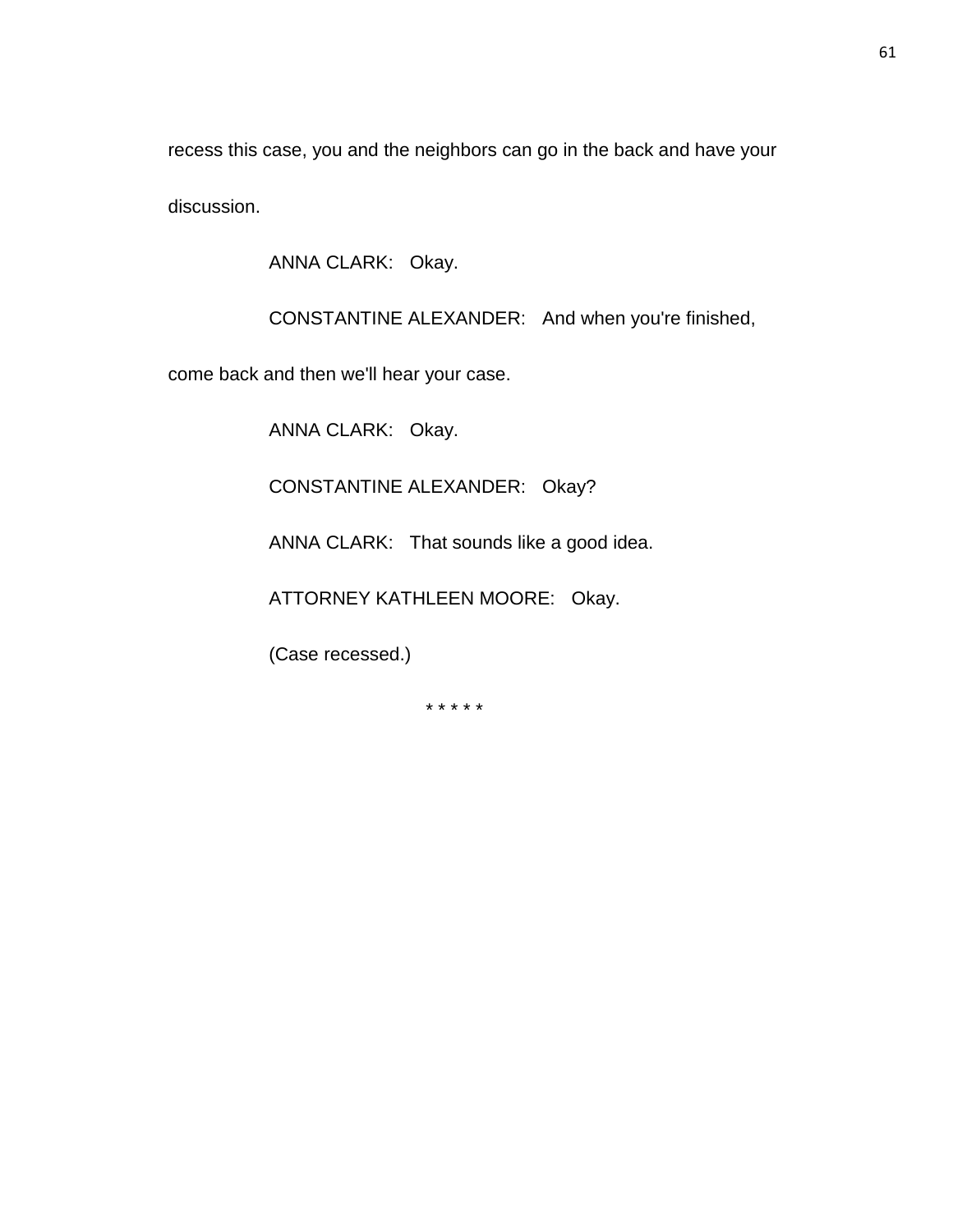recess this case, you and the neighbors can go in the back and have your discussion.

ANNA CLARK: Okay.

CONSTANTINE ALEXANDER: And when you're finished,

come back and then we'll hear your case.

ANNA CLARK: Okay.

CONSTANTINE ALEXANDER: Okay?

ANNA CLARK: That sounds like a good idea.

ATTORNEY KATHLEEN MOORE: Okay.

(Case recessed.)

\* \* \* \* \*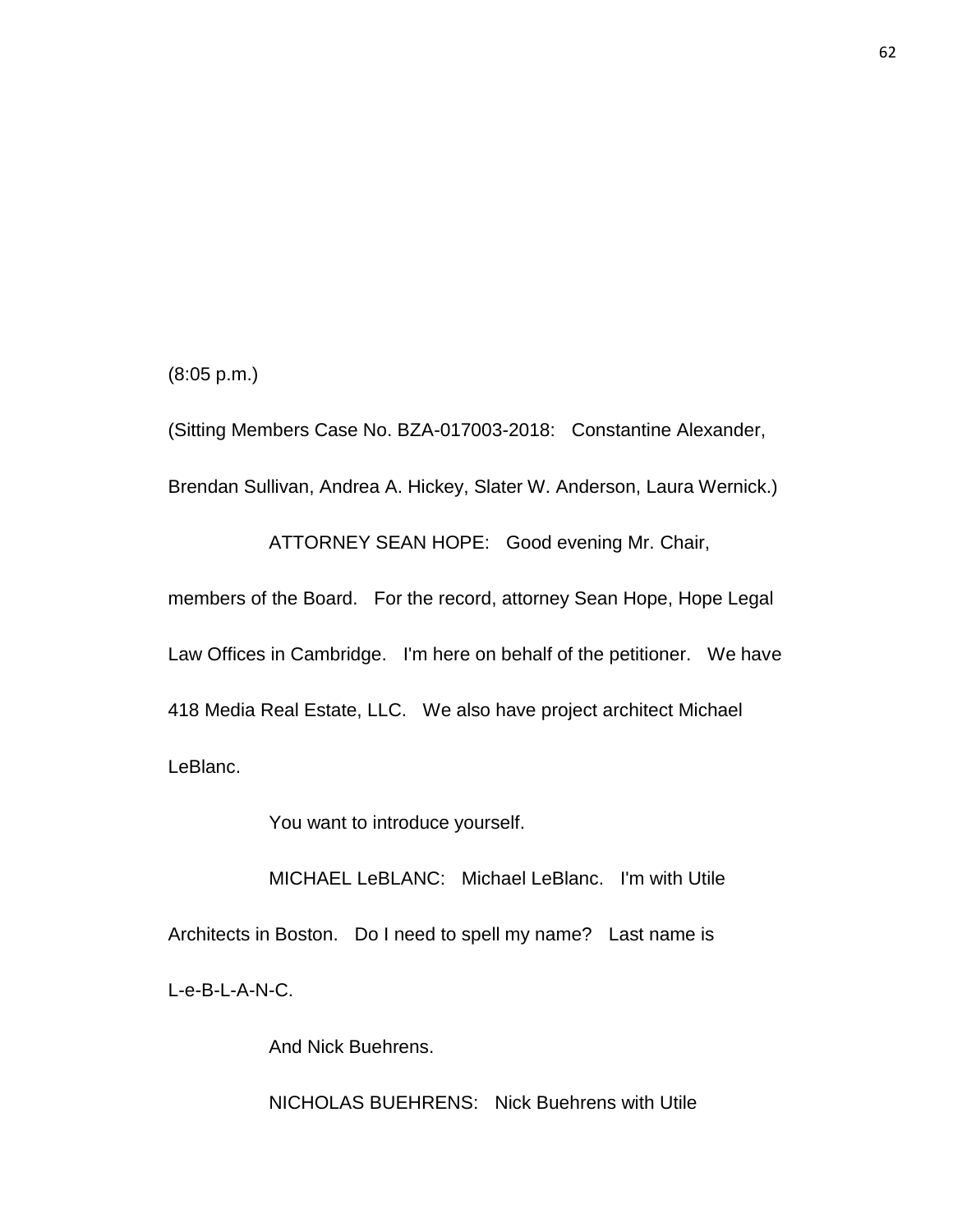(8:05 p.m.)

(Sitting Members Case No. BZA-017003-2018: Constantine Alexander, Brendan Sullivan, Andrea A. Hickey, Slater W. Anderson, Laura Wernick.)

ATTORNEY SEAN HOPE: Good evening Mr. Chair,

members of the Board. For the record, attorney Sean Hope, Hope Legal Law Offices in Cambridge. I'm here on behalf of the petitioner. We have 418 Media Real Estate, LLC. We also have project architect Michael LeBlanc.

You want to introduce yourself.

MICHAEL LeBLANC: Michael LeBlanc. I'm with Utile Architects in Boston. Do I need to spell my name? Last name is L-e-B-L-A-N-C.

And Nick Buehrens.

NICHOLAS BUEHRENS: Nick Buehrens with Utile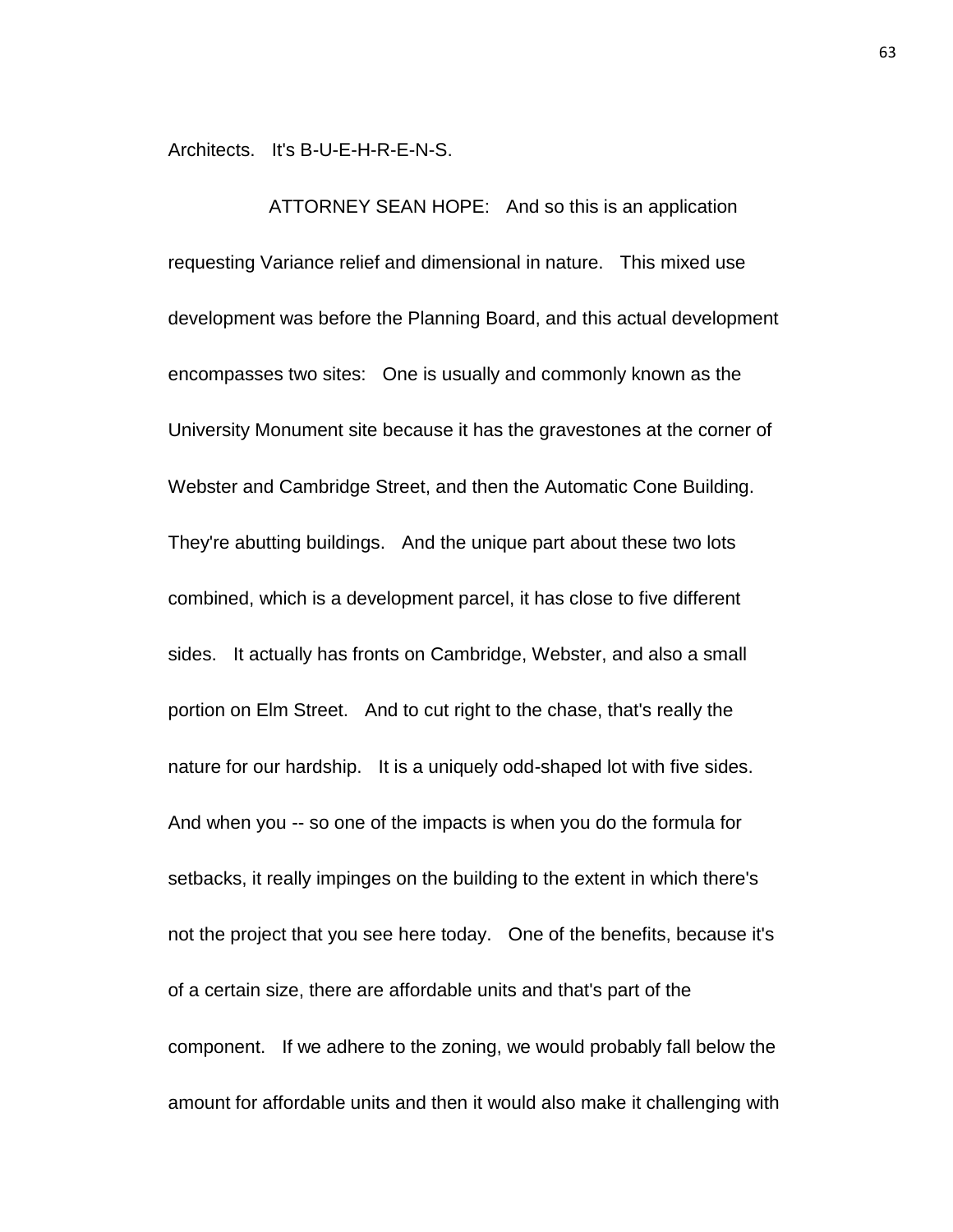Architects. It's B-U-E-H-R-E-N-S.

ATTORNEY SEAN HOPE: And so this is an application requesting Variance relief and dimensional in nature. This mixed use development was before the Planning Board, and this actual development encompasses two sites: One is usually and commonly known as the University Monument site because it has the gravestones at the corner of Webster and Cambridge Street, and then the Automatic Cone Building. They're abutting buildings. And the unique part about these two lots combined, which is a development parcel, it has close to five different sides. It actually has fronts on Cambridge, Webster, and also a small portion on Elm Street. And to cut right to the chase, that's really the nature for our hardship. It is a uniquely odd-shaped lot with five sides. And when you -- so one of the impacts is when you do the formula for setbacks, it really impinges on the building to the extent in which there's not the project that you see here today. One of the benefits, because it's of a certain size, there are affordable units and that's part of the component. If we adhere to the zoning, we would probably fall below the amount for affordable units and then it would also make it challenging with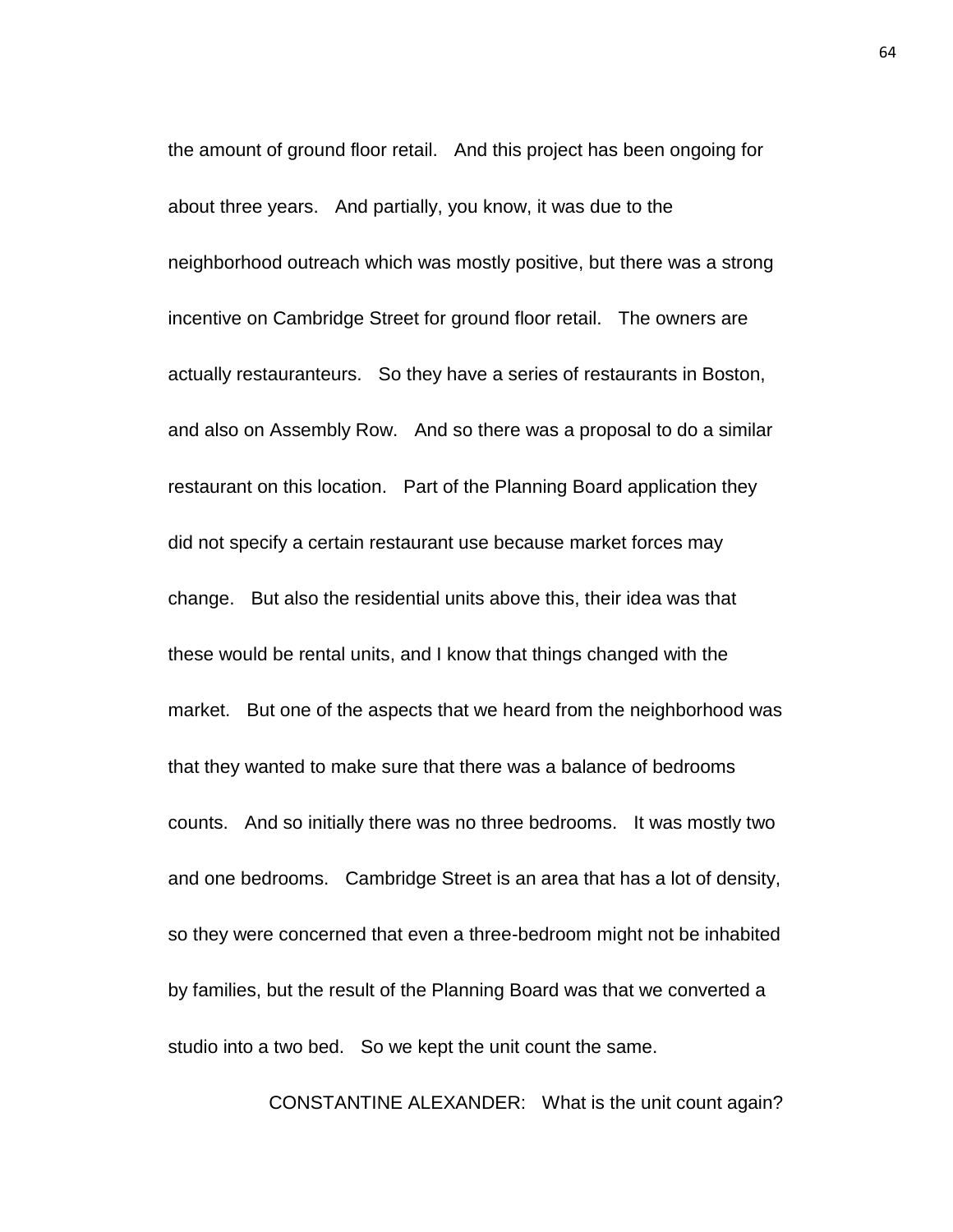the amount of ground floor retail. And this project has been ongoing for about three years. And partially, you know, it was due to the neighborhood outreach which was mostly positive, but there was a strong incentive on Cambridge Street for ground floor retail. The owners are actually restauranteurs. So they have a series of restaurants in Boston, and also on Assembly Row. And so there was a proposal to do a similar restaurant on this location. Part of the Planning Board application they did not specify a certain restaurant use because market forces may change. But also the residential units above this, their idea was that these would be rental units, and I know that things changed with the market. But one of the aspects that we heard from the neighborhood was that they wanted to make sure that there was a balance of bedrooms counts. And so initially there was no three bedrooms. It was mostly two and one bedrooms. Cambridge Street is an area that has a lot of density, so they were concerned that even a three-bedroom might not be inhabited by families, but the result of the Planning Board was that we converted a studio into a two bed. So we kept the unit count the same.

CONSTANTINE ALEXANDER: What is the unit count again?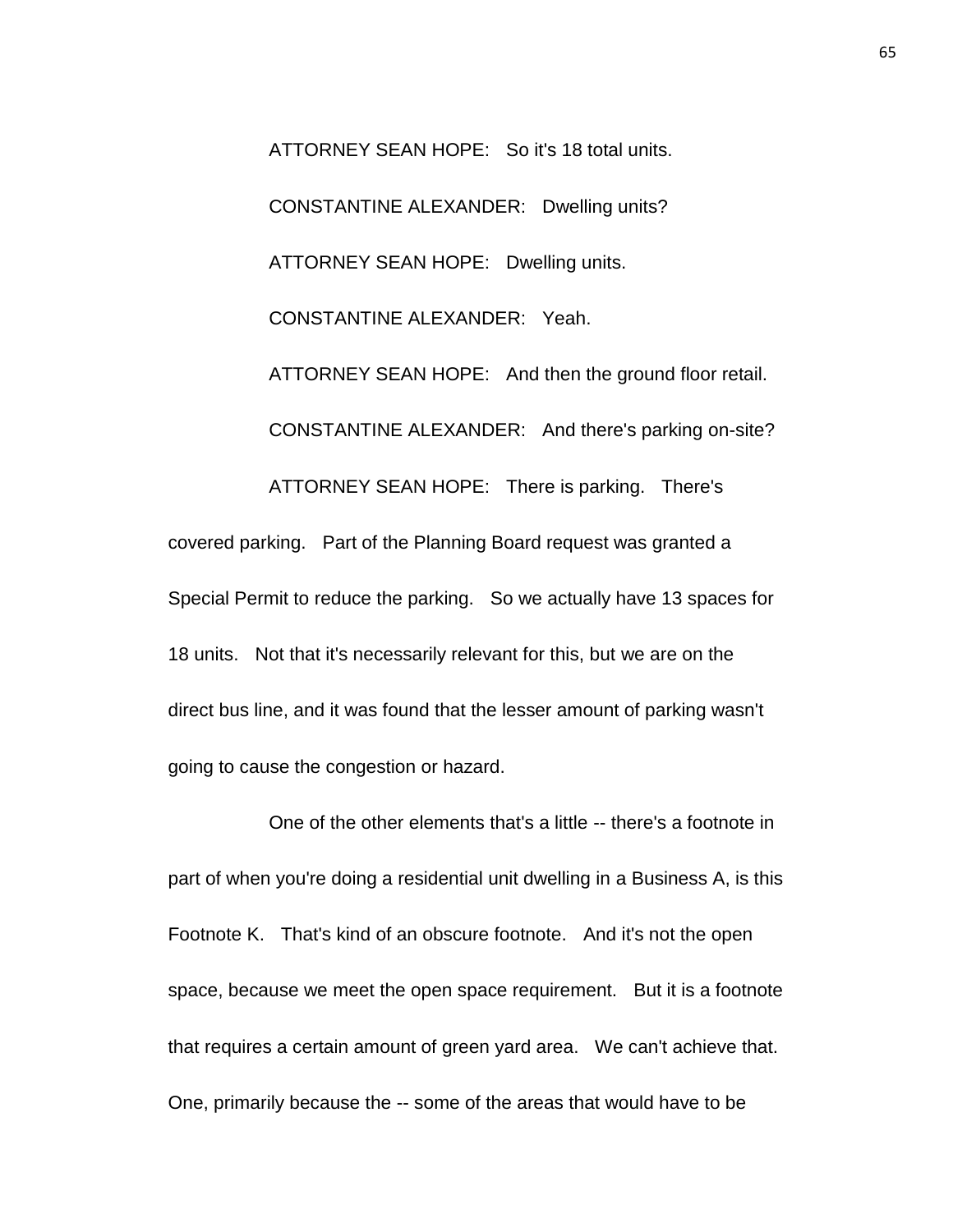ATTORNEY SEAN HOPE: So it's 18 total units. CONSTANTINE ALEXANDER: Dwelling units? ATTORNEY SEAN HOPE: Dwelling units. CONSTANTINE ALEXANDER: Yeah. ATTORNEY SEAN HOPE: And then the ground floor retail. CONSTANTINE ALEXANDER: And there's parking on-site? ATTORNEY SEAN HOPE: There is parking. There's covered parking. Part of the Planning Board request was granted a Special Permit to reduce the parking. So we actually have 13 spaces for 18 units. Not that it's necessarily relevant for this, but we are on the direct bus line, and it was found that the lesser amount of parking wasn't going to cause the congestion or hazard.

One of the other elements that's a little -- there's a footnote in part of when you're doing a residential unit dwelling in a Business A, is this Footnote K. That's kind of an obscure footnote. And it's not the open space, because we meet the open space requirement. But it is a footnote that requires a certain amount of green yard area. We can't achieve that. One, primarily because the -- some of the areas that would have to be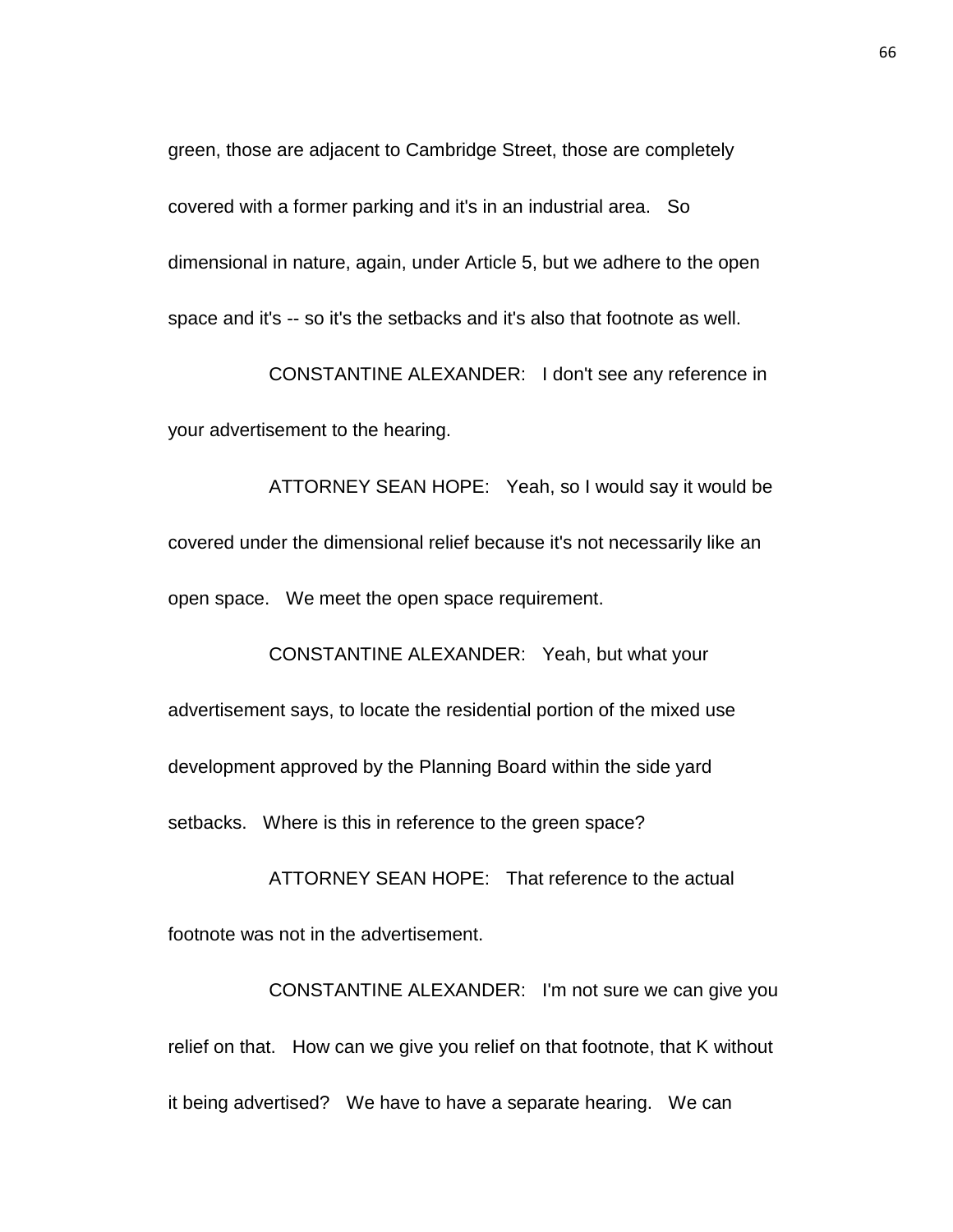green, those are adjacent to Cambridge Street, those are completely covered with a former parking and it's in an industrial area. So dimensional in nature, again, under Article 5, but we adhere to the open space and it's -- so it's the setbacks and it's also that footnote as well.

CONSTANTINE ALEXANDER: I don't see any reference in your advertisement to the hearing.

ATTORNEY SEAN HOPE: Yeah, so I would say it would be covered under the dimensional relief because it's not necessarily like an open space. We meet the open space requirement.

CONSTANTINE ALEXANDER: Yeah, but what your advertisement says, to locate the residential portion of the mixed use development approved by the Planning Board within the side yard setbacks. Where is this in reference to the green space?

ATTORNEY SEAN HOPE: That reference to the actual footnote was not in the advertisement.

CONSTANTINE ALEXANDER: I'm not sure we can give you relief on that. How can we give you relief on that footnote, that K without it being advertised? We have to have a separate hearing. We can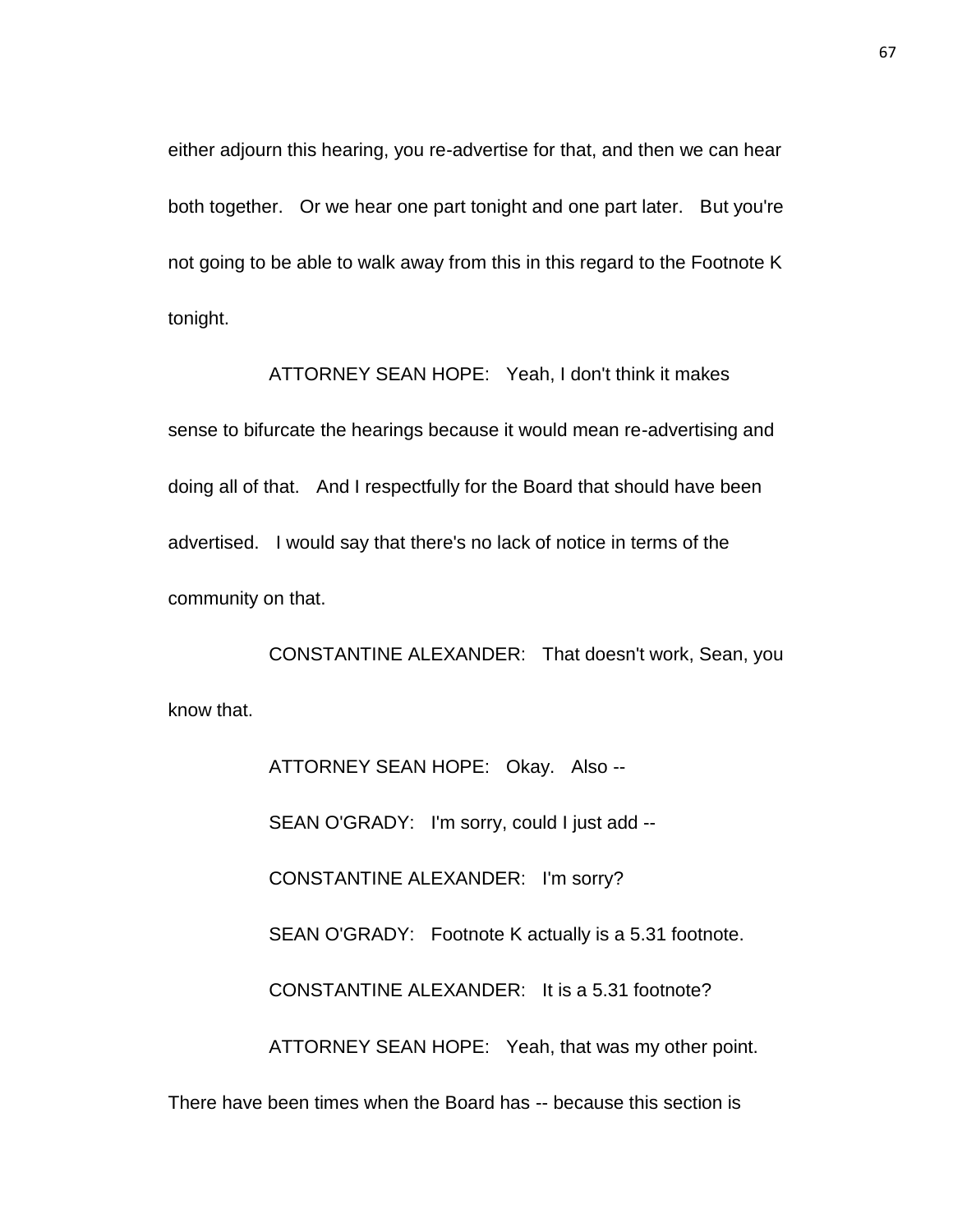either adjourn this hearing, you re-advertise for that, and then we can hear both together. Or we hear one part tonight and one part later. But you're not going to be able to walk away from this in this regard to the Footnote K tonight.

ATTORNEY SEAN HOPE: Yeah, I don't think it makes sense to bifurcate the hearings because it would mean re-advertising and doing all of that. And I respectfully for the Board that should have been advertised. I would say that there's no lack of notice in terms of the community on that.

CONSTANTINE ALEXANDER: That doesn't work, Sean, you know that.

> ATTORNEY SEAN HOPE: Okay. Also -- SEAN O'GRADY: I'm sorry, could I just add -- CONSTANTINE ALEXANDER: I'm sorry? SEAN O'GRADY: Footnote K actually is a 5.31 footnote. CONSTANTINE ALEXANDER: It is a 5.31 footnote? ATTORNEY SEAN HOPE: Yeah, that was my other point.

There have been times when the Board has -- because this section is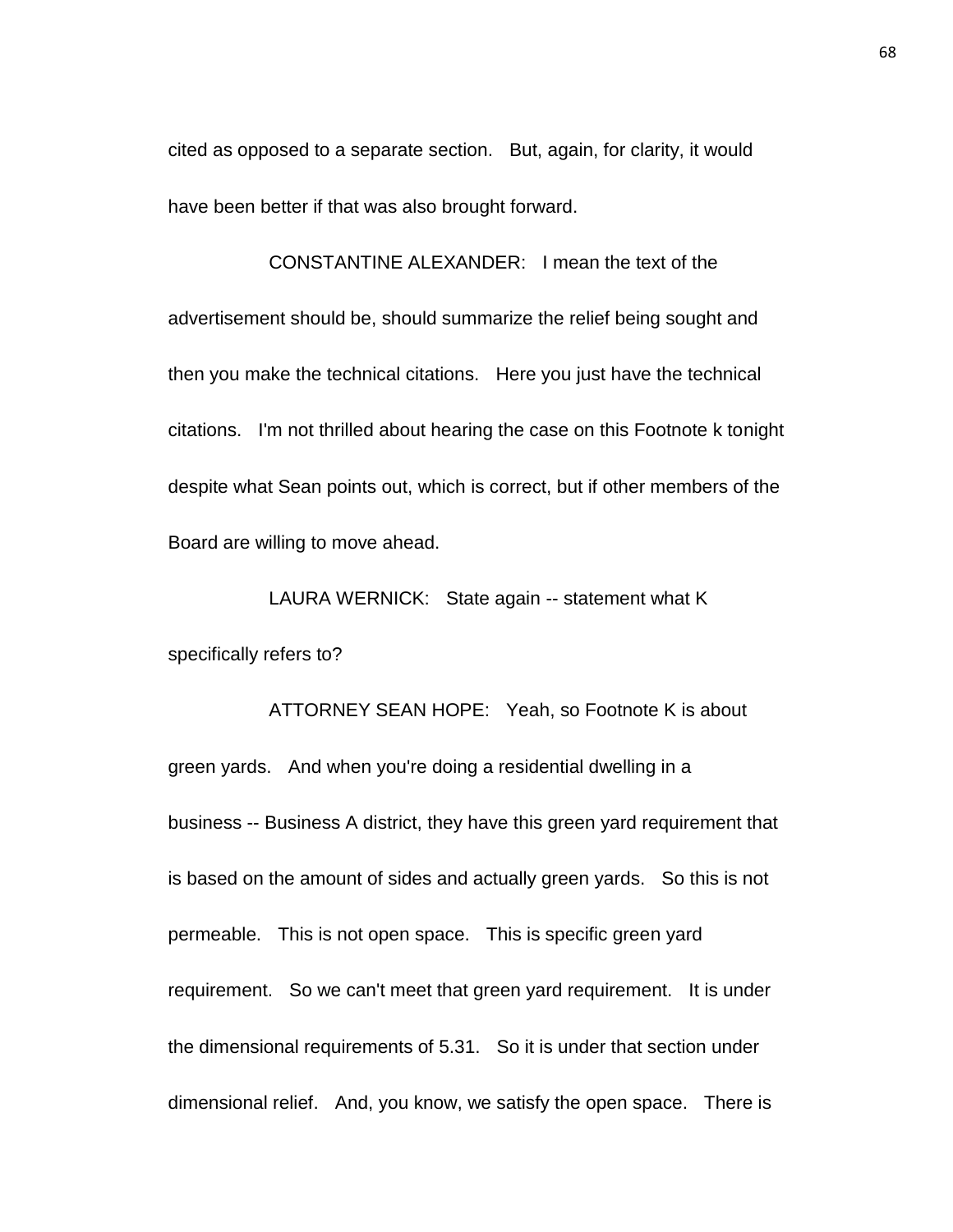cited as opposed to a separate section. But, again, for clarity, it would have been better if that was also brought forward.

CONSTANTINE ALEXANDER: I mean the text of the advertisement should be, should summarize the relief being sought and then you make the technical citations. Here you just have the technical citations. I'm not thrilled about hearing the case on this Footnote k tonight despite what Sean points out, which is correct, but if other members of the Board are willing to move ahead.

LAURA WERNICK: State again -- statement what K specifically refers to?

ATTORNEY SEAN HOPE: Yeah, so Footnote K is about green yards. And when you're doing a residential dwelling in a business -- Business A district, they have this green yard requirement that is based on the amount of sides and actually green yards. So this is not permeable. This is not open space. This is specific green yard requirement. So we can't meet that green yard requirement. It is under the dimensional requirements of 5.31. So it is under that section under dimensional relief. And, you know, we satisfy the open space. There is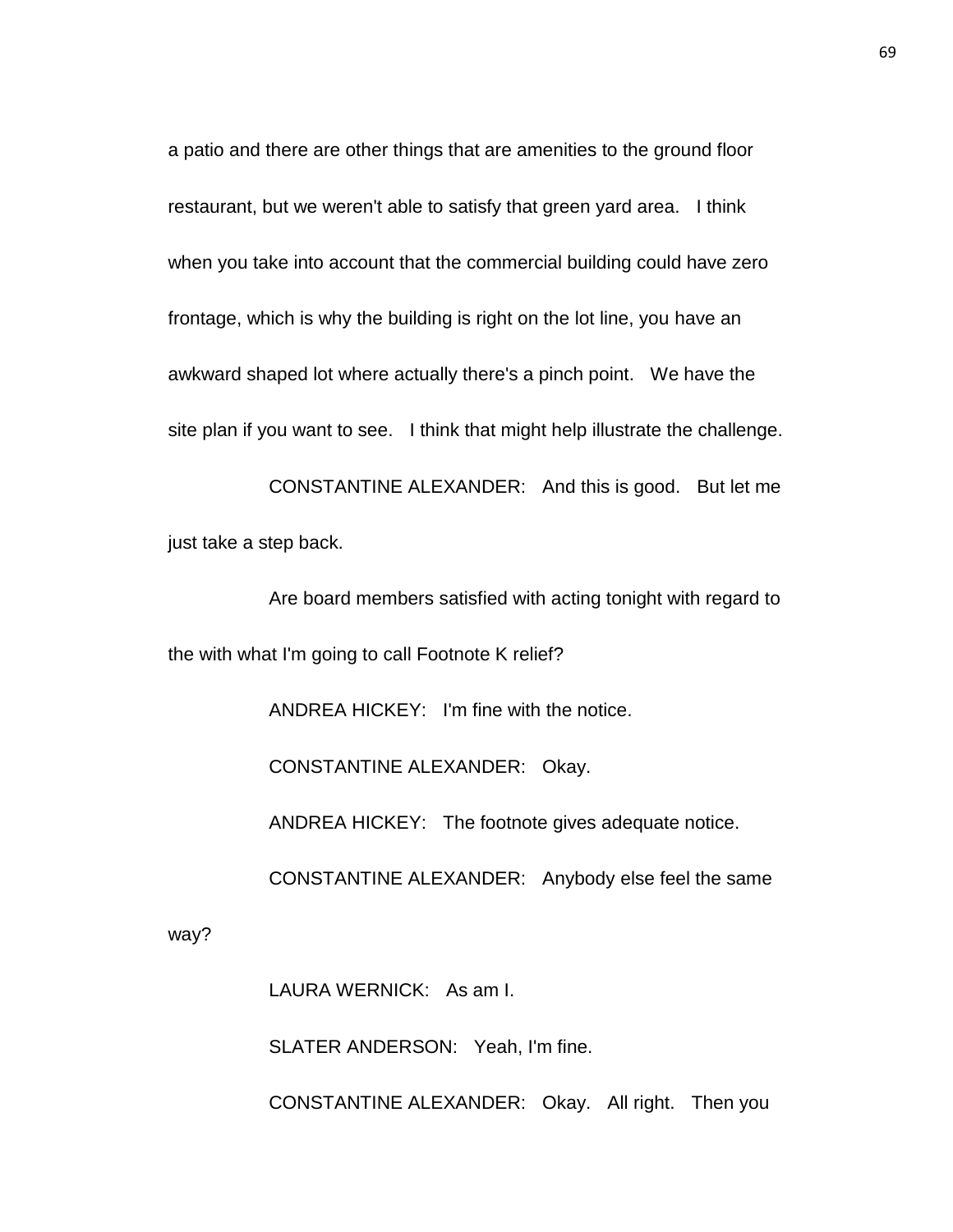a patio and there are other things that are amenities to the ground floor restaurant, but we weren't able to satisfy that green yard area. I think when you take into account that the commercial building could have zero frontage, which is why the building is right on the lot line, you have an awkward shaped lot where actually there's a pinch point. We have the site plan if you want to see. I think that might help illustrate the challenge.

CONSTANTINE ALEXANDER: And this is good. But let me just take a step back.

Are board members satisfied with acting tonight with regard to the with what I'm going to call Footnote K relief?

ANDREA HICKEY: I'm fine with the notice.

CONSTANTINE ALEXANDER: Okay.

ANDREA HICKEY: The footnote gives adequate notice.

CONSTANTINE ALEXANDER: Anybody else feel the same

way?

LAURA WERNICK: As am I.

SLATER ANDERSON: Yeah, I'm fine.

CONSTANTINE ALEXANDER: Okay. All right. Then you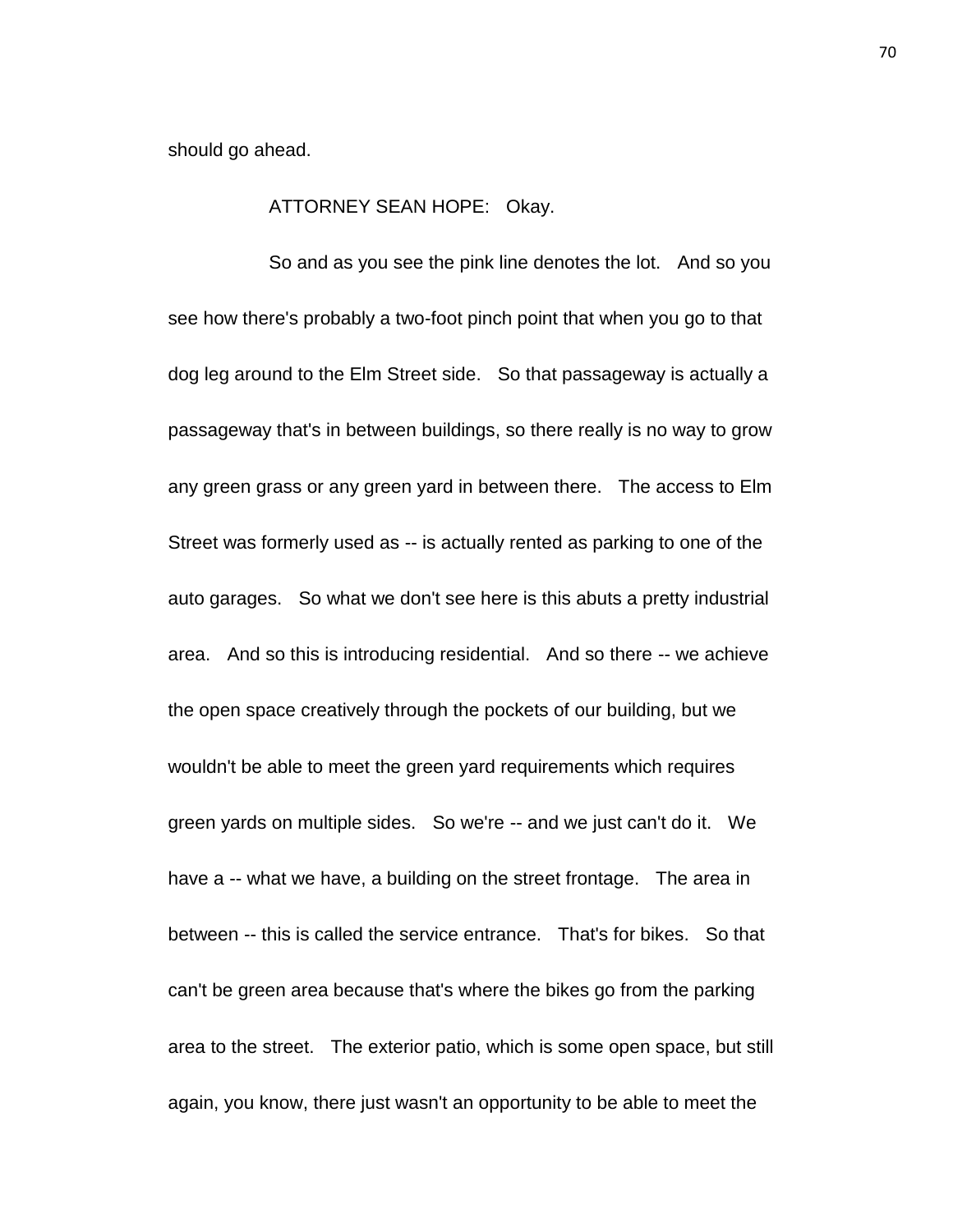should go ahead.

## ATTORNEY SEAN HOPE: Okay.

So and as you see the pink line denotes the lot. And so you see how there's probably a two-foot pinch point that when you go to that dog leg around to the Elm Street side. So that passageway is actually a passageway that's in between buildings, so there really is no way to grow any green grass or any green yard in between there. The access to Elm Street was formerly used as -- is actually rented as parking to one of the auto garages. So what we don't see here is this abuts a pretty industrial area. And so this is introducing residential. And so there -- we achieve the open space creatively through the pockets of our building, but we wouldn't be able to meet the green yard requirements which requires green yards on multiple sides. So we're -- and we just can't do it. We have a -- what we have, a building on the street frontage. The area in between -- this is called the service entrance. That's for bikes. So that can't be green area because that's where the bikes go from the parking area to the street. The exterior patio, which is some open space, but still again, you know, there just wasn't an opportunity to be able to meet the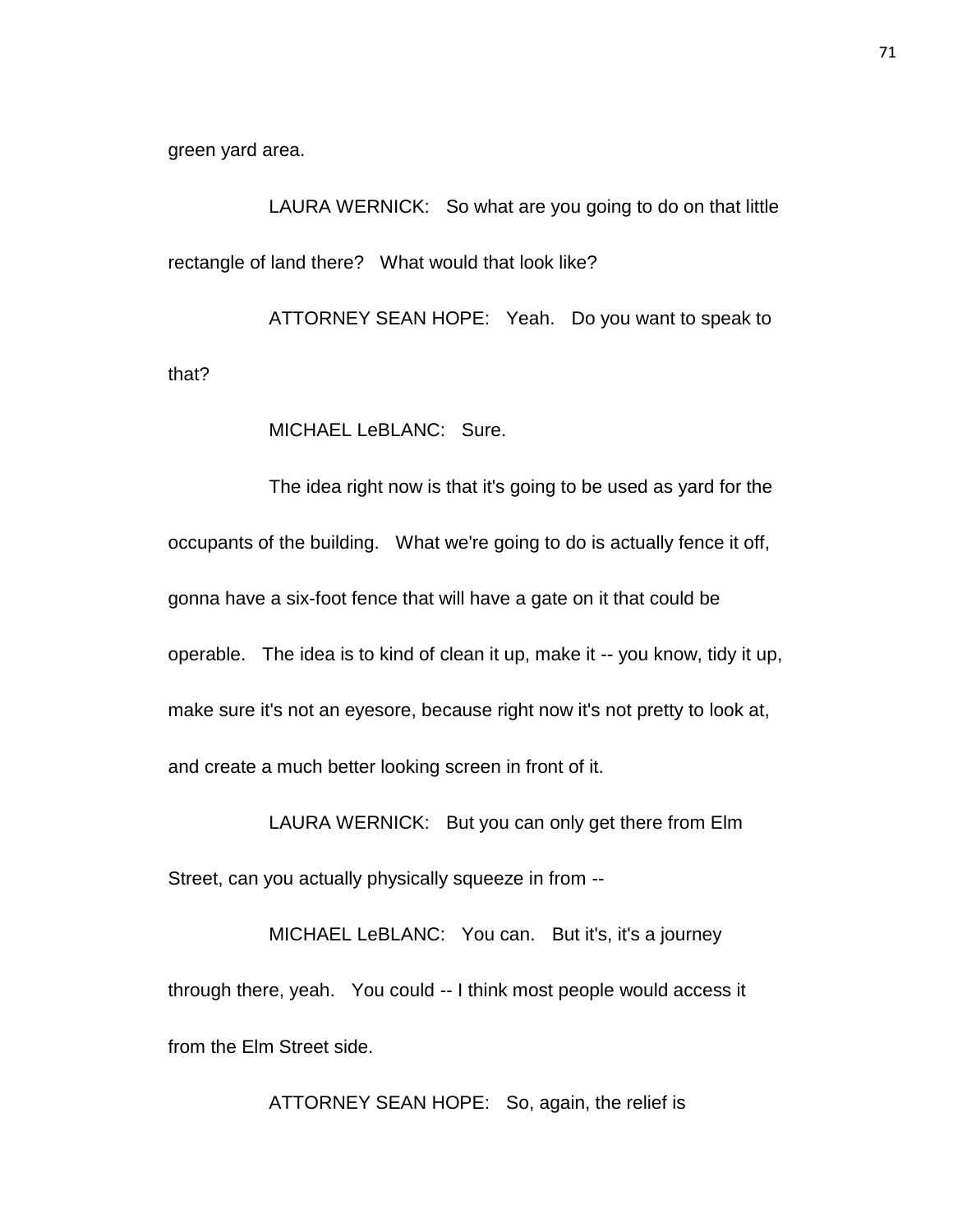green yard area.

LAURA WERNICK: So what are you going to do on that little rectangle of land there? What would that look like?

ATTORNEY SEAN HOPE: Yeah. Do you want to speak to that?

MICHAEL LeBLANC: Sure.

The idea right now is that it's going to be used as yard for the occupants of the building. What we're going to do is actually fence it off, gonna have a six-foot fence that will have a gate on it that could be operable. The idea is to kind of clean it up, make it -- you know, tidy it up, make sure it's not an eyesore, because right now it's not pretty to look at, and create a much better looking screen in front of it.

LAURA WERNICK: But you can only get there from Elm

Street, can you actually physically squeeze in from --

MICHAEL LeBLANC: You can. But it's, it's a journey through there, yeah. You could -- I think most people would access it from the Elm Street side.

ATTORNEY SEAN HOPE: So, again, the relief is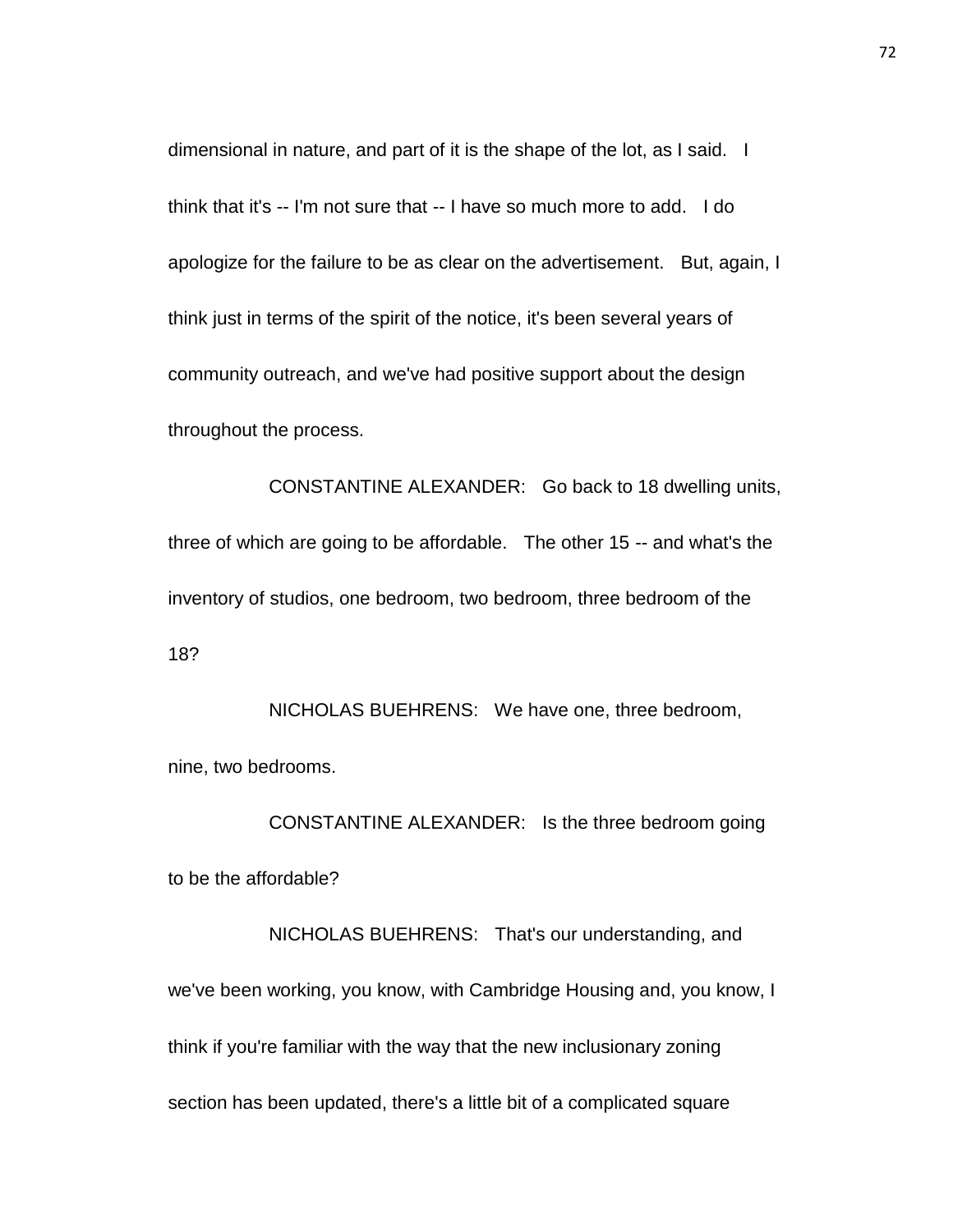dimensional in nature, and part of it is the shape of the lot, as I said. I think that it's -- I'm not sure that -- I have so much more to add. I do apologize for the failure to be as clear on the advertisement. But, again, I think just in terms of the spirit of the notice, it's been several years of community outreach, and we've had positive support about the design throughout the process.

CONSTANTINE ALEXANDER: Go back to 18 dwelling units, three of which are going to be affordable. The other 15 -- and what's the inventory of studios, one bedroom, two bedroom, three bedroom of the 18?

NICHOLAS BUEHRENS: We have one, three bedroom, nine, two bedrooms.

CONSTANTINE ALEXANDER: Is the three bedroom going to be the affordable?

NICHOLAS BUEHRENS: That's our understanding, and we've been working, you know, with Cambridge Housing and, you know, I think if you're familiar with the way that the new inclusionary zoning section has been updated, there's a little bit of a complicated square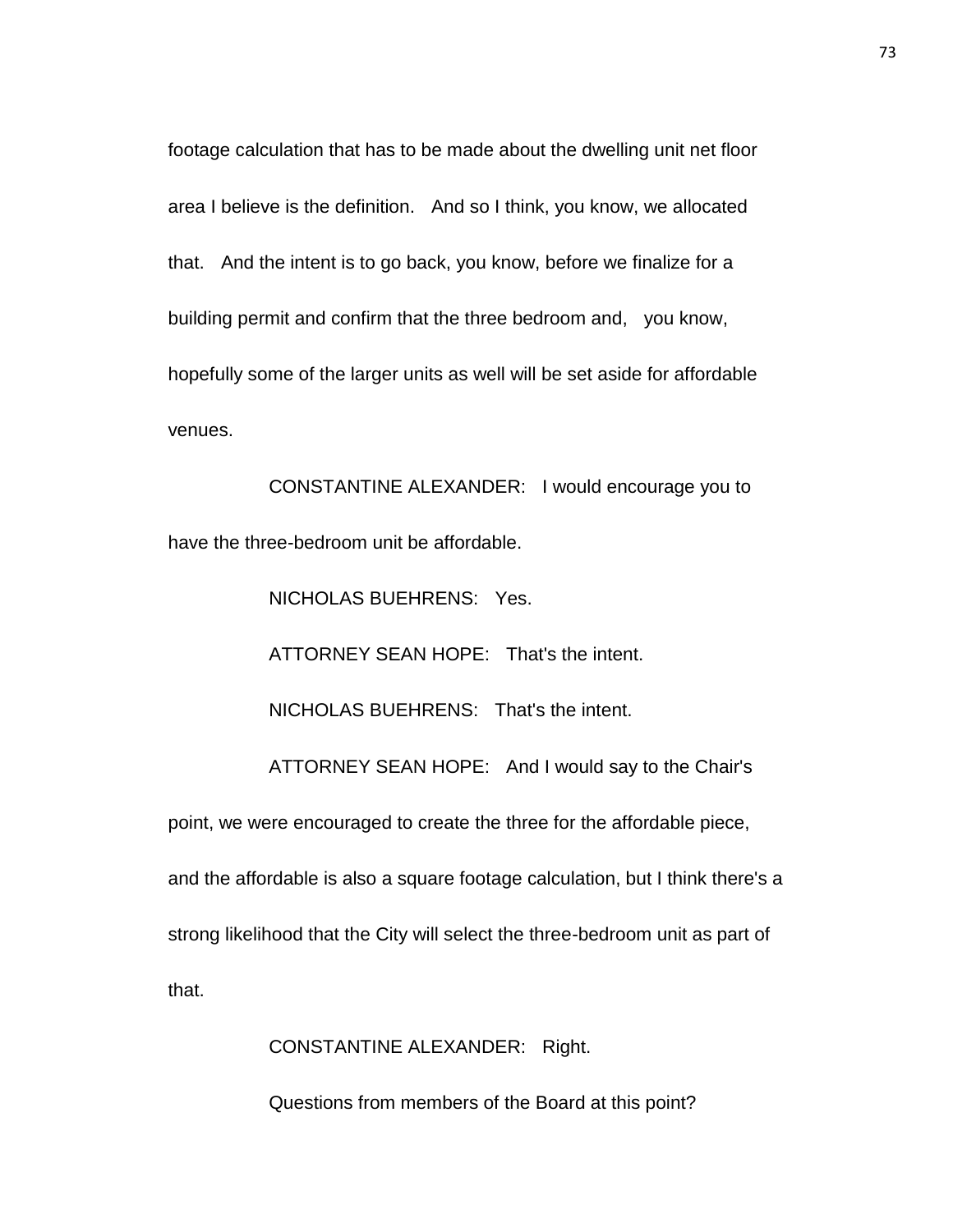footage calculation that has to be made about the dwelling unit net floor area I believe is the definition. And so I think, you know, we allocated that. And the intent is to go back, you know, before we finalize for a building permit and confirm that the three bedroom and, you know, hopefully some of the larger units as well will be set aside for affordable venues.

CONSTANTINE ALEXANDER: I would encourage you to have the three-bedroom unit be affordable.

NICHOLAS BUEHRENS: Yes.

ATTORNEY SEAN HOPE: That's the intent.

NICHOLAS BUEHRENS: That's the intent.

ATTORNEY SEAN HOPE: And I would say to the Chair's

point, we were encouraged to create the three for the affordable piece, and the affordable is also a square footage calculation, but I think there's a strong likelihood that the City will select the three-bedroom unit as part of that.

CONSTANTINE ALEXANDER: Right.

Questions from members of the Board at this point?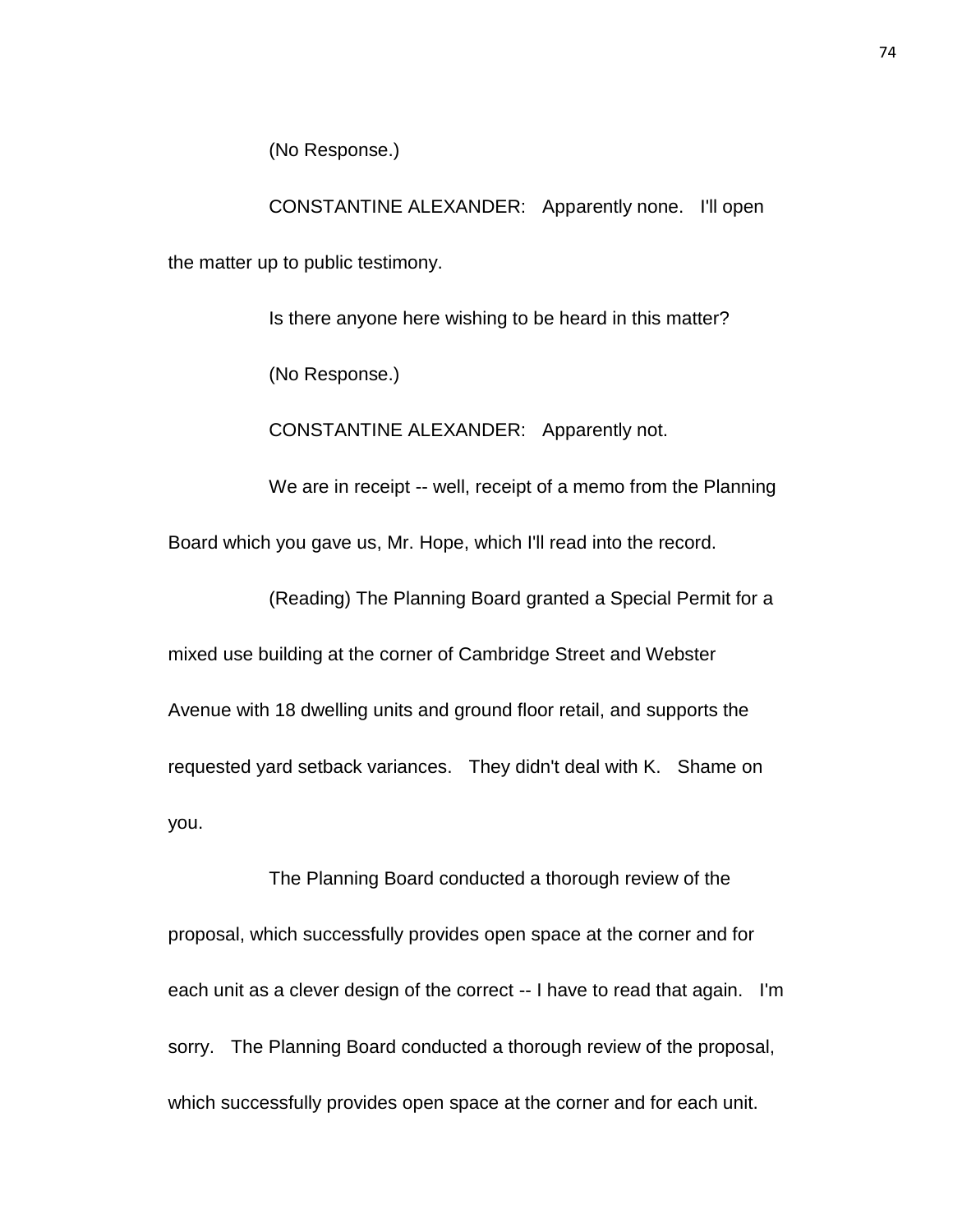(No Response.)

CONSTANTINE ALEXANDER: Apparently none. I'll open the matter up to public testimony.

Is there anyone here wishing to be heard in this matter?

(No Response.)

CONSTANTINE ALEXANDER: Apparently not.

We are in receipt -- well, receipt of a memo from the Planning

Board which you gave us, Mr. Hope, which I'll read into the record.

(Reading) The Planning Board granted a Special Permit for a

mixed use building at the corner of Cambridge Street and Webster

Avenue with 18 dwelling units and ground floor retail, and supports the requested yard setback variances. They didn't deal with K. Shame on you.

The Planning Board conducted a thorough review of the proposal, which successfully provides open space at the corner and for each unit as a clever design of the correct -- I have to read that again. I'm sorry. The Planning Board conducted a thorough review of the proposal, which successfully provides open space at the corner and for each unit.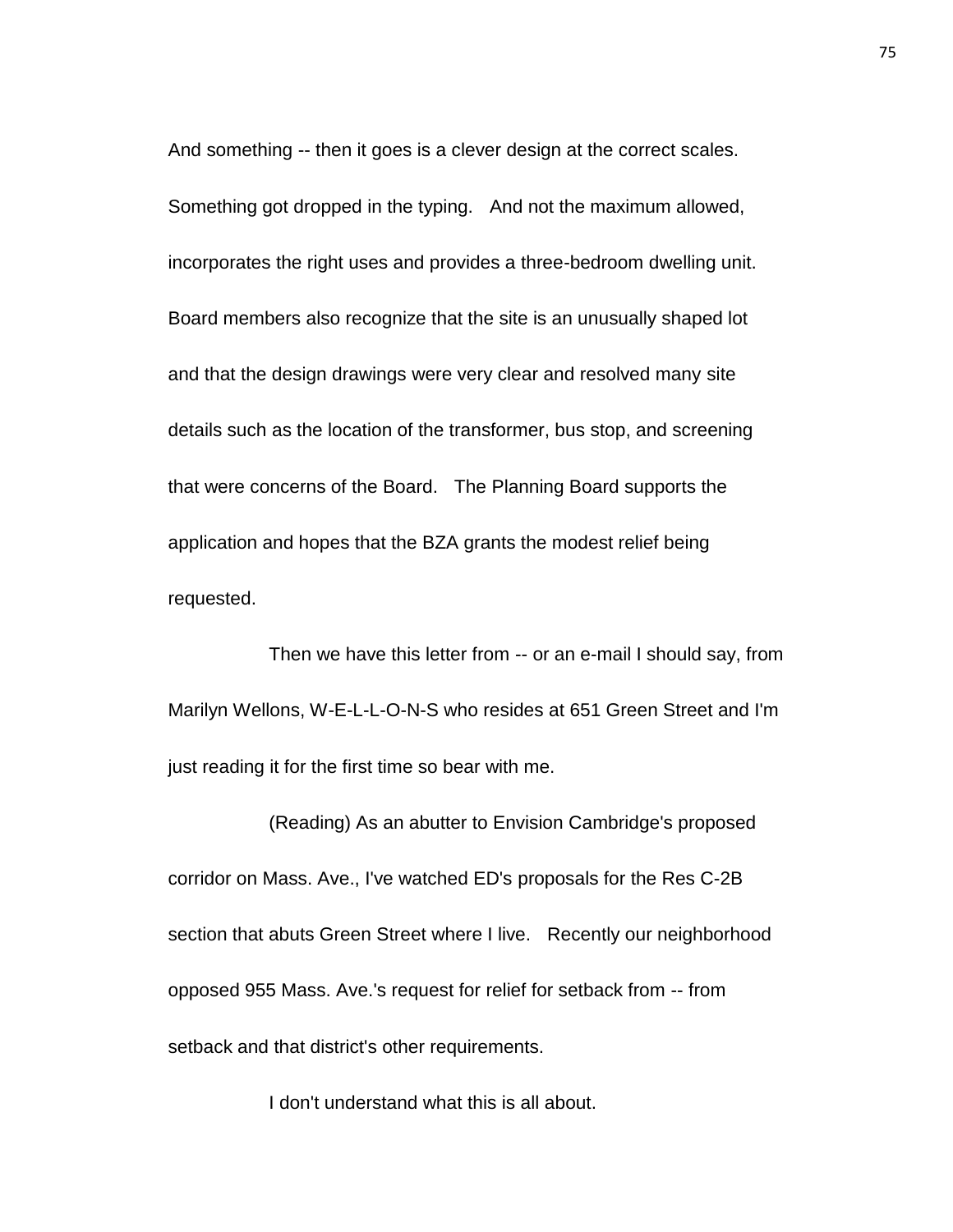And something -- then it goes is a clever design at the correct scales. Something got dropped in the typing. And not the maximum allowed, incorporates the right uses and provides a three-bedroom dwelling unit. Board members also recognize that the site is an unusually shaped lot and that the design drawings were very clear and resolved many site details such as the location of the transformer, bus stop, and screening that were concerns of the Board. The Planning Board supports the application and hopes that the BZA grants the modest relief being requested.

Then we have this letter from -- or an e-mail I should say, from Marilyn Wellons, W-E-L-L-O-N-S who resides at 651 Green Street and I'm just reading it for the first time so bear with me.

(Reading) As an abutter to Envision Cambridge's proposed corridor on Mass. Ave., I've watched ED's proposals for the Res C-2B section that abuts Green Street where I live. Recently our neighborhood opposed 955 Mass. Ave.'s request for relief for setback from -- from setback and that district's other requirements.

I don't understand what this is all about.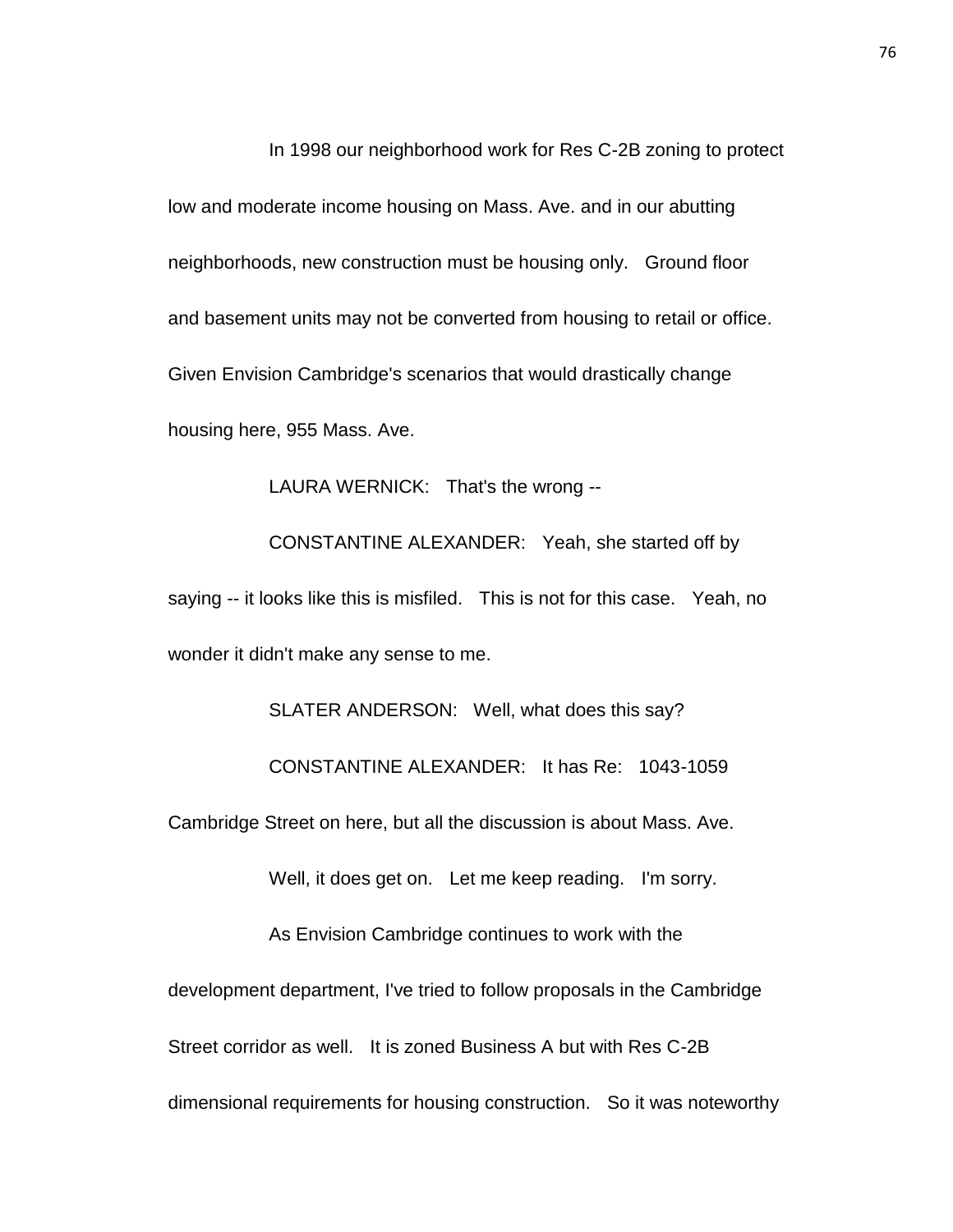In 1998 our neighborhood work for Res C-2B zoning to protect low and moderate income housing on Mass. Ave. and in our abutting neighborhoods, new construction must be housing only. Ground floor and basement units may not be converted from housing to retail or office. Given Envision Cambridge's scenarios that would drastically change housing here, 955 Mass. Ave.

LAURA WERNICK: That's the wrong --

CONSTANTINE ALEXANDER: Yeah, she started off by saying -- it looks like this is misfiled. This is not for this case. Yeah, no wonder it didn't make any sense to me.

SLATER ANDERSON: Well, what does this say? CONSTANTINE ALEXANDER: It has Re: 1043-1059 Cambridge Street on here, but all the discussion is about Mass. Ave. Well, it does get on. Let me keep reading. I'm sorry. As Envision Cambridge continues to work with the development department, I've tried to follow proposals in the Cambridge Street corridor as well. It is zoned Business A but with Res C-2B dimensional requirements for housing construction. So it was noteworthy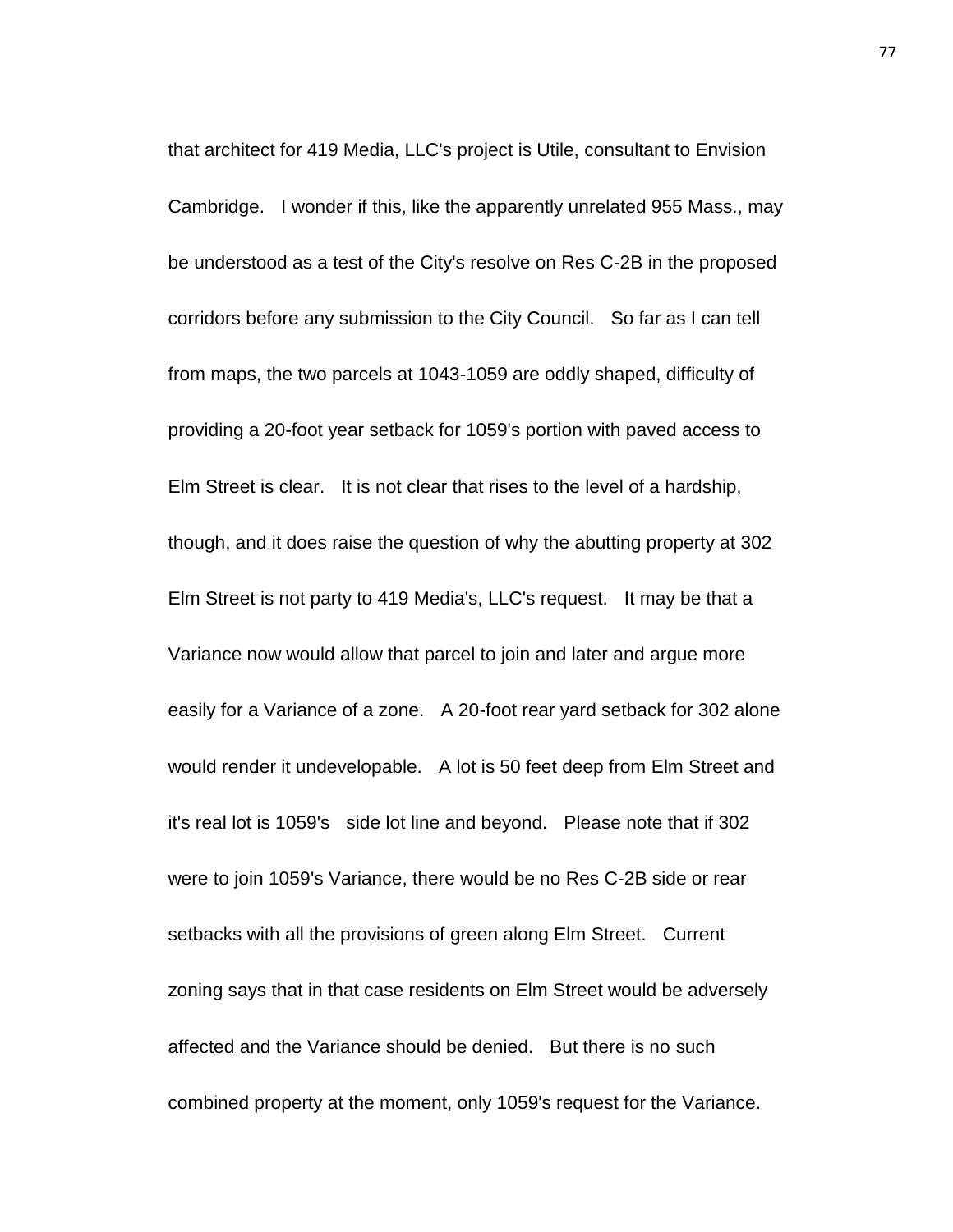that architect for 419 Media, LLC's project is Utile, consultant to Envision Cambridge. I wonder if this, like the apparently unrelated 955 Mass., may be understood as a test of the City's resolve on Res C-2B in the proposed corridors before any submission to the City Council. So far as I can tell from maps, the two parcels at 1043-1059 are oddly shaped, difficulty of providing a 20-foot year setback for 1059's portion with paved access to Elm Street is clear. It is not clear that rises to the level of a hardship, though, and it does raise the question of why the abutting property at 302 Elm Street is not party to 419 Media's, LLC's request. It may be that a Variance now would allow that parcel to join and later and argue more easily for a Variance of a zone. A 20-foot rear yard setback for 302 alone would render it undevelopable. A lot is 50 feet deep from Elm Street and it's real lot is 1059's side lot line and beyond. Please note that if 302 were to join 1059's Variance, there would be no Res C-2B side or rear setbacks with all the provisions of green along Elm Street. Current zoning says that in that case residents on Elm Street would be adversely affected and the Variance should be denied. But there is no such combined property at the moment, only 1059's request for the Variance.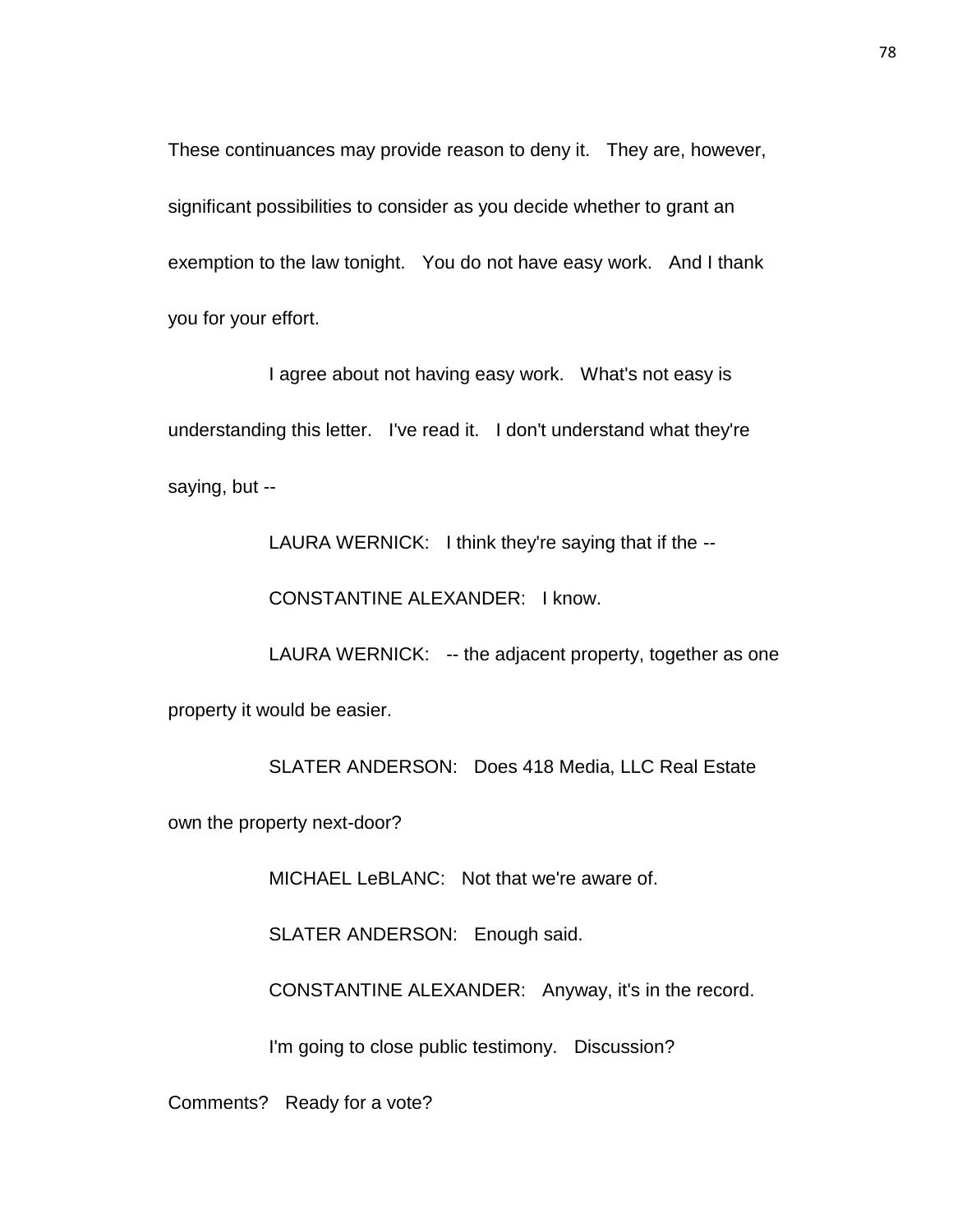These continuances may provide reason to deny it. They are, however, significant possibilities to consider as you decide whether to grant an exemption to the law tonight. You do not have easy work. And I thank you for your effort.

I agree about not having easy work. What's not easy is understanding this letter. I've read it. I don't understand what they're saying, but --

LAURA WERNICK: I think they're saying that if the --

CONSTANTINE ALEXANDER: I know.

LAURA WERNICK: -- the adjacent property, together as one property it would be easier.

SLATER ANDERSON: Does 418 Media, LLC Real Estate

own the property next-door?

MICHAEL LeBLANC: Not that we're aware of.

SLATER ANDERSON: Enough said.

CONSTANTINE ALEXANDER: Anyway, it's in the record.

I'm going to close public testimony. Discussion?

Comments? Ready for a vote?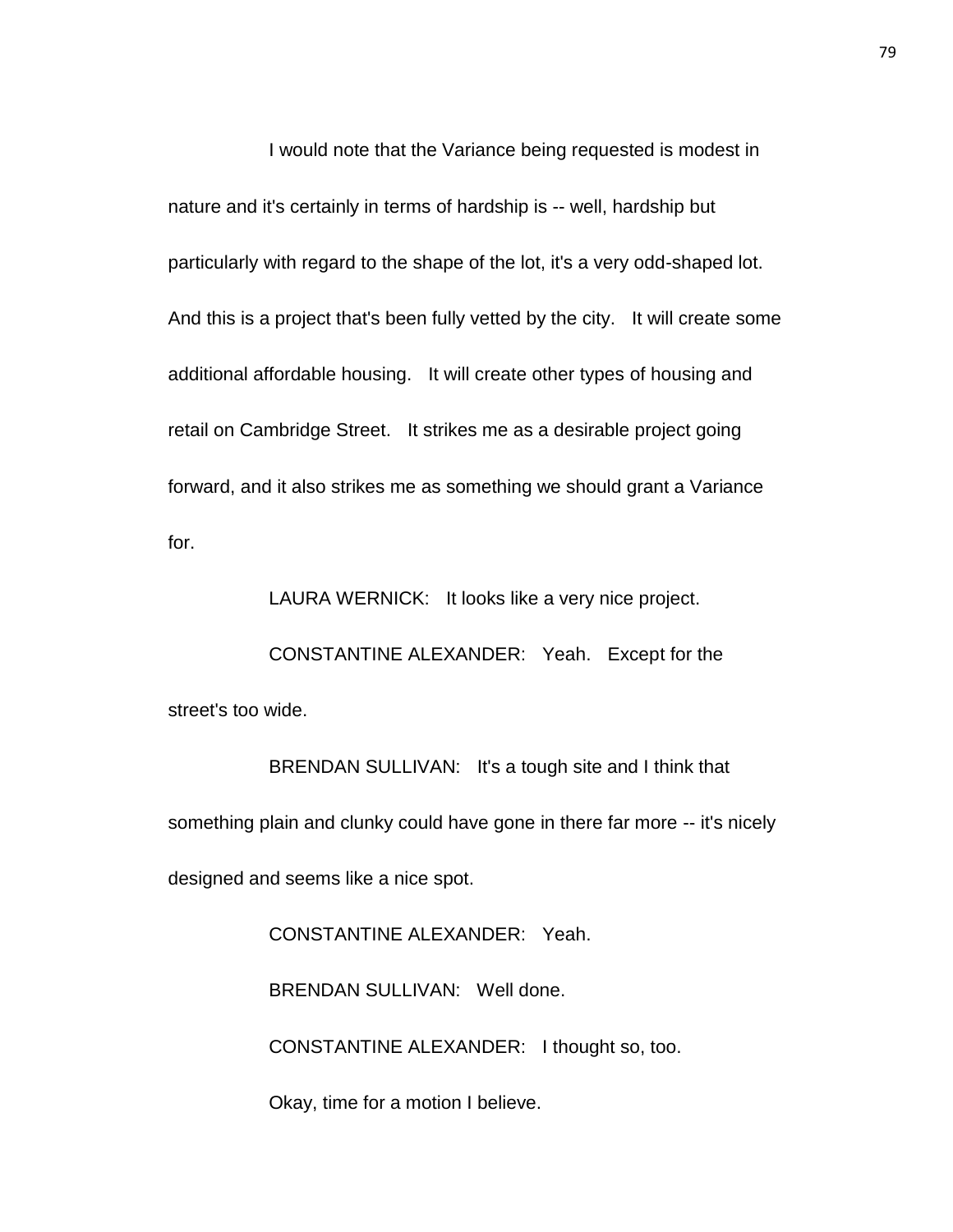I would note that the Variance being requested is modest in nature and it's certainly in terms of hardship is -- well, hardship but particularly with regard to the shape of the lot, it's a very odd-shaped lot. And this is a project that's been fully vetted by the city. It will create some additional affordable housing. It will create other types of housing and retail on Cambridge Street. It strikes me as a desirable project going forward, and it also strikes me as something we should grant a Variance for.

LAURA WERNICK: It looks like a very nice project.

CONSTANTINE ALEXANDER: Yeah. Except for the street's too wide.

BRENDAN SULLIVAN: It's a tough site and I think that something plain and clunky could have gone in there far more -- it's nicely designed and seems like a nice spot.

> CONSTANTINE ALEXANDER: Yeah. BRENDAN SULLIVAN: Well done. CONSTANTINE ALEXANDER: I thought so, too.

Okay, time for a motion I believe.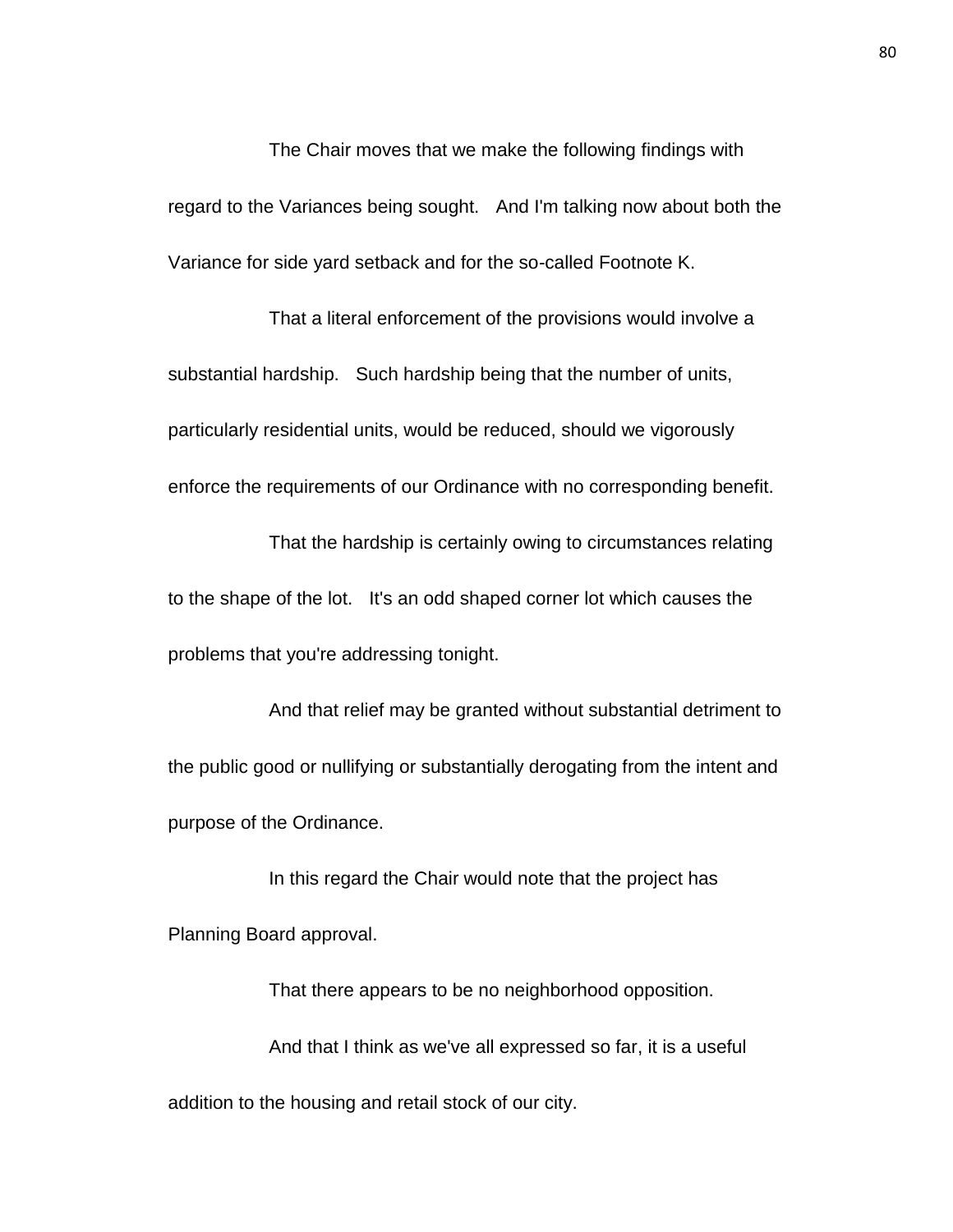The Chair moves that we make the following findings with regard to the Variances being sought. And I'm talking now about both the Variance for side yard setback and for the so-called Footnote K.

That a literal enforcement of the provisions would involve a substantial hardship. Such hardship being that the number of units, particularly residential units, would be reduced, should we vigorously enforce the requirements of our Ordinance with no corresponding benefit.

That the hardship is certainly owing to circumstances relating to the shape of the lot. It's an odd shaped corner lot which causes the problems that you're addressing tonight.

And that relief may be granted without substantial detriment to the public good or nullifying or substantially derogating from the intent and purpose of the Ordinance.

In this regard the Chair would note that the project has Planning Board approval.

That there appears to be no neighborhood opposition. And that I think as we've all expressed so far, it is a useful addition to the housing and retail stock of our city.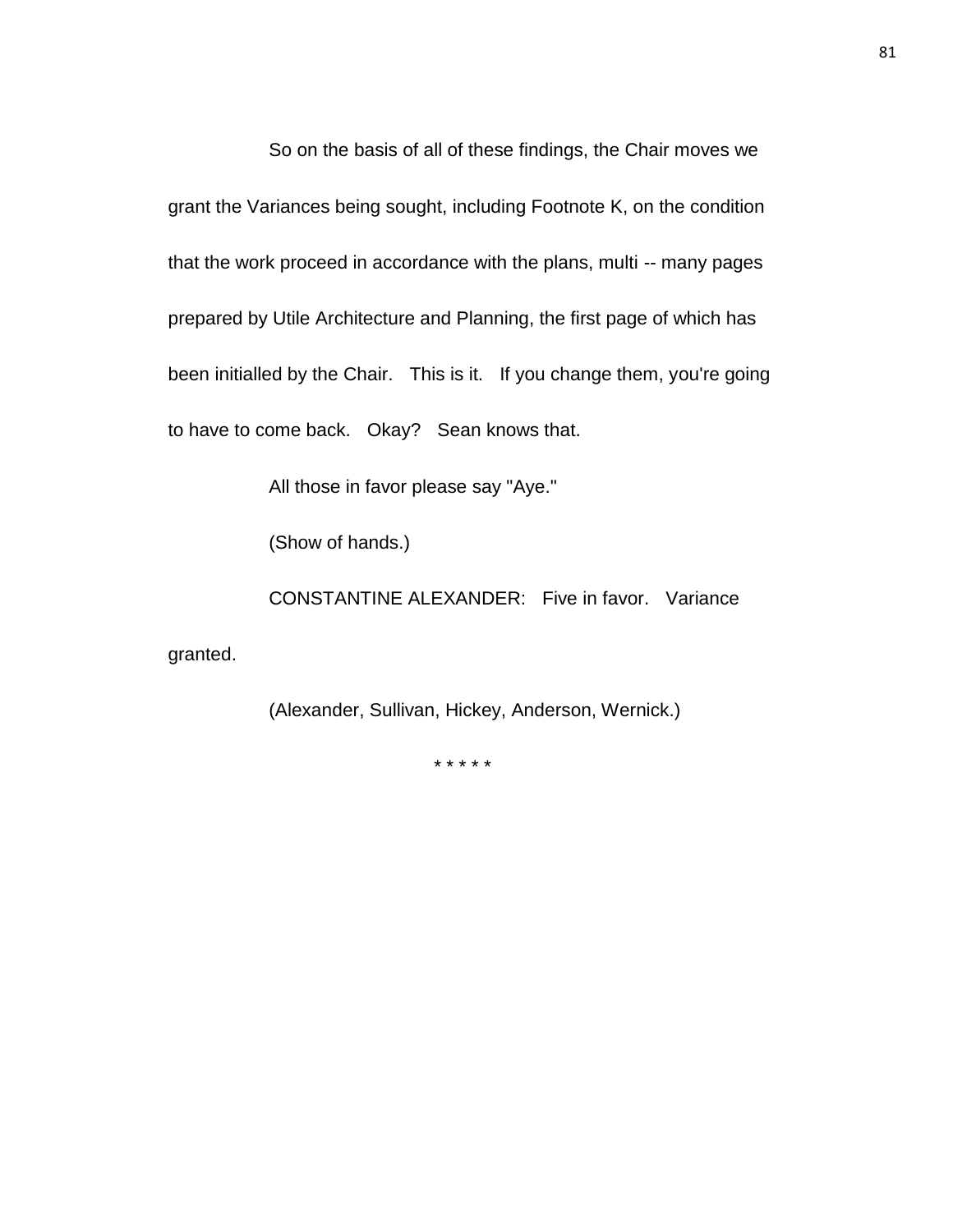So on the basis of all of these findings, the Chair moves we grant the Variances being sought, including Footnote K, on the condition that the work proceed in accordance with the plans, multi -- many pages prepared by Utile Architecture and Planning, the first page of which has been initialled by the Chair. This is it. If you change them, you're going to have to come back. Okay? Sean knows that.

All those in favor please say "Aye."

(Show of hands.)

CONSTANTINE ALEXANDER: Five in favor. Variance granted.

(Alexander, Sullivan, Hickey, Anderson, Wernick.)

\* \* \* \* \*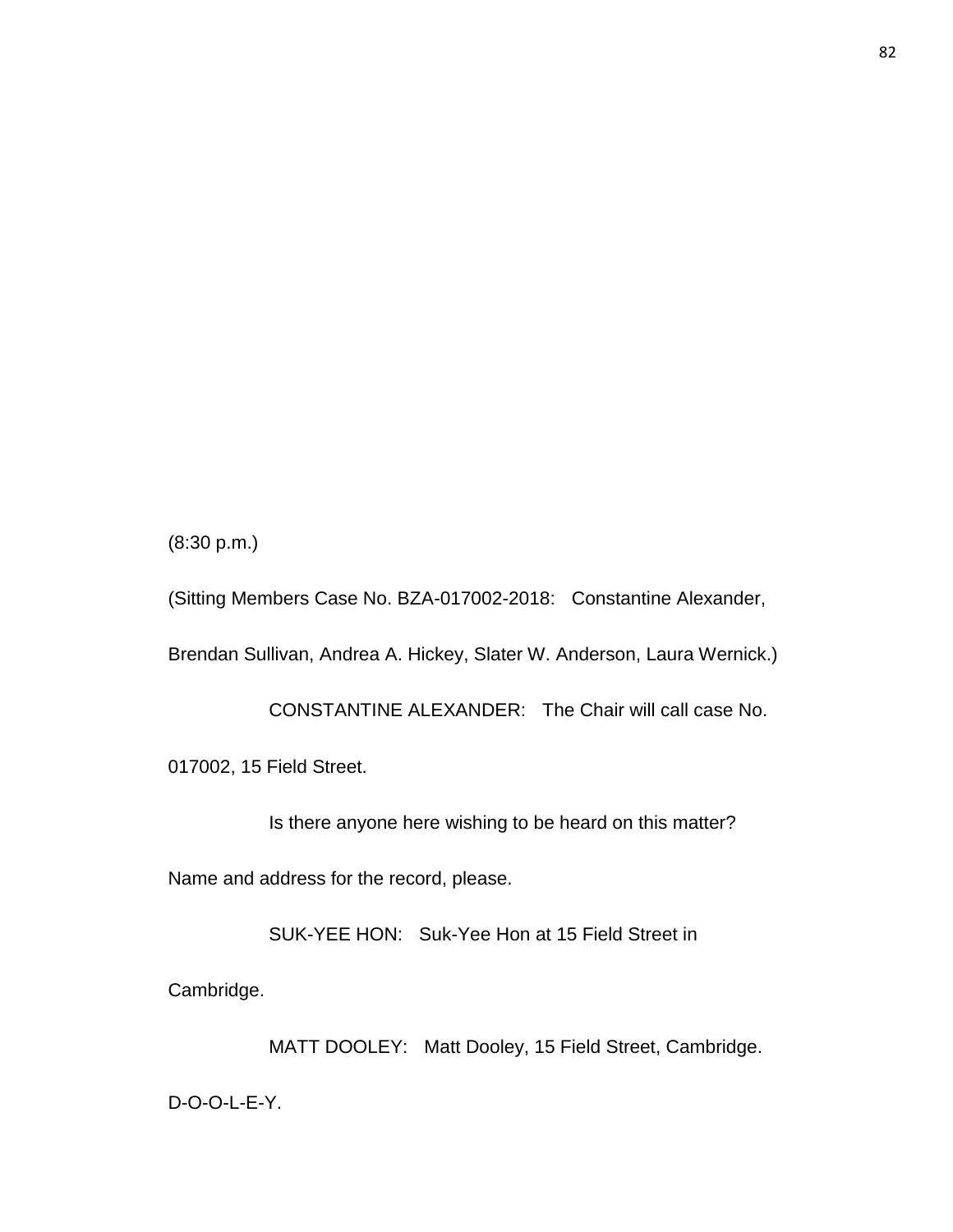(8:30 p.m.)

(Sitting Members Case No. BZA-017002-2018: Constantine Alexander, Brendan Sullivan, Andrea A. Hickey, Slater W. Anderson, Laura Wernick.)

CONSTANTINE ALEXANDER: The Chair will call case No.

017002, 15 Field Street.

Is there anyone here wishing to be heard on this matter?

Name and address for the record, please.

SUK-YEE HON: Suk-Yee Hon at 15 Field Street in

Cambridge.

MATT DOOLEY: Matt Dooley, 15 Field Street, Cambridge.

D-O-O-L-E-Y.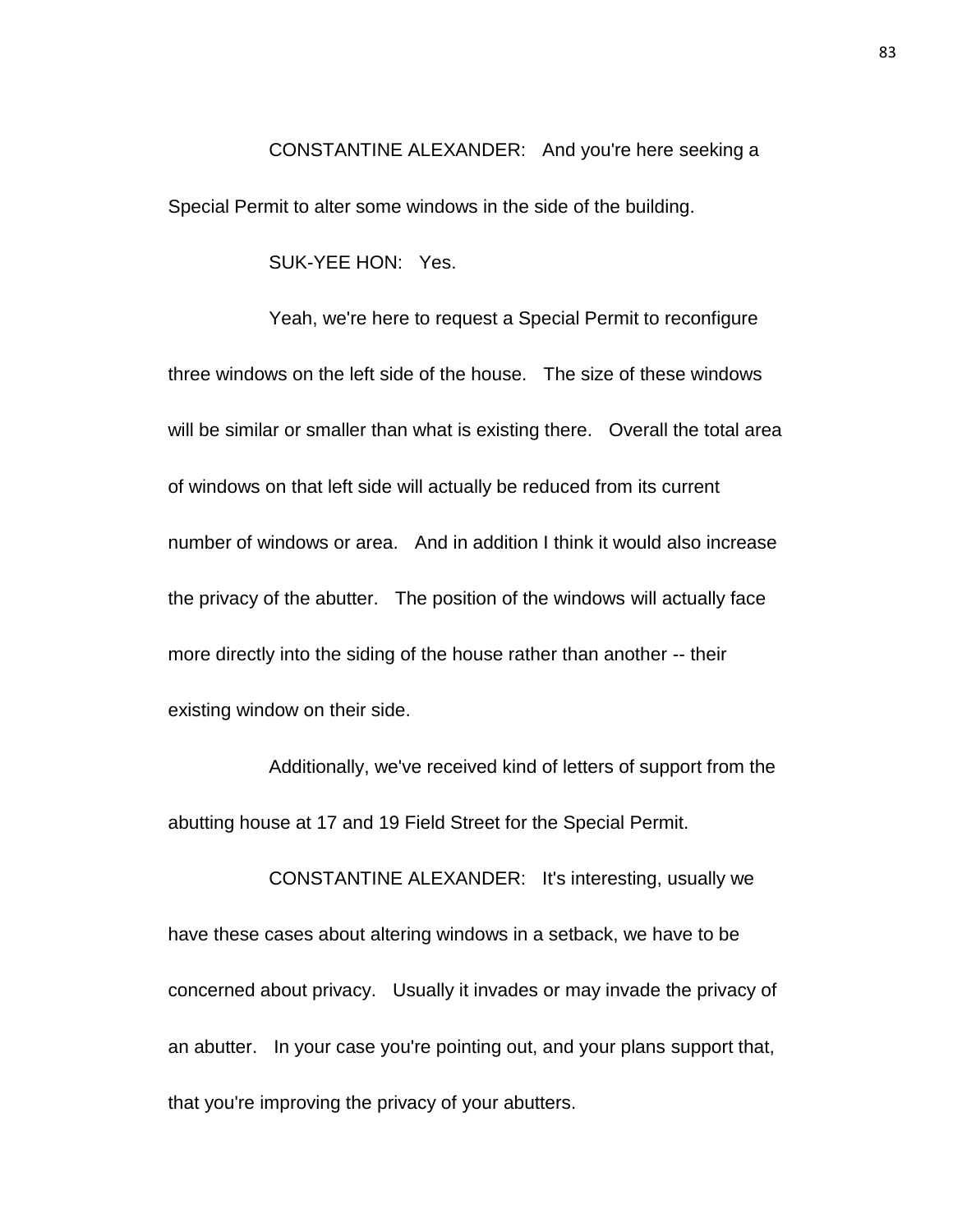## CONSTANTINE ALEXANDER: And you're here seeking a

Special Permit to alter some windows in the side of the building.

SUK-YEE HON: Yes.

Yeah, we're here to request a Special Permit to reconfigure three windows on the left side of the house. The size of these windows will be similar or smaller than what is existing there. Overall the total area of windows on that left side will actually be reduced from its current number of windows or area. And in addition I think it would also increase the privacy of the abutter. The position of the windows will actually face more directly into the siding of the house rather than another -- their existing window on their side.

Additionally, we've received kind of letters of support from the abutting house at 17 and 19 Field Street for the Special Permit.

CONSTANTINE ALEXANDER: It's interesting, usually we have these cases about altering windows in a setback, we have to be concerned about privacy. Usually it invades or may invade the privacy of an abutter. In your case you're pointing out, and your plans support that, that you're improving the privacy of your abutters.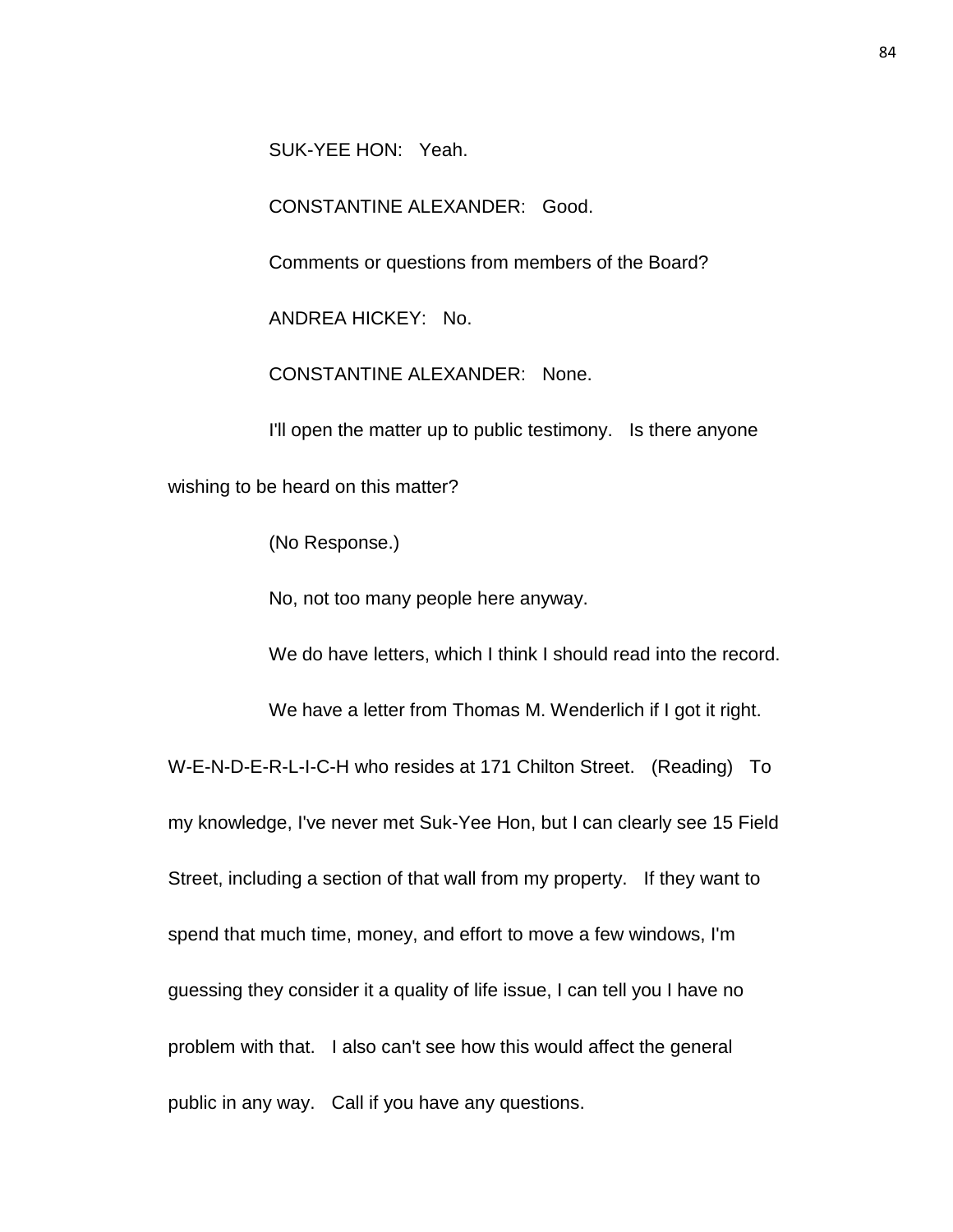SUK-YEE HON: Yeah.

CONSTANTINE ALEXANDER: Good.

Comments or questions from members of the Board?

ANDREA HICKEY: No.

CONSTANTINE ALEXANDER: None.

I'll open the matter up to public testimony. Is there anyone

wishing to be heard on this matter?

(No Response.)

No, not too many people here anyway.

We do have letters, which I think I should read into the record.

We have a letter from Thomas M. Wenderlich if I got it right.

W-E-N-D-E-R-L-I-C-H who resides at 171 Chilton Street. (Reading) To my knowledge, I've never met Suk-Yee Hon, but I can clearly see 15 Field Street, including a section of that wall from my property. If they want to spend that much time, money, and effort to move a few windows, I'm guessing they consider it a quality of life issue, I can tell you I have no problem with that. I also can't see how this would affect the general public in any way. Call if you have any questions.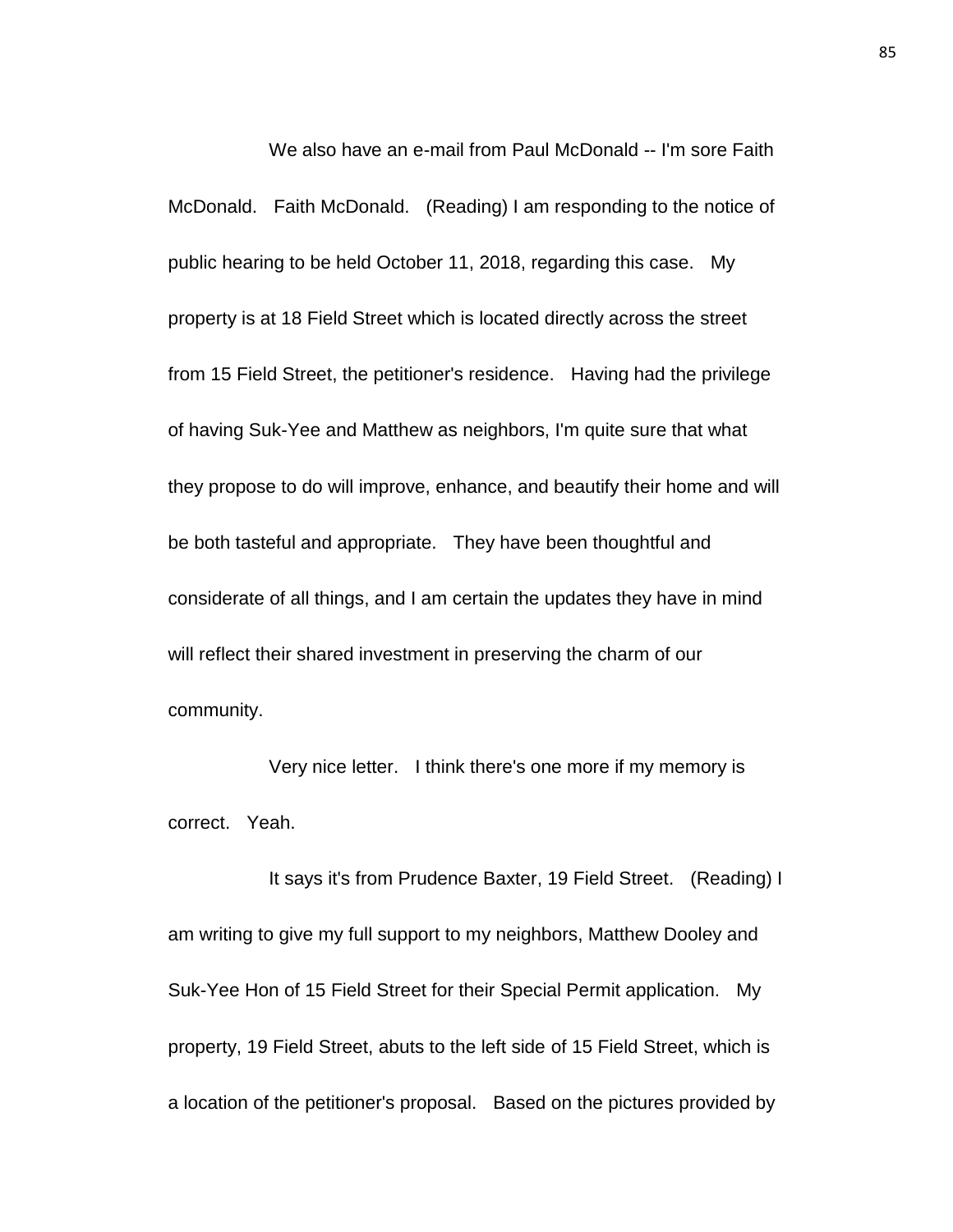We also have an e-mail from Paul McDonald -- I'm sore Faith McDonald. Faith McDonald. (Reading) I am responding to the notice of public hearing to be held October 11, 2018, regarding this case. My property is at 18 Field Street which is located directly across the street from 15 Field Street, the petitioner's residence. Having had the privilege of having Suk-Yee and Matthew as neighbors, I'm quite sure that what they propose to do will improve, enhance, and beautify their home and will be both tasteful and appropriate. They have been thoughtful and considerate of all things, and I am certain the updates they have in mind will reflect their shared investment in preserving the charm of our community.

Very nice letter. I think there's one more if my memory is correct. Yeah.

It says it's from Prudence Baxter, 19 Field Street. (Reading) I am writing to give my full support to my neighbors, Matthew Dooley and Suk-Yee Hon of 15 Field Street for their Special Permit application. My property, 19 Field Street, abuts to the left side of 15 Field Street, which is a location of the petitioner's proposal. Based on the pictures provided by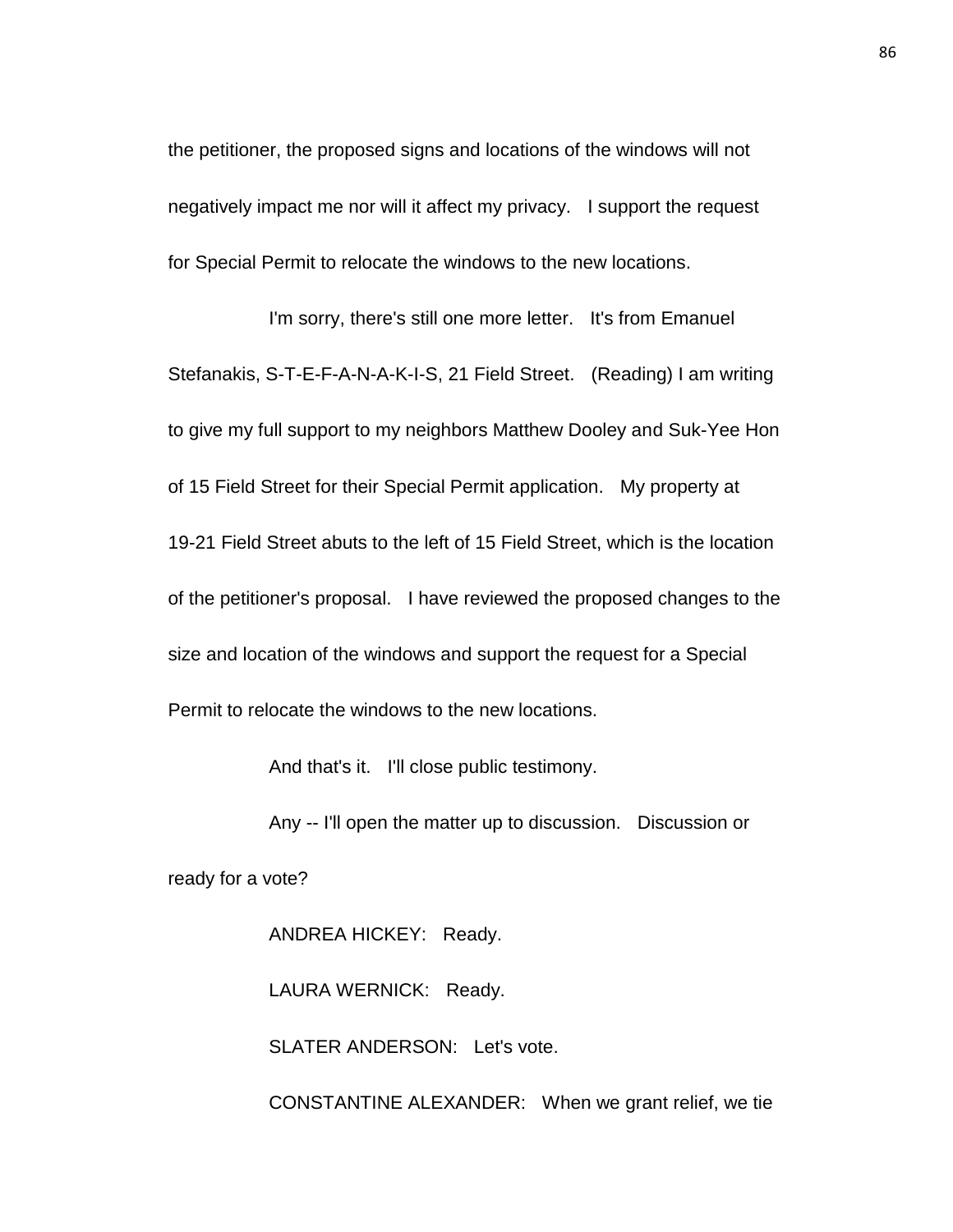the petitioner, the proposed signs and locations of the windows will not negatively impact me nor will it affect my privacy. I support the request for Special Permit to relocate the windows to the new locations.

I'm sorry, there's still one more letter. It's from Emanuel Stefanakis, S-T-E-F-A-N-A-K-I-S, 21 Field Street. (Reading) I am writing to give my full support to my neighbors Matthew Dooley and Suk-Yee Hon of 15 Field Street for their Special Permit application. My property at 19-21 Field Street abuts to the left of 15 Field Street, which is the location of the petitioner's proposal. I have reviewed the proposed changes to the size and location of the windows and support the request for a Special Permit to relocate the windows to the new locations.

And that's it. I'll close public testimony.

Any -- I'll open the matter up to discussion. Discussion or ready for a vote?

ANDREA HICKEY: Ready.

LAURA WERNICK: Ready.

SLATER ANDERSON: Let's vote.

CONSTANTINE ALEXANDER: When we grant relief, we tie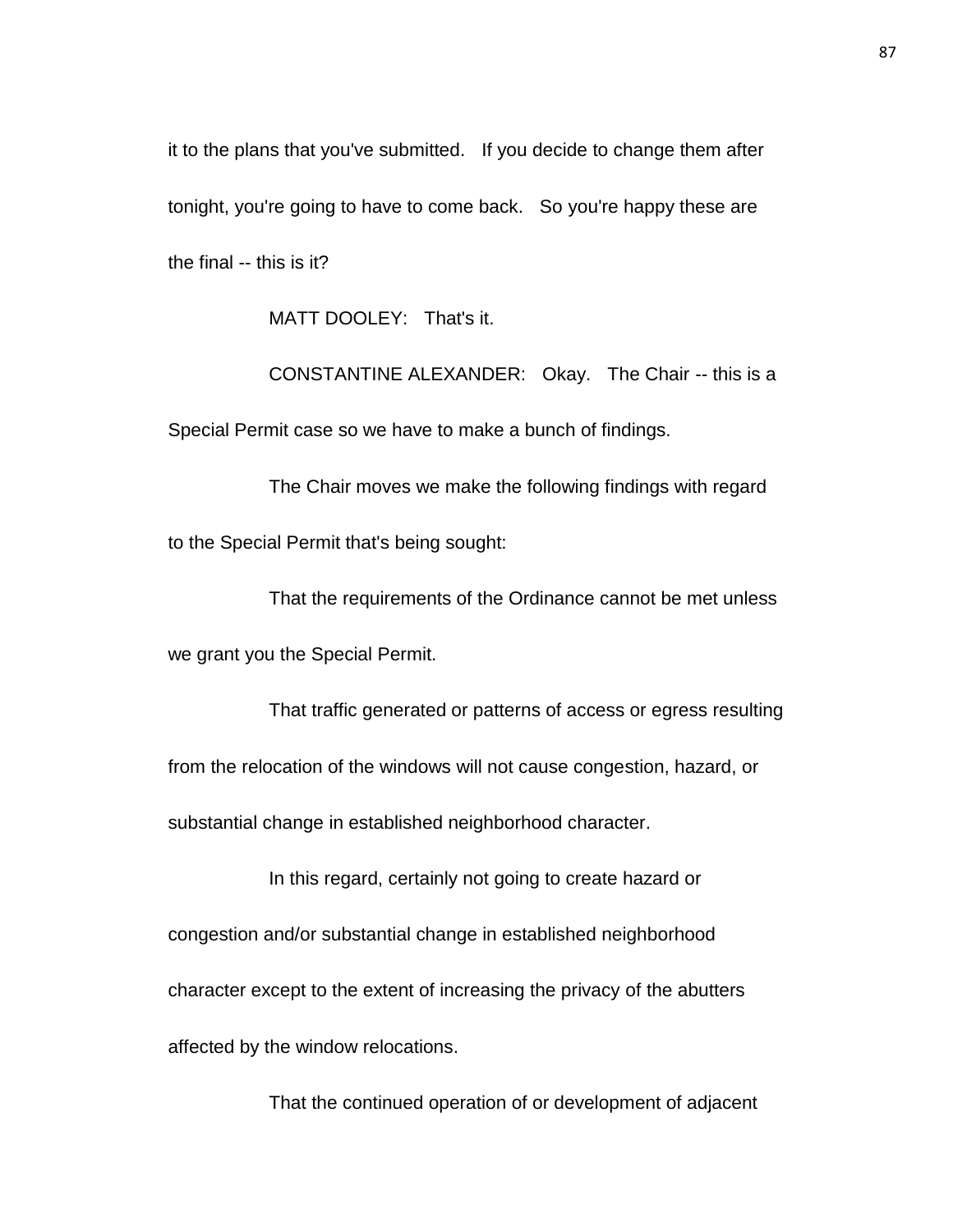it to the plans that you've submitted. If you decide to change them after tonight, you're going to have to come back. So you're happy these are the final -- this is it?

MATT DOOLEY: That's it.

CONSTANTINE ALEXANDER: Okay. The Chair -- this is a Special Permit case so we have to make a bunch of findings.

The Chair moves we make the following findings with regard to the Special Permit that's being sought:

That the requirements of the Ordinance cannot be met unless we grant you the Special Permit.

That traffic generated or patterns of access or egress resulting from the relocation of the windows will not cause congestion, hazard, or substantial change in established neighborhood character.

In this regard, certainly not going to create hazard or congestion and/or substantial change in established neighborhood character except to the extent of increasing the privacy of the abutters affected by the window relocations.

That the continued operation of or development of adjacent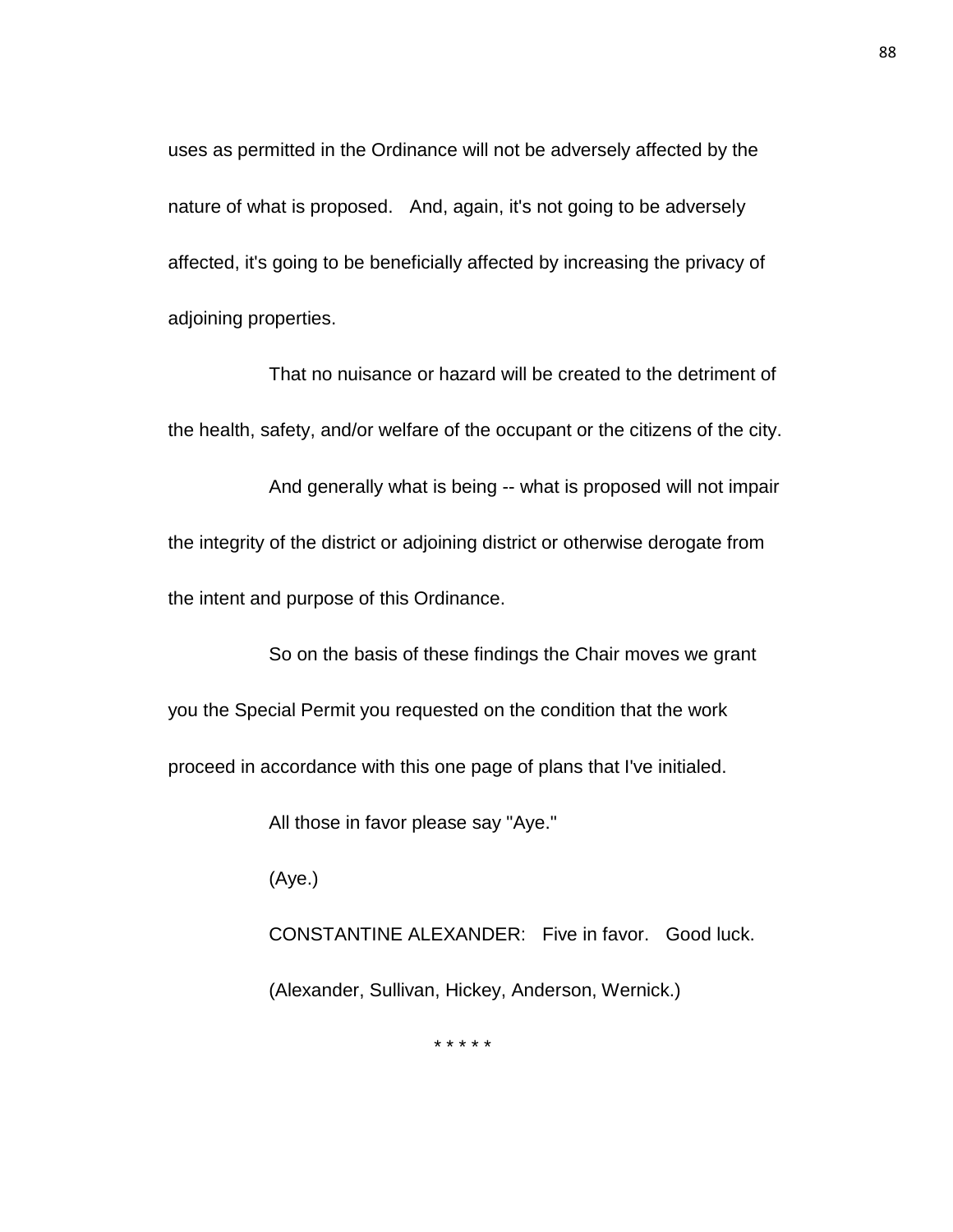uses as permitted in the Ordinance will not be adversely affected by the nature of what is proposed. And, again, it's not going to be adversely affected, it's going to be beneficially affected by increasing the privacy of adjoining properties.

That no nuisance or hazard will be created to the detriment of the health, safety, and/or welfare of the occupant or the citizens of the city.

And generally what is being -- what is proposed will not impair the integrity of the district or adjoining district or otherwise derogate from the intent and purpose of this Ordinance.

So on the basis of these findings the Chair moves we grant you the Special Permit you requested on the condition that the work proceed in accordance with this one page of plans that I've initialed.

All those in favor please say "Aye."

(Aye.)

CONSTANTINE ALEXANDER: Five in favor. Good luck. (Alexander, Sullivan, Hickey, Anderson, Wernick.)

\* \* \* \* \*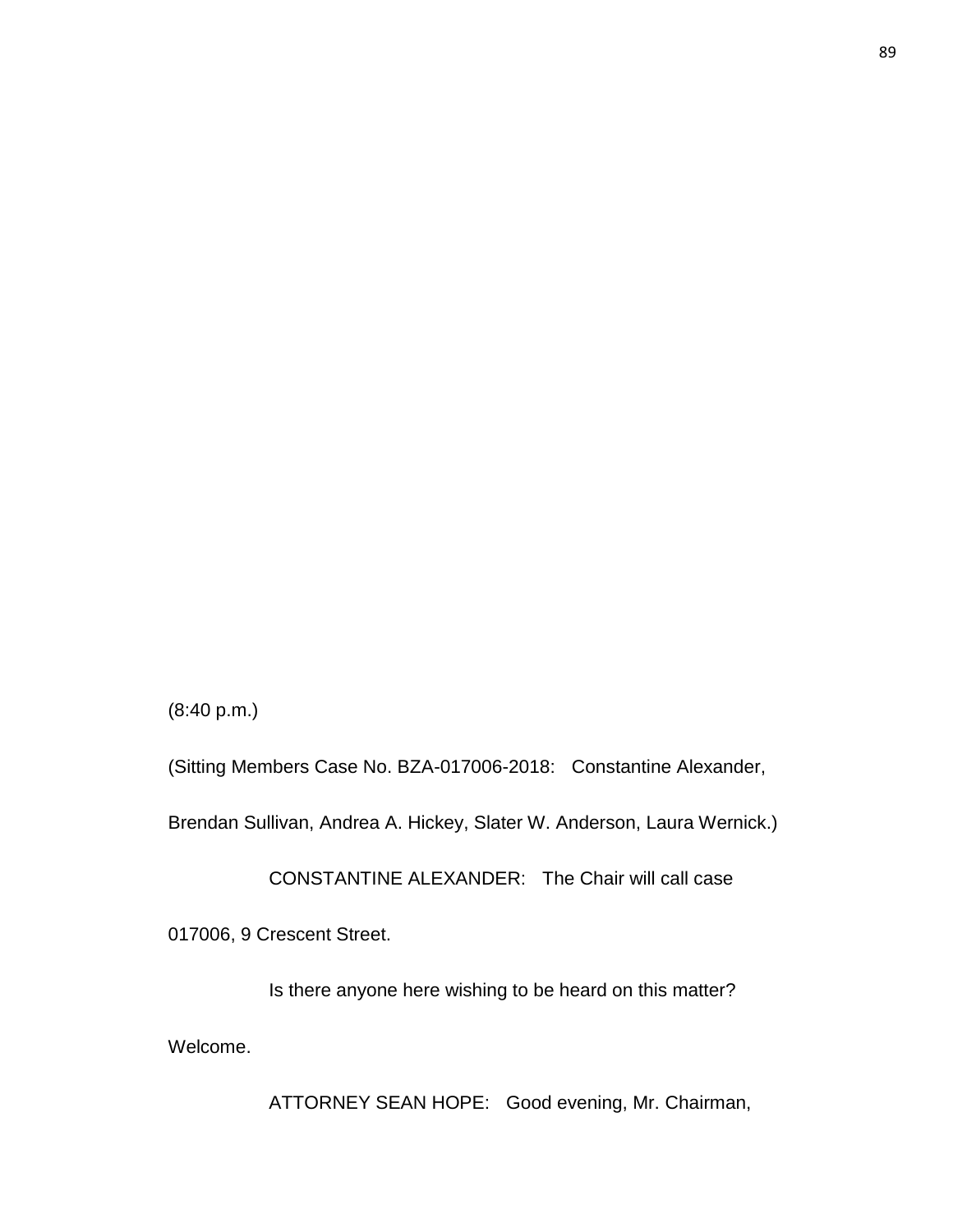ATTORNEY SEAN HOPE: Good evening, Mr. Chairman,

Welcome.

Is there anyone here wishing to be heard on this matter?

017006, 9 Crescent Street.

CONSTANTINE ALEXANDER: The Chair will call case

Brendan Sullivan, Andrea A. Hickey, Slater W. Anderson, Laura Wernick.)

(Sitting Members Case No. BZA-017006-2018: Constantine Alexander,

(8:40 p.m.)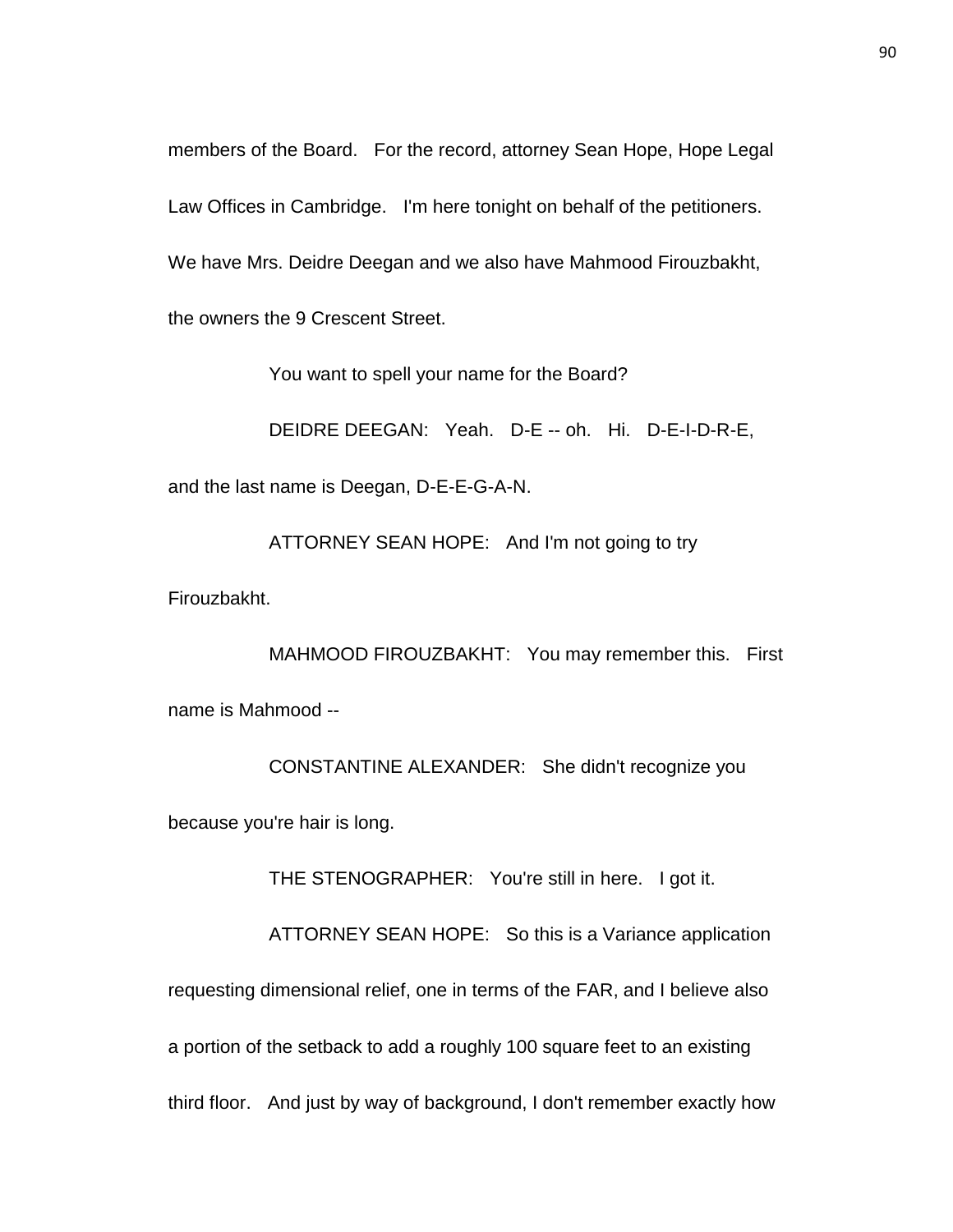members of the Board. For the record, attorney Sean Hope, Hope Legal Law Offices in Cambridge. I'm here tonight on behalf of the petitioners. We have Mrs. Deidre Deegan and we also have Mahmood Firouzbakht, the owners the 9 Crescent Street.

You want to spell your name for the Board?

DEIDRE DEEGAN: Yeah. D-E -- oh. Hi. D-E-I-D-R-E, and the last name is Deegan, D-E-E-G-A-N.

ATTORNEY SEAN HOPE: And I'm not going to try

Firouzbakht.

MAHMOOD FIROUZBAKHT: You may remember this. First name is Mahmood --

CONSTANTINE ALEXANDER: She didn't recognize you because you're hair is long.

THE STENOGRAPHER: You're still in here. I got it.

ATTORNEY SEAN HOPE: So this is a Variance application

requesting dimensional relief, one in terms of the FAR, and I believe also

a portion of the setback to add a roughly 100 square feet to an existing

third floor. And just by way of background, I don't remember exactly how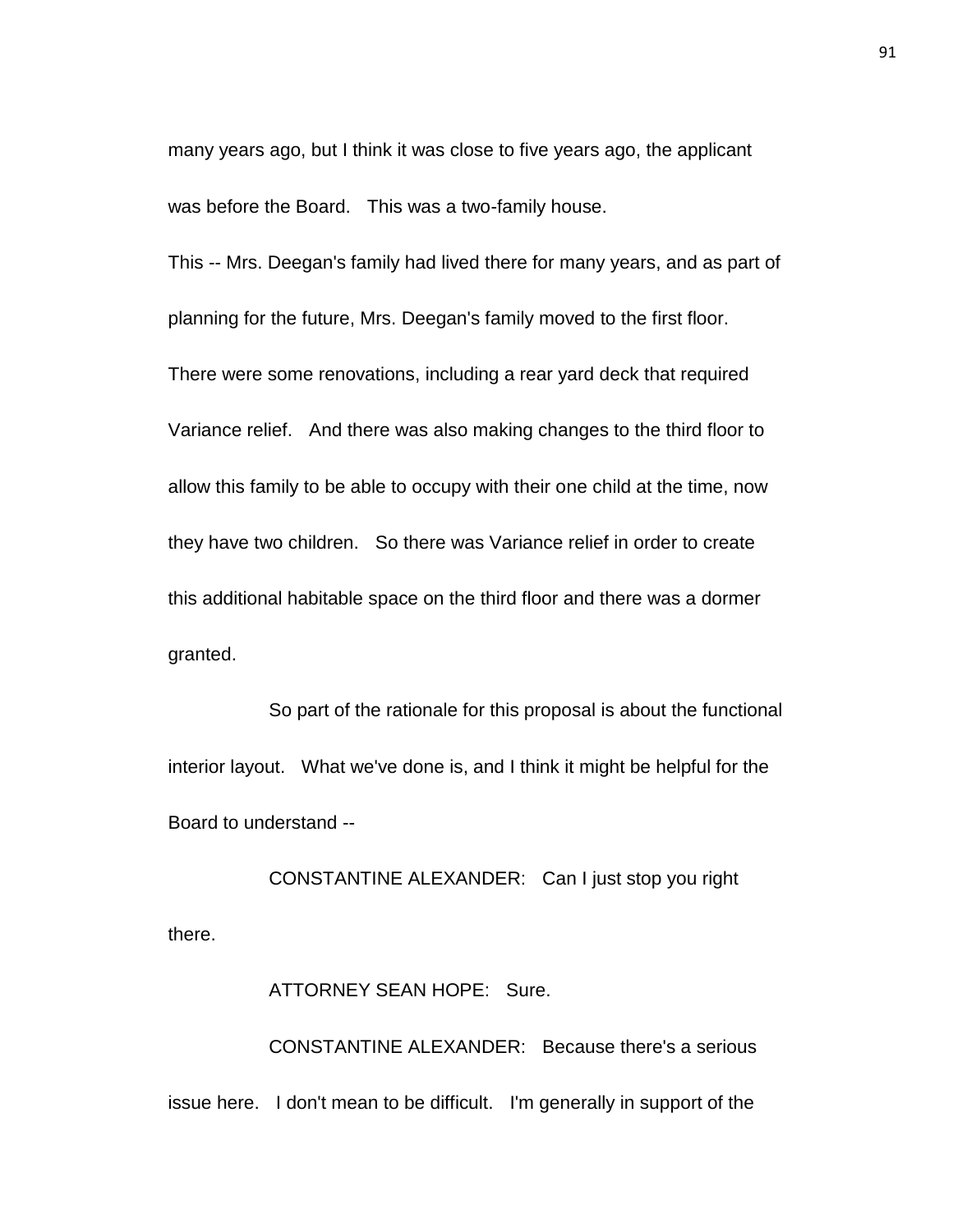many years ago, but I think it was close to five years ago, the applicant was before the Board. This was a two-family house.

This -- Mrs. Deegan's family had lived there for many years, and as part of planning for the future, Mrs. Deegan's family moved to the first floor.

There were some renovations, including a rear yard deck that required Variance relief. And there was also making changes to the third floor to allow this family to be able to occupy with their one child at the time, now they have two children. So there was Variance relief in order to create this additional habitable space on the third floor and there was a dormer granted.

So part of the rationale for this proposal is about the functional interior layout. What we've done is, and I think it might be helpful for the Board to understand --

CONSTANTINE ALEXANDER: Can I just stop you right there.

ATTORNEY SEAN HOPE: Sure.

CONSTANTINE ALEXANDER: Because there's a serious issue here. I don't mean to be difficult. I'm generally in support of the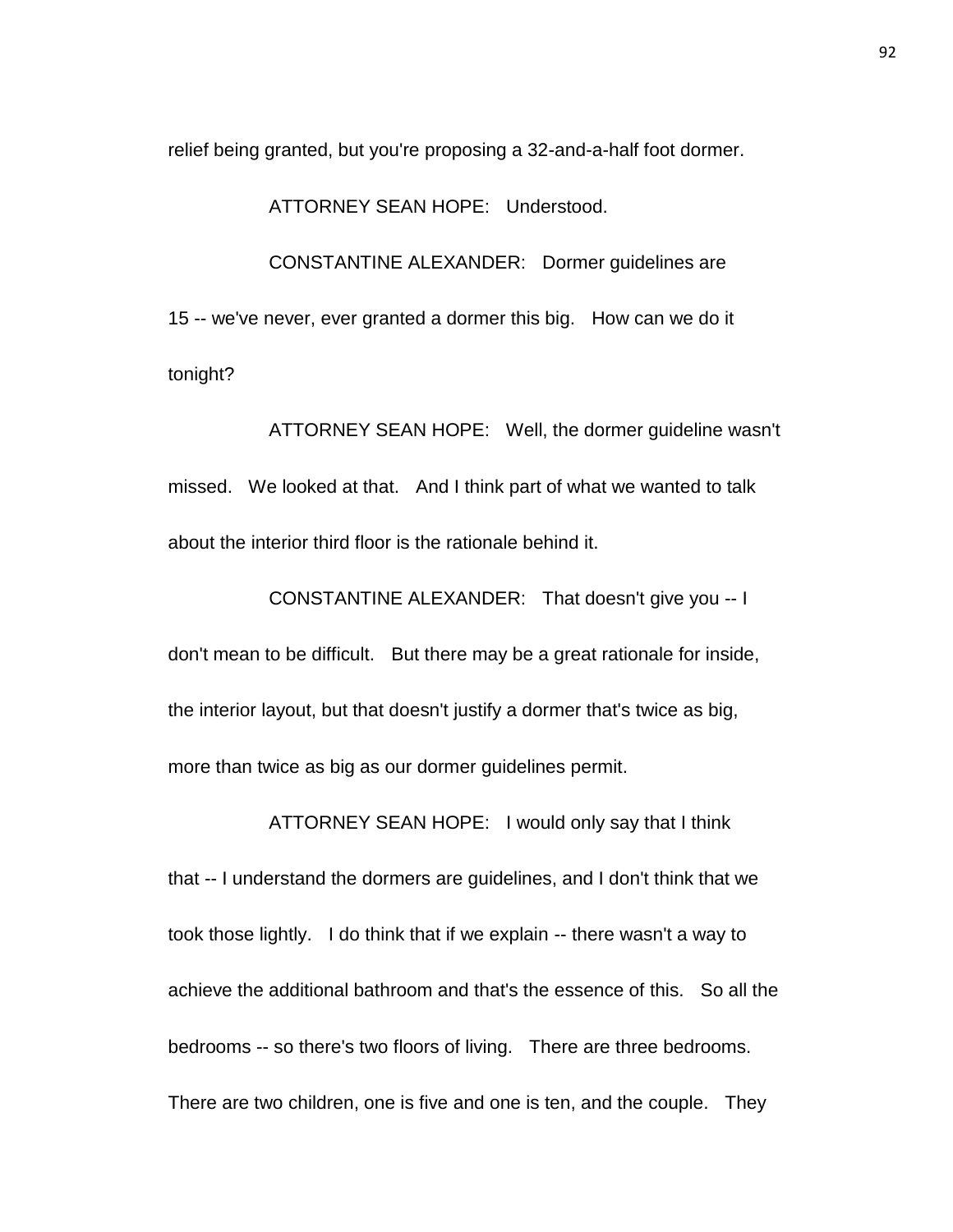relief being granted, but you're proposing a 32-and-a-half foot dormer.

ATTORNEY SEAN HOPE: Understood.

CONSTANTINE ALEXANDER: Dormer guidelines are 15 -- we've never, ever granted a dormer this big. How can we do it tonight?

ATTORNEY SEAN HOPE: Well, the dormer guideline wasn't missed. We looked at that. And I think part of what we wanted to talk about the interior third floor is the rationale behind it.

CONSTANTINE ALEXANDER: That doesn't give you -- I don't mean to be difficult. But there may be a great rationale for inside, the interior layout, but that doesn't justify a dormer that's twice as big, more than twice as big as our dormer guidelines permit.

that -- I understand the dormers are guidelines, and I don't think that we took those lightly. I do think that if we explain -- there wasn't a way to achieve the additional bathroom and that's the essence of this. So all the bedrooms -- so there's two floors of living. There are three bedrooms. There are two children, one is five and one is ten, and the couple. They

ATTORNEY SEAN HOPE: I would only say that I think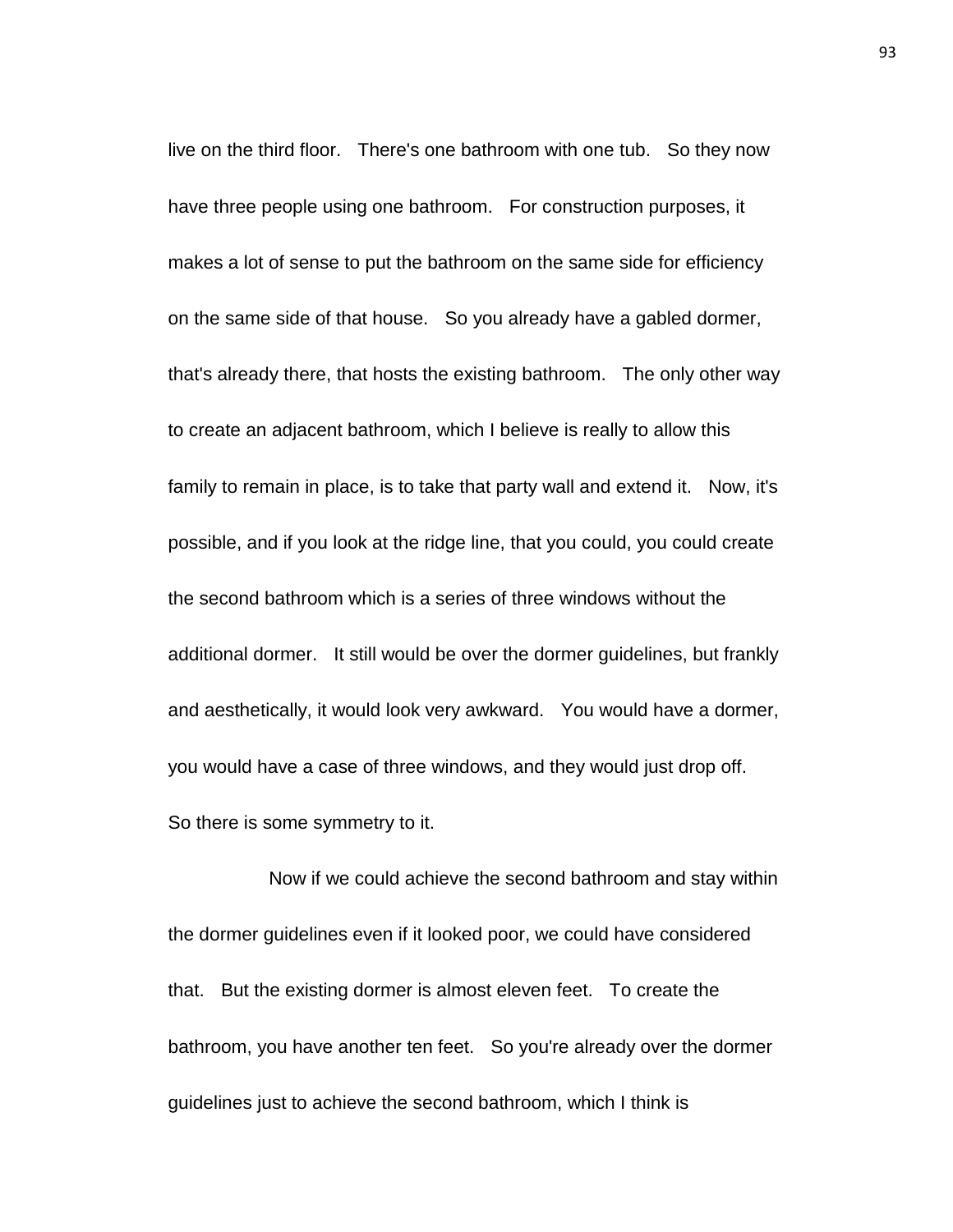live on the third floor. There's one bathroom with one tub. So they now have three people using one bathroom. For construction purposes, it makes a lot of sense to put the bathroom on the same side for efficiency on the same side of that house. So you already have a gabled dormer, that's already there, that hosts the existing bathroom. The only other way to create an adjacent bathroom, which I believe is really to allow this family to remain in place, is to take that party wall and extend it. Now, it's possible, and if you look at the ridge line, that you could, you could create the second bathroom which is a series of three windows without the additional dormer. It still would be over the dormer guidelines, but frankly and aesthetically, it would look very awkward. You would have a dormer, you would have a case of three windows, and they would just drop off. So there is some symmetry to it.

Now if we could achieve the second bathroom and stay within the dormer guidelines even if it looked poor, we could have considered that. But the existing dormer is almost eleven feet. To create the bathroom, you have another ten feet. So you're already over the dormer guidelines just to achieve the second bathroom, which I think is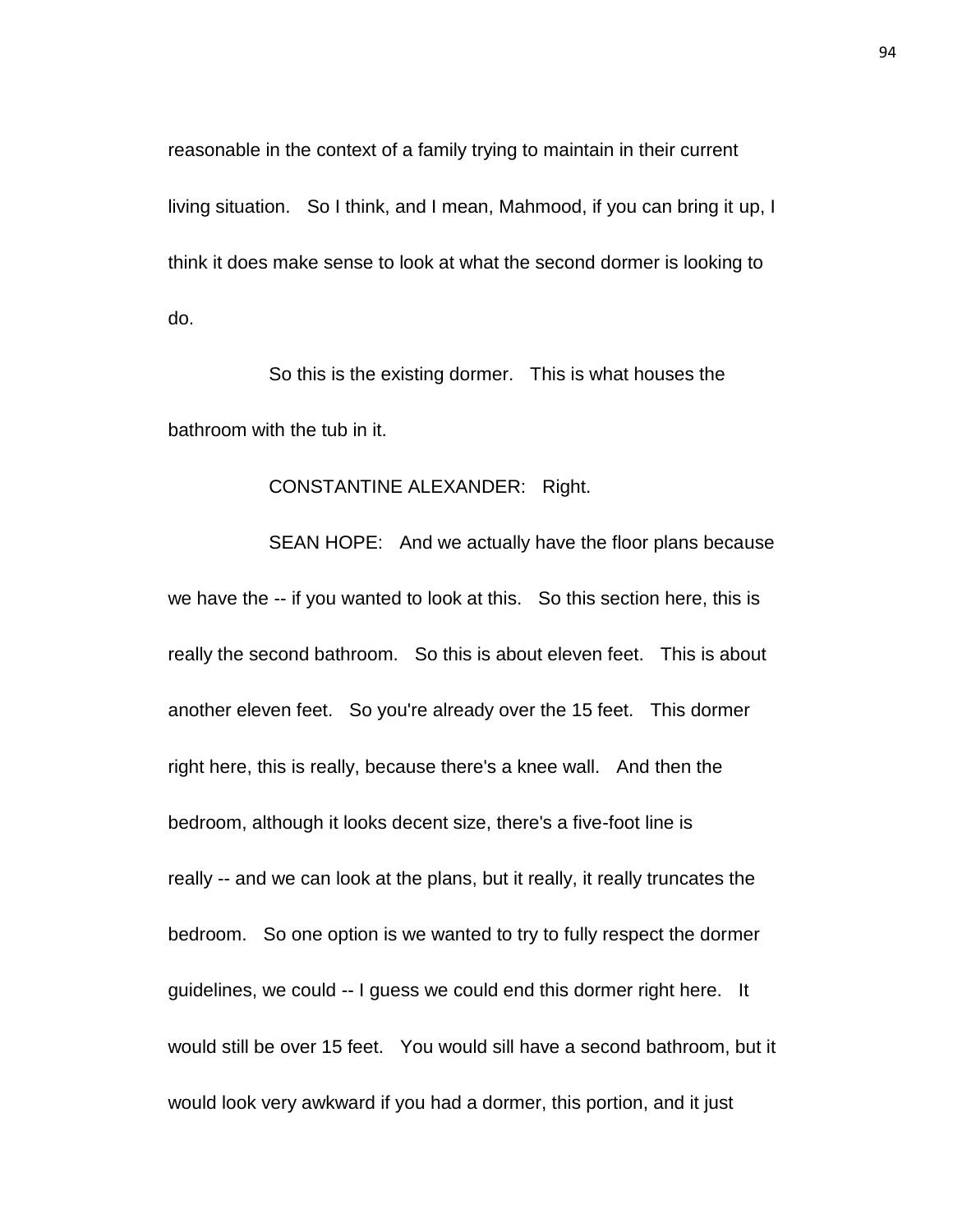reasonable in the context of a family trying to maintain in their current living situation. So I think, and I mean, Mahmood, if you can bring it up, I think it does make sense to look at what the second dormer is looking to do.

So this is the existing dormer. This is what houses the bathroom with the tub in it.

## CONSTANTINE ALEXANDER: Right.

SEAN HOPE: And we actually have the floor plans because we have the -- if you wanted to look at this. So this section here, this is really the second bathroom. So this is about eleven feet. This is about another eleven feet. So you're already over the 15 feet. This dormer right here, this is really, because there's a knee wall. And then the bedroom, although it looks decent size, there's a five-foot line is really -- and we can look at the plans, but it really, it really truncates the bedroom. So one option is we wanted to try to fully respect the dormer guidelines, we could -- I guess we could end this dormer right here. It would still be over 15 feet. You would sill have a second bathroom, but it would look very awkward if you had a dormer, this portion, and it just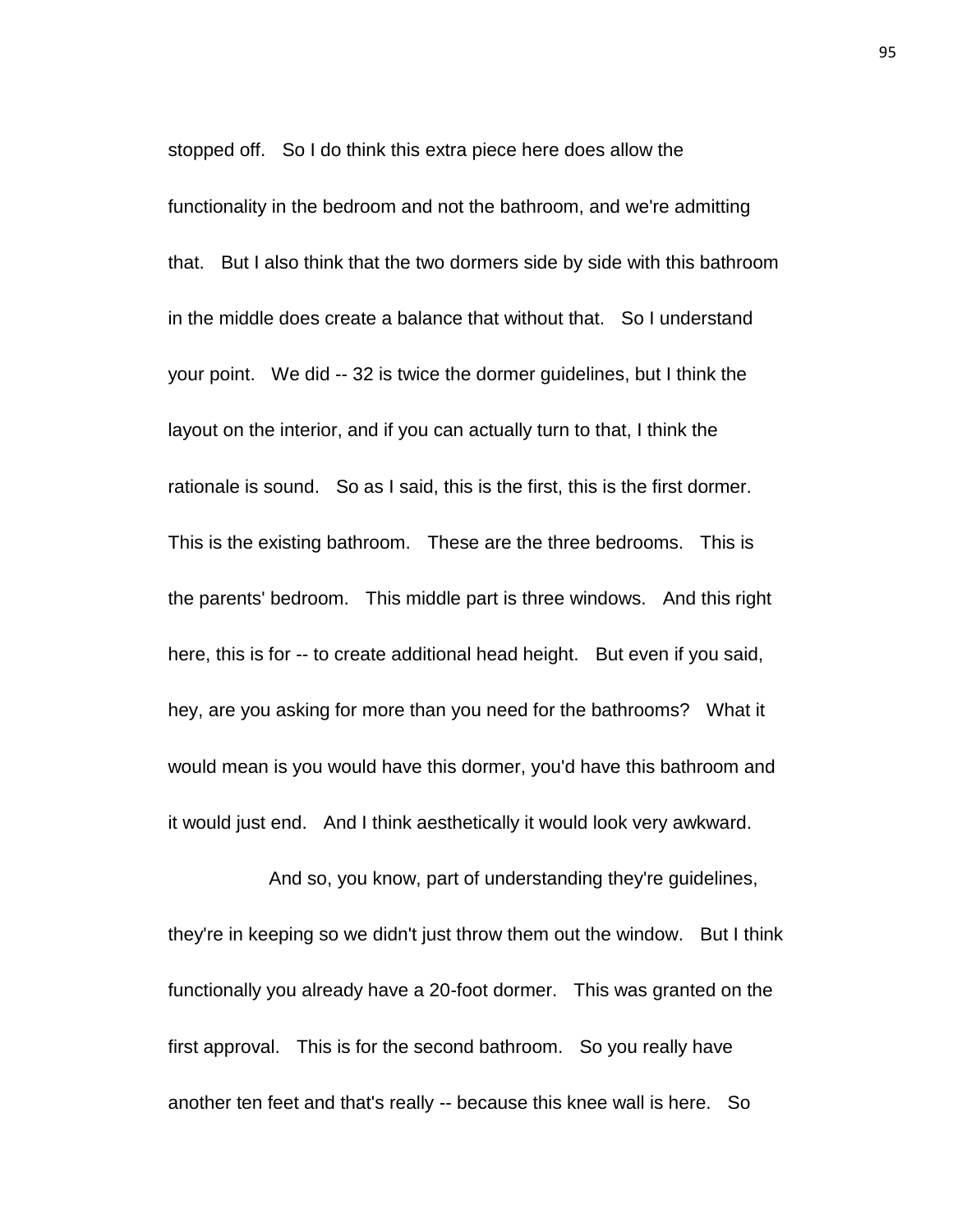stopped off. So I do think this extra piece here does allow the functionality in the bedroom and not the bathroom, and we're admitting that. But I also think that the two dormers side by side with this bathroom in the middle does create a balance that without that. So I understand your point. We did -- 32 is twice the dormer guidelines, but I think the layout on the interior, and if you can actually turn to that, I think the rationale is sound. So as I said, this is the first, this is the first dormer. This is the existing bathroom. These are the three bedrooms. This is the parents' bedroom. This middle part is three windows. And this right here, this is for -- to create additional head height. But even if you said, hey, are you asking for more than you need for the bathrooms? What it would mean is you would have this dormer, you'd have this bathroom and it would just end. And I think aesthetically it would look very awkward.

And so, you know, part of understanding they're guidelines, they're in keeping so we didn't just throw them out the window. But I think functionally you already have a 20-foot dormer. This was granted on the first approval. This is for the second bathroom. So you really have another ten feet and that's really -- because this knee wall is here. So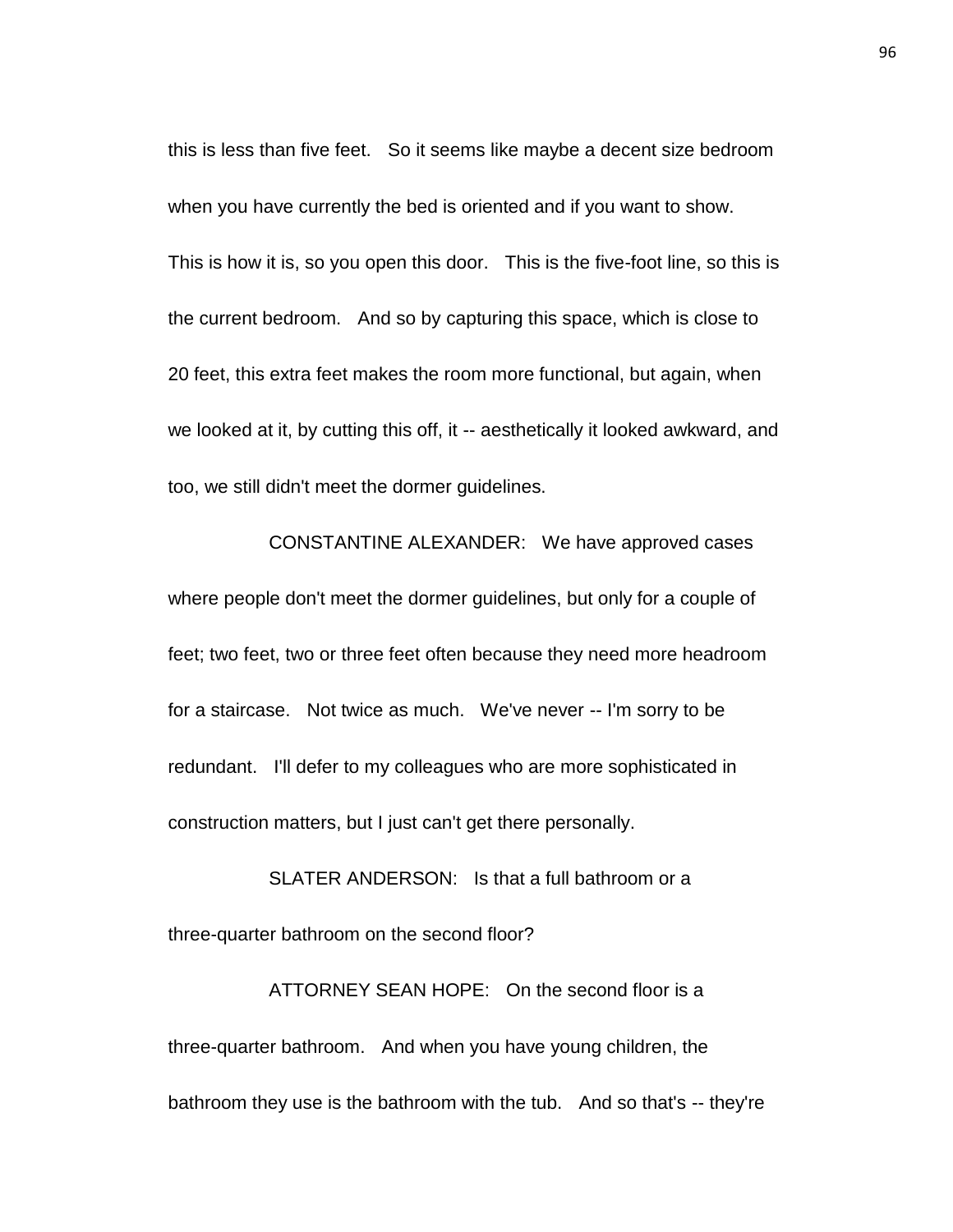this is less than five feet. So it seems like maybe a decent size bedroom when you have currently the bed is oriented and if you want to show. This is how it is, so you open this door. This is the five-foot line, so this is the current bedroom. And so by capturing this space, which is close to 20 feet, this extra feet makes the room more functional, but again, when we looked at it, by cutting this off, it -- aesthetically it looked awkward, and too, we still didn't meet the dormer guidelines.

CONSTANTINE ALEXANDER: We have approved cases where people don't meet the dormer guidelines, but only for a couple of feet; two feet, two or three feet often because they need more headroom for a staircase. Not twice as much. We've never -- I'm sorry to be redundant. I'll defer to my colleagues who are more sophisticated in construction matters, but I just can't get there personally.

SLATER ANDERSON: Is that a full bathroom or a three-quarter bathroom on the second floor?

ATTORNEY SEAN HOPE: On the second floor is a three-quarter bathroom. And when you have young children, the bathroom they use is the bathroom with the tub. And so that's -- they're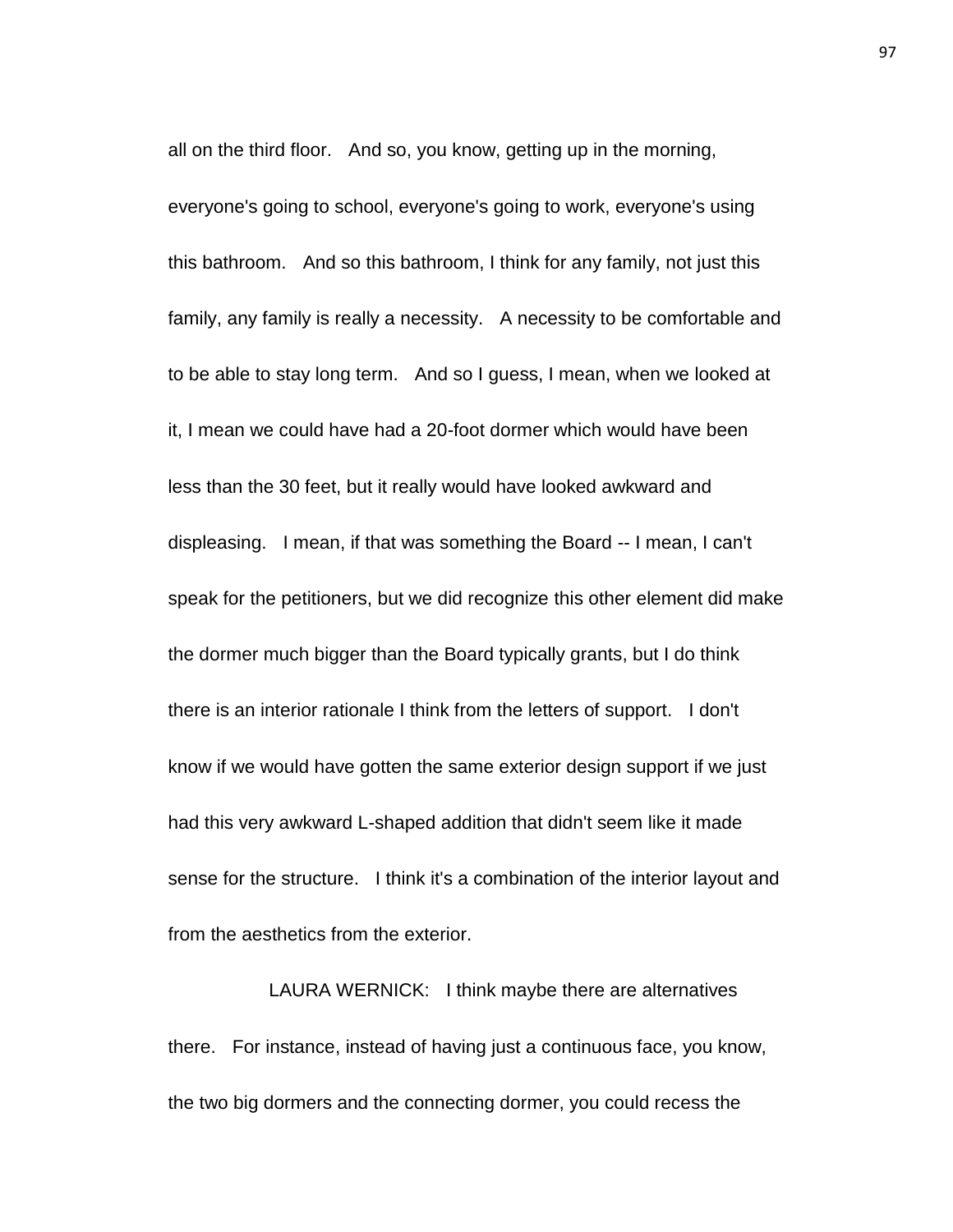all on the third floor. And so, you know, getting up in the morning, everyone's going to school, everyone's going to work, everyone's using this bathroom. And so this bathroom, I think for any family, not just this family, any family is really a necessity. A necessity to be comfortable and to be able to stay long term. And so I guess, I mean, when we looked at it, I mean we could have had a 20-foot dormer which would have been less than the 30 feet, but it really would have looked awkward and displeasing. I mean, if that was something the Board -- I mean, I can't speak for the petitioners, but we did recognize this other element did make the dormer much bigger than the Board typically grants, but I do think there is an interior rationale I think from the letters of support. I don't know if we would have gotten the same exterior design support if we just had this very awkward L-shaped addition that didn't seem like it made sense for the structure. I think it's a combination of the interior layout and from the aesthetics from the exterior.

LAURA WERNICK: I think maybe there are alternatives there. For instance, instead of having just a continuous face, you know, the two big dormers and the connecting dormer, you could recess the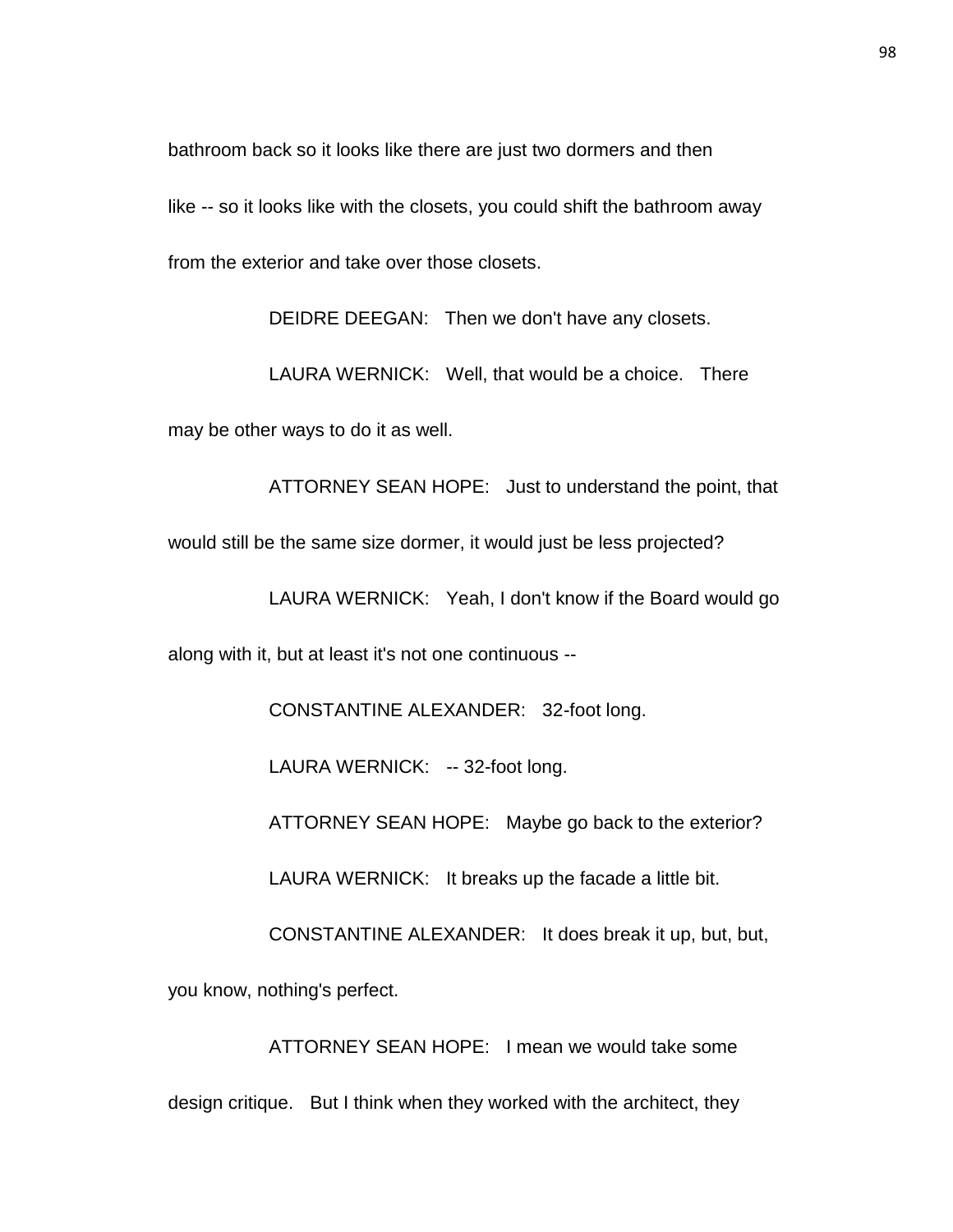bathroom back so it looks like there are just two dormers and then

like -- so it looks like with the closets, you could shift the bathroom away from the exterior and take over those closets.

DEIDRE DEEGAN: Then we don't have any closets.

LAURA WERNICK: Well, that would be a choice. There may be other ways to do it as well.

ATTORNEY SEAN HOPE: Just to understand the point, that would still be the same size dormer, it would just be less projected?

LAURA WERNICK: Yeah, I don't know if the Board would go

along with it, but at least it's not one continuous --

CONSTANTINE ALEXANDER: 32-foot long.

LAURA WERNICK: -- 32-foot long.

ATTORNEY SEAN HOPE: Maybe go back to the exterior?

LAURA WERNICK: It breaks up the facade a little bit.

CONSTANTINE ALEXANDER: It does break it up, but, but,

you know, nothing's perfect.

ATTORNEY SEAN HOPE: I mean we would take some design critique. But I think when they worked with the architect, they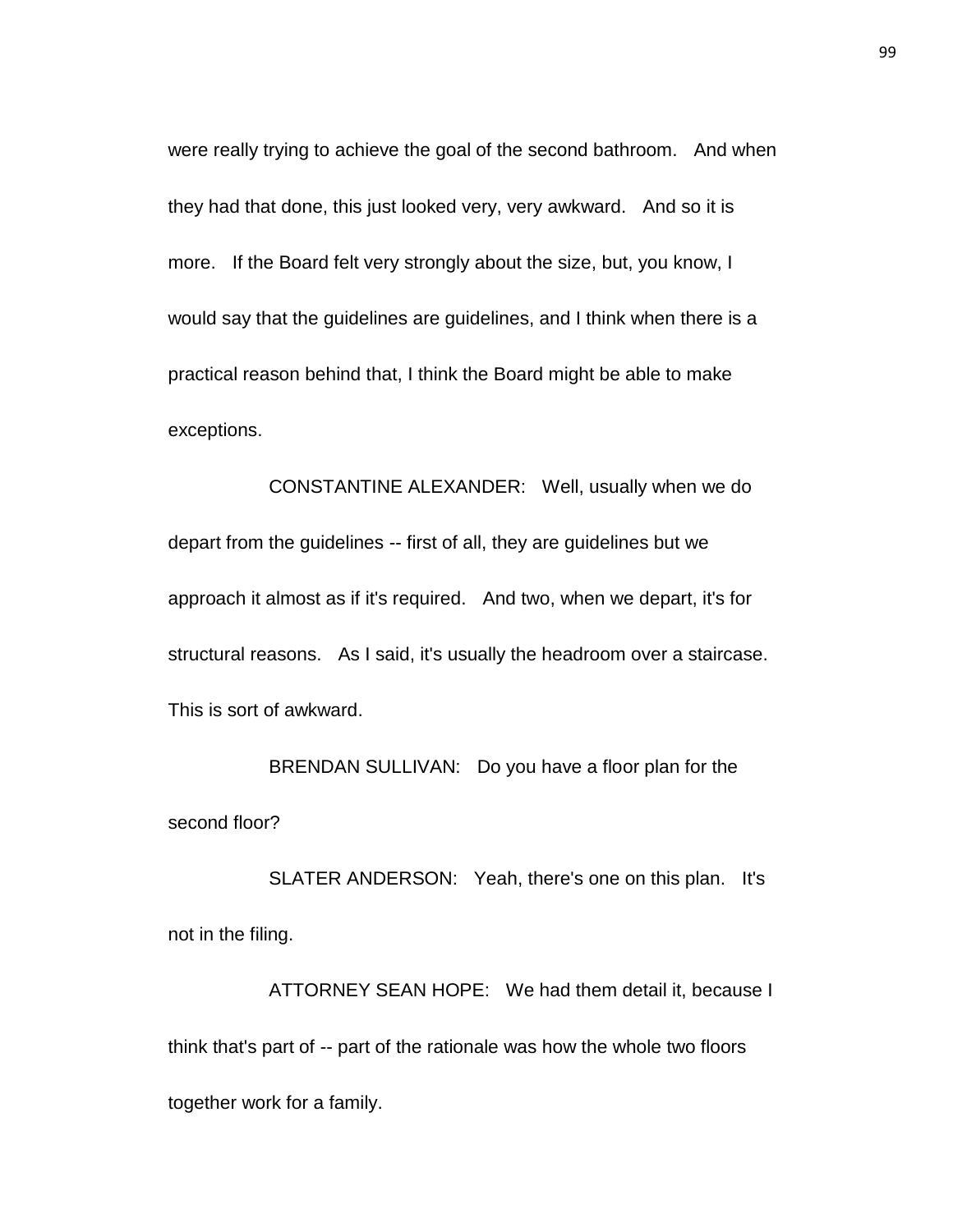were really trying to achieve the goal of the second bathroom. And when they had that done, this just looked very, very awkward. And so it is more. If the Board felt very strongly about the size, but, you know, I would say that the guidelines are guidelines, and I think when there is a practical reason behind that, I think the Board might be able to make exceptions.

CONSTANTINE ALEXANDER: Well, usually when we do depart from the guidelines -- first of all, they are guidelines but we approach it almost as if it's required. And two, when we depart, it's for structural reasons. As I said, it's usually the headroom over a staircase. This is sort of awkward.

BRENDAN SULLIVAN: Do you have a floor plan for the second floor?

SLATER ANDERSON: Yeah, there's one on this plan. It's not in the filing.

ATTORNEY SEAN HOPE: We had them detail it, because I think that's part of -- part of the rationale was how the whole two floors together work for a family.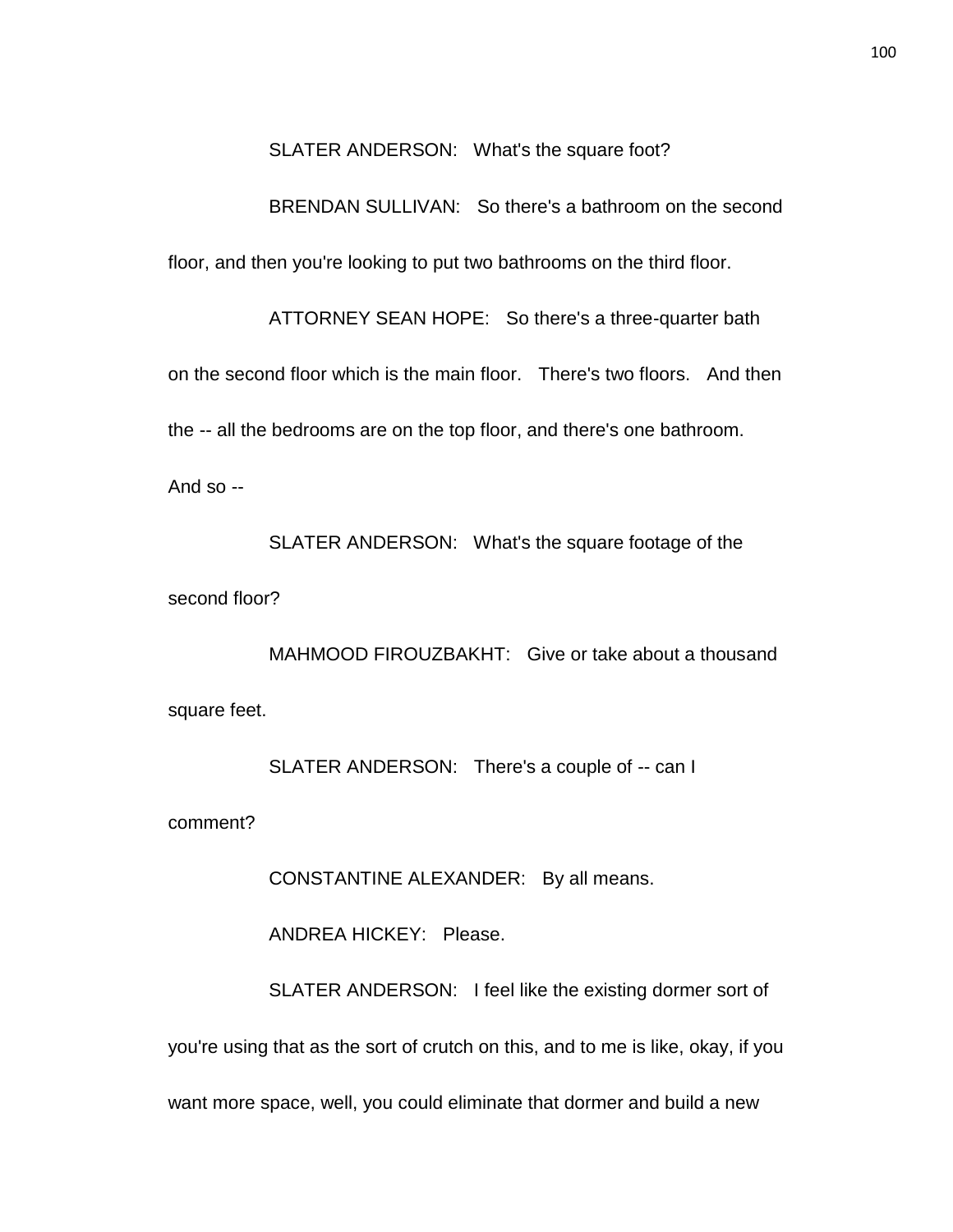SLATER ANDERSON: What's the square foot?

BRENDAN SULLIVAN: So there's a bathroom on the second floor, and then you're looking to put two bathrooms on the third floor.

ATTORNEY SEAN HOPE: So there's a three-quarter bath on the second floor which is the main floor. There's two floors. And then the -- all the bedrooms are on the top floor, and there's one bathroom.

And  $so -$ 

SLATER ANDERSON: What's the square footage of the second floor?

MAHMOOD FIROUZBAKHT: Give or take about a thousand square feet.

SLATER ANDERSON: There's a couple of -- can I

comment?

CONSTANTINE ALEXANDER: By all means.

ANDREA HICKEY: Please.

SLATER ANDERSON: I feel like the existing dormer sort of you're using that as the sort of crutch on this, and to me is like, okay, if you want more space, well, you could eliminate that dormer and build a new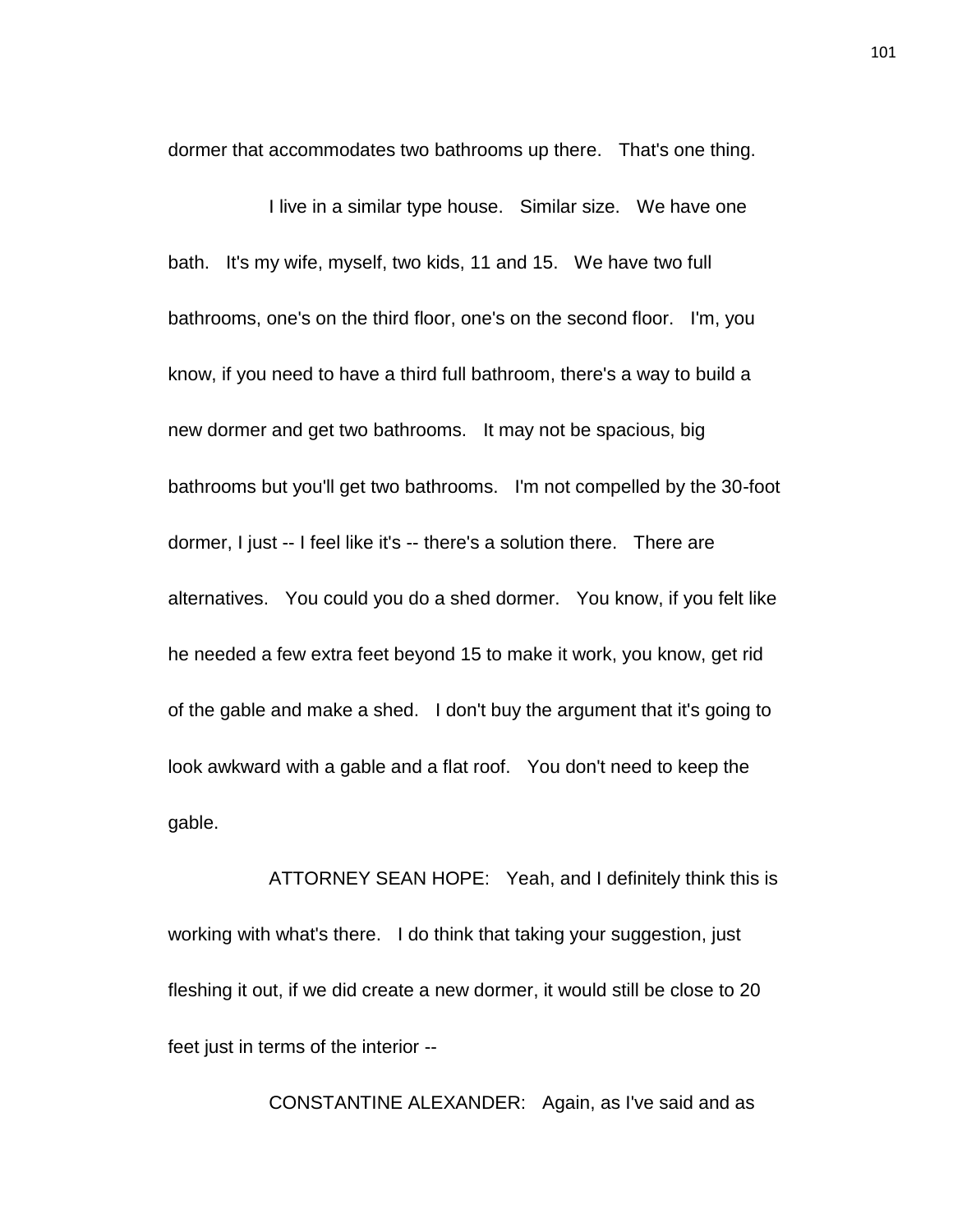dormer that accommodates two bathrooms up there. That's one thing.

I live in a similar type house. Similar size. We have one bath. It's my wife, myself, two kids, 11 and 15. We have two full bathrooms, one's on the third floor, one's on the second floor. I'm, you know, if you need to have a third full bathroom, there's a way to build a new dormer and get two bathrooms. It may not be spacious, big bathrooms but you'll get two bathrooms. I'm not compelled by the 30-foot dormer, I just -- I feel like it's -- there's a solution there. There are alternatives. You could you do a shed dormer. You know, if you felt like he needed a few extra feet beyond 15 to make it work, you know, get rid of the gable and make a shed. I don't buy the argument that it's going to look awkward with a gable and a flat roof. You don't need to keep the gable.

ATTORNEY SEAN HOPE: Yeah, and I definitely think this is working with what's there. I do think that taking your suggestion, just fleshing it out, if we did create a new dormer, it would still be close to 20 feet just in terms of the interior --

CONSTANTINE ALEXANDER: Again, as I've said and as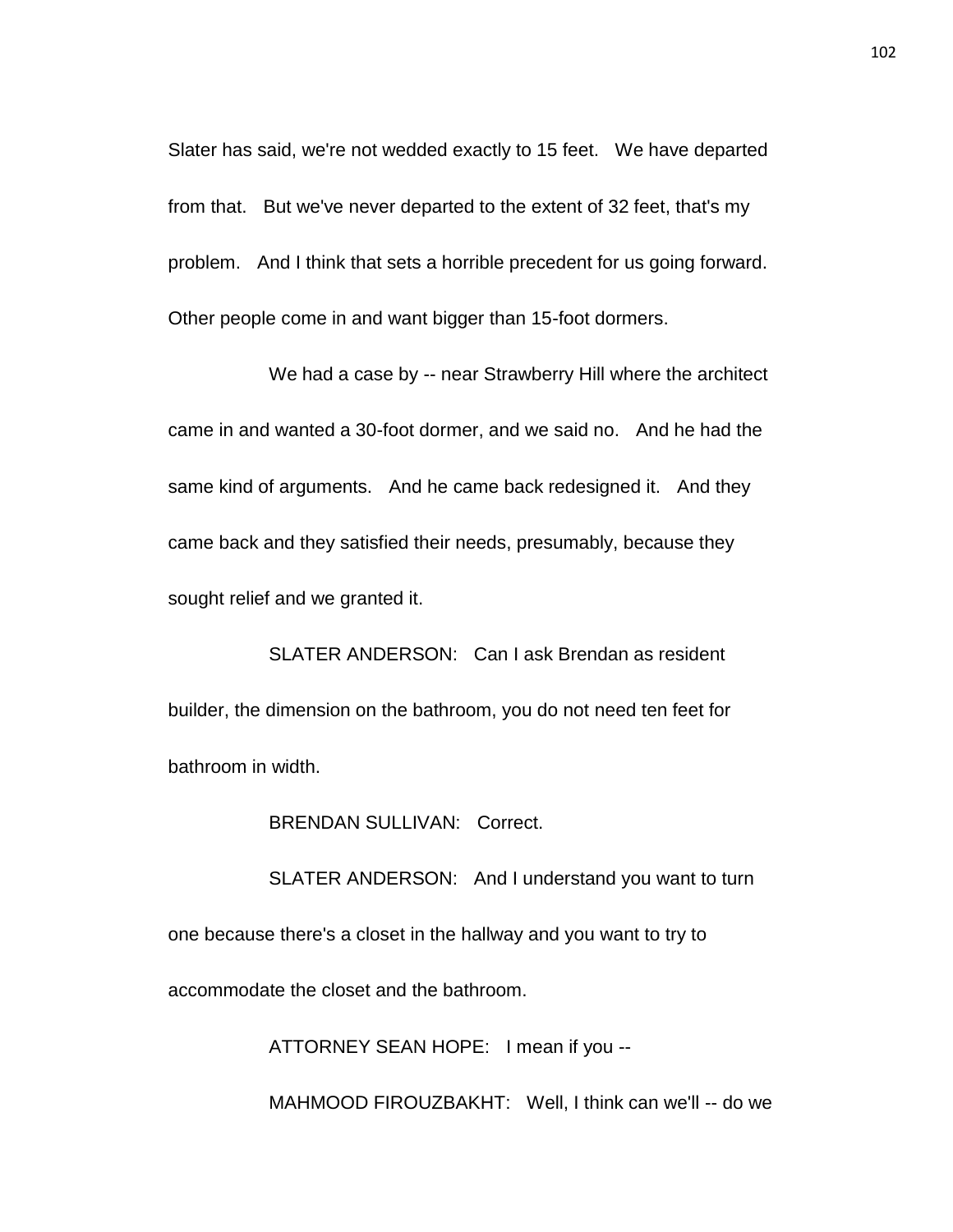Slater has said, we're not wedded exactly to 15 feet. We have departed from that. But we've never departed to the extent of 32 feet, that's my problem. And I think that sets a horrible precedent for us going forward. Other people come in and want bigger than 15-foot dormers.

We had a case by -- near Strawberry Hill where the architect came in and wanted a 30-foot dormer, and we said no. And he had the same kind of arguments. And he came back redesigned it. And they came back and they satisfied their needs, presumably, because they sought relief and we granted it.

SLATER ANDERSON: Can I ask Brendan as resident builder, the dimension on the bathroom, you do not need ten feet for bathroom in width.

BRENDAN SULLIVAN: Correct.

SLATER ANDERSON: And I understand you want to turn one because there's a closet in the hallway and you want to try to accommodate the closet and the bathroom.

ATTORNEY SEAN HOPE: I mean if you --

MAHMOOD FIROUZBAKHT: Well, I think can we'll -- do we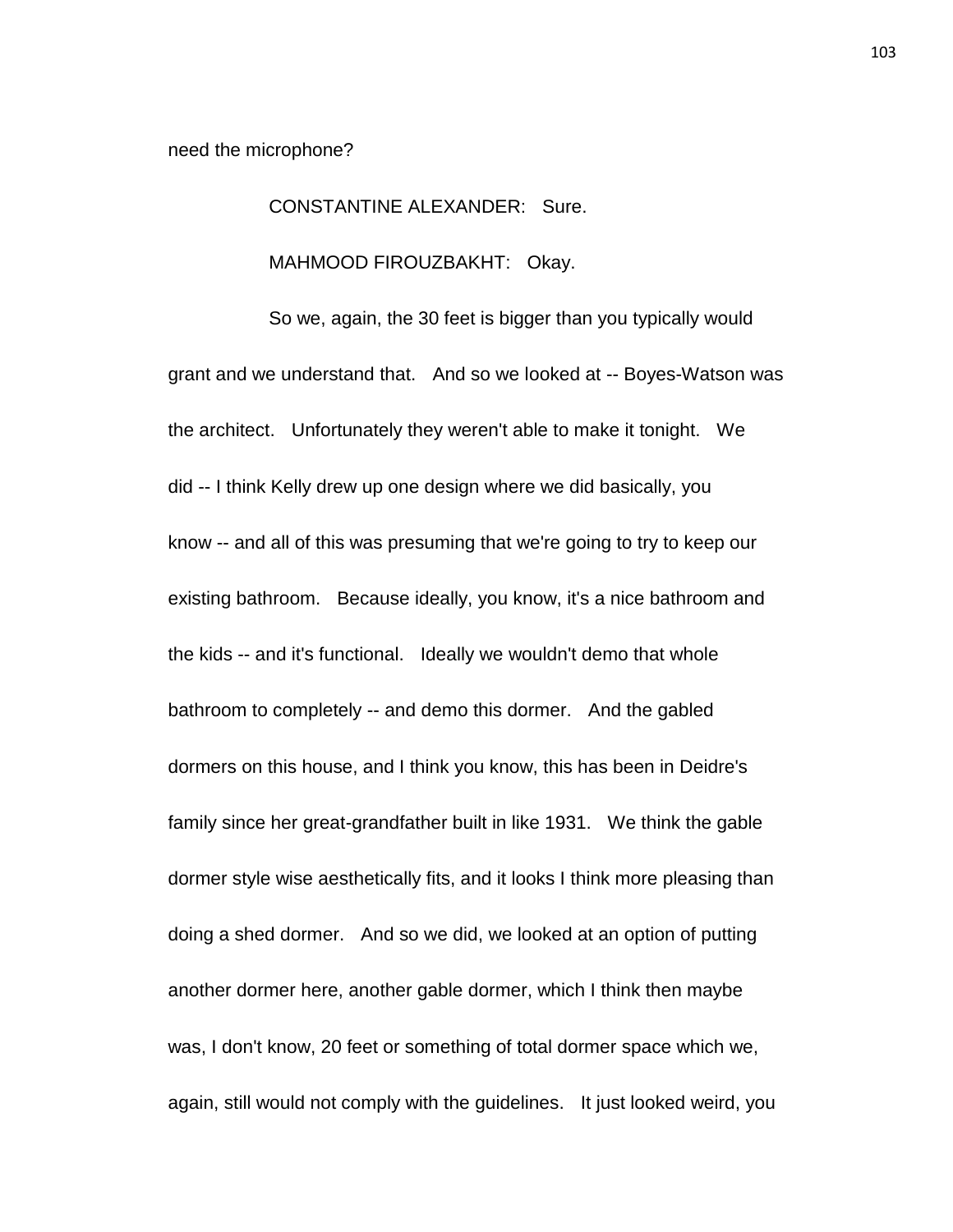need the microphone?

## CONSTANTINE ALEXANDER: Sure.

## MAHMOOD FIROUZBAKHT: Okay.

So we, again, the 30 feet is bigger than you typically would grant and we understand that. And so we looked at -- Boyes-Watson was the architect. Unfortunately they weren't able to make it tonight. We did -- I think Kelly drew up one design where we did basically, you know -- and all of this was presuming that we're going to try to keep our existing bathroom. Because ideally, you know, it's a nice bathroom and the kids -- and it's functional. Ideally we wouldn't demo that whole bathroom to completely -- and demo this dormer. And the gabled dormers on this house, and I think you know, this has been in Deidre's family since her great-grandfather built in like 1931. We think the gable dormer style wise aesthetically fits, and it looks I think more pleasing than doing a shed dormer. And so we did, we looked at an option of putting another dormer here, another gable dormer, which I think then maybe was, I don't know, 20 feet or something of total dormer space which we, again, still would not comply with the guidelines. It just looked weird, you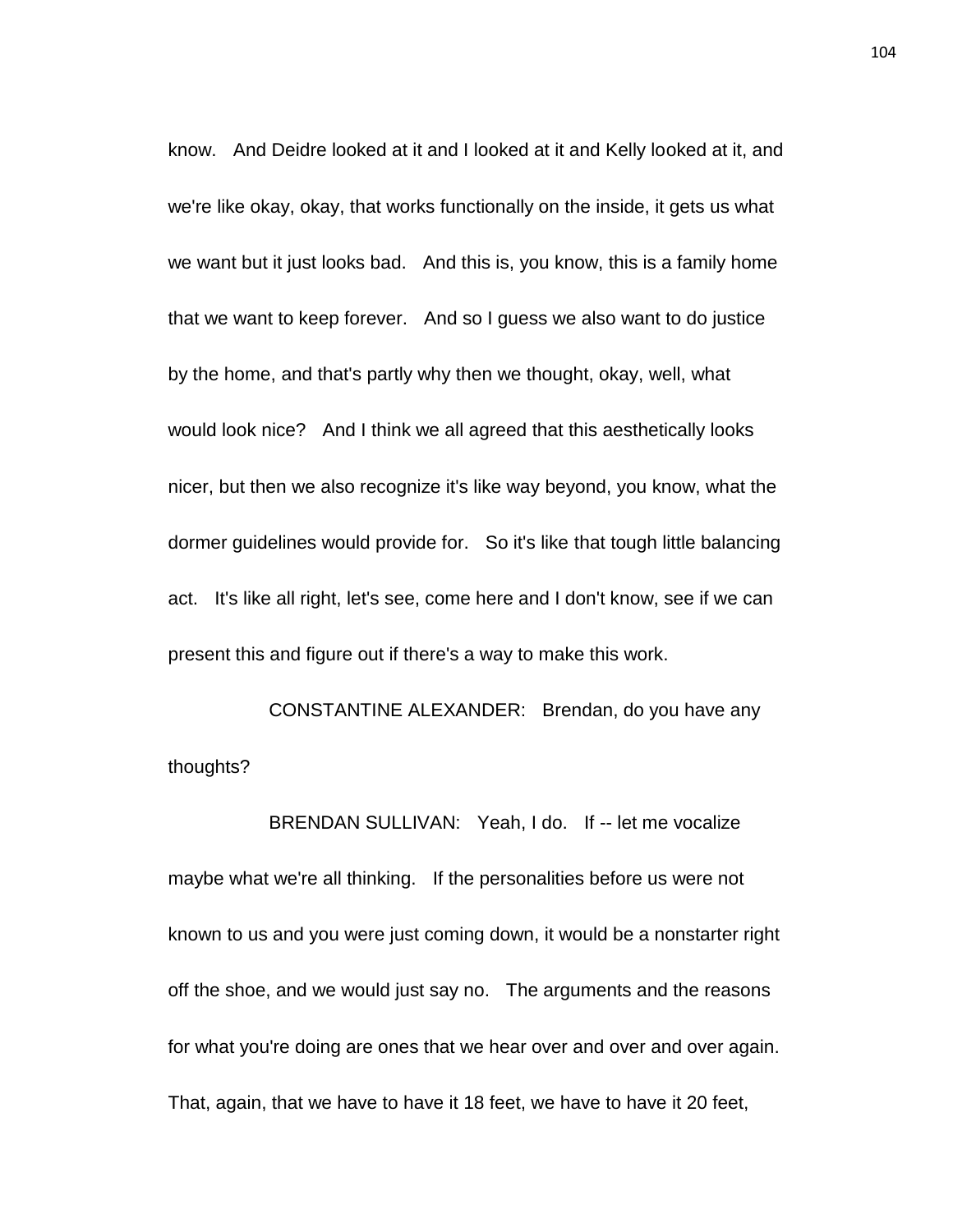know. And Deidre looked at it and I looked at it and Kelly looked at it, and we're like okay, okay, that works functionally on the inside, it gets us what we want but it just looks bad. And this is, you know, this is a family home that we want to keep forever. And so I guess we also want to do justice by the home, and that's partly why then we thought, okay, well, what would look nice? And I think we all agreed that this aesthetically looks nicer, but then we also recognize it's like way beyond, you know, what the dormer guidelines would provide for. So it's like that tough little balancing act. It's like all right, let's see, come here and I don't know, see if we can present this and figure out if there's a way to make this work.

CONSTANTINE ALEXANDER: Brendan, do you have any thoughts?

BRENDAN SULLIVAN: Yeah, I do. If -- let me vocalize maybe what we're all thinking. If the personalities before us were not known to us and you were just coming down, it would be a nonstarter right off the shoe, and we would just say no. The arguments and the reasons for what you're doing are ones that we hear over and over and over again. That, again, that we have to have it 18 feet, we have to have it 20 feet,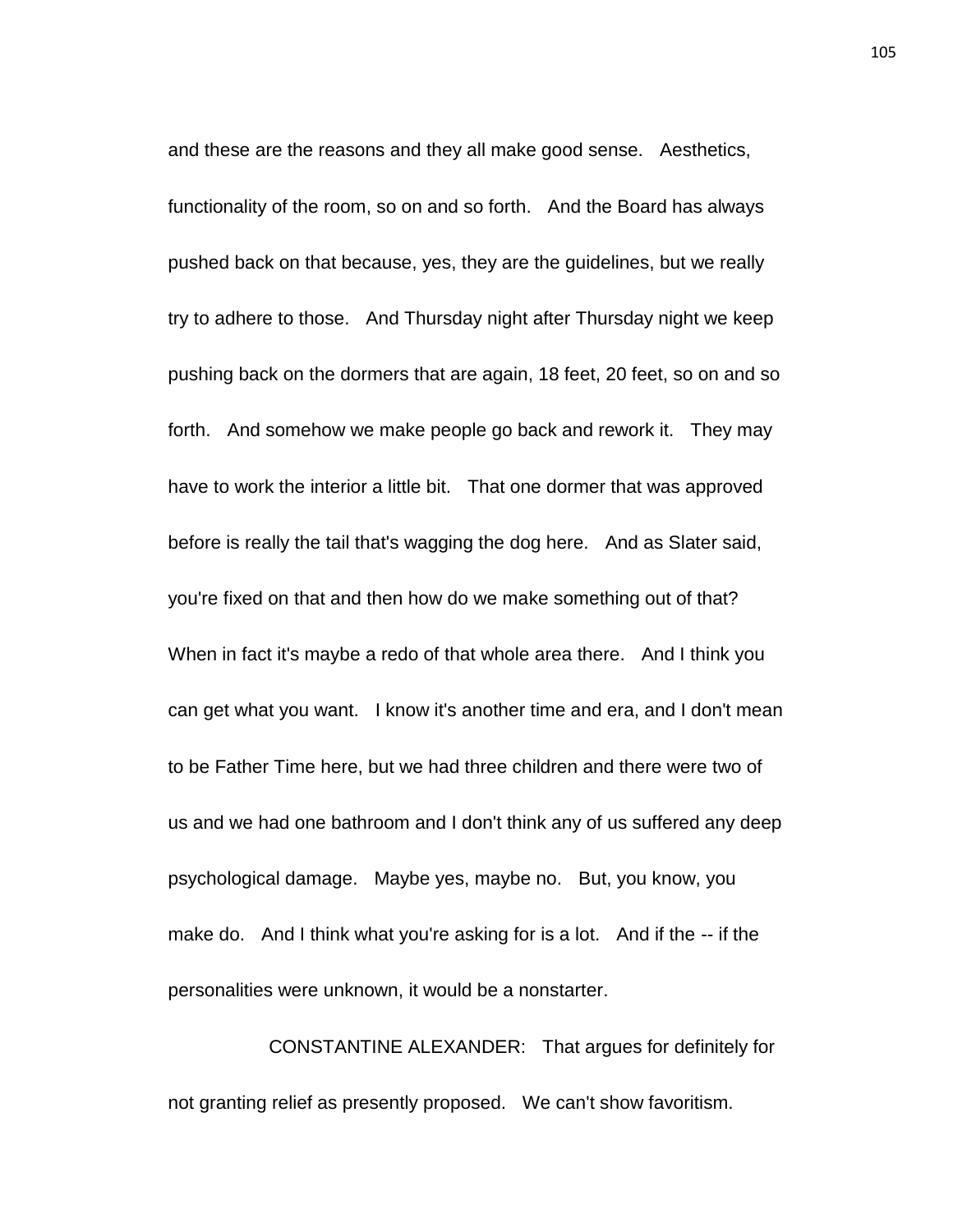and these are the reasons and they all make good sense. Aesthetics, functionality of the room, so on and so forth. And the Board has always pushed back on that because, yes, they are the guidelines, but we really try to adhere to those. And Thursday night after Thursday night we keep pushing back on the dormers that are again, 18 feet, 20 feet, so on and so forth. And somehow we make people go back and rework it. They may have to work the interior a little bit. That one dormer that was approved before is really the tail that's wagging the dog here. And as Slater said, you're fixed on that and then how do we make something out of that? When in fact it's maybe a redo of that whole area there. And I think you can get what you want. I know it's another time and era, and I don't mean to be Father Time here, but we had three children and there were two of us and we had one bathroom and I don't think any of us suffered any deep psychological damage. Maybe yes, maybe no. But, you know, you make do. And I think what you're asking for is a lot. And if the -- if the personalities were unknown, it would be a nonstarter.

CONSTANTINE ALEXANDER: That argues for definitely for not granting relief as presently proposed. We can't show favoritism.

105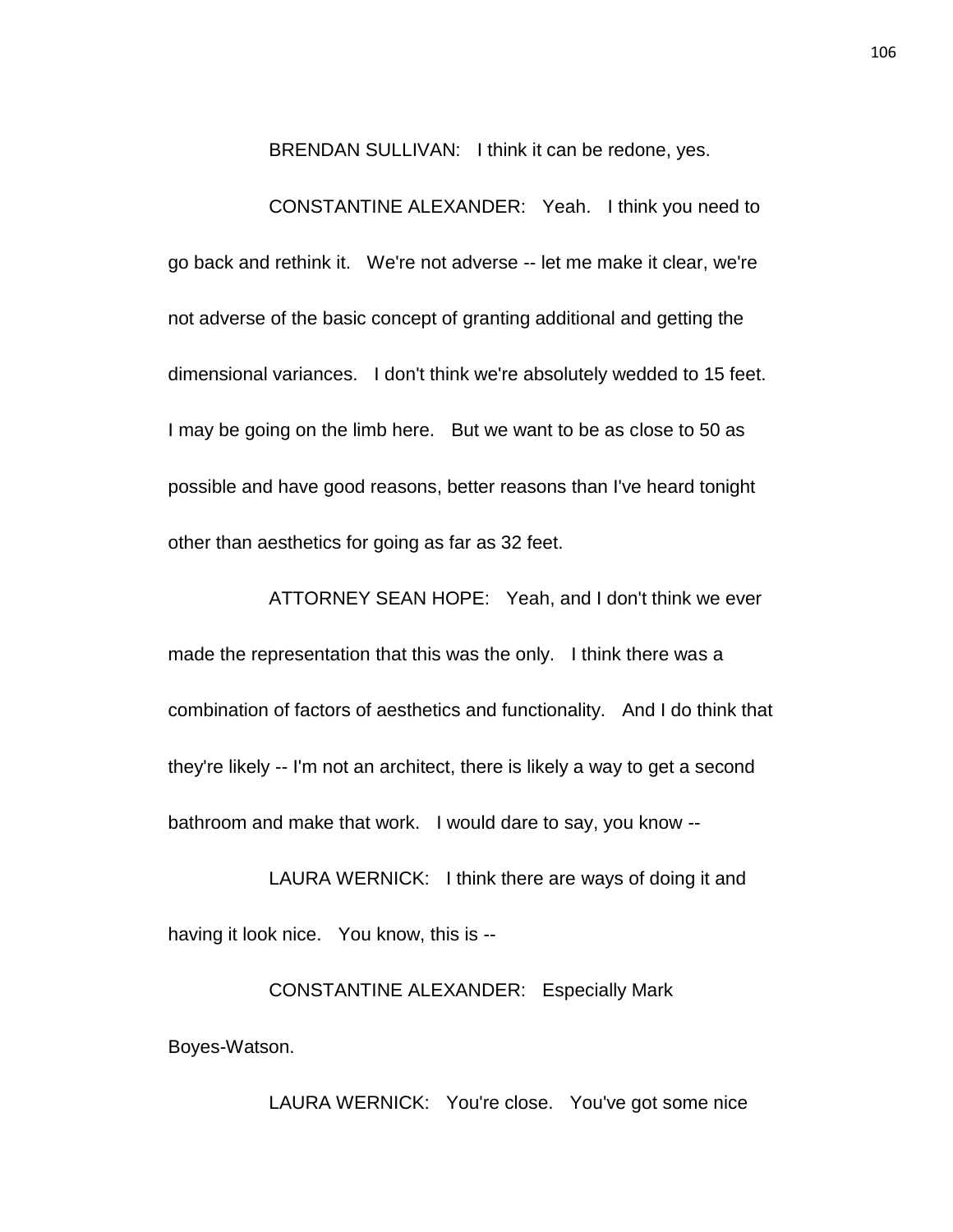BRENDAN SULLIVAN: I think it can be redone, yes.

CONSTANTINE ALEXANDER: Yeah. I think you need to go back and rethink it. We're not adverse -- let me make it clear, we're not adverse of the basic concept of granting additional and getting the dimensional variances. I don't think we're absolutely wedded to 15 feet. I may be going on the limb here. But we want to be as close to 50 as possible and have good reasons, better reasons than I've heard tonight other than aesthetics for going as far as 32 feet.

ATTORNEY SEAN HOPE: Yeah, and I don't think we ever made the representation that this was the only. I think there was a combination of factors of aesthetics and functionality. And I do think that they're likely -- I'm not an architect, there is likely a way to get a second bathroom and make that work. I would dare to say, you know --

LAURA WERNICK: I think there are ways of doing it and having it look nice. You know, this is --

CONSTANTINE ALEXANDER: Especially Mark Boyes-Watson.

LAURA WERNICK: You're close. You've got some nice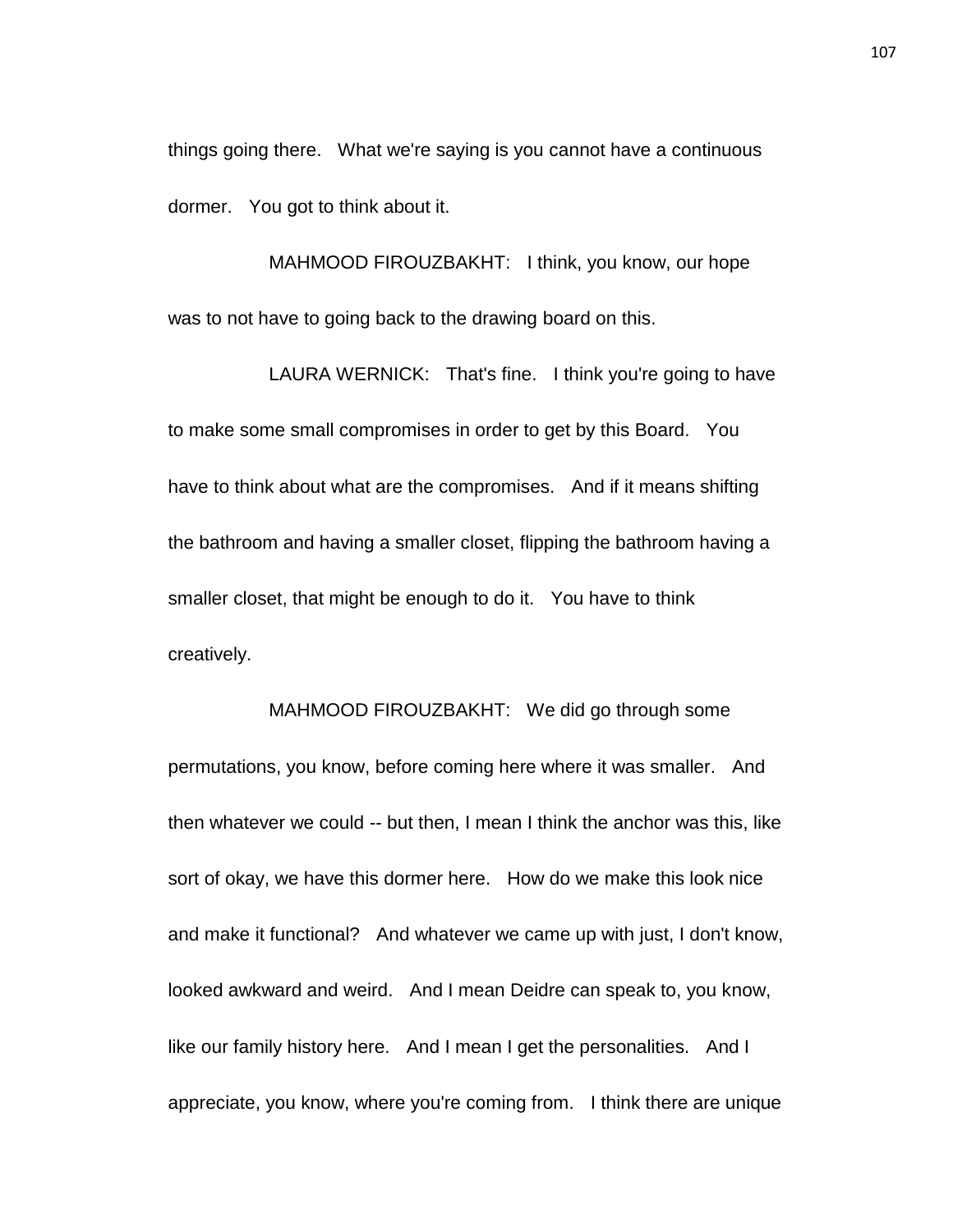things going there. What we're saying is you cannot have a continuous dormer. You got to think about it.

MAHMOOD FIROUZBAKHT: I think, you know, our hope was to not have to going back to the drawing board on this.

LAURA WERNICK: That's fine. I think you're going to have to make some small compromises in order to get by this Board. You have to think about what are the compromises. And if it means shifting the bathroom and having a smaller closet, flipping the bathroom having a smaller closet, that might be enough to do it. You have to think creatively.

MAHMOOD FIROUZBAKHT: We did go through some permutations, you know, before coming here where it was smaller. And then whatever we could -- but then, I mean I think the anchor was this, like sort of okay, we have this dormer here. How do we make this look nice and make it functional? And whatever we came up with just, I don't know, looked awkward and weird. And I mean Deidre can speak to, you know, like our family history here. And I mean I get the personalities. And I appreciate, you know, where you're coming from. I think there are unique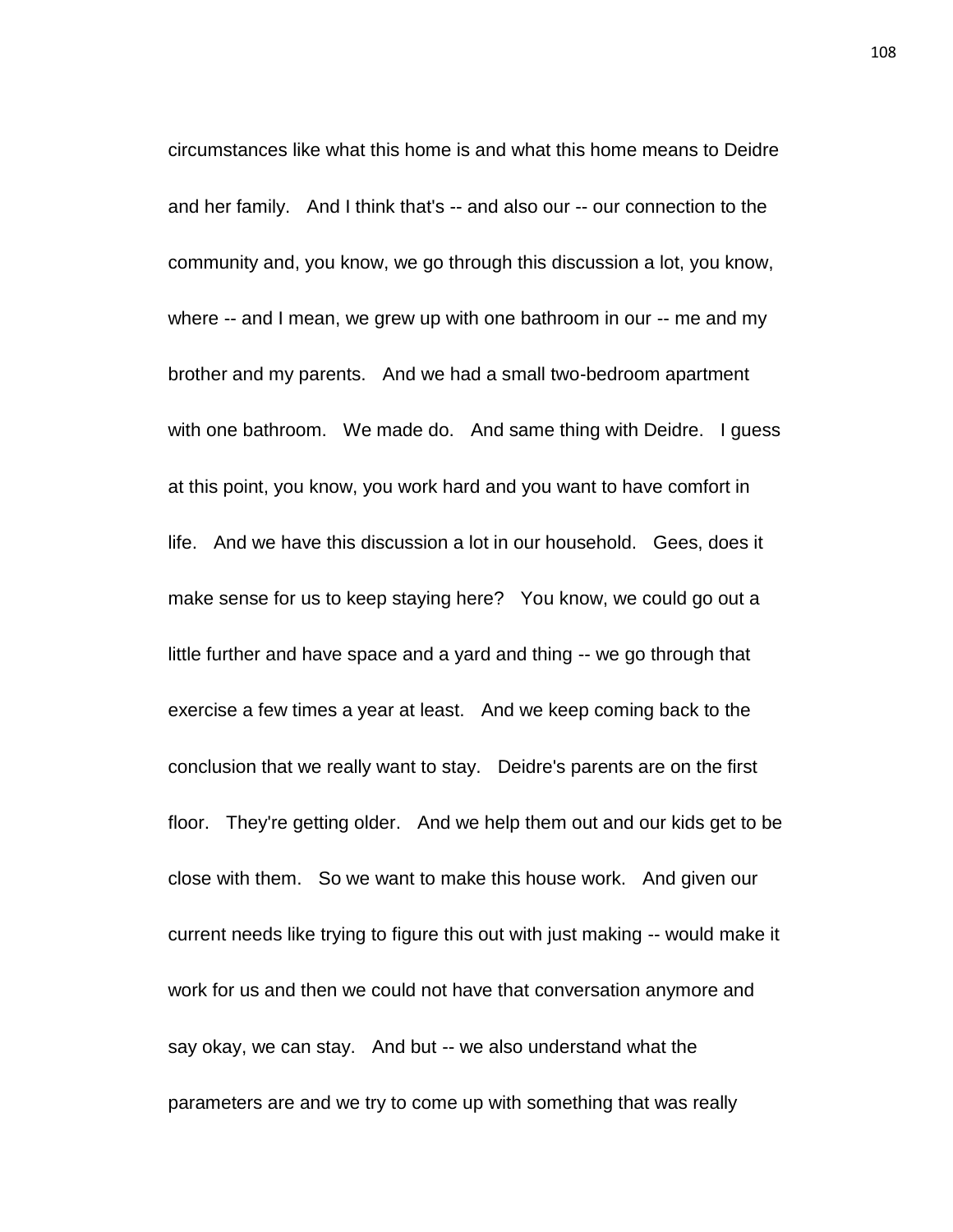circumstances like what this home is and what this home means to Deidre and her family. And I think that's -- and also our -- our connection to the community and, you know, we go through this discussion a lot, you know, where -- and I mean, we grew up with one bathroom in our -- me and my brother and my parents. And we had a small two-bedroom apartment with one bathroom. We made do. And same thing with Deidre. I quess at this point, you know, you work hard and you want to have comfort in life. And we have this discussion a lot in our household. Gees, does it make sense for us to keep staying here? You know, we could go out a little further and have space and a yard and thing -- we go through that exercise a few times a year at least. And we keep coming back to the conclusion that we really want to stay. Deidre's parents are on the first floor. They're getting older. And we help them out and our kids get to be close with them. So we want to make this house work. And given our current needs like trying to figure this out with just making -- would make it work for us and then we could not have that conversation anymore and say okay, we can stay. And but -- we also understand what the parameters are and we try to come up with something that was really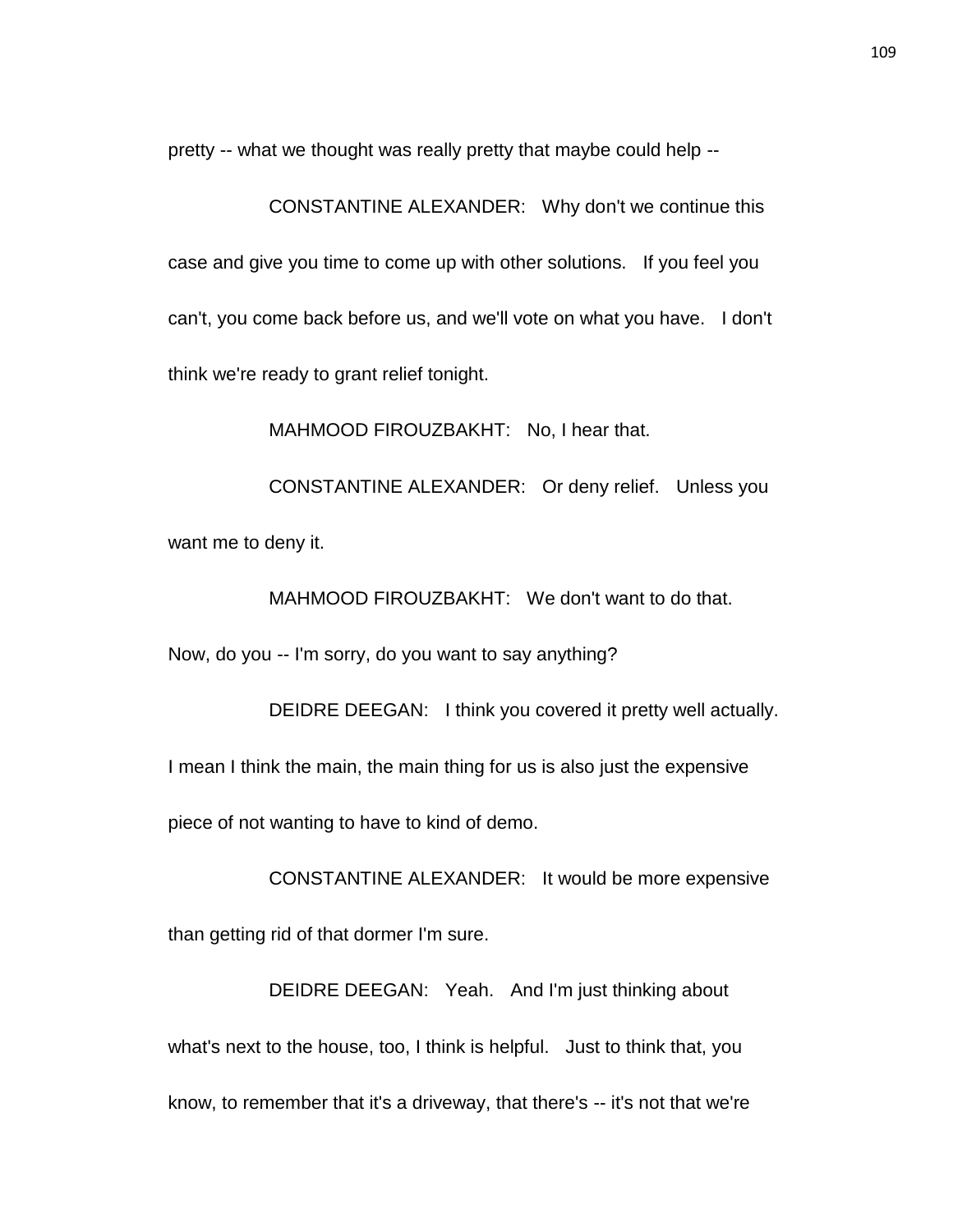pretty -- what we thought was really pretty that maybe could help --

CONSTANTINE ALEXANDER: Why don't we continue this case and give you time to come up with other solutions. If you feel you can't, you come back before us, and we'll vote on what you have. I don't think we're ready to grant relief tonight.

MAHMOOD FIROUZBAKHT: No, I hear that.

CONSTANTINE ALEXANDER: Or deny relief. Unless you want me to deny it.

MAHMOOD FIROUZBAKHT: We don't want to do that.

Now, do you -- I'm sorry, do you want to say anything?

DEIDRE DEEGAN: I think you covered it pretty well actually. I mean I think the main, the main thing for us is also just the expensive piece of not wanting to have to kind of demo.

CONSTANTINE ALEXANDER: It would be more expensive than getting rid of that dormer I'm sure.

DEIDRE DEEGAN: Yeah. And I'm just thinking about what's next to the house, too, I think is helpful. Just to think that, you know, to remember that it's a driveway, that there's -- it's not that we're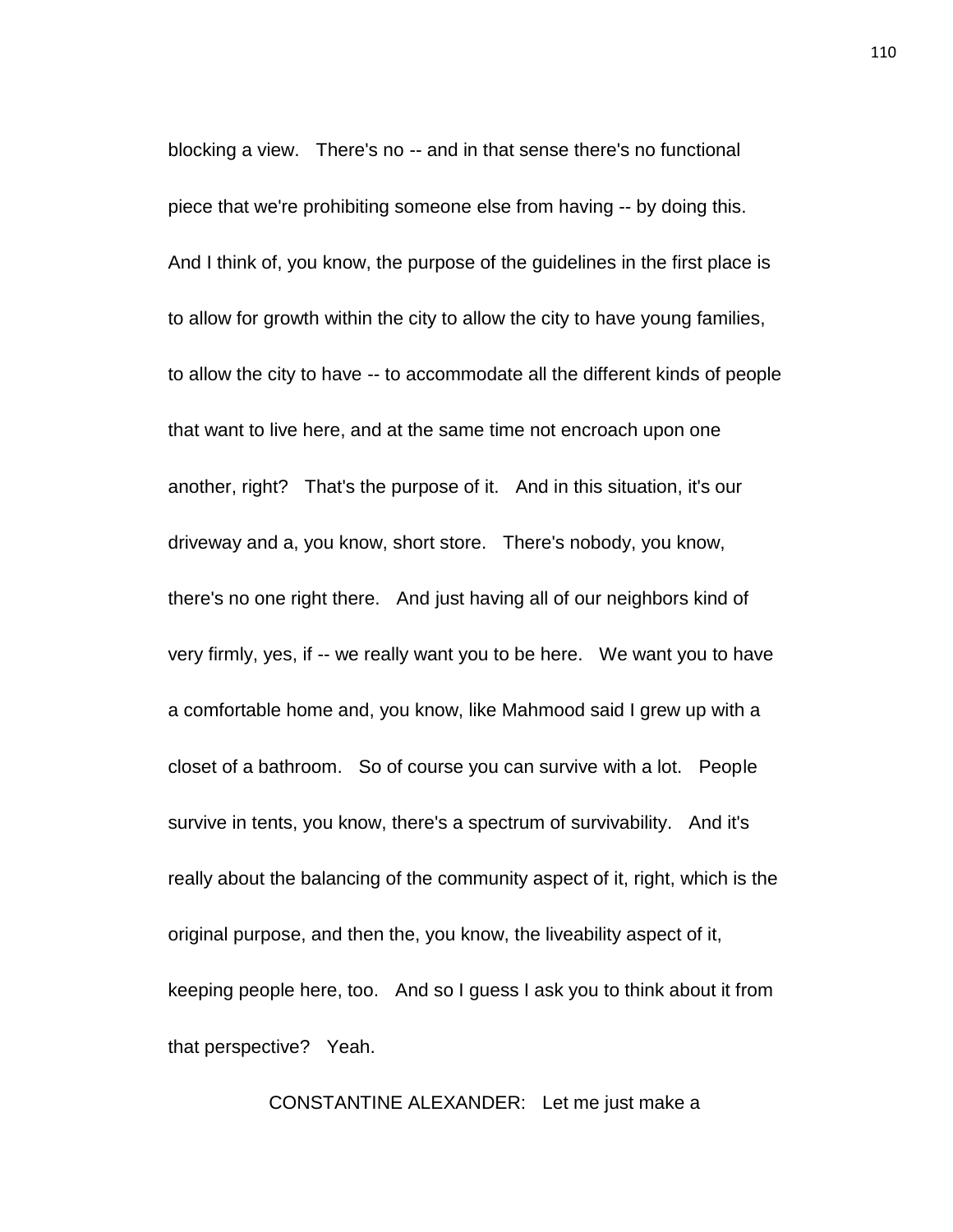blocking a view. There's no -- and in that sense there's no functional piece that we're prohibiting someone else from having -- by doing this. And I think of, you know, the purpose of the guidelines in the first place is to allow for growth within the city to allow the city to have young families, to allow the city to have -- to accommodate all the different kinds of people that want to live here, and at the same time not encroach upon one another, right? That's the purpose of it. And in this situation, it's our driveway and a, you know, short store. There's nobody, you know, there's no one right there. And just having all of our neighbors kind of very firmly, yes, if -- we really want you to be here. We want you to have a comfortable home and, you know, like Mahmood said I grew up with a closet of a bathroom. So of course you can survive with a lot. People survive in tents, you know, there's a spectrum of survivability. And it's really about the balancing of the community aspect of it, right, which is the original purpose, and then the, you know, the liveability aspect of it, keeping people here, too. And so I guess I ask you to think about it from that perspective? Yeah.

CONSTANTINE ALEXANDER: Let me just make a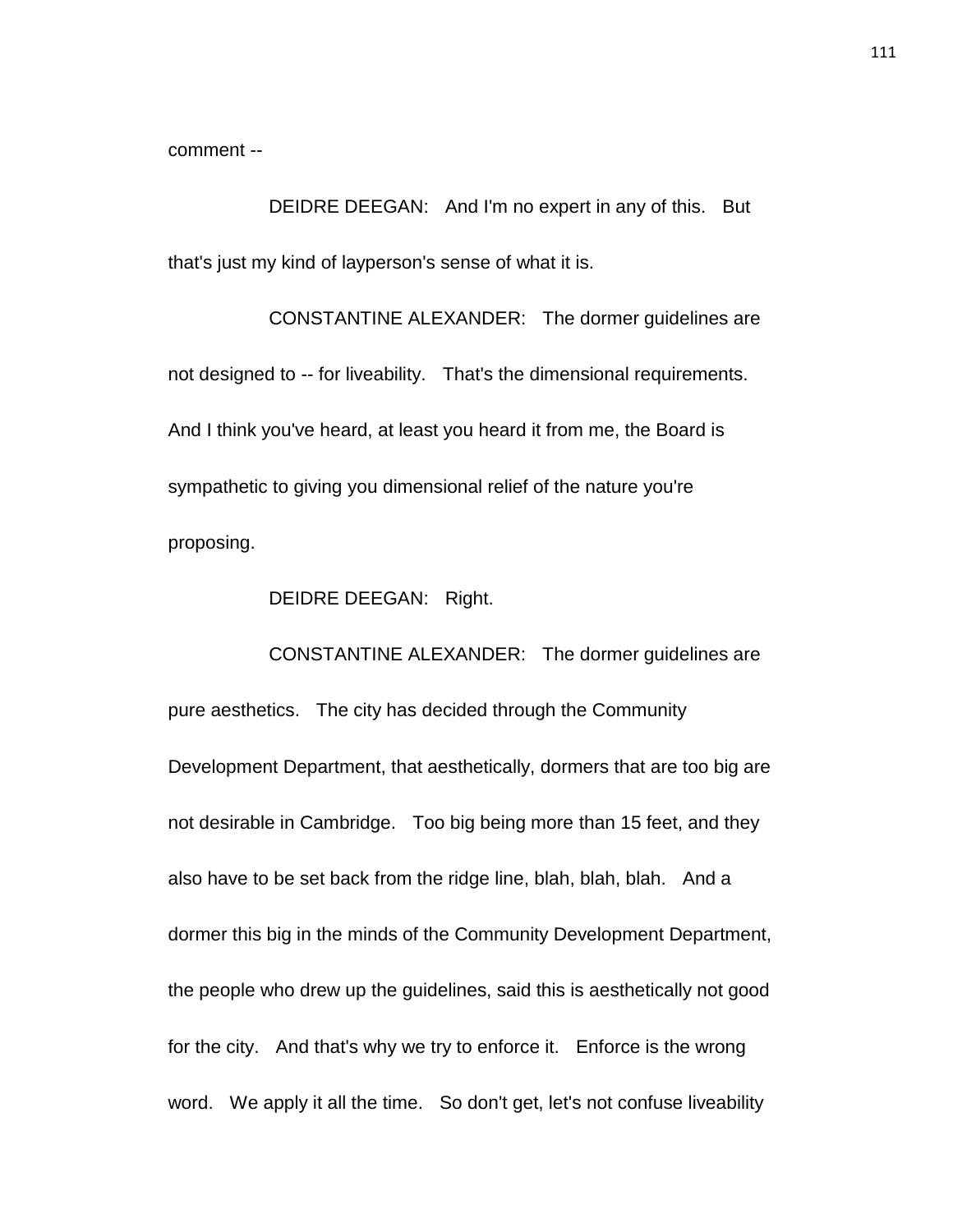comment --

DEIDRE DEEGAN: And I'm no expert in any of this. But that's just my kind of layperson's sense of what it is.

CONSTANTINE ALEXANDER: The dormer guidelines are not designed to -- for liveability. That's the dimensional requirements. And I think you've heard, at least you heard it from me, the Board is sympathetic to giving you dimensional relief of the nature you're proposing.

DEIDRE DEEGAN: Right.

CONSTANTINE ALEXANDER: The dormer guidelines are pure aesthetics. The city has decided through the Community Development Department, that aesthetically, dormers that are too big are not desirable in Cambridge. Too big being more than 15 feet, and they also have to be set back from the ridge line, blah, blah, blah. And a dormer this big in the minds of the Community Development Department, the people who drew up the guidelines, said this is aesthetically not good for the city. And that's why we try to enforce it. Enforce is the wrong word. We apply it all the time. So don't get, let's not confuse liveability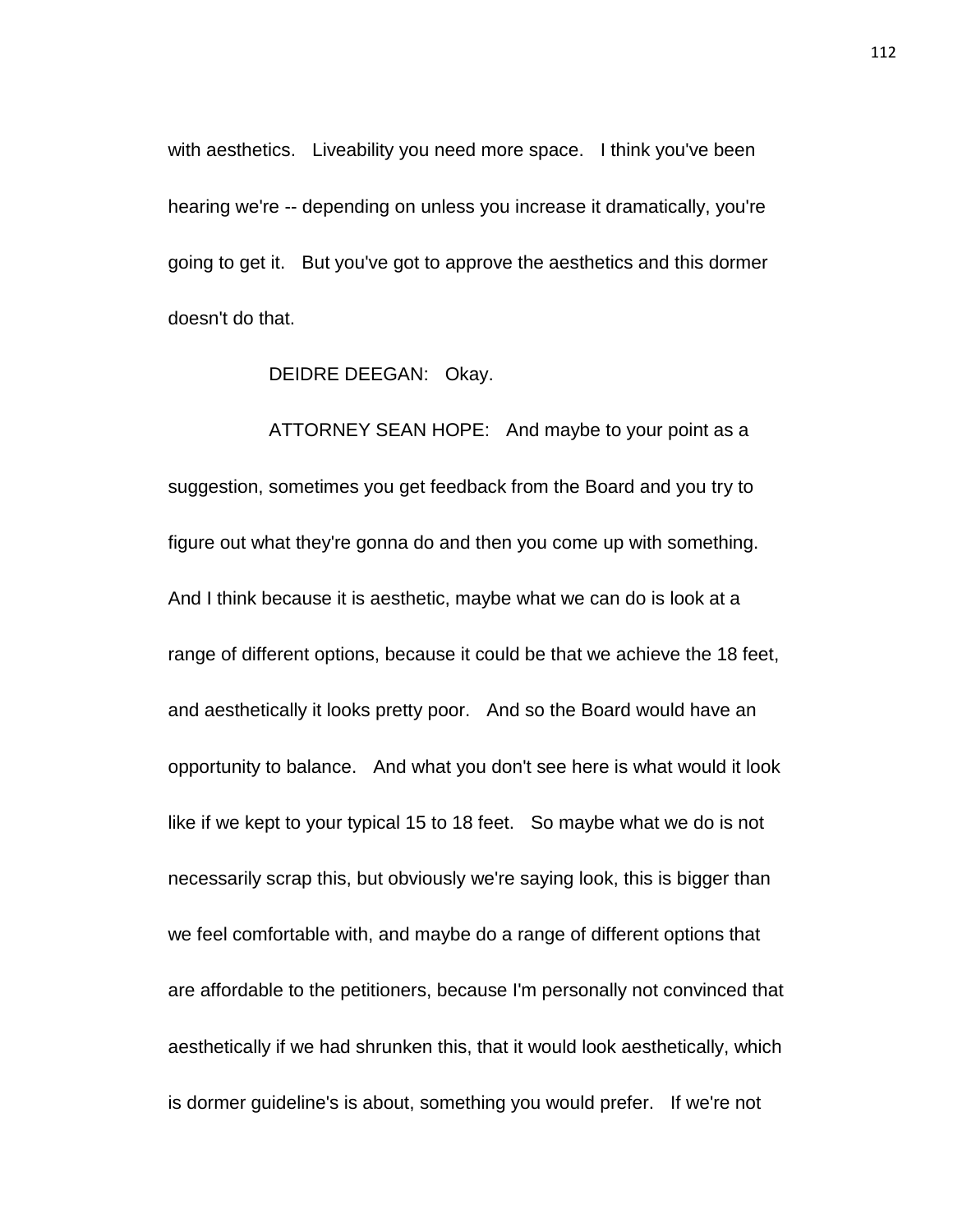with aesthetics. Liveability you need more space. I think you've been hearing we're -- depending on unless you increase it dramatically, you're going to get it. But you've got to approve the aesthetics and this dormer doesn't do that.

DEIDRE DEEGAN: Okay.

ATTORNEY SEAN HOPE: And maybe to your point as a suggestion, sometimes you get feedback from the Board and you try to figure out what they're gonna do and then you come up with something. And I think because it is aesthetic, maybe what we can do is look at a range of different options, because it could be that we achieve the 18 feet, and aesthetically it looks pretty poor. And so the Board would have an opportunity to balance. And what you don't see here is what would it look like if we kept to your typical 15 to 18 feet. So maybe what we do is not necessarily scrap this, but obviously we're saying look, this is bigger than we feel comfortable with, and maybe do a range of different options that are affordable to the petitioners, because I'm personally not convinced that aesthetically if we had shrunken this, that it would look aesthetically, which is dormer guideline's is about, something you would prefer. If we're not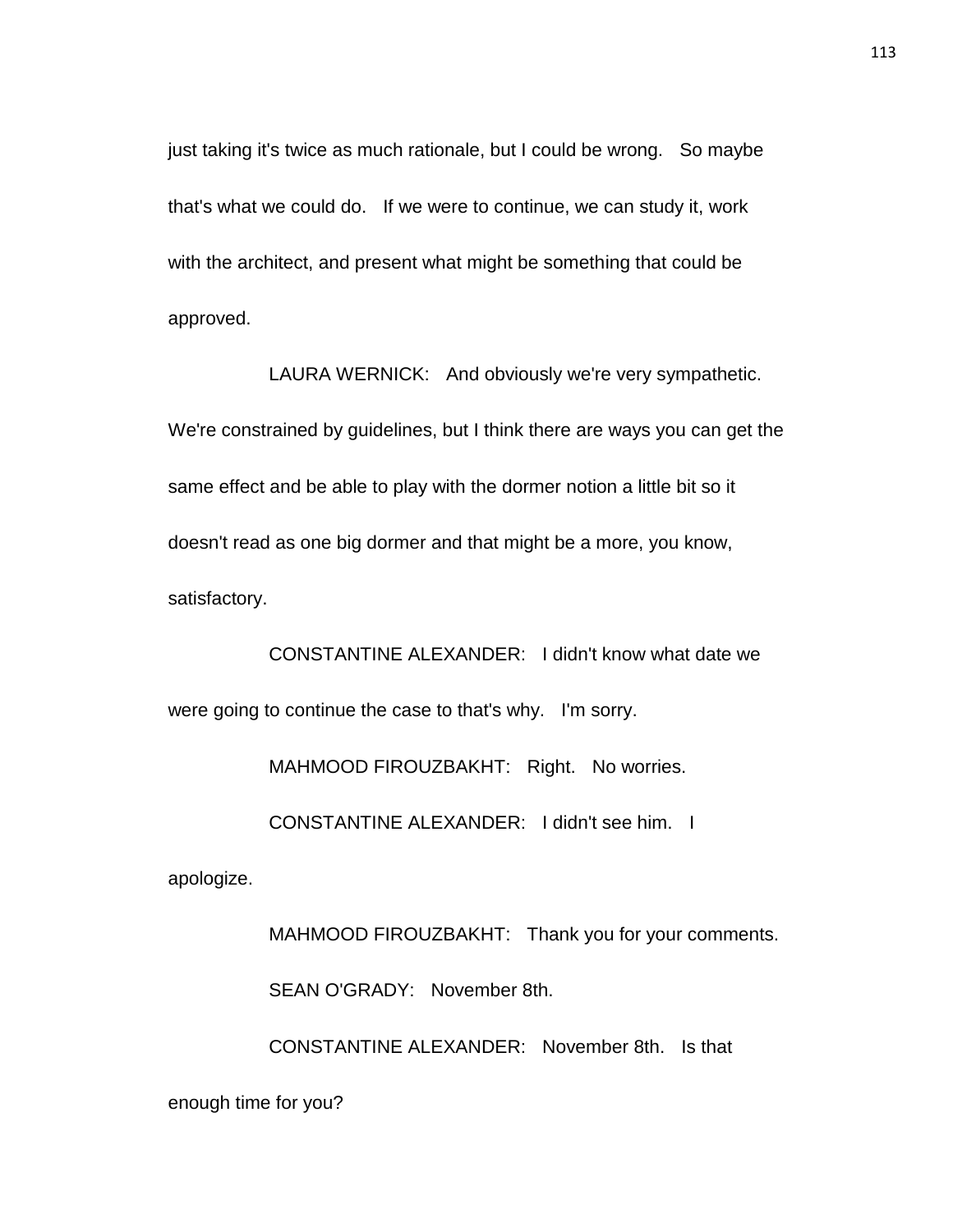just taking it's twice as much rationale, but I could be wrong. So maybe that's what we could do. If we were to continue, we can study it, work with the architect, and present what might be something that could be approved.

LAURA WERNICK: And obviously we're very sympathetic. We're constrained by guidelines, but I think there are ways you can get the same effect and be able to play with the dormer notion a little bit so it doesn't read as one big dormer and that might be a more, you know, satisfactory.

CONSTANTINE ALEXANDER: I didn't know what date we were going to continue the case to that's why. I'm sorry.

MAHMOOD FIROUZBAKHT: Right. No worries.

CONSTANTINE ALEXANDER: I didn't see him. I

apologize.

MAHMOOD FIROUZBAKHT: Thank you for your comments. SEAN O'GRADY: November 8th.

CONSTANTINE ALEXANDER: November 8th. Is that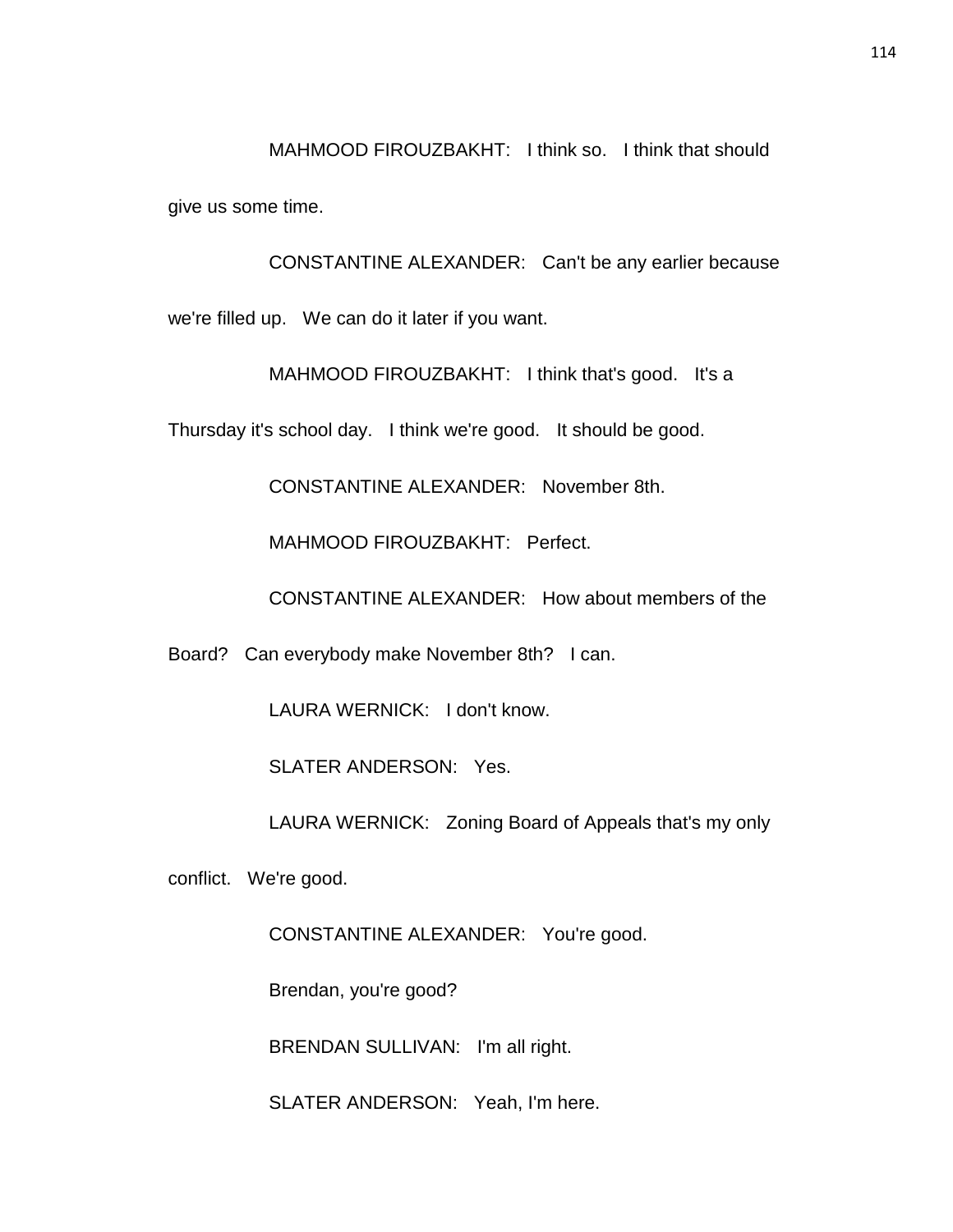MAHMOOD FIROUZBAKHT: I think so. I think that should give us some time.

CONSTANTINE ALEXANDER: Can't be any earlier because we're filled up. We can do it later if you want.

MAHMOOD FIROUZBAKHT: I think that's good. It's a

Thursday it's school day. I think we're good. It should be good.

CONSTANTINE ALEXANDER: November 8th.

MAHMOOD FIROUZBAKHT: Perfect.

CONSTANTINE ALEXANDER: How about members of the

Board? Can everybody make November 8th? I can.

LAURA WERNICK: I don't know.

SLATER ANDERSON: Yes.

LAURA WERNICK: Zoning Board of Appeals that's my only

conflict. We're good.

CONSTANTINE ALEXANDER: You're good.

Brendan, you're good?

BRENDAN SULLIVAN: I'm all right.

SLATER ANDERSON: Yeah, I'm here.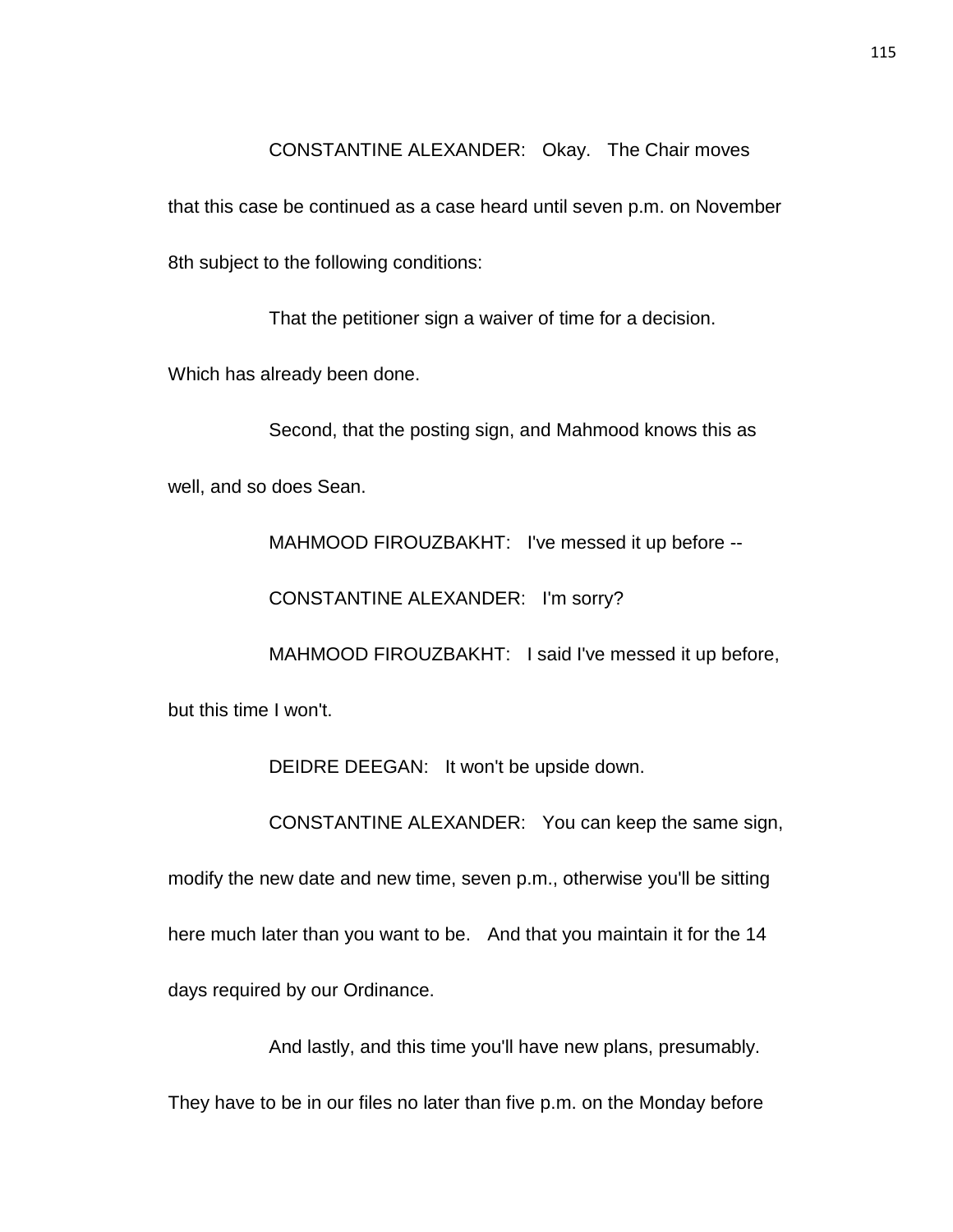CONSTANTINE ALEXANDER: Okay. The Chair moves

that this case be continued as a case heard until seven p.m. on November 8th subject to the following conditions:

That the petitioner sign a waiver of time for a decision.

Which has already been done.

Second, that the posting sign, and Mahmood knows this as well, and so does Sean.

MAHMOOD FIROUZBAKHT: I've messed it up before --

CONSTANTINE ALEXANDER: I'm sorry?

MAHMOOD FIROUZBAKHT: I said I've messed it up before,

but this time I won't.

DEIDRE DEEGAN: It won't be upside down.

CONSTANTINE ALEXANDER: You can keep the same sign,

modify the new date and new time, seven p.m., otherwise you'll be sitting here much later than you want to be. And that you maintain it for the 14 days required by our Ordinance.

And lastly, and this time you'll have new plans, presumably.

They have to be in our files no later than five p.m. on the Monday before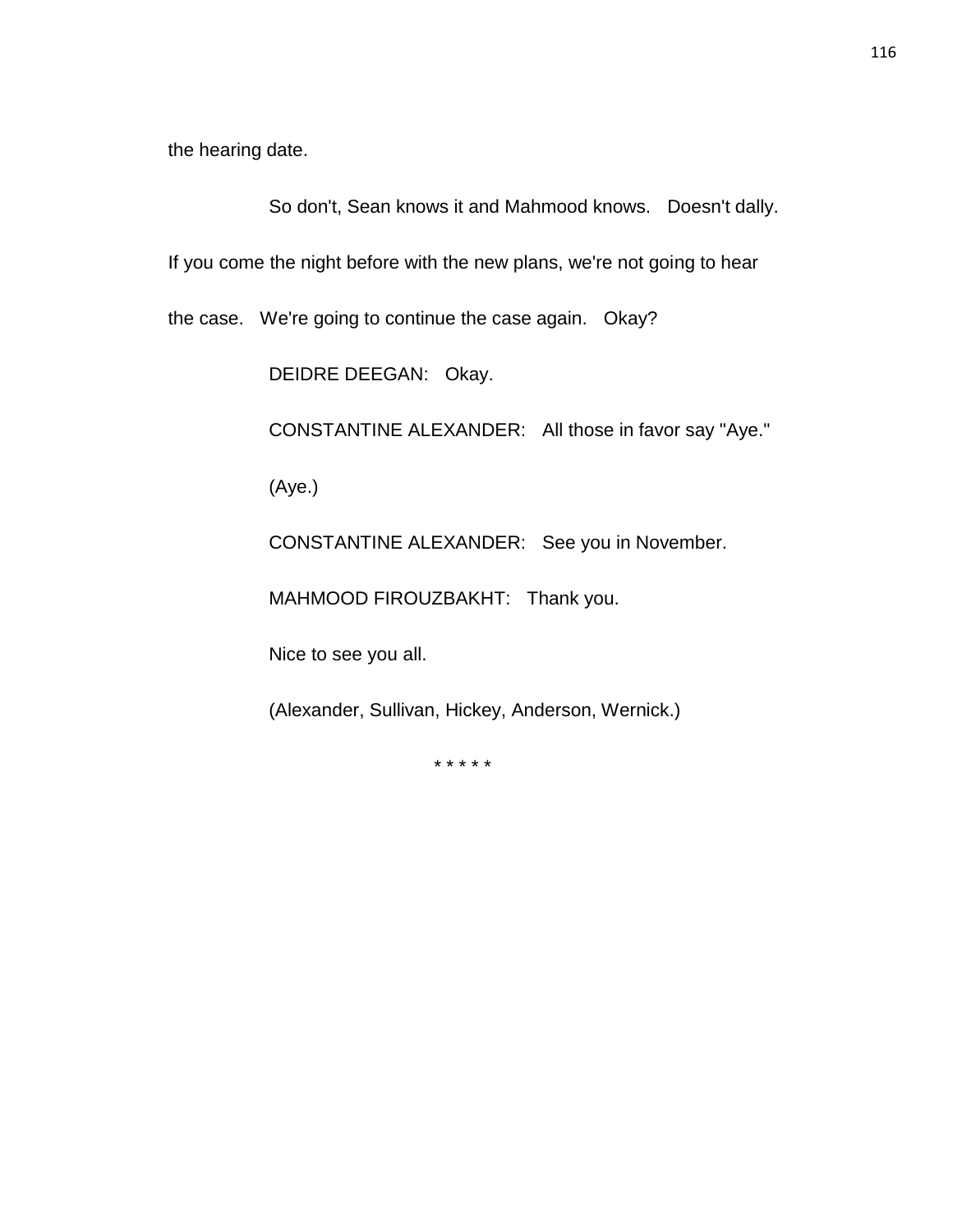the hearing date.

So don't, Sean knows it and Mahmood knows. Doesn't dally.

If you come the night before with the new plans, we're not going to hear

the case. We're going to continue the case again. Okay?

DEIDRE DEEGAN: Okay.

CONSTANTINE ALEXANDER: All those in favor say "Aye."

(Aye.)

CONSTANTINE ALEXANDER: See you in November.

MAHMOOD FIROUZBAKHT: Thank you.

Nice to see you all.

(Alexander, Sullivan, Hickey, Anderson, Wernick.)

\* \* \* \* \*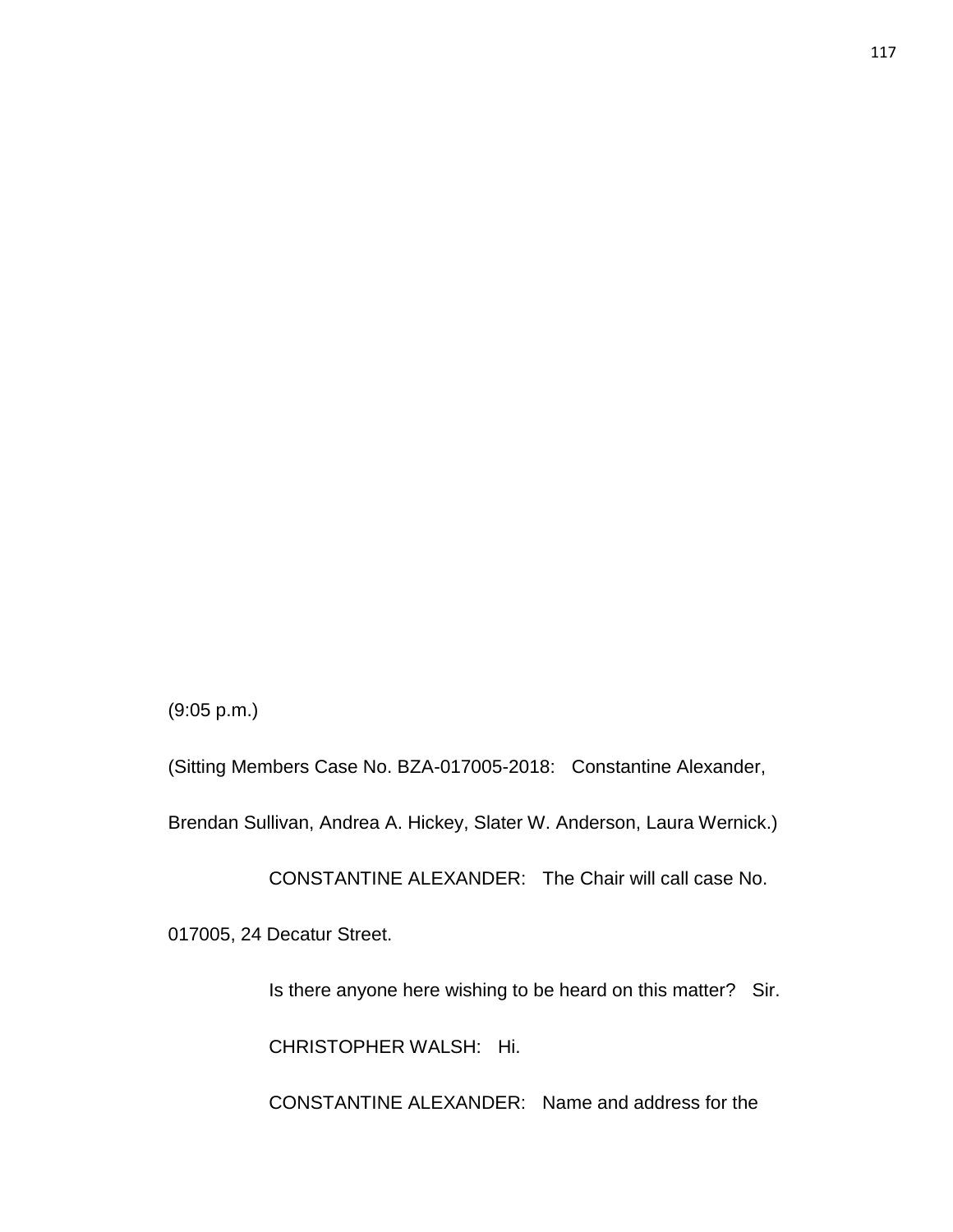(9:05 p.m.)

017005, 24 Decatur Street.

(Sitting Members Case No. BZA-017005-2018: Constantine Alexander,

Brendan Sullivan, Andrea A. Hickey, Slater W. Anderson, Laura Wernick.)

CHRISTOPHER WALSH: Hi.

CONSTANTINE ALEXANDER: The Chair will call case No.

Is there anyone here wishing to be heard on this matter? Sir.

CONSTANTINE ALEXANDER: Name and address for the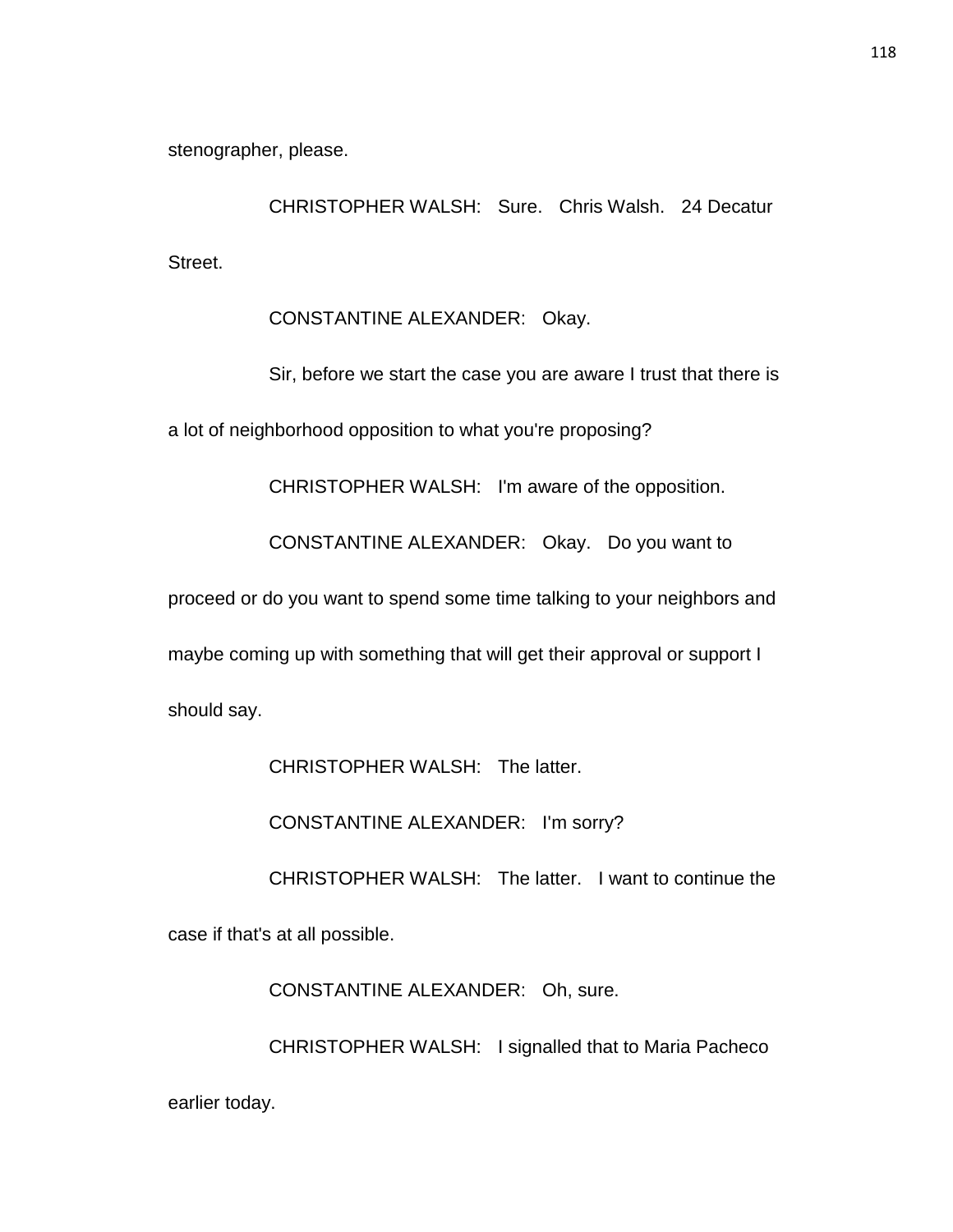stenographer, please.

CHRISTOPHER WALSH: Sure. Chris Walsh. 24 Decatur Street.

CONSTANTINE ALEXANDER: Okay.

Sir, before we start the case you are aware I trust that there is a lot of neighborhood opposition to what you're proposing?

CHRISTOPHER WALSH: I'm aware of the opposition.

CONSTANTINE ALEXANDER: Okay. Do you want to

proceed or do you want to spend some time talking to your neighbors and

maybe coming up with something that will get their approval or support I

should say.

CHRISTOPHER WALSH: The latter.

CONSTANTINE ALEXANDER: I'm sorry?

CHRISTOPHER WALSH: The latter. I want to continue the

case if that's at all possible.

CONSTANTINE ALEXANDER: Oh, sure.

CHRISTOPHER WALSH: I signalled that to Maria Pacheco

earlier today.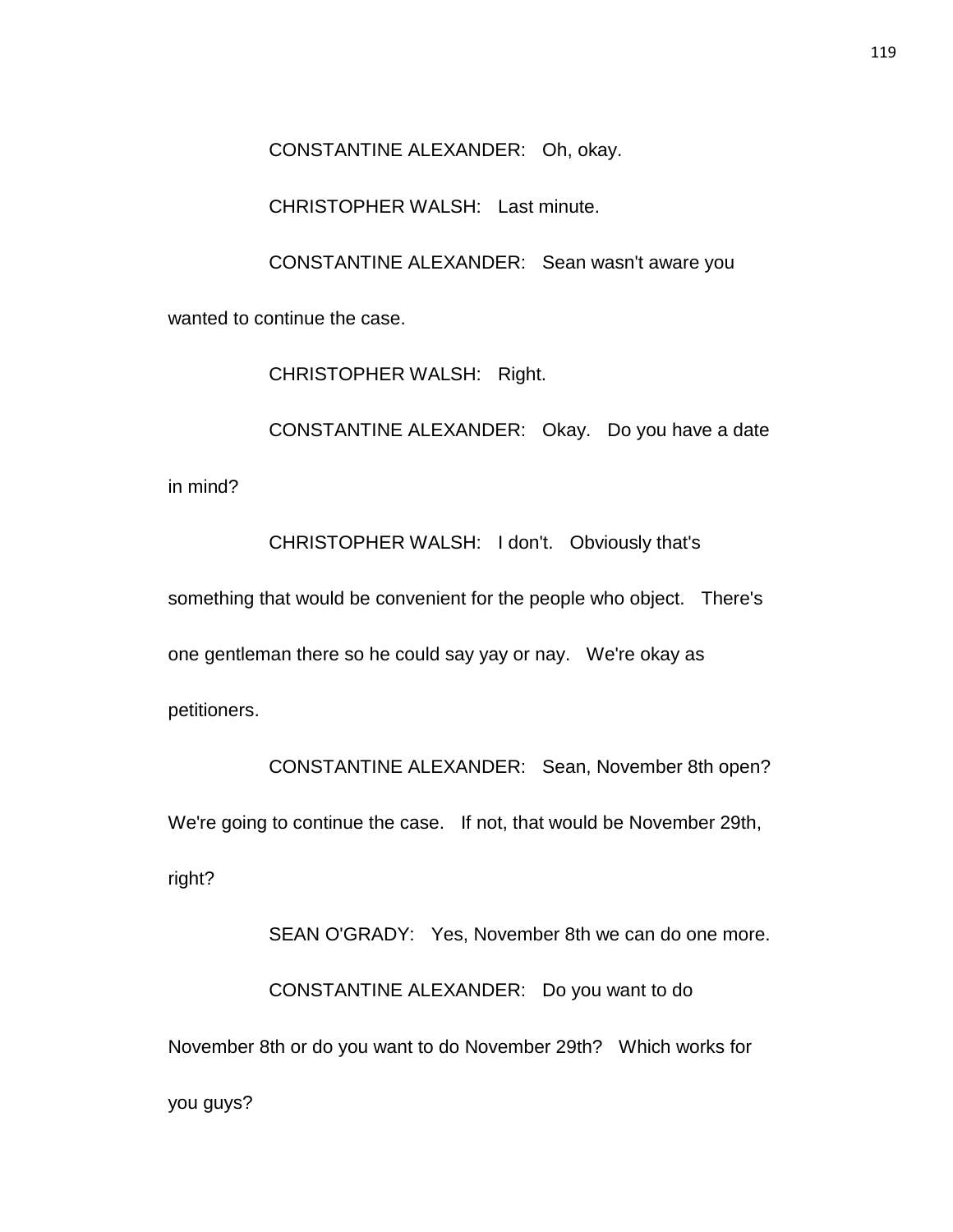CONSTANTINE ALEXANDER: Oh, okay.

CHRISTOPHER WALSH: Last minute.

CONSTANTINE ALEXANDER: Sean wasn't aware you

wanted to continue the case.

CHRISTOPHER WALSH: Right.

CONSTANTINE ALEXANDER: Okay. Do you have a date in mind?

CHRISTOPHER WALSH: I don't. Obviously that's something that would be convenient for the people who object. There's one gentleman there so he could say yay or nay. We're okay as petitioners.

CONSTANTINE ALEXANDER: Sean, November 8th open? We're going to continue the case. If not, that would be November 29th, right?

SEAN O'GRADY: Yes, November 8th we can do one more. CONSTANTINE ALEXANDER: Do you want to do November 8th or do you want to do November 29th? Which works for you guys?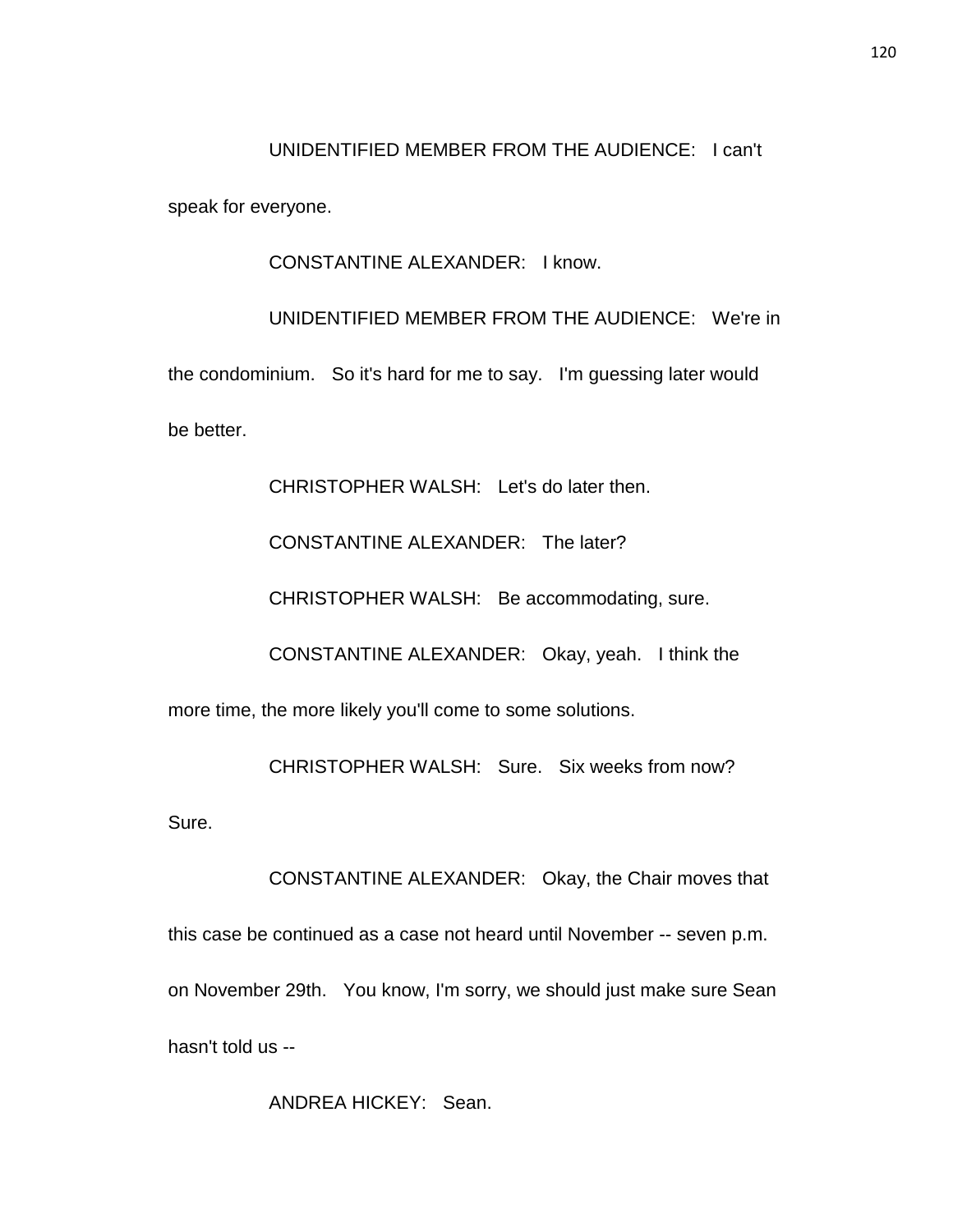#### UNIDENTIFIED MEMBER FROM THE AUDIENCE: I can't

speak for everyone.

CONSTANTINE ALEXANDER: I know.

UNIDENTIFIED MEMBER FROM THE AUDIENCE: We're in the condominium. So it's hard for me to say. I'm guessing later would be better.

CHRISTOPHER WALSH: Let's do later then.

CONSTANTINE ALEXANDER: The later?

CHRISTOPHER WALSH: Be accommodating, sure.

CONSTANTINE ALEXANDER: Okay, yeah. I think the

more time, the more likely you'll come to some solutions.

CHRISTOPHER WALSH: Sure. Six weeks from now?

Sure.

CONSTANTINE ALEXANDER: Okay, the Chair moves that this case be continued as a case not heard until November -- seven p.m. on November 29th. You know, I'm sorry, we should just make sure Sean hasn't told us --

ANDREA HICKEY: Sean.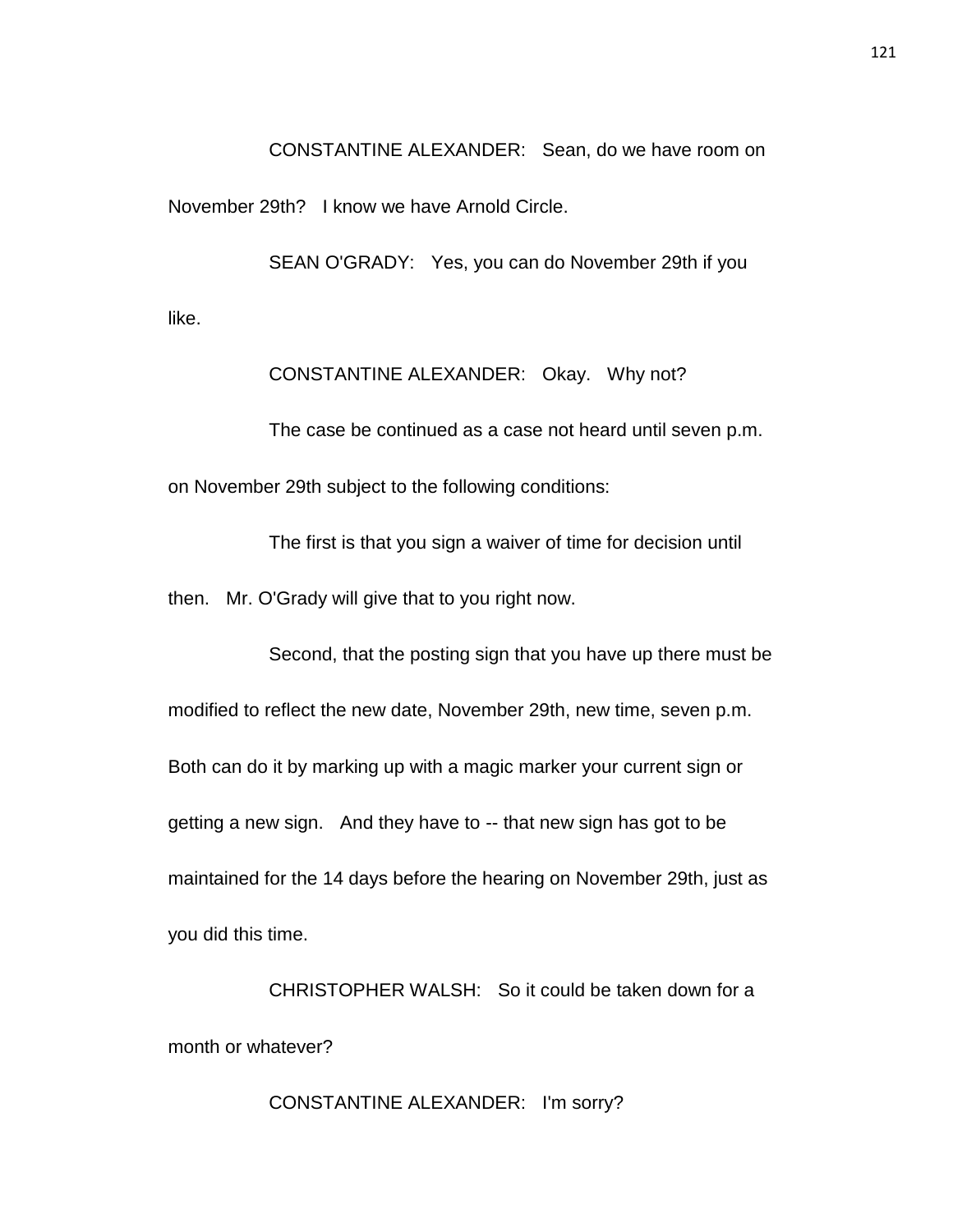CONSTANTINE ALEXANDER: Sean, do we have room on

November 29th? I know we have Arnold Circle.

SEAN O'GRADY: Yes, you can do November 29th if you like.

CONSTANTINE ALEXANDER: Okay. Why not?

The case be continued as a case not heard until seven p.m. on November 29th subject to the following conditions:

The first is that you sign a waiver of time for decision until

then. Mr. O'Grady will give that to you right now.

Second, that the posting sign that you have up there must be modified to reflect the new date, November 29th, new time, seven p.m. Both can do it by marking up with a magic marker your current sign or getting a new sign. And they have to -- that new sign has got to be maintained for the 14 days before the hearing on November 29th, just as you did this time.

CHRISTOPHER WALSH: So it could be taken down for a month or whatever?

CONSTANTINE ALEXANDER: I'm sorry?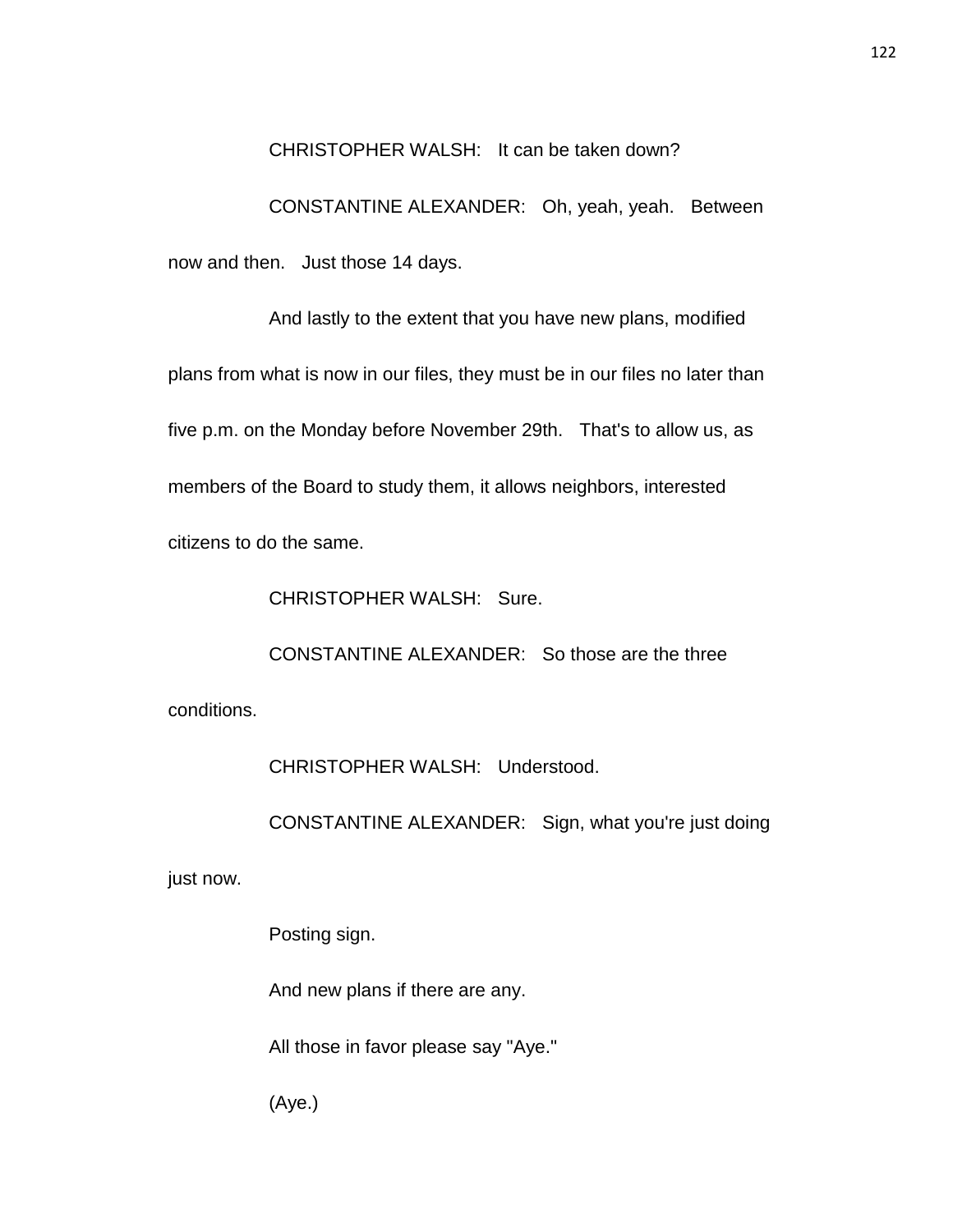## CHRISTOPHER WALSH: It can be taken down?

CONSTANTINE ALEXANDER: Oh, yeah, yeah. Between now and then. Just those 14 days.

And lastly to the extent that you have new plans, modified plans from what is now in our files, they must be in our files no later than five p.m. on the Monday before November 29th. That's to allow us, as members of the Board to study them, it allows neighbors, interested citizens to do the same.

CHRISTOPHER WALSH: Sure.

CONSTANTINE ALEXANDER: So those are the three conditions.

CHRISTOPHER WALSH: Understood.

CONSTANTINE ALEXANDER: Sign, what you're just doing

just now.

Posting sign.

And new plans if there are any.

All those in favor please say "Aye."

(Aye.)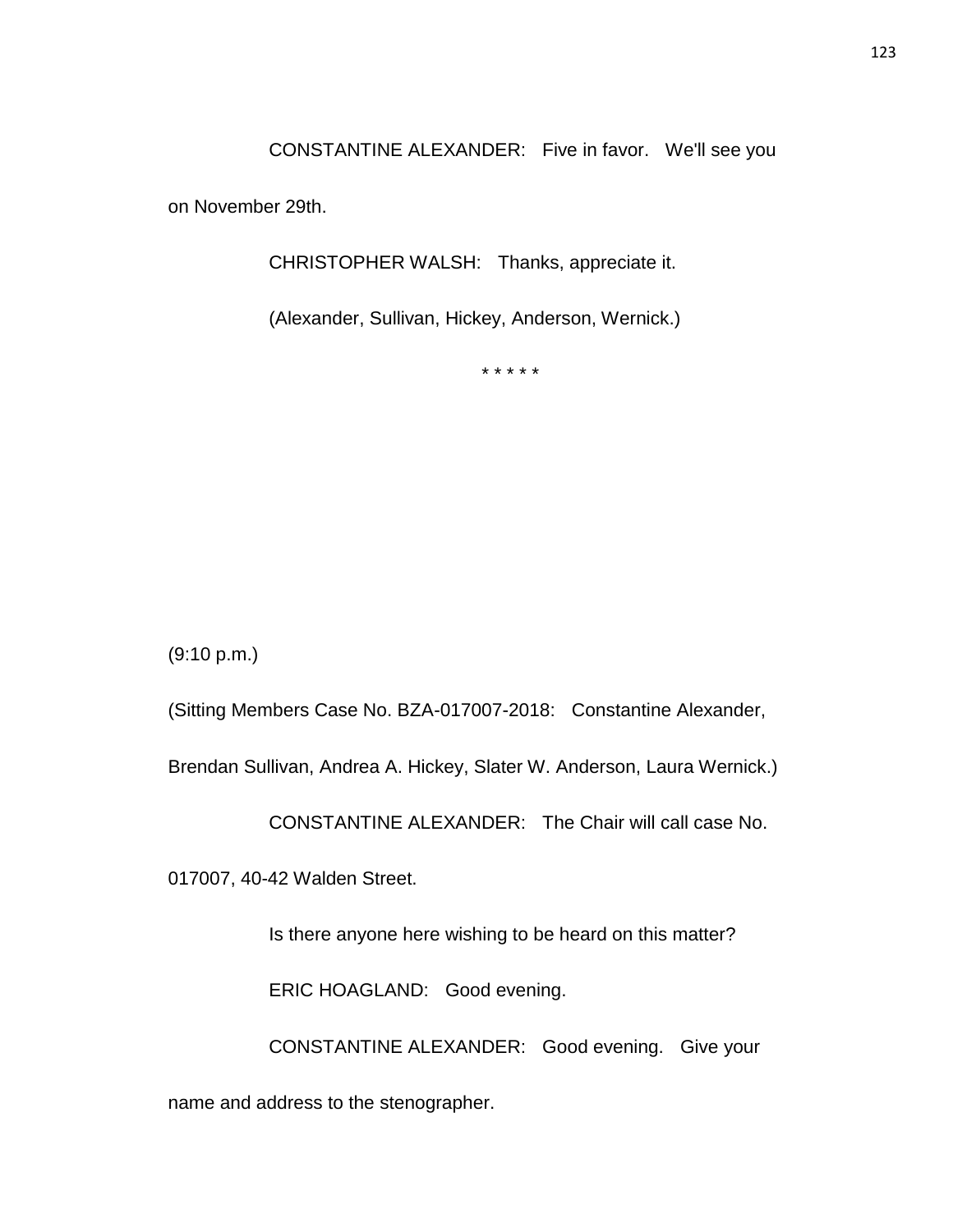CONSTANTINE ALEXANDER: Five in favor. We'll see you

on November 29th.

CHRISTOPHER WALSH: Thanks, appreciate it.

(Alexander, Sullivan, Hickey, Anderson, Wernick.)

\* \* \* \* \*

(9:10 p.m.)

(Sitting Members Case No. BZA-017007-2018: Constantine Alexander,

Brendan Sullivan, Andrea A. Hickey, Slater W. Anderson, Laura Wernick.)

CONSTANTINE ALEXANDER: The Chair will call case No.

017007, 40-42 Walden Street.

Is there anyone here wishing to be heard on this matter?

ERIC HOAGLAND: Good evening.

CONSTANTINE ALEXANDER: Good evening. Give your

name and address to the stenographer.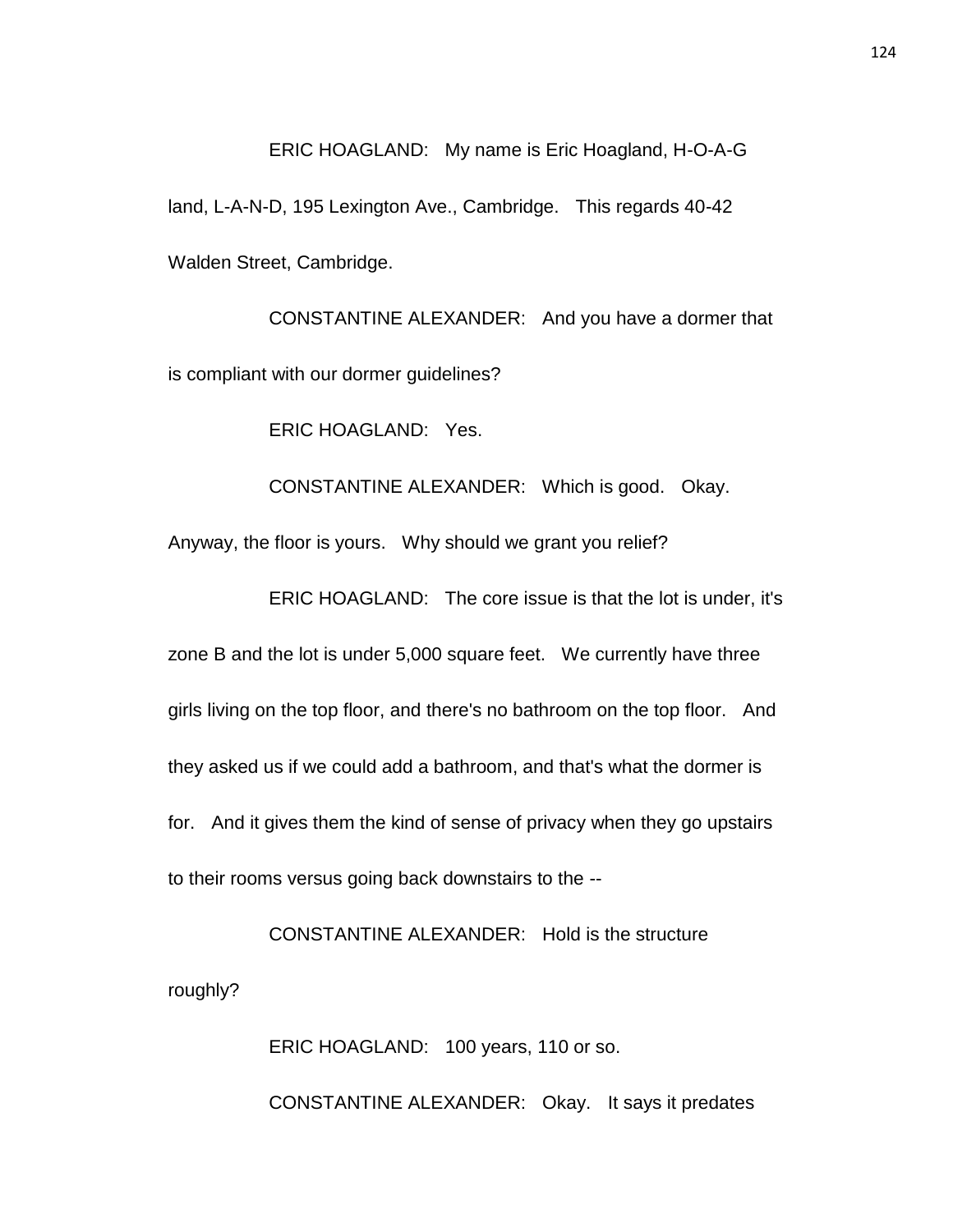#### ERIC HOAGLAND: My name is Eric Hoagland, H-O-A-G

land, L-A-N-D, 195 Lexington Ave., Cambridge. This regards 40-42 Walden Street, Cambridge.

CONSTANTINE ALEXANDER: And you have a dormer that is compliant with our dormer guidelines?

ERIC HOAGLAND: Yes.

CONSTANTINE ALEXANDER: Which is good. Okay.

Anyway, the floor is yours. Why should we grant you relief?

ERIC HOAGLAND: The core issue is that the lot is under, it's

zone B and the lot is under 5,000 square feet. We currently have three girls living on the top floor, and there's no bathroom on the top floor. And they asked us if we could add a bathroom, and that's what the dormer is for. And it gives them the kind of sense of privacy when they go upstairs to their rooms versus going back downstairs to the --

CONSTANTINE ALEXANDER: Hold is the structure roughly?

> ERIC HOAGLAND: 100 years, 110 or so. CONSTANTINE ALEXANDER: Okay. It says it predates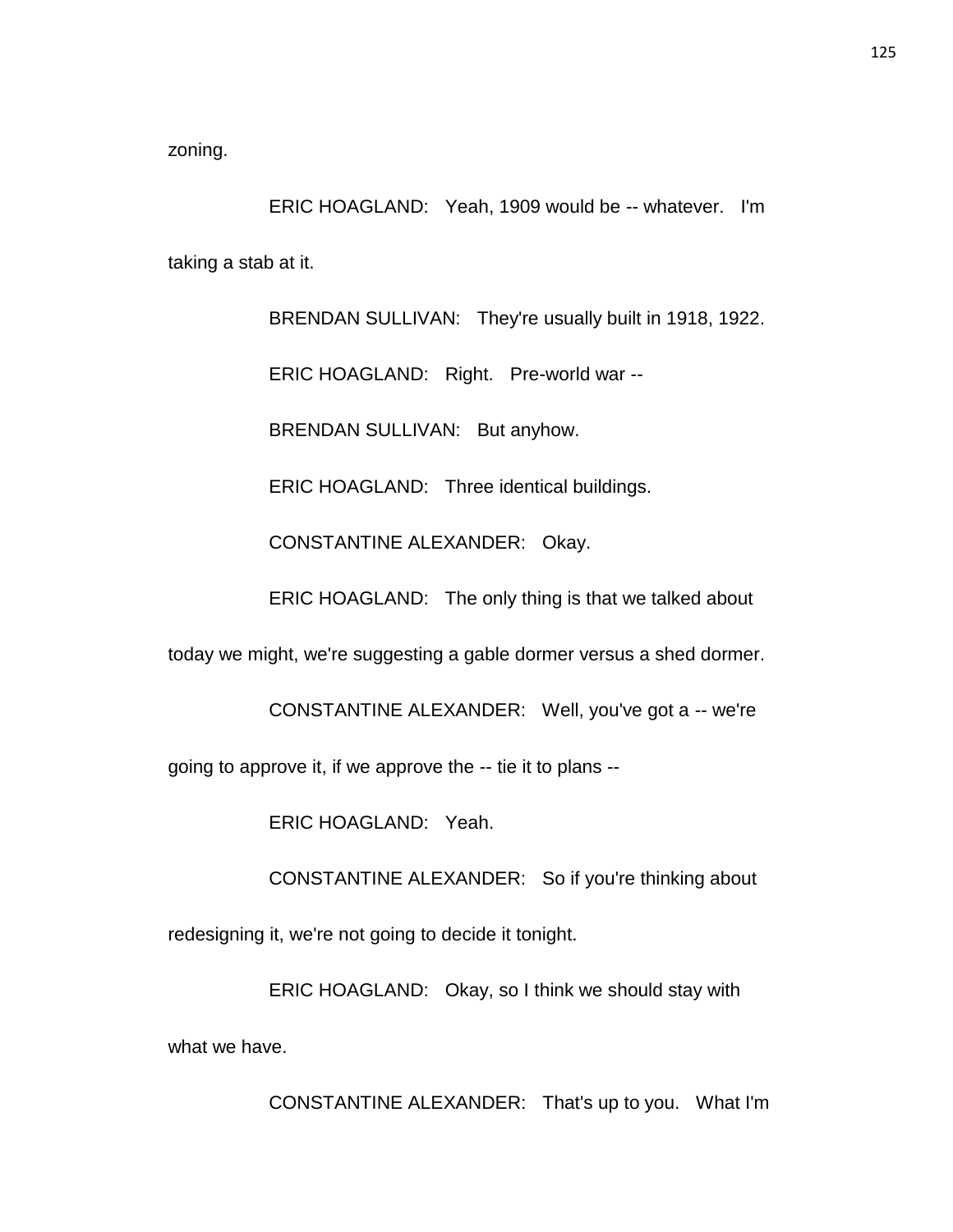zoning.

ERIC HOAGLAND: Yeah, 1909 would be -- whatever. I'm taking a stab at it.

> BRENDAN SULLIVAN: They're usually built in 1918, 1922. ERIC HOAGLAND: Right. Pre-world war --

BRENDAN SULLIVAN: But anyhow.

ERIC HOAGLAND: Three identical buildings.

CONSTANTINE ALEXANDER: Okay.

ERIC HOAGLAND: The only thing is that we talked about

today we might, we're suggesting a gable dormer versus a shed dormer.

CONSTANTINE ALEXANDER: Well, you've got a -- we're

going to approve it, if we approve the -- tie it to plans --

ERIC HOAGLAND: Yeah.

CONSTANTINE ALEXANDER: So if you're thinking about

redesigning it, we're not going to decide it tonight.

ERIC HOAGLAND: Okay, so I think we should stay with what we have.

CONSTANTINE ALEXANDER: That's up to you. What I'm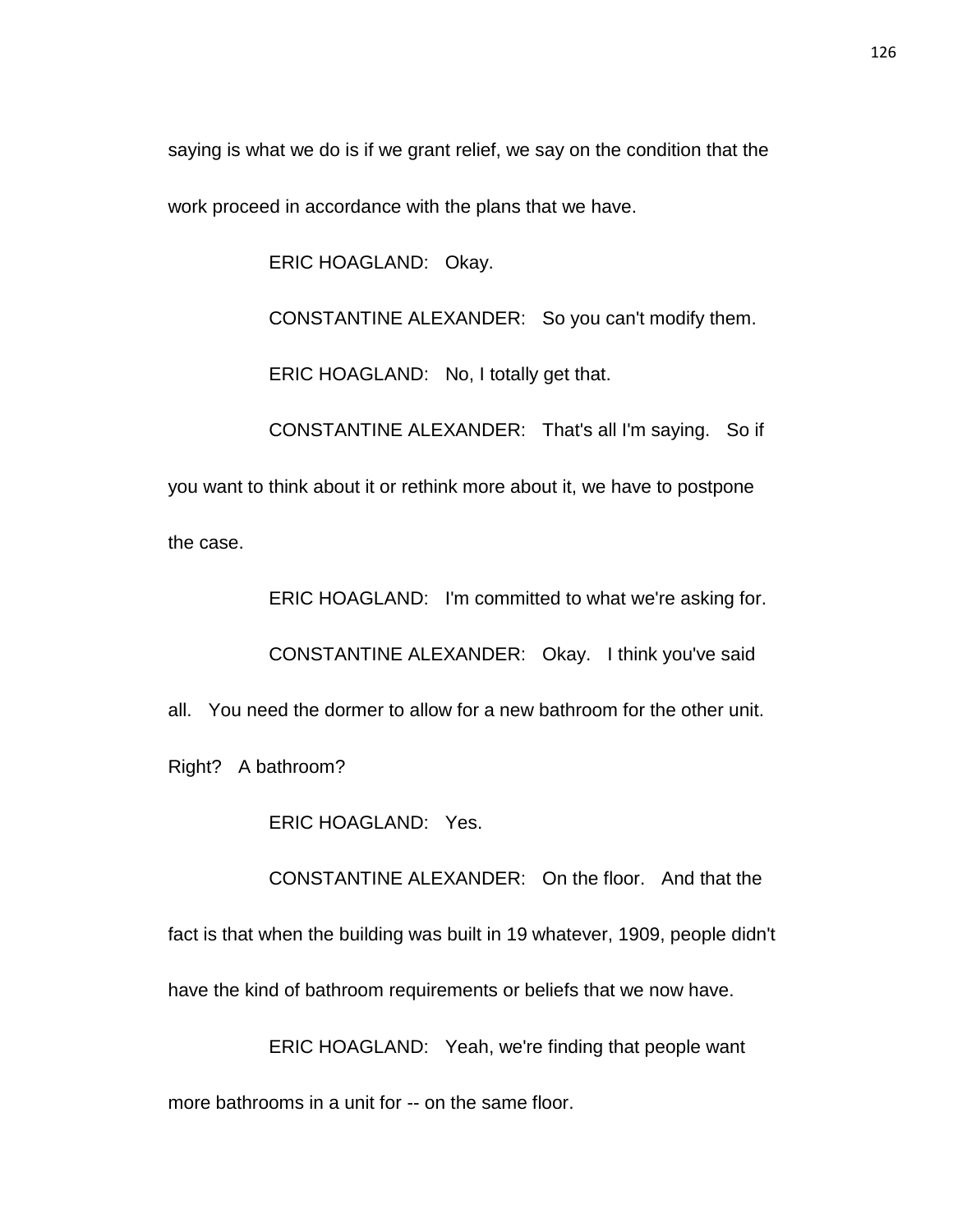saying is what we do is if we grant relief, we say on the condition that the work proceed in accordance with the plans that we have.

ERIC HOAGLAND: Okay.

CONSTANTINE ALEXANDER: So you can't modify them.

ERIC HOAGLAND: No, I totally get that.

CONSTANTINE ALEXANDER: That's all I'm saying. So if

you want to think about it or rethink more about it, we have to postpone the case.

ERIC HOAGLAND: I'm committed to what we're asking for.

CONSTANTINE ALEXANDER: Okay. I think you've said

all. You need the dormer to allow for a new bathroom for the other unit.

Right? A bathroom?

ERIC HOAGLAND: Yes.

CONSTANTINE ALEXANDER: On the floor. And that the

fact is that when the building was built in 19 whatever, 1909, people didn't

have the kind of bathroom requirements or beliefs that we now have.

ERIC HOAGLAND: Yeah, we're finding that people want

more bathrooms in a unit for -- on the same floor.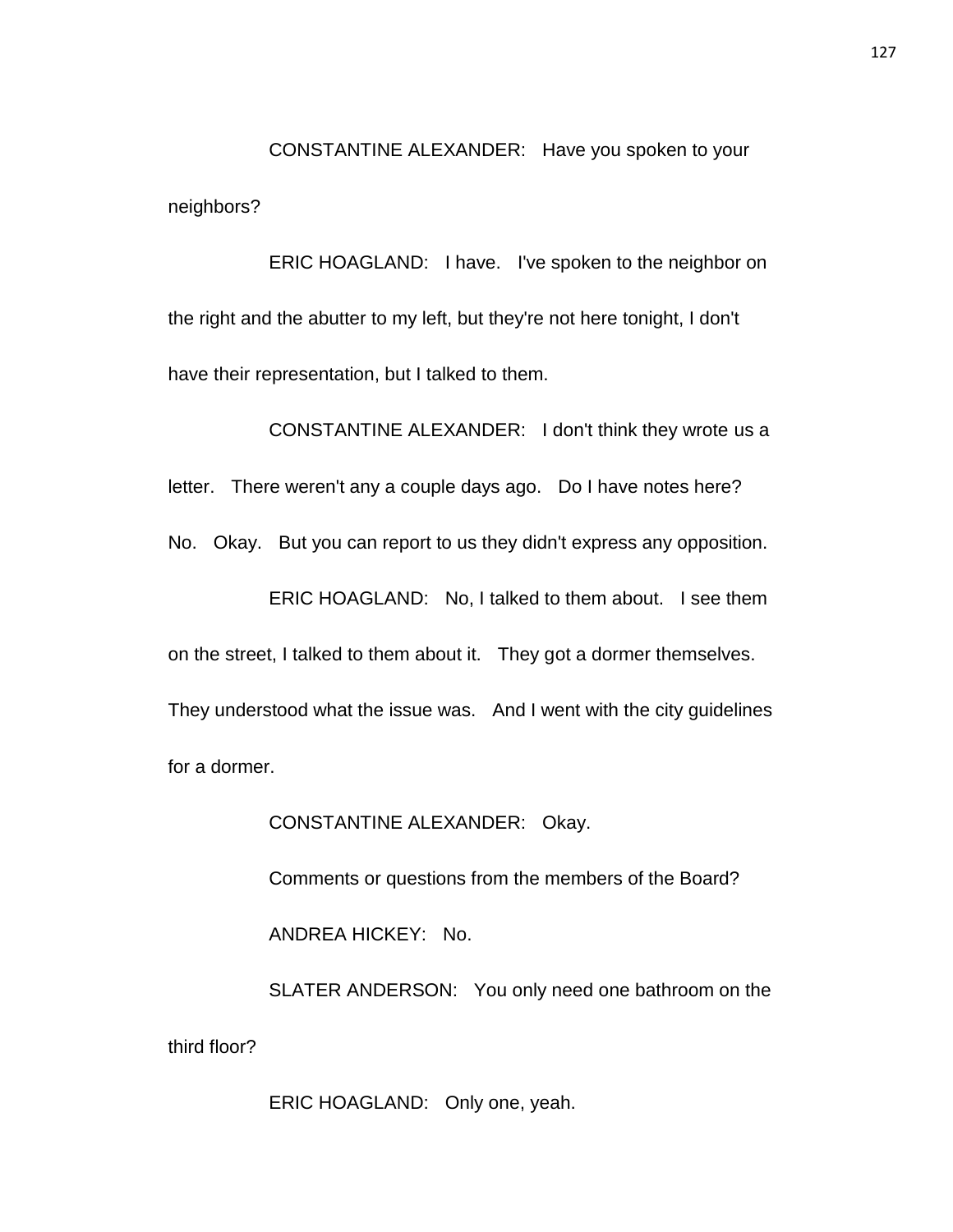CONSTANTINE ALEXANDER: Have you spoken to your neighbors?

ERIC HOAGLAND: I have. I've spoken to the neighbor on the right and the abutter to my left, but they're not here tonight, I don't have their representation, but I talked to them.

CONSTANTINE ALEXANDER: I don't think they wrote us a letter. There weren't any a couple days ago. Do I have notes here? No. Okay. But you can report to us they didn't express any opposition. ERIC HOAGLAND: No, I talked to them about. I see them on the street, I talked to them about it. They got a dormer themselves. They understood what the issue was. And I went with the city guidelines for a dormer.

CONSTANTINE ALEXANDER: Okay.

Comments or questions from the members of the Board?

ANDREA HICKEY: No.

SLATER ANDERSON: You only need one bathroom on the third floor?

ERIC HOAGLAND: Only one, yeah.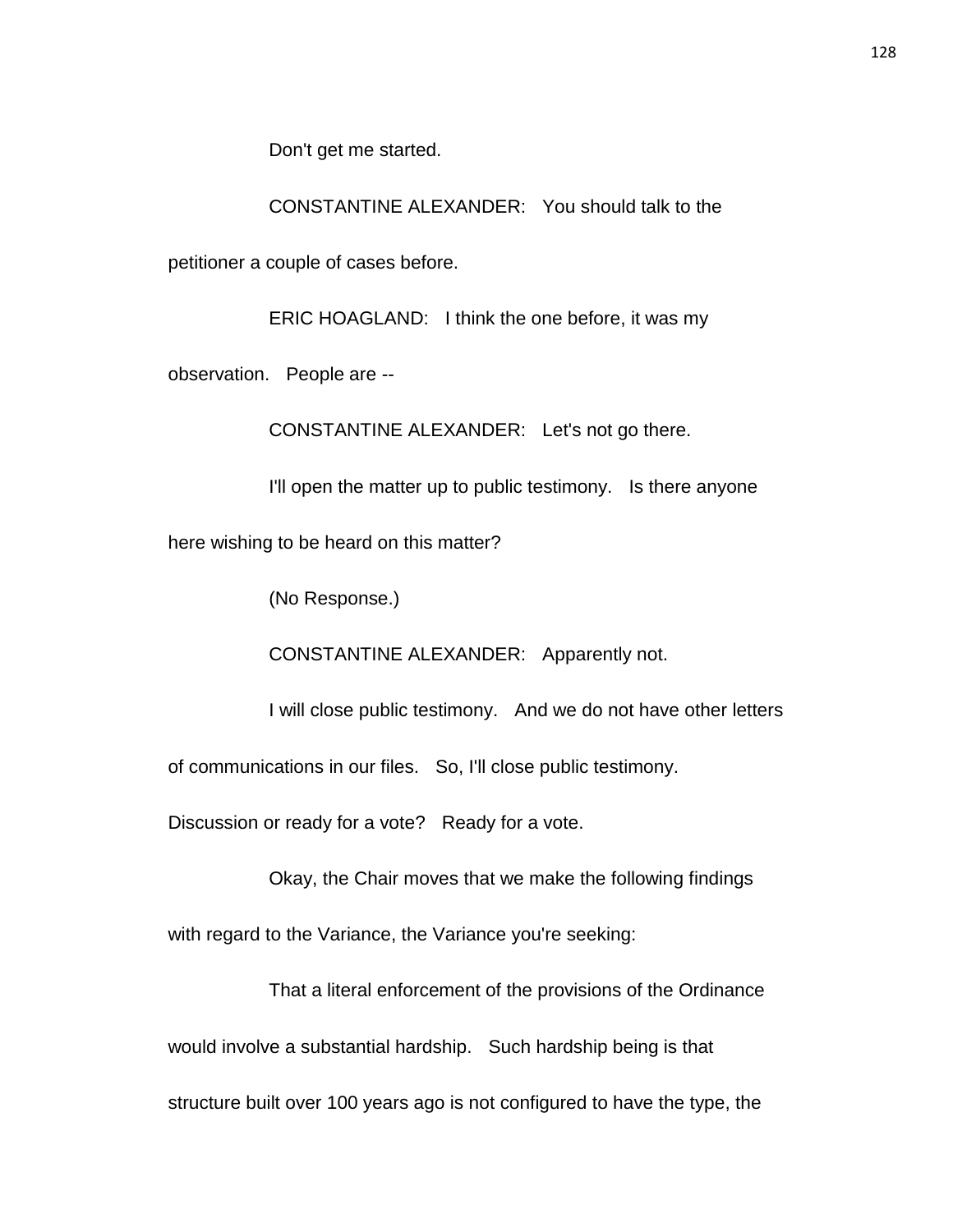Don't get me started.

CONSTANTINE ALEXANDER: You should talk to the

petitioner a couple of cases before.

ERIC HOAGLAND: I think the one before, it was my

observation. People are --

CONSTANTINE ALEXANDER: Let's not go there.

I'll open the matter up to public testimony. Is there anyone

here wishing to be heard on this matter?

(No Response.)

CONSTANTINE ALEXANDER: Apparently not.

I will close public testimony. And we do not have other letters

of communications in our files. So, I'll close public testimony.

Discussion or ready for a vote? Ready for a vote.

Okay, the Chair moves that we make the following findings

with regard to the Variance, the Variance you're seeking:

That a literal enforcement of the provisions of the Ordinance would involve a substantial hardship. Such hardship being is that

structure built over 100 years ago is not configured to have the type, the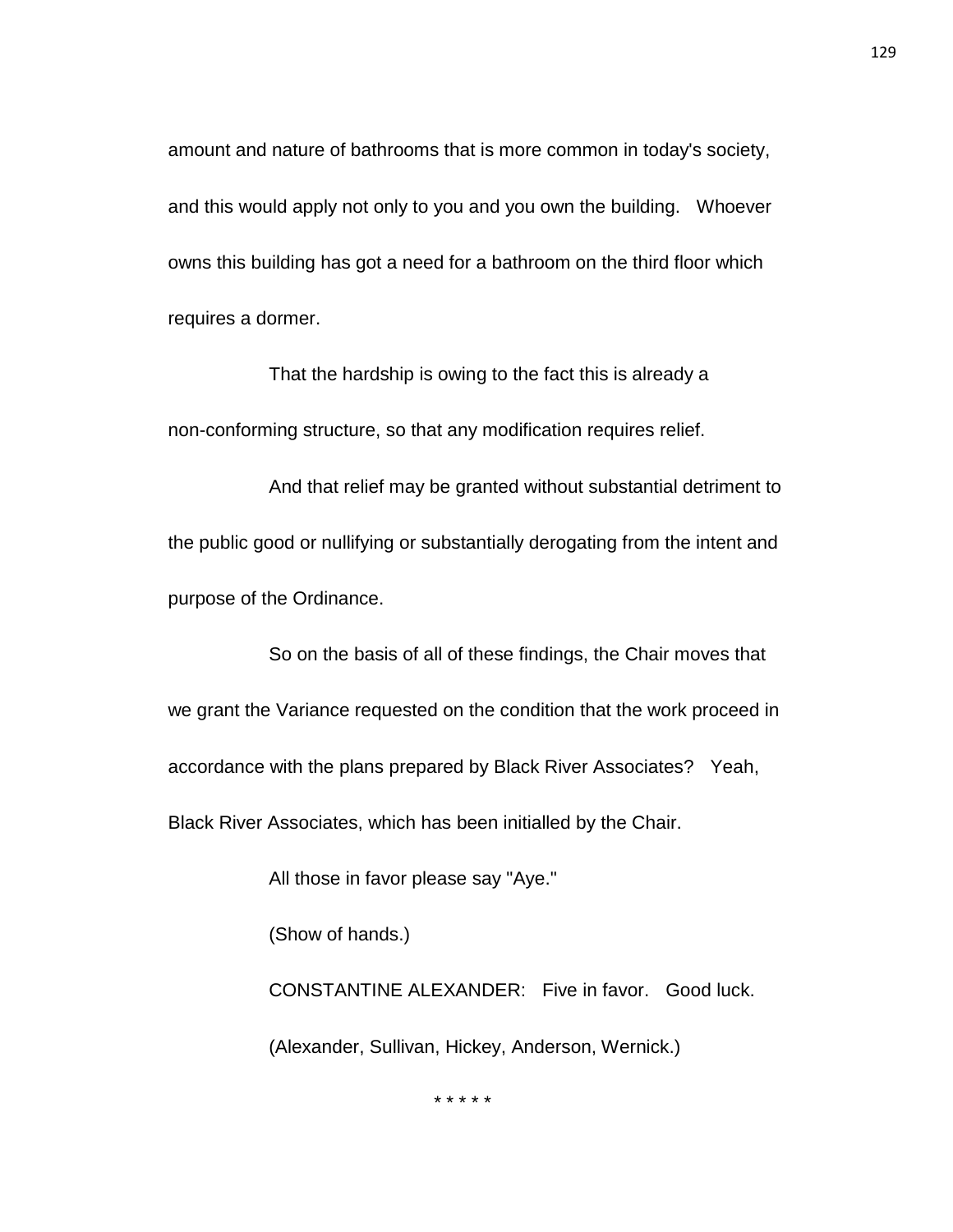amount and nature of bathrooms that is more common in today's society, and this would apply not only to you and you own the building. Whoever owns this building has got a need for a bathroom on the third floor which requires a dormer.

That the hardship is owing to the fact this is already a non-conforming structure, so that any modification requires relief.

And that relief may be granted without substantial detriment to the public good or nullifying or substantially derogating from the intent and purpose of the Ordinance.

So on the basis of all of these findings, the Chair moves that we grant the Variance requested on the condition that the work proceed in accordance with the plans prepared by Black River Associates? Yeah, Black River Associates, which has been initialled by the Chair.

All those in favor please say "Aye."

(Show of hands.)

CONSTANTINE ALEXANDER: Five in favor. Good luck. (Alexander, Sullivan, Hickey, Anderson, Wernick.)

\* \* \* \* \*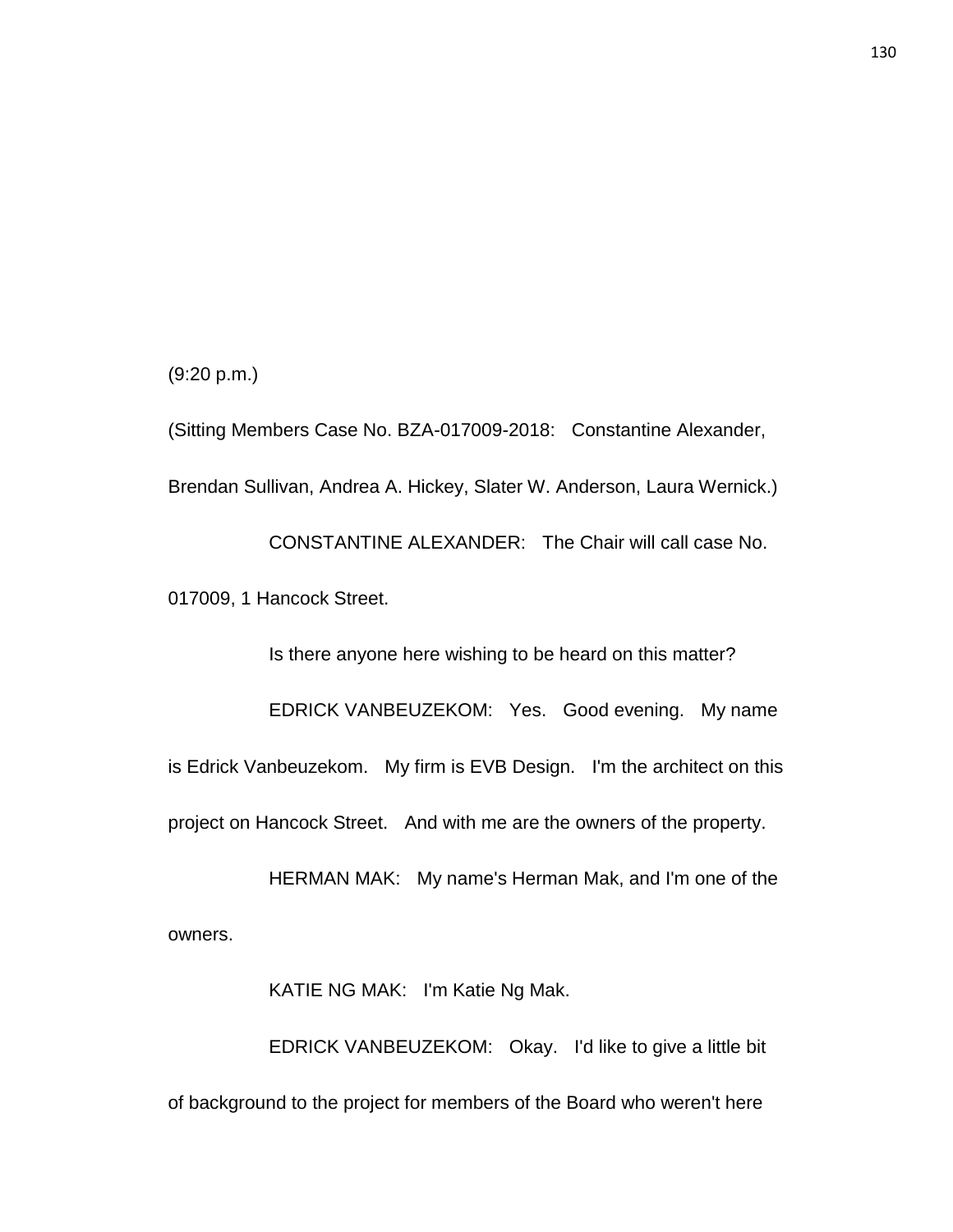(9:20 p.m.)

(Sitting Members Case No. BZA-017009-2018: Constantine Alexander, Brendan Sullivan, Andrea A. Hickey, Slater W. Anderson, Laura Wernick.) CONSTANTINE ALEXANDER: The Chair will call case No. 017009, 1 Hancock Street.

Is there anyone here wishing to be heard on this matter? EDRICK VANBEUZEKOM: Yes. Good evening. My name is Edrick Vanbeuzekom. My firm is EVB Design. I'm the architect on this project on Hancock Street. And with me are the owners of the property.

HERMAN MAK: My name's Herman Mak, and I'm one of the owners.

KATIE NG MAK: I'm Katie Ng Mak.

EDRICK VANBEUZEKOM: Okay. I'd like to give a little bit of background to the project for members of the Board who weren't here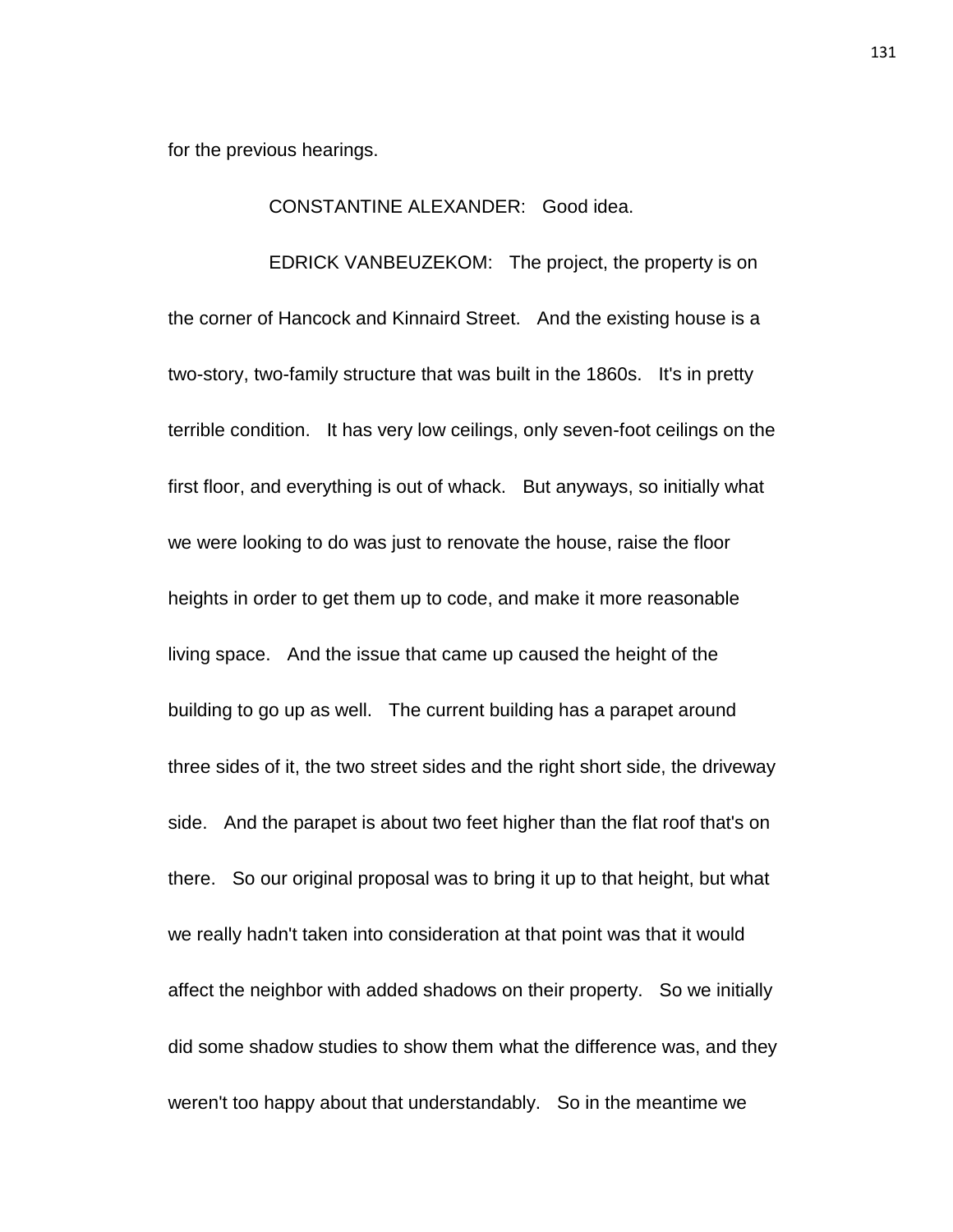for the previous hearings.

## CONSTANTINE ALEXANDER: Good idea.

EDRICK VANBEUZEKOM: The project, the property is on the corner of Hancock and Kinnaird Street. And the existing house is a two-story, two-family structure that was built in the 1860s. It's in pretty terrible condition. It has very low ceilings, only seven-foot ceilings on the first floor, and everything is out of whack. But anyways, so initially what we were looking to do was just to renovate the house, raise the floor heights in order to get them up to code, and make it more reasonable living space. And the issue that came up caused the height of the building to go up as well. The current building has a parapet around three sides of it, the two street sides and the right short side, the driveway side. And the parapet is about two feet higher than the flat roof that's on there. So our original proposal was to bring it up to that height, but what we really hadn't taken into consideration at that point was that it would affect the neighbor with added shadows on their property. So we initially did some shadow studies to show them what the difference was, and they weren't too happy about that understandably. So in the meantime we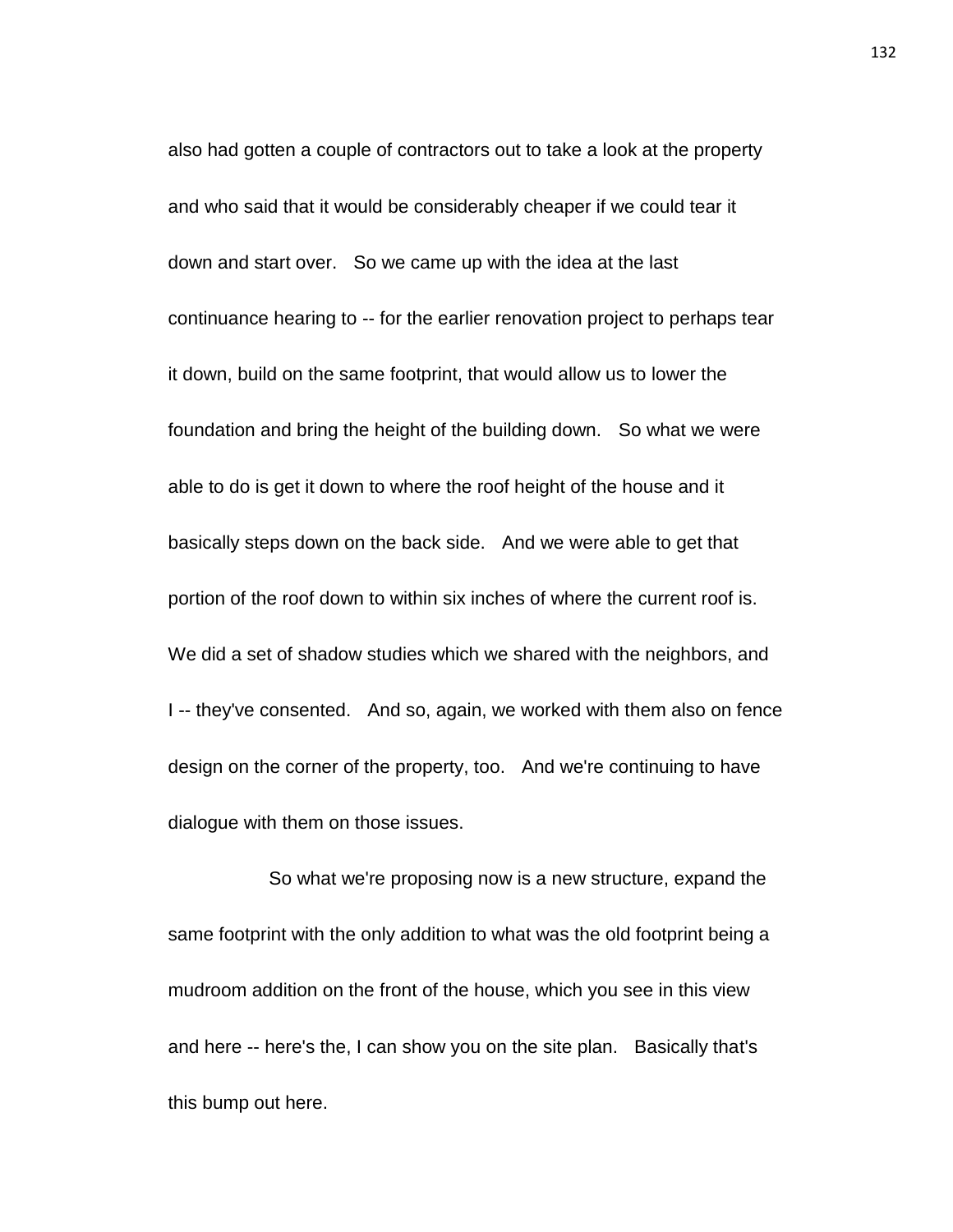also had gotten a couple of contractors out to take a look at the property and who said that it would be considerably cheaper if we could tear it down and start over. So we came up with the idea at the last continuance hearing to -- for the earlier renovation project to perhaps tear it down, build on the same footprint, that would allow us to lower the foundation and bring the height of the building down. So what we were able to do is get it down to where the roof height of the house and it basically steps down on the back side. And we were able to get that portion of the roof down to within six inches of where the current roof is. We did a set of shadow studies which we shared with the neighbors, and I -- they've consented. And so, again, we worked with them also on fence design on the corner of the property, too. And we're continuing to have dialogue with them on those issues.

So what we're proposing now is a new structure, expand the same footprint with the only addition to what was the old footprint being a mudroom addition on the front of the house, which you see in this view and here -- here's the, I can show you on the site plan. Basically that's this bump out here.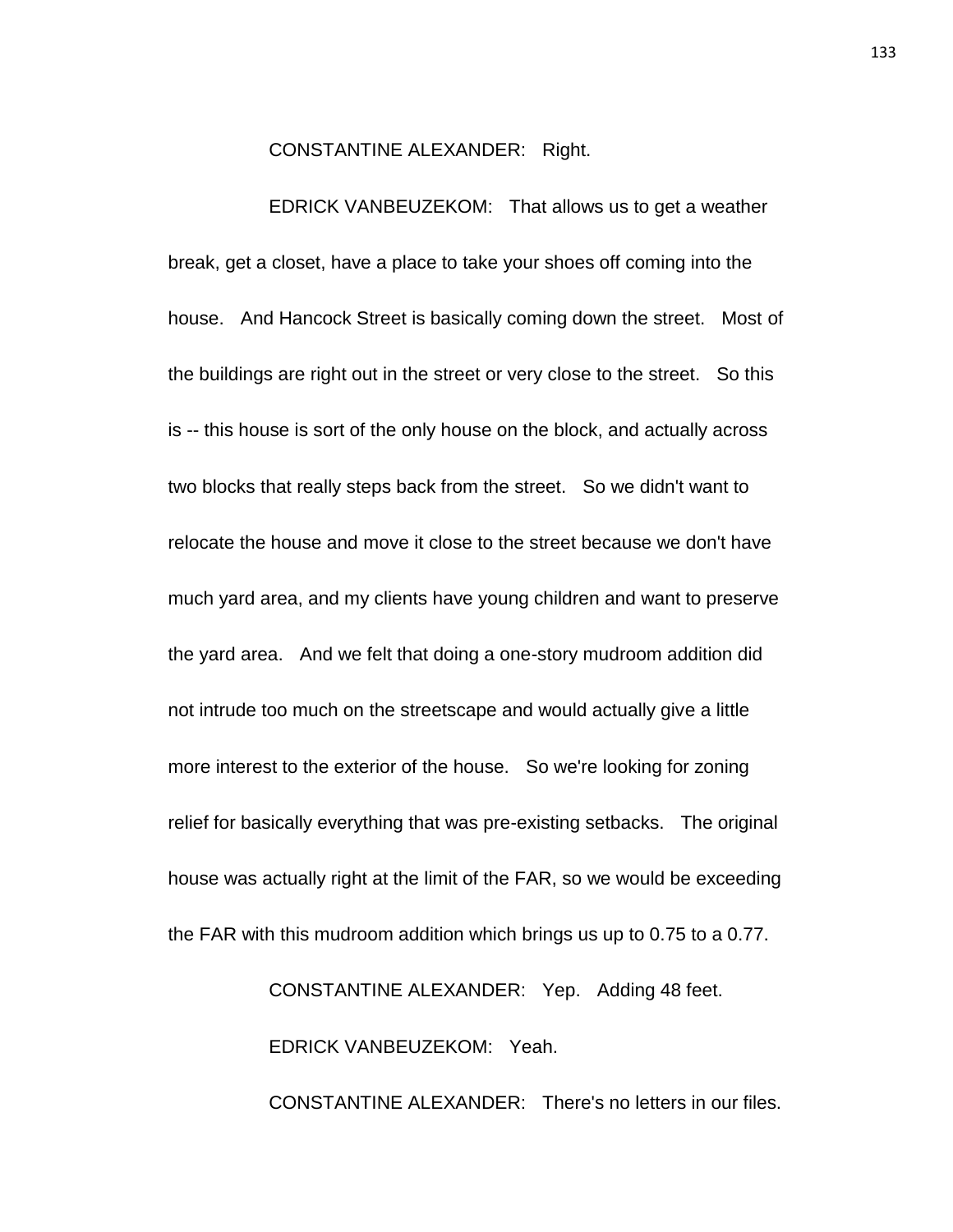CONSTANTINE ALEXANDER: Right.

EDRICK VANBEUZEKOM: That allows us to get a weather break, get a closet, have a place to take your shoes off coming into the house. And Hancock Street is basically coming down the street. Most of the buildings are right out in the street or very close to the street. So this is -- this house is sort of the only house on the block, and actually across two blocks that really steps back from the street. So we didn't want to relocate the house and move it close to the street because we don't have much yard area, and my clients have young children and want to preserve the yard area. And we felt that doing a one-story mudroom addition did not intrude too much on the streetscape and would actually give a little more interest to the exterior of the house. So we're looking for zoning relief for basically everything that was pre-existing setbacks. The original house was actually right at the limit of the FAR, so we would be exceeding the FAR with this mudroom addition which brings us up to 0.75 to a 0.77.

> CONSTANTINE ALEXANDER: Yep. Adding 48 feet. EDRICK VANBEUZEKOM: Yeah. CONSTANTINE ALEXANDER: There's no letters in our files.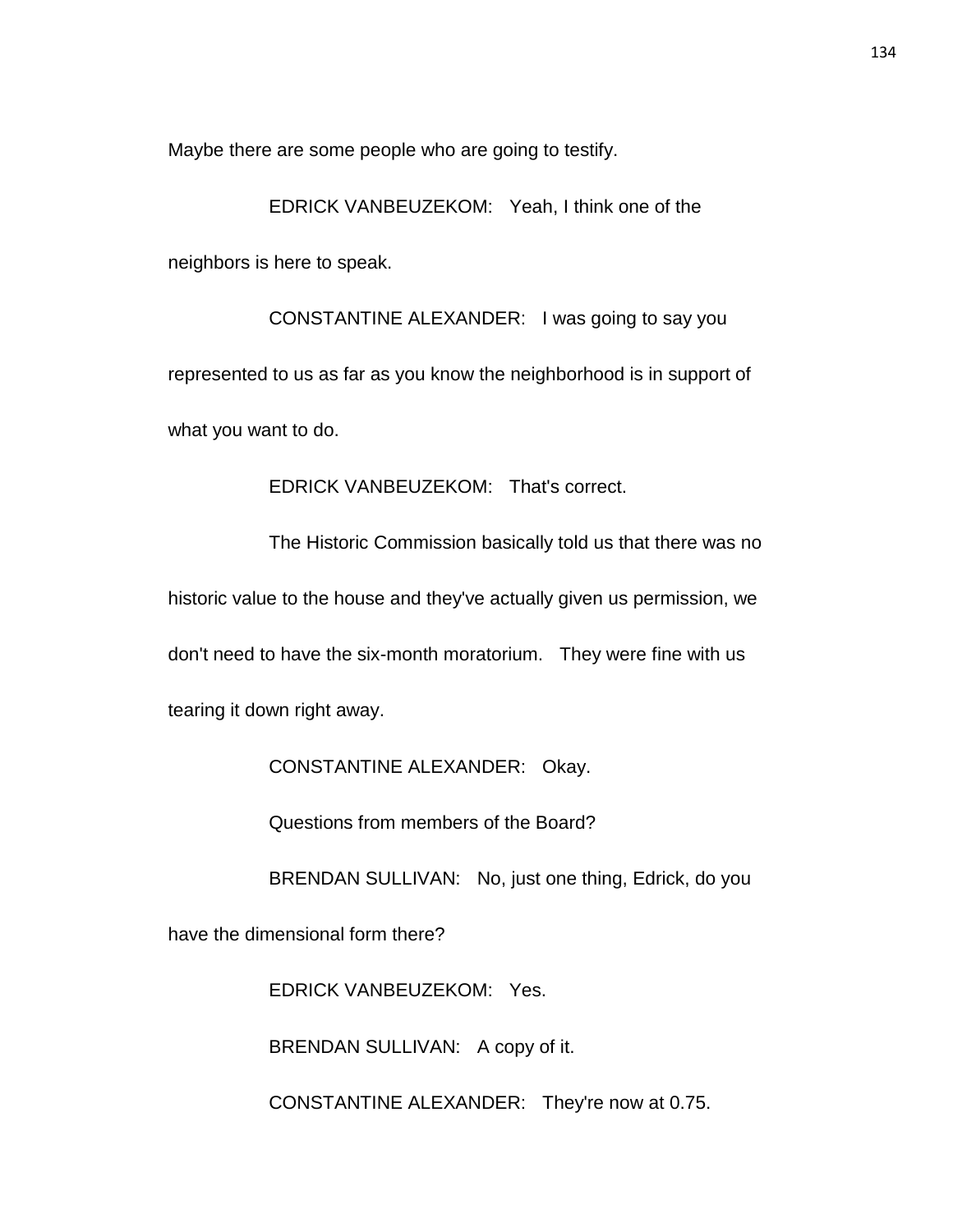Maybe there are some people who are going to testify.

EDRICK VANBEUZEKOM: Yeah, I think one of the

neighbors is here to speak.

CONSTANTINE ALEXANDER: I was going to say you represented to us as far as you know the neighborhood is in support of what you want to do.

EDRICK VANBEUZEKOM: That's correct.

The Historic Commission basically told us that there was no historic value to the house and they've actually given us permission, we don't need to have the six-month moratorium. They were fine with us tearing it down right away.

CONSTANTINE ALEXANDER: Okay.

Questions from members of the Board?

BRENDAN SULLIVAN: No, just one thing, Edrick, do you

have the dimensional form there?

EDRICK VANBEUZEKOM: Yes.

BRENDAN SULLIVAN: A copy of it.

CONSTANTINE ALEXANDER: They're now at 0.75.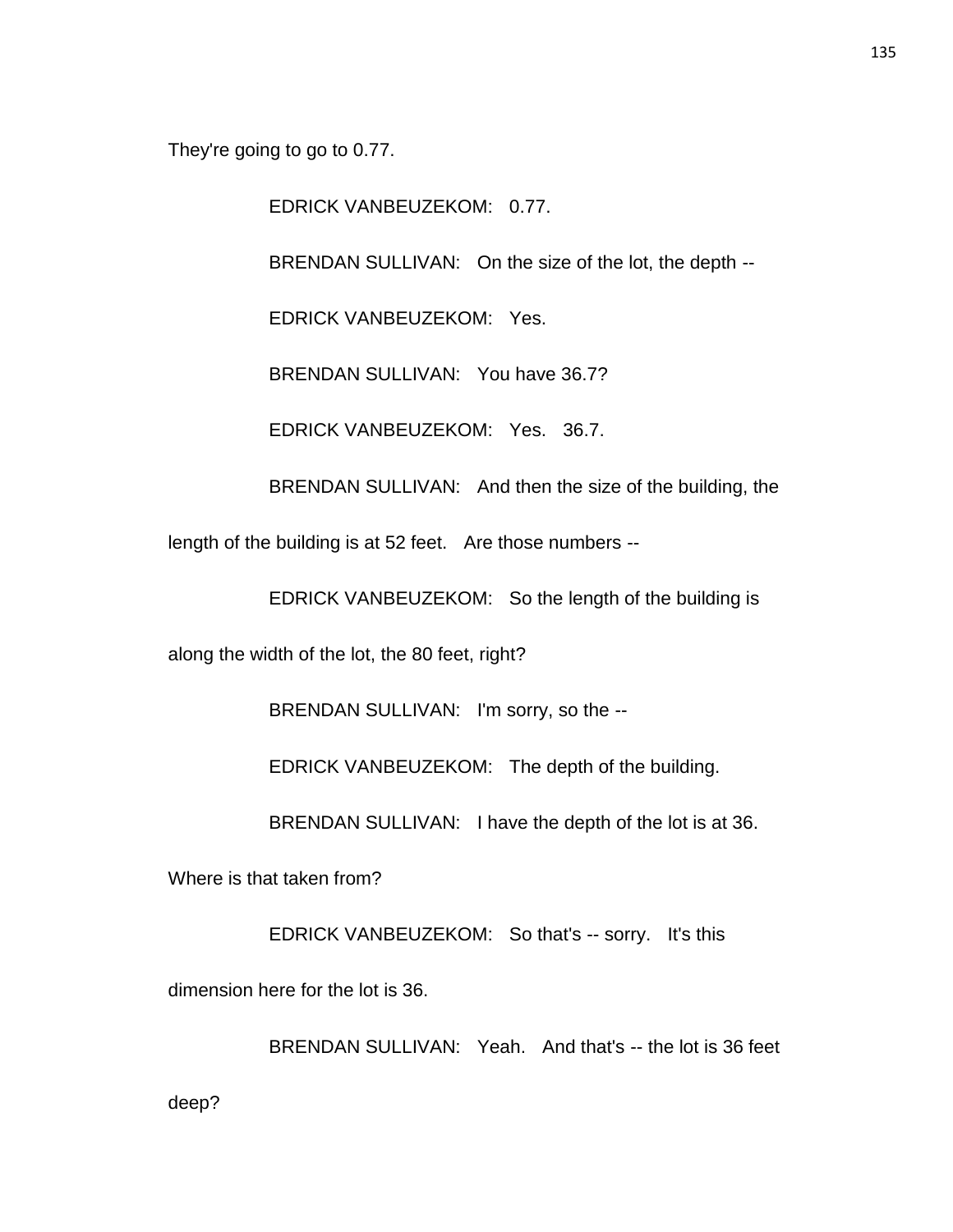They're going to go to 0.77.

EDRICK VANBEUZEKOM: 0.77.

BRENDAN SULLIVAN: On the size of the lot, the depth --

EDRICK VANBEUZEKOM: Yes.

BRENDAN SULLIVAN: You have 36.7?

EDRICK VANBEUZEKOM: Yes. 36.7.

BRENDAN SULLIVAN: And then the size of the building, the

length of the building is at 52 feet. Are those numbers --

EDRICK VANBEUZEKOM: So the length of the building is

along the width of the lot, the 80 feet, right?

BRENDAN SULLIVAN: I'm sorry, so the --

EDRICK VANBEUZEKOM: The depth of the building.

BRENDAN SULLIVAN: I have the depth of the lot is at 36.

Where is that taken from?

EDRICK VANBEUZEKOM: So that's -- sorry. It's this

dimension here for the lot is 36.

BRENDAN SULLIVAN: Yeah. And that's -- the lot is 36 feet

deep?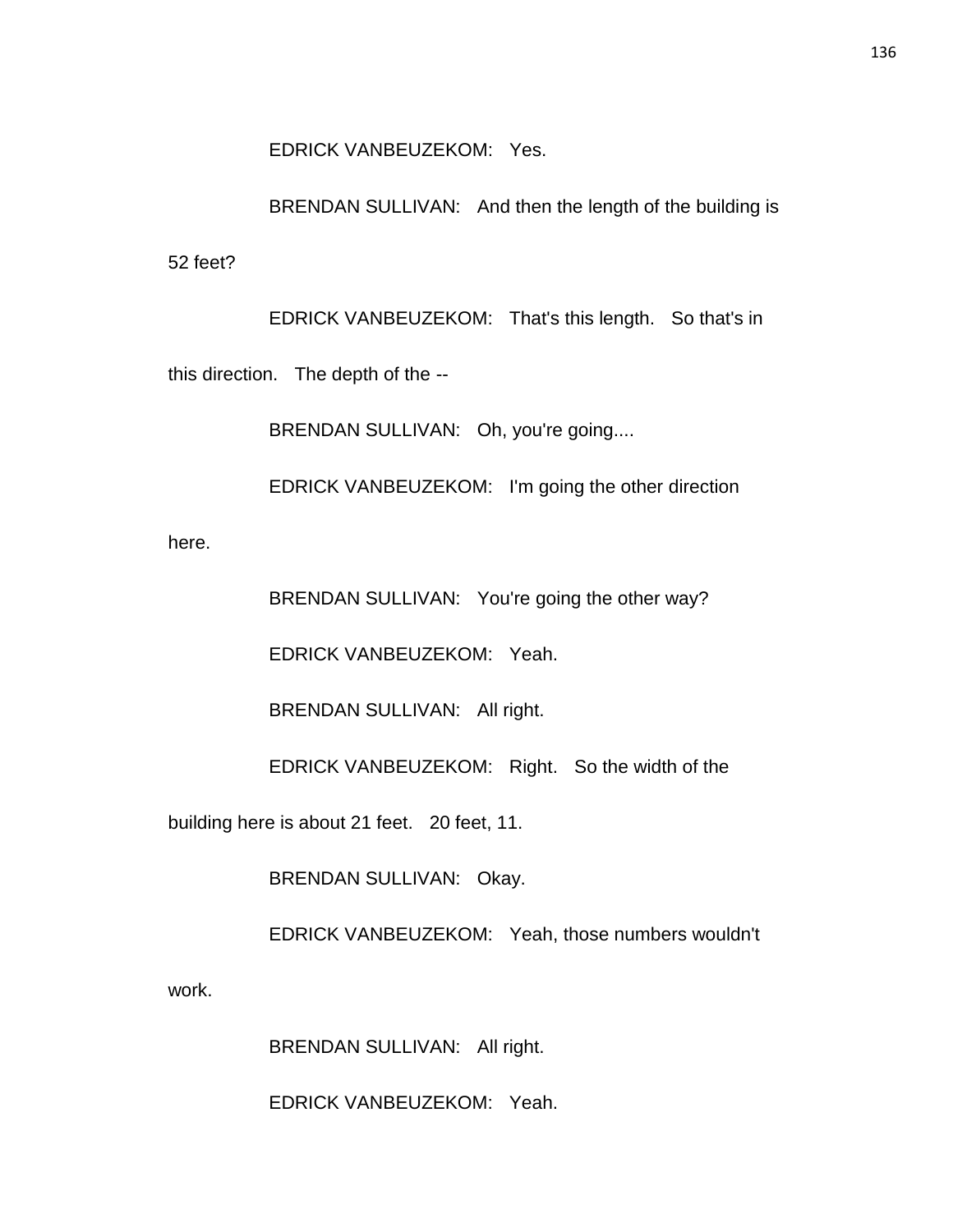EDRICK VANBEUZEKOM: Yes.

BRENDAN SULLIVAN: And then the length of the building is 52 feet?

EDRICK VANBEUZEKOM: That's this length. So that's in this direction. The depth of the --

BRENDAN SULLIVAN: Oh, you're going....

EDRICK VANBEUZEKOM: I'm going the other direction

here.

BRENDAN SULLIVAN: You're going the other way?

EDRICK VANBEUZEKOM: Yeah.

BRENDAN SULLIVAN: All right.

EDRICK VANBEUZEKOM: Right. So the width of the

building here is about 21 feet. 20 feet, 11.

BRENDAN SULLIVAN: Okay.

EDRICK VANBEUZEKOM: Yeah, those numbers wouldn't

work.

BRENDAN SULLIVAN: All right.

EDRICK VANBEUZEKOM: Yeah.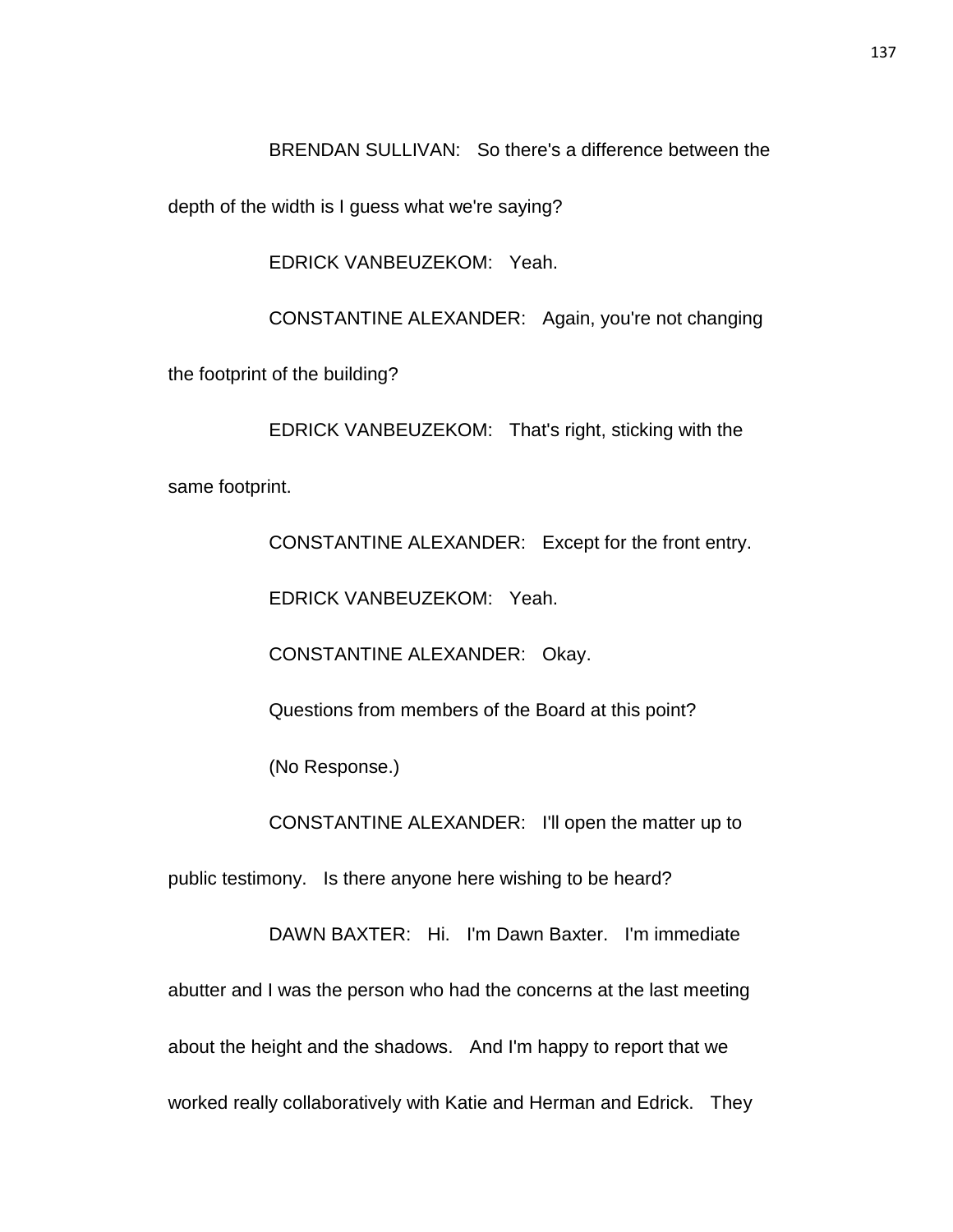BRENDAN SULLIVAN: So there's a difference between the

depth of the width is I guess what we're saying?

EDRICK VANBEUZEKOM: Yeah.

CONSTANTINE ALEXANDER: Again, you're not changing

the footprint of the building?

EDRICK VANBEUZEKOM: That's right, sticking with the same footprint.

CONSTANTINE ALEXANDER: Except for the front entry.

EDRICK VANBEUZEKOM: Yeah.

CONSTANTINE ALEXANDER: Okay.

Questions from members of the Board at this point?

(No Response.)

CONSTANTINE ALEXANDER: I'll open the matter up to

public testimony. Is there anyone here wishing to be heard?

DAWN BAXTER: Hi. I'm Dawn Baxter. I'm immediate abutter and I was the person who had the concerns at the last meeting about the height and the shadows. And I'm happy to report that we worked really collaboratively with Katie and Herman and Edrick. They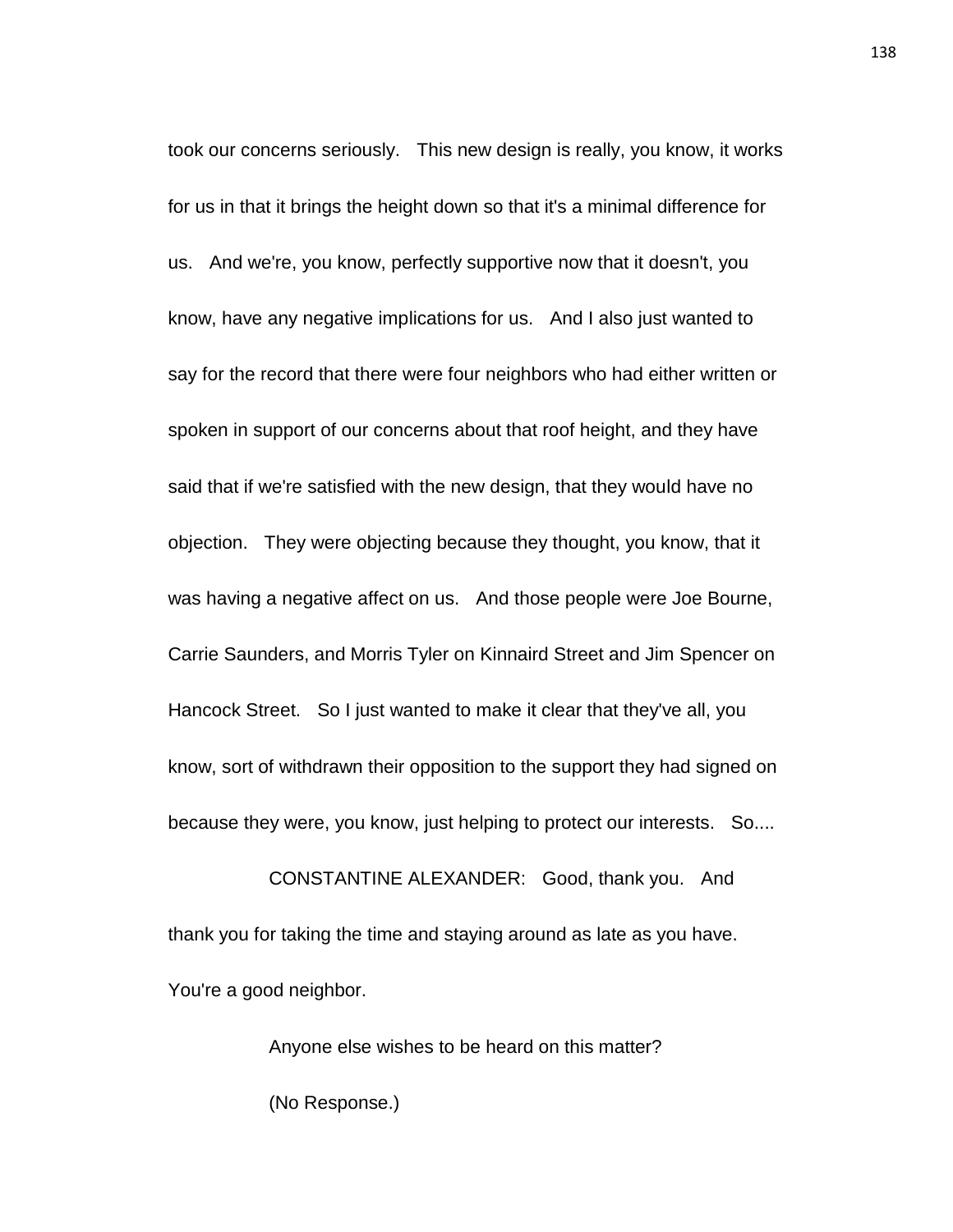took our concerns seriously. This new design is really, you know, it works for us in that it brings the height down so that it's a minimal difference for us. And we're, you know, perfectly supportive now that it doesn't, you know, have any negative implications for us. And I also just wanted to say for the record that there were four neighbors who had either written or spoken in support of our concerns about that roof height, and they have said that if we're satisfied with the new design, that they would have no objection. They were objecting because they thought, you know, that it was having a negative affect on us. And those people were Joe Bourne, Carrie Saunders, and Morris Tyler on Kinnaird Street and Jim Spencer on Hancock Street. So I just wanted to make it clear that they've all, you know, sort of withdrawn their opposition to the support they had signed on because they were, you know, just helping to protect our interests. So....

CONSTANTINE ALEXANDER: Good, thank you. And thank you for taking the time and staying around as late as you have. You're a good neighbor.

> Anyone else wishes to be heard on this matter? (No Response.)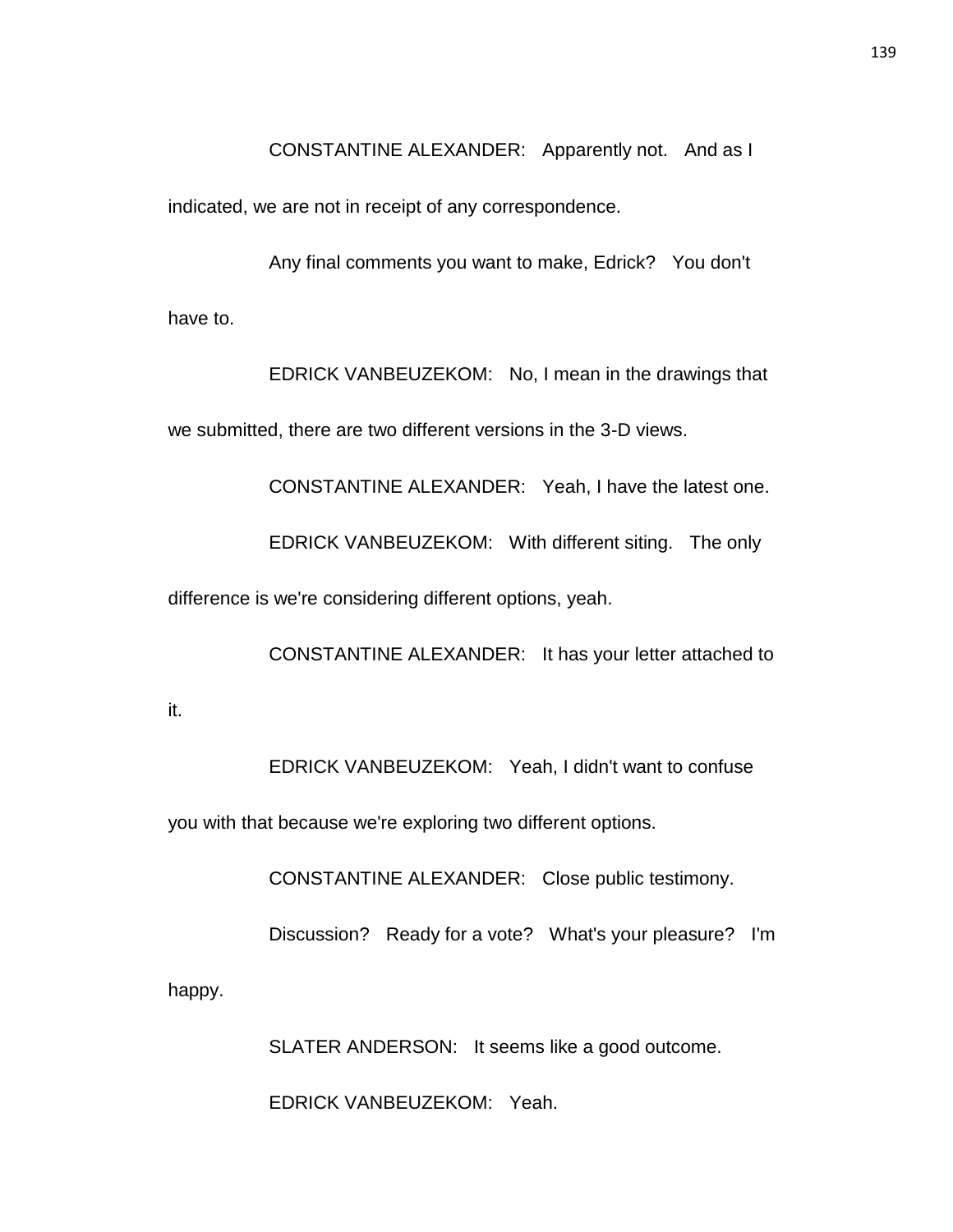CONSTANTINE ALEXANDER: Apparently not. And as I

indicated, we are not in receipt of any correspondence.

Any final comments you want to make, Edrick? You don't have to.

EDRICK VANBEUZEKOM: No, I mean in the drawings that we submitted, there are two different versions in the 3-D views.

CONSTANTINE ALEXANDER: Yeah, I have the latest one.

EDRICK VANBEUZEKOM: With different siting. The only

difference is we're considering different options, yeah.

CONSTANTINE ALEXANDER: It has your letter attached to

it.

EDRICK VANBEUZEKOM: Yeah, I didn't want to confuse

you with that because we're exploring two different options.

CONSTANTINE ALEXANDER: Close public testimony.

Discussion? Ready for a vote? What's your pleasure? I'm

happy.

SLATER ANDERSON: It seems like a good outcome.

EDRICK VANBEUZEKOM: Yeah.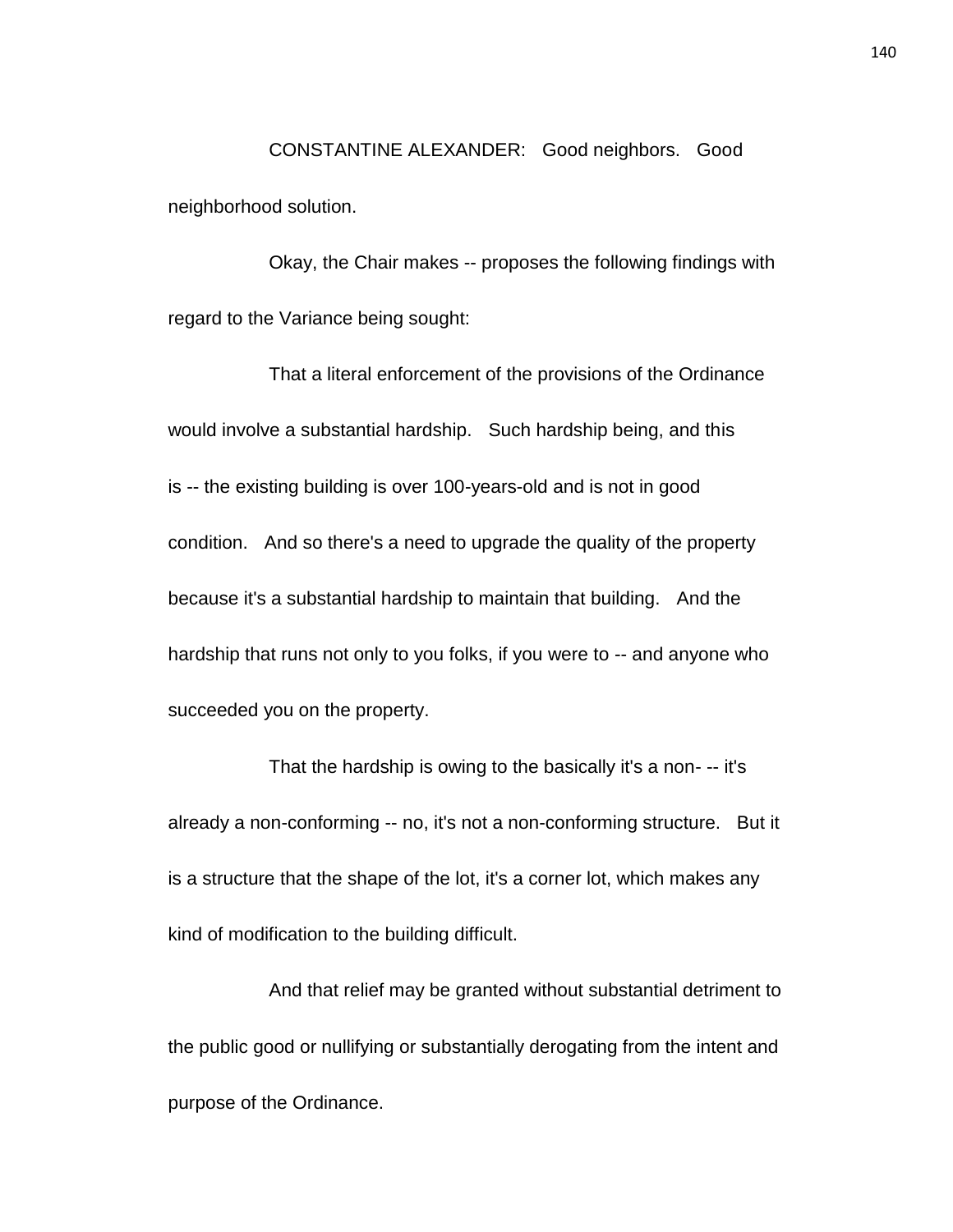CONSTANTINE ALEXANDER: Good neighbors. Good neighborhood solution.

Okay, the Chair makes -- proposes the following findings with regard to the Variance being sought:

That a literal enforcement of the provisions of the Ordinance would involve a substantial hardship. Such hardship being, and this is -- the existing building is over 100-years-old and is not in good condition. And so there's a need to upgrade the quality of the property because it's a substantial hardship to maintain that building. And the hardship that runs not only to you folks, if you were to -- and anyone who succeeded you on the property.

That the hardship is owing to the basically it's a non- -- it's already a non-conforming -- no, it's not a non-conforming structure. But it is a structure that the shape of the lot, it's a corner lot, which makes any kind of modification to the building difficult.

And that relief may be granted without substantial detriment to the public good or nullifying or substantially derogating from the intent and purpose of the Ordinance.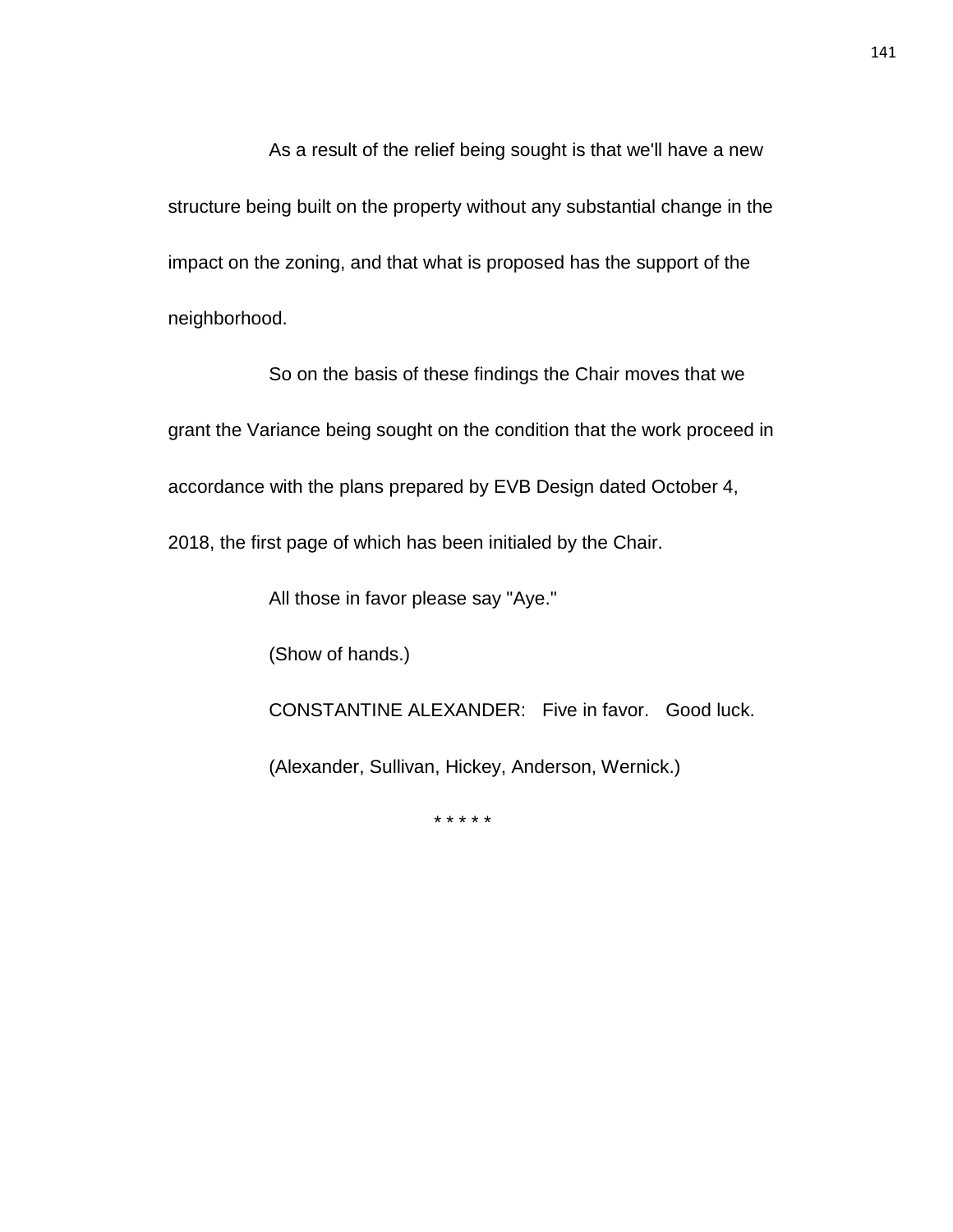As a result of the relief being sought is that we'll have a new structure being built on the property without any substantial change in the impact on the zoning, and that what is proposed has the support of the neighborhood.

So on the basis of these findings the Chair moves that we grant the Variance being sought on the condition that the work proceed in accordance with the plans prepared by EVB Design dated October 4,

2018, the first page of which has been initialed by the Chair.

All those in favor please say "Aye."

(Show of hands.)

CONSTANTINE ALEXANDER: Five in favor. Good luck.

(Alexander, Sullivan, Hickey, Anderson, Wernick.)

\* \* \* \* \*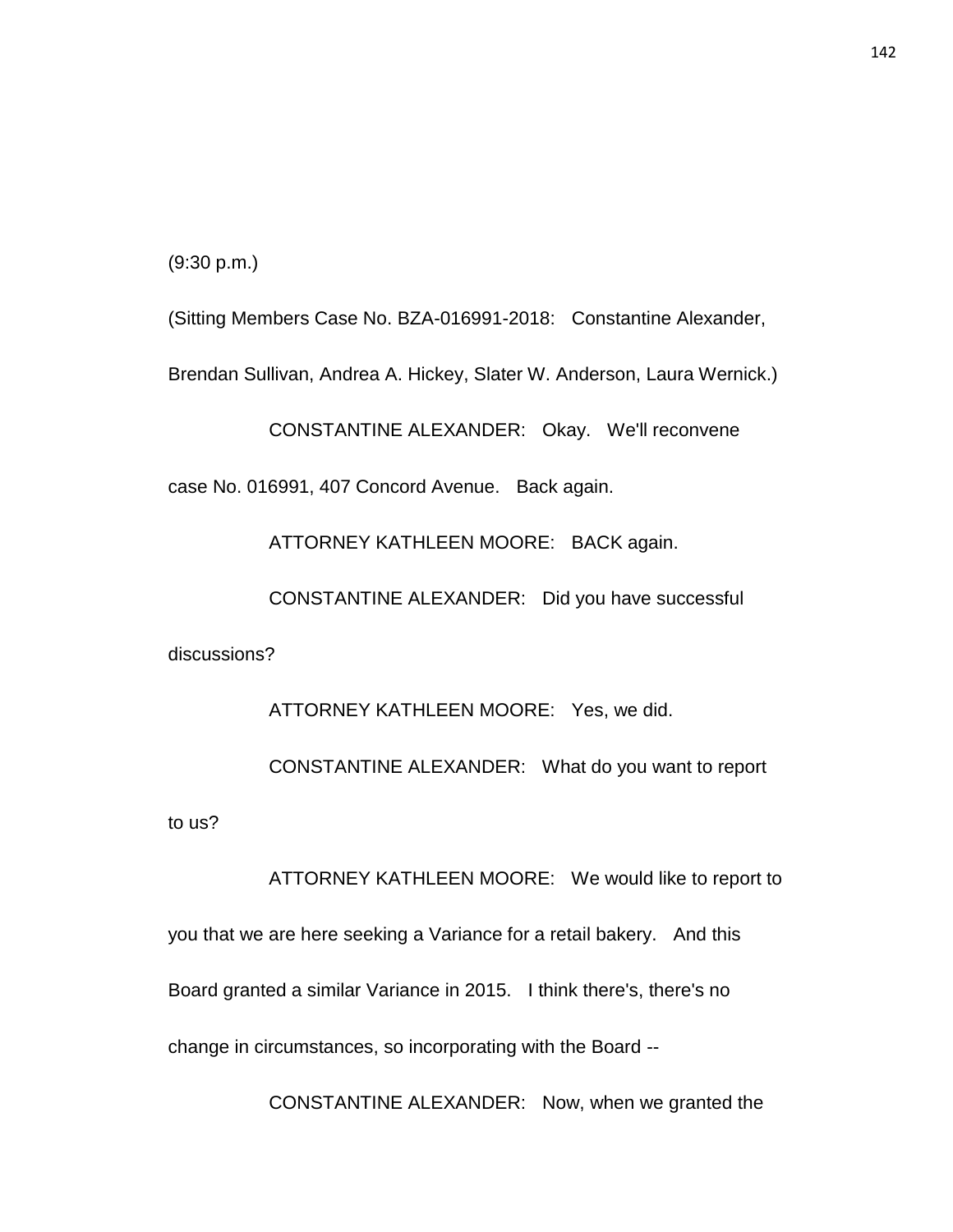(9:30 p.m.)

(Sitting Members Case No. BZA-016991-2018: Constantine Alexander,

Brendan Sullivan, Andrea A. Hickey, Slater W. Anderson, Laura Wernick.)

CONSTANTINE ALEXANDER: Okay. We'll reconvene

case No. 016991, 407 Concord Avenue. Back again.

ATTORNEY KATHLEEN MOORE: BACK again.

CONSTANTINE ALEXANDER: Did you have successful

discussions?

ATTORNEY KATHLEEN MOORE: Yes, we did.

CONSTANTINE ALEXANDER: What do you want to report to us?

ATTORNEY KATHLEEN MOORE: We would like to report to you that we are here seeking a Variance for a retail bakery. And this Board granted a similar Variance in 2015. I think there's, there's no change in circumstances, so incorporating with the Board --

CONSTANTINE ALEXANDER: Now, when we granted the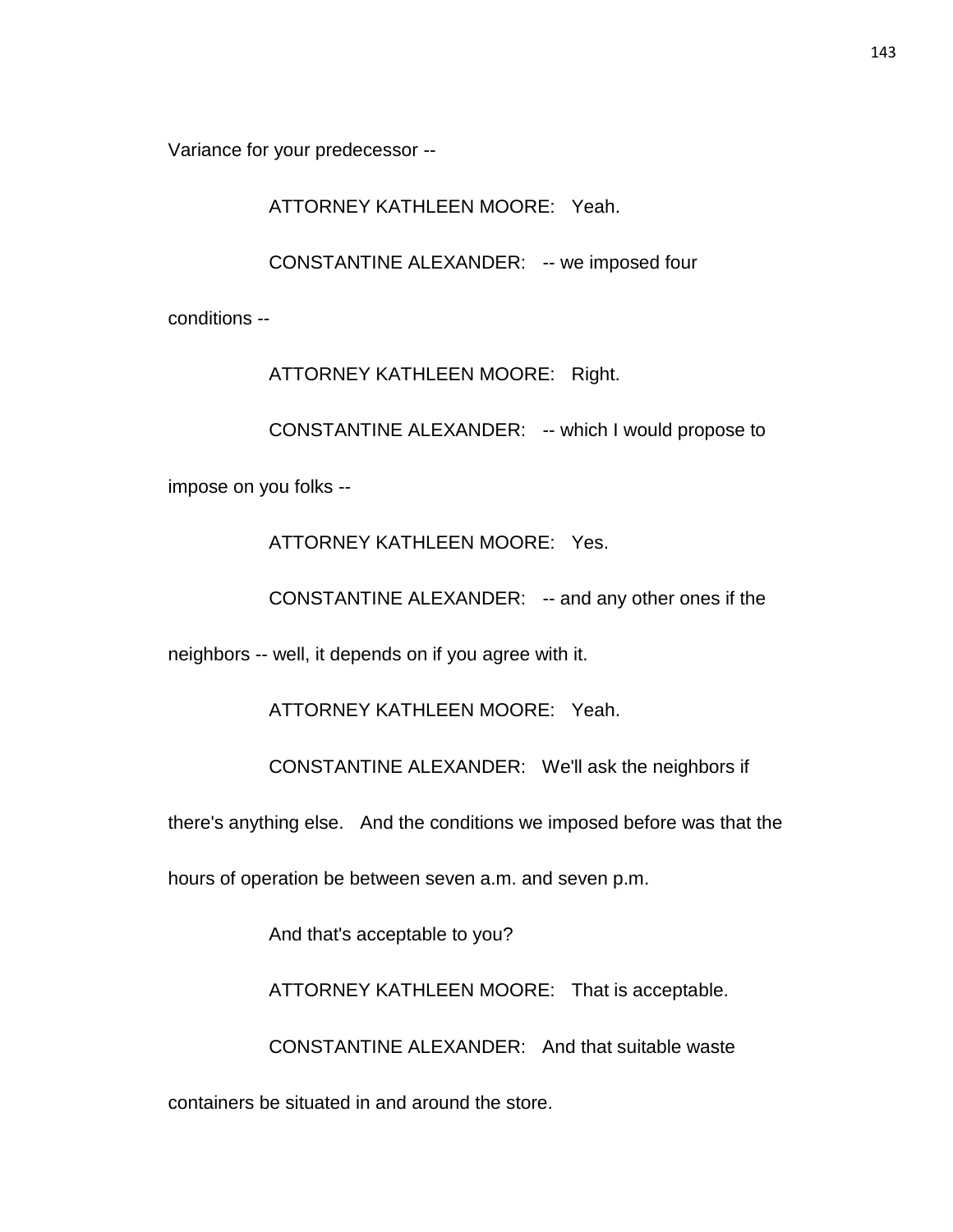Variance for your predecessor --

ATTORNEY KATHLEEN MOORE: Yeah.

CONSTANTINE ALEXANDER: -- we imposed four

conditions --

ATTORNEY KATHLEEN MOORE: Right.

CONSTANTINE ALEXANDER: -- which I would propose to

impose on you folks --

ATTORNEY KATHLEEN MOORE: Yes.

CONSTANTINE ALEXANDER: -- and any other ones if the

neighbors -- well, it depends on if you agree with it.

ATTORNEY KATHLEEN MOORE: Yeah.

CONSTANTINE ALEXANDER: We'll ask the neighbors if

there's anything else. And the conditions we imposed before was that the

hours of operation be between seven a.m. and seven p.m.

And that's acceptable to you?

ATTORNEY KATHLEEN MOORE: That is acceptable.

CONSTANTINE ALEXANDER: And that suitable waste

containers be situated in and around the store.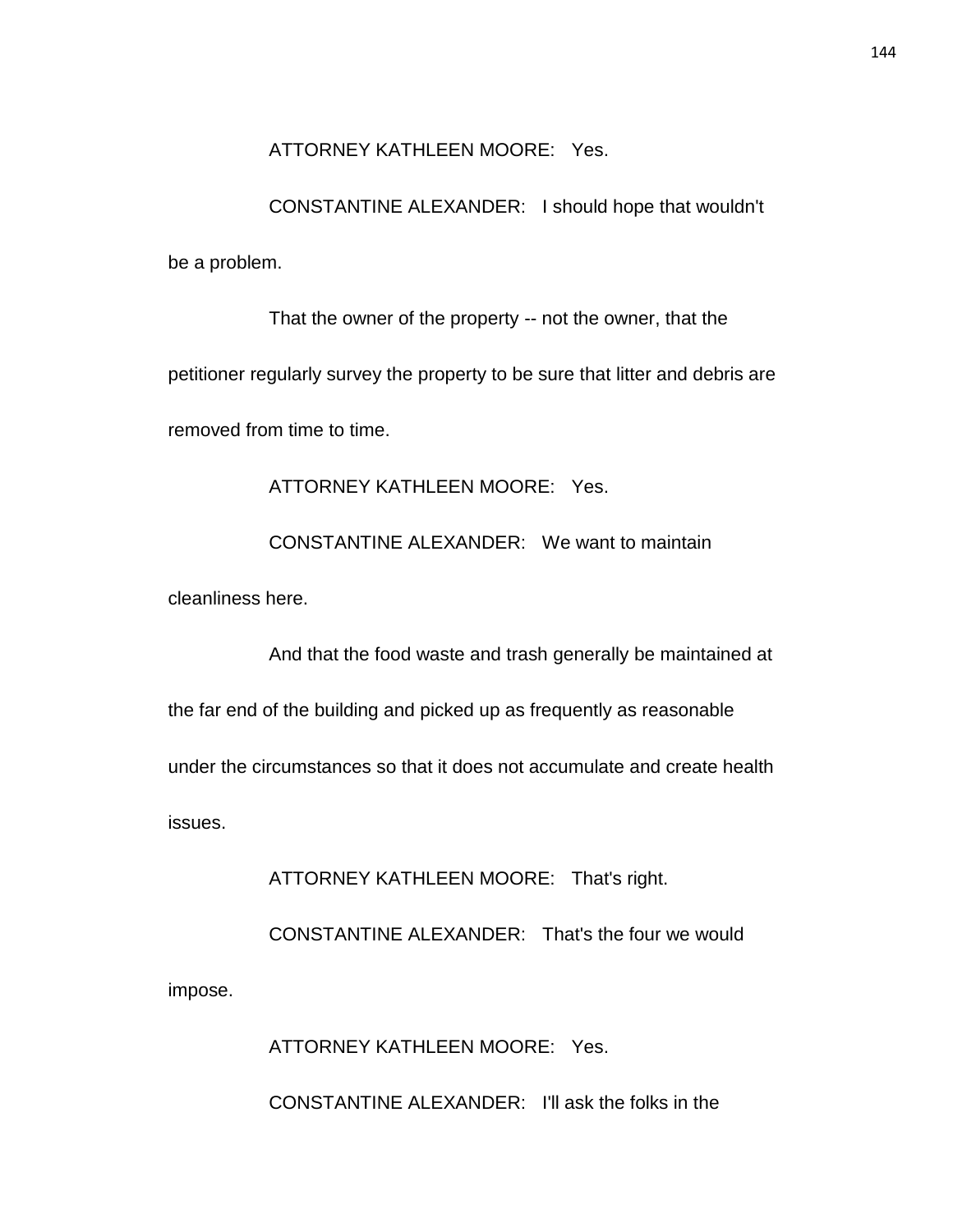# ATTORNEY KATHLEEN MOORE: Yes.

CONSTANTINE ALEXANDER: I should hope that wouldn't be a problem.

That the owner of the property -- not the owner, that the petitioner regularly survey the property to be sure that litter and debris are removed from time to time.

ATTORNEY KATHLEEN MOORE: Yes.

CONSTANTINE ALEXANDER: We want to maintain

cleanliness here.

And that the food waste and trash generally be maintained at

the far end of the building and picked up as frequently as reasonable

under the circumstances so that it does not accumulate and create health

issues.

ATTORNEY KATHLEEN MOORE: That's right.

CONSTANTINE ALEXANDER: That's the four we would impose.

ATTORNEY KATHLEEN MOORE: Yes.

CONSTANTINE ALEXANDER: I'll ask the folks in the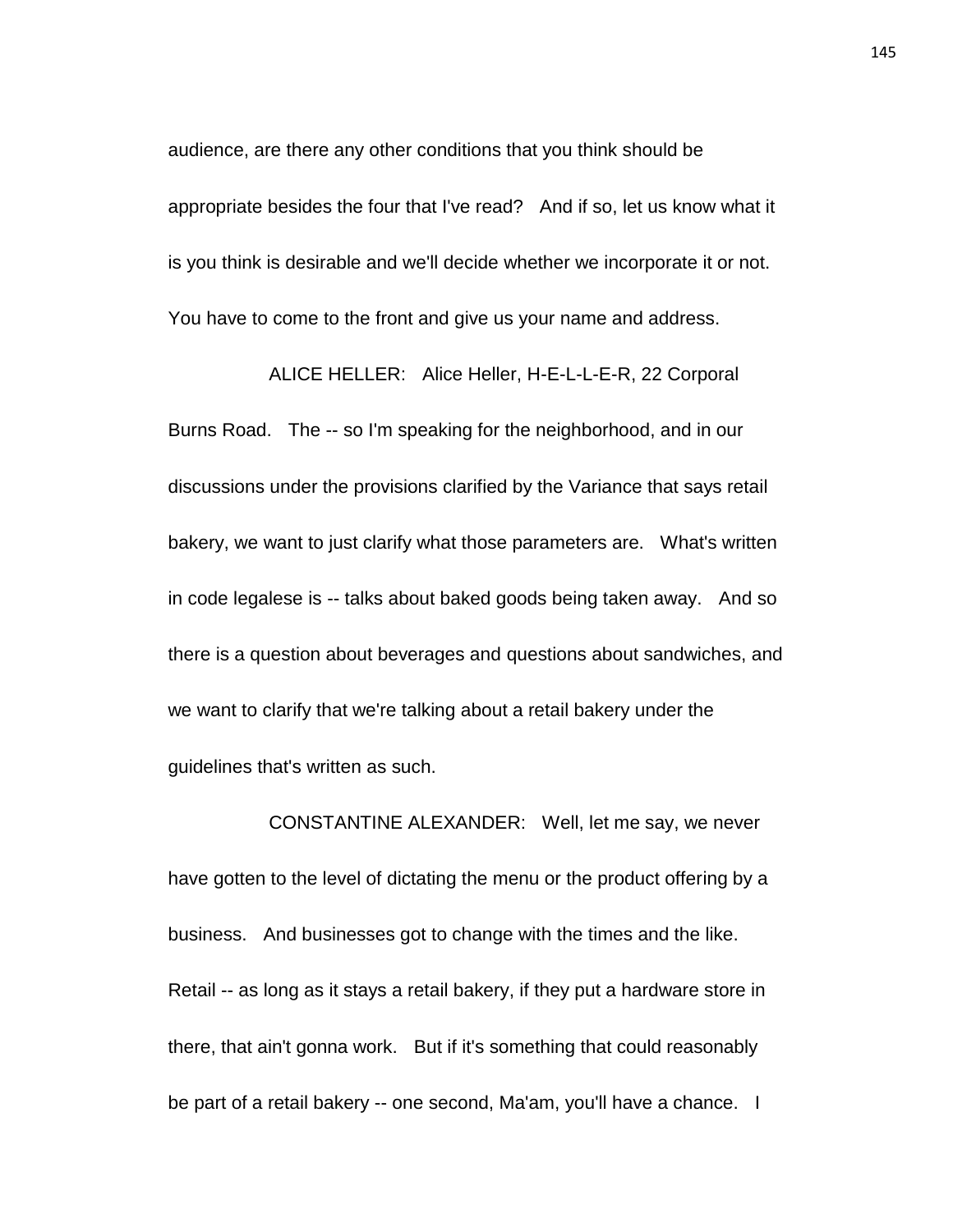audience, are there any other conditions that you think should be appropriate besides the four that I've read? And if so, let us know what it is you think is desirable and we'll decide whether we incorporate it or not. You have to come to the front and give us your name and address.

ALICE HELLER: Alice Heller, H-E-L-L-E-R, 22 Corporal Burns Road. The -- so I'm speaking for the neighborhood, and in our discussions under the provisions clarified by the Variance that says retail bakery, we want to just clarify what those parameters are. What's written in code legalese is -- talks about baked goods being taken away. And so there is a question about beverages and questions about sandwiches, and we want to clarify that we're talking about a retail bakery under the guidelines that's written as such.

CONSTANTINE ALEXANDER: Well, let me say, we never have gotten to the level of dictating the menu or the product offering by a business. And businesses got to change with the times and the like. Retail -- as long as it stays a retail bakery, if they put a hardware store in there, that ain't gonna work. But if it's something that could reasonably be part of a retail bakery -- one second, Ma'am, you'll have a chance. I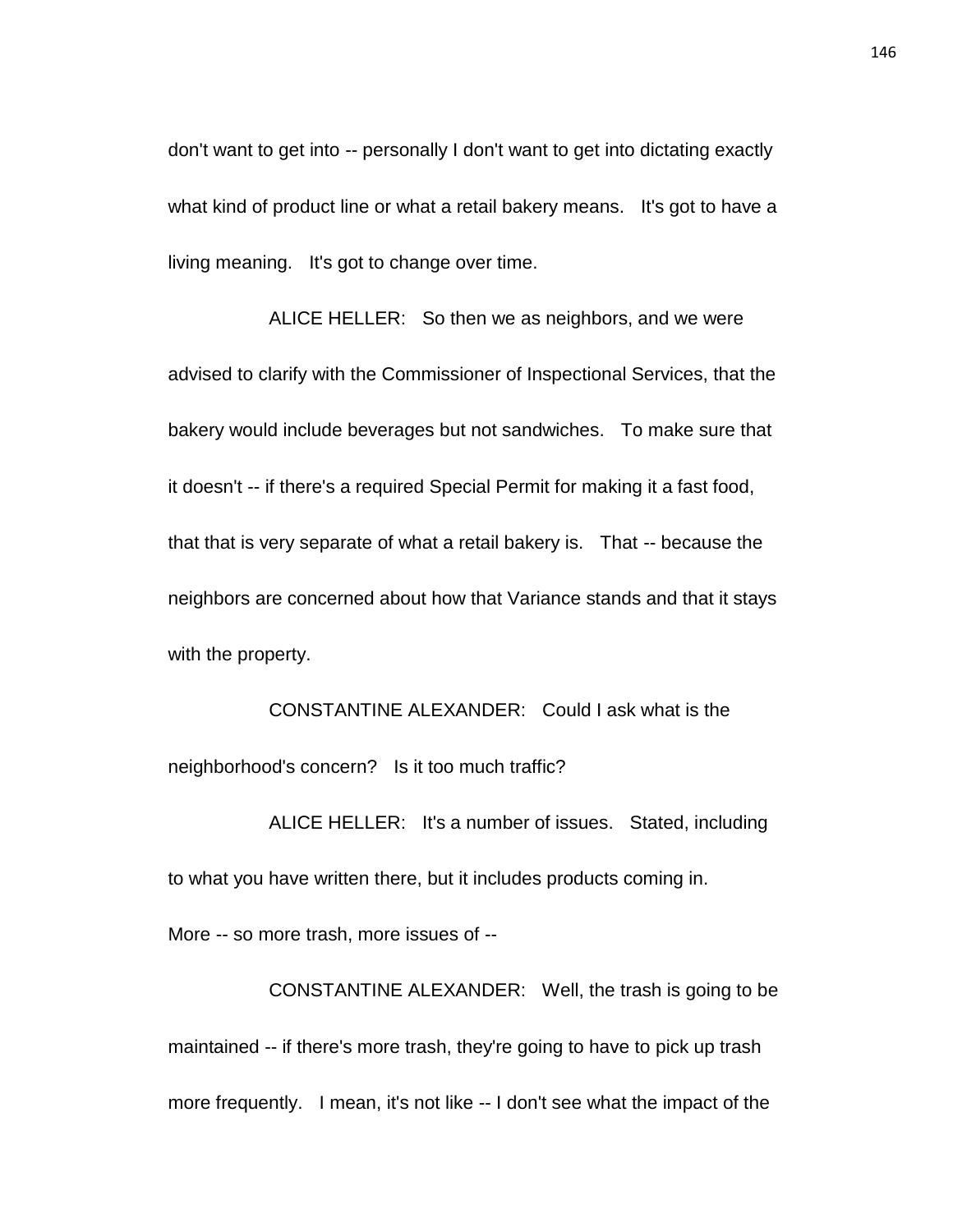don't want to get into -- personally I don't want to get into dictating exactly what kind of product line or what a retail bakery means. It's got to have a living meaning. It's got to change over time.

ALICE HELLER: So then we as neighbors, and we were advised to clarify with the Commissioner of Inspectional Services, that the bakery would include beverages but not sandwiches. To make sure that it doesn't -- if there's a required Special Permit for making it a fast food, that that is very separate of what a retail bakery is. That -- because the neighbors are concerned about how that Variance stands and that it stays with the property.

CONSTANTINE ALEXANDER: Could I ask what is the neighborhood's concern? Is it too much traffic?

ALICE HELLER: It's a number of issues. Stated, including to what you have written there, but it includes products coming in.

More -- so more trash, more issues of --

CONSTANTINE ALEXANDER: Well, the trash is going to be maintained -- if there's more trash, they're going to have to pick up trash more frequently. I mean, it's not like -- I don't see what the impact of the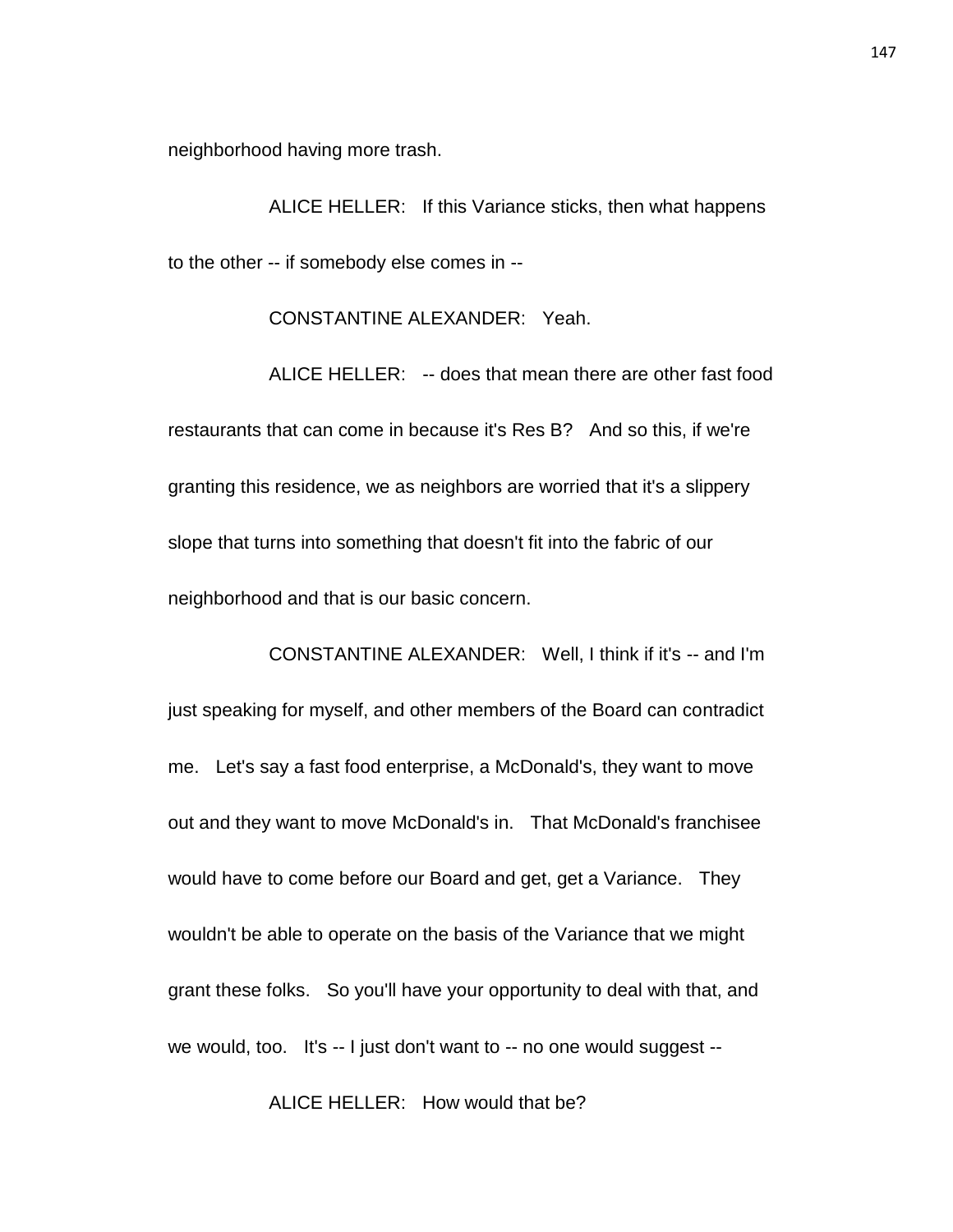neighborhood having more trash.

ALICE HELLER: If this Variance sticks, then what happens to the other -- if somebody else comes in --

CONSTANTINE ALEXANDER: Yeah.

ALICE HELLER: -- does that mean there are other fast food restaurants that can come in because it's Res B? And so this, if we're granting this residence, we as neighbors are worried that it's a slippery slope that turns into something that doesn't fit into the fabric of our neighborhood and that is our basic concern.

CONSTANTINE ALEXANDER: Well, I think if it's -- and I'm just speaking for myself, and other members of the Board can contradict me. Let's say a fast food enterprise, a McDonald's, they want to move out and they want to move McDonald's in. That McDonald's franchisee would have to come before our Board and get, get a Variance. They wouldn't be able to operate on the basis of the Variance that we might grant these folks. So you'll have your opportunity to deal with that, and we would, too. It's -- I just don't want to -- no one would suggest --

ALICE HELLER: How would that be?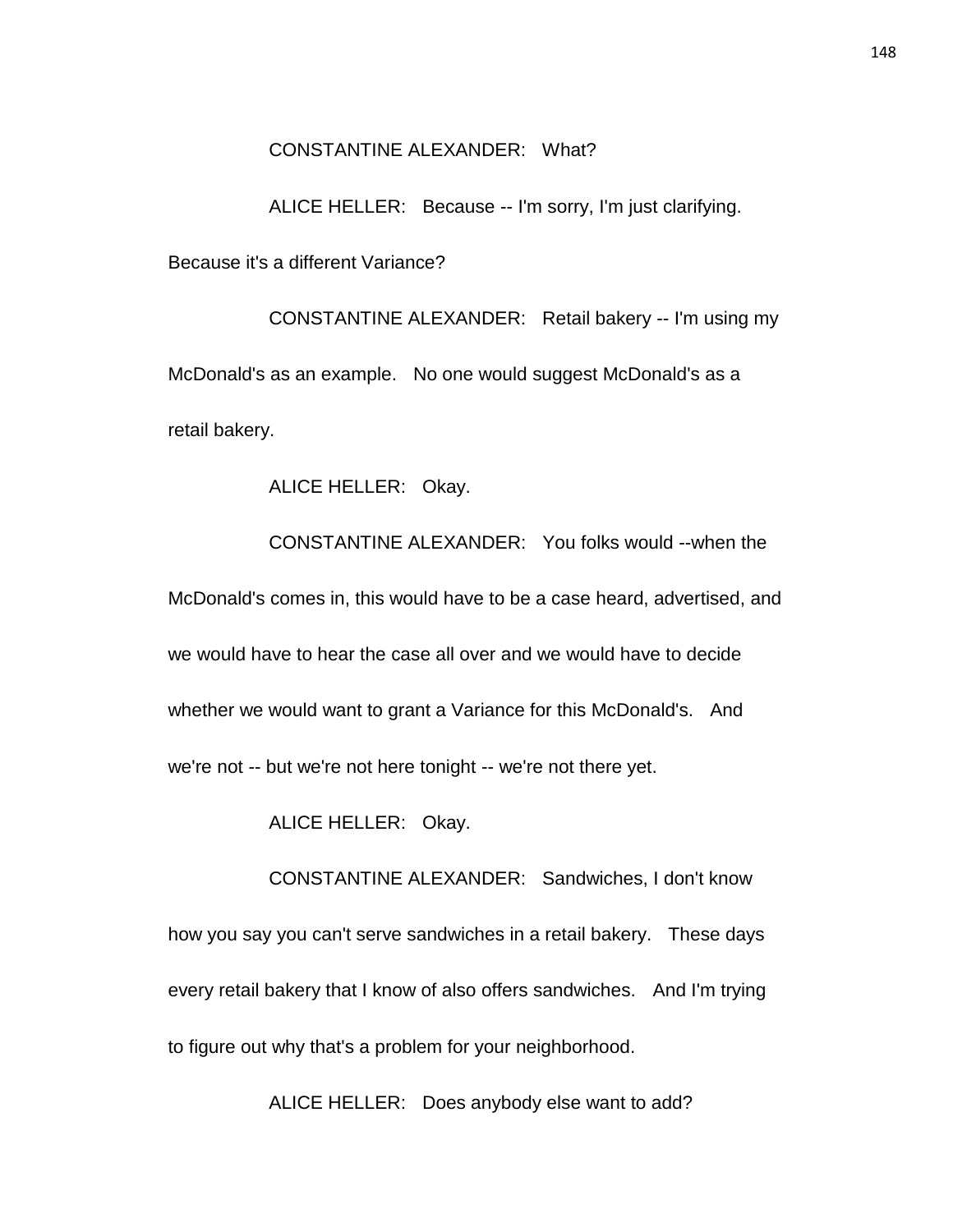### CONSTANTINE ALEXANDER: What?

ALICE HELLER: Because -- I'm sorry, I'm just clarifying.

Because it's a different Variance?

CONSTANTINE ALEXANDER: Retail bakery -- I'm using my McDonald's as an example. No one would suggest McDonald's as a retail bakery.

ALICE HELLER: Okay.

CONSTANTINE ALEXANDER: You folks would --when the McDonald's comes in, this would have to be a case heard, advertised, and we would have to hear the case all over and we would have to decide whether we would want to grant a Variance for this McDonald's. And we're not -- but we're not here tonight -- we're not there yet.

ALICE HELLER: Okay.

CONSTANTINE ALEXANDER: Sandwiches, I don't know how you say you can't serve sandwiches in a retail bakery. These days every retail bakery that I know of also offers sandwiches. And I'm trying to figure out why that's a problem for your neighborhood.

ALICE HELLER: Does anybody else want to add?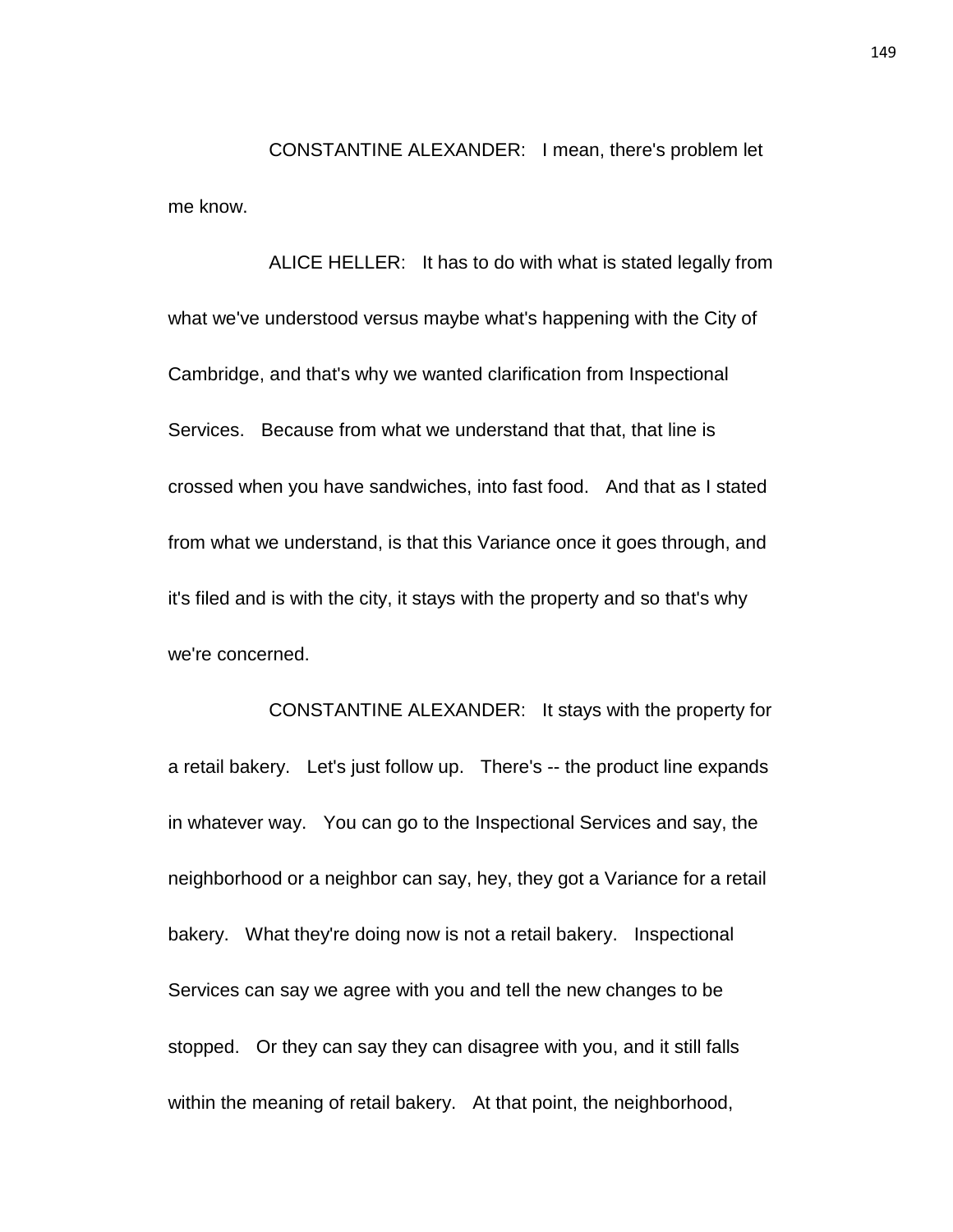CONSTANTINE ALEXANDER: I mean, there's problem let me know.

ALICE HELLER: It has to do with what is stated legally from what we've understood versus maybe what's happening with the City of Cambridge, and that's why we wanted clarification from Inspectional Services. Because from what we understand that that, that line is crossed when you have sandwiches, into fast food. And that as I stated from what we understand, is that this Variance once it goes through, and it's filed and is with the city, it stays with the property and so that's why we're concerned.

CONSTANTINE ALEXANDER: It stays with the property for a retail bakery. Let's just follow up. There's -- the product line expands in whatever way. You can go to the Inspectional Services and say, the neighborhood or a neighbor can say, hey, they got a Variance for a retail bakery. What they're doing now is not a retail bakery. Inspectional Services can say we agree with you and tell the new changes to be stopped. Or they can say they can disagree with you, and it still falls within the meaning of retail bakery. At that point, the neighborhood,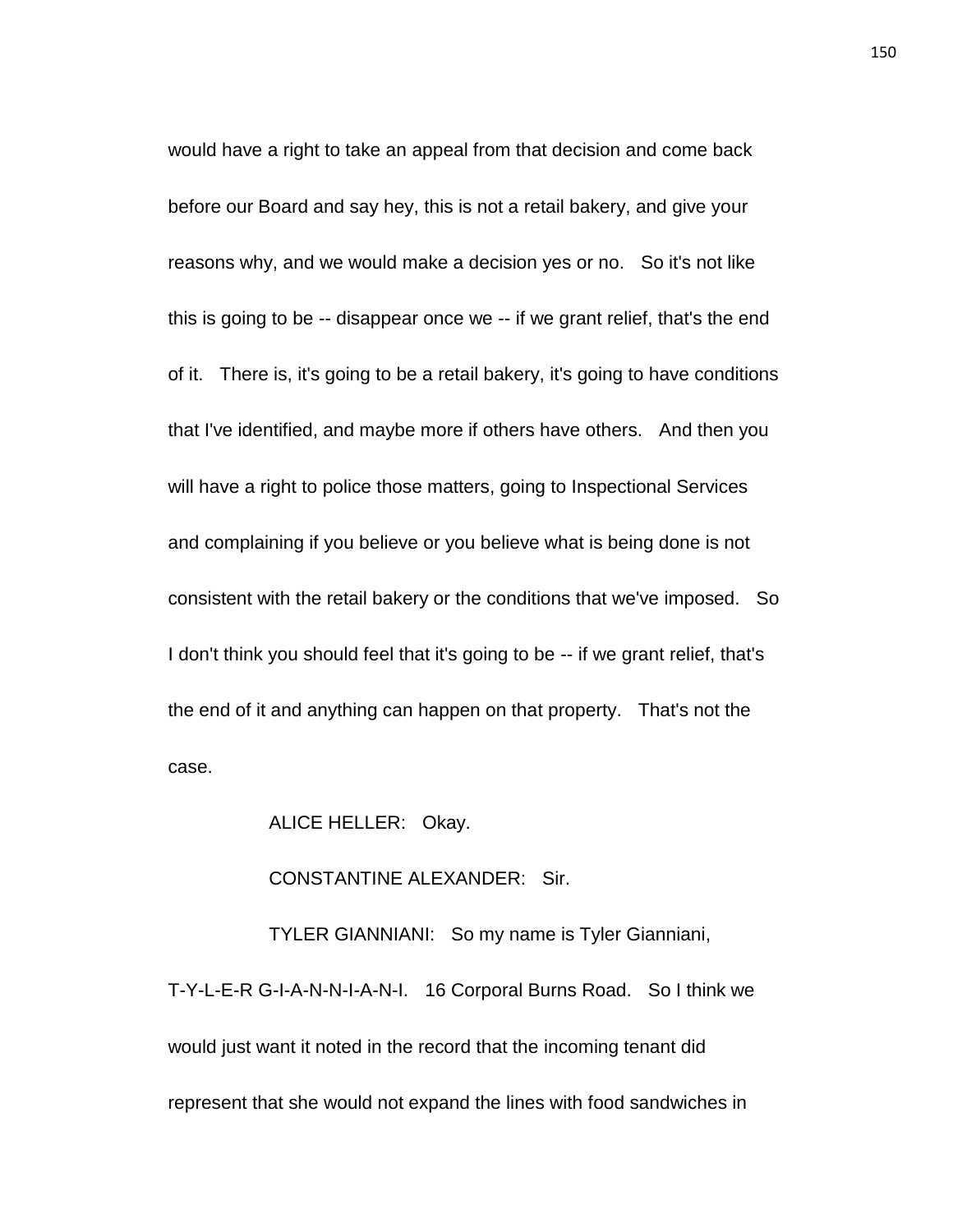would have a right to take an appeal from that decision and come back before our Board and say hey, this is not a retail bakery, and give your reasons why, and we would make a decision yes or no. So it's not like this is going to be -- disappear once we -- if we grant relief, that's the end of it. There is, it's going to be a retail bakery, it's going to have conditions that I've identified, and maybe more if others have others. And then you will have a right to police those matters, going to Inspectional Services and complaining if you believe or you believe what is being done is not consistent with the retail bakery or the conditions that we've imposed. So I don't think you should feel that it's going to be -- if we grant relief, that's the end of it and anything can happen on that property. That's not the case.

ALICE HELLER: Okay.

### CONSTANTINE ALEXANDER: Sir.

TYLER GIANNIANI: So my name is Tyler Gianniani, T-Y-L-E-R G-I-A-N-N-I-A-N-I. 16 Corporal Burns Road. So I think we would just want it noted in the record that the incoming tenant did represent that she would not expand the lines with food sandwiches in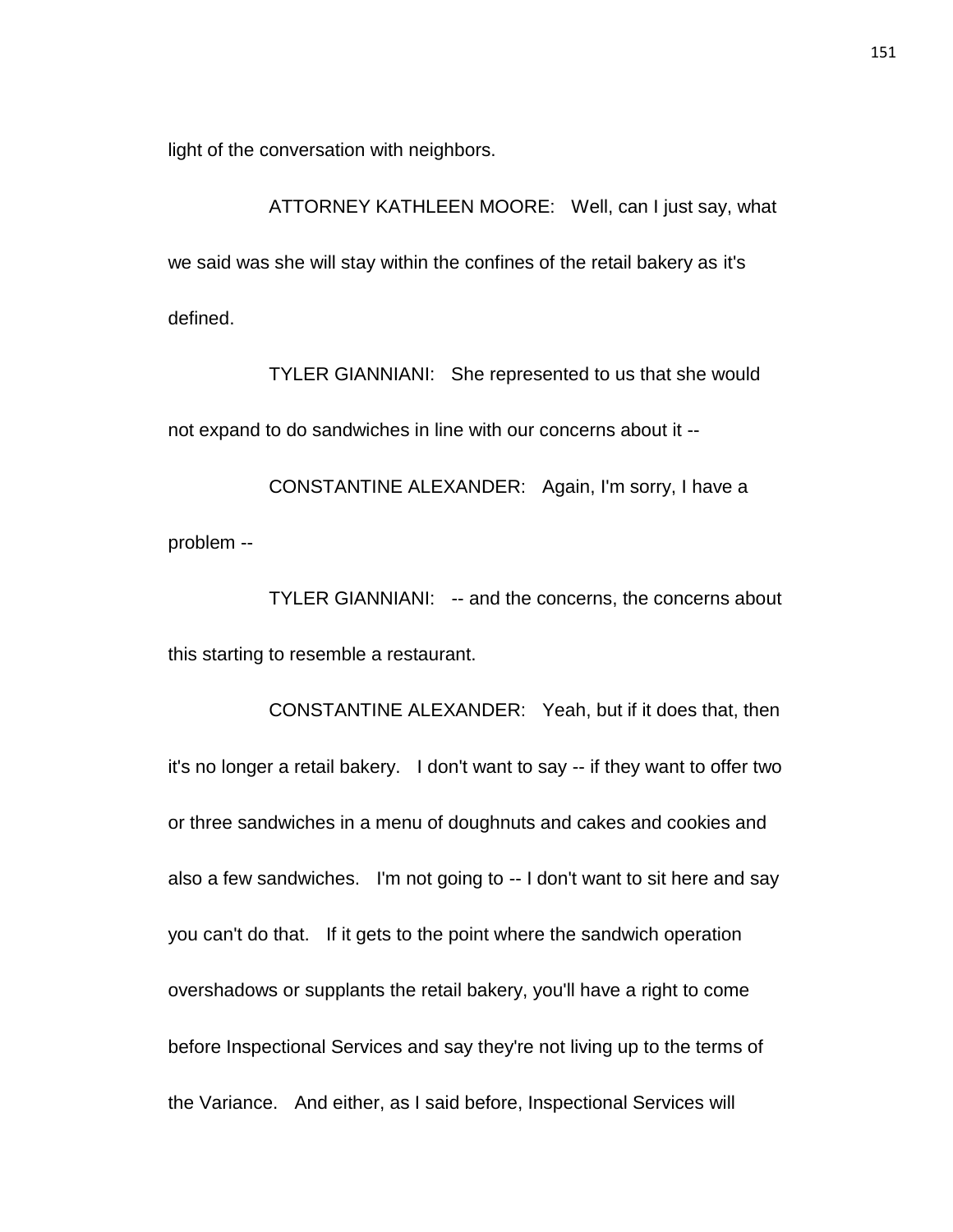light of the conversation with neighbors.

ATTORNEY KATHLEEN MOORE: Well, can I just say, what we said was she will stay within the confines of the retail bakery as it's defined.

TYLER GIANNIANI: She represented to us that she would not expand to do sandwiches in line with our concerns about it --

CONSTANTINE ALEXANDER: Again, I'm sorry, I have a problem --

TYLER GIANNIANI: -- and the concerns, the concerns about this starting to resemble a restaurant.

CONSTANTINE ALEXANDER: Yeah, but if it does that, then it's no longer a retail bakery. I don't want to say -- if they want to offer two or three sandwiches in a menu of doughnuts and cakes and cookies and also a few sandwiches. I'm not going to -- I don't want to sit here and say you can't do that. If it gets to the point where the sandwich operation overshadows or supplants the retail bakery, you'll have a right to come before Inspectional Services and say they're not living up to the terms of the Variance. And either, as I said before, Inspectional Services will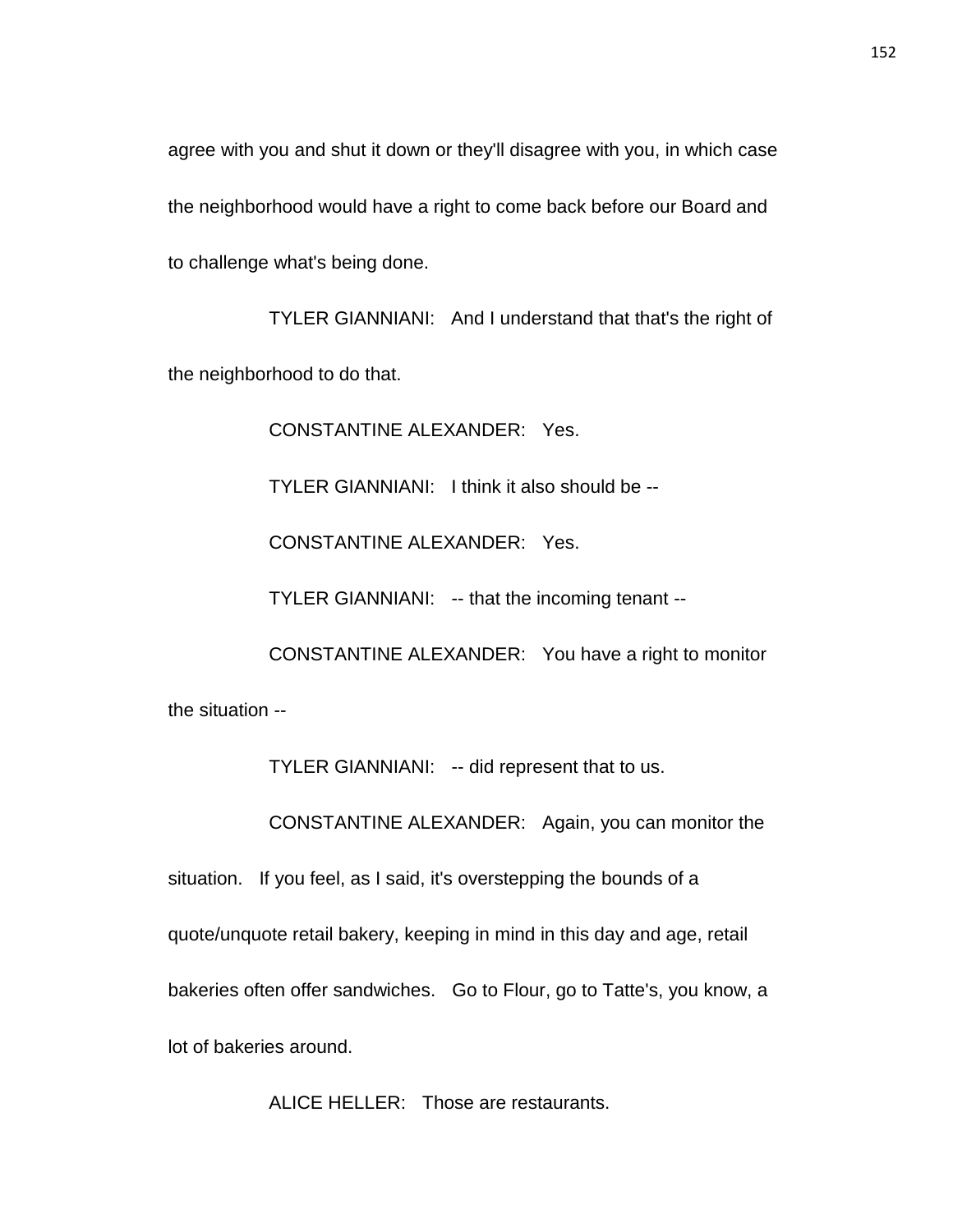agree with you and shut it down or they'll disagree with you, in which case the neighborhood would have a right to come back before our Board and to challenge what's being done.

TYLER GIANNIANI: And I understand that that's the right of the neighborhood to do that.

CONSTANTINE ALEXANDER: Yes.

TYLER GIANNIANI: I think it also should be --

CONSTANTINE ALEXANDER: Yes.

TYLER GIANNIANI: -- that the incoming tenant --

CONSTANTINE ALEXANDER: You have a right to monitor the situation --

TYLER GIANNIANI: -- did represent that to us.

CONSTANTINE ALEXANDER: Again, you can monitor the

situation. If you feel, as I said, it's overstepping the bounds of a

quote/unquote retail bakery, keeping in mind in this day and age, retail

bakeries often offer sandwiches. Go to Flour, go to Tatte's, you know, a

lot of bakeries around.

ALICE HELLER: Those are restaurants.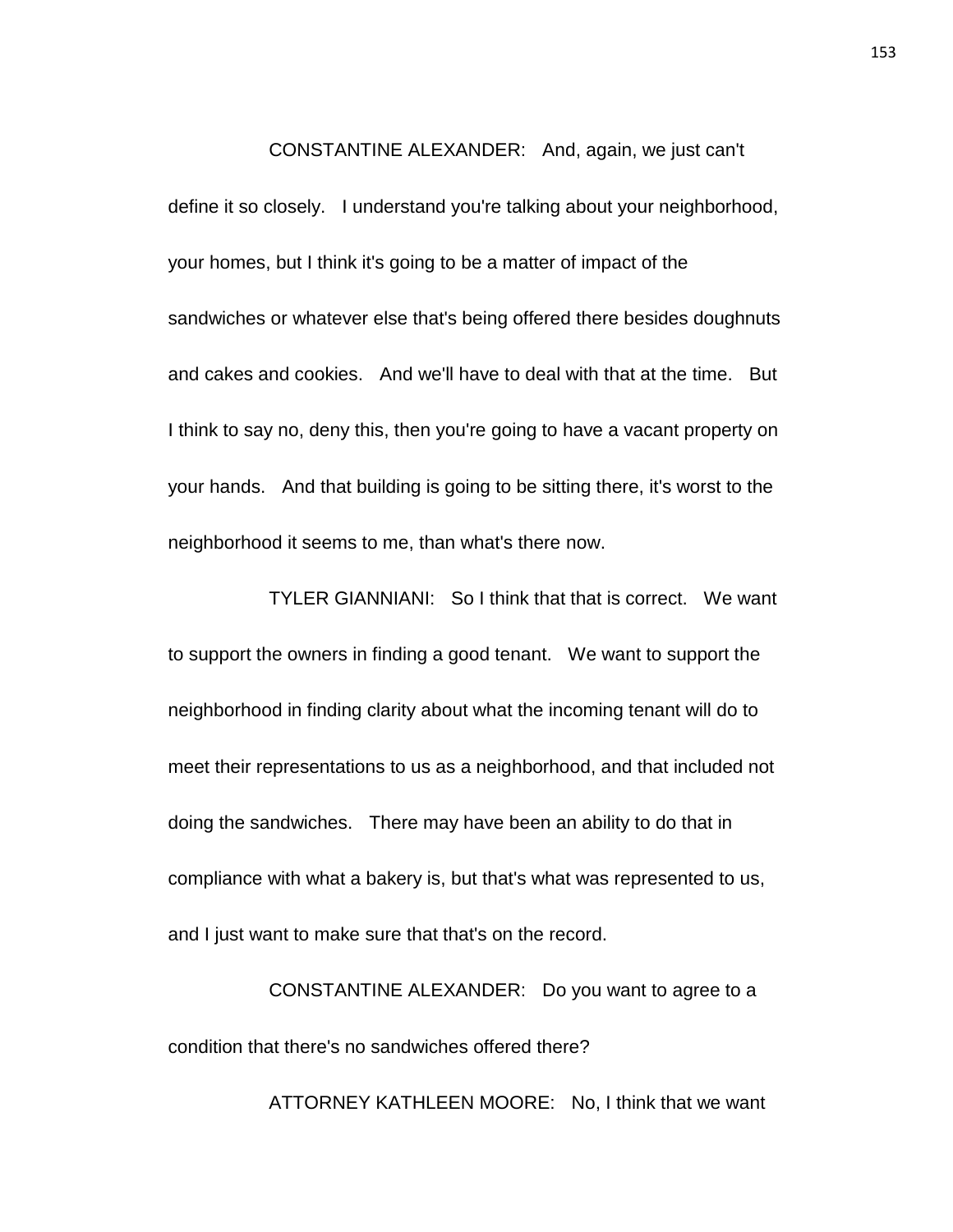#### CONSTANTINE ALEXANDER: And, again, we just can't

define it so closely. I understand you're talking about your neighborhood, your homes, but I think it's going to be a matter of impact of the sandwiches or whatever else that's being offered there besides doughnuts and cakes and cookies. And we'll have to deal with that at the time. But I think to say no, deny this, then you're going to have a vacant property on your hands. And that building is going to be sitting there, it's worst to the neighborhood it seems to me, than what's there now.

TYLER GIANNIANI: So I think that that is correct. We want to support the owners in finding a good tenant. We want to support the neighborhood in finding clarity about what the incoming tenant will do to meet their representations to us as a neighborhood, and that included not doing the sandwiches. There may have been an ability to do that in compliance with what a bakery is, but that's what was represented to us, and I just want to make sure that that's on the record.

CONSTANTINE ALEXANDER: Do you want to agree to a condition that there's no sandwiches offered there?

ATTORNEY KATHLEEN MOORE: No, I think that we want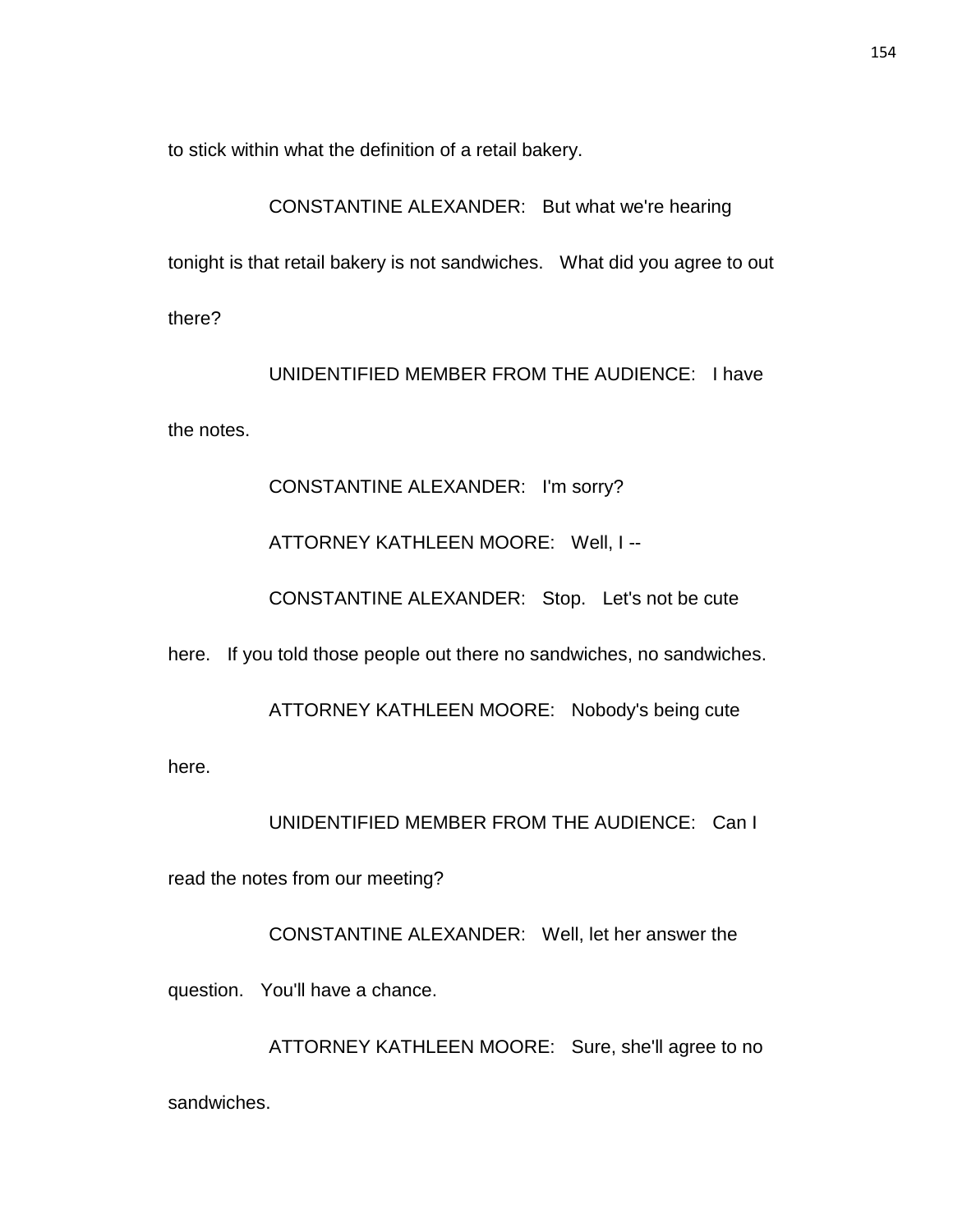to stick within what the definition of a retail bakery.

# CONSTANTINE ALEXANDER: But what we're hearing

tonight is that retail bakery is not sandwiches. What did you agree to out

there?

UNIDENTIFIED MEMBER FROM THE AUDIENCE: I have

the notes.

### CONSTANTINE ALEXANDER: I'm sorry?

## ATTORNEY KATHLEEN MOORE: Well, I --

CONSTANTINE ALEXANDER: Stop. Let's not be cute

here. If you told those people out there no sandwiches, no sandwiches.

ATTORNEY KATHLEEN MOORE: Nobody's being cute

here.

# UNIDENTIFIED MEMBER FROM THE AUDIENCE: Can I

read the notes from our meeting?

CONSTANTINE ALEXANDER: Well, let her answer the

question. You'll have a chance.

ATTORNEY KATHLEEN MOORE: Sure, she'll agree to no

sandwiches.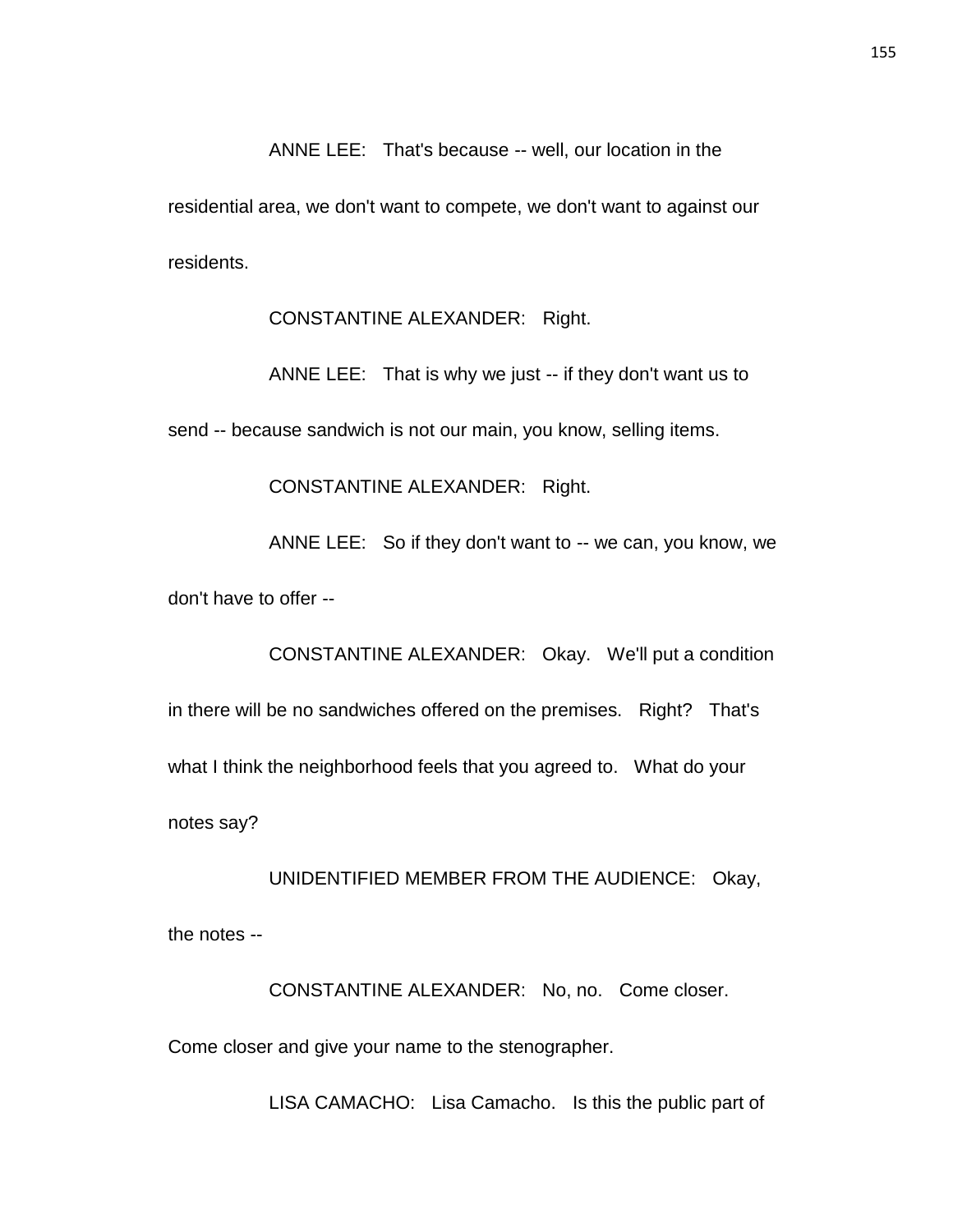ANNE LEE: That's because -- well, our location in the

residential area, we don't want to compete, we don't want to against our residents.

CONSTANTINE ALEXANDER: Right.

ANNE LEE: That is why we just -- if they don't want us to

send -- because sandwich is not our main, you know, selling items.

CONSTANTINE ALEXANDER: Right.

ANNE LEE: So if they don't want to -- we can, you know, we

don't have to offer --

CONSTANTINE ALEXANDER: Okay. We'll put a condition in there will be no sandwiches offered on the premises. Right? That's what I think the neighborhood feels that you agreed to. What do your notes say?

### UNIDENTIFIED MEMBER FROM THE AUDIENCE: Okay,

the notes --

CONSTANTINE ALEXANDER: No, no. Come closer.

Come closer and give your name to the stenographer.

LISA CAMACHO: Lisa Camacho. Is this the public part of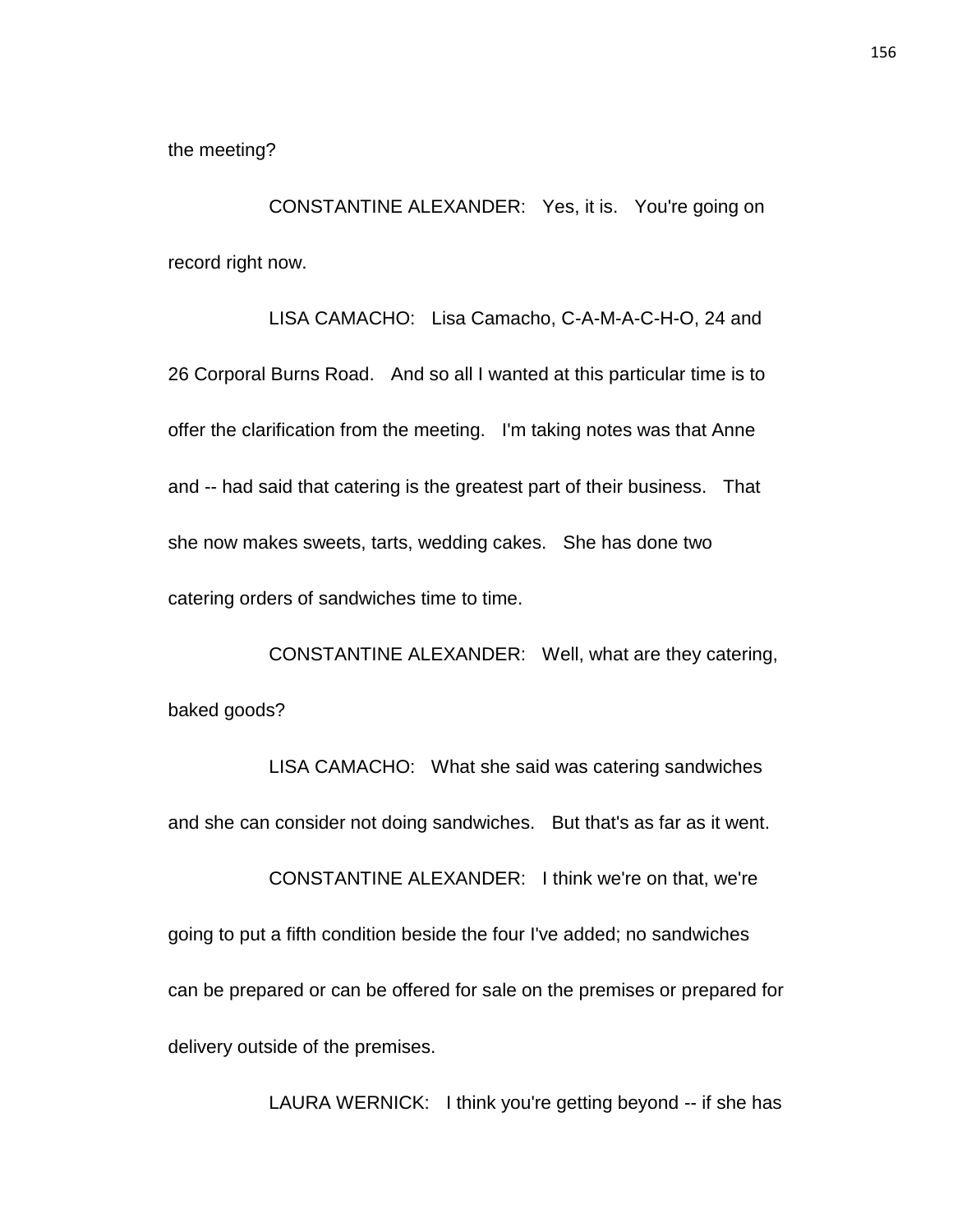the meeting?

CONSTANTINE ALEXANDER: Yes, it is. You're going on record right now.

LISA CAMACHO: Lisa Camacho, C-A-M-A-C-H-O, 24 and 26 Corporal Burns Road. And so all I wanted at this particular time is to offer the clarification from the meeting. I'm taking notes was that Anne and -- had said that catering is the greatest part of their business. That she now makes sweets, tarts, wedding cakes. She has done two catering orders of sandwiches time to time.

CONSTANTINE ALEXANDER: Well, what are they catering, baked goods?

LISA CAMACHO: What she said was catering sandwiches and she can consider not doing sandwiches. But that's as far as it went. CONSTANTINE ALEXANDER: I think we're on that, we're going to put a fifth condition beside the four I've added; no sandwiches can be prepared or can be offered for sale on the premises or prepared for delivery outside of the premises.

LAURA WERNICK: I think you're getting beyond -- if she has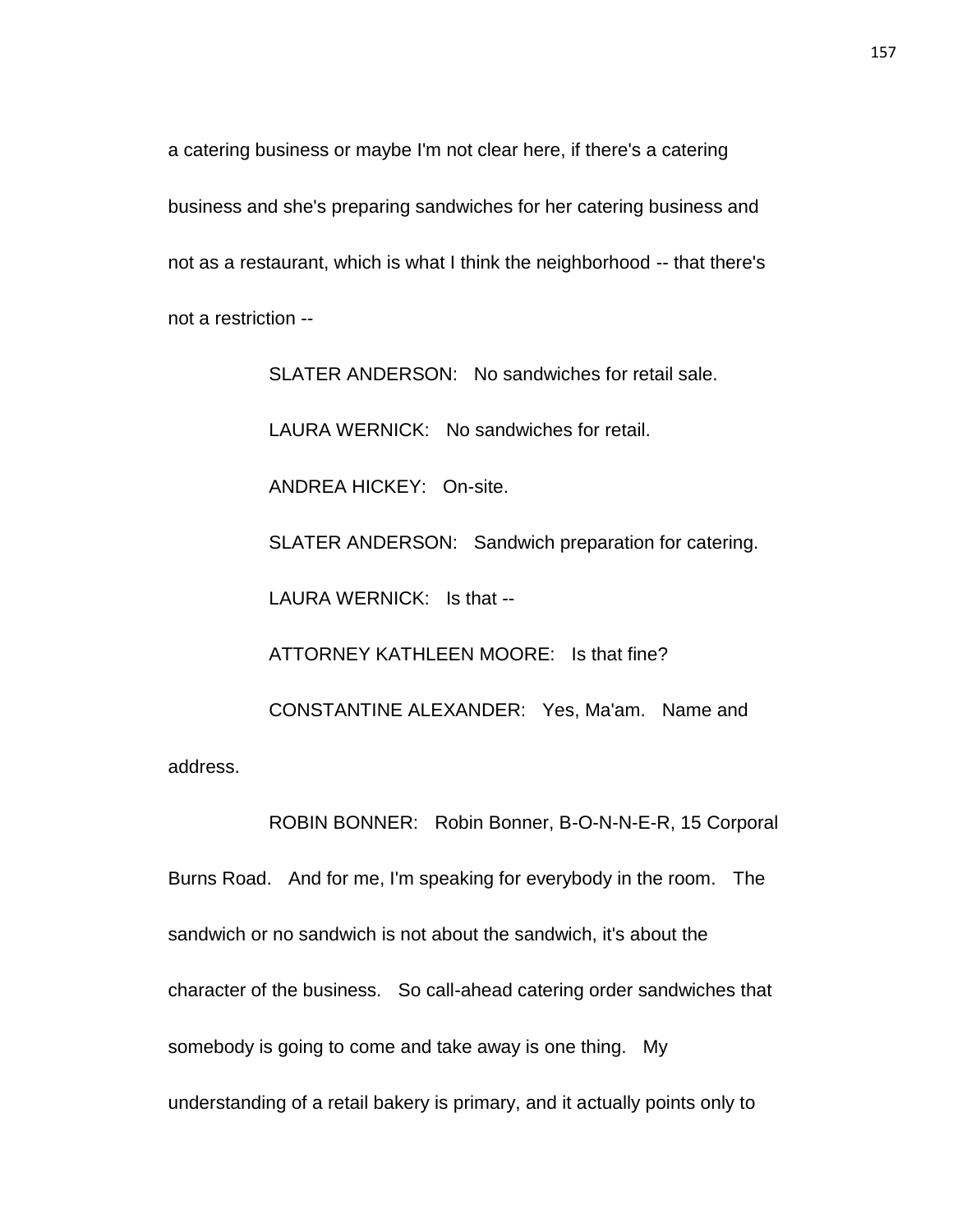a catering business or maybe I'm not clear here, if there's a catering business and she's preparing sandwiches for her catering business and not as a restaurant, which is what I think the neighborhood -- that there's not a restriction --

SLATER ANDERSON: No sandwiches for retail sale. LAURA WERNICK: No sandwiches for retail. ANDREA HICKEY: On-site. SLATER ANDERSON: Sandwich preparation for catering. LAURA WERNICK: Is that -- ATTORNEY KATHLEEN MOORE: Is that fine? CONSTANTINE ALEXANDER: Yes, Ma'am. Name and address.

Burns Road. And for me, I'm speaking for everybody in the room. The sandwich or no sandwich is not about the sandwich, it's about the character of the business. So call-ahead catering order sandwiches that somebody is going to come and take away is one thing. My understanding of a retail bakery is primary, and it actually points only to

ROBIN BONNER: Robin Bonner, B-O-N-N-E-R, 15 Corporal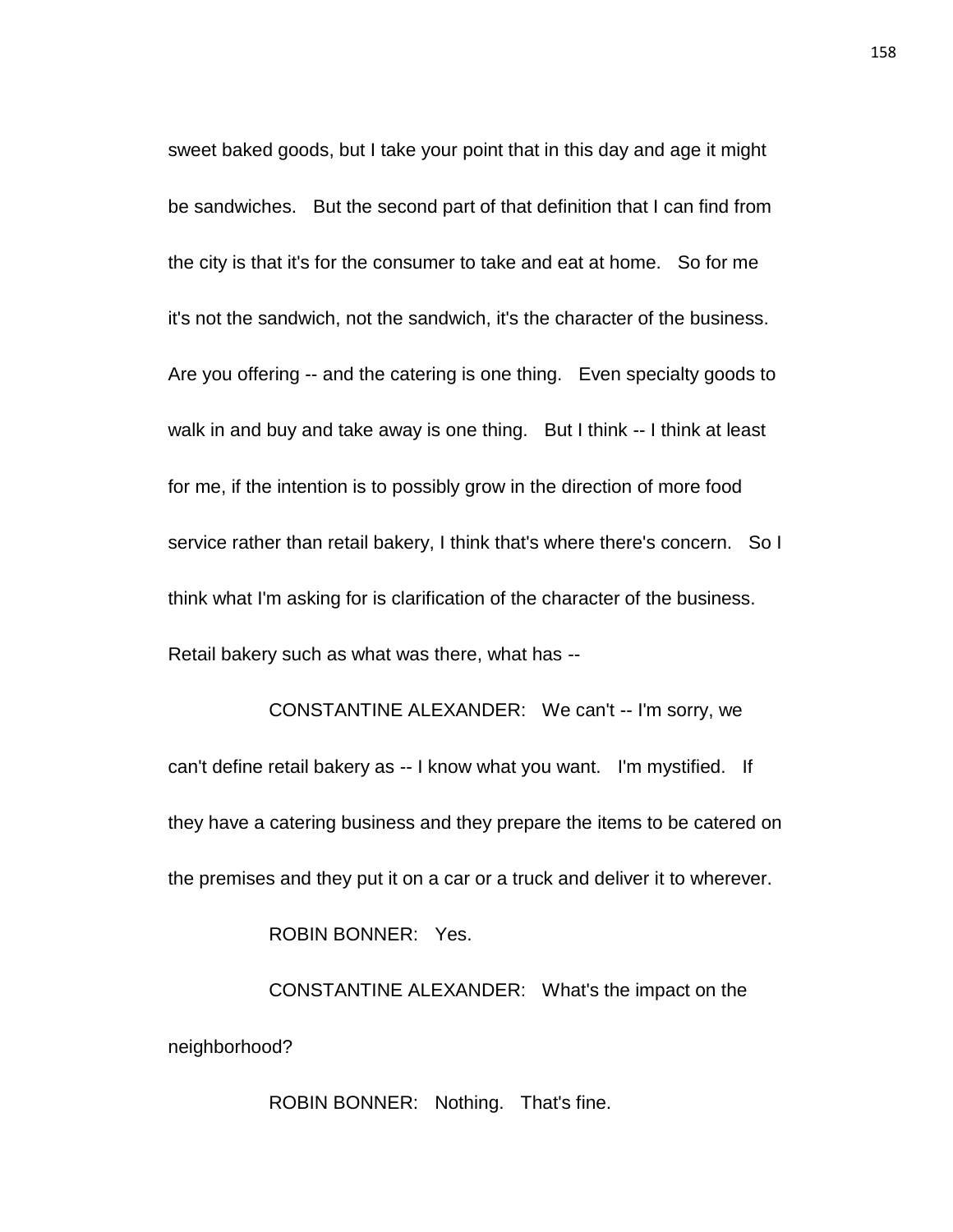sweet baked goods, but I take your point that in this day and age it might be sandwiches. But the second part of that definition that I can find from the city is that it's for the consumer to take and eat at home. So for me it's not the sandwich, not the sandwich, it's the character of the business. Are you offering -- and the catering is one thing. Even specialty goods to walk in and buy and take away is one thing. But I think -- I think at least for me, if the intention is to possibly grow in the direction of more food service rather than retail bakery, I think that's where there's concern. So I think what I'm asking for is clarification of the character of the business. Retail bakery such as what was there, what has --

CONSTANTINE ALEXANDER: We can't -- I'm sorry, we can't define retail bakery as -- I know what you want. I'm mystified. If they have a catering business and they prepare the items to be catered on the premises and they put it on a car or a truck and deliver it to wherever.

ROBIN BONNER: Yes.

CONSTANTINE ALEXANDER: What's the impact on the neighborhood?

ROBIN BONNER: Nothing. That's fine.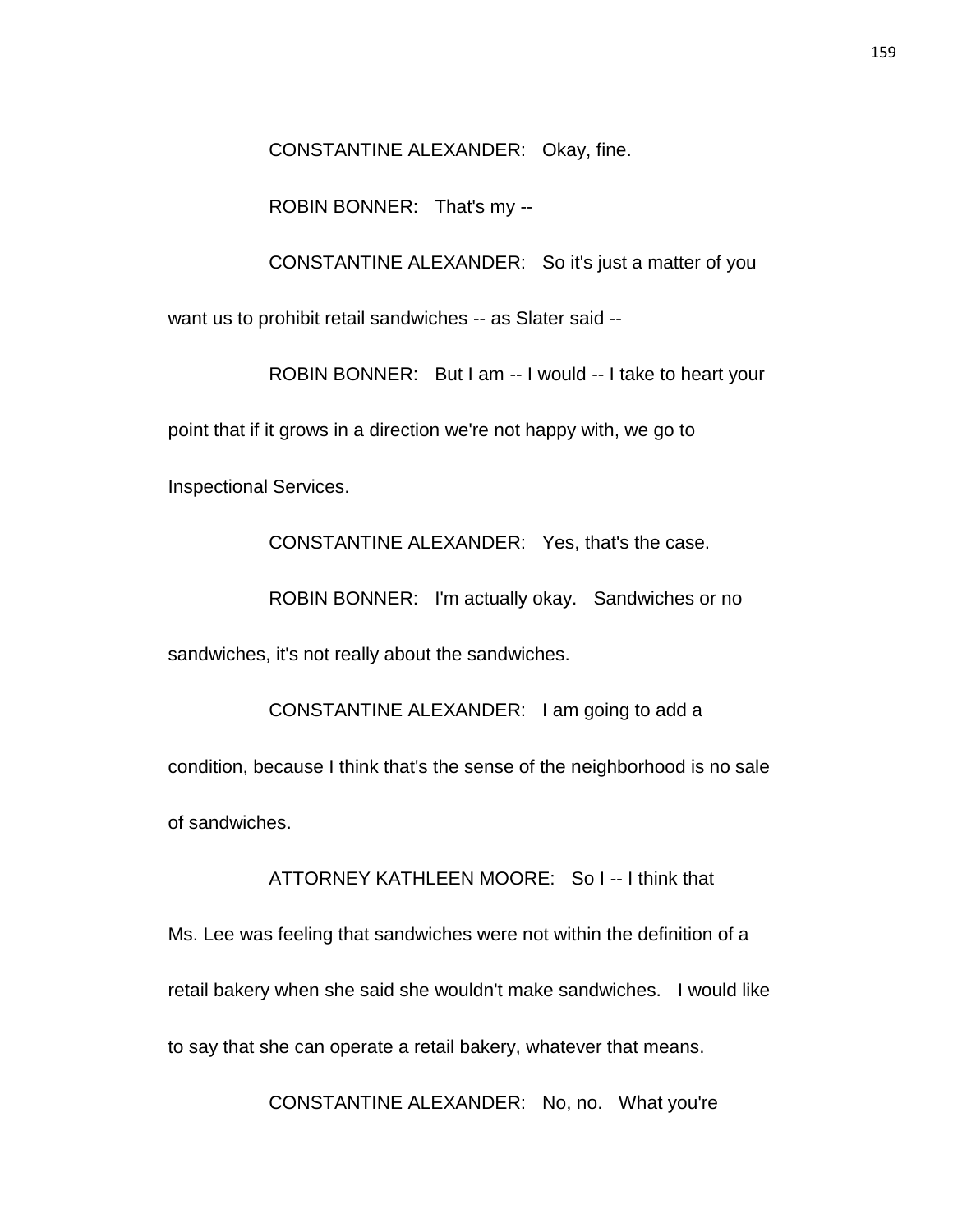CONSTANTINE ALEXANDER: Okay, fine.

ROBIN BONNER: That's my --

CONSTANTINE ALEXANDER: So it's just a matter of you

want us to prohibit retail sandwiches -- as Slater said --

ROBIN BONNER: But I am -- I would -- I take to heart your point that if it grows in a direction we're not happy with, we go to Inspectional Services.

CONSTANTINE ALEXANDER: Yes, that's the case.

ROBIN BONNER: I'm actually okay. Sandwiches or no sandwiches, it's not really about the sandwiches.

CONSTANTINE ALEXANDER: I am going to add a condition, because I think that's the sense of the neighborhood is no sale of sandwiches.

ATTORNEY KATHLEEN MOORE: So I -- I think that

Ms. Lee was feeling that sandwiches were not within the definition of a retail bakery when she said she wouldn't make sandwiches. I would like to say that she can operate a retail bakery, whatever that means.

CONSTANTINE ALEXANDER: No, no. What you're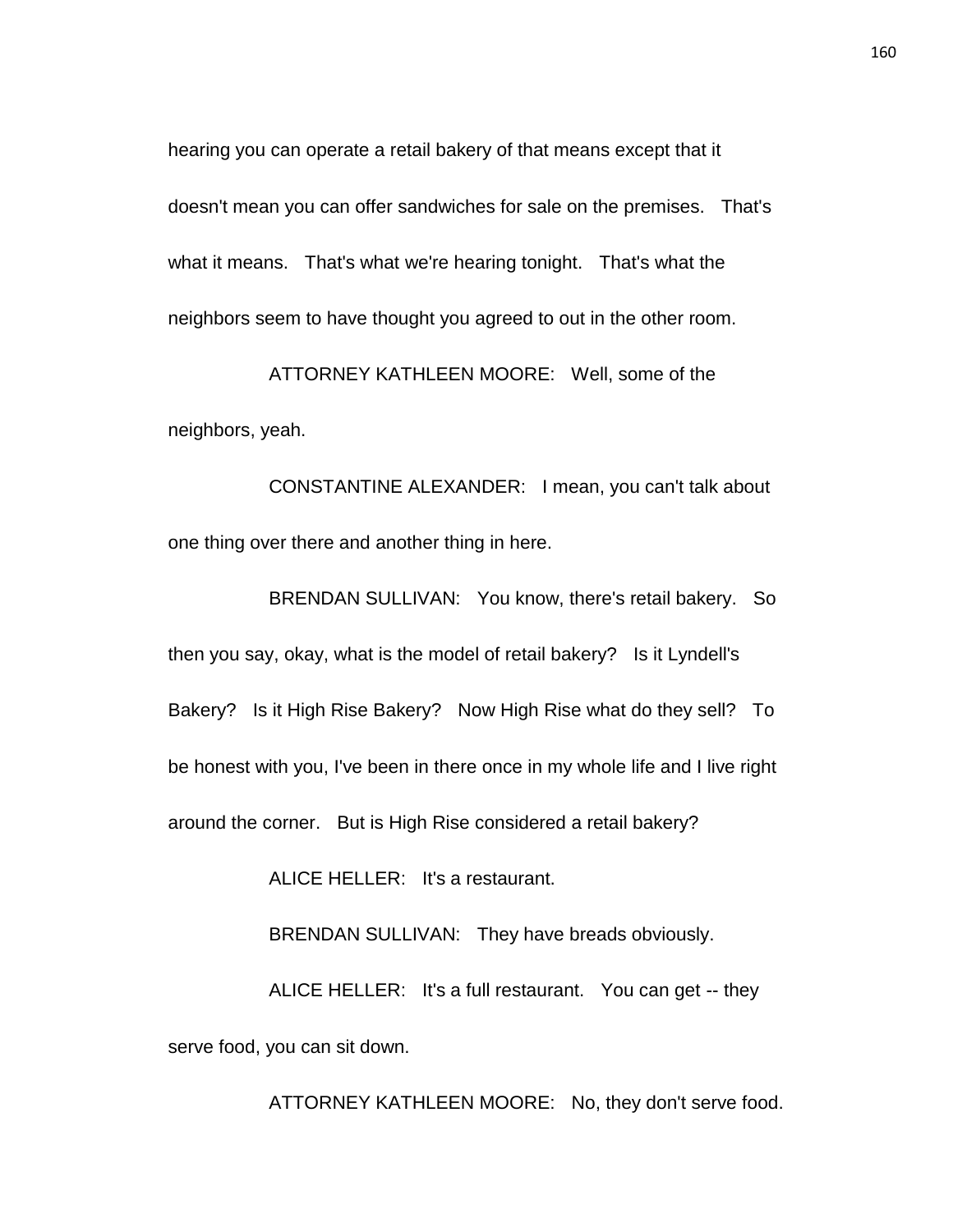hearing you can operate a retail bakery of that means except that it doesn't mean you can offer sandwiches for sale on the premises. That's what it means. That's what we're hearing tonight. That's what the neighbors seem to have thought you agreed to out in the other room.

ATTORNEY KATHLEEN MOORE: Well, some of the neighbors, yeah.

CONSTANTINE ALEXANDER: I mean, you can't talk about one thing over there and another thing in here.

BRENDAN SULLIVAN: You know, there's retail bakery. So then you say, okay, what is the model of retail bakery? Is it Lyndell's Bakery? Is it High Rise Bakery? Now High Rise what do they sell? To be honest with you, I've been in there once in my whole life and I live right around the corner. But is High Rise considered a retail bakery?

ALICE HELLER: It's a restaurant.

BRENDAN SULLIVAN: They have breads obviously.

ALICE HELLER: It's a full restaurant. You can get -- they serve food, you can sit down.

ATTORNEY KATHLEEN MOORE: No, they don't serve food.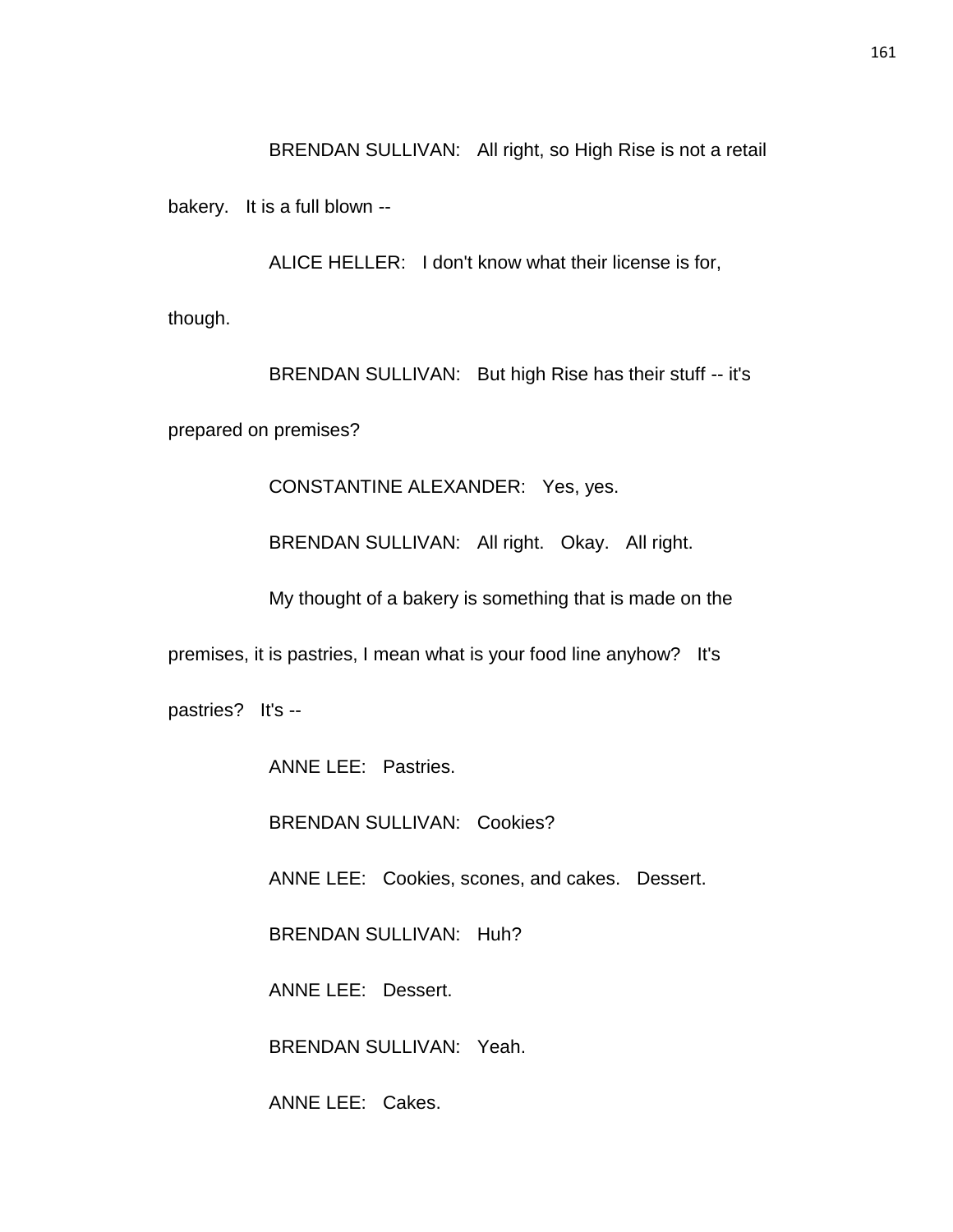BRENDAN SULLIVAN: All right, so High Rise is not a retail

bakery. It is a full blown --

ALICE HELLER: I don't know what their license is for,

though.

BRENDAN SULLIVAN: But high Rise has their stuff -- it's

prepared on premises?

CONSTANTINE ALEXANDER: Yes, yes.

BRENDAN SULLIVAN: All right. Okay. All right.

My thought of a bakery is something that is made on the

premises, it is pastries, I mean what is your food line anyhow? It's

pastries? It's --

ANNE LEE: Pastries.

BRENDAN SULLIVAN: Cookies?

ANNE LEE: Cookies, scones, and cakes. Dessert.

BRENDAN SULLIVAN: Huh?

ANNE LEE: Dessert.

BRENDAN SULLIVAN: Yeah.

ANNE LEE: Cakes.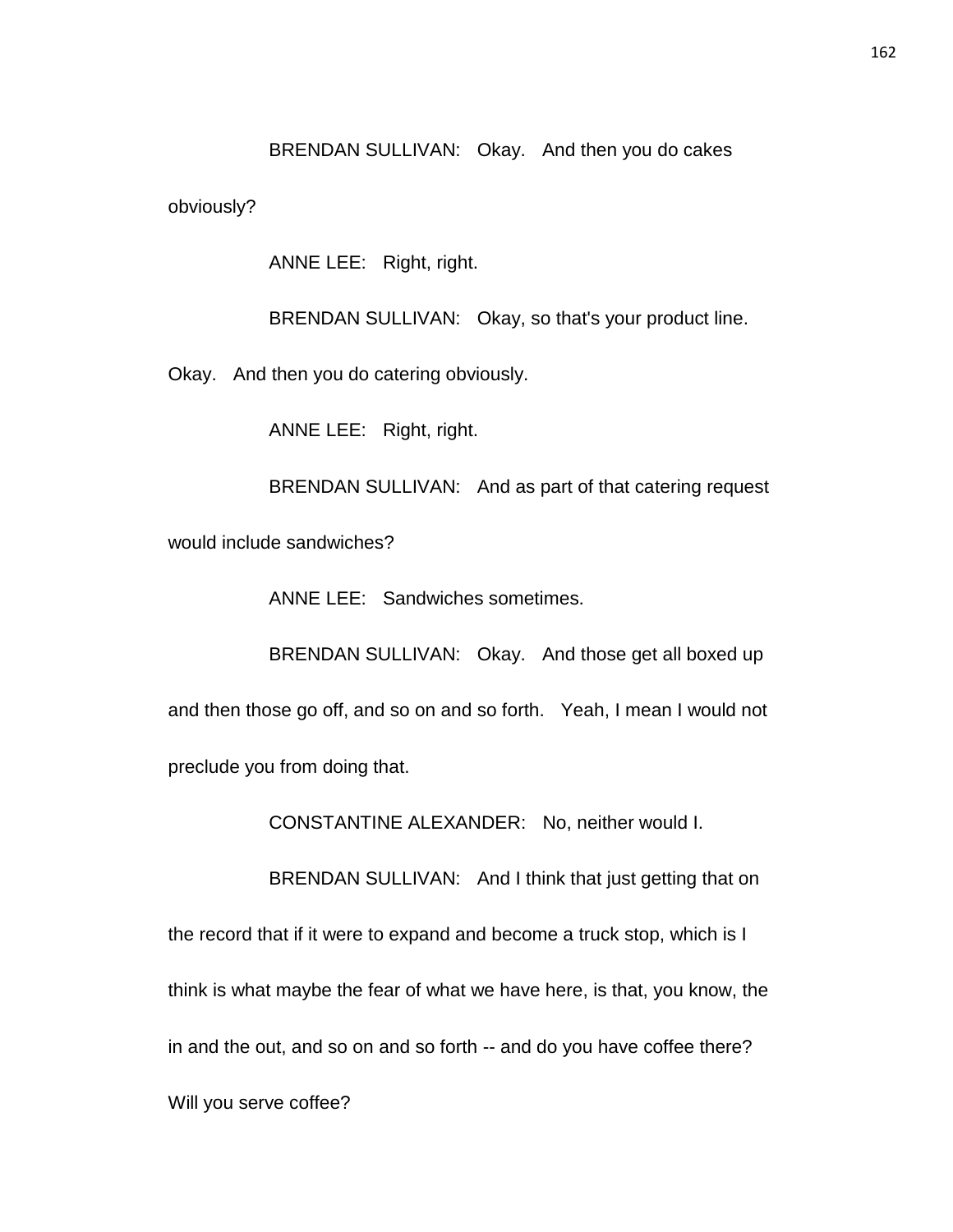BRENDAN SULLIVAN: Okay. And then you do cakes

obviously?

ANNE LEE: Right, right.

BRENDAN SULLIVAN: Okay, so that's your product line.

Okay. And then you do catering obviously.

ANNE LEE: Right, right.

BRENDAN SULLIVAN: And as part of that catering request would include sandwiches?

ANNE LEE: Sandwiches sometimes.

BRENDAN SULLIVAN: Okay. And those get all boxed up and then those go off, and so on and so forth. Yeah, I mean I would not preclude you from doing that.

CONSTANTINE ALEXANDER: No, neither would I.

BRENDAN SULLIVAN: And I think that just getting that on the record that if it were to expand and become a truck stop, which is I think is what maybe the fear of what we have here, is that, you know, the in and the out, and so on and so forth -- and do you have coffee there? Will you serve coffee?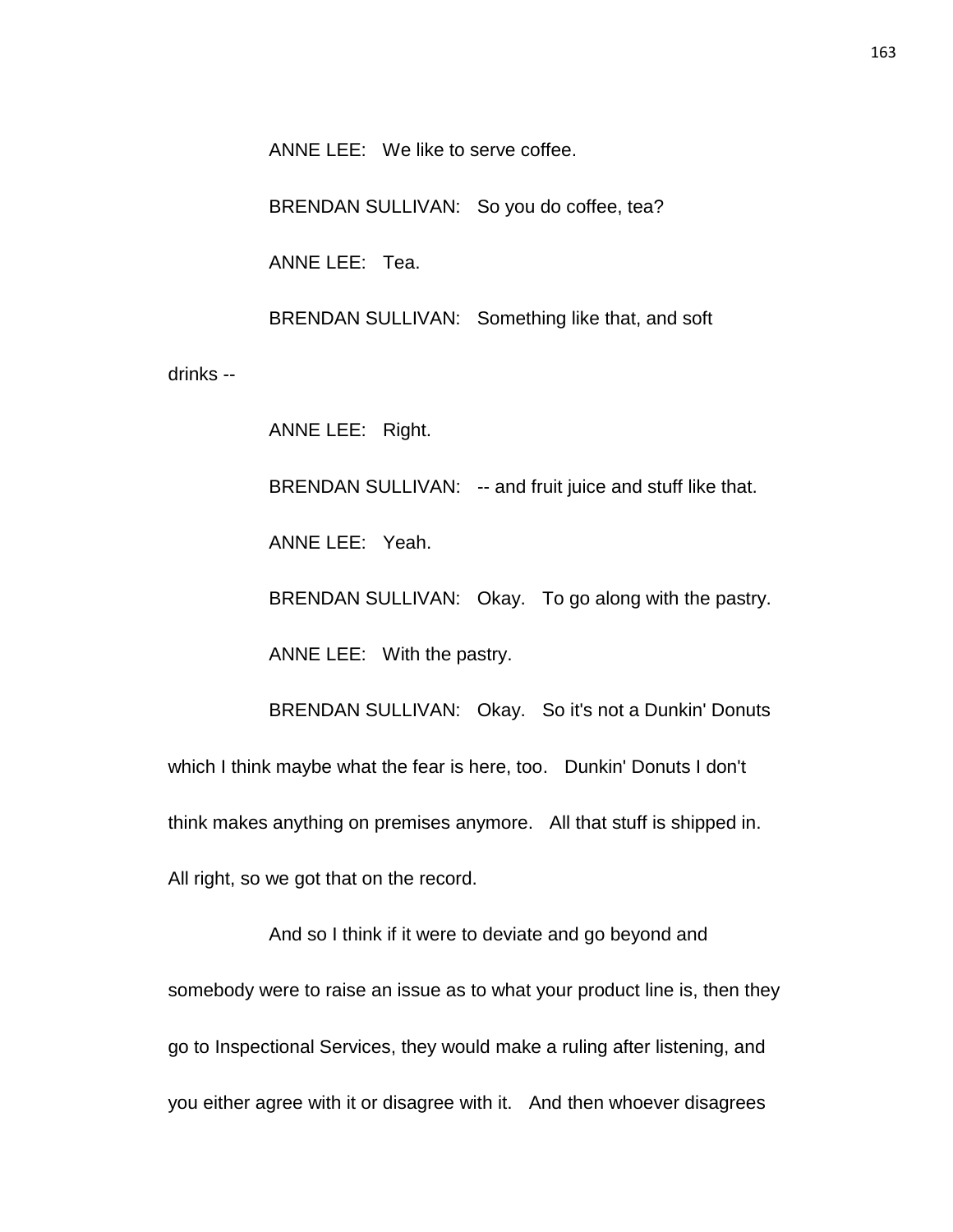ANNE LEE: We like to serve coffee.

BRENDAN SULLIVAN: So you do coffee, tea?

ANNE LEE: Tea.

BRENDAN SULLIVAN: Something like that, and soft

drinks --

ANNE LEE: Right.

BRENDAN SULLIVAN: -- and fruit juice and stuff like that.

ANNE LEE: Yeah.

BRENDAN SULLIVAN: Okay. To go along with the pastry.

ANNE LEE: With the pastry.

BRENDAN SULLIVAN: Okay. So it's not a Dunkin' Donuts which I think maybe what the fear is here, too. Dunkin' Donuts I don't think makes anything on premises anymore. All that stuff is shipped in. All right, so we got that on the record.

And so I think if it were to deviate and go beyond and somebody were to raise an issue as to what your product line is, then they go to Inspectional Services, they would make a ruling after listening, and you either agree with it or disagree with it. And then whoever disagrees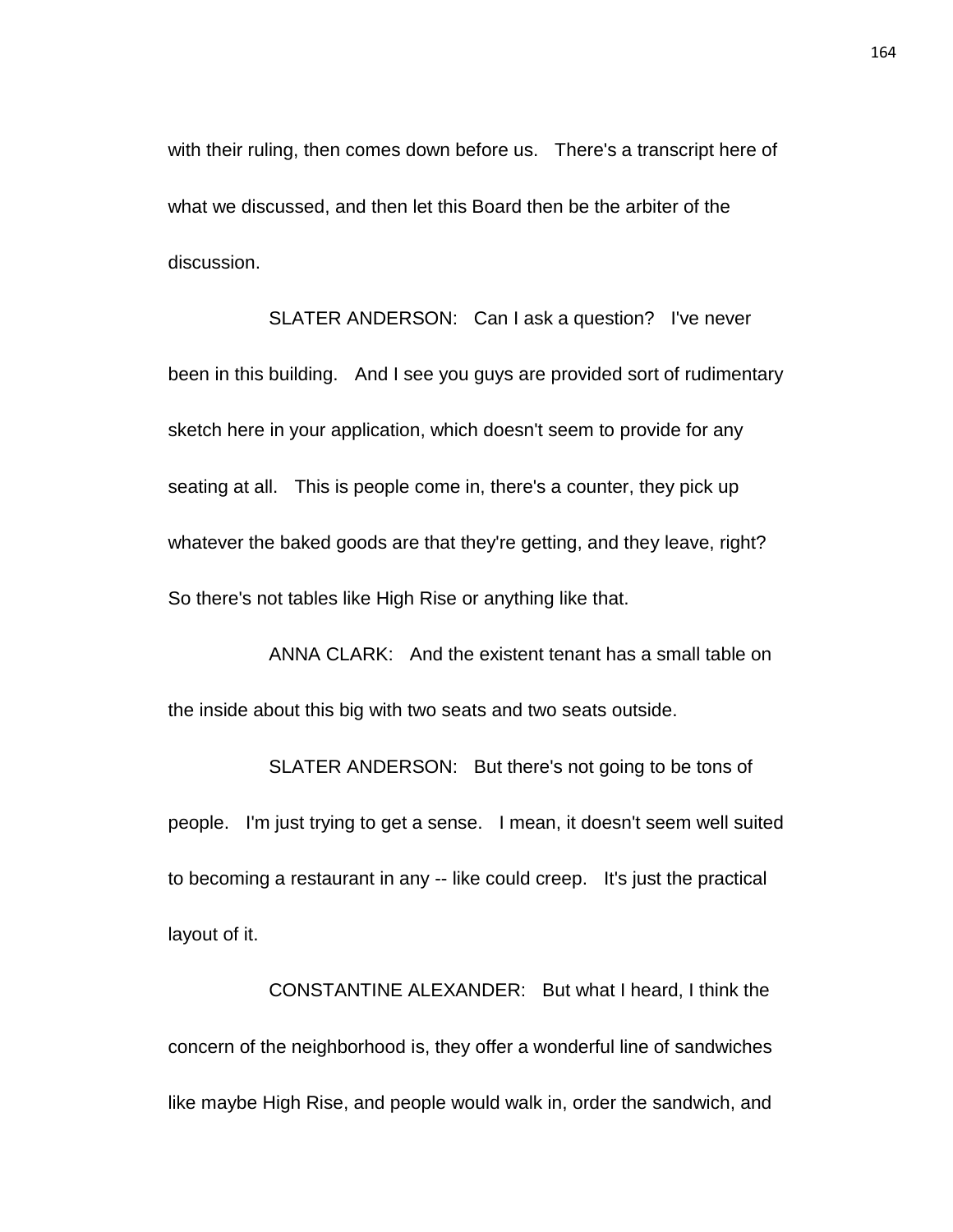with their ruling, then comes down before us. There's a transcript here of what we discussed, and then let this Board then be the arbiter of the discussion.

SLATER ANDERSON: Can I ask a question? I've never been in this building. And I see you guys are provided sort of rudimentary sketch here in your application, which doesn't seem to provide for any seating at all. This is people come in, there's a counter, they pick up whatever the baked goods are that they're getting, and they leave, right? So there's not tables like High Rise or anything like that.

ANNA CLARK: And the existent tenant has a small table on the inside about this big with two seats and two seats outside.

SLATER ANDERSON: But there's not going to be tons of people. I'm just trying to get a sense. I mean, it doesn't seem well suited to becoming a restaurant in any -- like could creep. It's just the practical layout of it.

CONSTANTINE ALEXANDER: But what I heard, I think the concern of the neighborhood is, they offer a wonderful line of sandwiches like maybe High Rise, and people would walk in, order the sandwich, and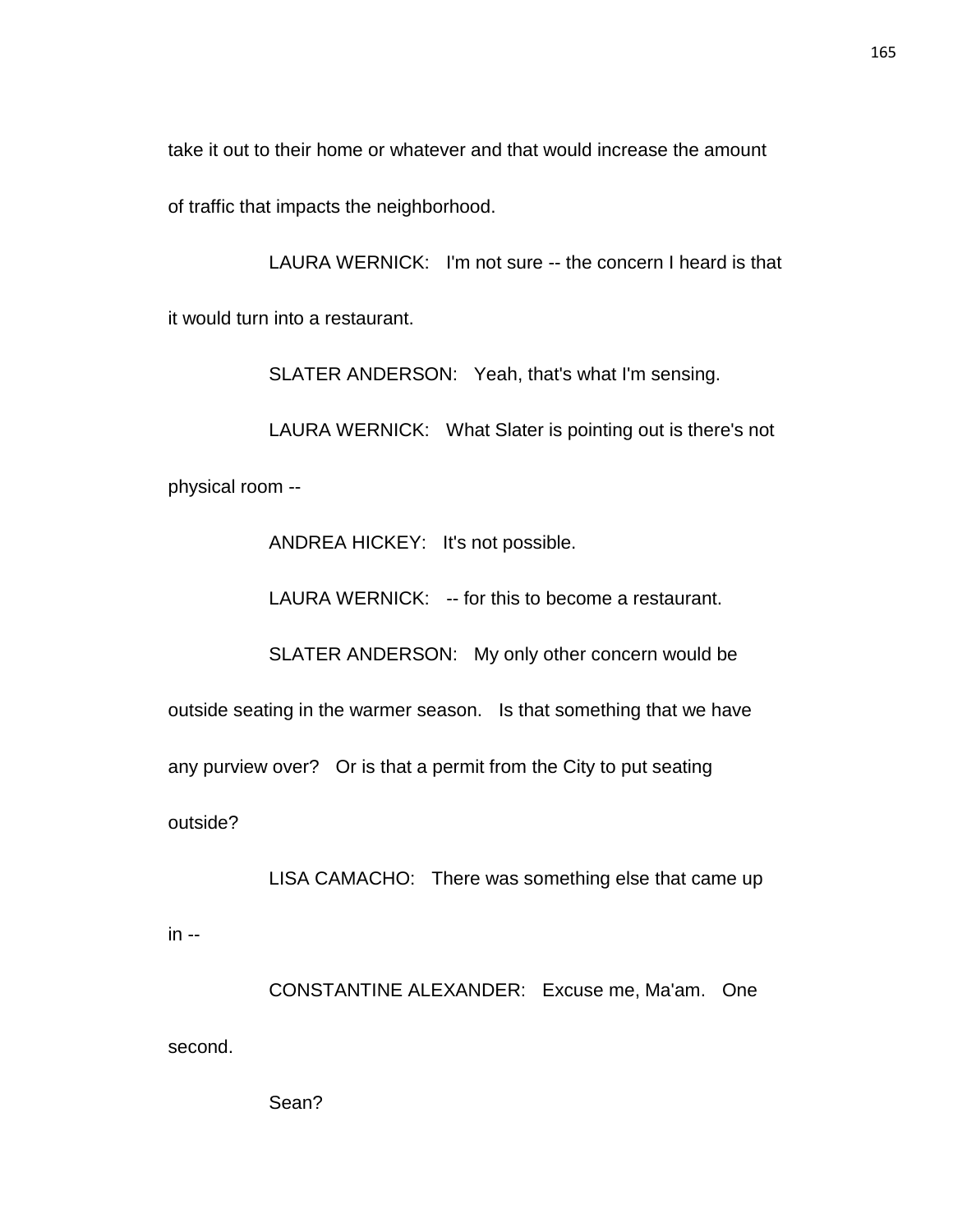take it out to their home or whatever and that would increase the amount

of traffic that impacts the neighborhood.

LAURA WERNICK: I'm not sure -- the concern I heard is that it would turn into a restaurant.

SLATER ANDERSON: Yeah, that's what I'm sensing.

LAURA WERNICK: What Slater is pointing out is there's not physical room --

ANDREA HICKEY: It's not possible.

LAURA WERNICK: -- for this to become a restaurant.

SLATER ANDERSON: My only other concern would be

outside seating in the warmer season. Is that something that we have

any purview over? Or is that a permit from the City to put seating

outside?

LISA CAMACHO: There was something else that came up

in --

CONSTANTINE ALEXANDER: Excuse me, Ma'am. One second.

Sean?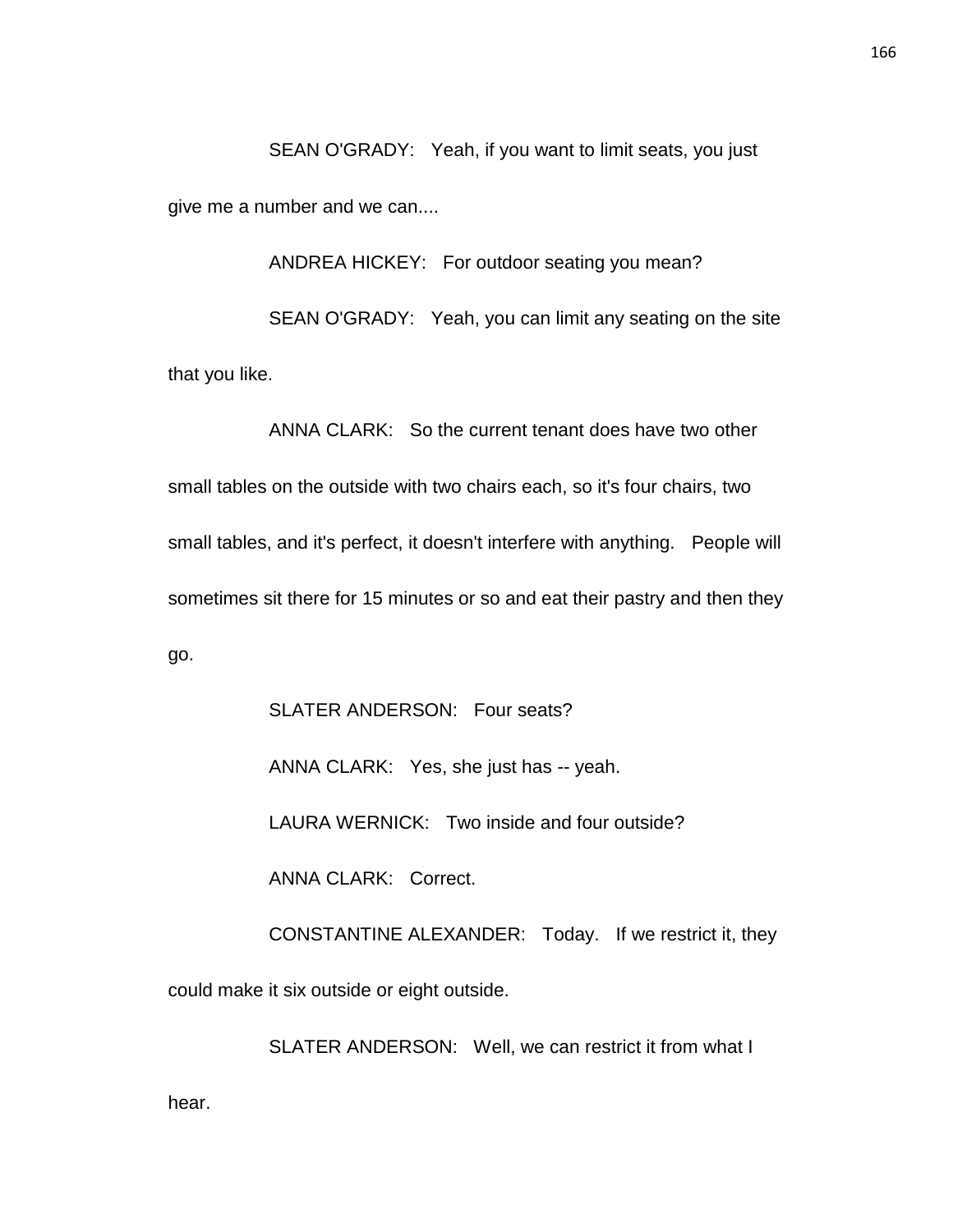SEAN O'GRADY: Yeah, if you want to limit seats, you just give me a number and we can....

ANDREA HICKEY: For outdoor seating you mean? SEAN O'GRADY: Yeah, you can limit any seating on the site that you like.

ANNA CLARK: So the current tenant does have two other small tables on the outside with two chairs each, so it's four chairs, two small tables, and it's perfect, it doesn't interfere with anything. People will sometimes sit there for 15 minutes or so and eat their pastry and then they go.

SLATER ANDERSON: Four seats? ANNA CLARK: Yes, she just has -- yeah. LAURA WERNICK: Two inside and four outside? ANNA CLARK: Correct. CONSTANTINE ALEXANDER: Today. If we restrict it, they could make it six outside or eight outside.

SLATER ANDERSON: Well, we can restrict it from what I hear.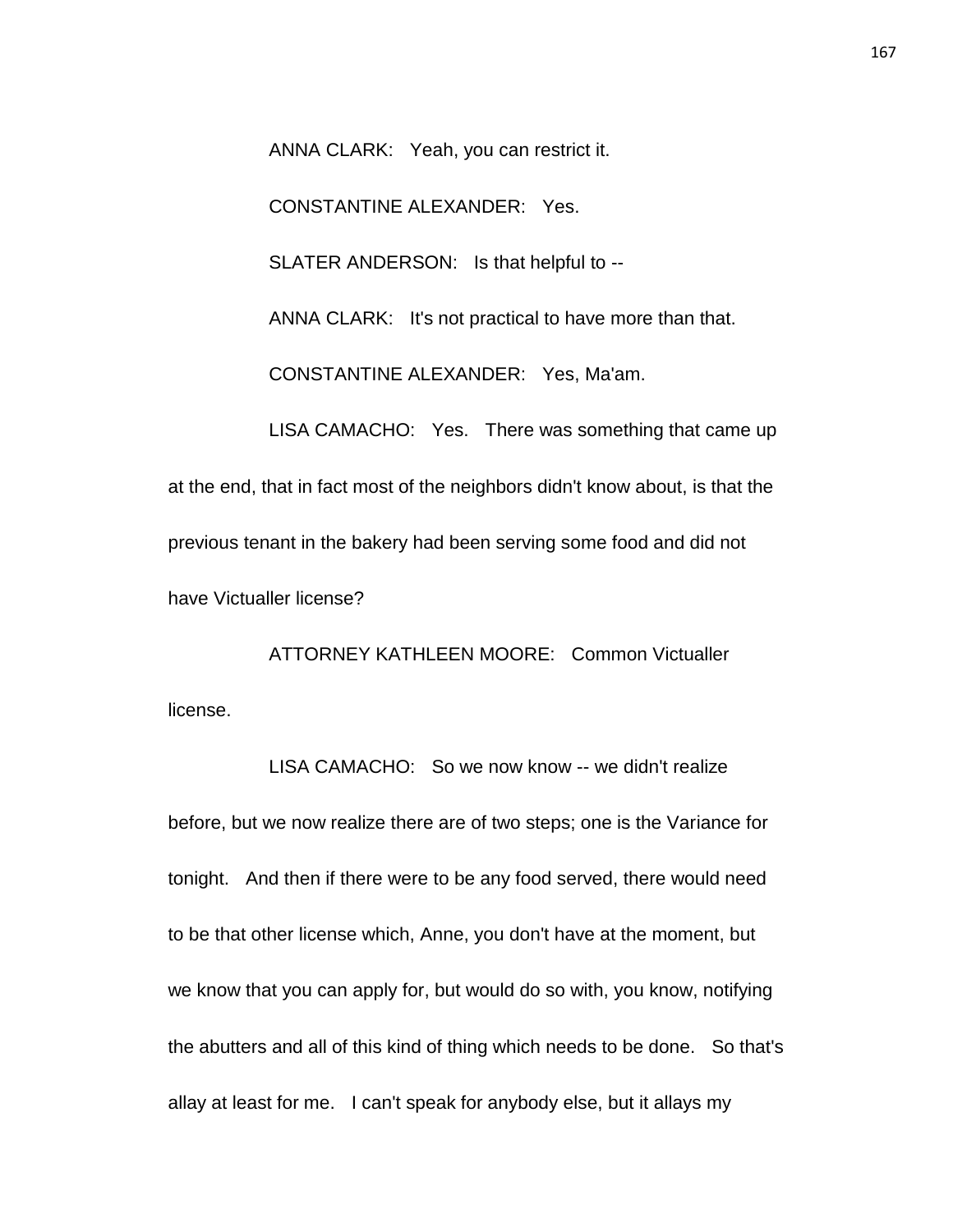ANNA CLARK: Yeah, you can restrict it.

CONSTANTINE ALEXANDER: Yes.

SLATER ANDERSON: Is that helpful to --

ANNA CLARK: It's not practical to have more than that.

CONSTANTINE ALEXANDER: Yes, Ma'am.

LISA CAMACHO: Yes. There was something that came up at the end, that in fact most of the neighbors didn't know about, is that the previous tenant in the bakery had been serving some food and did not have Victualler license?

ATTORNEY KATHLEEN MOORE: Common Victualler license.

LISA CAMACHO: So we now know -- we didn't realize before, but we now realize there are of two steps; one is the Variance for tonight. And then if there were to be any food served, there would need to be that other license which, Anne, you don't have at the moment, but we know that you can apply for, but would do so with, you know, notifying the abutters and all of this kind of thing which needs to be done. So that's allay at least for me. I can't speak for anybody else, but it allays my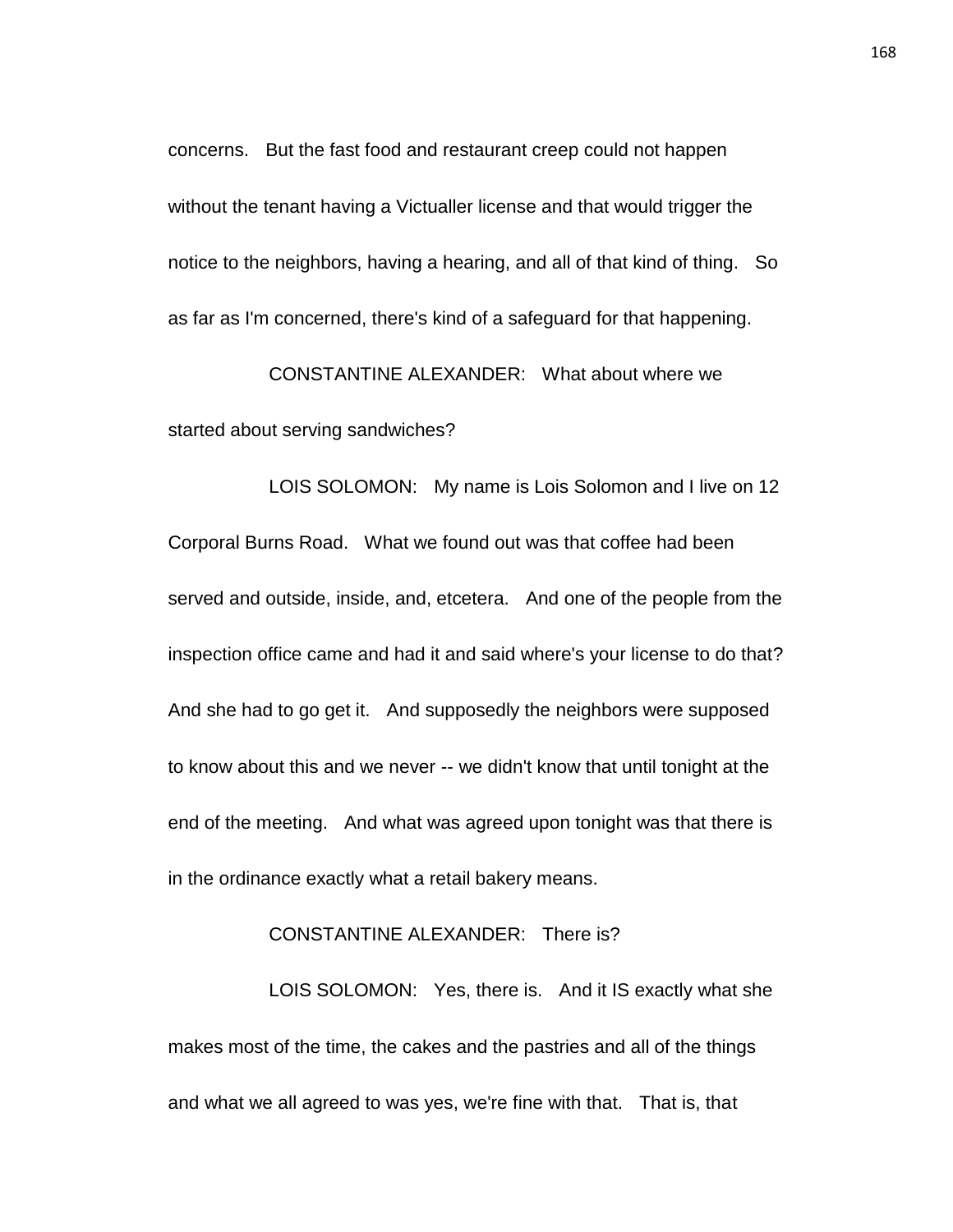concerns. But the fast food and restaurant creep could not happen without the tenant having a Victualler license and that would trigger the notice to the neighbors, having a hearing, and all of that kind of thing. So as far as I'm concerned, there's kind of a safeguard for that happening.

CONSTANTINE ALEXANDER: What about where we started about serving sandwiches?

LOIS SOLOMON: My name is Lois Solomon and I live on 12 Corporal Burns Road. What we found out was that coffee had been served and outside, inside, and, etcetera. And one of the people from the inspection office came and had it and said where's your license to do that? And she had to go get it. And supposedly the neighbors were supposed to know about this and we never -- we didn't know that until tonight at the end of the meeting. And what was agreed upon tonight was that there is in the ordinance exactly what a retail bakery means.

# CONSTANTINE ALEXANDER: There is?

LOIS SOLOMON: Yes, there is. And it IS exactly what she makes most of the time, the cakes and the pastries and all of the things and what we all agreed to was yes, we're fine with that. That is, that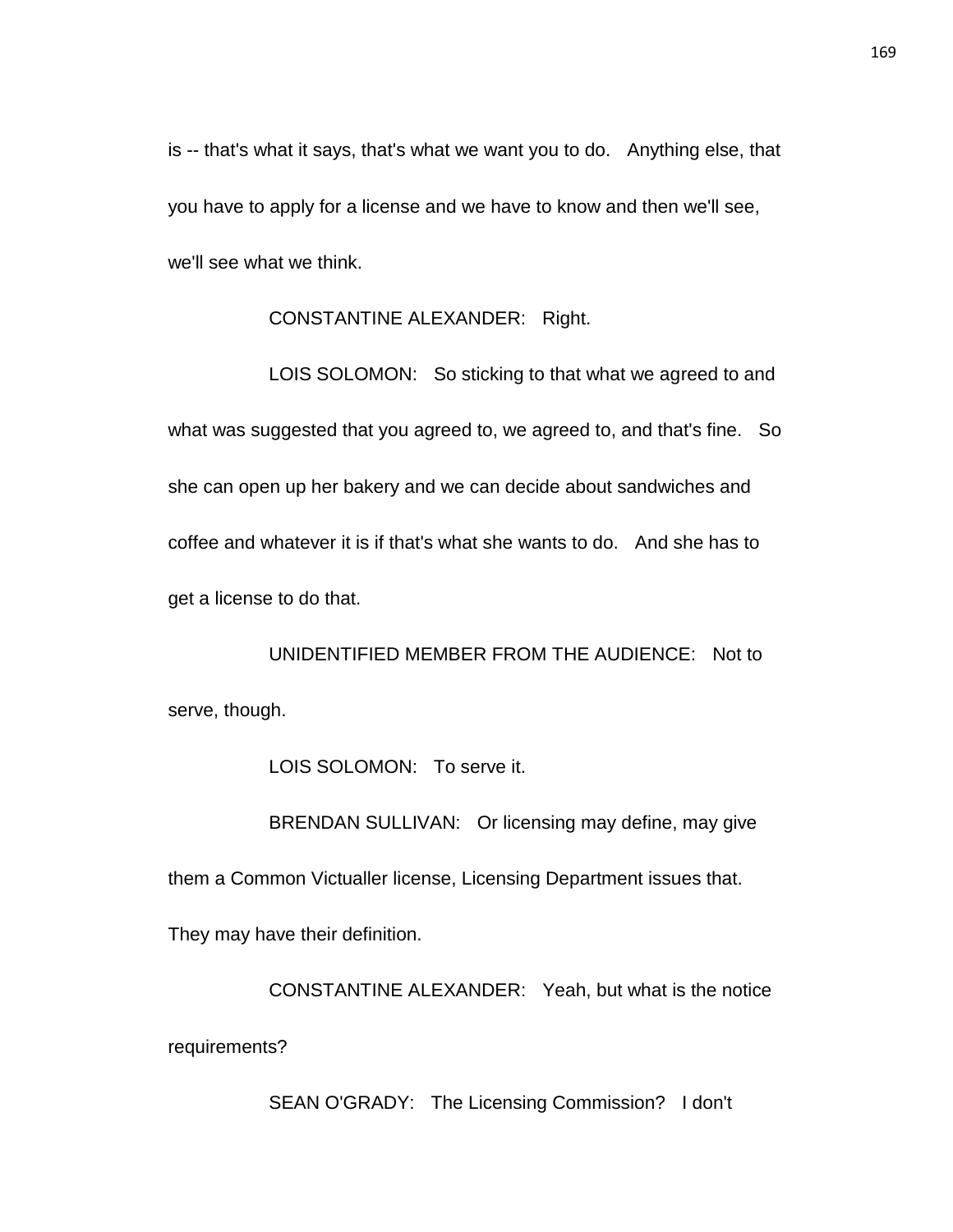is -- that's what it says, that's what we want you to do. Anything else, that you have to apply for a license and we have to know and then we'll see, we'll see what we think.

CONSTANTINE ALEXANDER: Right.

LOIS SOLOMON: So sticking to that what we agreed to and what was suggested that you agreed to, we agreed to, and that's fine. So she can open up her bakery and we can decide about sandwiches and coffee and whatever it is if that's what she wants to do. And she has to get a license to do that.

UNIDENTIFIED MEMBER FROM THE AUDIENCE: Not to serve, though.

LOIS SOLOMON: To serve it.

BRENDAN SULLIVAN: Or licensing may define, may give

them a Common Victualler license, Licensing Department issues that.

They may have their definition.

CONSTANTINE ALEXANDER: Yeah, but what is the notice requirements?

SEAN O'GRADY: The Licensing Commission? I don't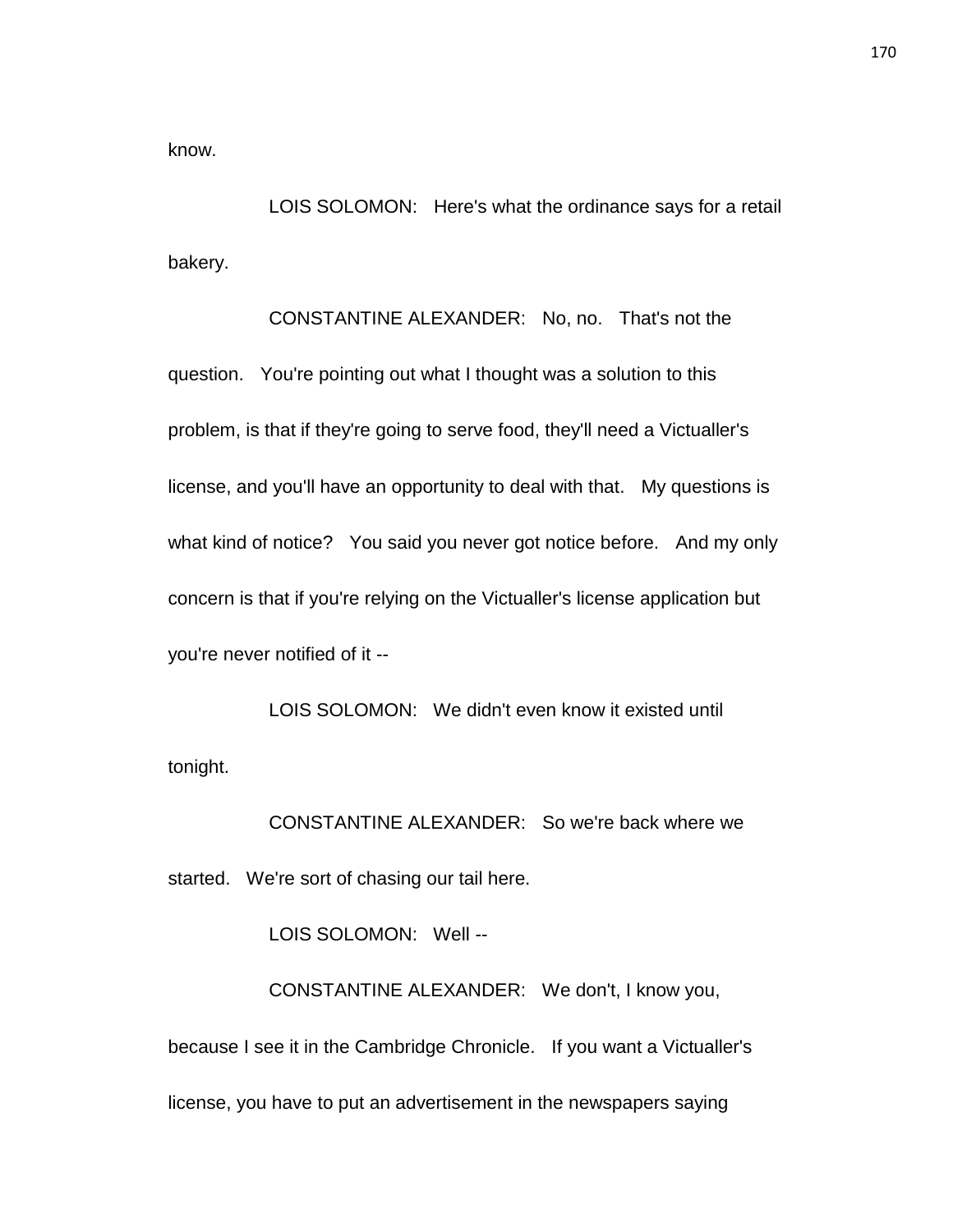know.

LOIS SOLOMON: Here's what the ordinance says for a retail bakery.

CONSTANTINE ALEXANDER: No, no. That's not the question. You're pointing out what I thought was a solution to this problem, is that if they're going to serve food, they'll need a Victualler's license, and you'll have an opportunity to deal with that. My questions is what kind of notice? You said you never got notice before. And my only concern is that if you're relying on the Victualler's license application but you're never notified of it --

LOIS SOLOMON: We didn't even know it existed until tonight.

CONSTANTINE ALEXANDER: So we're back where we started. We're sort of chasing our tail here.

LOIS SOLOMON: Well --

CONSTANTINE ALEXANDER: We don't, I know you, because I see it in the Cambridge Chronicle. If you want a Victualler's license, you have to put an advertisement in the newspapers saying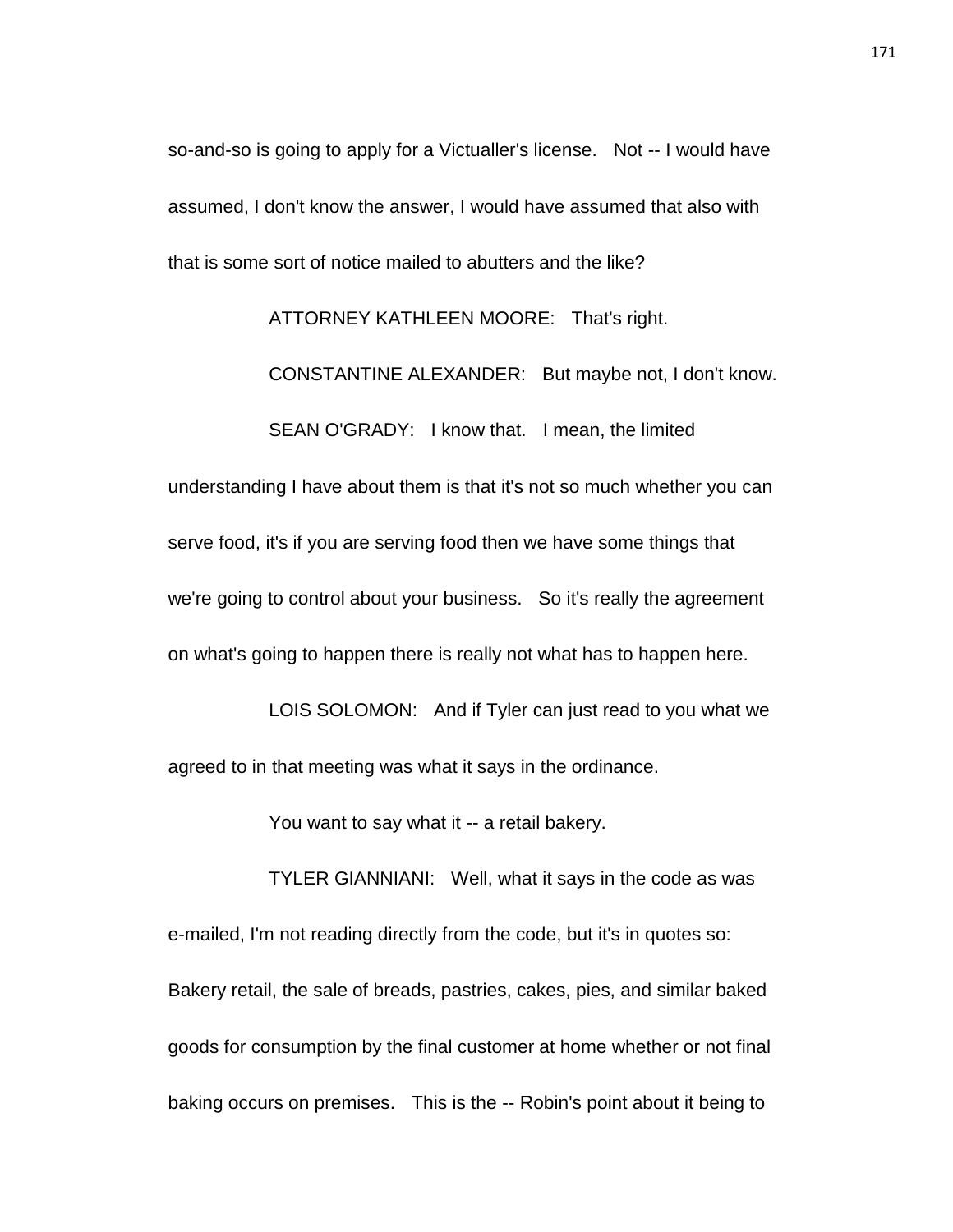so-and-so is going to apply for a Victualler's license. Not -- I would have assumed, I don't know the answer, I would have assumed that also with that is some sort of notice mailed to abutters and the like?

ATTORNEY KATHLEEN MOORE: That's right.

CONSTANTINE ALEXANDER: But maybe not, I don't know.

SEAN O'GRADY: I know that. I mean, the limited

understanding I have about them is that it's not so much whether you can serve food, it's if you are serving food then we have some things that we're going to control about your business. So it's really the agreement on what's going to happen there is really not what has to happen here.

LOIS SOLOMON: And if Tyler can just read to you what we agreed to in that meeting was what it says in the ordinance.

You want to say what it -- a retail bakery.

TYLER GIANNIANI: Well, what it says in the code as was e-mailed, I'm not reading directly from the code, but it's in quotes so: Bakery retail, the sale of breads, pastries, cakes, pies, and similar baked goods for consumption by the final customer at home whether or not final baking occurs on premises. This is the -- Robin's point about it being to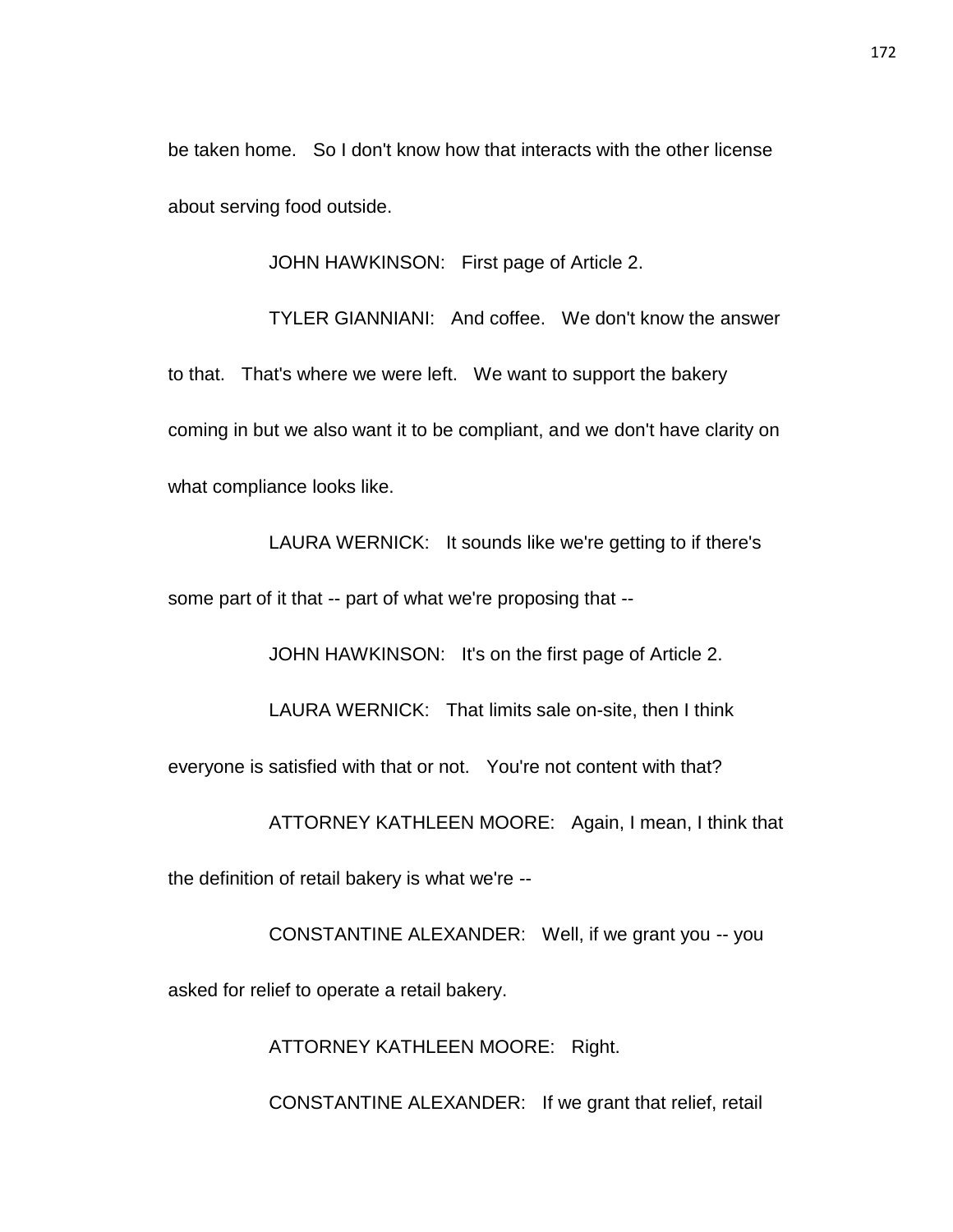be taken home. So I don't know how that interacts with the other license about serving food outside.

JOHN HAWKINSON: First page of Article 2.

TYLER GIANNIANI: And coffee. We don't know the answer to that. That's where we were left. We want to support the bakery coming in but we also want it to be compliant, and we don't have clarity on what compliance looks like.

LAURA WERNICK: It sounds like we're getting to if there's some part of it that -- part of what we're proposing that --

JOHN HAWKINSON: It's on the first page of Article 2.

LAURA WERNICK: That limits sale on-site, then I think

everyone is satisfied with that or not. You're not content with that?

ATTORNEY KATHLEEN MOORE: Again, I mean, I think that

the definition of retail bakery is what we're --

CONSTANTINE ALEXANDER: Well, if we grant you -- you

asked for relief to operate a retail bakery.

ATTORNEY KATHLEEN MOORE: Right.

CONSTANTINE ALEXANDER: If we grant that relief, retail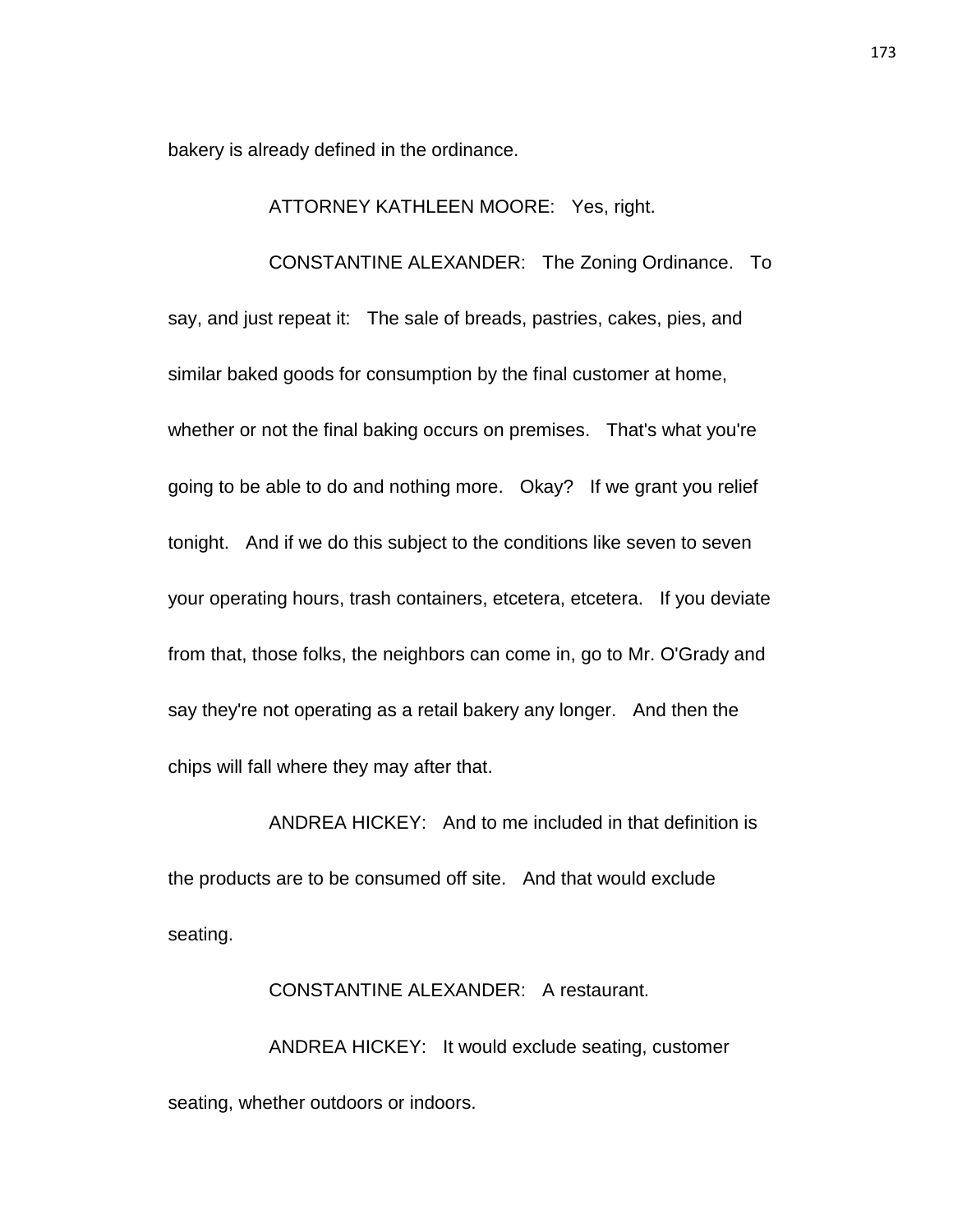bakery is already defined in the ordinance.

### ATTORNEY KATHLEEN MOORE: Yes, right.

CONSTANTINE ALEXANDER: The Zoning Ordinance. To

say, and just repeat it: The sale of breads, pastries, cakes, pies, and similar baked goods for consumption by the final customer at home, whether or not the final baking occurs on premises. That's what you're going to be able to do and nothing more. Okay? If we grant you relief tonight. And if we do this subject to the conditions like seven to seven your operating hours, trash containers, etcetera, etcetera. If you deviate from that, those folks, the neighbors can come in, go to Mr. O'Grady and say they're not operating as a retail bakery any longer. And then the chips will fall where they may after that.

ANDREA HICKEY: And to me included in that definition is the products are to be consumed off site. And that would exclude seating.

CONSTANTINE ALEXANDER: A restaurant. ANDREA HICKEY: It would exclude seating, customer seating, whether outdoors or indoors.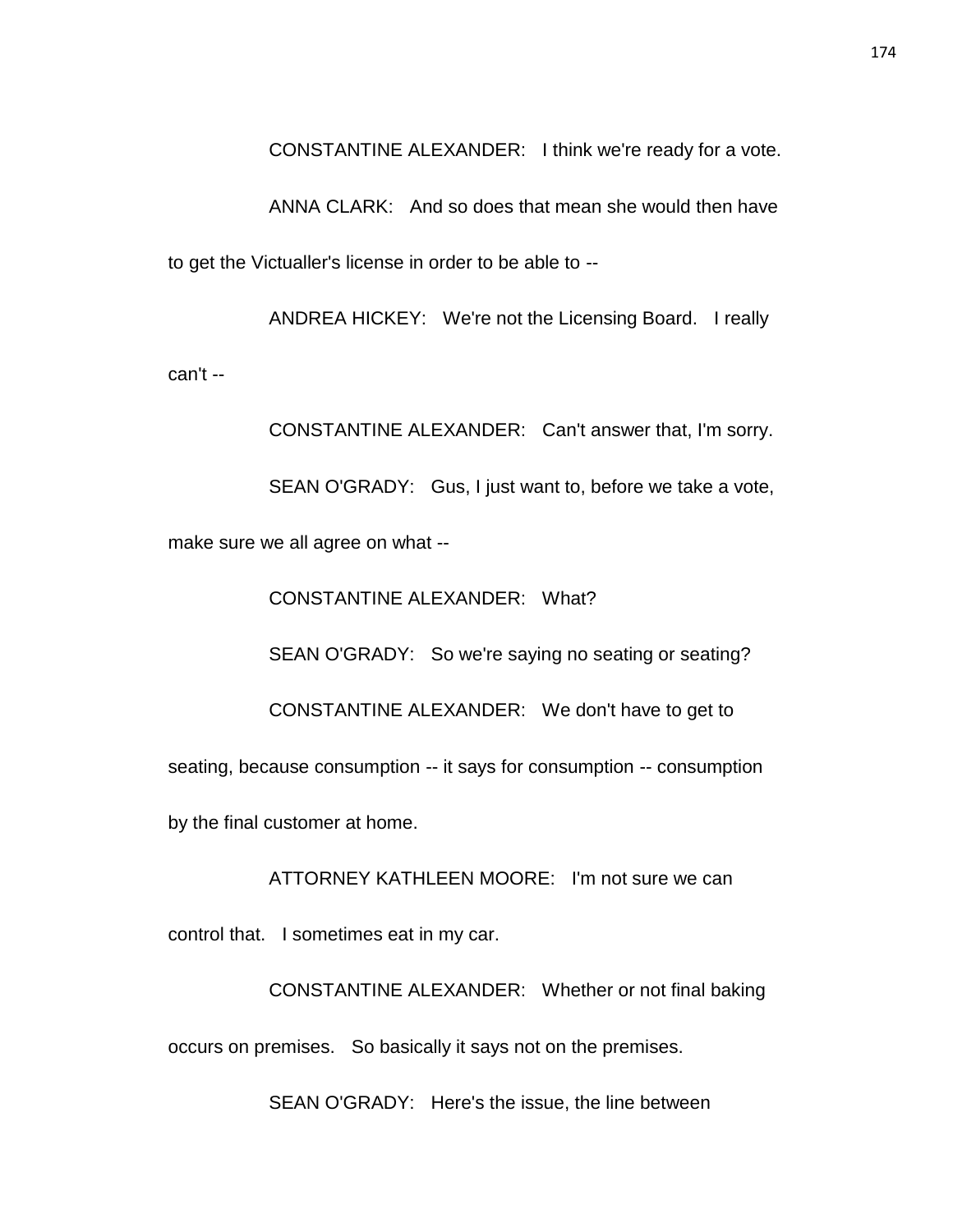CONSTANTINE ALEXANDER: I think we're ready for a vote.

ANNA CLARK: And so does that mean she would then have to get the Victualler's license in order to be able to --

ANDREA HICKEY: We're not the Licensing Board. I really can't --

CONSTANTINE ALEXANDER: Can't answer that, I'm sorry.

SEAN O'GRADY: Gus, I just want to, before we take a vote,

make sure we all agree on what --

CONSTANTINE ALEXANDER: What? SEAN O'GRADY: So we're saying no seating or seating? CONSTANTINE ALEXANDER: We don't have to get to seating, because consumption -- it says for consumption -- consumption by the final customer at home.

ATTORNEY KATHLEEN MOORE: I'm not sure we can

control that. I sometimes eat in my car.

CONSTANTINE ALEXANDER: Whether or not final baking occurs on premises. So basically it says not on the premises.

SEAN O'GRADY: Here's the issue, the line between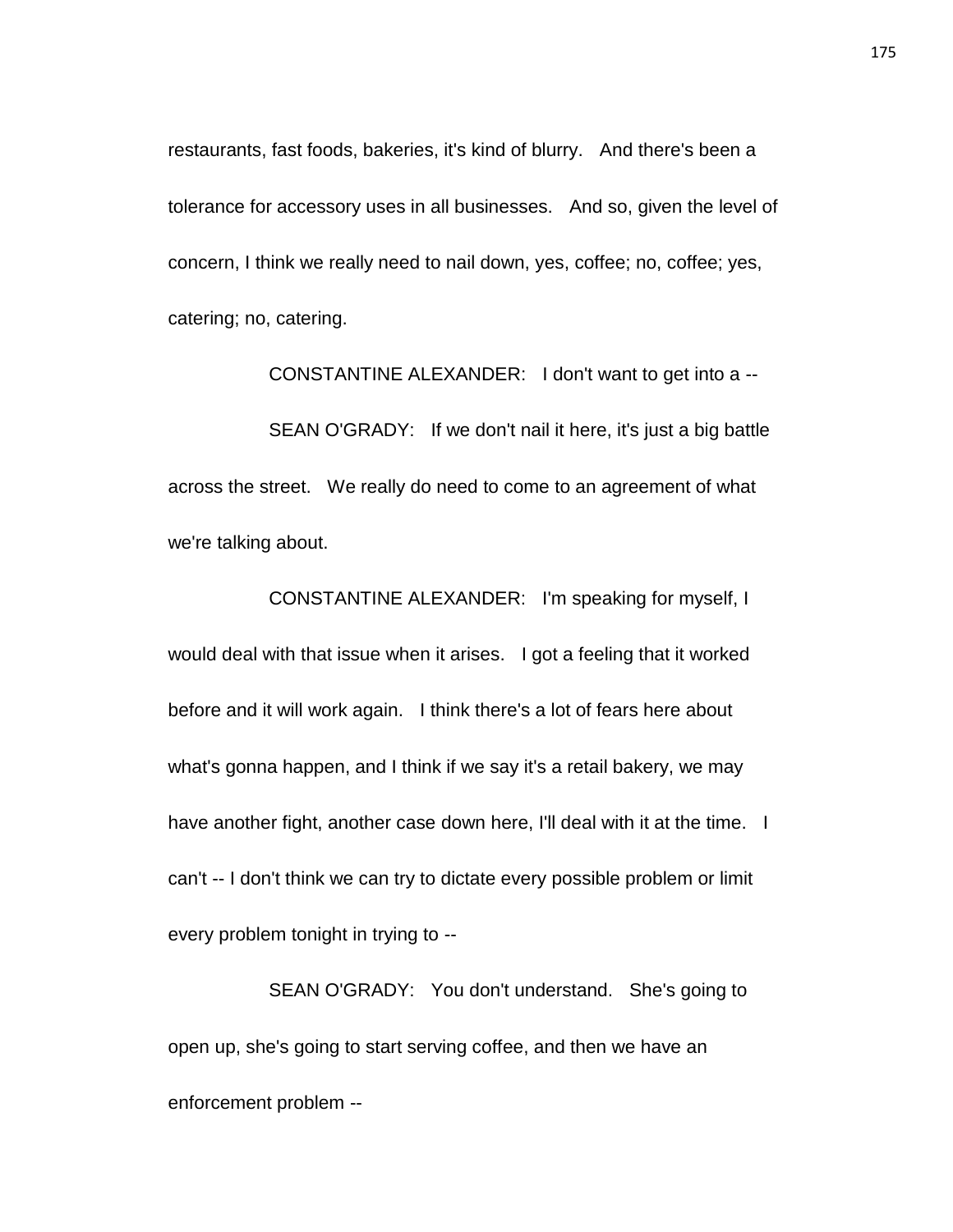restaurants, fast foods, bakeries, it's kind of blurry. And there's been a tolerance for accessory uses in all businesses. And so, given the level of concern, I think we really need to nail down, yes, coffee; no, coffee; yes, catering; no, catering.

CONSTANTINE ALEXANDER: I don't want to get into a -- SEAN O'GRADY: If we don't nail it here, it's just a big battle across the street. We really do need to come to an agreement of what we're talking about.

CONSTANTINE ALEXANDER: I'm speaking for myself, I would deal with that issue when it arises. I got a feeling that it worked before and it will work again. I think there's a lot of fears here about what's gonna happen, and I think if we say it's a retail bakery, we may have another fight, another case down here, I'll deal with it at the time. I can't -- I don't think we can try to dictate every possible problem or limit every problem tonight in trying to --

SEAN O'GRADY: You don't understand. She's going to open up, she's going to start serving coffee, and then we have an enforcement problem --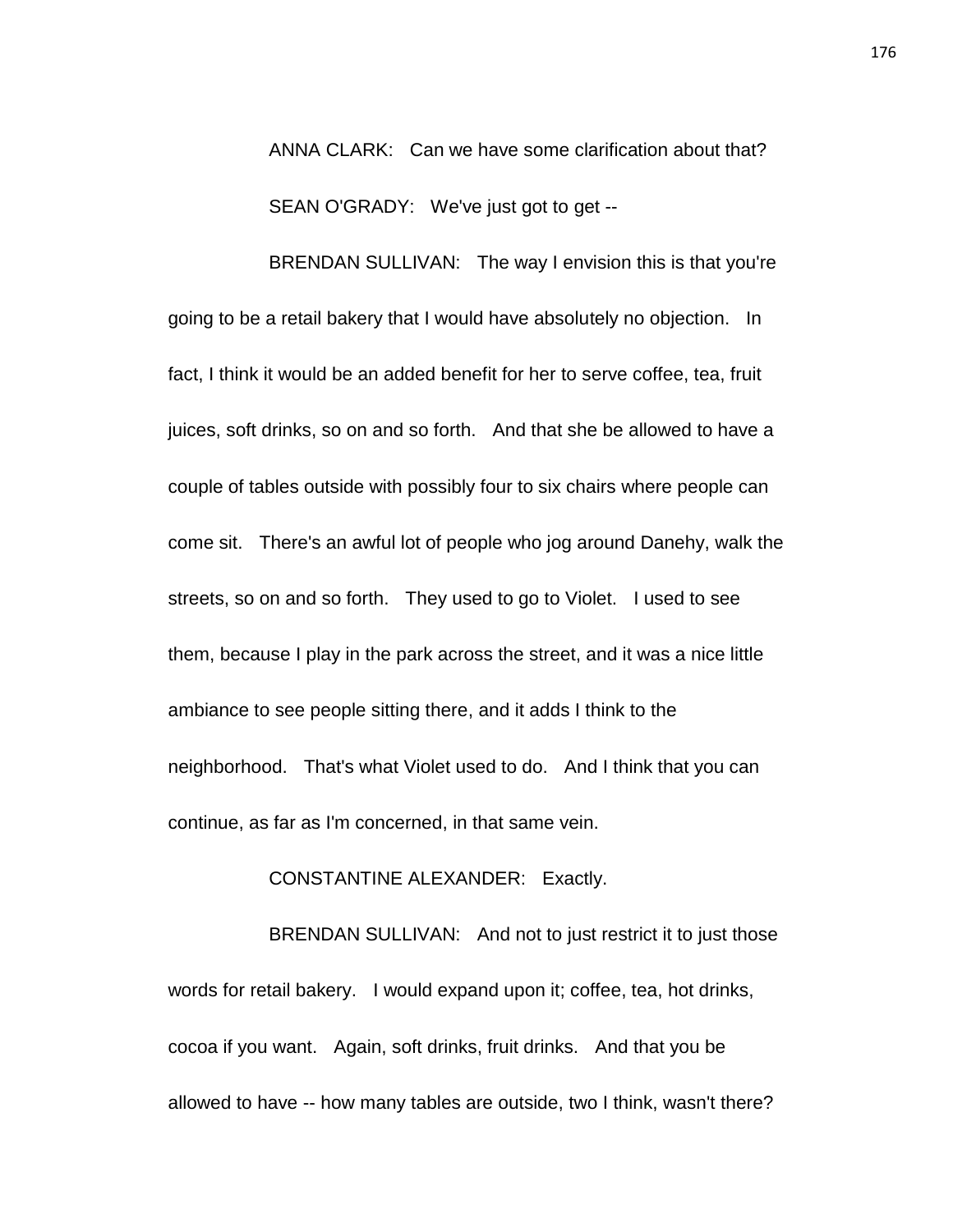ANNA CLARK: Can we have some clarification about that? SEAN O'GRADY: We've just got to get --

BRENDAN SULLIVAN: The way I envision this is that you're going to be a retail bakery that I would have absolutely no objection. In fact, I think it would be an added benefit for her to serve coffee, tea, fruit juices, soft drinks, so on and so forth. And that she be allowed to have a couple of tables outside with possibly four to six chairs where people can come sit. There's an awful lot of people who jog around Danehy, walk the streets, so on and so forth. They used to go to Violet. I used to see them, because I play in the park across the street, and it was a nice little ambiance to see people sitting there, and it adds I think to the neighborhood. That's what Violet used to do. And I think that you can continue, as far as I'm concerned, in that same vein.

### CONSTANTINE ALEXANDER: Exactly.

BRENDAN SULLIVAN: And not to just restrict it to just those words for retail bakery. I would expand upon it; coffee, tea, hot drinks, cocoa if you want. Again, soft drinks, fruit drinks. And that you be allowed to have -- how many tables are outside, two I think, wasn't there?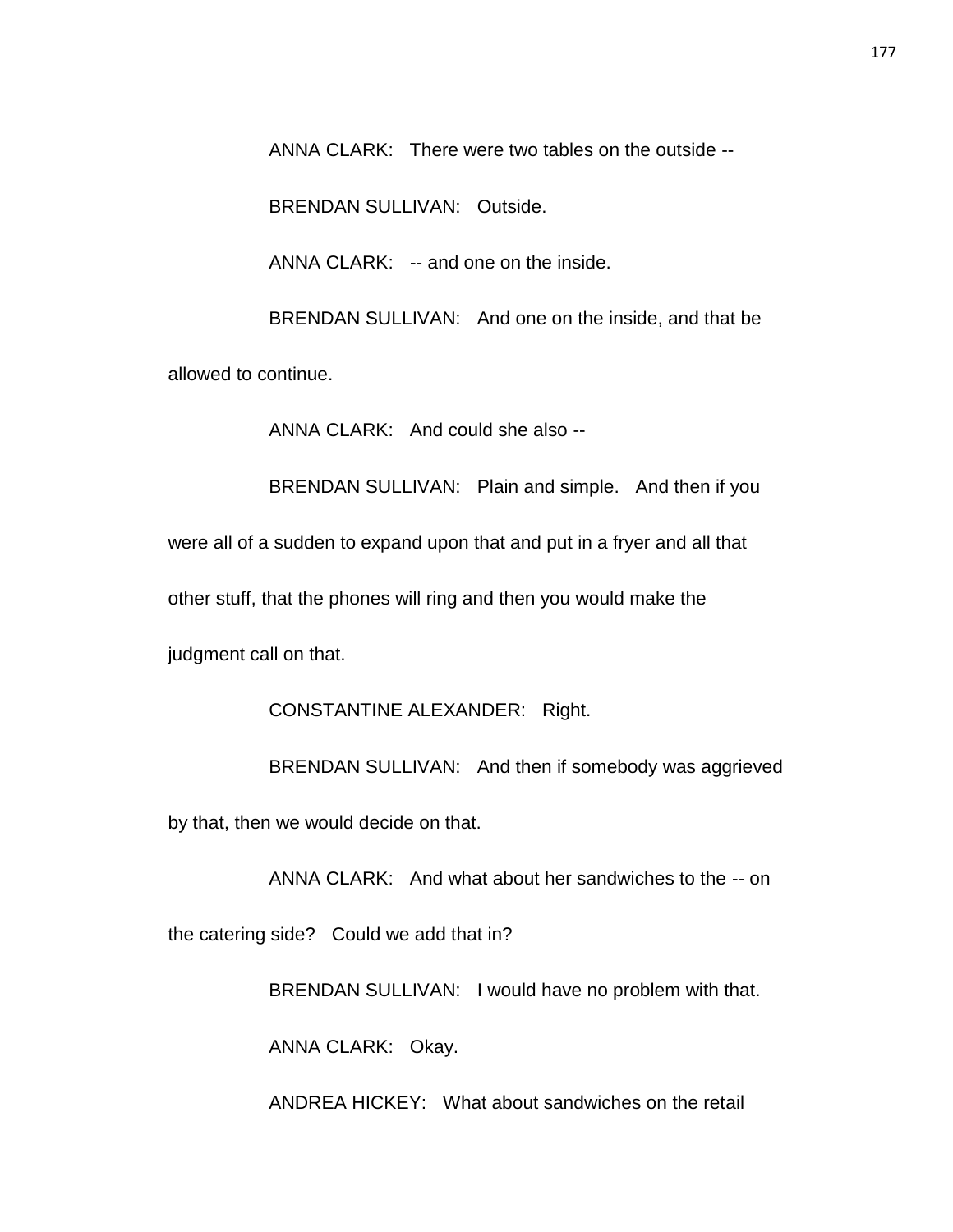ANNA CLARK: There were two tables on the outside --

BRENDAN SULLIVAN: Outside.

ANNA CLARK: -- and one on the inside.

BRENDAN SULLIVAN: And one on the inside, and that be

allowed to continue.

ANNA CLARK: And could she also --

BRENDAN SULLIVAN: Plain and simple. And then if you were all of a sudden to expand upon that and put in a fryer and all that other stuff, that the phones will ring and then you would make the judgment call on that.

CONSTANTINE ALEXANDER: Right.

BRENDAN SULLIVAN: And then if somebody was aggrieved by that, then we would decide on that.

ANNA CLARK: And what about her sandwiches to the -- on

the catering side? Could we add that in?

BRENDAN SULLIVAN: I would have no problem with that.

ANNA CLARK: Okay.

ANDREA HICKEY: What about sandwiches on the retail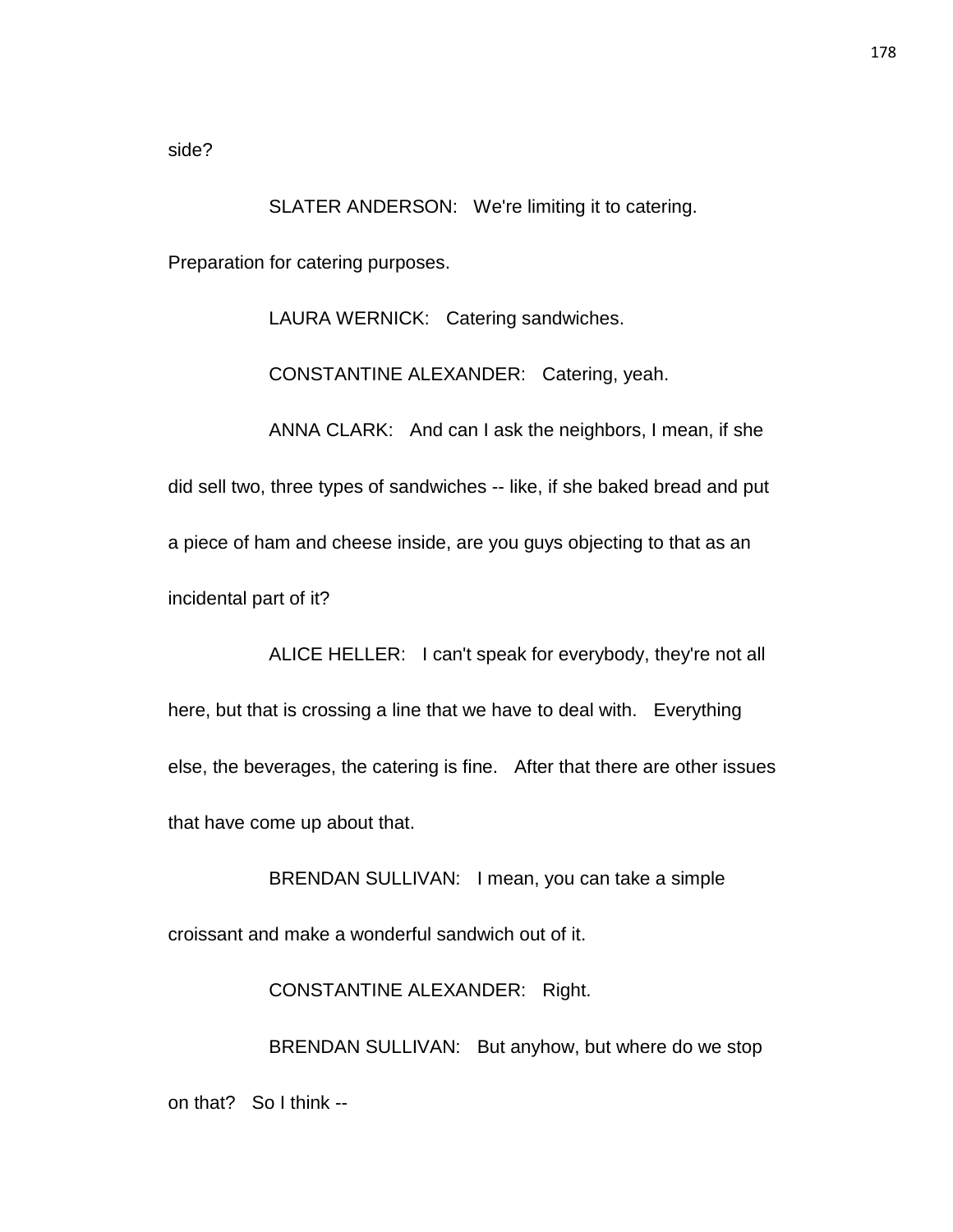side?

SLATER ANDERSON: We're limiting it to catering. Preparation for catering purposes.

LAURA WERNICK: Catering sandwiches.

CONSTANTINE ALEXANDER: Catering, yeah.

ANNA CLARK: And can I ask the neighbors, I mean, if she did sell two, three types of sandwiches -- like, if she baked bread and put a piece of ham and cheese inside, are you guys objecting to that as an incidental part of it?

ALICE HELLER: I can't speak for everybody, they're not all here, but that is crossing a line that we have to deal with. Everything else, the beverages, the catering is fine. After that there are other issues that have come up about that.

BRENDAN SULLIVAN: I mean, you can take a simple croissant and make a wonderful sandwich out of it.

CONSTANTINE ALEXANDER: Right.

BRENDAN SULLIVAN: But anyhow, but where do we stop on that? So I think --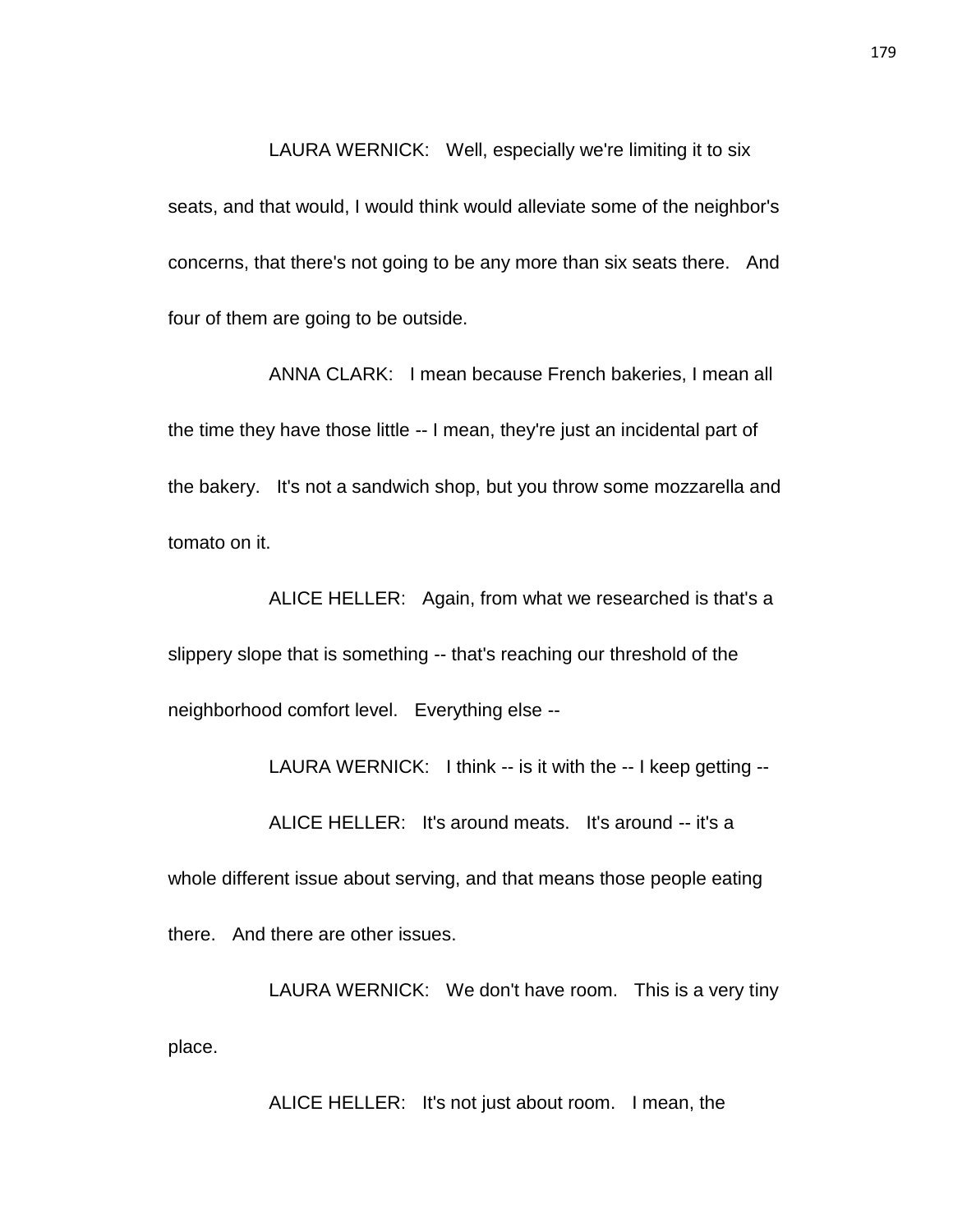LAURA WERNICK: Well, especially we're limiting it to six seats, and that would, I would think would alleviate some of the neighbor's concerns, that there's not going to be any more than six seats there. And four of them are going to be outside.

ANNA CLARK: I mean because French bakeries, I mean all the time they have those little -- I mean, they're just an incidental part of the bakery. It's not a sandwich shop, but you throw some mozzarella and tomato on it.

ALICE HELLER: Again, from what we researched is that's a slippery slope that is something -- that's reaching our threshold of the neighborhood comfort level. Everything else --

LAURA WERNICK: I think -- is it with the -- I keep getting --

ALICE HELLER: It's around meats. It's around -- it's a

whole different issue about serving, and that means those people eating there. And there are other issues.

LAURA WERNICK: We don't have room. This is a very tiny place.

ALICE HELLER: It's not just about room. I mean, the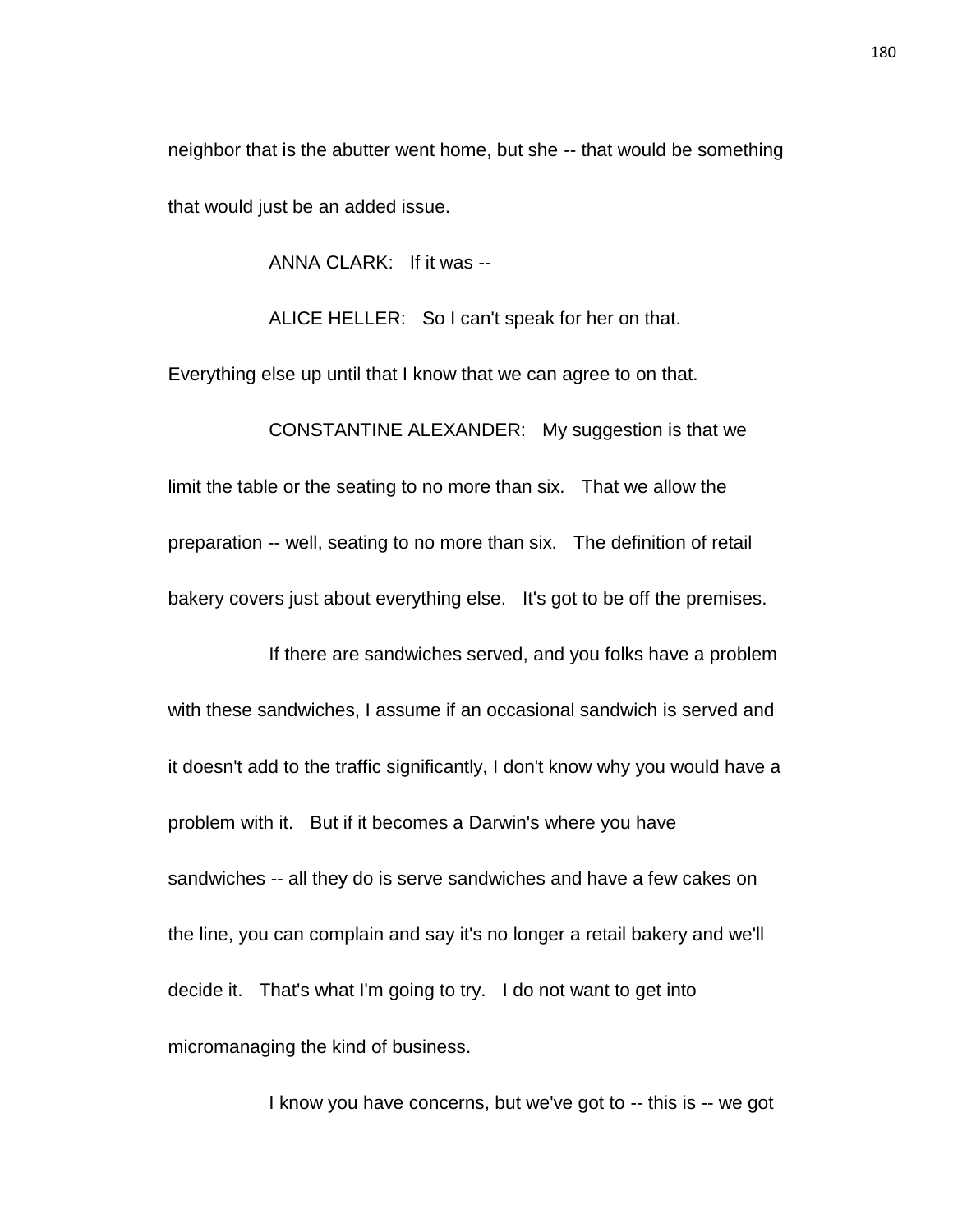neighbor that is the abutter went home, but she -- that would be something that would just be an added issue.

ANNA CLARK: If it was --

ALICE HELLER: So I can't speak for her on that.

Everything else up until that I know that we can agree to on that.

CONSTANTINE ALEXANDER: My suggestion is that we limit the table or the seating to no more than six. That we allow the preparation -- well, seating to no more than six. The definition of retail bakery covers just about everything else. It's got to be off the premises.

If there are sandwiches served, and you folks have a problem with these sandwiches, I assume if an occasional sandwich is served and it doesn't add to the traffic significantly, I don't know why you would have a problem with it. But if it becomes a Darwin's where you have sandwiches -- all they do is serve sandwiches and have a few cakes on the line, you can complain and say it's no longer a retail bakery and we'll decide it. That's what I'm going to try. I do not want to get into micromanaging the kind of business.

I know you have concerns, but we've got to -- this is -- we got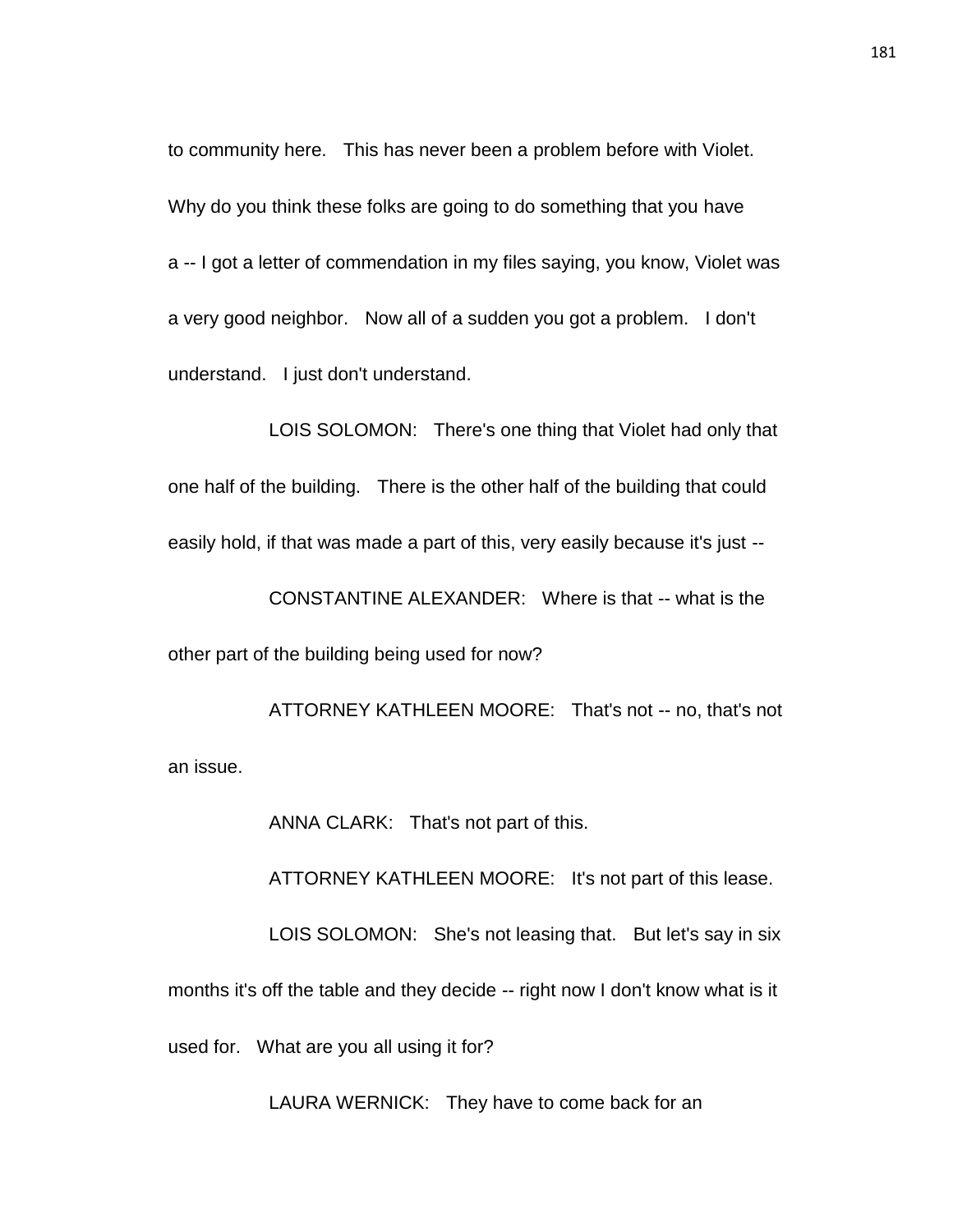to community here. This has never been a problem before with Violet. Why do you think these folks are going to do something that you have a -- I got a letter of commendation in my files saying, you know, Violet was a very good neighbor. Now all of a sudden you got a problem. I don't understand. I just don't understand.

LOIS SOLOMON: There's one thing that Violet had only that one half of the building. There is the other half of the building that could easily hold, if that was made a part of this, very easily because it's just --

CONSTANTINE ALEXANDER: Where is that -- what is the other part of the building being used for now?

ATTORNEY KATHLEEN MOORE: That's not -- no, that's not an issue.

ANNA CLARK: That's not part of this.

ATTORNEY KATHLEEN MOORE: It's not part of this lease.

LOIS SOLOMON: She's not leasing that. But let's say in six months it's off the table and they decide -- right now I don't know what is it used for. What are you all using it for?

LAURA WERNICK: They have to come back for an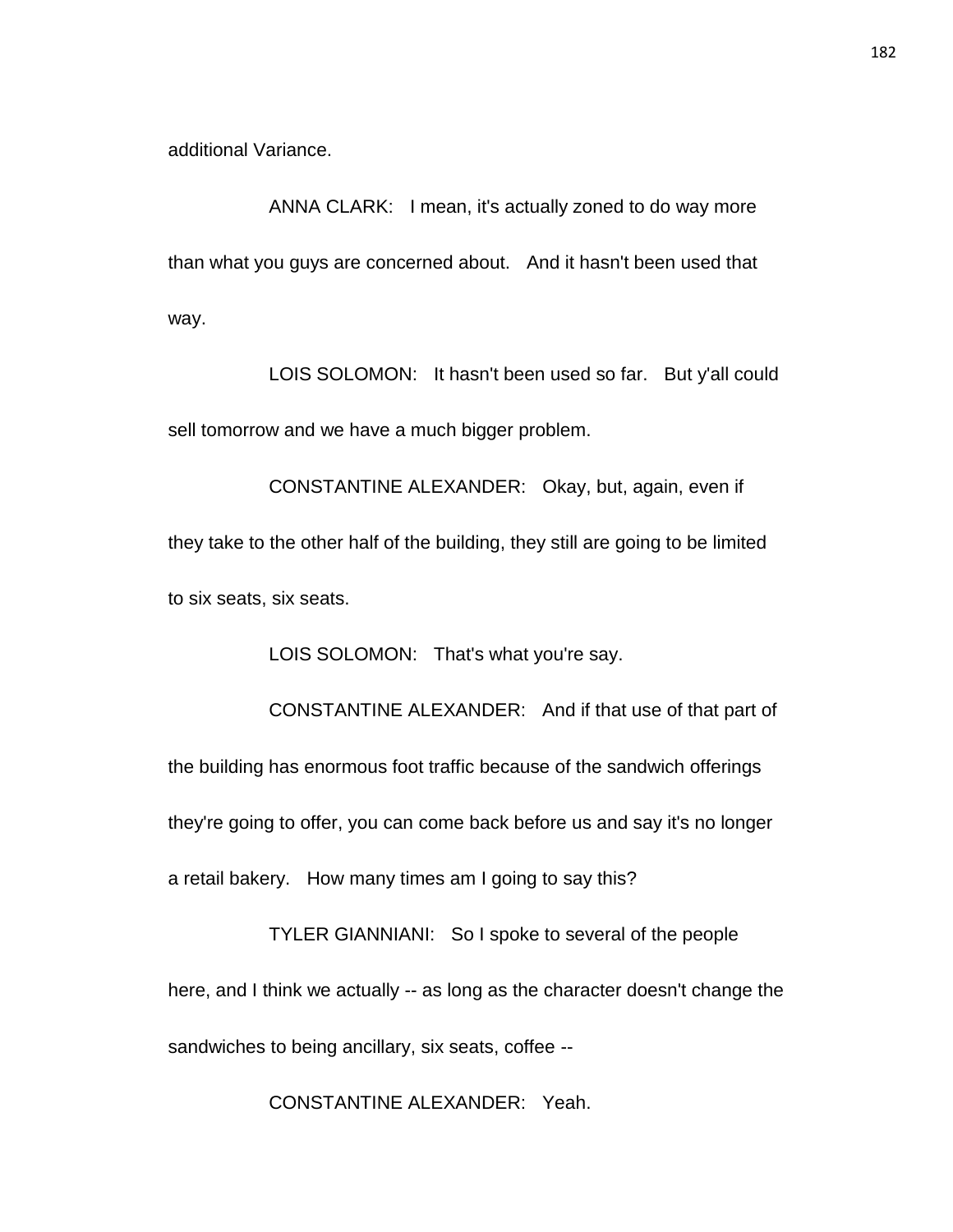additional Variance.

ANNA CLARK: I mean, it's actually zoned to do way more than what you guys are concerned about. And it hasn't been used that way.

LOIS SOLOMON: It hasn't been used so far. But y'all could sell tomorrow and we have a much bigger problem.

CONSTANTINE ALEXANDER: Okay, but, again, even if they take to the other half of the building, they still are going to be limited to six seats, six seats.

LOIS SOLOMON: That's what you're say.

CONSTANTINE ALEXANDER: And if that use of that part of the building has enormous foot traffic because of the sandwich offerings they're going to offer, you can come back before us and say it's no longer a retail bakery. How many times am I going to say this?

TYLER GIANNIANI: So I spoke to several of the people here, and I think we actually -- as long as the character doesn't change the sandwiches to being ancillary, six seats, coffee --

CONSTANTINE ALEXANDER: Yeah.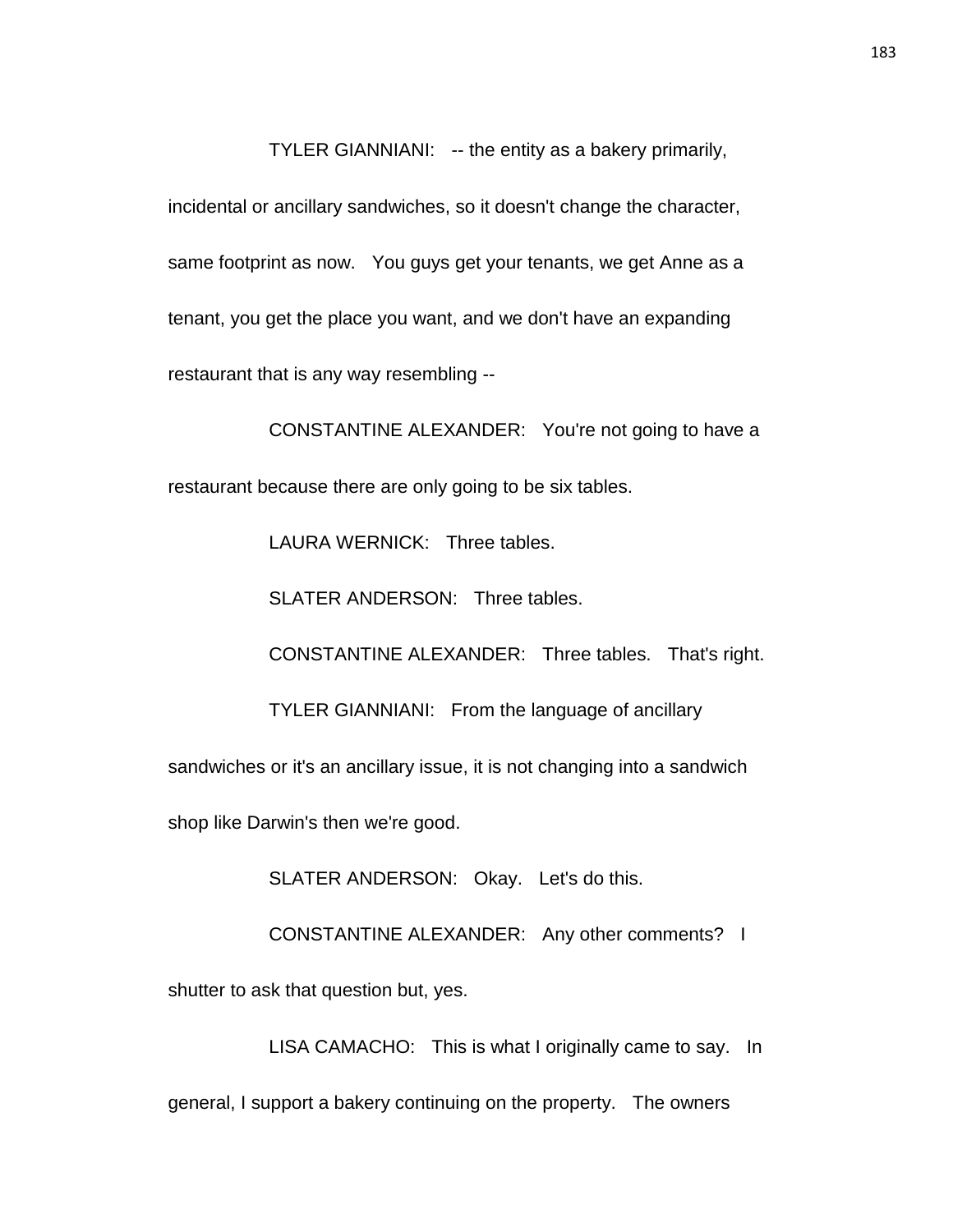TYLER GIANNIANI: -- the entity as a bakery primarily,

incidental or ancillary sandwiches, so it doesn't change the character, same footprint as now. You guys get your tenants, we get Anne as a tenant, you get the place you want, and we don't have an expanding restaurant that is any way resembling --

CONSTANTINE ALEXANDER: You're not going to have a restaurant because there are only going to be six tables.

LAURA WERNICK: Three tables.

SLATER ANDERSON: Three tables.

CONSTANTINE ALEXANDER: Three tables. That's right.

TYLER GIANNIANI: From the language of ancillary

sandwiches or it's an ancillary issue, it is not changing into a sandwich

shop like Darwin's then we're good.

SLATER ANDERSON: Okay. Let's do this.

CONSTANTINE ALEXANDER: Any other comments? I

shutter to ask that question but, yes.

LISA CAMACHO: This is what I originally came to say. In

general, I support a bakery continuing on the property. The owners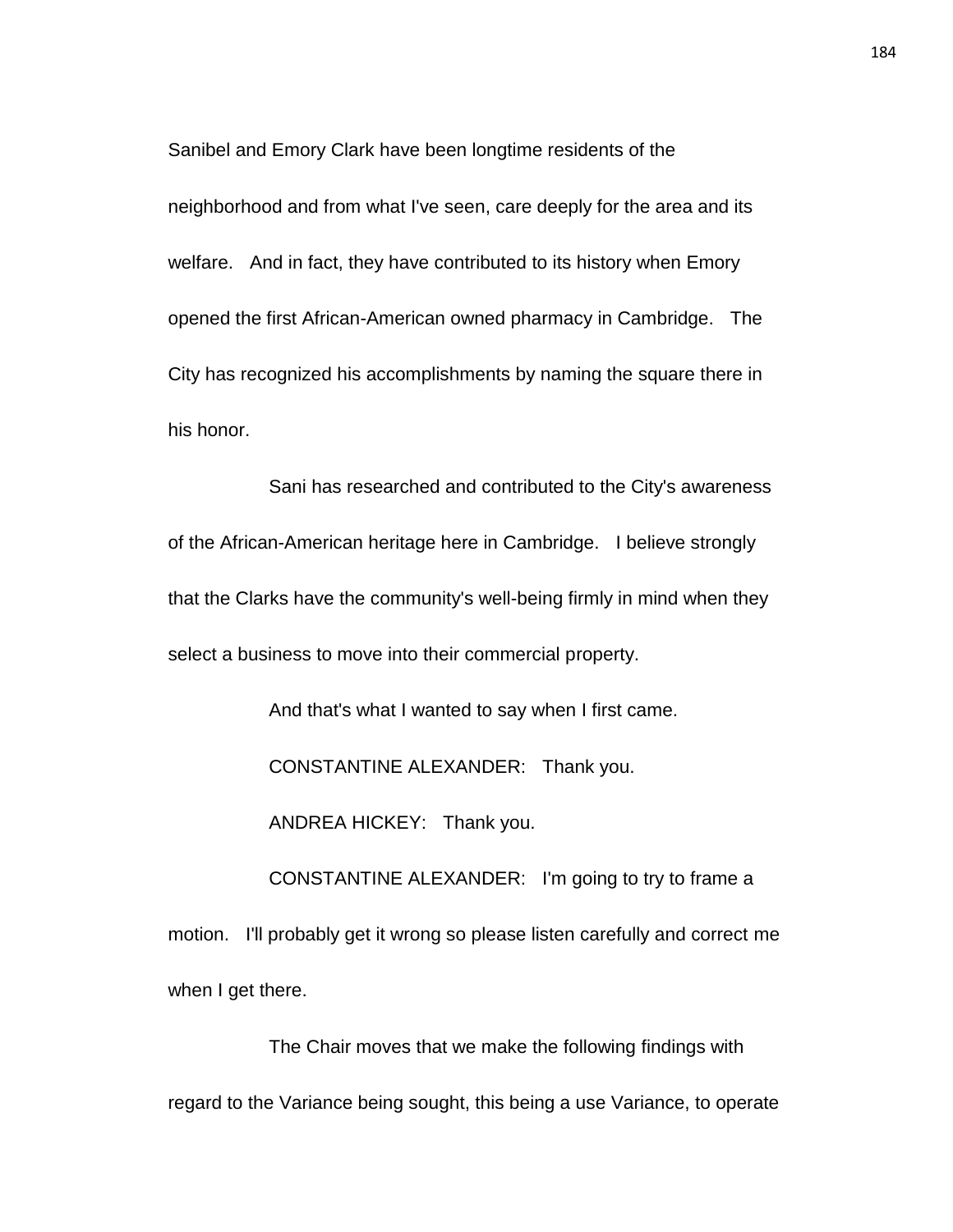Sanibel and Emory Clark have been longtime residents of the neighborhood and from what I've seen, care deeply for the area and its welfare. And in fact, they have contributed to its history when Emory opened the first African-American owned pharmacy in Cambridge. The City has recognized his accomplishments by naming the square there in his honor.

Sani has researched and contributed to the City's awareness of the African-American heritage here in Cambridge. I believe strongly that the Clarks have the community's well-being firmly in mind when they select a business to move into their commercial property.

And that's what I wanted to say when I first came.

CONSTANTINE ALEXANDER: Thank you.

ANDREA HICKEY: Thank you.

CONSTANTINE ALEXANDER: I'm going to try to frame a motion. I'll probably get it wrong so please listen carefully and correct me when I get there.

The Chair moves that we make the following findings with regard to the Variance being sought, this being a use Variance, to operate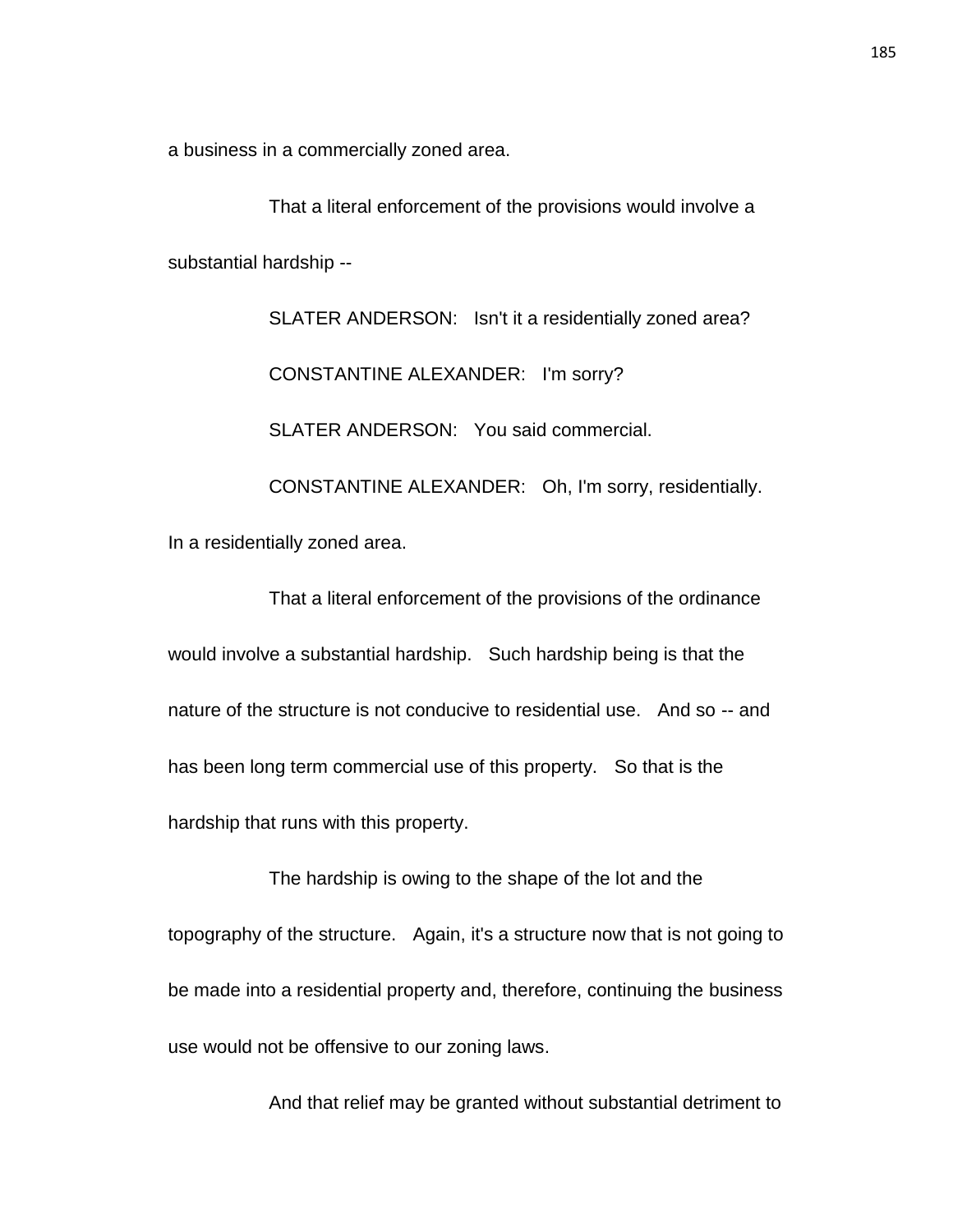a business in a commercially zoned area.

That a literal enforcement of the provisions would involve a substantial hardship --

SLATER ANDERSON: Isn't it a residentially zoned area? CONSTANTINE ALEXANDER: I'm sorry? SLATER ANDERSON: You said commercial. CONSTANTINE ALEXANDER: Oh, I'm sorry, residentially. In a residentially zoned area.

That a literal enforcement of the provisions of the ordinance would involve a substantial hardship. Such hardship being is that the nature of the structure is not conducive to residential use. And so -- and has been long term commercial use of this property. So that is the hardship that runs with this property.

The hardship is owing to the shape of the lot and the topography of the structure. Again, it's a structure now that is not going to be made into a residential property and, therefore, continuing the business use would not be offensive to our zoning laws.

And that relief may be granted without substantial detriment to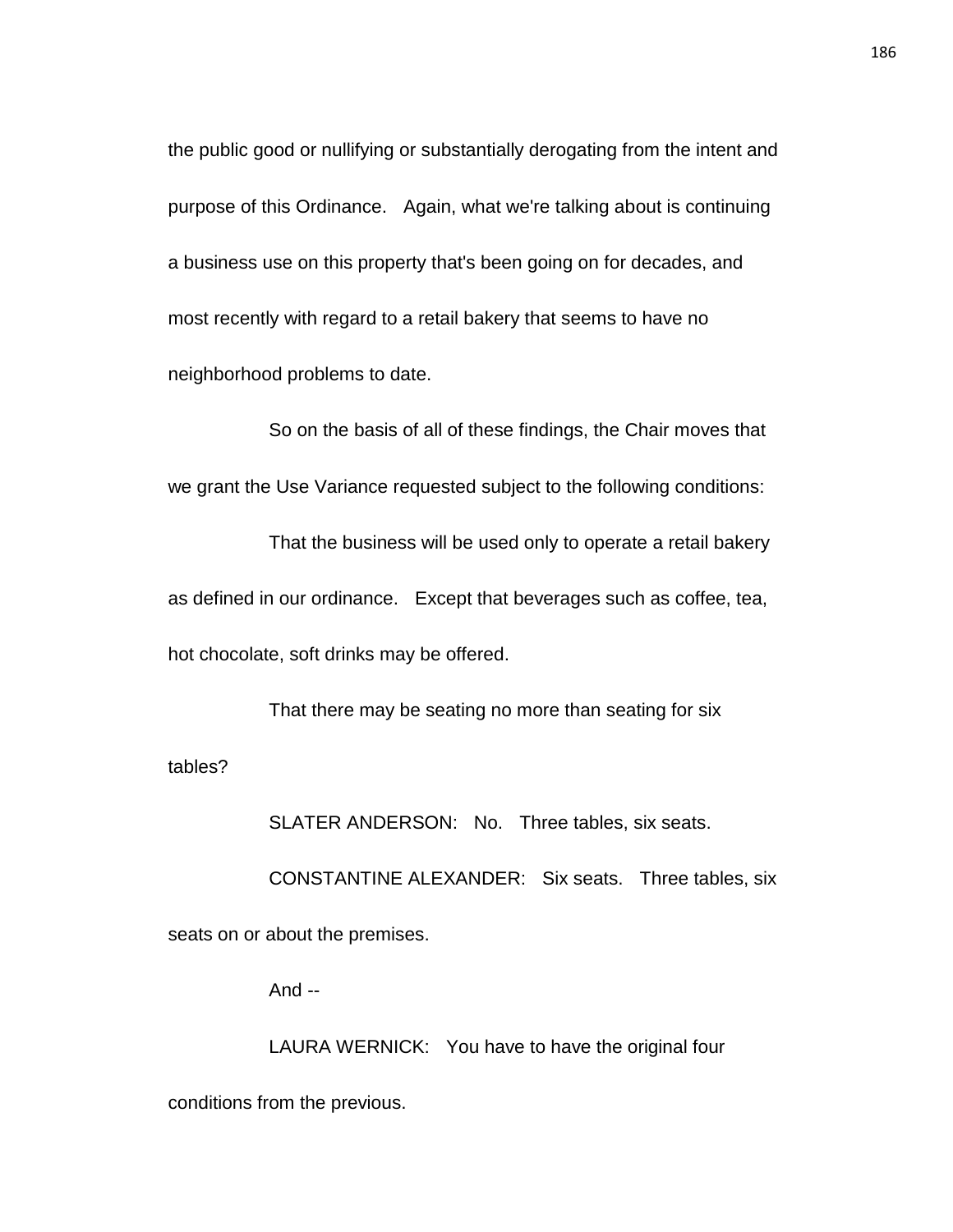the public good or nullifying or substantially derogating from the intent and purpose of this Ordinance. Again, what we're talking about is continuing a business use on this property that's been going on for decades, and most recently with regard to a retail bakery that seems to have no neighborhood problems to date.

So on the basis of all of these findings, the Chair moves that we grant the Use Variance requested subject to the following conditions:

That the business will be used only to operate a retail bakery as defined in our ordinance. Except that beverages such as coffee, tea, hot chocolate, soft drinks may be offered.

That there may be seating no more than seating for six tables?

SLATER ANDERSON: No. Three tables, six seats.

CONSTANTINE ALEXANDER: Six seats. Three tables, six seats on or about the premises.

And --

LAURA WERNICK: You have to have the original four conditions from the previous.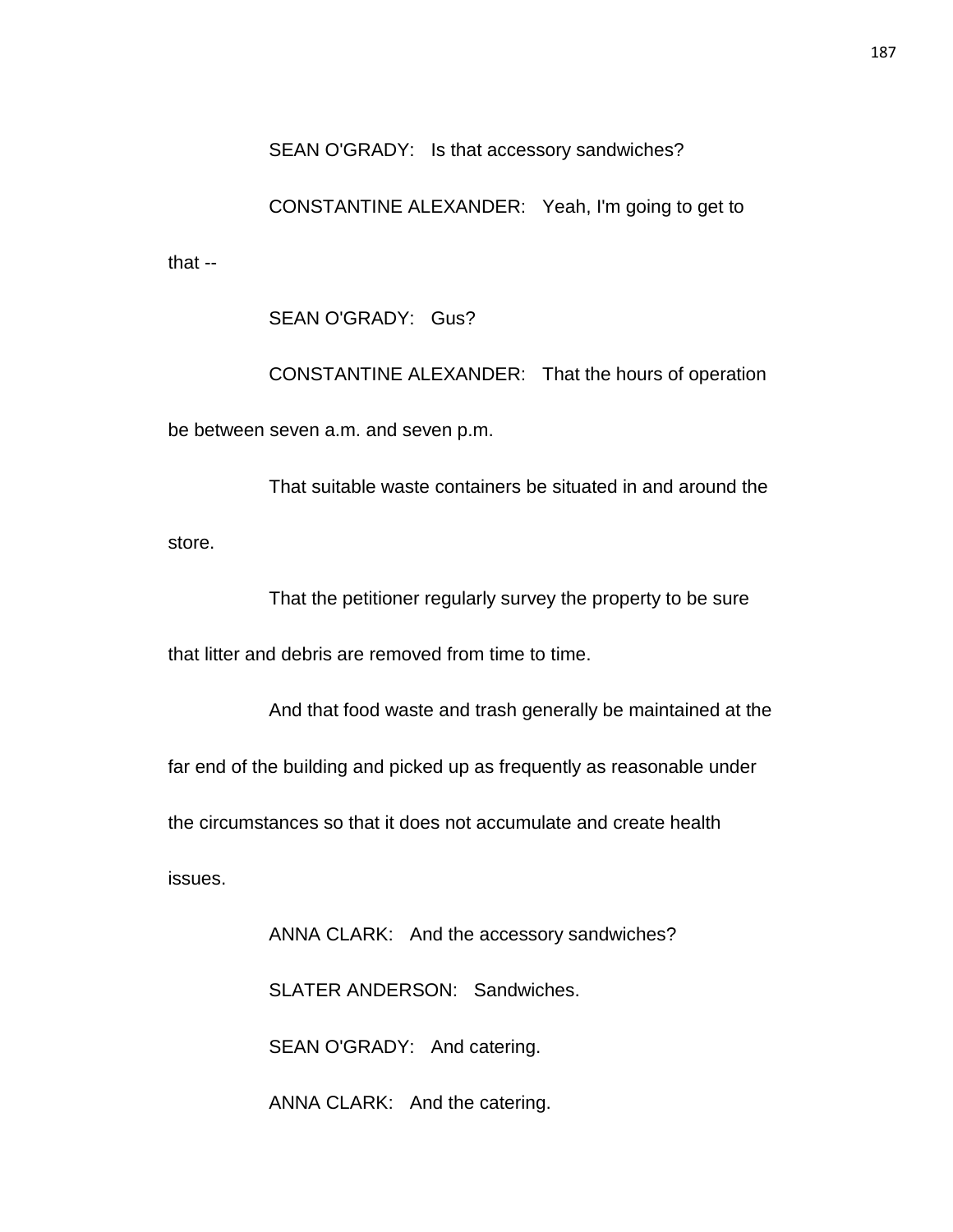SEAN O'GRADY: Is that accessory sandwiches?

CONSTANTINE ALEXANDER: Yeah, I'm going to get to that --

SEAN O'GRADY: Gus?

CONSTANTINE ALEXANDER: That the hours of operation be between seven a.m. and seven p.m.

That suitable waste containers be situated in and around the store.

That the petitioner regularly survey the property to be sure

that litter and debris are removed from time to time.

And that food waste and trash generally be maintained at the far end of the building and picked up as frequently as reasonable under the circumstances so that it does not accumulate and create health issues.

> ANNA CLARK: And the accessory sandwiches? SLATER ANDERSON: Sandwiches. SEAN O'GRADY: And catering.

ANNA CLARK: And the catering.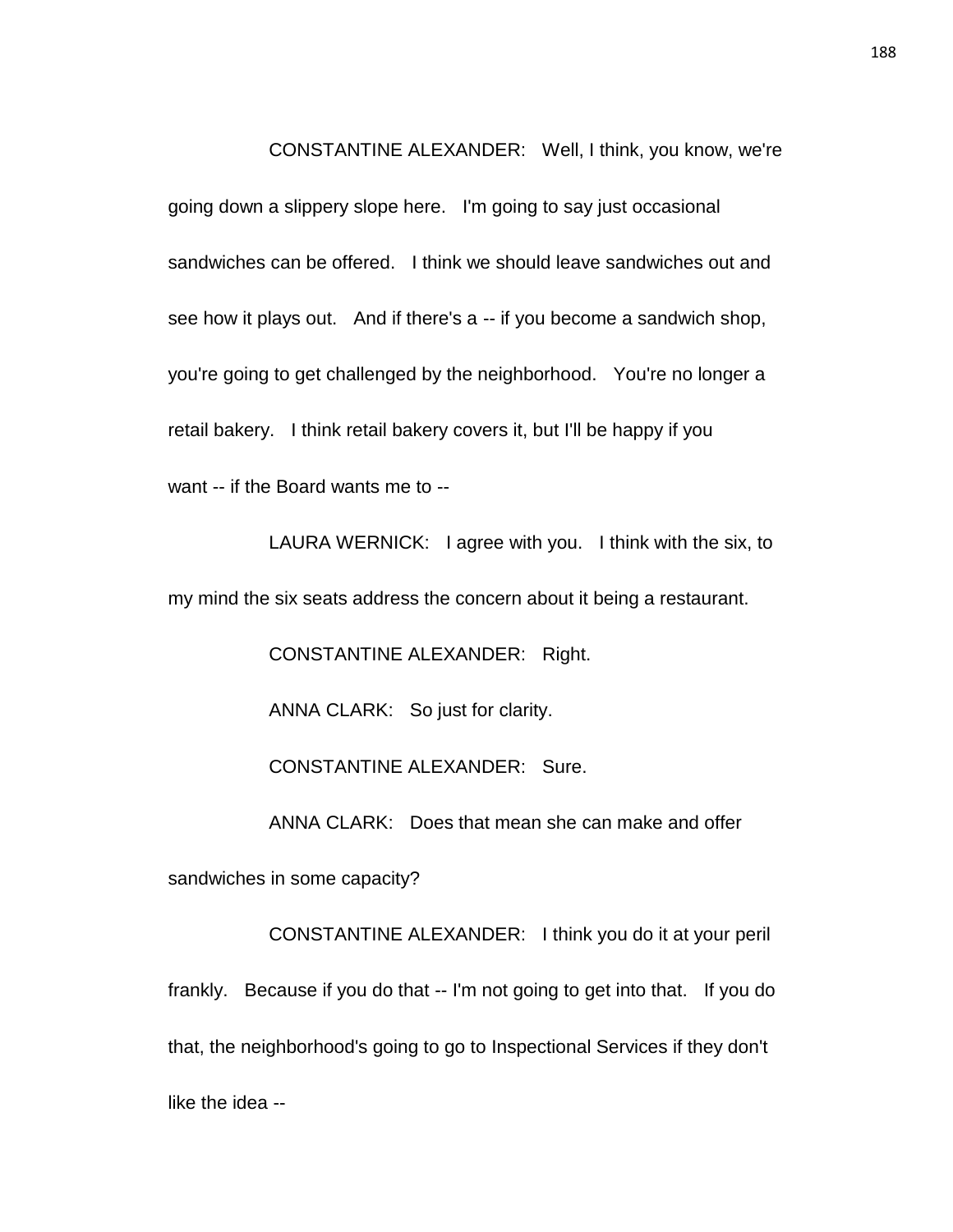CONSTANTINE ALEXANDER: Well, I think, you know, we're

going down a slippery slope here. I'm going to say just occasional sandwiches can be offered. I think we should leave sandwiches out and see how it plays out. And if there's a -- if you become a sandwich shop, you're going to get challenged by the neighborhood. You're no longer a retail bakery. I think retail bakery covers it, but I'll be happy if you want -- if the Board wants me to --

LAURA WERNICK: I agree with you. I think with the six, to my mind the six seats address the concern about it being a restaurant.

CONSTANTINE ALEXANDER: Right.

ANNA CLARK: So just for clarity.

CONSTANTINE ALEXANDER: Sure.

ANNA CLARK: Does that mean she can make and offer

sandwiches in some capacity?

CONSTANTINE ALEXANDER: I think you do it at your peril frankly. Because if you do that -- I'm not going to get into that. If you do that, the neighborhood's going to go to Inspectional Services if they don't like the idea --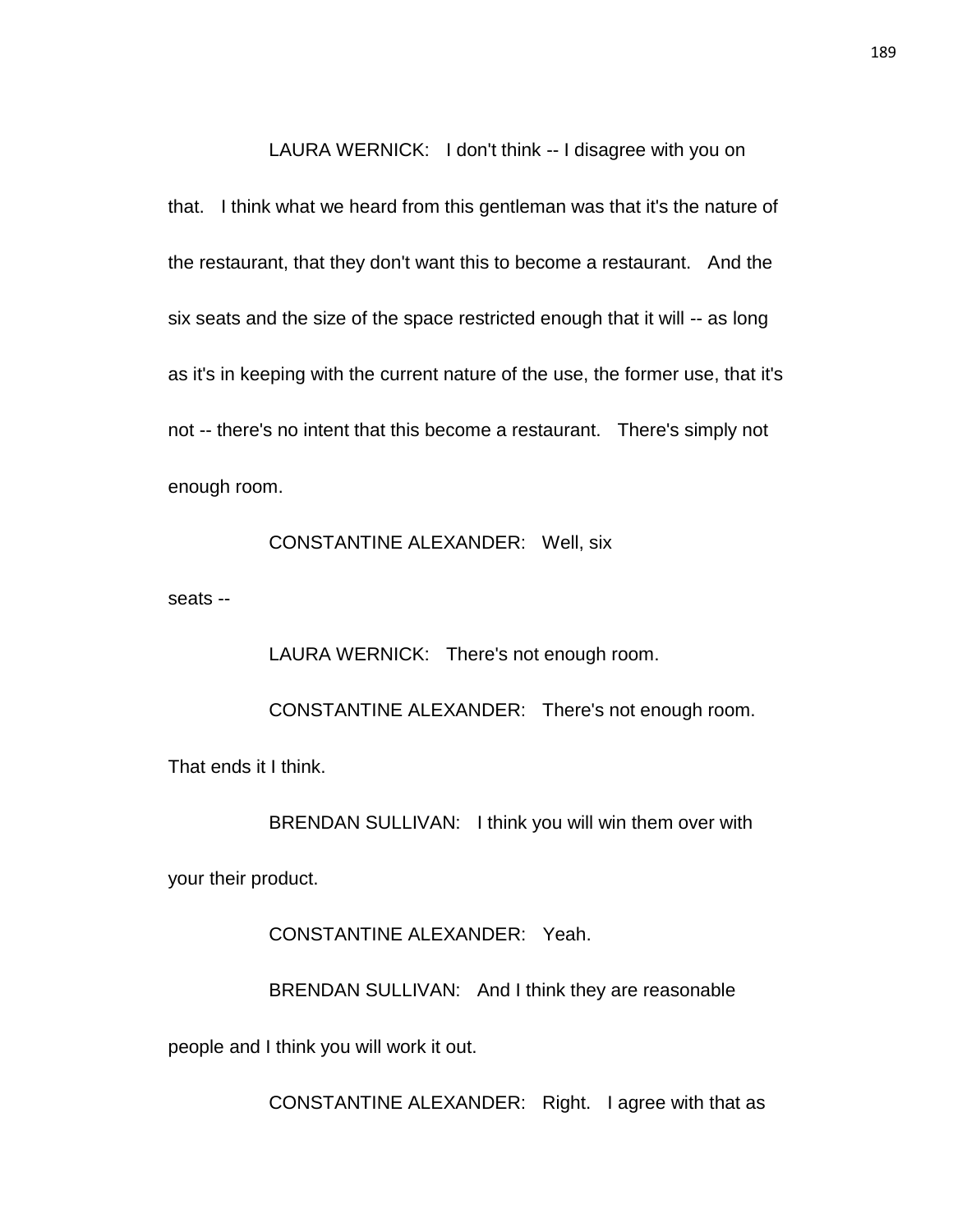LAURA WERNICK: I don't think -- I disagree with you on

that. I think what we heard from this gentleman was that it's the nature of the restaurant, that they don't want this to become a restaurant. And the six seats and the size of the space restricted enough that it will -- as long as it's in keeping with the current nature of the use, the former use, that it's not -- there's no intent that this become a restaurant. There's simply not enough room.

CONSTANTINE ALEXANDER: Well, six

seats --

LAURA WERNICK: There's not enough room.

CONSTANTINE ALEXANDER: There's not enough room.

That ends it I think.

BRENDAN SULLIVAN: I think you will win them over with

your their product.

CONSTANTINE ALEXANDER: Yeah.

BRENDAN SULLIVAN: And I think they are reasonable

people and I think you will work it out.

CONSTANTINE ALEXANDER: Right. I agree with that as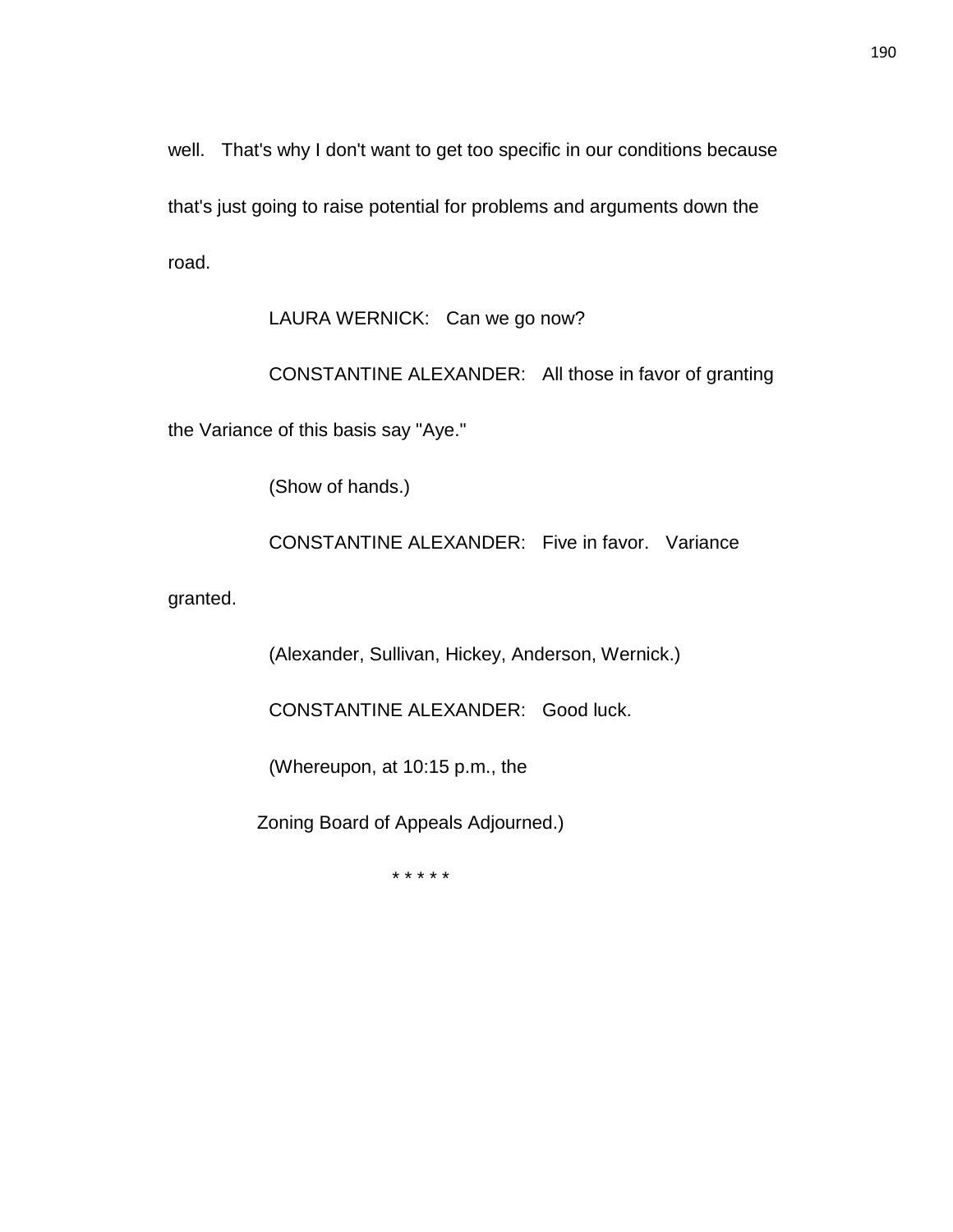well. That's why I don't want to get too specific in our conditions because that's just going to raise potential for problems and arguments down the road.

LAURA WERNICK: Can we go now?

CONSTANTINE ALEXANDER: All those in favor of granting

the Variance of this basis say "Aye."

(Show of hands.)

CONSTANTINE ALEXANDER: Five in favor. Variance

granted.

(Alexander, Sullivan, Hickey, Anderson, Wernick.)

CONSTANTINE ALEXANDER: Good luck.

(Whereupon, at 10:15 p.m., the

Zoning Board of Appeals Adjourned.)

\* \* \* \* \*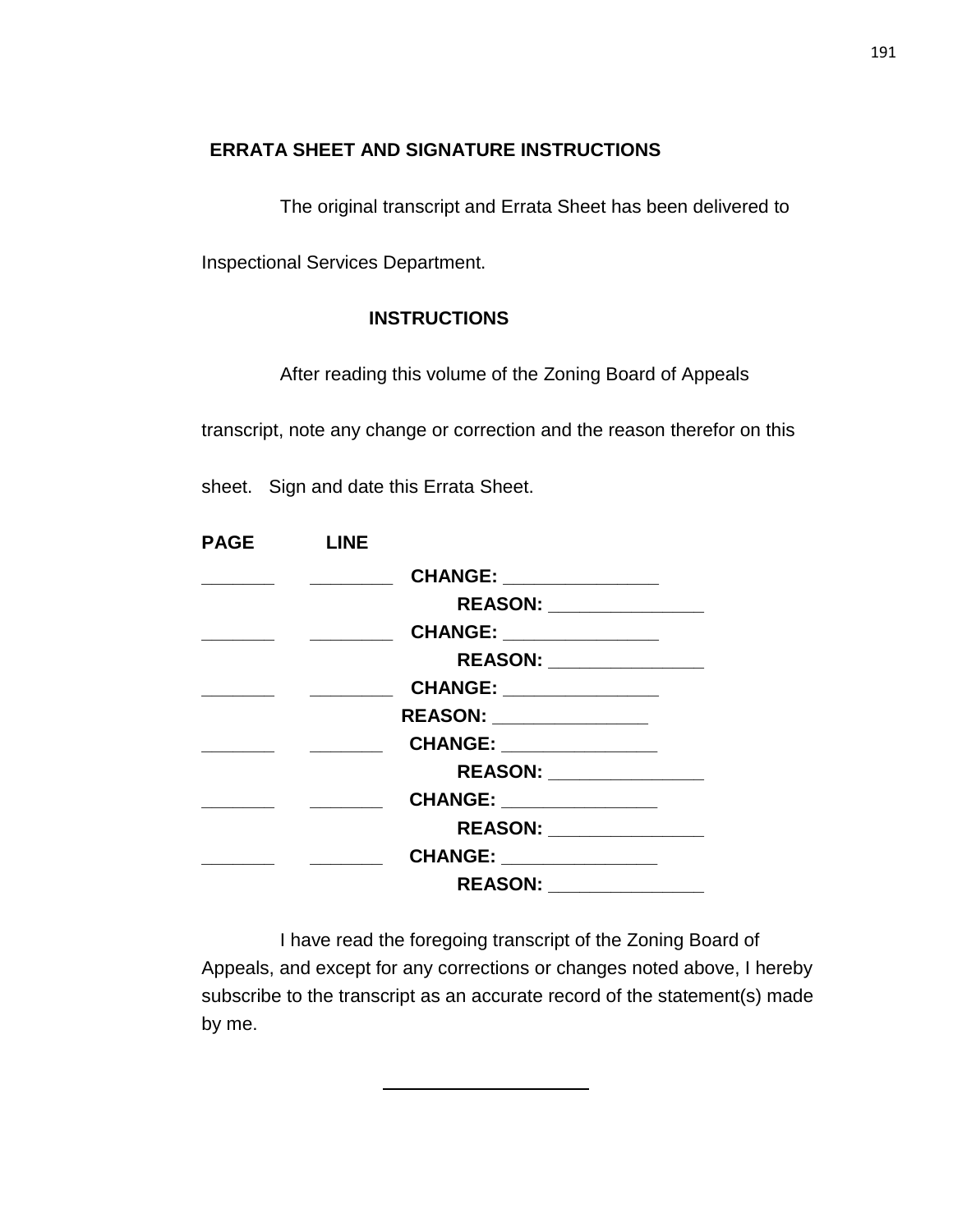## **ERRATA SHEET AND SIGNATURE INSTRUCTIONS**

The original transcript and Errata Sheet has been delivered to

Inspectional Services Department.

### **INSTRUCTIONS**

After reading this volume of the Zoning Board of Appeals

transcript, note any change or correction and the reason therefor on this

sheet. Sign and date this Errata Sheet.

| <b>PAGE</b> | <b>LINE</b> |                           |  |
|-------------|-------------|---------------------------|--|
|             |             | CHANGE: _______________   |  |
|             |             | REASON: _______________   |  |
|             |             | CHANGE: _______________   |  |
|             |             | REASON: _________________ |  |
|             |             | CHANGE: _______________   |  |
|             |             | REASON: ______________    |  |
|             |             | CHANGE: _______________   |  |
|             |             | REASON: ________________  |  |
|             |             | CHANGE: ______________    |  |
|             |             | REASON: _______________   |  |
|             |             | CHANGE: _______________   |  |
|             |             |                           |  |

I have read the foregoing transcript of the Zoning Board of Appeals, and except for any corrections or changes noted above, I hereby subscribe to the transcript as an accurate record of the statement(s) made by me.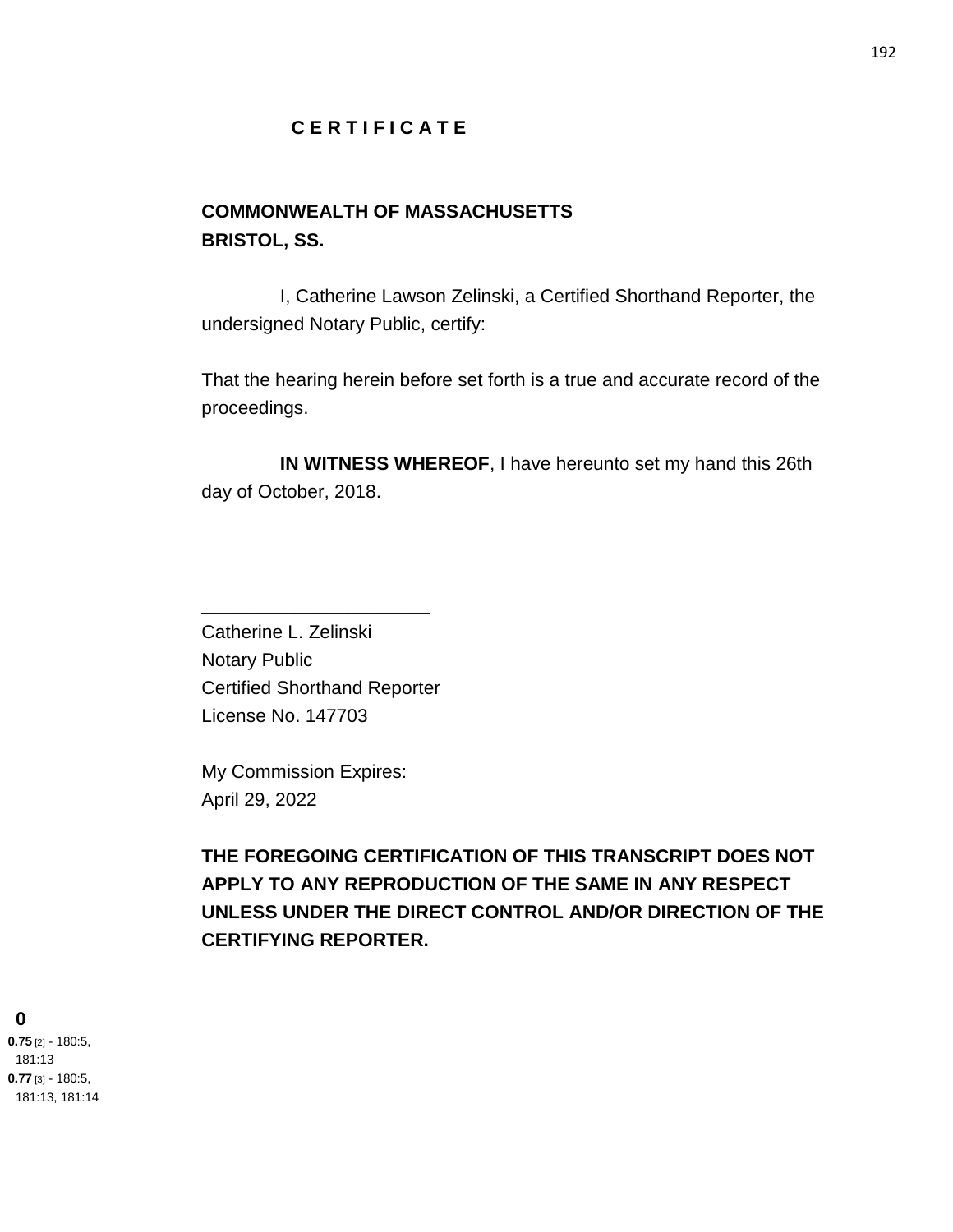### **C E R T I F I C A T E**

# **COMMONWEALTH OF MASSACHUSETTS BRISTOL, SS.**

I, Catherine Lawson Zelinski, a Certified Shorthand Reporter, the undersigned Notary Public, certify:

That the hearing herein before set forth is a true and accurate record of the proceedings.

**IN WITNESS WHEREOF**, I have hereunto set my hand this 26th day of October, 2018.

Catherine L. Zelinski Notary Public Certified Shorthand Reporter License No. 147703

\_\_\_\_\_\_\_\_\_\_\_\_\_\_\_\_\_\_\_\_\_\_

My Commission Expires: April 29, 2022

**THE FOREGOING CERTIFICATION OF THIS TRANSCRIPT DOES NOT APPLY TO ANY REPRODUCTION OF THE SAME IN ANY RESPECT UNLESS UNDER THE DIRECT CONTROL AND/OR DIRECTION OF THE CERTIFYING REPORTER.**

#### **0**

**0.75** [2] - 180:5, 181:13 **0.77** [3] - 180:5, 181:13, 181:14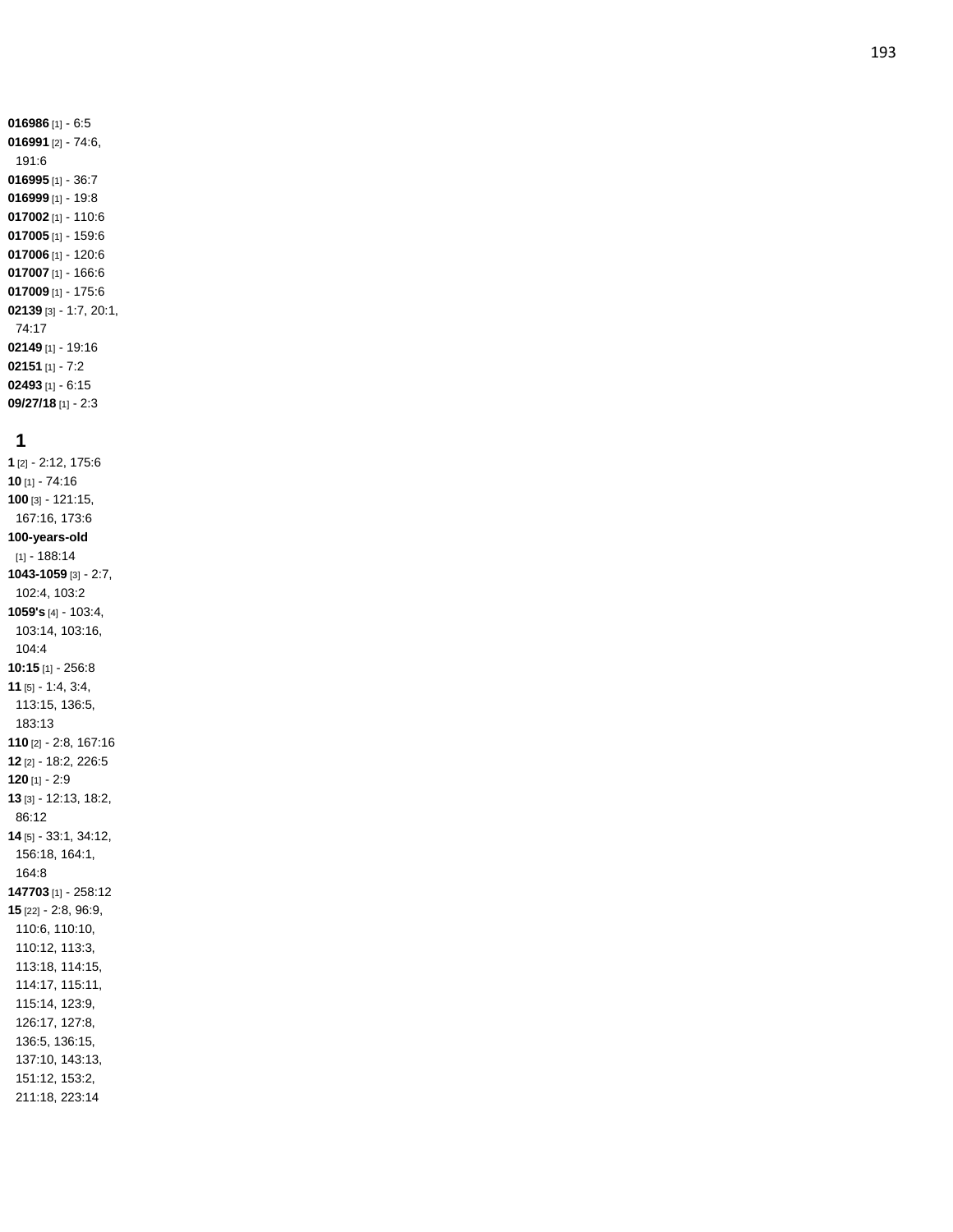### **1**

**09/27/18** [1] - 2:3

**1** [2] - 2:12, 175:6 **10** [1] - 74:16 **100** [3] - 121:15, 167:16, 173:6 **100 -years -old** [1] - 188:14 **1043 -1059** [3] - 2:7, 102:4, 103:2 **1059's** [4] - 103:4, 103:14, 103:16, 104:4 **10:15** [1] - 256:8 **11** [5] - 1:4, 3:4, 113:15, 136:5, 183:13 **110** [2] - 2:8, 167:16 **12** [2] - 18:2, 226:5 **120** [1] - 2:9 **13** [3] - 12:13, 18:2, 86:12 **14** [5] - 33:1, 34:12, 156:18, 164:1, 164:8 **147703** [1] - 258:12 **15** [22] - 2:8, 96:9, 110:6, 110:10, 110:12, 113:3, 113:18, 114:15, 114:17, 115:11, 115:14, 123:9, 126:17, 127:8, 136:5, 136:15, 137:10, 143:13, 151:12, 153:2, 211:18, 223:14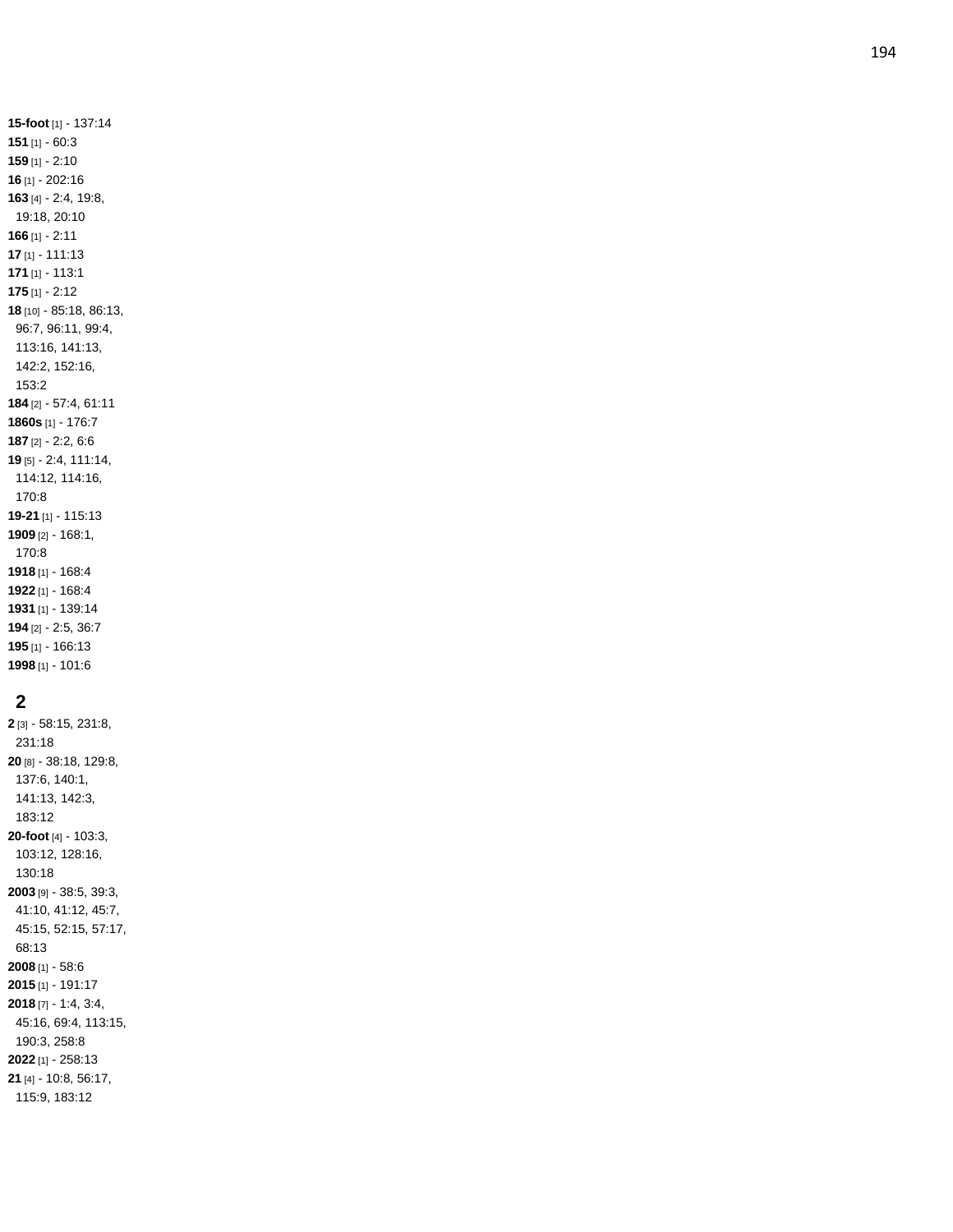**-foot** [1] - 137:14 [1] - 60:3 [1] - 2:10 [1] - 202:16 [4] - 2:4, 19:8, 19:18, 20:10 [1] - 2:11 [1] - 111:13 [1] - 113:1 [1] - 2:12 [10] - 85:18, 86:13, 96:7, 96:11, 99:4, 113:16, 141:13, 142:2, 152:16, 153:2 [2] - 57:4, 61:11 **1860s** [1] - 176:7 [2] - 2:2, 6:6 [5] - 2:4, 111:14, 114:12, 114:16, 170:8 **-21** [1] - 115:13 [2] - 168:1, 170:8 [1] - 168:4 [1] - 168:4 [1] - 139:14 [2] - 2:5, 36:7 [1] - 166:13 [1] - 101:6

## 

 [3] - 58:15, 231:8, 231:18 [8] - 38:18, 129:8, 137:6, 140:1, 141:13, 142:3, 183:12 **-foot** [4] - 103:3, 103:12, 128:16, 130:18 [9] - 38:5, 39:3, 41:10, 41:12, 45:7, 45:15, 52:15, 57:17, 68:13 [1] - 58:6 [1] - 191:17 [7] - 1:4, 3:4, 45:16, 69:4, 113:15, 190:3, 258:8 [1] - 258:13 [4] - 10:8, 56:17, 115:9, 183:12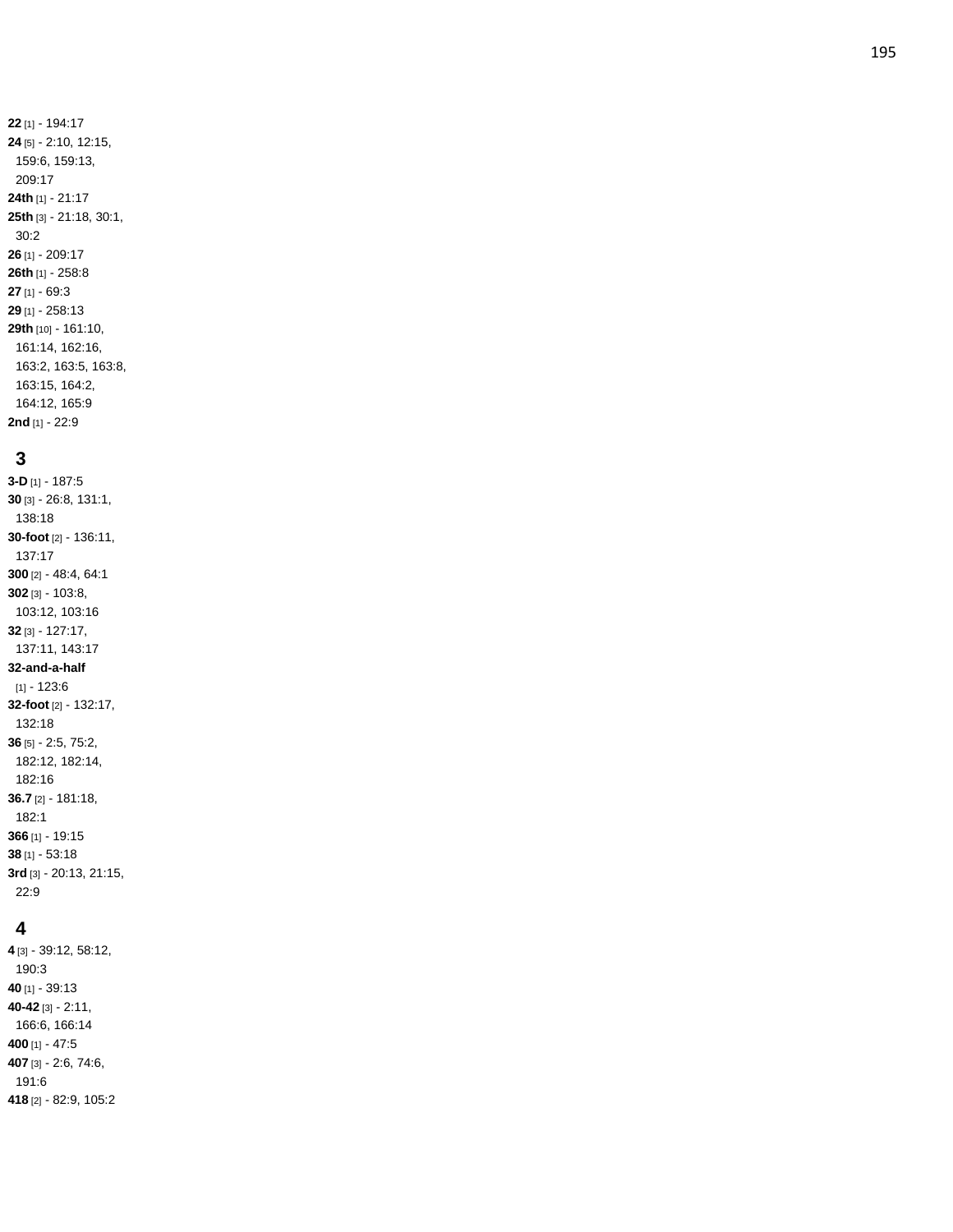### **3**

**2nd** [1] - 22:9

**3 - D** [1] - 187:5 **30** [3] - 26:8, 131:1, 138:18 **30 -foot** [2] - 136:11, 137:17 **300** [2] - 48:4, 64:1 **302** [3] - 103:8, 103:12, 103:16 **32** [3] - 127:17, 137:11, 143:17 **32 -and - a -half**  $[1] - 123:6$ **32 -foot** [2] - 132:17, 132:18 **36** [5] - 2:5, 75:2, 182:12, 182:14, 182:16 **36.7** [2] - 181:18, 182:1 **366** [1] - 19:15 **38** [1] - 53:18 **3rd** [3] - 20:13, 21:15, 22:9

#### **4**

 [3] - 39:12, 58:12, 190:3 [1] - 39:13 **-42** [3] - 2:11, 166:6, 166:14 [1] - 47:5 [3] - 2:6, 74:6, 191:6 [2] - 82:9, 105:2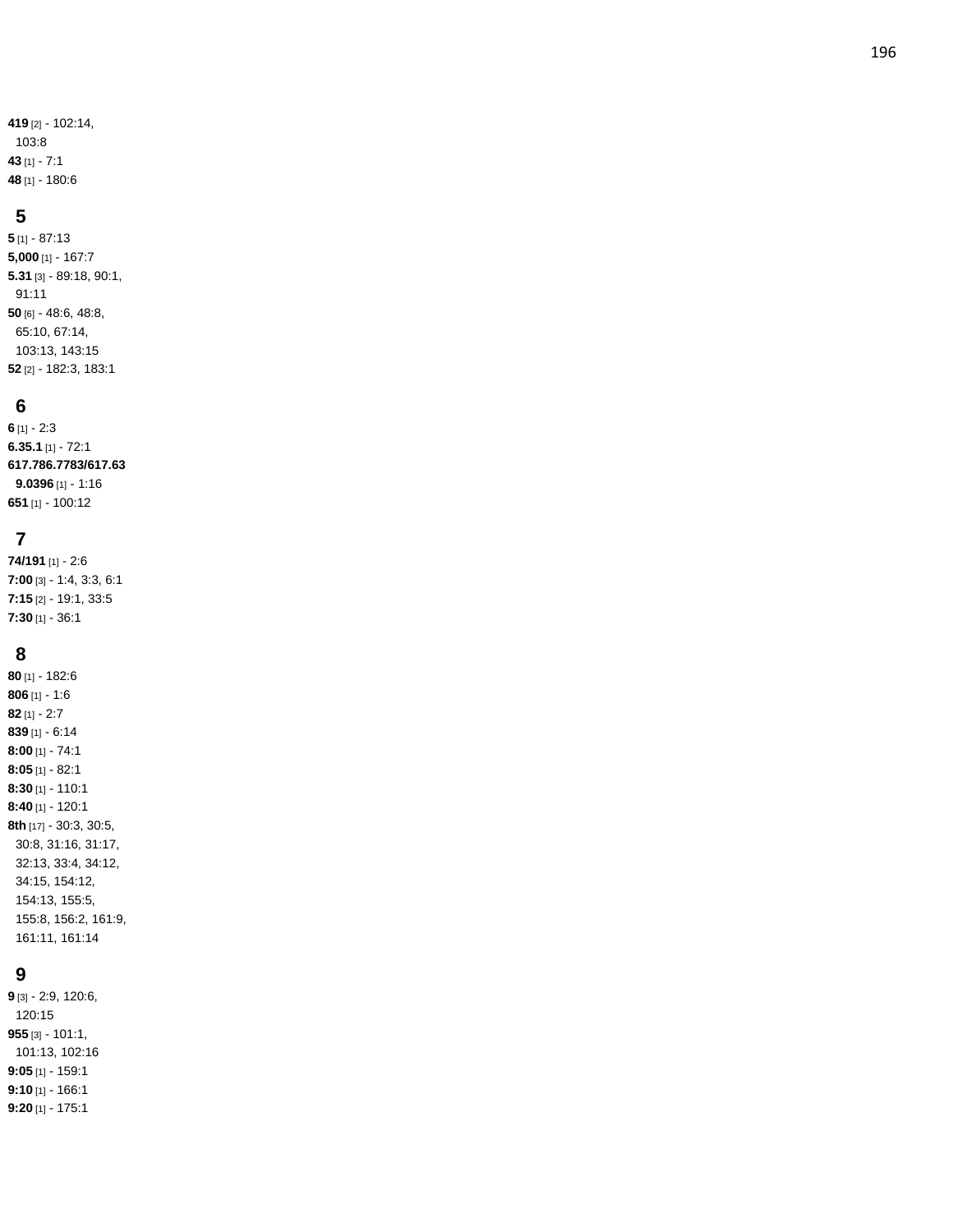[2] - 102:14, 103:8 [1] - 7:1 [1] - 180:6

### **5**

**5** [1] - 87:13 **5,000** [1] - 167:7 **5.31** [3] - 89:18, 90:1, 91:11 **50** [6] - 48:6, 48:8, 65:10, 67:14, 103:13, 143:15 **52** [2] - 182:3, 183:1

## **6**

**6** [1] - 2:3 **6.35.1** [1] - 72:1 **617.786.7783/617.63 9.0396** [1] - 1:16 **651** [1] - 100:12

## **7**

**74/191** [1] - 2:6 **7:00** [3] - 1:4, 3:3, 6:1 **7:15** [2] - 19:1, 33:5 **7:30** [1] - 36:1

### **8**

**80** [1] - 182:6 **806** [1] - 1:6 **82** [1] - 2:7 **839** [1] - 6:14 **8:00** [1] - 74:1 **8:05** [1] - 82:1 **8:30** [1] - 110:1 **8:40** [1] - 120:1 **8th** [17] - 30:3, 30:5, 30:8, 31:16, 31:17, 32:13, 33:4, 34:12, 34:15, 154:12, 154:13, 155:5, 155:8, 156:2, 161:9, 161:11, 161:14

## **9**

**9** [3] - 2:9, 120:6, 120:15 **955** [3] - 101:1, 101:13, 102:16 **9:05** [1] - 159:1 **9:10** [1] - 166:1 **9:20** [1] - 175:1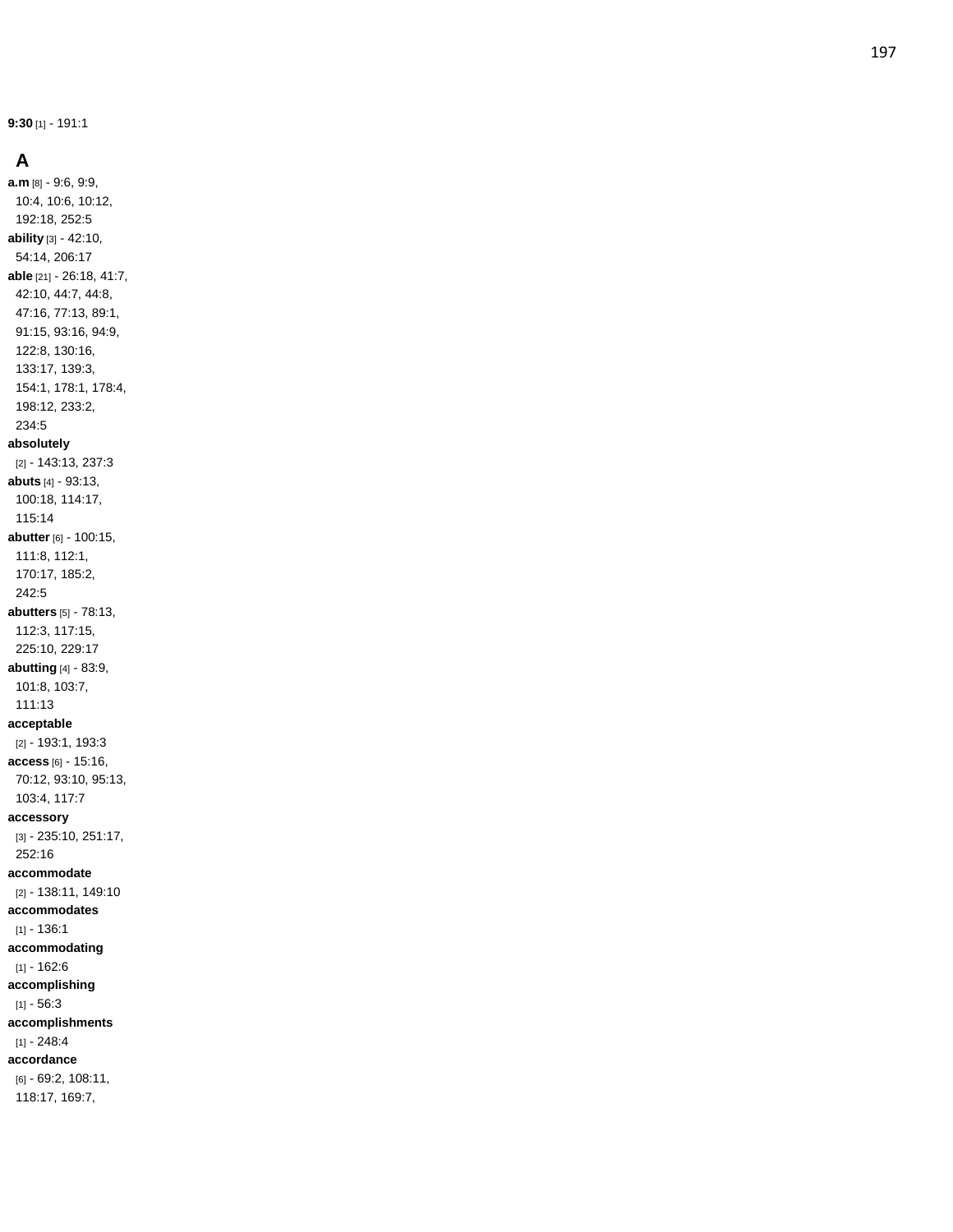**9:30** [1] - 191:1

#### **A**

**a.m** [8] - 9:6, 9:9, 10:4, 10:6, 10:12, 192:18, 252:5 **ability** [3] - 42:10, 54:14, 206:17 **able** [21] - 26:18, 41:7, 42:10, 44:7, 44:8, 47:16, 77:13, 89:1, 91:15, 93:16, 94:9, 122:8, 130:16, 133:17, 139:3, 154:1, 178:1, 178:4, 198:12, 233:2, 234:5 **absolutely** [2] - 143:13, 237:3 **abuts** [4] - 93:13, 100:18, 114:17, 115:14 **abutter** [6] - 100:15, 111:8, 112:1, 170:17, 185:2, 242:5 **abutters** [5] - 78:13, 112:3, 117:15, 225:10, 229:17 **abutting** [4] - 83:9, 101:8, 103:7, 111:13 **acceptable** [2] - 193:1, 193:3 **access** [6] - 15:16, 70:12, 93:10, 95:13, 103:4, 117:7 **accessory** [3] - 235:10, 251:17, 252:16 **accommodate** [2] - 138:11, 149:10 **accommodates**  $[1] - 136:1$ **accommodating**  $[1] - 162:6$ **accomplishing**  $[1] - 56:3$ **accomplishments** [1] - 248:4 **accordance** [6] - 69:2, 108:11, 118:17, 169:7,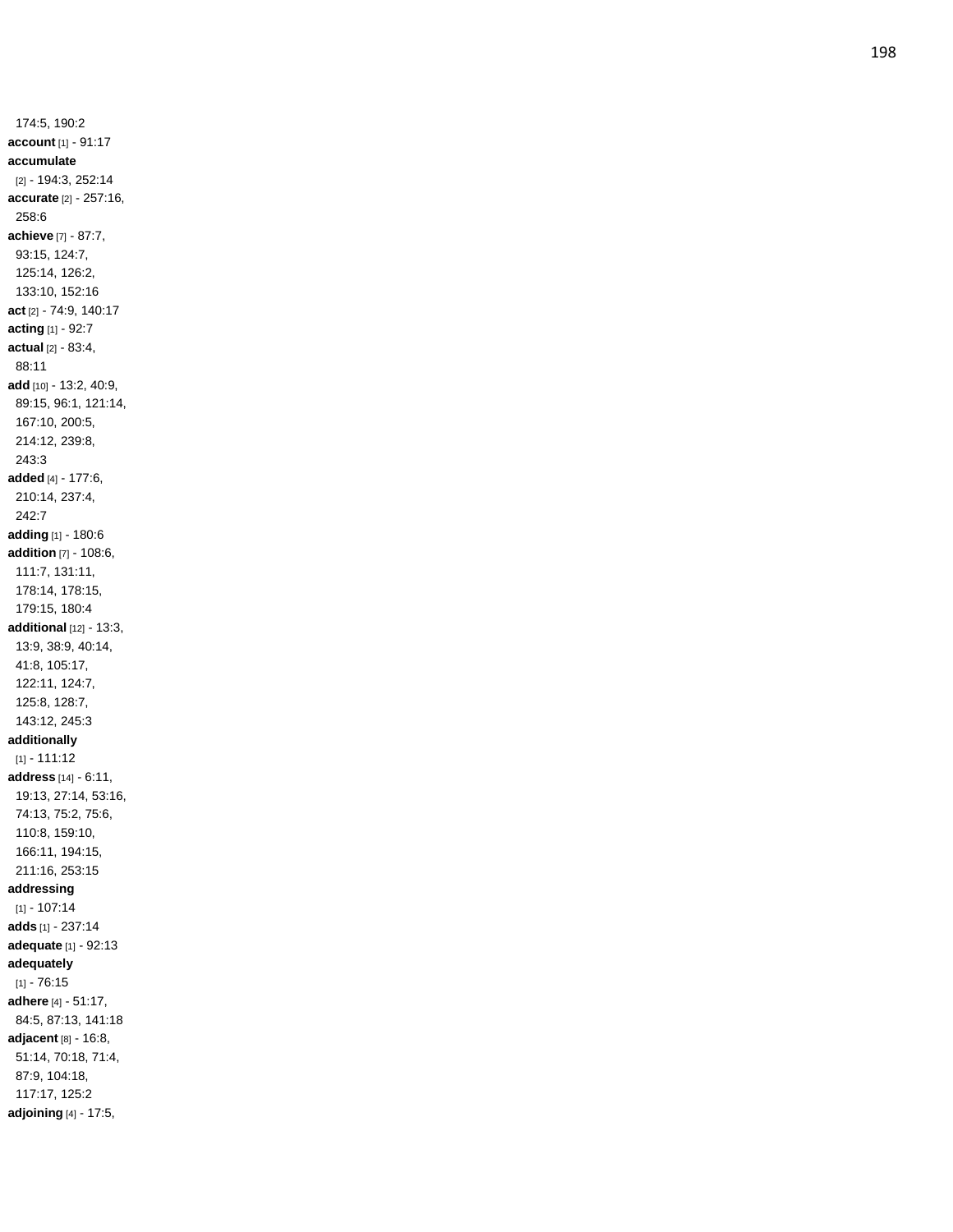174:5, 190:2 **account** [1] - 91:17 **accumulate** [2] - 194:3, 252:14 **accurate** [2] - 257:16, 258:6 **achieve** [7] - 87:7, 93:15, 124:7, 125:14, 126:2, 133:10, 152:16 **act** [2] - 74:9, 140:17 **acting** [1] - 92:7 **actual** [2] - 83:4, 88:11 **add** [10] - 13:2, 40:9, 89:15, 96:1, 121:14, 167:10, 200:5, 214:12, 239:8, 243:3 **added** [4] - 177:6, 210:14, 237:4, 242:7 **adding** [1] - 180:6 **addition** [7] - 108:6, 111:7, 131:11, 178:14, 178:15, 179:15, 180:4 **additional** [12] - 13:3, 13:9, 38:9, 40:14, 41:8, 105:17, 122:11, 124:7, 125:8, 128:7, 143:12, 245:3 **additionally** [1] - 111:12 **address** [14] - 6:11, 19:13, 27:14, 53:16, 74:13, 75:2, 75:6, 110:8, 159:10, 166:11, 194:15, 211:16, 253:15 **addressing** [1] - 107:14 **adds** [1] - 237:1 4 **adequate** [1] - 92:13 **adequately**  $[1] - 76.15$ **adhere** [4] - 51:17, 84:5, 87:13, 141:18 **adjacent** [8] - 16:8, 51:14, 70:18, 71:4, 87:9, 104:18, 117:17, 125:2 **adjoining** [4] - 17:5,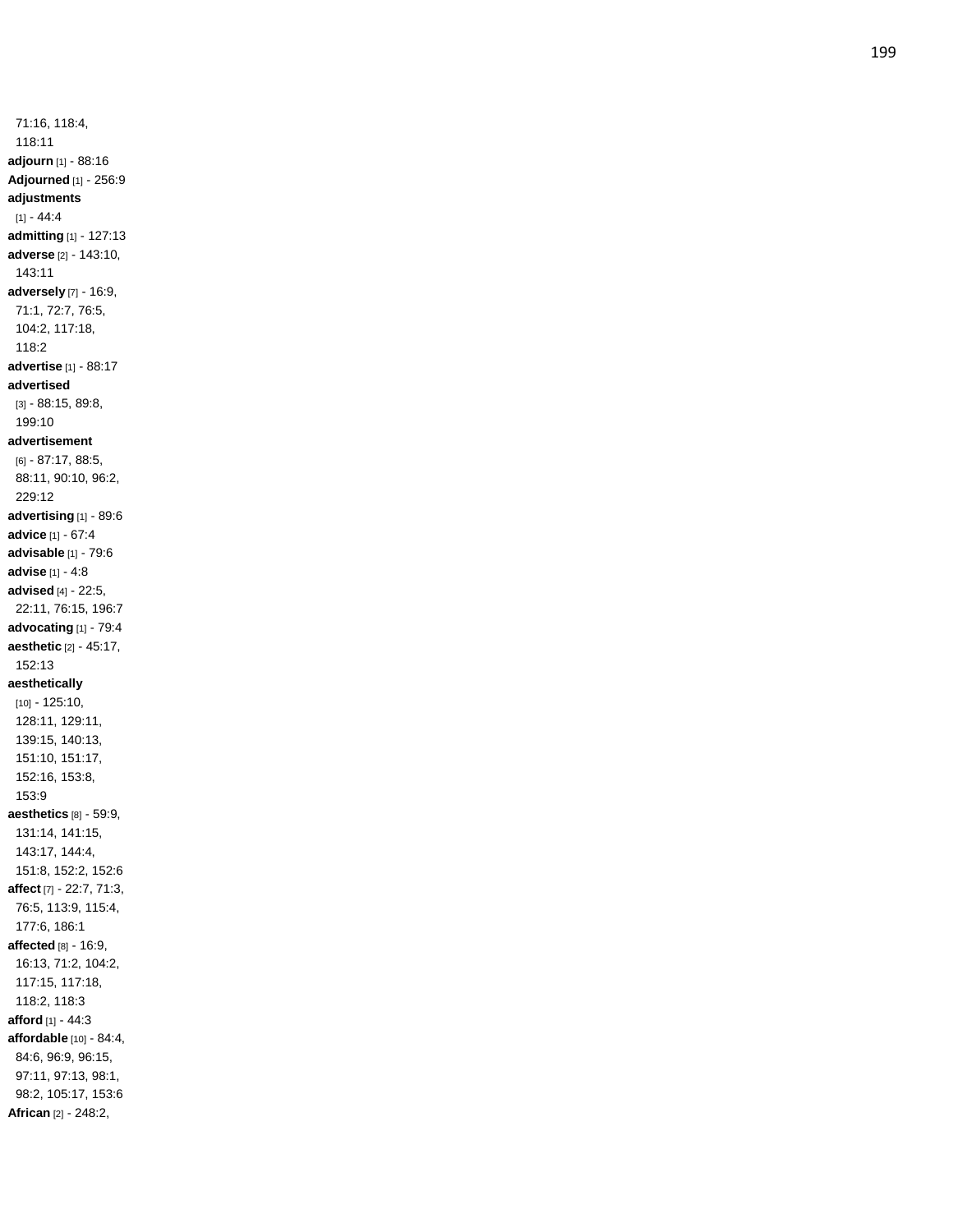71:16, 118:4, 118:11 **adjourn** [1] - 88:16 **Adjourned** [1] - 256:9 **adjustments** [1] - 44:4 **admitting** [1] - 127:13 **adverse** [2] - 143:10, 143:11 **adversely** [7] - 16:9, 71:1, 72:7, 76:5, 104:2, 117:18, 118:2 **advertise** [1] - 88:17 **advertised** [3] - 88:15, 89:8, 199:10 **advertisement** [6] - 87:17, 88:5, 88:11, 90:10, 96:2, 229:12 **advertising** [1] - 89:6 **advice** [1] - 67:4 **advisable** [1] - 79:6 **advise** [1] - 4:8 **advised** [4] - 22:5, 22:11, 76:15, 196:7 **advocating** [1] - 79:4 **aesthetic** [2] - 45:17, 152:13 **aesthetically** [10] - 125:10, 128:11, 129:11, 139:15, 140:13, 151:10, 151:17, 152:16, 153:8, 153:9 **aesthetics** [8] - 59:9, 131:14, 141:15, 143:17, 144:4, 151:8, 152:2, 152:6 **affect** [7] - 22:7, 71:3, 76:5, 113:9, 115:4, 177:6, 186:1 **affected** [8] - 16:9, 16:13, 71:2, 104:2, 117:15, 117:18, 118:2, 118:3 **afford** [1] - 44:3 **affordable** [10] - 84:4, 84:6, 96:9, 96:15, 97:11, 97:13, 98:1, 98:2, 105:17, 153:6 **African** [2] - 248:2,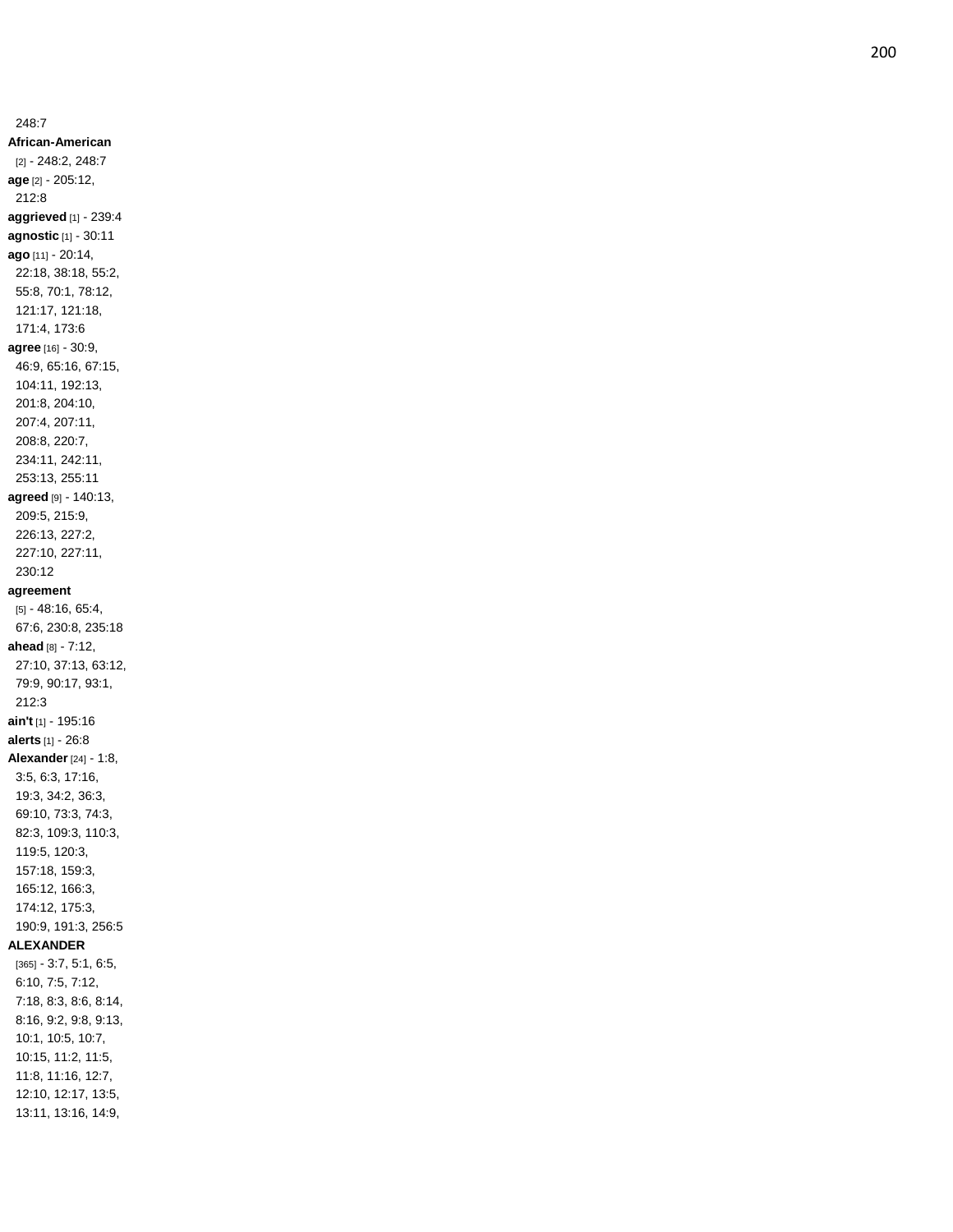248:7 **African -American** [2] - 248:2, 248:7 **age** [2] - 205:12, 212:8 **aggrieved** [1] - 239:4 **agnostic** [1] - 30:11 **ago** [11] - 20:14, 22:18, 38:18, 55:2, 55:8, 70:1, 78:12, 121:17, 121:18, 171:4, 173:6 **agree** [16] - 30:9, 46:9, 65:16, 67:15, 104:11, 192:13, 201:8, 204:10, 207:4, 207:11, 208:8, 220:7, 234:11, 242:11, 253:13, 255:11 **agreed** [9] - 140:13, 209:5, 215:9, 226:13, 227:2, 227:10, 227:11, 230:12 **agreement** [5] - 48:16, 65:4, 67:6, 230:8, 235:18 **ahead** [8] - 7:12, 27:10, 37:13, 63:12, 79:9, 90:17, 93:1, 212:3 **ain't** [1] - 195:16 **alerts** [1] - 26:8 **Alexander** [24] - 1:8, 3:5, 6:3, 17:16, 19:3, 34:2, 36:3, 69:10, 73:3, 74:3, 82:3, 109:3, 110:3, 119:5, 120:3, 157:18, 159:3, 165:12, 166:3, 174:12, 175:3, 190:9, 191:3, 256:5 **ALEXANDER** [365] - 3:7, 5:1, 6:5, 6:10, 7:5, 7:12, 7:18, 8:3, 8:6, 8:14, 8:16, 9:2, 9:8, 9:13, 10:1, 10:5, 10:7, 10:15, 11:2, 11:5, 11:8, 11:16, 12:7, 12:10, 12:17, 13:5, 13:11, 13:16, 14:9,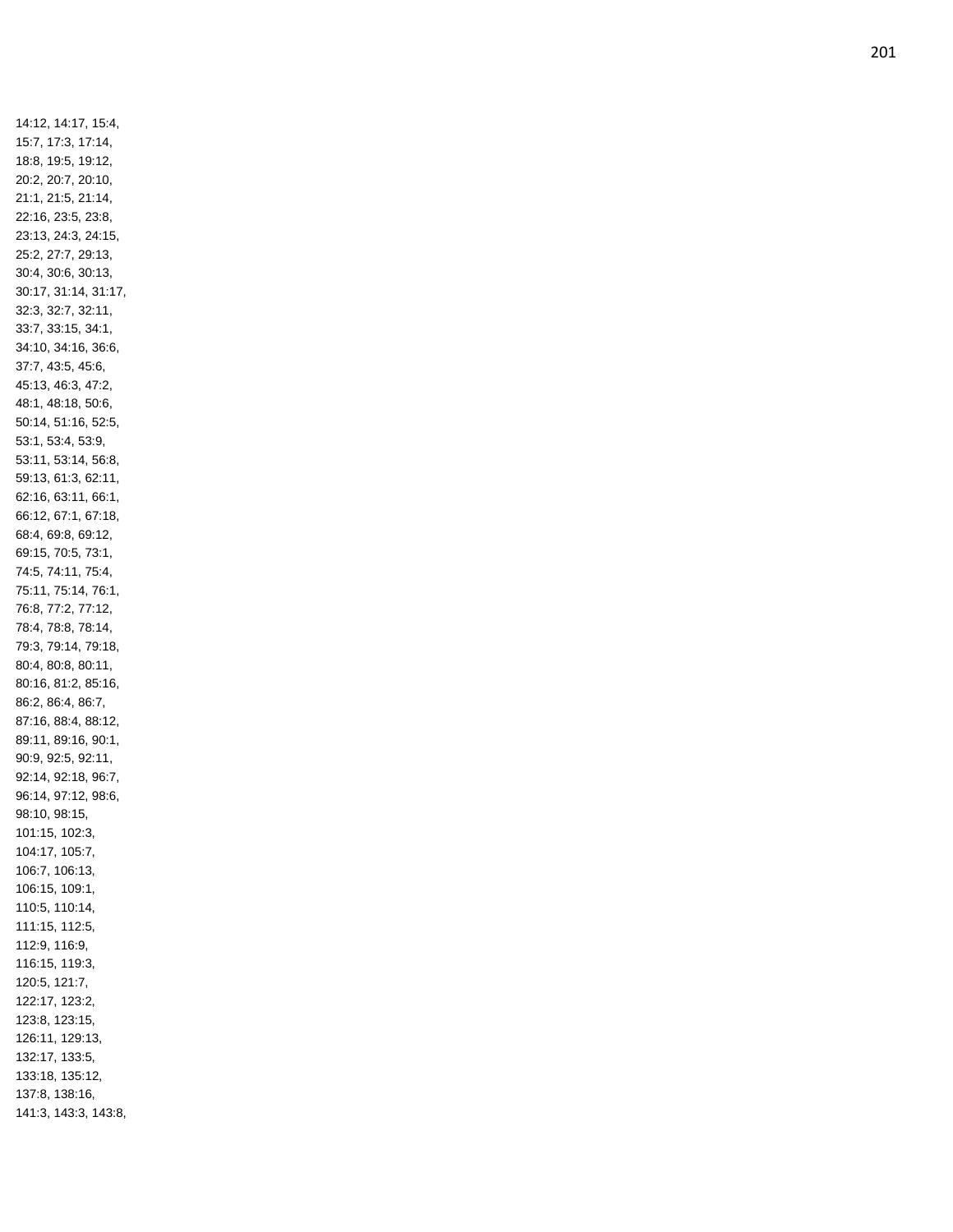14:12, 14:17, 15:4, 15:7, 17:3, 17:14, 18:8, 19:5, 19:12, 20:2, 20:7, 20:10, 21:1, 21:5, 21:14, 22:16, 23:5, 23:8, 23:13, 24:3, 24:15, 25:2, 27:7, 29:13, 30:4, 30:6, 30:13, 30:17, 31:14, 31:17, 32:3, 32:7, 32:11, 33:7, 33:15, 34:1, 34:10, 34:16, 36:6, 37:7, 43:5, 45:6, 45:13, 46:3, 47:2, 48:1, 48:18, 50:6, 50:14, 51:16, 52:5, 53:1, 53:4, 53:9, 53:11, 53:14, 56:8, 59:13, 61:3, 62:11, 62:16, 63:11, 66:1, 66:12, 67:1, 67:18, 68:4, 69:8, 69:12, 69:15, 70:5, 73:1, 74:5, 74:11, 75:4, 75:11, 75:14, 76:1, 76:8, 77:2, 77:12, 78:4, 78:8, 78:14, 79:3, 79:14, 79:18, 80:4, 80:8, 80:11, 80:16, 81:2, 85:16, 86:2, 86:4, 86:7, 87:16, 88:4, 88:12, 89:11, 89:16, 90:1, 90:9, 92:5, 92:11, 92:14, 92:18, 96:7, 96:14, 97:12, 98:6, 98:10, 98:15, 101:15, 102:3, 104:17, 105:7, 106:7, 106:13, 106:15, 109:1, 110:5, 110:14, 111:15, 112:5, 112:9, 116:9, 116:15, 119:3, 120:5, 121:7, 122:17, 123:2, 123:8, 123:15, 126:11, 129:13, 132:17, 133:5, 133:18, 135:12, 137:8, 138:16, 141:3, 143:3, 143:8,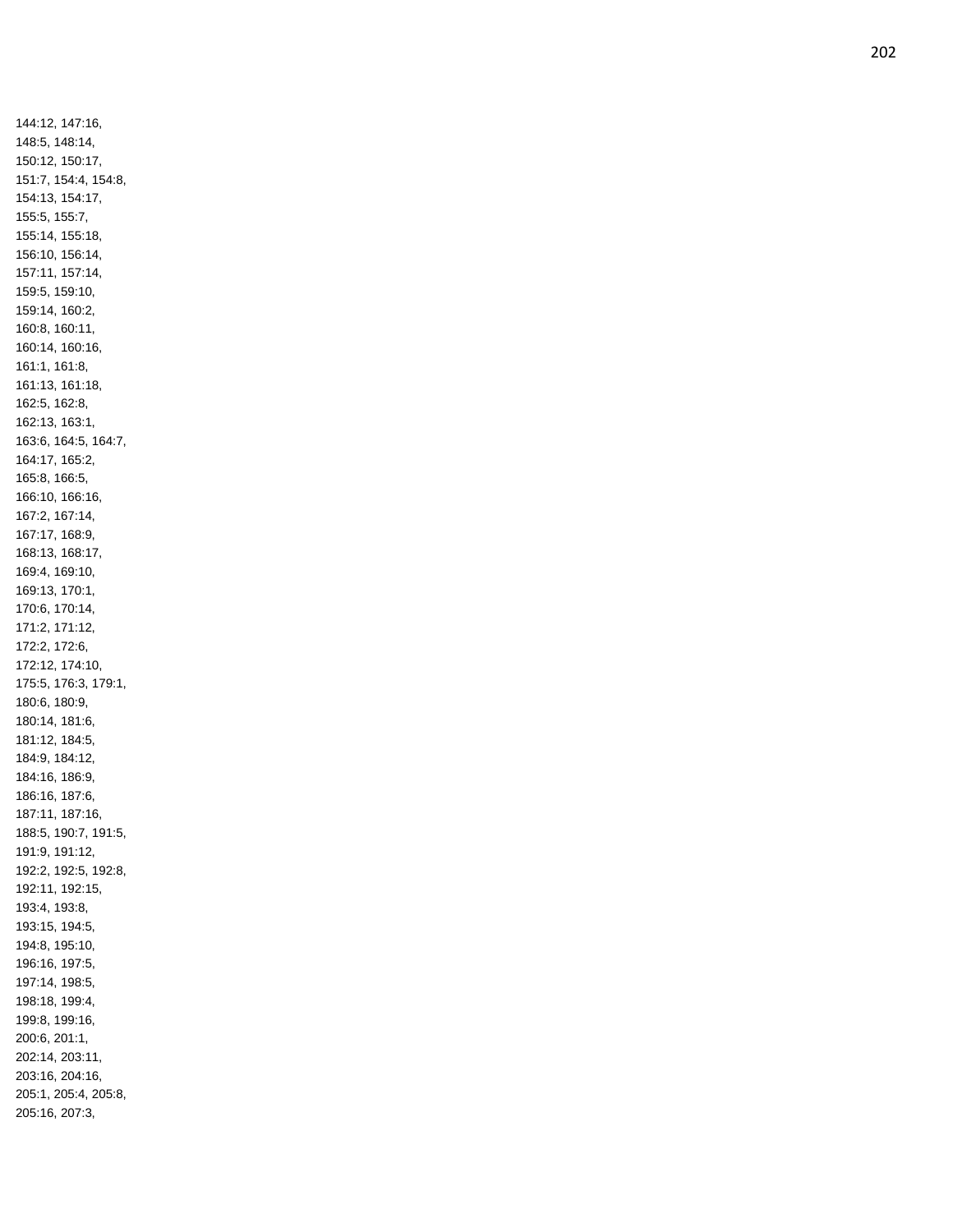144:12, 147:16, 148:5, 148:14, 150:12, 150:17, 151:7, 154:4, 154:8, 154:13, 154:17, 155:5, 155:7, 155:14, 155:18, 156:10, 156:14, 157:11, 157:14, 159:5, 159:10, 159:14, 160:2, 160:8, 160:11, 160:14, 160:16, 161:1, 161:8, 161:13, 161:18, 162:5, 162:8, 162:13, 163:1, 163:6, 164:5, 164:7, 164:17, 165:2, 165:8, 166:5, 166:10, 166:16, 167:2, 167:14, 167:17, 168:9, 168:13, 168:17, 169:4, 169:10, 169:13, 170:1, 170:6, 170:14, 171:2, 171:12, 172:2, 172:6, 172:12, 174:10, 175:5, 176:3, 179:1, 180:6, 180:9, 180:14, 181:6, 181:12, 184:5, 184:9, 184:12, 184:16, 186:9, 186:16, 187:6, 187:11, 187:16, 188:5, 190:7, 191:5, 191:9, 191:12, 192:2, 192:5, 192:8, 192:11, 192:15, 193:4, 193:8, 193:15, 194:5, 194:8, 195:10, 196:16, 197:5, 197:14, 198:5, 198:18, 199:4, 199:8, 199:16, 200:6, 201:1, 202:14, 203:11, 203:16, 204:16, 205:1, 205:4, 205:8, 205:16, 207:3,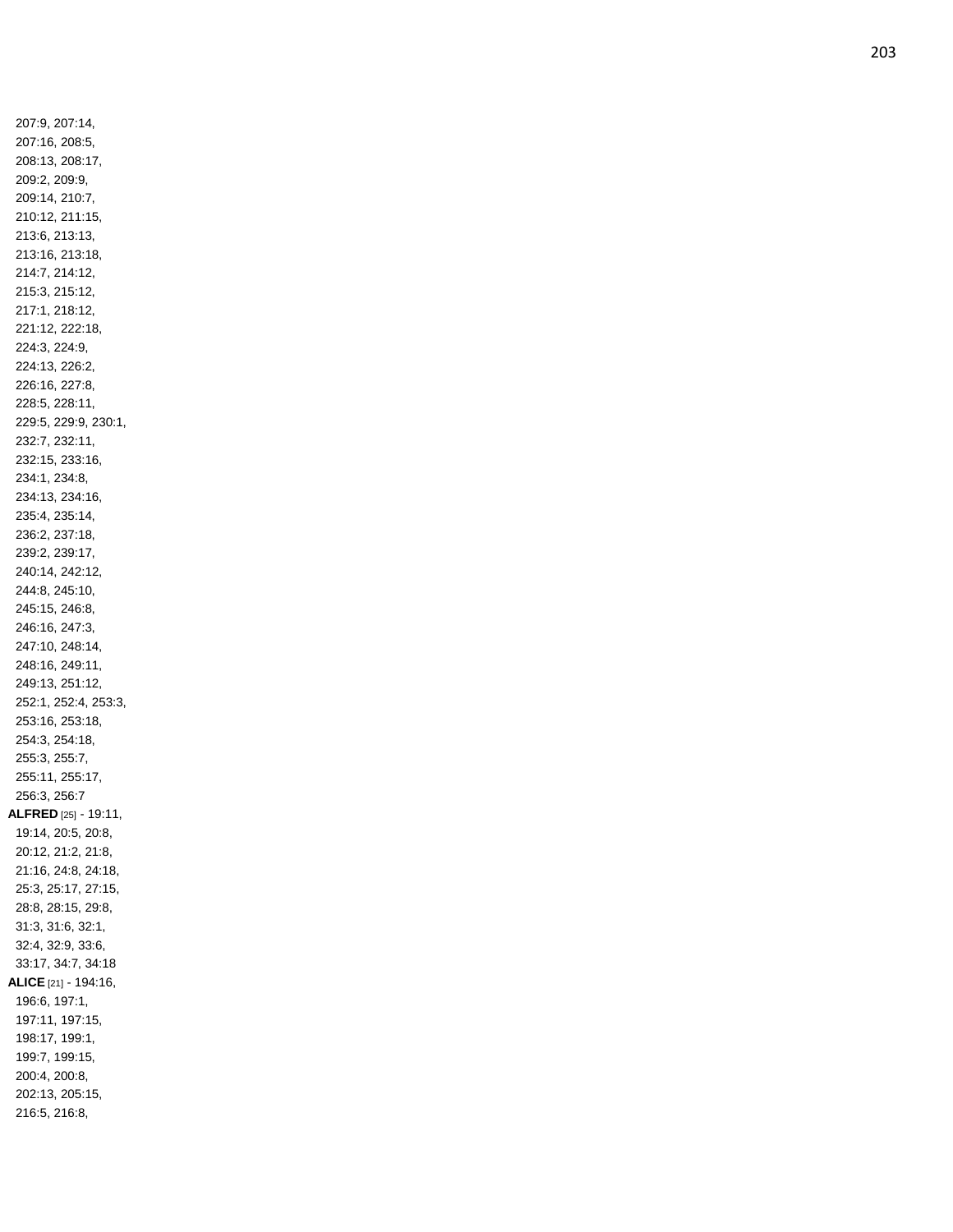207:9, 207:14, 207:16, 208:5, 208:13, 208:17, 209:2, 209:9, 209:14, 210:7, 210:12, 211:15, 213:6, 213:13, 213:16, 213:18, 214:7, 214:12, 215:3, 215:12, 217:1, 218:12, 221:12, 222:18, 224:3, 224:9, 224:13, 226:2, 226:16, 227:8, 228:5, 228:11, 229:5, 229:9, 230:1, 232:7, 232:11, 232:15, 233:16, 234:1, 234:8, 234:13, 234:16, 235:4, 235:14, 236:2, 237:18, 239:2, 239:17, 240:14, 242:12, 244:8, 245:10, 245:15, 246:8, 246:16, 247:3, 247:10, 248:14, 248:16, 249:11, 249:13, 251:12, 252:1, 252:4, 253:3, 253:16, 253:18, 254:3, 254:18, 255:3, 255:7, 255:11, 255:17, 256:3, 256:7 **ALFRED** [25] - 19:11, 19:14, 20:5, 20:8, 20:12, 21:2, 21:8, 21:16, 24:8, 24:18, 25:3, 25:17, 27:15, 28:8, 28:15, 29:8, 31:3, 31:6, 32:1, 32:4, 32:9, 33:6, 33:17, 34:7, 34:18 **ALICE** [21] - 194:16, 196:6, 197:1, 197:11, 197:15, 198:17, 199:1, 199:7, 199:15, 200:4, 200:8, 202:13, 205:15, 216:5, 216:8,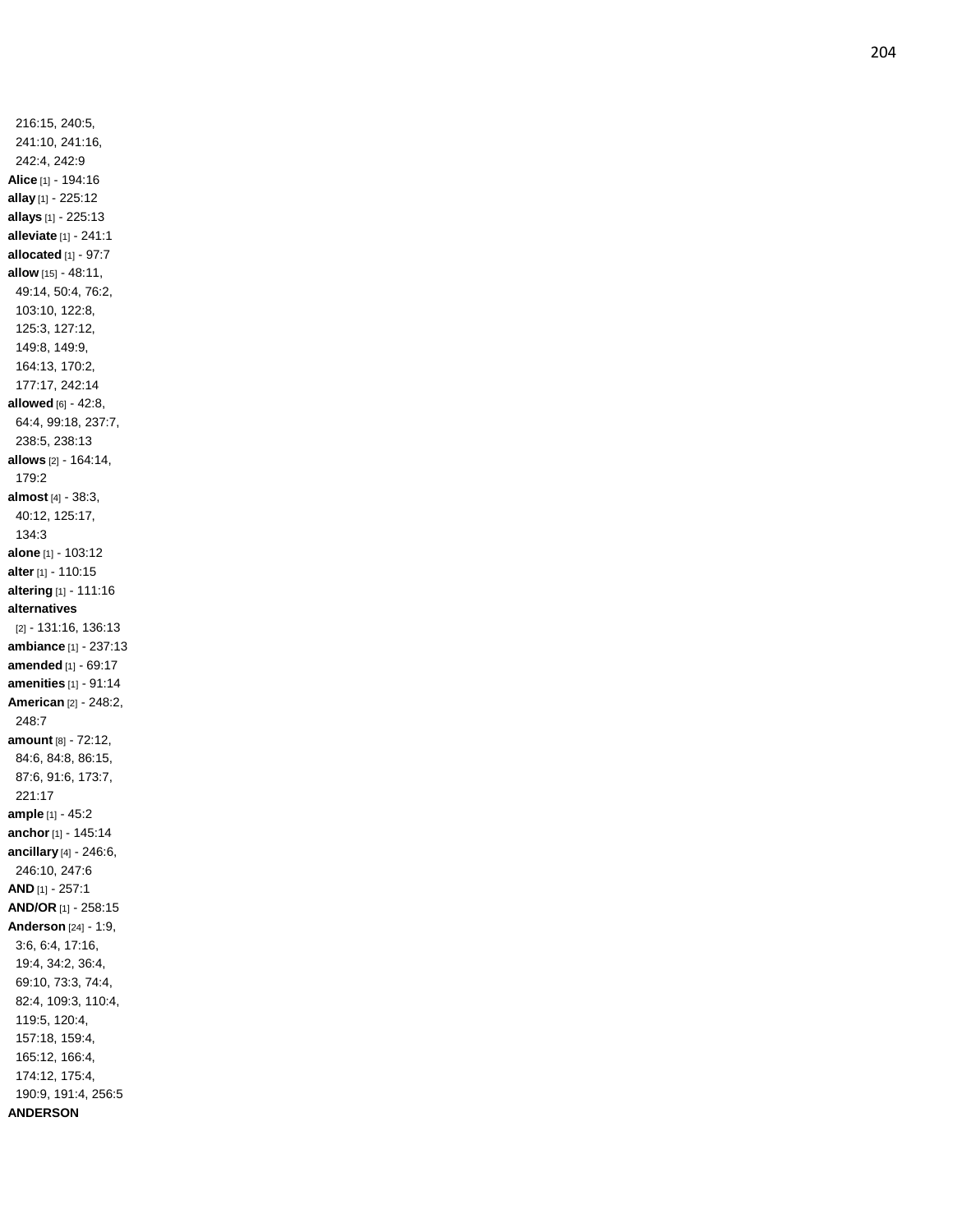216:15, 240:5, 241:10, 241:16, 242:4, 242:9 **Alice** [1] - 194:16 **allay** [1] - 225:12 **allays** [1] - 225:13 **alleviate** [1] - 241:1 **allocated** [1] - 97:7 **allow** [15] - 48:11, 49:14, 50:4, 76:2, 103:10, 122:8, 125:3, 127:12, 149:8, 149:9, 164:13, 170:2, 177:17, 242:14 **allowed** [6] - 42:8, 64:4, 99:18, 237:7, 238:5, 238:13 **allows** [2] - 164:14, 179:2 **almost** [4] - 38:3, 40:12, 125:17, 134:3 **alone** [1] - 103:12 **alter** [1] - 110:15 **altering** [1] - 111:16 **alternatives** [2] - 131:16, 136:13 **ambiance** [1] - 237:13 **amended** [1] - 69:17 **amenities** [1] - 91:14 **American** [2] - 248:2, 248:7 **amount** [8] - 72:12, 84:6, 84:8, 86:15, 87:6, 91:6, 173:7, 221:17 **ample** [1] - 45:2 **anchor** [1] - 145:14 **ancillary** [4] - 246:6, 246:10, 247:6 **AND** [1] - 257:1 **AND/OR** [1] - 258:15 **Anderson** [24] - 1:9, 3:6, 6:4, 17:16, 19:4, 34:2, 36:4, 69:10, 73:3, 74:4, 82:4, 109:3, 110:4, 119:5, 120:4, 157:18, 159:4, 165:12, 166:4, 174:12, 175:4, 190:9, 191:4, 256:5 **ANDERSON**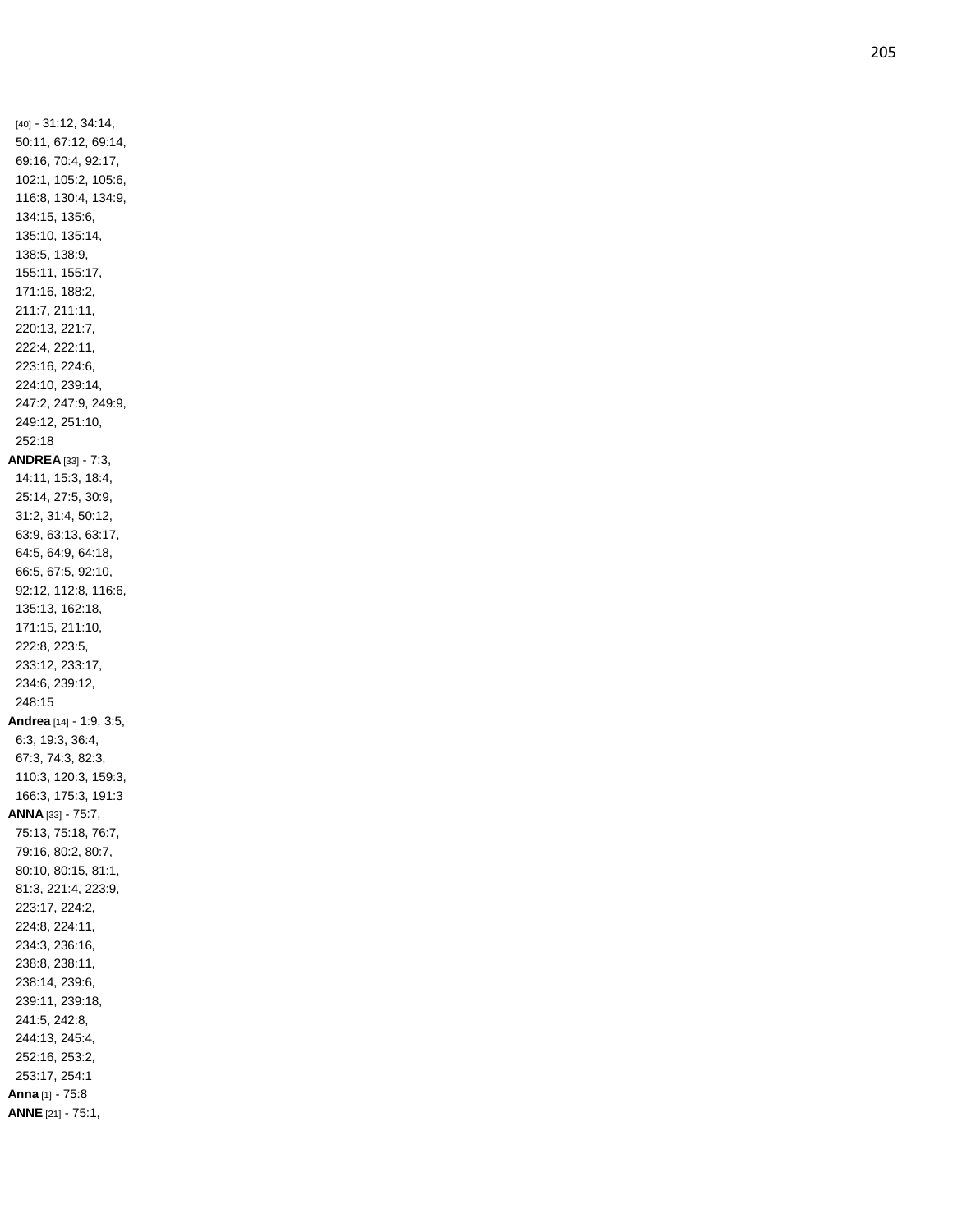[40] - 31:12, 34:14, 50:11, 67:12, 69:14, 69:16, 70:4, 92:17, 102:1, 105:2, 105:6, 116:8, 130:4, 134:9, 134:15, 135:6, 135:10, 135:14, 138:5, 138:9, 155:11, 155:17, 171:16, 188:2, 211:7, 211:11, 220:13, 221:7, 222:4, 222:11, 223:16, 224:6, 224:10, 239:14, 247:2, 247:9, 249:9, 249:12, 251:10, 252:18 **ANDREA** [33] - 7:3, 14:11, 15:3, 18:4, 25:14, 27:5, 30:9, 31:2, 31:4, 50:12, 63:9, 63:13, 63:17, 64:5, 64:9, 64:18, 66:5, 67:5, 92:10, 92:12, 112:8, 116:6, 135:13, 162:18, 171:15, 211:10, 222:8, 223:5, 233:12, 233:17, 234:6, 239:12, 248:15 **Andrea** [14] - 1:9, 3:5, 6:3, 19:3, 36:4, 67:3, 74:3, 82:3, 110:3, 120:3, 159:3, 166:3, 175:3, 191:3 **ANNA** [33] - 75:7, 75:13, 75:18, 76:7, 79:16, 80:2, 80:7, 80:10, 80:15, 81:1, 81:3, 221:4, 223:9, 223:17, 224:2, 224:8, 224:11, 234:3, 236:16, 238:8, 238:11, 238:14, 239:6, 239:11, 239:18, 241:5, 242:8, 244:13, 245:4, 252:16, 253:2, 253:17, 254:1 **Anna** [1] - 75:8 **ANNE** [21] - 75:1,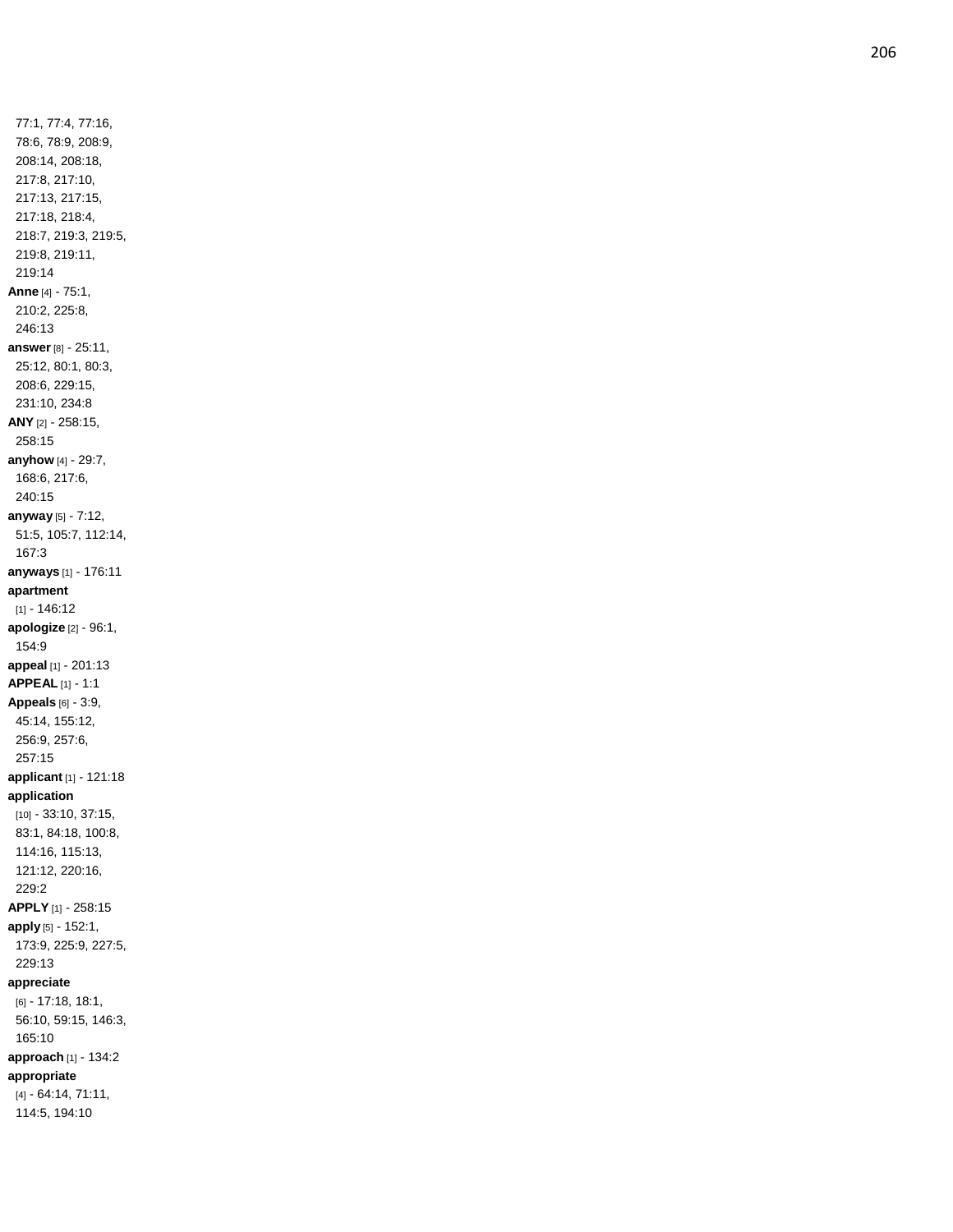77:1, 77:4, 77:16, 78:6, 78:9, 208:9, 208:14, 208:18, 217:8, 217:10, 217:13, 217:15, 217:18, 218:4, 218:7, 219:3, 219:5, 219:8, 219:11, 219:14 **Anne** [4] - 75:1, 210:2, 225:8, 246:13 **answer** [8] - 25:11, 25:12, 80:1, 80:3, 208:6, 229:15, 231:10, 234:8 **ANY** [2] - 258:15, 258:15 **anyhow** [4] - 29:7, 168:6, 217:6, 240:15 **anyway** [5] - 7:12, 51:5, 105:7, 112:14, 167:3 **anyways** [1] - 176:11 **apartment** [1] - 146:12 **apologize** [2] - 96:1, 154:9 **appeal** [1] - 201:13 **APPEAL** [1] - 1:1 **Appeals** [6] - 3:9, 45:14, 155:12, 256:9, 257:6, 257:15 **applicant** [1] - 121:18 **application** [10] - 33:10, 37:15, 83:1, 84:18, 100:8, 114:16, 115:13, 121:12, 220:16, 229:2 **APPLY** [1] - 258:15 **apply** [5] - 152:1, 173:9, 225:9, 227:5, 229:13 **appreciate** [6] - 17:18, 18:1, 56:10, 59:15, 146:3, 165:10 **approach** [1] - 134:2 **appropriate** [4] - 64:14, 71:11, 114:5, 194:10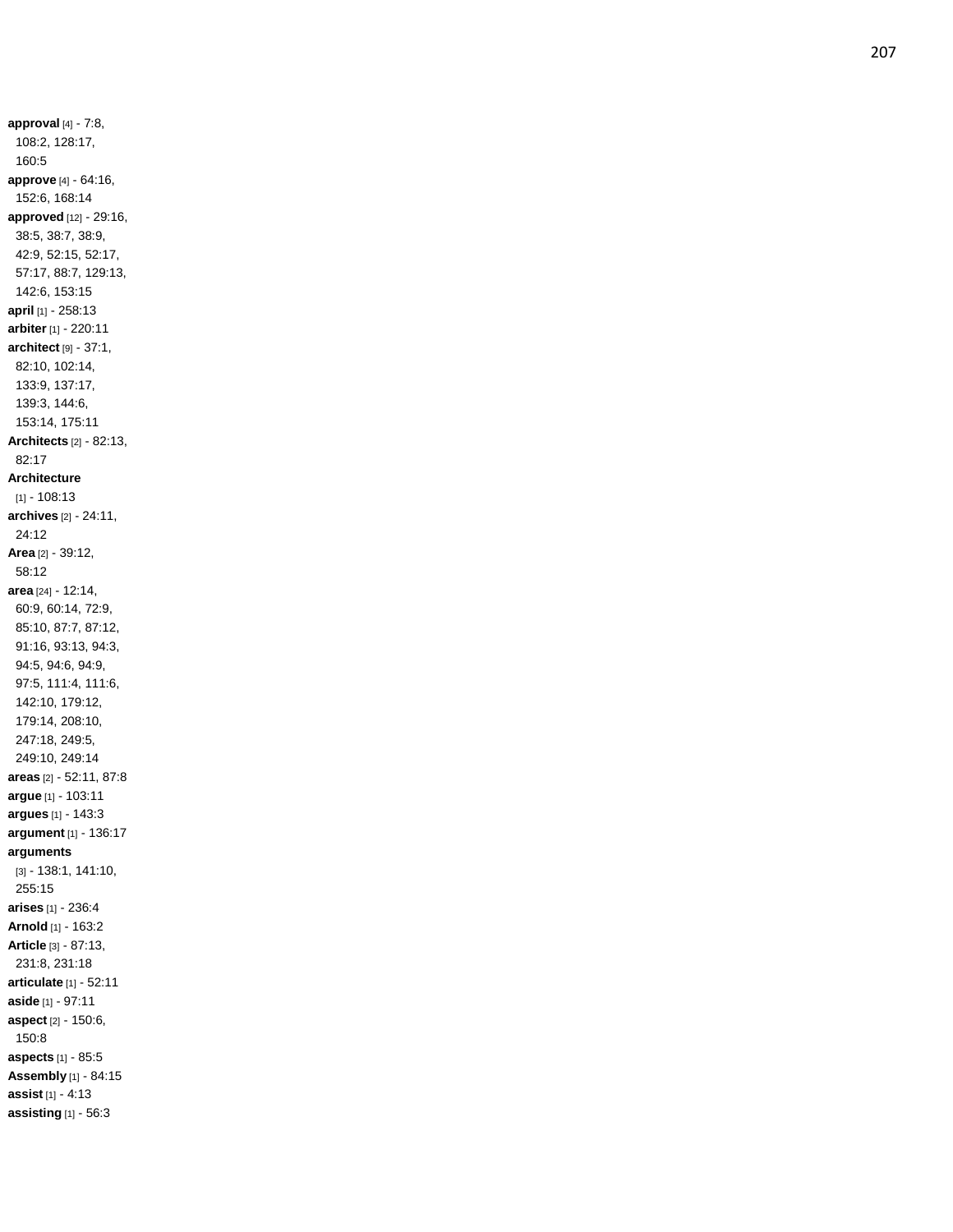**approval** [4] - 7:8, 108:2, 128:17, 160:5 **approve** [4] - 64:16, 152:6, 168:14 **approved** [12] - 29:16, 38:5, 38:7, 38:9, 42:9, 52:15, 52:17, 57:17, 88:7, 129:13, 142:6, 153:15 **april** [1] - 258:13 **arbiter** [1] - 220:11 **architect** [9] - 37:1, 82:10, 102:14, 133:9, 137:17, 139:3, 144:6, 153:14, 175:11 **Architects** [2] - 82:13, 82:17 **Architecture** [1] - 108:13 **archives** [2] - 24:11, 24:12 **Area** [2] - 39:12, 58:12 **area** [24] - 12:14, 60:9, 60:14, 72:9, 85:10, 87:7, 87:12, 91:16, 93:13, 94:3, 94:5, 94:6, 94:9, 97:5, 111:4, 111:6, 142:10, 179:12, 179:14, 208:10, 247:18, 249:5, 249:10, 249:14 **areas** [2] - 52:11, 87:8 **argu e** [1] - 103:11 **argues** [1] - 143:3 **argument** [1] - 136:17 **arguments** [3] - 138:1, 141:10, 255:15 **arises** [1] - 236:4 **Arnold** [1] - 163:2 **Article** [3] - 87:13, 231:8, 231:18 **articulate** [1] - 52:11 **aside** [1] - 97:11 **aspect** [2] - 150:6, 150:8 **aspects** [1] - 85:5 **Assembly** [1] - 84:15 **assist** [1] - 4:13 **assisting** [1] - 56:3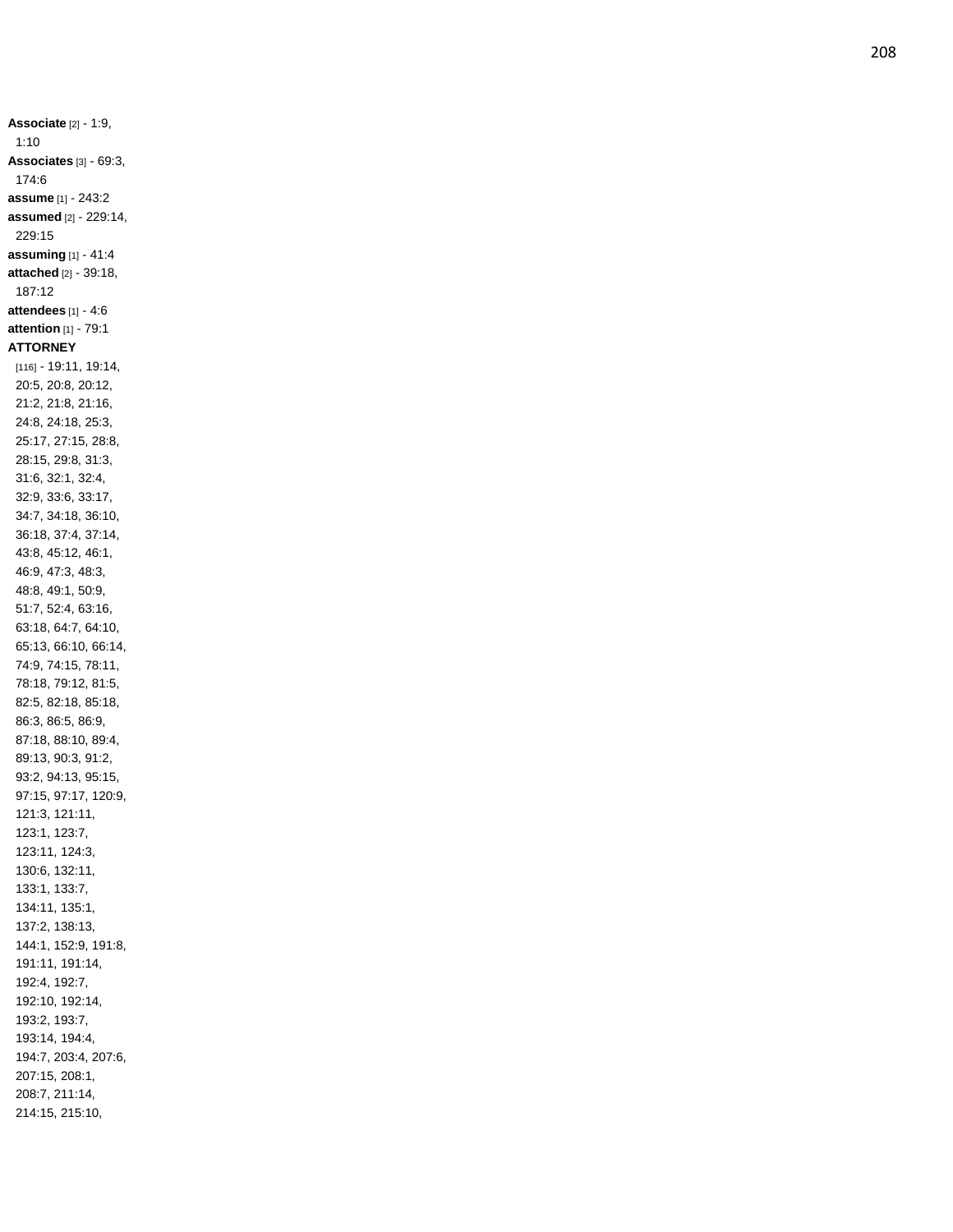**Associate** [2] - 1:9, 1:10 **Associates** [3] - 69:3, 174:6 **assume** [1] - 243:2 **assumed** [2] - 229:14, 229:15 **assuming** [1] - 41:4 **attached** [2] - 39:18, 187:12 **attendees** [1] - 4:6 **attention** [1] - 79:1 **ATTORNEY** [116] - 19:11, 19:14, 20:5, 20:8, 20:12, 21:2, 21:8, 21:16, 24:8, 24:18, 25:3, 25:17, 27:15, 28:8, 28:15, 29:8, 31:3, 31:6, 32:1, 32:4, 32:9, 33:6, 33:17, 34:7, 34:18, 36:10, 36:18, 37:4, 37:14, 43:8, 45:12, 46:1, 46:9, 47:3, 48:3, 48:8, 49:1, 50:9, 51:7, 52:4, 63:16, 63:18, 64:7, 64:10, 65:13, 66:10, 66:14, 74:9, 74:15, 78:11, 78:18, 79:12, 81:5, 82:5, 82:18, 85:18, 86:3, 86:5, 86:9, 87:18, 88:10, 89:4, 89:13, 90:3, 91:2, 93:2, 94:13, 95:15, 97:15, 97:17, 120:9, 121:3, 121:11, 123:1, 123:7, 123:11, 124:3, 130:6, 132:11, 133:1, 133:7, 134:11, 135:1, 137:2, 138:13, 144:1, 152:9, 191:8, 191:11, 191:14, 192:4, 192:7, 192:10, 192:14, 193:2, 193:7, 193:14, 194:4, 194:7, 203:4, 207:6, 207:15, 208:1, 208:7, 211:14, 214:15, 215:10,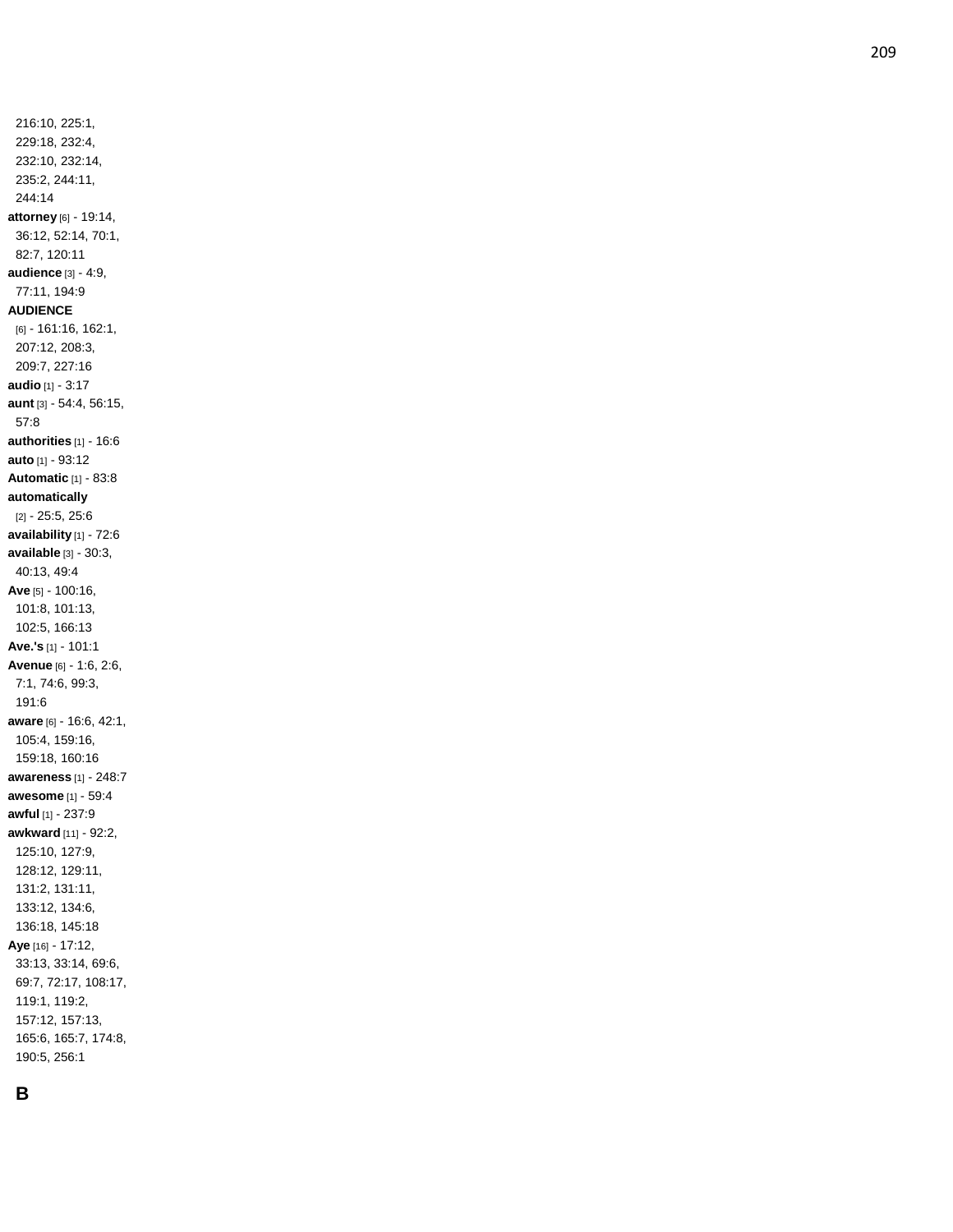216:10, 225:1, 229:18, 232:4, 232:10, 232:14, 235:2, 244:11, 244:14 **attorney** [6] - 19:14, 36:12, 52:14, 70:1, 82:7, 120:11 **audience** [3] - 4:9, 77:11, 194:9 **AUDIENCE** [6] - 161:16, 162:1, 207:12, 208:3, 209:7, 227:16 **audio** [1] - 3:17 **aunt** [3] - 54:4, 56:15, 57:8 **authorities** [1] - 16:6 **auto** [1] - 93:12 **Automatic** [1] - 83:8 **automatically** [2] - 25:5, 25:6 **availability** [1] - 72:6 **available** [3] - 30:3, 40:13, 49:4 **Ave** [5] - 100:16, 101:8, 101:13, 102:5, 166:13 **Ave.'s** [1] - 101:1 **Avenue** [6] - 1:6, 2:6, 7:1, 74:6, 99:3, 191:6 **aware** [6] - 16:6, 42:1, 105:4, 159:16, 159:18, 160:16 **awareness** [1] - 248:7 **awesome** [1] - 59:4 **awful** [1] - 237:9 **awkward** [11] - 92:2, 125:10, 127:9, 128:12, 129:11, 131:2, 131:11, 133:12, 134:6, 136:18, 145:18 **Aye** [16] - 17:12, 33:13, 33:14, 69:6, 69:7, 72:17, 108:17, 119:1, 119:2, 157:12, 157:13, 165:6, 165:7, 174:8, 190:5, 256:1

## **B**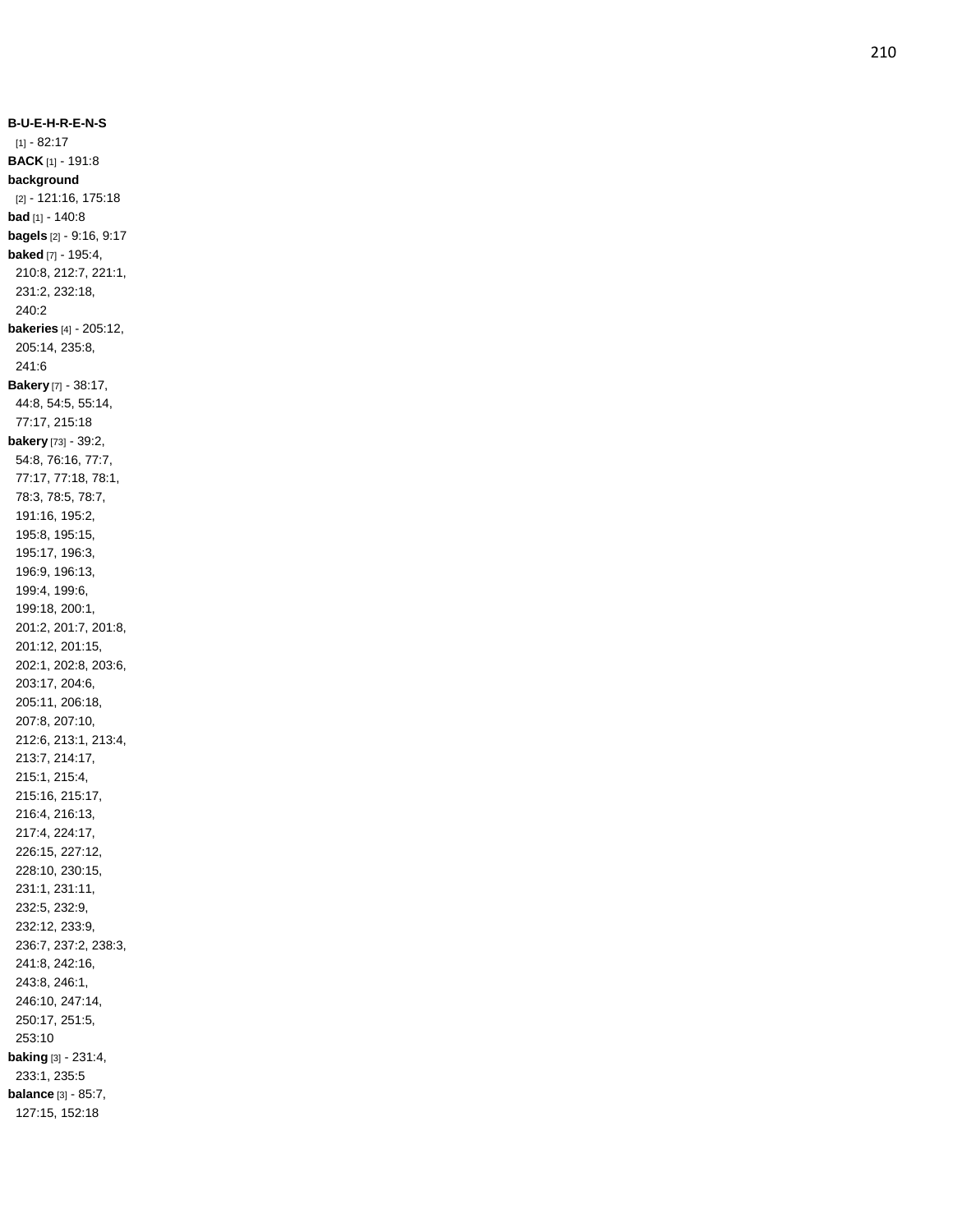**B - U - E - H - R - E - N - S**  $[1] - 82:17$ **BACK** [1] - 191:8 **background** [2] - 121:16, 175:18 **bad** [1] - 140:8 **bagels** [2] - 9:16, 9:17 **baked** [7] - 195:4, 210:8, 212:7, 221:1, 231:2, 232:18, 240:2 **bakeries** [4] - 205:12, 205:14, 235:8, 241:6 **Bakery** [7] - 38:17, 44:8, 54:5, 55:14, 77:17, 215:18 **bakery** [73] - 39:2, 54:8, 76:16, 77:7, 77:17, 77:18, 78:1, 78:3, 78:5, 78:7, 191:16, 195:2, 195:8, 195:15, 195:17, 196:3, 196:9, 196:13, 199:4, 199:6, 199:18, 200:1, 201:2, 201:7, 201:8, 201:12, 201:15, 202:1, 202:8, 203:6, 203:17, 204:6, 205:11, 206:18, 207:8, 207:10, 212:6, 213:1, 213:4, 213:7, 214:17, 215:1, 215:4, 215:16, 215:17, 216:4, 216:13, 217:4, 224:17, 226:15, 227:12, 228:10, 230:15, 231:1, 231:11, 232:5, 232:9, 232:12, 233:9, 236:7, 237:2, 238:3, 241:8, 242:16, 243:8, 246:1, 246:10, 247:14, 250:17, 251:5, 253:10 **baking** [3] - 231:4, 233:1, 235:5 **balance** [3] - 85:7, 127:15, 152:18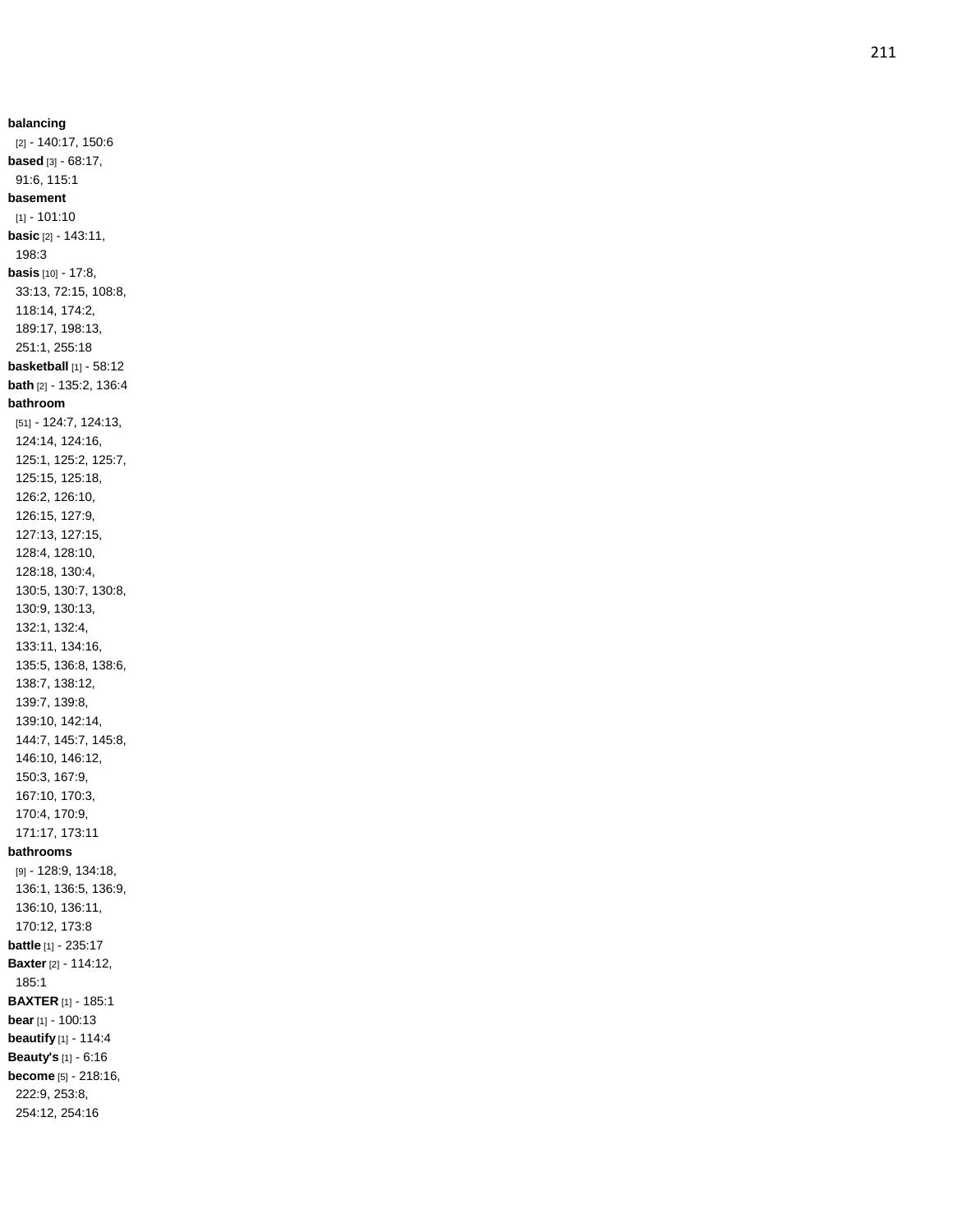**balancing** [2] - 140:17, 150:6 **based** [3] - 68:17, 91:6, 115:1 **basement** [1] - 101:10 **basic** [2] - 143:11, 198:3 **basis** [10] - 17:8, 33:13, 72:15, 108:8, 118:14, 174:2, 189:17, 198:13, 251:1, 255:18 **basketball** [1] - 58:12 **bath** [2] - 135:2, 136:4 **bathroom** [51] - 124:7, 124:13, 124:14, 124:16, 125:1, 125:2, 125:7, 125:15, 125:18, 126:2, 126:10, 126:15, 127:9, 127:13, 127:15, 128:4, 128:10, 128:18, 130:4, 130:5, 130:7, 130:8, 130:9, 130:13, 132:1, 132:4, 133:11, 134:16, 135:5, 136:8, 138:6, 138:7, 138:12, 139:7, 139:8, 139:10, 142:14, 144:7, 145:7, 145:8, 146:10, 146:12, 150:3, 167:9, 167:10, 170:3, 170:4, 170:9, 171:17, 173:11 **bathrooms** [9] - 128:9, 134:18, 136:1, 136:5, 136:9, 136:10, 136:11, 170:12, 173:8 **battle** [1] - 235:17 **Baxter** [2] - 114:12, 185:1 **BAXTER** [1] - 185:1 **bear** [1] - 100:13 **beautify** [1] - 114:4 **Beauty's** [1] - 6:16 **become** [5] - 218:16, 222:9, 253:8, 254:12, 254:16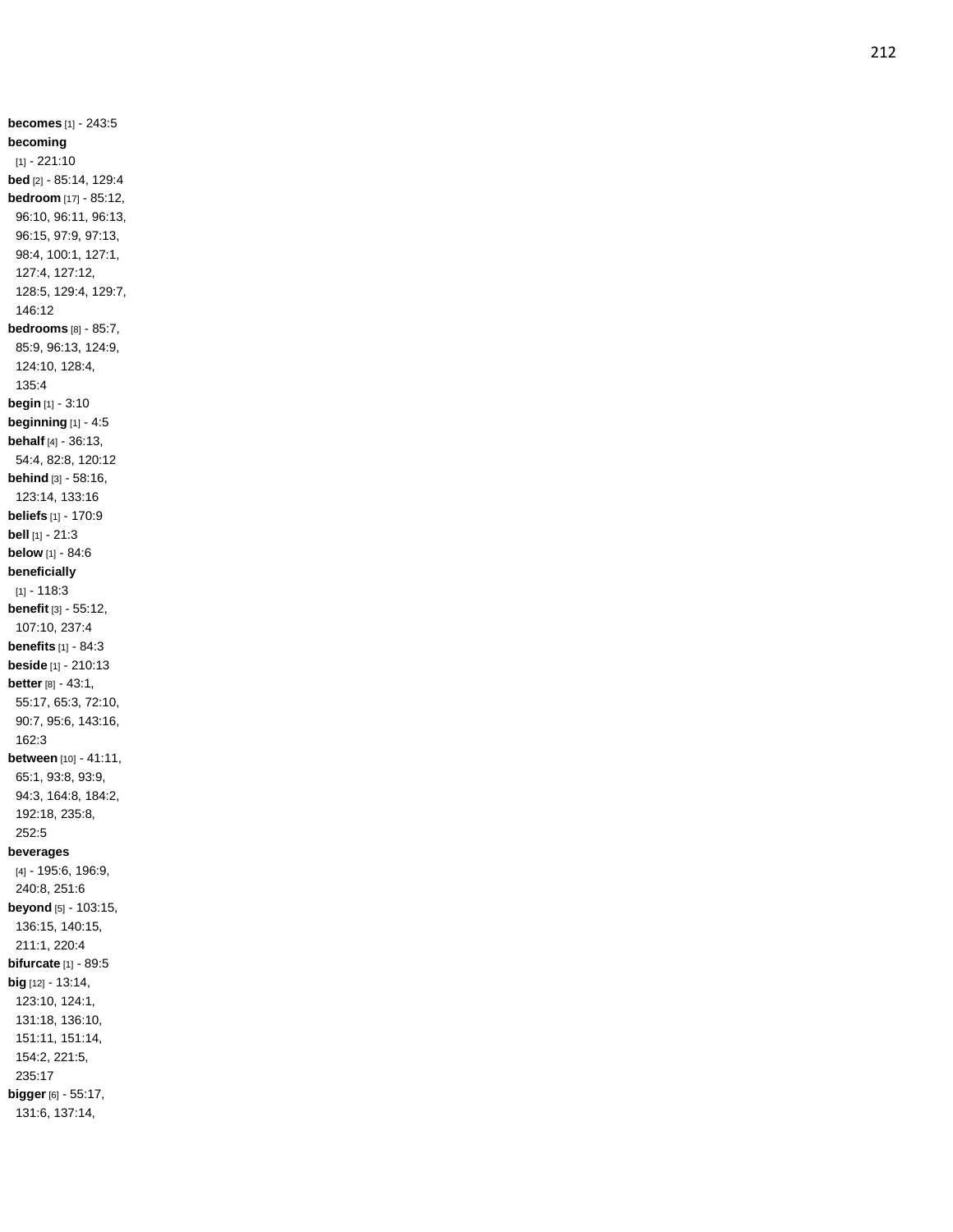**becomes** [1] - 243:5 **becoming** [1] - 221:10 **bed** [2] - 85:14, 129:4 **bedroom** [17] - 85:12, 96:10, 96:11, 96:13, 96:15, 97:9, 97:13, 98:4, 100:1, 127:1, 127:4, 127:12, 128:5, 129:4, 129:7, 146:12 **bedrooms** [8] - 85:7, 85:9, 96:13, 124:9, 124:10, 128:4, 135:4 **begin** [1] - 3:10 **beginning** [1] - 4:5 **behalf** [4] - 36:13, 54:4, 82:8, 120:12 **behind** [3] - 58:16, 123:14, 133:16 **beliefs** [1] - 170:9 **bell** [1] - 21:3 **below** [1] - 84:6 **beneficially**  $[1] - 118:3$ **benefit** [3] - 55:12, 107:10, 237:4 **benefits** [1] - 84:3 **beside** [1] - 210:13 **better** [8] - 43:1, 55:17, 65:3, 72:10, 90:7, 95:6, 143:16, 162:3 **between** [10] - 41:11, 65:1, 93:8, 93:9, 94:3, 164:8, 184:2, 192:18, 235:8, 252:5 **beverages** [4] - 195:6, 196:9, 240:8, 251:6 **beyond** [5] - 103:15, 136:15, 140:15, 211:1, 220:4 **bifurcate** [1] - 89:5 **big** [12] - 13:14, 123:10, 124:1, 131:18, 136:10, 151:11, 151:14, 154:2, 221:5, 235:17 **bigger** [6] - 55:17, 131:6, 137:14,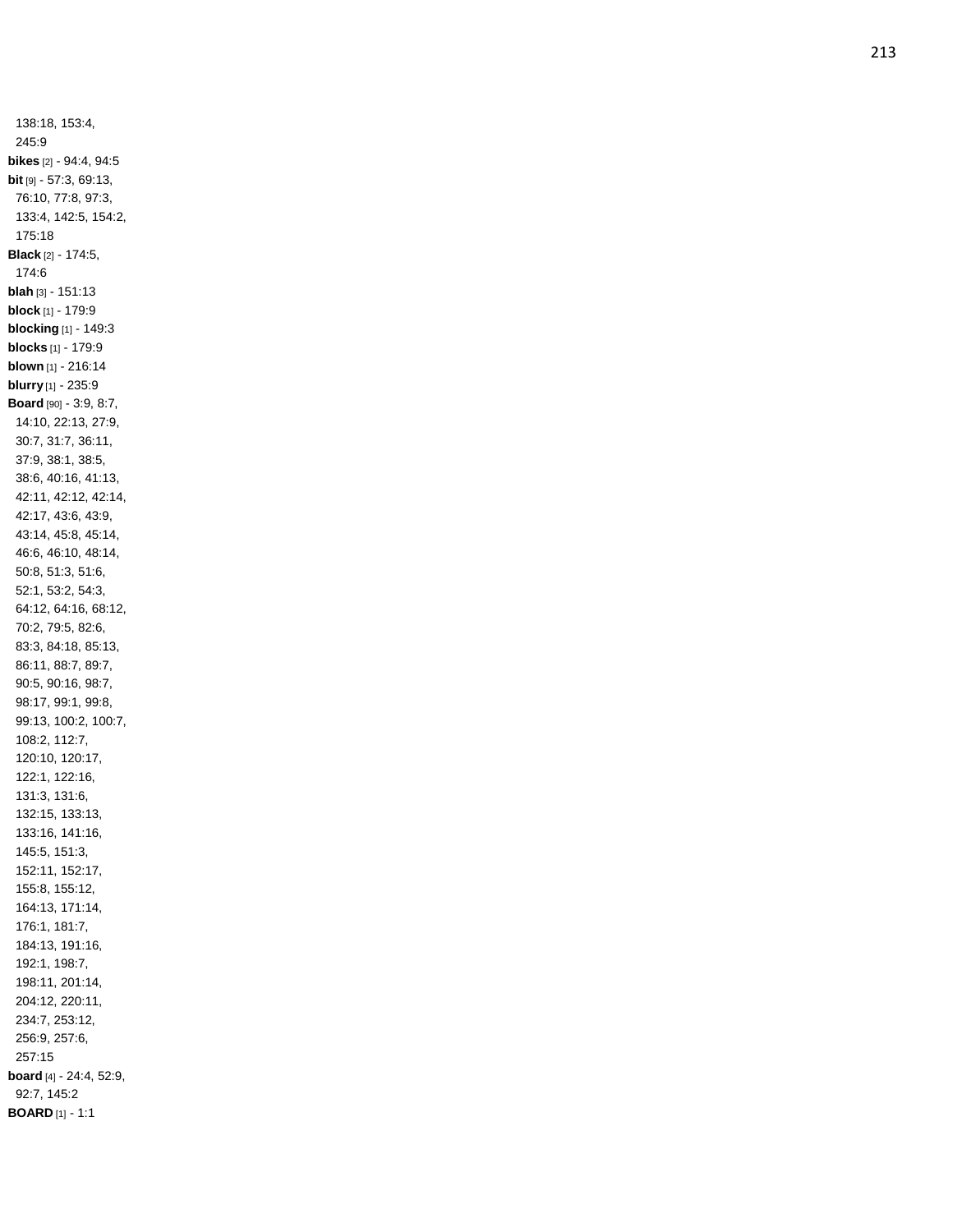138:18, 153:4, 245:9 **bikes** [2] - 94:4, 94:5 **bit** [9] - 57:3, 69:13, 76:10, 77:8, 97:3, 133:4, 142:5, 154:2, 175:18 **Black** [2] - 174:5, 174:6 **blah** [3] - 151:13 **block** [1] - 179:9 **blocking** [1] - 149:3 **blocks** [1] - 179:9 **blown** [1] - 216:14 **blurry** [1] - 235:9 **Board** [90] - 3:9, 8:7, 14:10, 22:13, 27:9, 30:7, 31:7, 36:11, 37:9, 38:1, 38:5, 38:6, 40:16, 41:13, 42:11, 42:12, 42:14, 42:17, 43:6, 43:9, 43:14, 45:8, 45:14, 46:6, 46:10, 48:14, 50:8, 51:3, 51:6, 52:1, 53:2, 54:3, 64:12, 64:16, 68:12, 70:2, 79:5, 82:6, 83:3, 84:18, 85:13, 86:11, 88:7, 89:7, 90:5, 90:16, 98:7, 98:17, 99:1, 99:8, 99:13, 100:2, 100:7, 108:2, 112:7, 120:10, 120:17, 122:1, 122:16, 131:3, 131:6, 132:15, 133:13, 133:16, 141:16, 145:5, 151:3, 152:11, 152:17, 155:8, 155:12, 164:13, 171:14, 176:1, 181:7, 184:13, 191:16, 192:1, 198:7, 198:11, 201:14, 204:12, 220:11, 234:7, 253:12, 256:9, 257:6, 257:15 **board** [4] - 24:4, 52:9, 92:7, 145:2 **BOARD** [1] - 1:1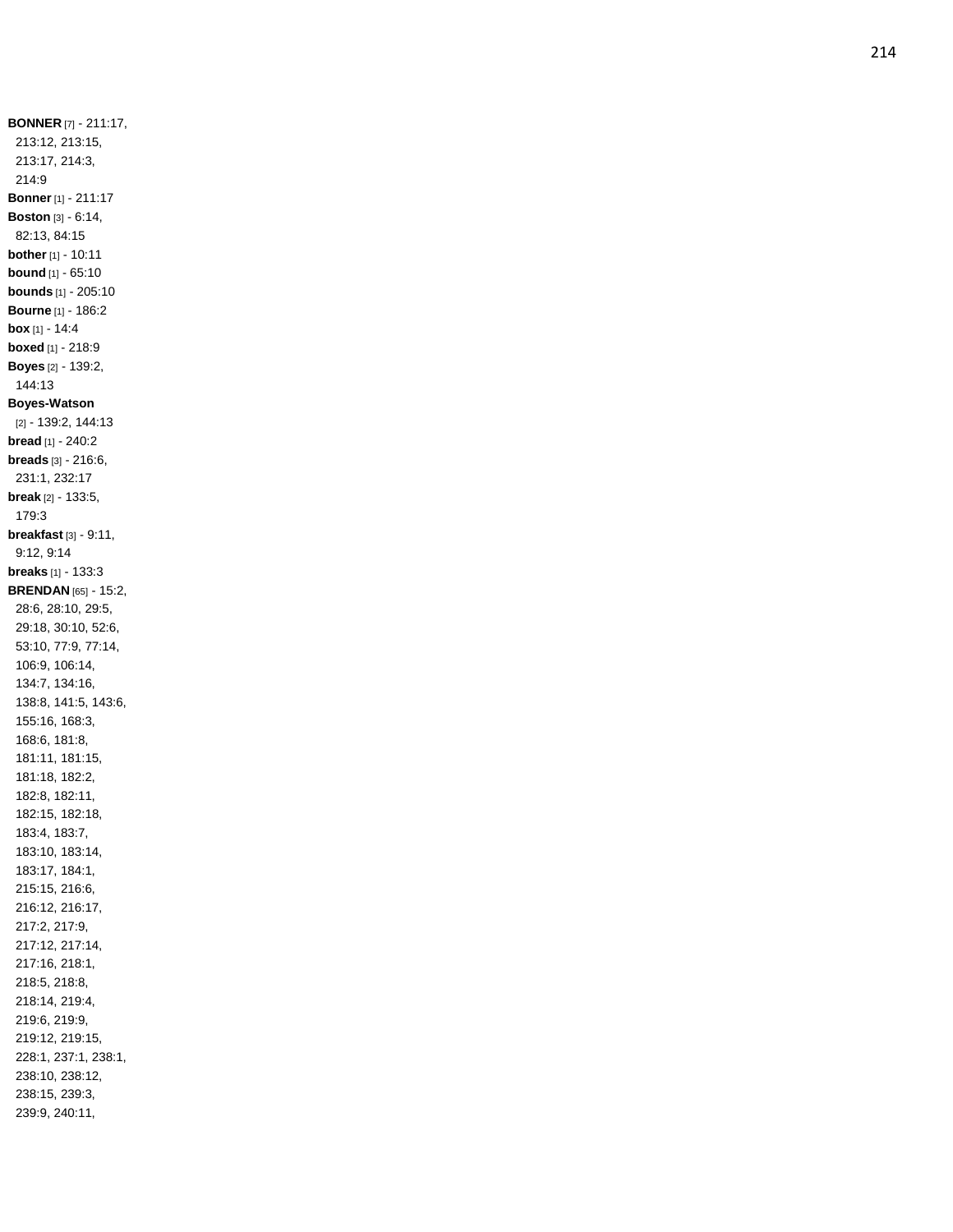**BONNER** [7] - 211:17, 213:12, 213:15, 213:17, 214:3, 214:9 **Bonner** [1] - 211:17 **Boston** [3] - 6:14, 82:13, 84:15 **bother** [1] - 10:11 **bound** [1] - 65:10 **bounds** [1] - 205:10 **Bourne** [1] - 186:2 **box** [1] - 14:4 **boxed** [1] - 218:9 **Boyes** [2] - 139:2, 144:13 **Boyes -Watson** [2] - 139:2, 144:13 **bread** [1] - 240:2 **breads** [3] - 216:6, 231:1, 232:17 **break** [2] - 133:5, 179:3 **breakfast** [3] - 9:11, 9:12, 9:14 **breaks** [1] - 133:3 **BRENDAN** [65] - 15:2, 28:6, 28:10, 29:5, 29:18, 30:10, 52:6, 53:10, 77:9, 77:14, 106:9, 106:14, 134:7, 134:16, 138:8, 141:5, 143:6, 155:16, 168:3, 168:6, 181:8, 181:11, 181:15, 181:18, 182:2, 182:8, 182:11, 182:15, 182:18, 183:4, 183:7, 183:10, 183:14, 183:17, 184:1, 215:15, 216:6, 216:12, 216:17, 217:2, 217:9, 217:12, 217:14, 217:16, 218:1, 218:5, 218:8, 218:14, 219:4, 219:6, 219:9, 219:12, 219:15, 228:1, 237:1, 238:1, 238:10, 238:12, 238:15, 239:3, 239:9, 240:11,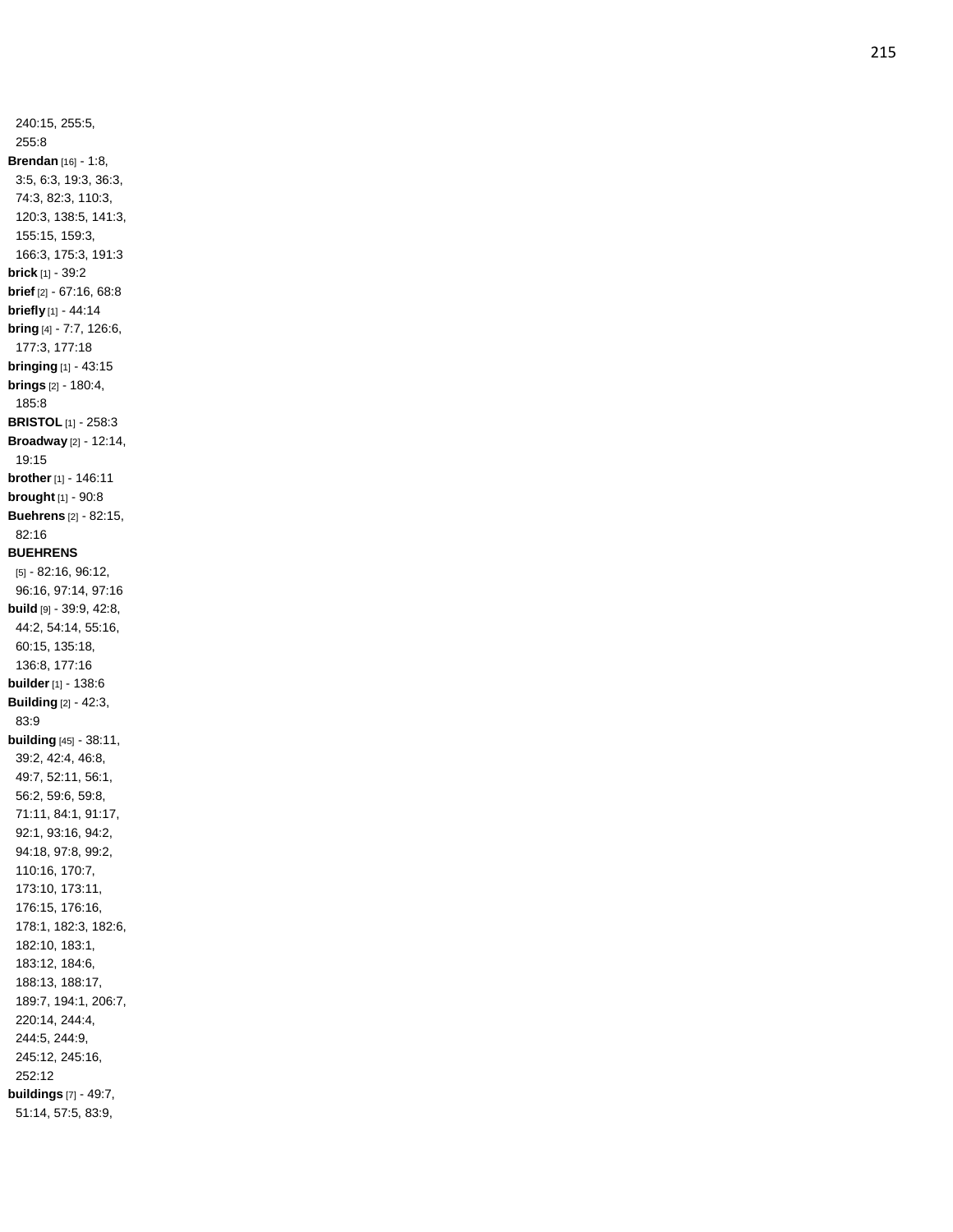240:15, 255:5, 255:8 **Brendan** [16] - 1:8, 3:5, 6:3, 19:3, 36:3, 74:3, 82:3, 110:3, 120:3, 138:5, 141:3, 155:15, 159:3, 166:3, 175:3, 191:3 **brick** [1] - 39:2 **brief** [2] - 67:16, 68:8 **briefly** [1] - 44:14 **bring** [4] - 7:7, 126:6, 177:3, 177:18 **bringing** [1] - 43:15 **brings** [2] - 180:4, 185:8 **BRISTOL** [1] - 258:3 **Broadway** [2] - 12:14, 19:15 **brother** [1] - 146:11 **brought** [1] - 90:8 **Buehrens** [2] - 82:15, 82:16 **BUEHRENS** [5] - 82:16, 96:12, 96:16, 97:14, 97:16 **build** [9] - 39:9, 42:8, 44:2, 54:14, 55:16, 60:15, 135:18, 136:8, 177:16 **builder** [1] - 138:6 **Building** [2] - 42:3, 83:9 **building** [45] - 38:11, 39:2, 42:4, 46:8, 49:7, 52:11, 56:1, 56:2, 59:6, 59:8, 71:11, 84:1, 91:17, 92:1, 93:16, 94:2, 94:18, 97:8, 99:2, 110:16, 170:7, 173:10, 173:11, 176:15, 176:16, 178:1, 182:3, 182:6, 182:10, 183:1, 183:12, 184:6, 188:13, 188:17, 189:7, 194:1, 206:7, 220:14, 244:4, 244:5, 244:9, 245:12, 245:16, 252:12 **buildings** [7] - 49:7, 51:14, 57:5, 83:9,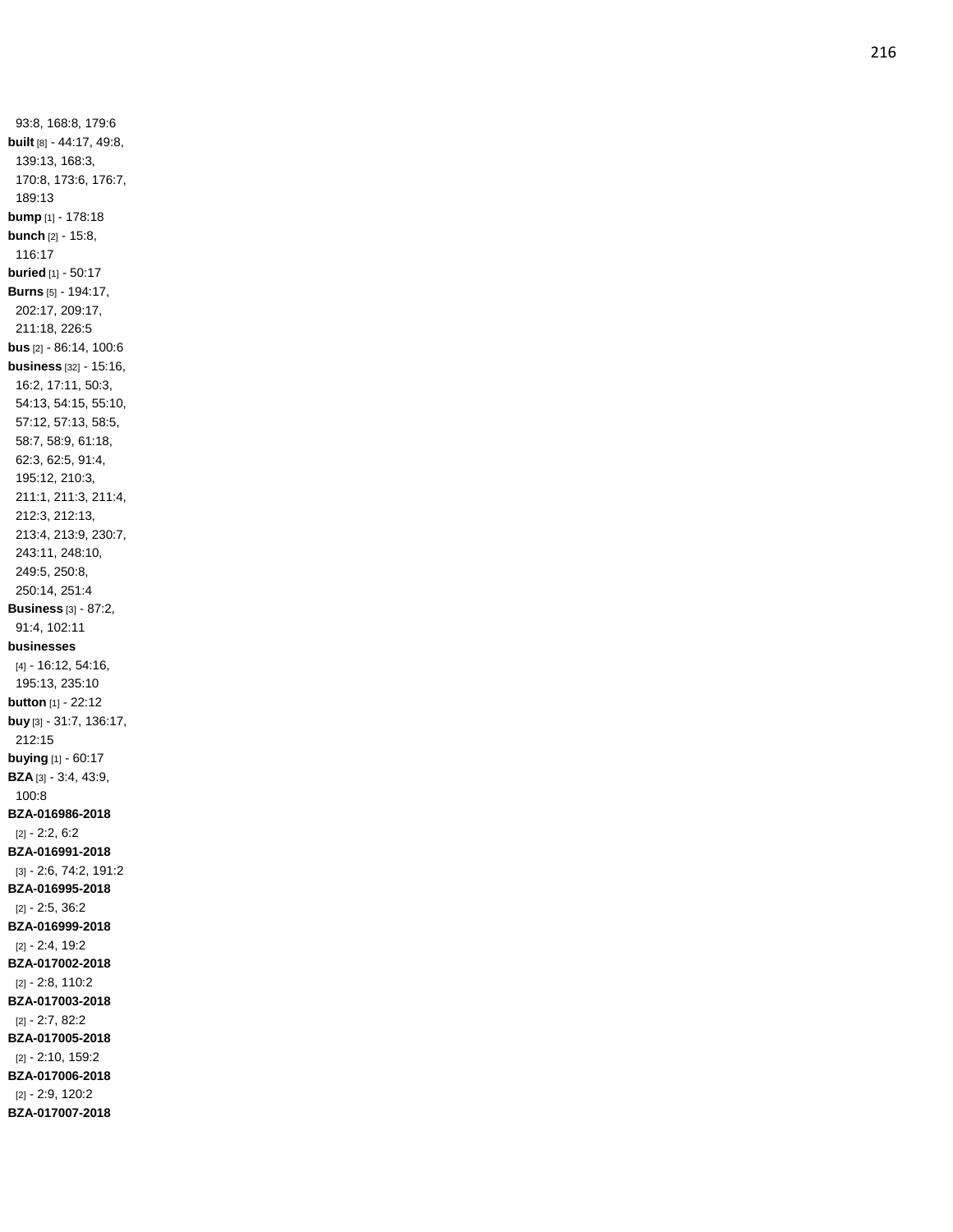93:8, 168:8, 179:6 **built** [8] - 44:17, 49:8, 139:13, 168:3, 170:8, 173:6, 176:7, 189:13 **bump** [1] - 178:18 **bunch** [2] - 15:8, 116:17 **buried** [1] - 50:17 **Burns** [5] - 194:17, 202:17, 209:17, 211:18, 226:5 **bus** [2] - 86:14, 100:6 **business** [32] - 15:16, 16:2, 17:11, 50:3, 54:13, 54:15, 55:10, 57:12, 57:13, 58:5, 58:7, 58:9, 61:18, 62:3, 62:5, 91:4, 195:12, 210:3, 211:1, 211:3, 211:4, 212:3, 212:13, 213:4, 213:9, 230:7, 243:11, 248:10, 249:5, 250:8, 250:14, 251:4 **Business** [3] - 87:2, 91:4, 102:11 **businesses** [4] - 16:12, 54:16, 195:13, 235:10 **button** [1] - 22:12 **buy** [3] - 31:7, 136:17, 212:15 **buying** [1] - 60:17 **BZA** [3] - 3:4, 43:9, 100:8 **BZA -016986 -2018** [2] - 2:2, 6:2 **BZA -016991 -2018** [3] - 2:6, 74:2, 191:2 **BZA -016995 -2018** [2] - 2:5, 36:2 **BZA -016999 -2018** [2] - 2:4, 19:2 **BZA -017002 -2018** [2] - 2:8, 110:2 **BZA -017003 -2018** [2] - 2:7, 82:2 **BZA -017005 -2018** [2] - 2:10, 159:2 **BZA -017006 -2018** [2] - 2:9, 120:2 **BZA -017007 -2018**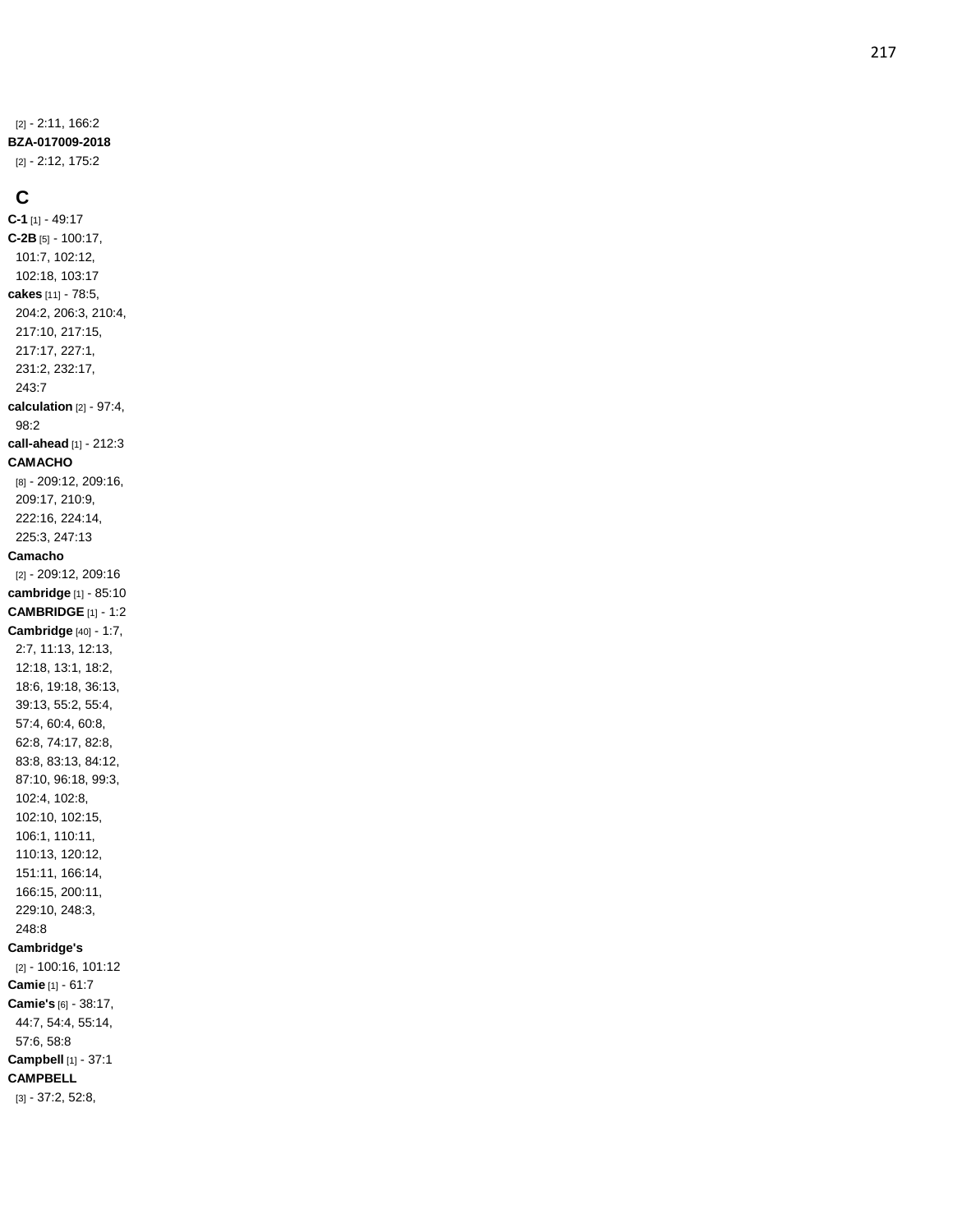[2] - 2:11, 166:2 **BZA -017009 -2018** [2] - 2:12, 175:2

## **C**

**C - 1** [1] - 49:17 **C -2B** [5] - 100:17, 101:7, 102:12, 102:18, 103:17 **cakes** [11] - 78:5, 204:2, 206:3, 210:4, 217:10, 217:15, 217:17, 227:1, 231:2, 232:17, 243:7 **calculation** [2] - 97:4, 98:2 **call -ahead** [1] - 212:3 **CAMACHO** [8] - 209:12, 209:16, 209:17, 210:9, 222:16, 224:14, 225:3, 247:13 **Camacho** [2] - 209:12, 209:16 **cambridge** [1] - 85:10 **CAMBRIDGE** [1] - 1:2 **Cambridge** [40] - 1:7, 2:7, 11:13, 12:13, 12:18, 13:1, 18:2, 18:6, 19:18, 36:13, 39:13, 55:2, 55:4, 57:4, 60:4, 60:8, 62:8, 74:17, 82:8, 83:8, 83:13, 84:12, 87:10, 96:18, 99:3, 102:4, 102:8, 102:10, 102:15, 106:1, 110:11, 110:13, 120:12, 151:11, 166:14, 166:15, 200:11, 229:10, 248:3, 248:8 **Cambridge's** [2] - 100:16, 101:12 **Camie** [1] - 61:7 **Camie's** [6] - 38:17, 44:7, 54:4, 55:14, 57:6, 58:8 **Campbell** [1] - 37:1 **CAMPBELL** [3] - 37:2, 52:8,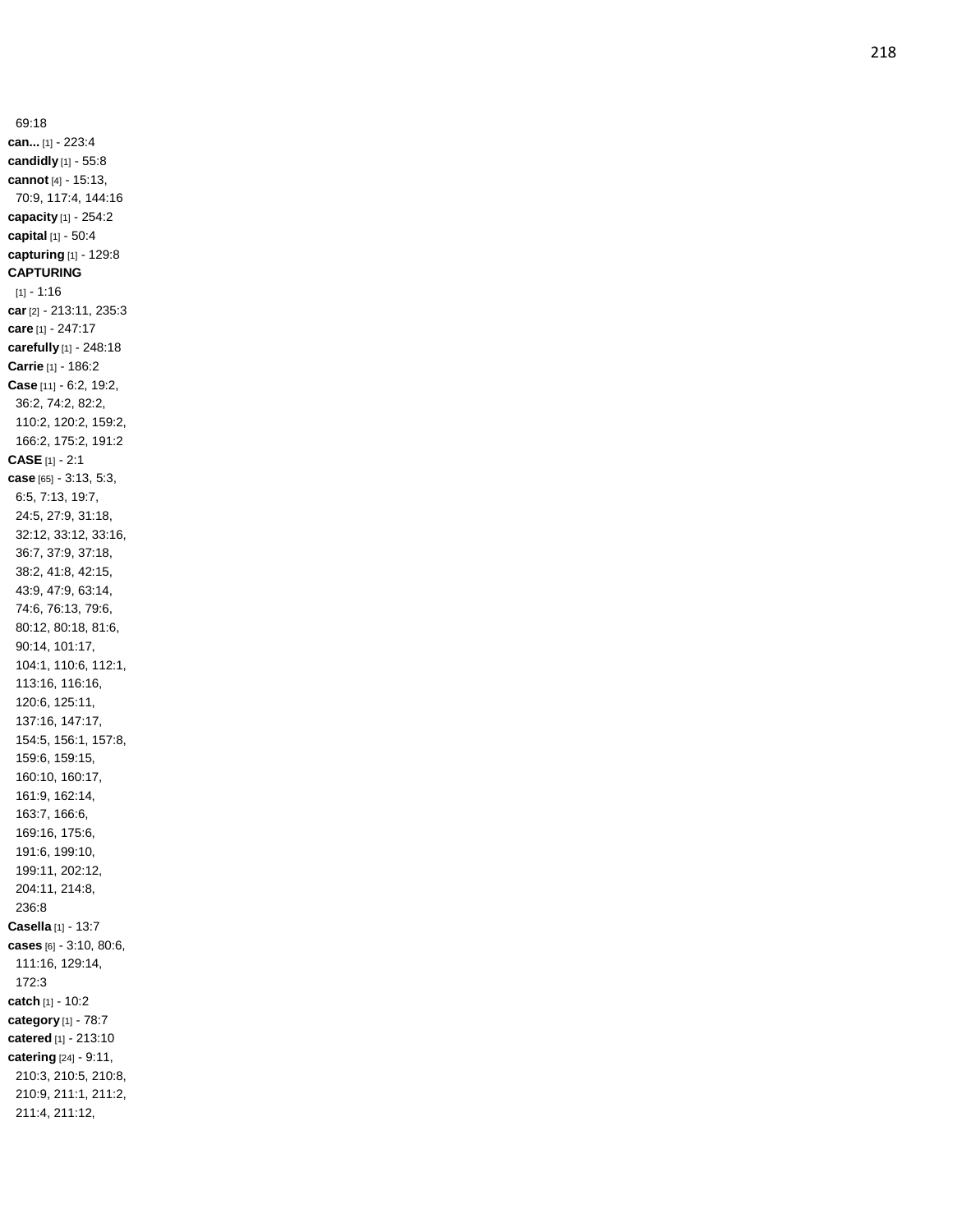69:18 **can...** [1] - 223:4 **candidly** [1] - 55:8 **cannot** [4] - 15:13, 70:9, 117:4, 144:16 **capacity** [1] - 254:2 **capital** [1] - 50:4 **capturing** [1] - 129:8 **CAPTURING** [1] - 1:16 **car** [2] - 213:11, 235:3 **care** [1] - 247:17 **carefully** [1] - 248:18 **Carrie** [1] - 186:2 **Case** [11] - 6:2, 19:2, 36:2, 74:2, 82:2, 110:2, 120:2, 159:2, 166:2, 175:2, 191:2 **CASE** [1] - 2:1 **case** [65] - 3:13, 5:3, 6:5, 7:13, 19:7, 24:5, 27:9, 31:18, 32:12, 33:12, 33:16, 36:7, 37:9, 37:18, 38:2, 41:8, 42:15, 43:9, 47:9, 63:14, 74:6, 76:13, 79:6, 80:12, 80:18, 81:6, 90:14, 101:17, 104:1, 110:6, 112:1, 113:16, 116:16, 120:6, 125:11, 137:16, 147:17, 154:5, 156:1, 157:8, 159:6, 159:15, 160:10, 160:17, 161:9, 162:14, 163:7, 166:6, 169:16, 175:6, 191:6, 199:10, 199:11, 202:12, 204:11, 214:8, 236:8 **Casella** [1] - 13:7 **cases** [6] - 3:10, 80:6, 111:16, 129:14, 172:3 **catch** [1] - 10:2 **category** [1] - 78: 7 **catered** [1] - 213:10 **catering** [24] - 9:11, 210:3, 210:5, 210:8, 210:9, 211:1, 211:2, 211:4, 211:12,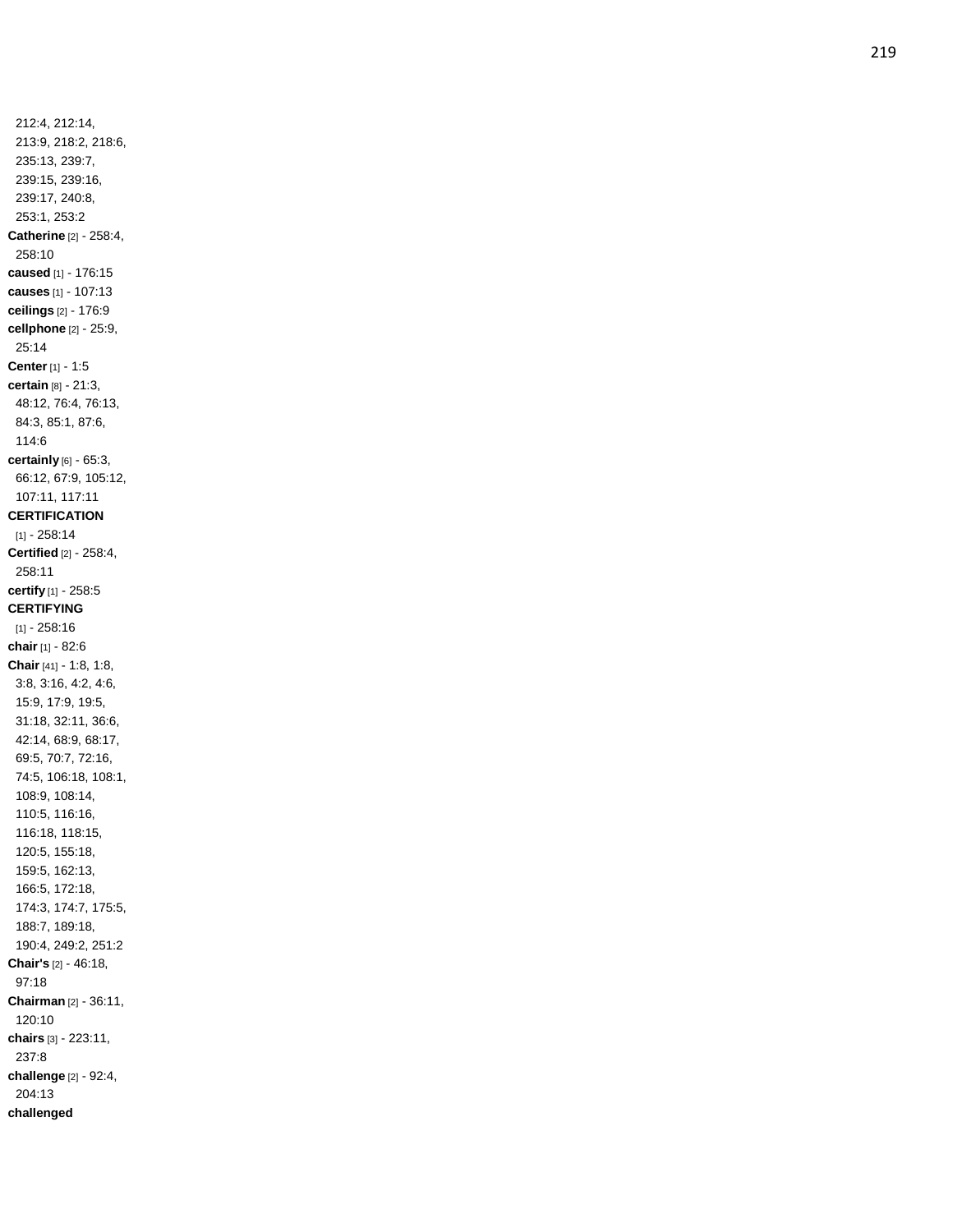212:4, 212:14, 213:9, 218:2, 218:6, 235:13, 239:7, 239:15, 239:16, 239:17, 240:8, 253:1, 253:2 **Catherine** [2] - 258:4, 258:10 **caused** [1] - 176:15 **causes** [1] - 107:13 **ceilings** [2] - 176:9 **cellphone** [2] - 25:9, 25:14 **Center** [1] - 1:5 **certain** [8] - 21:3, 48:12, 76:4, 76:13, 84:3, 85:1, 87:6, 114:6 **certainly** [6] - 65:3, 66:12, 67:9, 105:12, 107:11, 117:11 **CERTIFICATION** [1] - 258:14 **Certified** [2] - 258:4, 258:11 **certify** [1] - 258:5 **CERTIFYING** [1] - 258:16 **chair** [1] - 82:6 **Chair** [41] - 1:8, 1:8, 3:8, 3:16, 4:2, 4:6, 15:9, 17:9, 19:5, 31:18, 32:11, 36:6, 42:14, 68:9, 68:17, 69:5, 70:7, 72:16, 74:5, 106:18, 108:1, 108:9, 108:14, 110:5, 116:16, 116:18, 118:15, 120:5, 155:18, 159:5, 162:13, 166:5, 172:18, 174:3, 174:7, 175:5, 188:7, 189:18, 190:4, 249:2, 251:2 **Chair's** [2] - 46:18, 97:18 **Chairman** [2] - 36:11, 120:10 **chairs** [3] - 223:11, 237:8 **challenge** [2] - 92:4, 204:13 **challenged**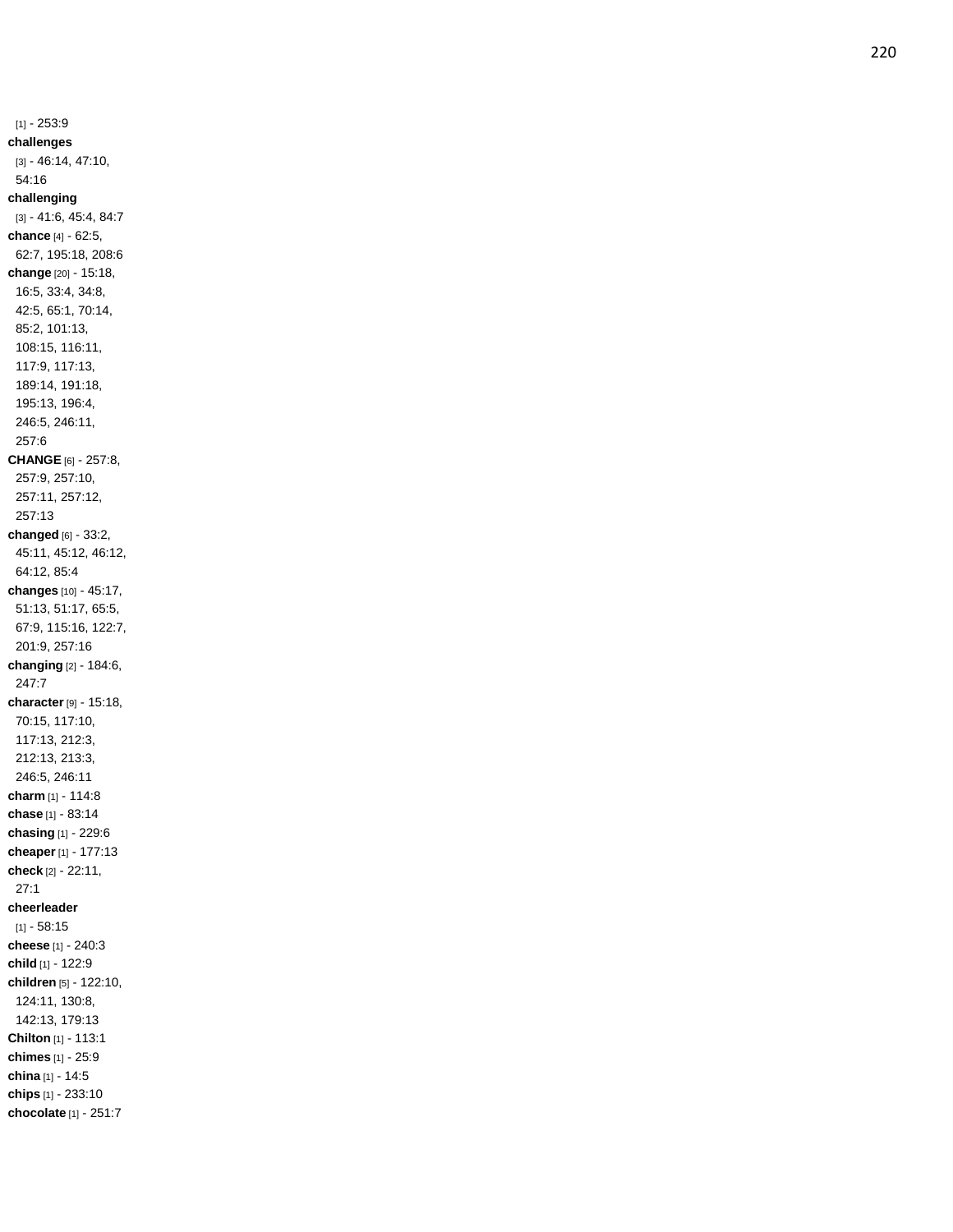[1] - 253:9 **challenges** [3] - 46:14, 47:10, 54:16 **challenging** [3] - 41:6, 45:4, 84:7 **chance** [4] - 62:5, 62:7, 195:18, 208:6 **change** [20] - 15:18, 16:5, 33:4, 34:8, 42:5, 65:1, 70:14, 85:2, 101:13, 108:15, 116:11, 117:9, 117:13, 189:14, 191:18, 195:13, 196:4, 246:5, 246:11, 257:6 **CHANGE** [6] - 257:8, 257:9, 257:10, 257:11, 257:12, 257:13 **changed** [6] - 33:2, 45:11, 45:12, 46:12, 64:12, 85:4 **changes** [10] - 45:17, 51:13, 51:17, 65:5, 67:9, 115:16, 122:7, 201:9, 257:16 **changing** [2] - 184:6, 247:7 **character** [9] - 15:18, 70:15, 117:10, 117:13, 212:3, 212:13, 213:3, 246:5, 246:11 **charm** [1] - 114:8 **chase** [1] - 83:14 **chasing** [1] - 229:6 **cheaper** [1] - 177:13 **check** [2] - 22:11, 27:1 **cheerleader**  $[1] - 58:15$ **cheese** [1] - 240:3 **child** [1] - 122:9 **children** [5] - 122:10, 124:11, 130:8, 142:13, 179:13 **Chilton** [1] - 113:1 **chimes** [1] - 25:9 **china** [1] - 14:5 **chips** [1] - 233:10 **chocolate** [1] - 251:7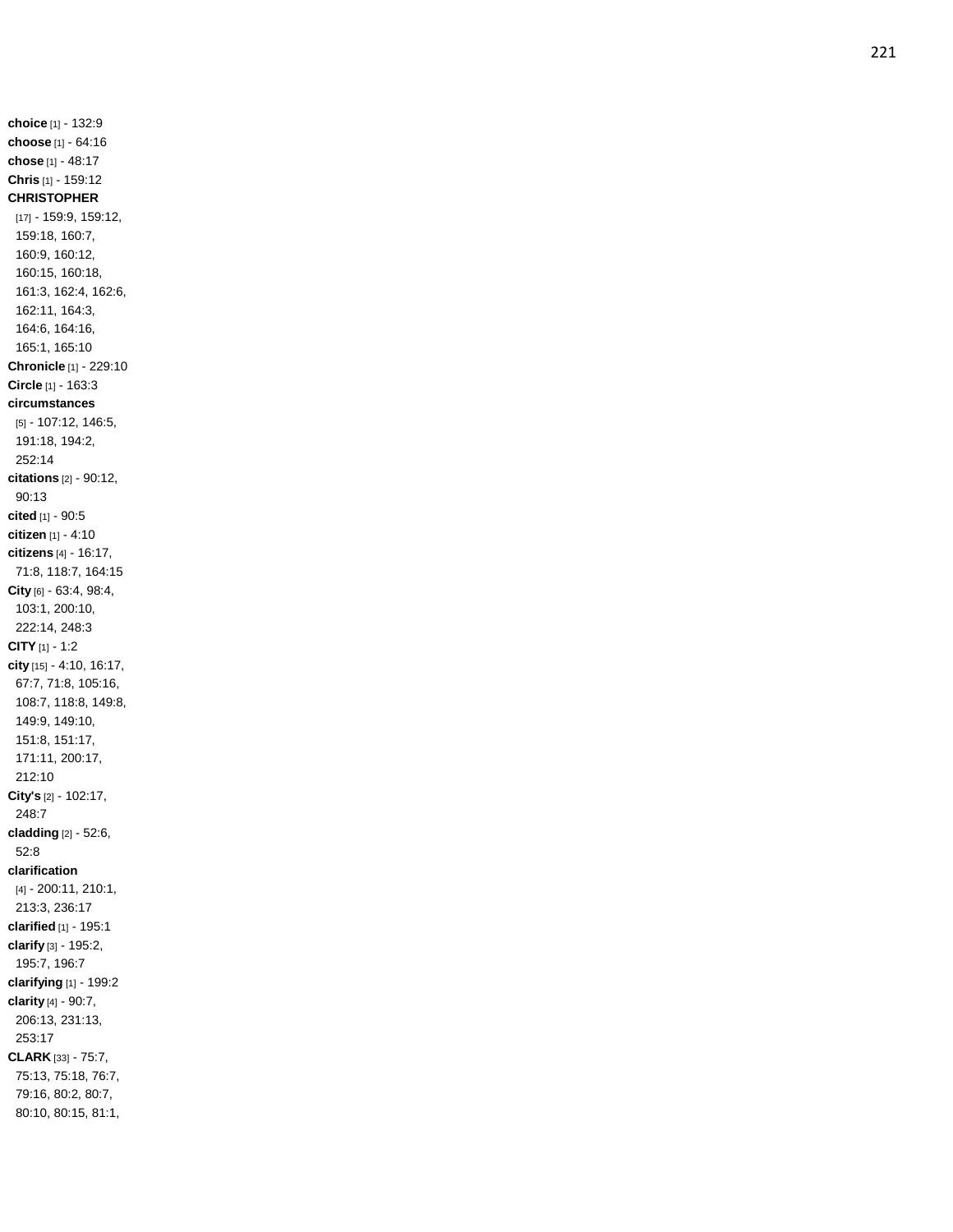**choice** [1] - 132:9 **choose** [1] - 64:16 **chose** [1] - 48:17 **Chris** [1] - 159:12 **CHRISTOPHER** [17] - 159:9, 159:12, 159:18, 160:7, 160:9, 160:12, 160:15, 160:18, 161:3, 162:4, 162:6, 162:11, 164:3, 164:6, 164:16, 165:1, 165:10 **Chronicle** [1] - 229:10 **Circle** [1] - 163:3 **circumstances** [5] - 107:12, 146:5, 191:18, 194:2, 252:14 **citations** [2] - 90:12, 90:13 **cited** [1] - 90:5 **citizen** [1] - 4:10 **citizens** [4] - 16:17, 71:8, 118:7, 164:15 **City** [6] - 63:4, 98:4, 103:1, 200:10, 222:14, 248:3 **CITY** [1] - 1:2 **city** [15] - 4:10, 16:17, 67:7, 71:8, 105:16, 108:7, 118:8, 149:8, 149:9, 149:10, 151:8, 151:17, 171:11, 200:17, 212:10 **City's** [2] - 102:17, 248:7 **cladding** [2] - 52:6, 52:8 **clarification** [4] - 200:11, 210:1, 213:3, 236:17 **clarified** [1] - 195:1 **clarify** [3] - 195:2, 195:7, 196:7 **clarifying** [1] - 199:2 **clarity** [4] - 90:7, 206:13, 231:13, 253:17 **CLARK** [33] - 75:7, 75:13, 75:18, 76:7, 79:16, 80:2, 80:7, 80:10, 80:15, 81:1,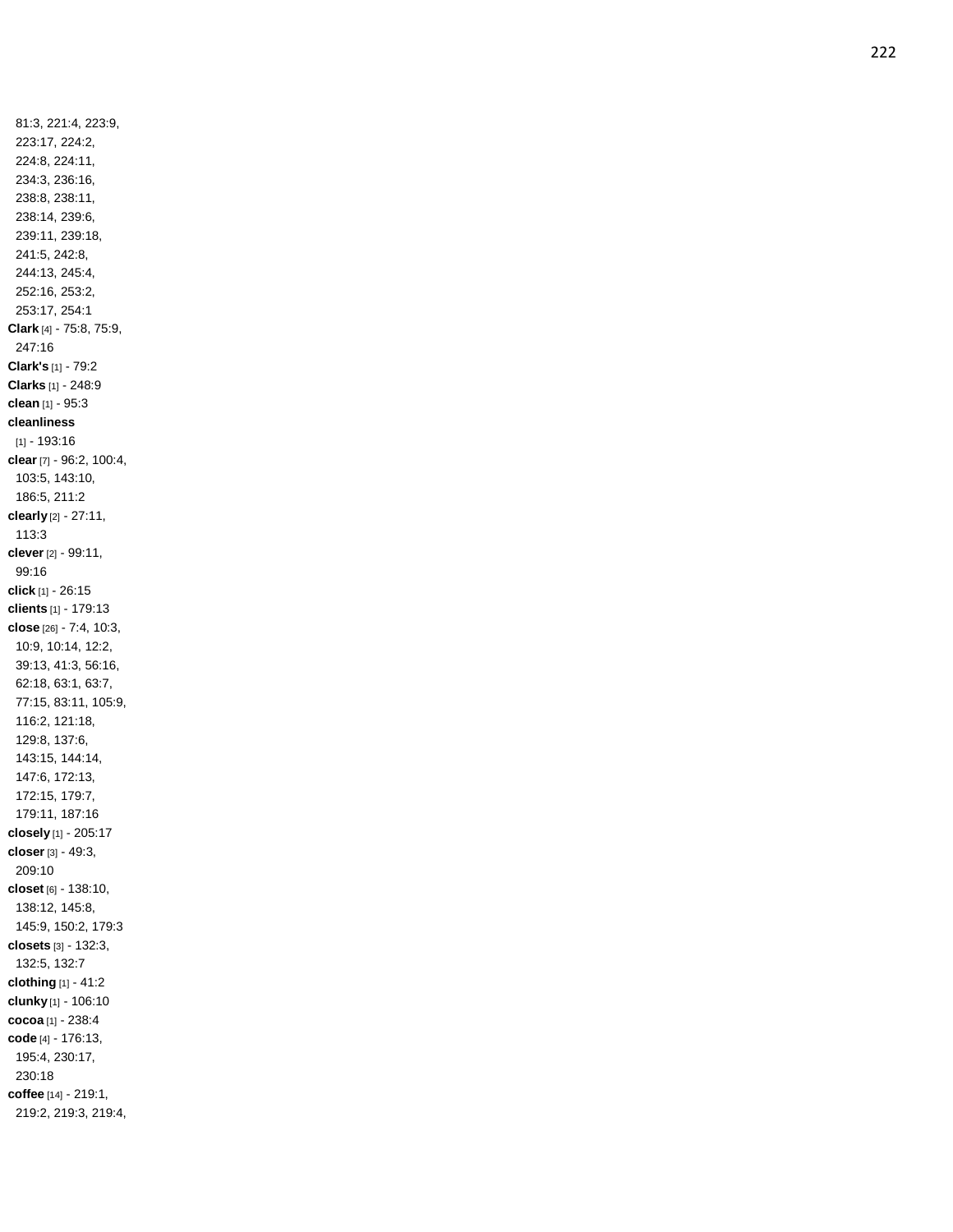81:3, 221:4, 223:9, 223:17, 224:2, 224:8, 224:11, 234:3, 236:16, 238:8, 238:11, 238:14, 239:6, 239:11, 239:18, 241:5, 242:8, 244:13, 245:4, 252:16, 253:2, 253:17, 254:1 **Clark** [4] - 75:8, 75:9, 247:16 **Clark's** [1] - 79:2 **Clarks** [1] - 248:9 **clean** [1] - 95:3 **cleanliness** [1] - 193:16 **clear** [7] - 96:2, 100:4, 103:5, 143:10, 186:5, 211:2 **clearly** [2] - 27:11, 113:3 **clever** [2] - 99:11, 99:16 **click** [1] - 26:15 **clients** [1] - 179:13 **close** [26] - 7:4, 10:3, 10:9, 10:14, 12:2, 39:13, 41:3, 56:16, 62:18, 63:1, 63:7, 77:15, 83:11, 105:9, 116:2, 121:18, 129:8, 137:6, 143:15, 144:14, 147:6, 172:13, 172:15, 179:7, 179:11, 187:16 **closely** [1] - 205:17 **closer** [3] - 49:3, 209:10 **closet** [6] - 138:10, 138:12, 145:8, 145:9, 150:2, 179:3 **closets** [3] - 132:3, 132:5, 132:7 **clothing** [1] - 41:2 **clunky** [1] - 106:10 **cocoa** [1] - 238:4 **code** [4] - 176:13, 195:4, 230:17, 230:18 **coffee** [14] - 219:1, 219:2, 219:3, 219:4,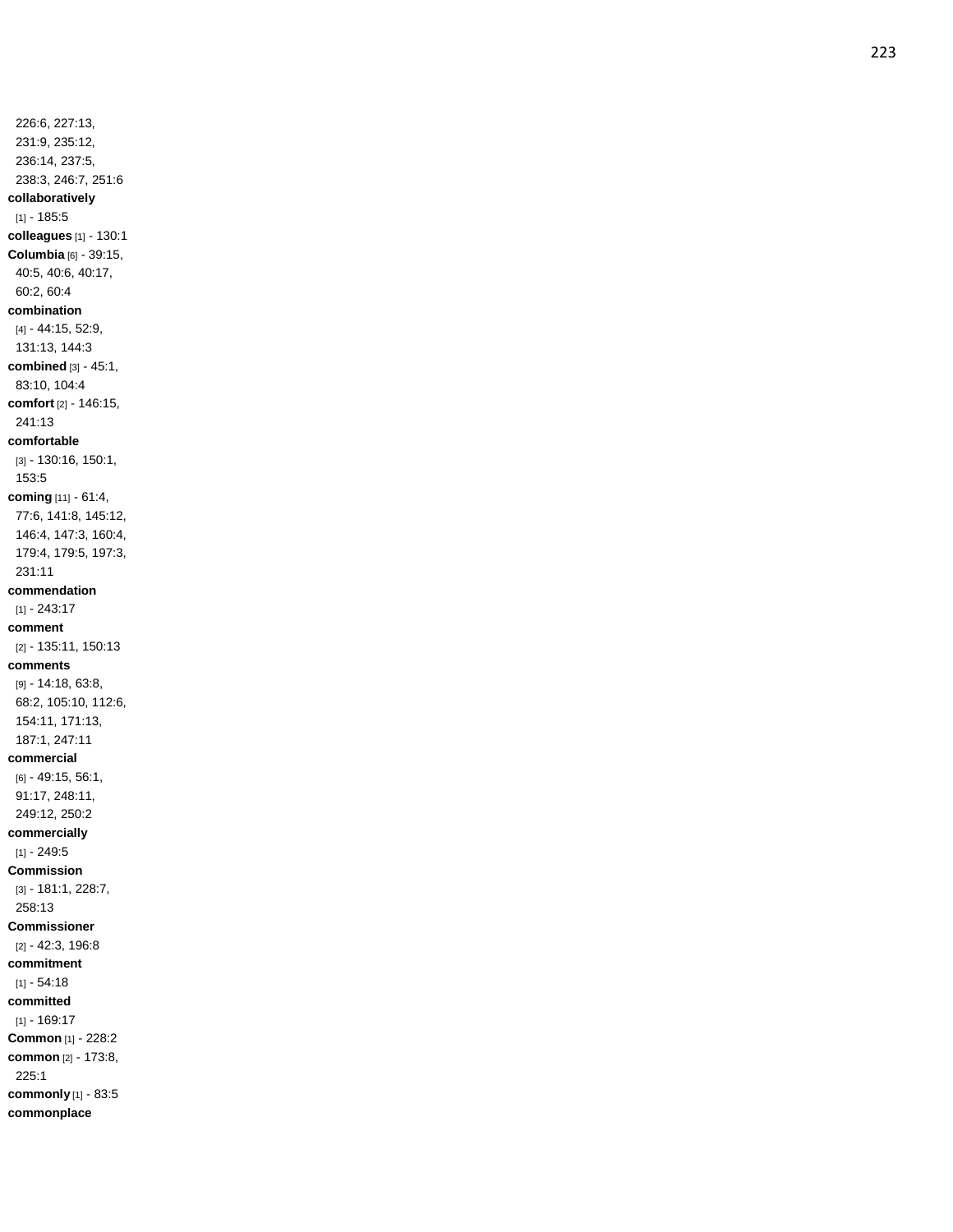226:6, 227:13, 231:9, 235:12, 236:14, 237:5, 238:3, 246:7, 251:6 **collaboratively**  $[1] - 185:5$ **colleagues** [1] - 130:1 **Columbia** [6] - 39:15, 40:5, 40:6, 40:17, 60:2, 60:4 **combination** [4] - 44:15, 52:9, 131:13, 144:3 **combined** [3] - 45:1, 83:10, 104:4 **comfort** [2] - 146:15, 241:13 **comfortable** [3] - 130:16, 150:1, 153:5 **coming** [11] - 61:4, 77:6, 141:8, 145:12, 146:4, 147:3, 160:4, 179:4, 179:5, 197:3, 231:11 **commendation** [1] - 243:17 **comment** [2] - 135:11, 150:13 **comments** [9] - 14:18, 63:8, 68:2, 105:10, 112:6, 154:11, 171:13, 187:1, 247:11 **commercial** [6] - 49:15, 56:1, 91:17, 248:11, 249:12, 250:2 **commercially** [1] - 249:5 **Commission** [3] - 181:1, 228:7, 258:13 **Commissioner** [2] - 42:3, 196:8 **commitment**  $[1] - 54:18$ **committed** [1] - 169:17 **Common** [1] - 228:2 **common** [2] - 173:8, 225:1 **commonly** [1] - 83:5 **commonplace**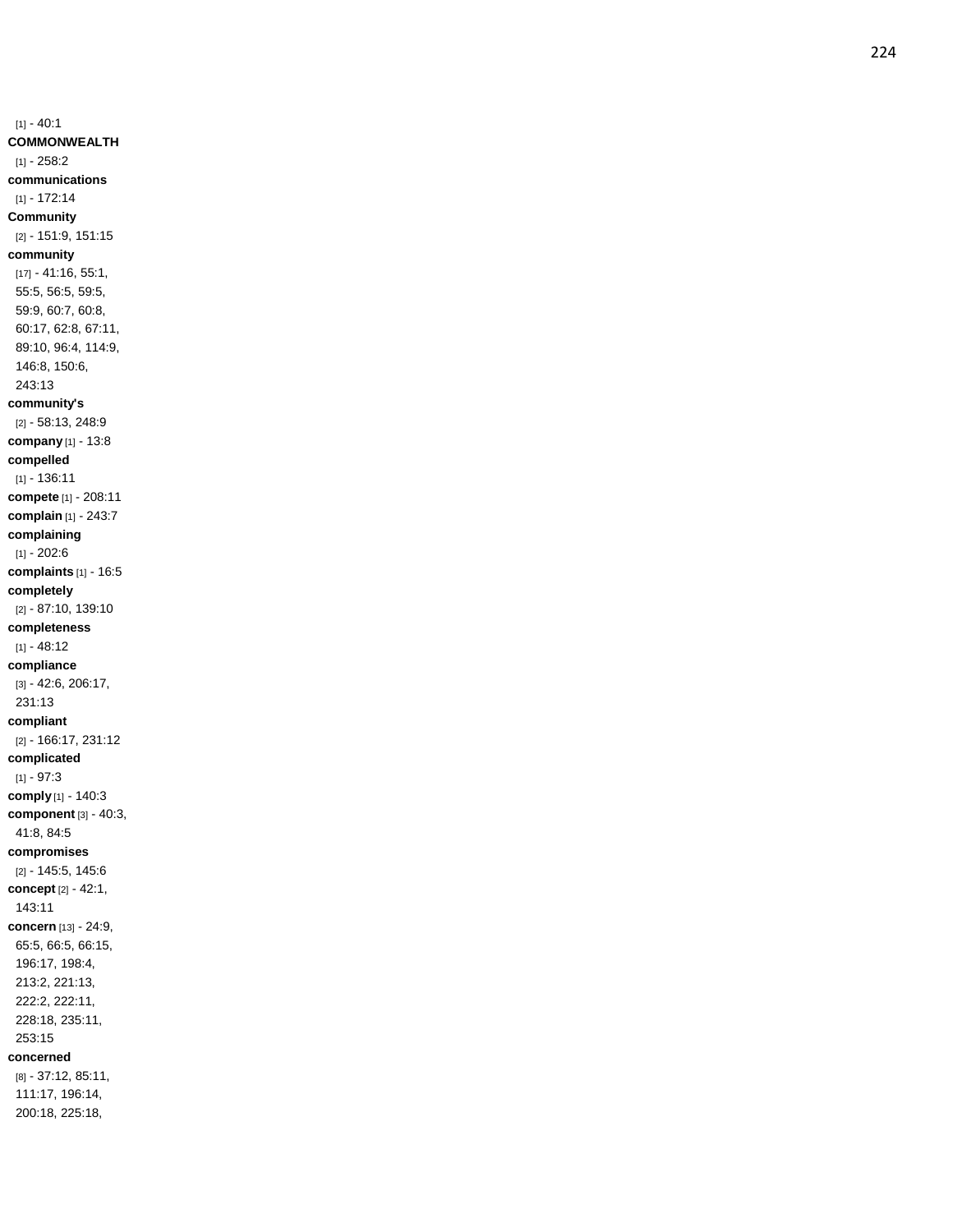$[1] - 40:1$ **COMMONWEALTH**  $[1] - 258:2$ **communications** [1] - 172:14 **Community** [2] - 151:9, 151:15 **community** [17] - 41:16, 55:1, 55:5, 56:5, 59:5, 59:9, 60:7, 60:8, 60:17, 62:8, 67:11, 89:10, 96:4, 114:9, 146:8, 150:6, 243:13 **community's** [2] - 58:13, 248:9 **company** [1] - 13:8 **compelled** [1] - 136:11 **compete** [1] - 208:11 **complain** [1] - 243:7 **complaining**  $[1] - 202:6$ **complaints** [1] - 16:5 **completely** [2] - 87:10, 139:10 **completeness**  $[1] - 48:12$ **compliance** [3] - 42:6, 206:17, 231:13 **compliant** [2] - 166:17, 231:12 **complicate d** [1] - 97:3 **comply** [1] - 140:3 **component** [3] - 40:3, 41:8, 84:5 **compromises** [2] - 145:5, 145:6 **concept** [2] - 42:1, 143:11 **concern** [13] - 24:9, 65:5, 66:5, 66:15, 196:17, 198:4, 213:2, 221:13, 222:2, 222:11, 228:18, 235:11, 253:15 **concerned** [8] - 37:12, 85:11, 111:17, 196:14,

200:18, 225:18,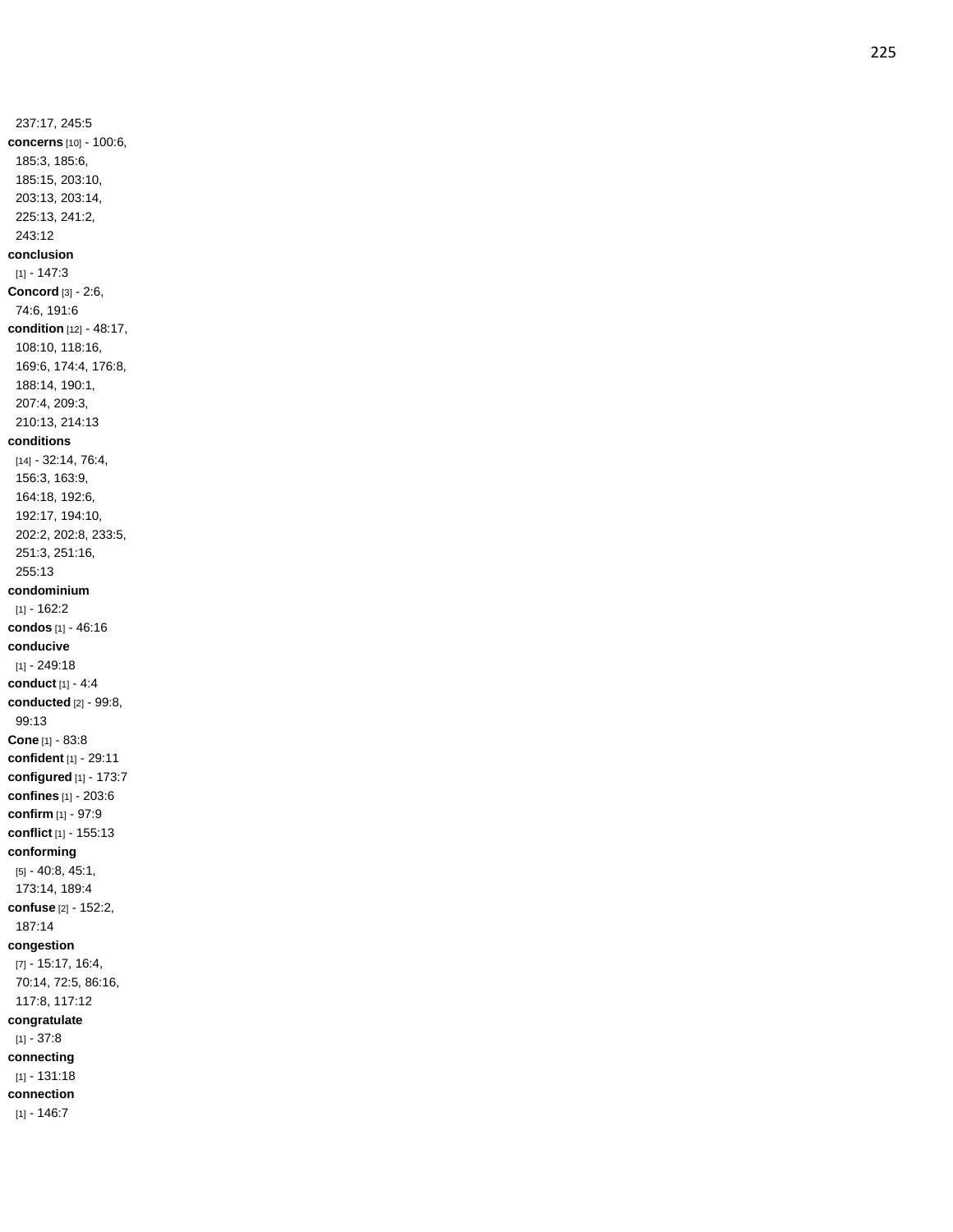237:17, 245:5 **concerns** [10] - 100:6, 185:3, 185:6, 185:15, 203:10, 203:13, 203:14, 225:13, 241:2, 243:12 **conclusion**  $[1] - 147:3$ **Concord** [3] - 2:6, 74:6, 191:6 **condition** [12] - 48:17, 108:10, 118:16, 169:6, 174:4, 176:8, 188:14, 190:1, 207:4, 209:3, 210:13, 214:13 **conditions** [14] - 32:14, 76:4, 156:3, 163:9, 164:18, 192:6, 192:17, 194:10, 202:2, 202:8, 233:5, 251:3, 251:16, 255:13 **condominium**  $[1] - 162:2$ **condos** [1] - 46:16 **conducive** [1] - 249:18 **conduct** [1] - 4: 4 **conducted** [2] - 99:8, 99:13 **Cone** [1] - 83:8 **confident** [1] - 29:11 **configured** [1] - 173:7 **confines** [1] - 203:6 **confirm** [1] - 97:9 **conflict** [1] - 155:13 **conforming** [5] - 40:8, 45:1, 173:14, 189:4 **confuse** [2] - 152:2, 187:14 **congestion** [7] - 15:17, 16:4, 70:14, 72:5, 86:16, 117:8, 117:12 **congratulate** [1] - 37:8 **connecting** [1] - 131:18 **connection**  $[1] - 146:7$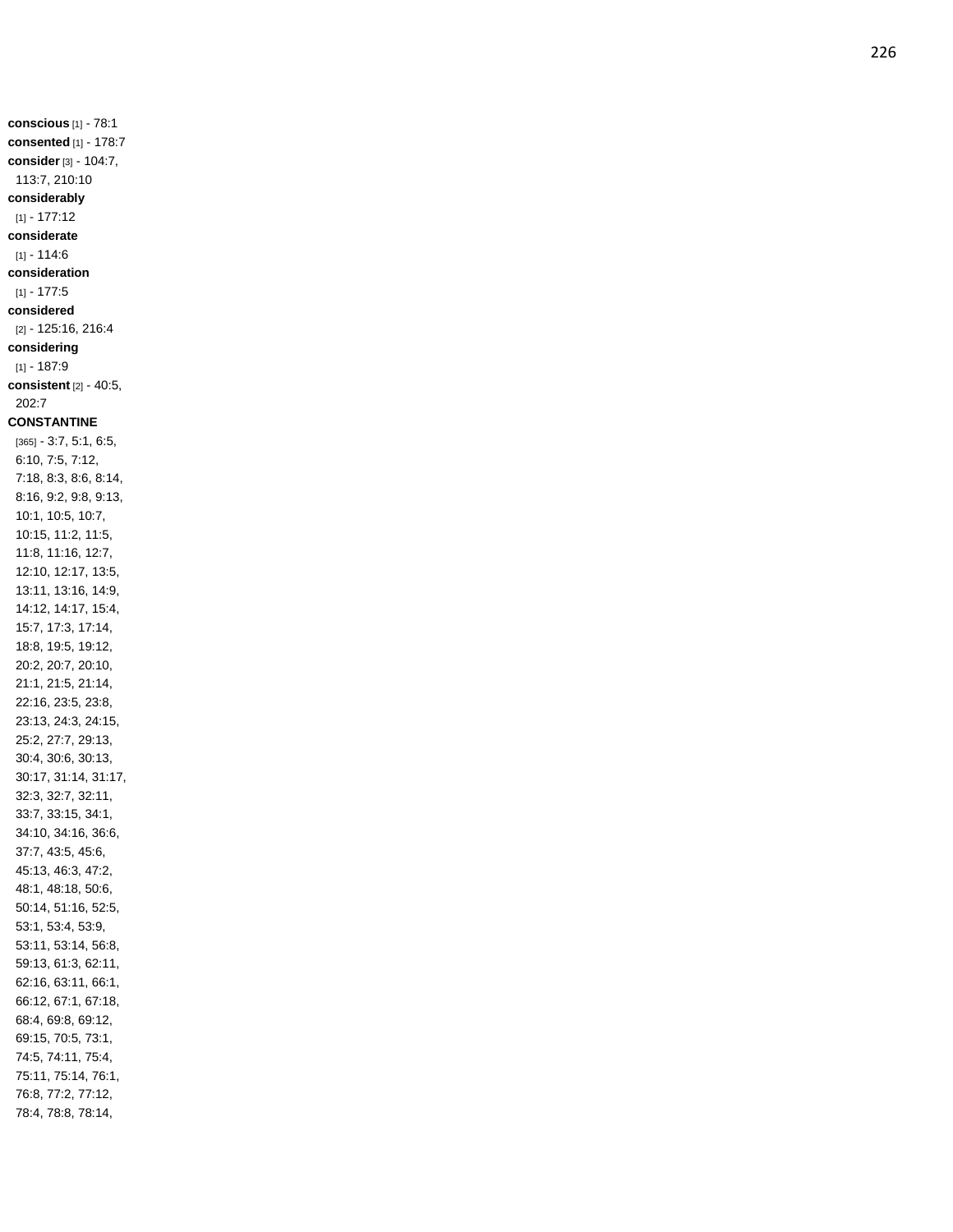**consented** [1] - 178:7 **consider** [3] - 104:7, 113:7, 210:10 **considerably** [1] - 177:12 **considerate**  $[1] - 114:6$ **consideration**  $[1] - 177:5$ **considered** [2] - 125:16, 216:4 **considering** [1] - 187:9 **consistent** [2] - 40:5, 202:7 **CONSTANTINE** [365] - 3:7, 5:1, 6:5, 6:10, 7:5, 7:12, 7:18, 8:3, 8:6, 8:14, 8:16, 9:2, 9:8, 9:13, 10:1, 10:5, 10:7, 10:15, 11:2, 11:5, 11:8, 11:16, 12:7, 12:10, 12:17, 13:5, 13:11, 13:16, 14:9, 14:12, 14:17, 15:4, 15:7, 17:3, 17:14, 18:8, 19:5, 19:12, 20:2, 20:7, 20:10, 21:1, 21:5, 21:14, 22:16, 23:5, 23:8, 23:13, 24:3, 24:15, 25:2, 27:7, 29:13, 30:4, 30:6, 30:13, 30:17, 31:14, 31:17, 32:3, 32:7, 32:11, 33:7, 33:15, 34:1, 34:10, 34:16, 36:6, 37:7, 43:5, 45:6, 45:13, 46:3, 47:2, 48:1, 48:18, 50:6, 50:14, 51:16, 52:5, 53:1, 53:4, 53:9, 53:11, 53:14, 56:8, 59:13, 61:3, 62:11, 62:16, 63:11, 66:1, 66:12, 67:1, 67:18, 68:4, 69:8, 69:12, 69:15, 70:5, 73:1, 74:5, 74:11, 75:4, 75:11, 75:14, 76:1, 76:8, 77:2, 77:12,

78:4, 78:8, 78:14,

**conscious** [1] - 78:1

226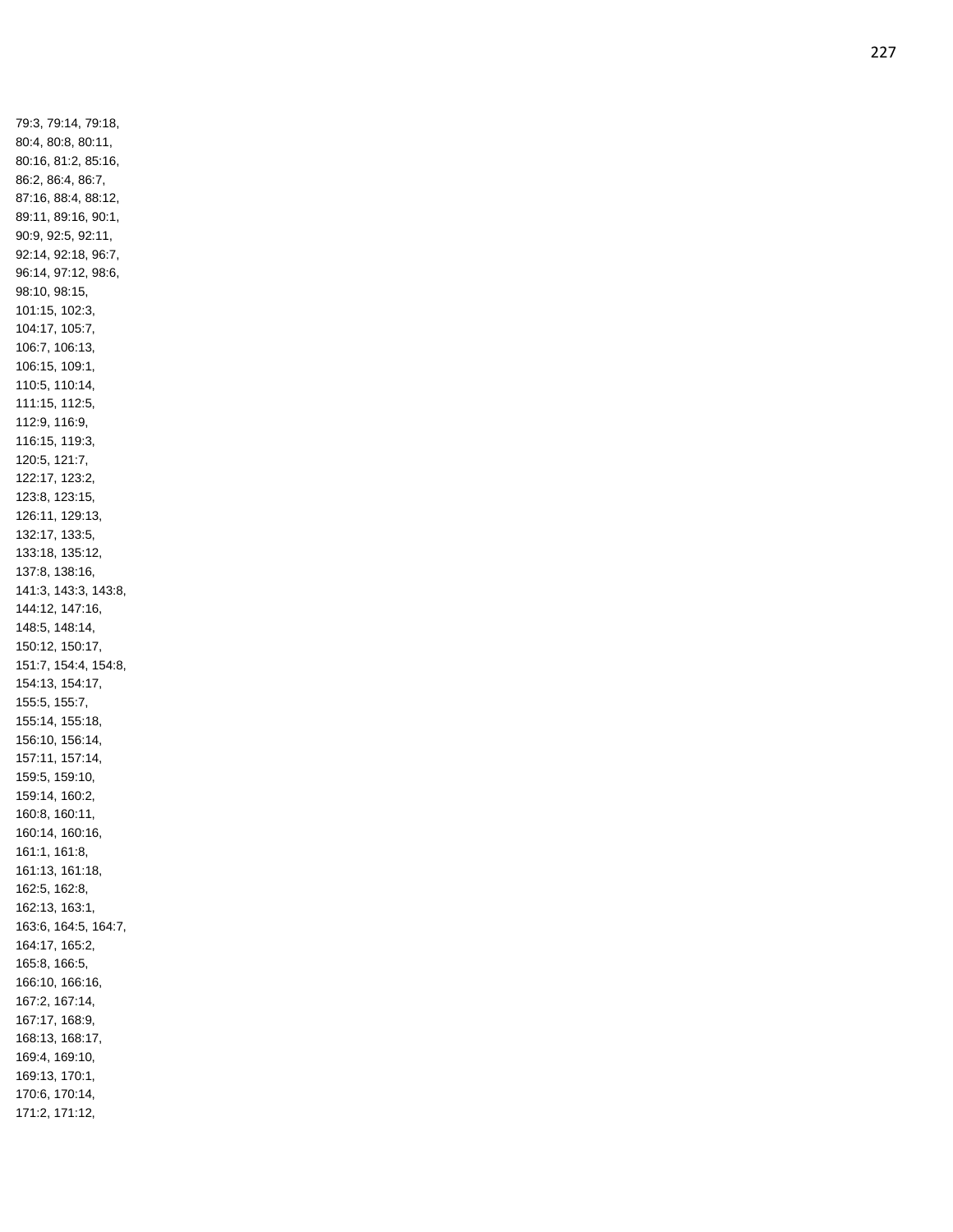79:3, 79:14, 79:18, 80:4, 80:8, 80:11, 80:16, 81:2, 85:16, 86:2, 86:4, 86:7, 87:16, 88:4, 88:12, 89:11, 89:16, 90:1, 90:9, 92:5, 92:11, 92:14, 92:18, 96:7, 96:14, 97:12, 98:6, 98:10, 98:15, 101:15, 102:3, 104:17, 105:7, 106:7, 106:13, 106:15, 109:1, 110:5, 110:14, 111:15, 112:5, 112:9, 116:9, 116:15, 119:3, 120:5, 121:7, 122:17, 123:2, 123:8, 123:15, 126:11, 129:13, 132:17, 133:5, 133:18, 135:12, 137:8, 138:16, 141:3, 143:3, 143:8, 144:12, 147:16, 148:5, 148:14, 150:12, 150:17, 151:7, 154:4, 154:8, 154:13, 154:17, 155:5, 155:7, 155:14, 155:18, 156:10, 156:14, 157:11, 157:14, 159:5, 159:10, 159:14, 160:2, 160:8, 160:11, 160:14, 160:16, 161:1, 161:8, 161:13, 161:18, 162:5, 162:8, 162:13, 163:1, 163:6, 164:5, 164:7, 164:17, 165:2, 165:8, 166:5, 166:10, 166:16, 167:2, 167:14, 167:17, 168:9, 168:13, 168:17, 169:4, 169:10, 169:13, 170:1, 170:6, 170:14, 171:2, 171:12,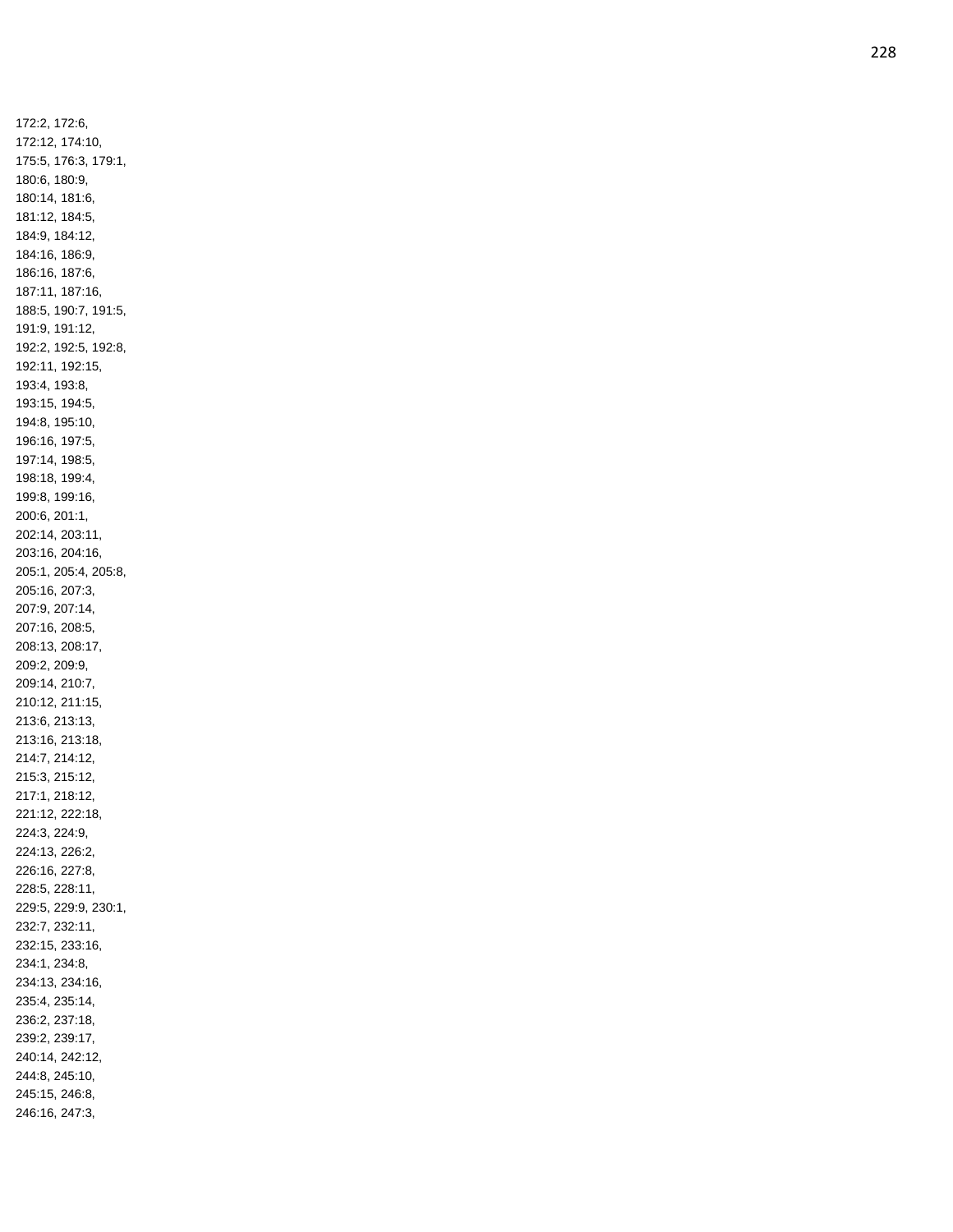172:2, 172:6, 172:12, 174:10, 175:5, 176:3, 179:1, 180:6, 180:9, 180:14, 181:6, 181:12, 184:5, 184:9, 184:12, 184:16, 186:9, 186:16, 187:6, 187:11, 187:16, 188:5, 190:7, 191:5, 191:9, 191:12, 192:2, 192:5, 192:8, 192:11, 192:15, 193:4, 193:8, 193:15, 194:5, 194:8, 195:10, 196:16, 197:5, 197:14, 198:5, 198:18, 199:4, 199:8, 199:16, 200:6, 201:1, 202:14, 203:11, 203:16, 204:16, 205:1, 205:4, 205:8, 205:16, 207:3, 207:9, 207:14, 207:16, 208:5, 208:13, 208:17, 209:2, 209:9, 209:14, 210:7, 210:12, 211:15, 213:6, 213:13, 213:16, 213:18, 214:7, 214:12, 215:3, 215:12, 217:1, 218:12, 221:12, 222:18, 224:3, 224:9, 224:13, 226:2, 226:16, 227:8, 228:5, 228:11, 229:5, 229:9, 230:1, 232:7, 232:11, 232:15, 233:16, 234:1, 234:8, 234:13, 234:16, 235:4, 235:14, 236:2, 237:18, 239:2, 239:17, 240:14, 242:12, 244:8, 245:10, 245:15, 246:8, 246:16, 247:3,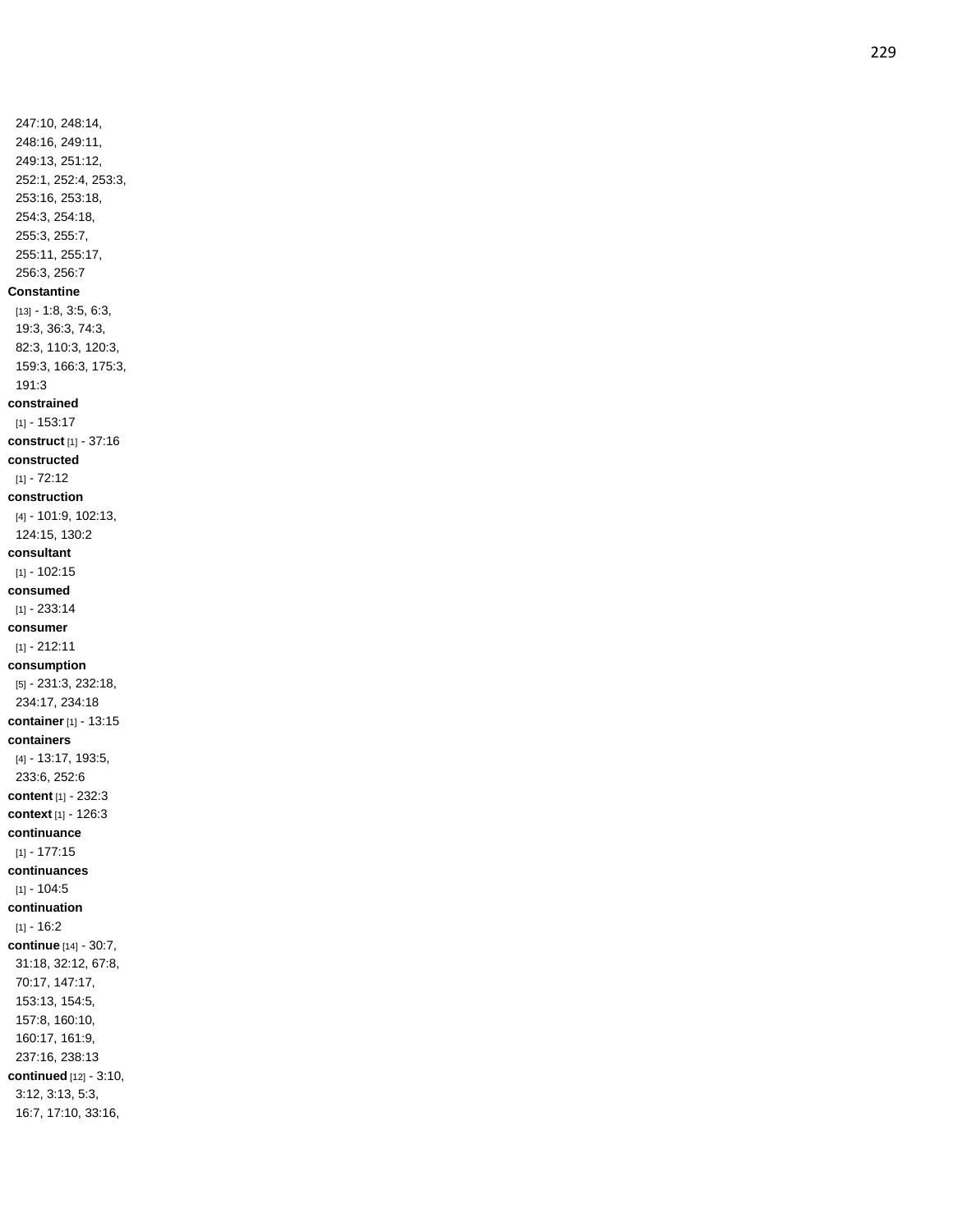247:10, 248:14, 248:16, 249:11, 249:13, 251:12, 252:1, 252:4, 253:3, 253:16, 253:18, 254:3, 254:18, 255:3, 255:7, 255:11, 255:17, 256:3, 256:7 **Constantine** [13] - 1:8, 3:5, 6:3, 19:3, 36:3, 74:3, 82:3, 110:3, 120:3, 159:3, 166:3, 175:3, 191:3 **constrained** [1] - 153:17 **construct** [1] - 37:16 **constructed**  $[1] - 72:12$ **construction** [4] - 101:9, 102:13, 124:15, 130:2 **consultant** [1] - 102:15 **consumed** [1] - 233:14 **consumer** [1] - 212:11 **consumption** [5] - 231:3, 232:18, 234:17, 234:18 **container** [1] - 13:15 **containers** [4] - 13:17, 193:5, 233:6, 252:6 **content** [1] - 232:3 **context** [1] - 126:3 **continuance** [1] - 177:15 **continuances**  $[1] - 104:5$ **continuation** [1] - 16:2 **continue** [14] - 30:7, 31:18, 32:12, 67:8, 70:17, 147:17, 153:13, 154:5, 157:8, 160:10, 160:17, 161:9, 237:16, 238:13 **continued** [12] - 3:10, 3:12, 3:13, 5:3, 16:7, 17:10, 33:16,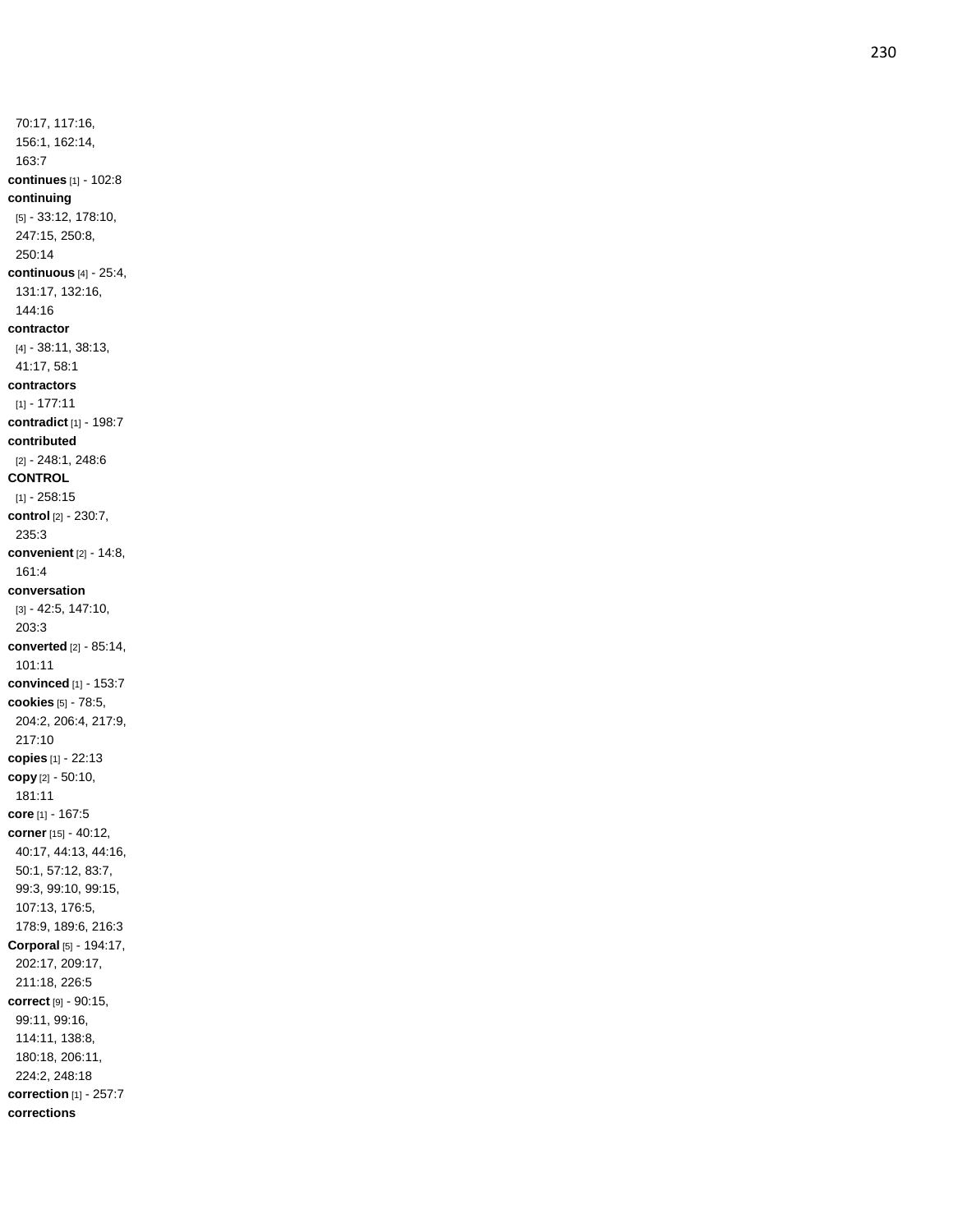70:17, 117:16, 156:1, 162:14, 163:7 **continues** [1] - 102:8 **continuing** [5] - 33:12, 178:10, 247:15, 250:8, 250:14 **continuous** [4] - 25:4, 131:17, 132:16, 144:16 **contractor** [4] - 38:11, 38:13, 41:17, 58:1 **contractors** [1] - 177:11 **contradict** [1] - 198:7 **contributed** [2] - 248:1, 248:6 **CONTROL** [1] - 258:15 **control** [2] - 230:7, 235:3 **convenient** [2] - 14:8, 161:4 **conversation** [3] - 42:5, 147:10, 203:3 **converted** [2] - 85:14, 101:11 **convinced** [1] - 153:7 **cookies** [5] - 78:5, 204:2, 206:4, 217:9, 217:10 **copies** [1] - 22:13 **copy** [2] - 50:10, 181:11 **core** [1] - 167:5 **corner** [15] - 40:12, 40:17, 44:13, 44:16, 50:1, 57:12, 83:7, 99:3, 99:10, 99:15, 107:13, 176:5, 178:9, 189:6, 216:3 **Corporal** [5] - 194:17, 202:17, 209:17, 211:18, 226:5 **correct** [9] - 90:15, 99:11, 99:16, 114:11, 138:8, 180:18, 206:11, 224:2, 248:18 **correction** [1] - 257:7 **corrections**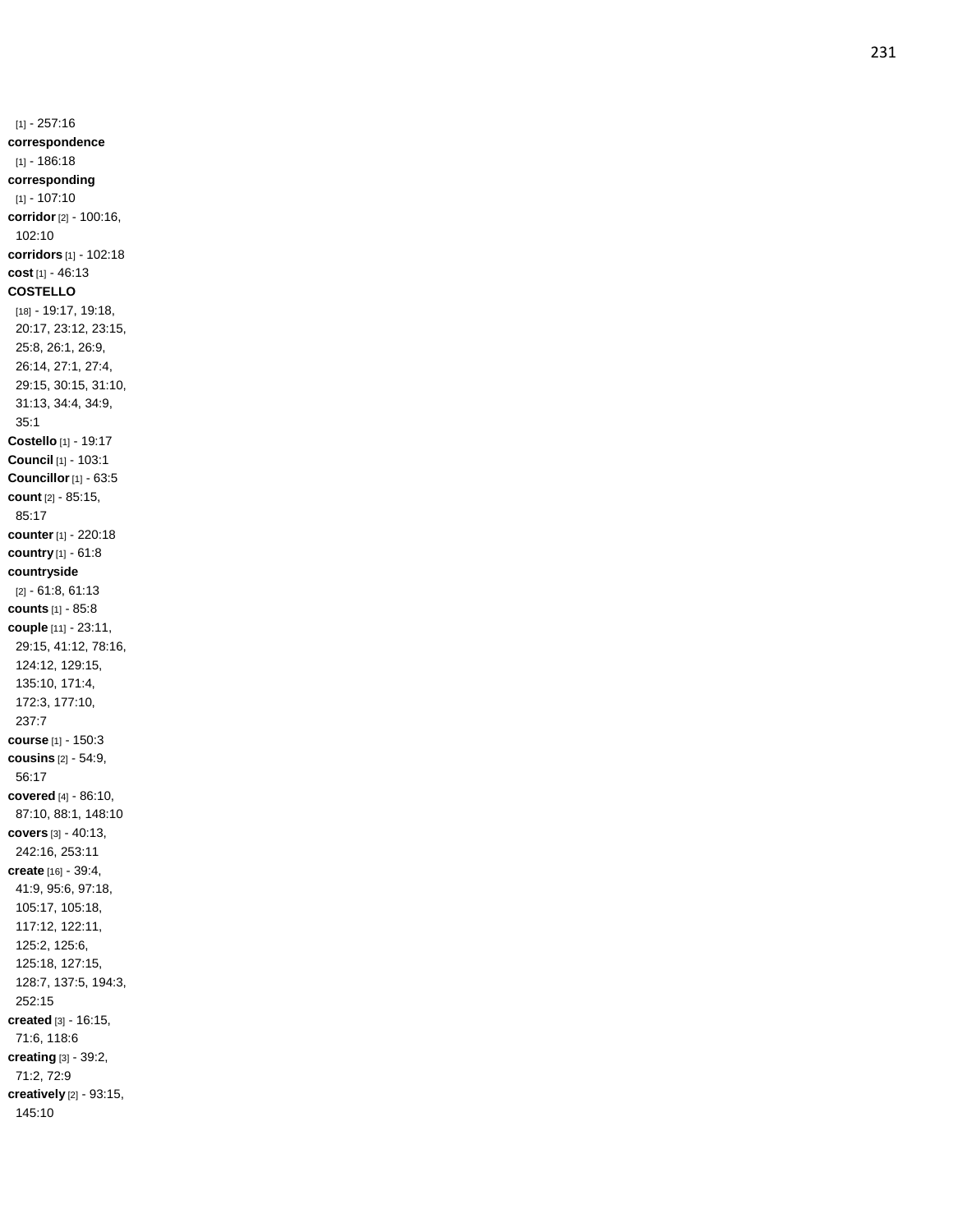[1] - 257:16 **correspondence** [1] - 186:18 **corresponding** [1] - 107:10 **corridor** [2] - 100:16, 102:10 **corridors** [1] - 102:18 **cost** [1] - 46:13 **COSTELLO** [18] - 19:17, 19:18, 20:17, 23:12, 23:15, 25:8, 26:1, 26:9, 26:14, 27:1, 27:4, 29:15, 30:15, 31:10, 31:13, 34:4, 34:9, 35:1 **Costello** [1] - 19:17 **Council** [1] - 103:1 **Councillor** [1] - 63:5 **count** [2] - 85:15, 85:17 **counter** [1] - 220:18 **country** [1] - 61:8 **countryside** [2] - 61:8, 61:13 **counts** [1] - 85:8 **couple** [11] - 23:11, 29:15, 41:12, 78:16, 124:12, 129:15, 135:10, 171:4, 172:3, 177:10, 237:7 **course** [1] - 150:3 **cousins** [2] - 54:9, 56:17 **covered** [4] - 86:10, 87:10, 88:1, 148:10 **covers** [3] - 40:13, 242:16, 253:11 **create** [16] - 39:4, 41:9, 95:6, 97:18, 105:17, 105:18, 117:12, 122:11, 125:2, 125:6, 125:18, 127:15, 128:7, 137:5, 194:3, 252:15 **created** [3] - 16:15, 71:6, 118:6 **creating** [3] - 39:2, 71:2, 72:9 **creatively** [2] - 93:15, 145:10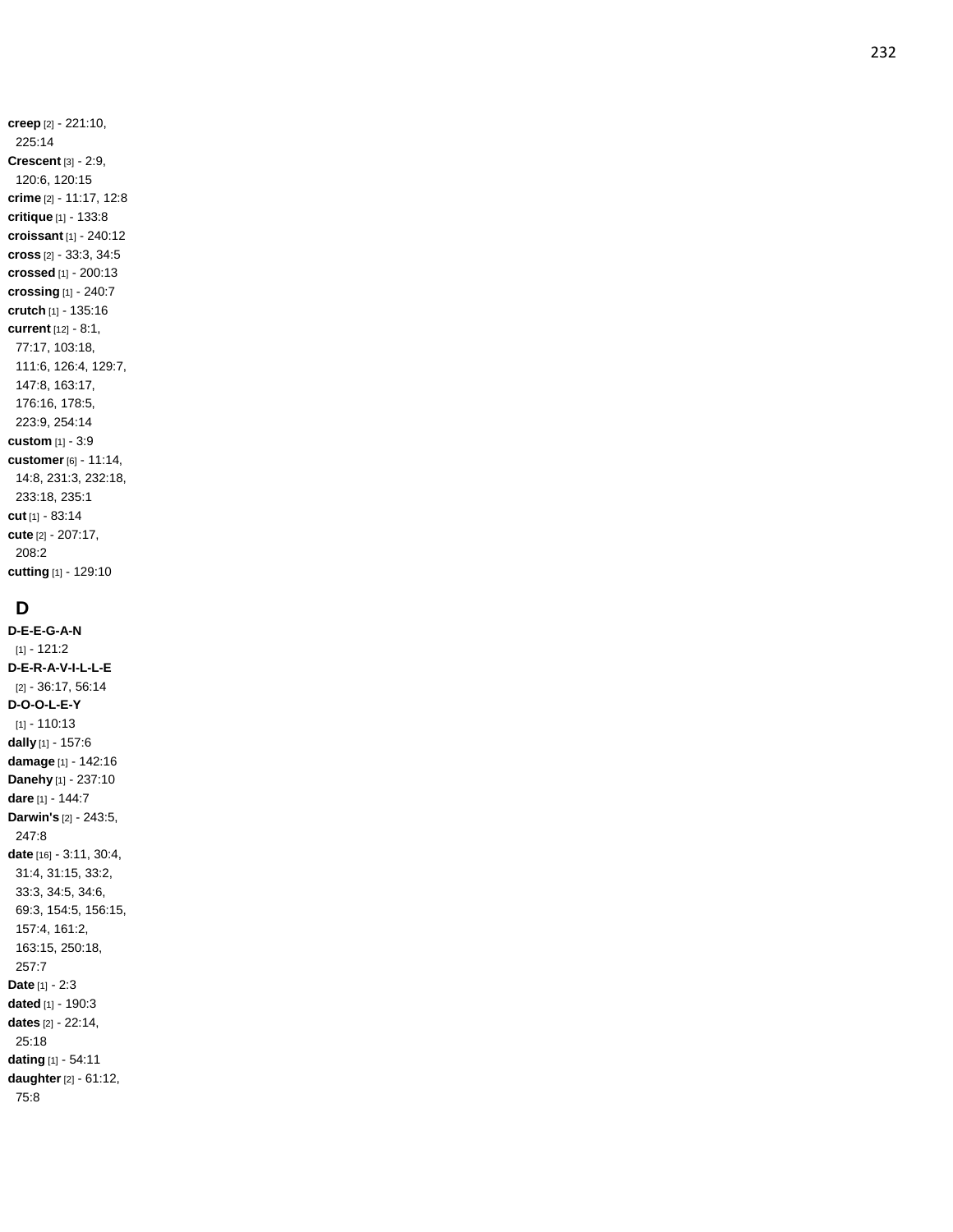**creep** [2] - 221:10, 225:14 **Crescent** [3] - 2:9, 120:6, 120:15 **crime** [2] - 11:17, 12:8 **critique** [1] - 133:8 **croissant** [1] - 240:12 **cross** [2] - 33:3, 34:5 **crossed** [1] - 200:13 **crossing** [1] - 240:7 **crutch** [1] - 135:16 **current** [12] - 8:1, 77:17, 103:18, 111:6, 126:4, 129:7, 147:8, 163:17, 176:16, 178:5, 223:9, 254:14 **custom** [1] - 3:9 **customer** [6] - 11:14, 14:8, 231:3, 232:18, 233:18, 235:1 **cut** [1] - 83:14 **cute** [2] - 207:17, 208:2 **cutting** [1] - 129:10

# **D**

**D - E - E - G - A - N** [1] - 121:2 **D - E - R - A - V - I - L - L - E** [2] - 36:17, 56:14 **D - O - O - L - E - Y** [1] - 110:13 **dally** [1] - 157:6 **damage** [1] - 142:16 **Danehy** [1] - 237:10 **dare** [1] - 144:7 **Darwin's** [2] - 243:5, 247:8 **date** [16] - 3:11, 30:4, 31:4, 31:15, 33:2, 33:3, 34:5, 34:6, 69:3, 154:5, 156:15, 157:4, 161:2, 163:15, 250:18, 257:7 **Date** [1] - 2:3 **dated** [1] - 190:3 **dates** [2] - 22:14, 25:18 **dating** [1] - 54:11 **daughter** [2] - 61:12, 75:8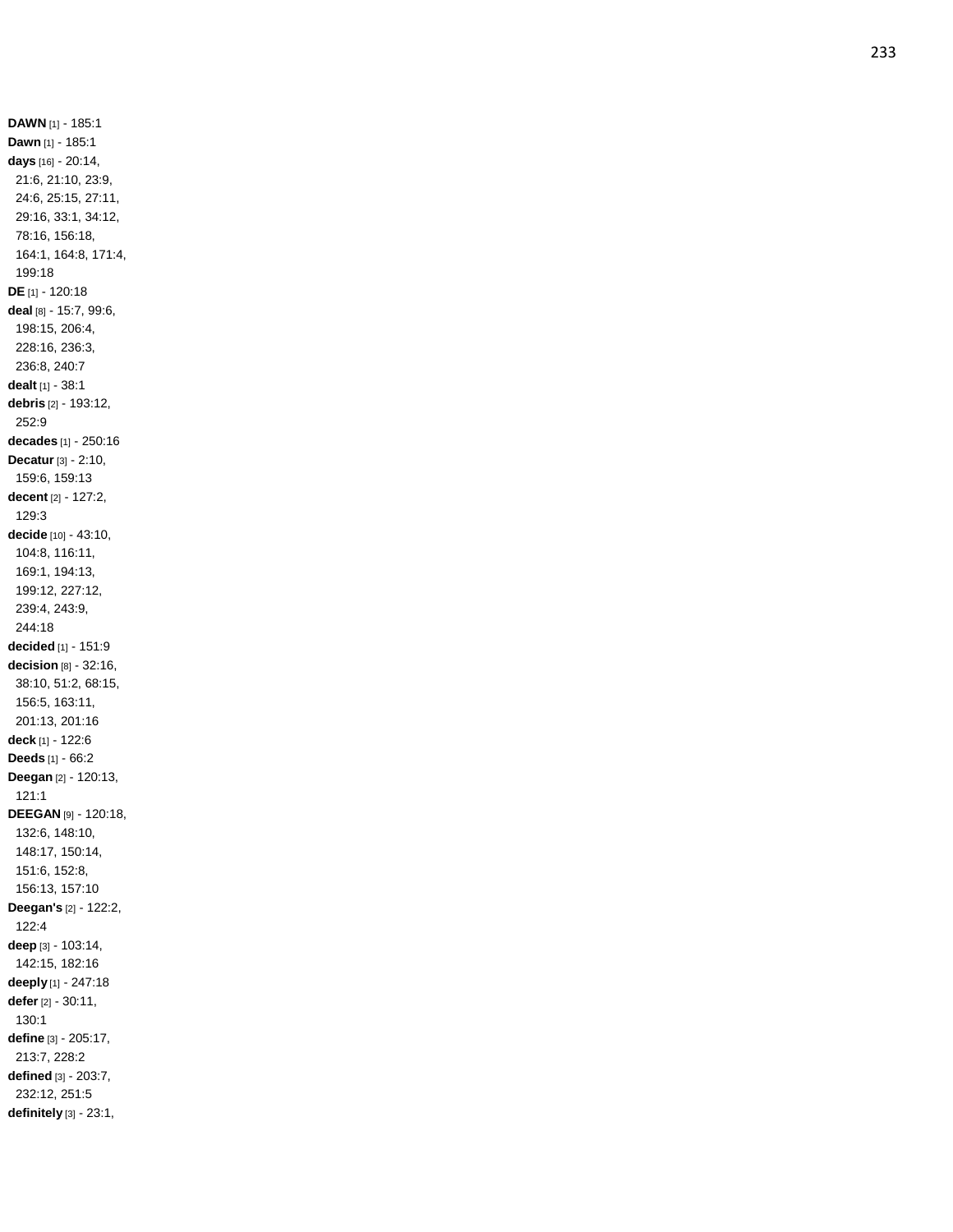**DAWN** [1] - 185:1 **Dawn** [1] - 185:1 **days** [16] - 20:14, 21:6, 21:10, 23:9, 24:6, 25:15, 27:11, 29:16, 33:1, 34:12, 78:16, 156:18, 164:1, 164:8, 171:4, 199:18 **DE** [1] - 120:18 **deal** [8] - 15:7, 99:6, 198:15, 206:4, 228:16, 236:3, 236:8, 240:7 **dealt** [1] - 38:1 **debris** [2] - 193:12, 252:9 **decades** [1] - 250:16 **Decatur** [3] - 2:10, 159:6, 159:13 **decent** [2] - 127:2, 129:3 **decide** [10] - 43:10, 104:8, 116:11, 169:1, 194:13, 199:12, 227:12, 239:4, 243:9, 244:18 **decided** [1] - 151:9 **decision** [8] - 32:16, 38:10, 51:2, 68:15, 156:5, 163:11, 201:13, 201:16 **deck** [1] - 122:6 **Deeds** [1] - 66:2 **Deegan** [2] - 120:13, 121:1 **DEEGAN** [9] - 120:18, 132:6, 148:10, 148:17, 150:14, 151:6, 152:8, 156:13, 157:10 **Deegan's** [2] - 122:2, 122:4 **deep** [3] - 103:14, 142:15, 182:16 **deeply** [1] - 247:18 **defer** [2] - 30:11, 130:1 **define** [3] - 205:17, 213:7, 228:2 **defined** [3] - 203:7, 232:12, 251:5 **definitely** [3] - 23:1,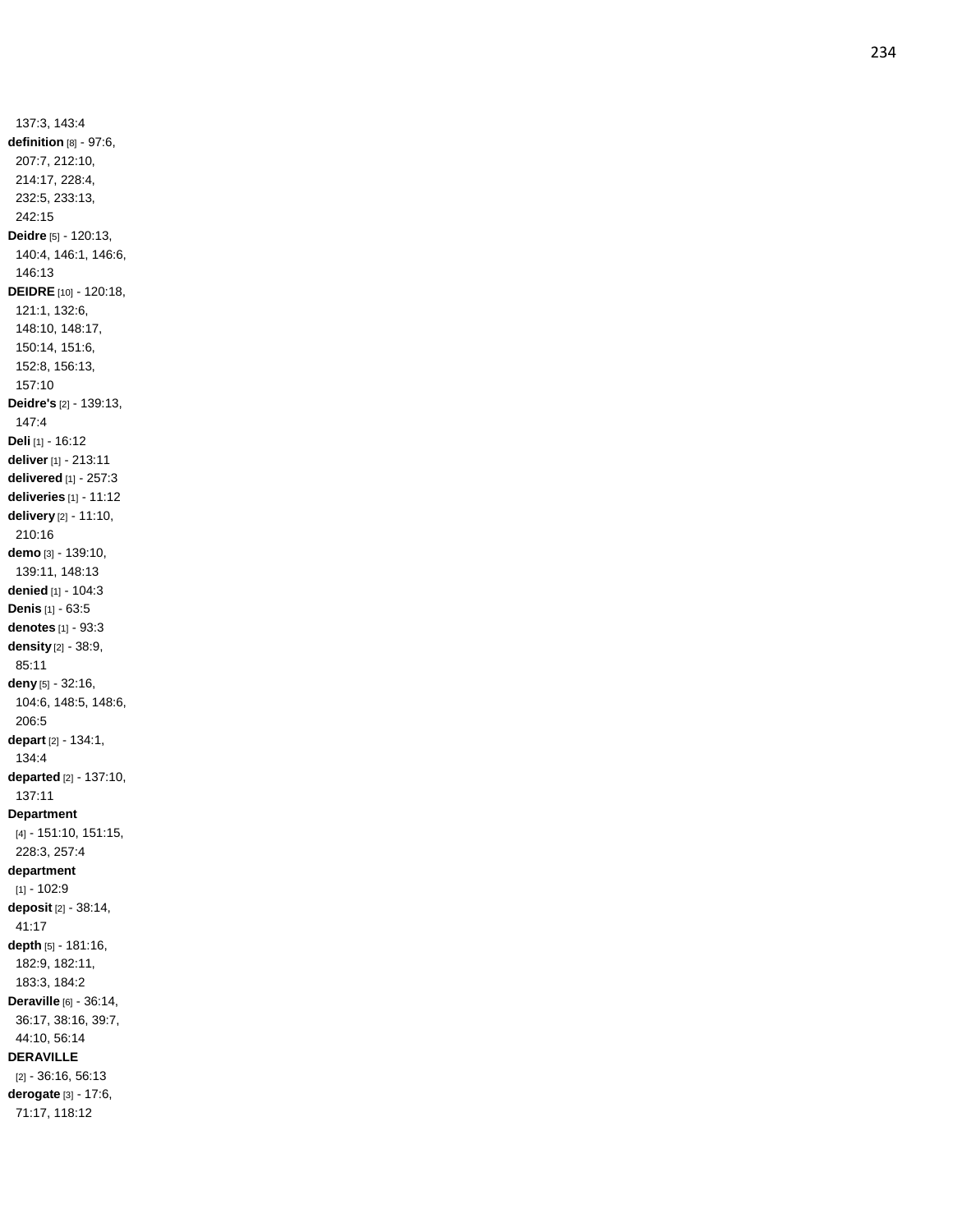137:3, 143:4 **definition** [8] - 97:6, 207:7, 212:10, 214:17, 228:4, 232:5, 233:13, 242:15 **Deidre** [5] - 120:13, 140:4, 146:1, 146:6, 146:13 **DEIDRE** [10] - 120:18, 121:1, 132:6, 148:10, 148:17, 150:14, 151:6, 152:8, 156:13, 157:10 **Deidre's** [2] - 139:13, 147:4 **Deli** [1] - 16:12 **deliver** [1] - 213:11 **delivered** [1] - 257:3 **deliveries** [1] - 11:12 **delivery** [2] - 11:10, 210:16 **demo** [3] - 139:10, 139:11, 148:13 **denied** [1] - 104:3 **Denis** [1] - 63:5 **denotes** [1] - 93:3 **density** [2] - 38:9, 85:11 **deny** [5] - 32:16, 104:6, 148:5, 148:6, 206:5 **depart** [2] - 134:1, 134:4 **departed** [2] - 137:10, 137:11 **Department** [4] - 151:10, 151:15, 228:3, 257:4 **department** [1] - 102:9 **deposit** [2] - 38:14, 41:17 **depth** [5] - 181:16, 182:9, 182:11, 183:3, 184:2 **Deraville** [6] - 36:14, 36:17, 38:16, 39:7, 44:10, 56:14 **DERAVILLE** [2] - 36:16, 56:13 **derogate** [3] - 17:6, 71:17, 118:12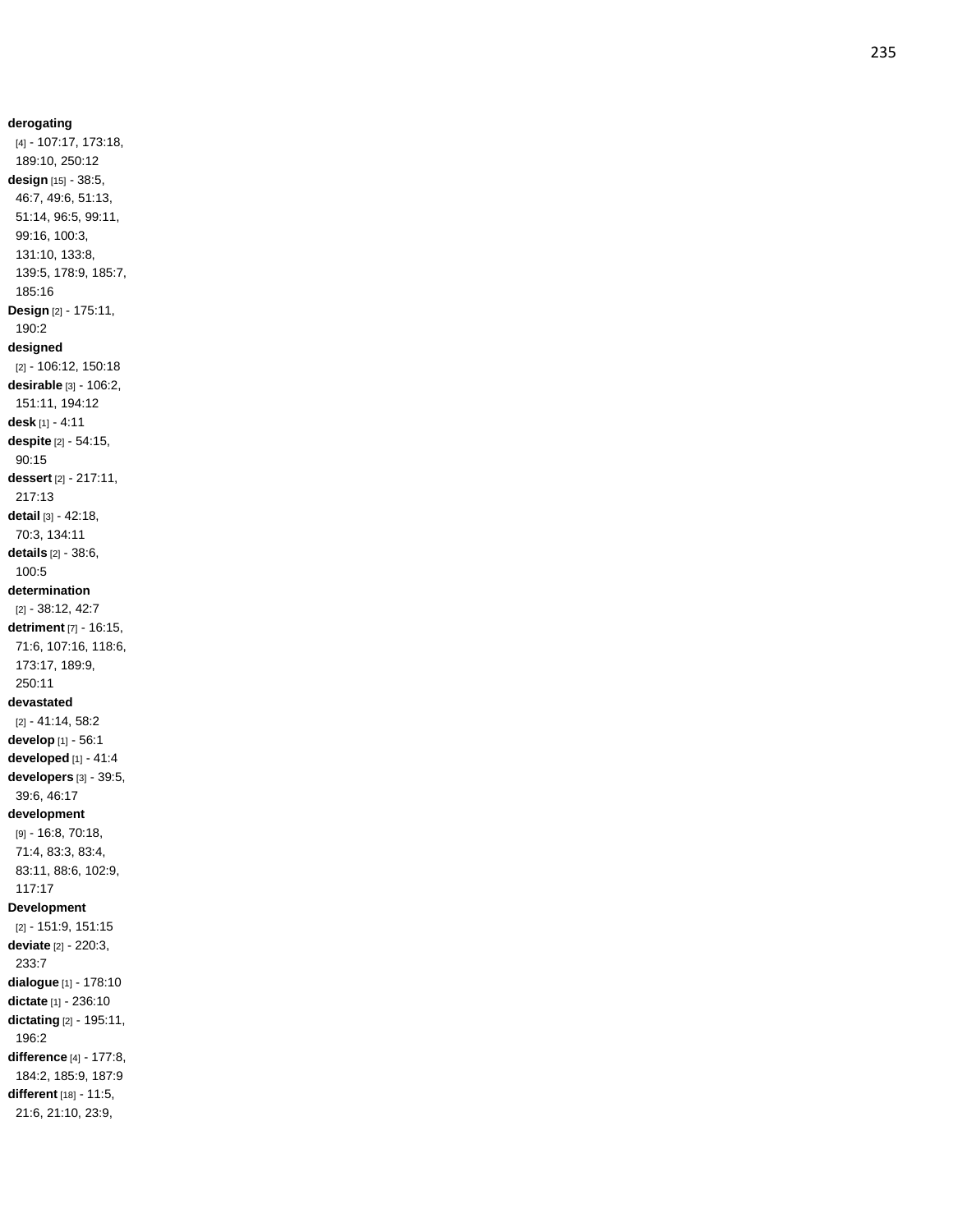**derogating** [4] - 107:17, 173:18, 189:10, 250:12 **design** [15] - 38:5, 46:7, 49:6, 51:13, 51:14, 96:5, 99:11, 99:16, 100:3, 131:10, 133:8, 139:5, 178:9, 185:7, 185:16 **Design** [2] - 175:11, 190:2 **designed** [2] - 106:12, 150:18 **desirable** [3] - 106:2, 151:11, 194:12 **desk** [1] - 4:11 **despite** [2] - 54:15, 90:15 **dessert** [2] - 217:11, 217:13 **detail** [3] - 42:18, 70:3, 134:11 **details** [2] - 38:6, 100:5 **determination** [2] - 38:12, 42:7 **detriment** [7] - 16:15, 71:6, 107:16, 118:6, 173:17, 189:9, 250:11 **devastated** [2] - 41:14, 58:2 **develop** [1] - 56:1 **developed** [1] - 41:4 **developers** [3] - 39:5, 39:6, 46:17 **development** [9] - 16:8, 70:18, 71:4, 83:3, 83:4, 83:11, 88:6, 102:9, 117:17 **Development** [2] - 151:9, 151:15 **deviate** [2] - 220:3, 233:7 **dialogue** [1] - 178:10 **dictate** [1] - 236:10 **dictating** [2] - 195:11, 196:2 **difference** [4] - 177:8, 184:2, 185:9, 187:9 **different** [18] - 11:5, 21:6, 21:10, 23:9,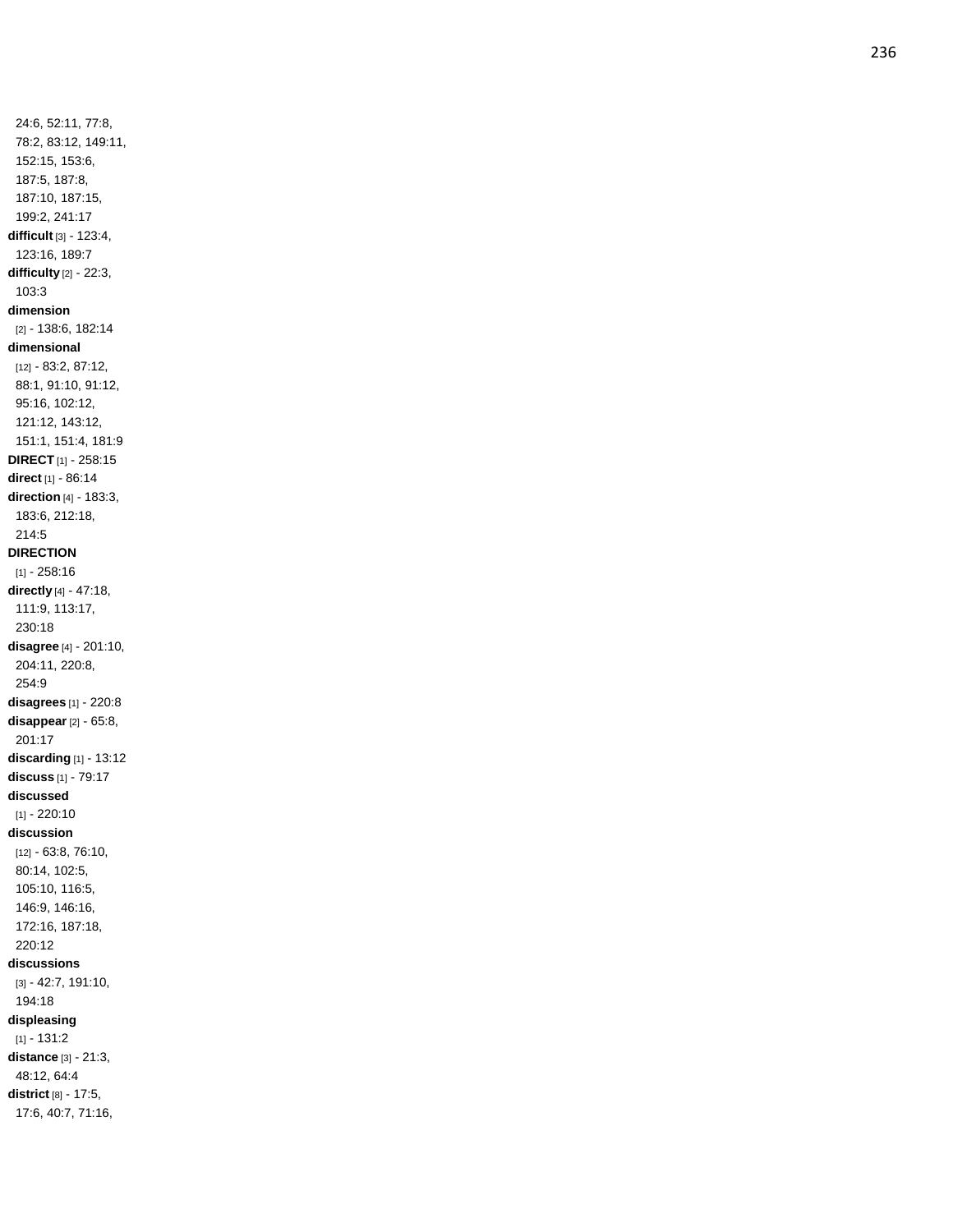24:6, 52:11, 77:8, 78:2, 83:12, 149:11, 152:15, 153:6, 187:5, 187:8, 187:10, 187:15, 199:2, 241:17 **difficult** [3] - 123:4, 123:16, 189:7 **difficulty** [2] - 22:3, 103:3 **dimension** [2] - 138:6, 182:14 **dimensional** [12] - 83:2, 87:12, 88:1, 91:10, 91:12, 95:16, 102:12, 121:12, 143:12, 151:1, 151:4, 181:9 **DIRECT** [1] - 258:15 **direct** [1] - 86:14 **direction** [4] - 183:3, 183:6, 212:18, 214:5 **DIRECTION** [1] - 258:16 **directly** [4] - 47:18, 111:9, 113:17, 230:18 **disagree** [4] - 201:10, 204:11, 220:8, 254:9 **disagrees** [1] - 220:8 **disappear** [2] - 65:8, 201:17 **discarding** [1] - 13:12 **discuss** [1] - 79:17 **discussed** [1] - 220:10 **discussion** [12] - 63:8, 76:10, 80:14, 102:5, 105:10, 116:5, 146:9, 146:16, 172:16, 187:18, 220:12 **discussions** [3] - 42:7, 191:10, 194:18 **displeasing**  $[1] - 131:2$ **distance** [3] - 21:3, 48:12, 64:4 **district** [8] - 17:5,

17:6, 40:7, 71:16,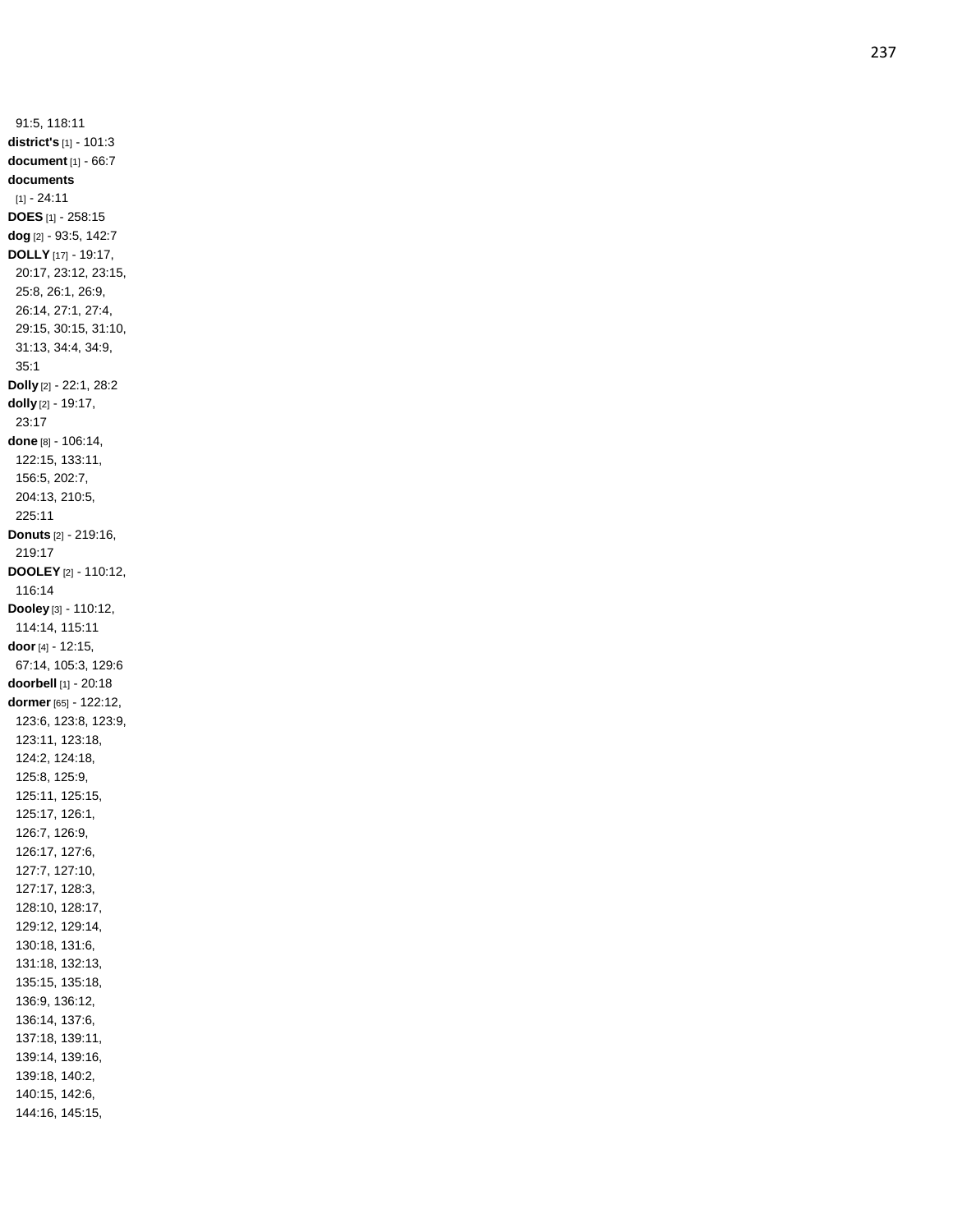91:5, 118:11 **district's** [1] - 101:3 **document** [1] - 66:7 **documents**  $[1] - 24:11$ **DOES** [1] - 258:15 **dog** [2] - 93:5, 142:7 **DOLLY** [17] - 19:17, 20:17, 23:12, 23:15, 25:8, 26:1, 26:9, 26:14, 27:1, 27:4, 29:15, 30:15, 31:10, 31:13, 34:4, 34:9, 35:1 **Dolly** [2] - 22:1, 28:2 **dolly** [2] - 19:17, 23:17 **done** [8] - 106:14, 122:15, 133:11, 156:5, 202:7, 204:13, 210:5, 225:11 **Donuts** [2] - 219:16, 219:1 7 **DOOLEY** [2] - 110:12, 116:14 **Dooley** [3] - 110:12, 114:14, 115:11 **door** [4] - 12:15, 67:14, 105:3, 129:6 **doorbell** [1] - 20:18 **dormer** [65] - 122:12, 123:6, 123:8, 123:9, 123:11, 123:18, 124:2, 124:18, 125:8, 125:9, 125:11, 125:15, 125:17, 126:1, 126:7, 126:9, 126:17, 127:6, 127:7, 127:10, 127:17, 128:3, 128:10, 128:17, 129:12, 129:14, 130:18, 131:6, 131:18, 132:13, 135:15, 135:18, 136:9, 136:12, 136:14, 137:6, 137:18, 139:11, 139:14, 139:16, 139:18, 140:2, 140:15, 142:6, 144:16, 145:15,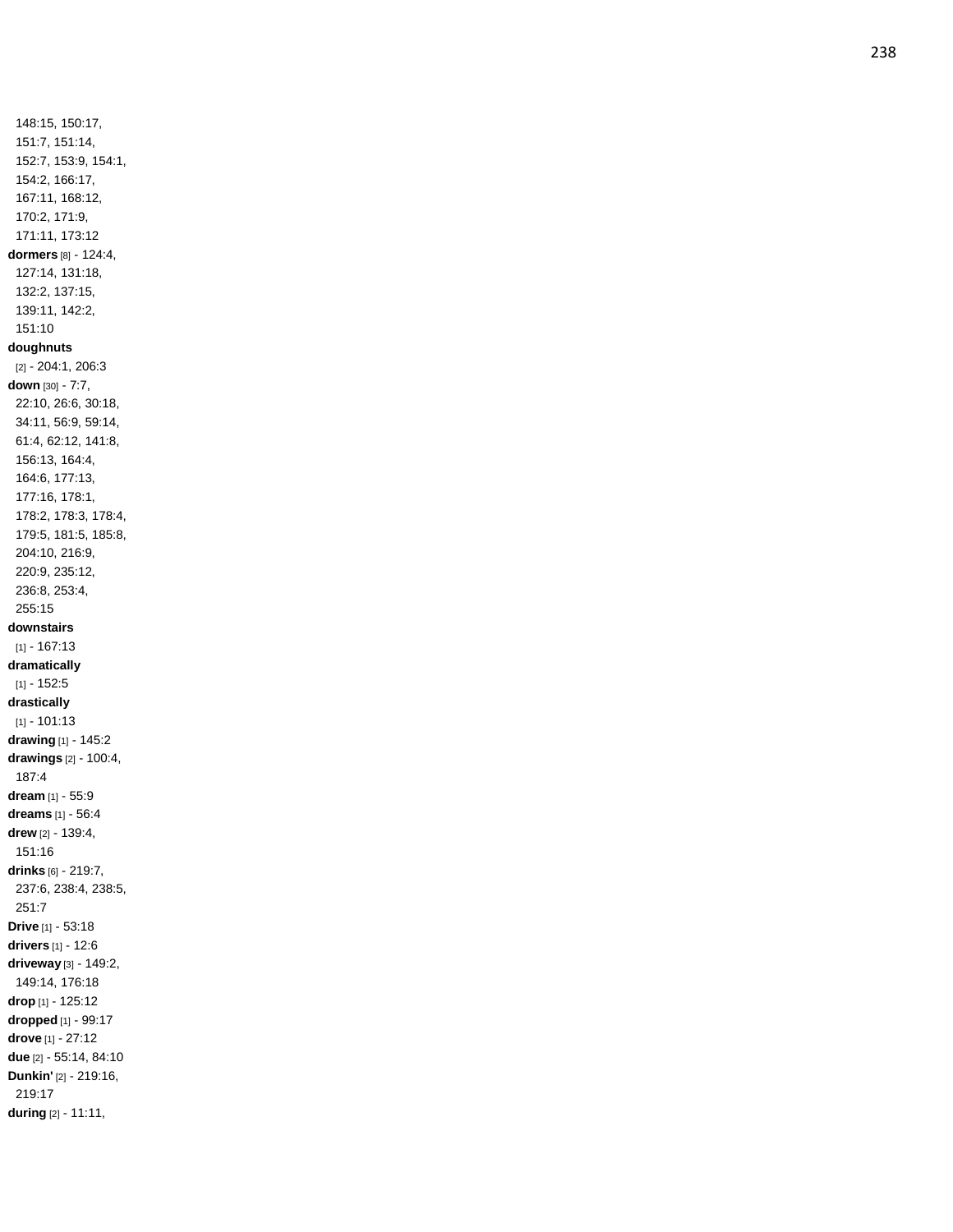148:15, 150:17, 151:7, 151:14, 152:7, 153:9, 154:1, 154:2, 166:17, 167:11, 168:12, 170:2, 171:9, 171:11, 173:12 **dormers** [8] - 124:4, 127:14, 131:18, 132:2, 137:15, 139:11, 142:2, 151:10 **doughnuts** [2] - 204:1, 206:3 **down** [30] - 7:7, 22:10, 26:6, 30:18, 34:11, 56:9, 59:14, 61:4, 62:12, 141:8, 156:13, 164:4, 164:6, 177:13, 177:16, 178:1, 178:2, 178:3, 178:4, 179:5, 181:5, 185:8, 204:10, 216:9, 220:9, 235:12, 236:8, 253:4, 255:15 **downstairs** [1] - 167:13 **dramatically**  $[1] - 152:5$ **drastically** [1] - 101:13 **drawing** [1] - 145:2 **drawings** [2] - 100:4, 187:4 **dream** [1] - 55:9 **dreams** [1] - 56:4 **drew** [2] - 139:4, 151:16 **drinks** [6] - 219:7, 237:6, 238:4, 238:5, 251:7 **Drive** [1] - 53:18 **drivers** [1] - 12:6 **driveway** [3] - 149:2, 149:14, 176:18 **drop** [1] - 125:12 **dropped** [1] - 99:17 **drove** [1] - 27:12 **due** [2] - 55:14, 84:10 **Dunkin'** [2] - 219:16, 219:17 **during** [2] - 11:11,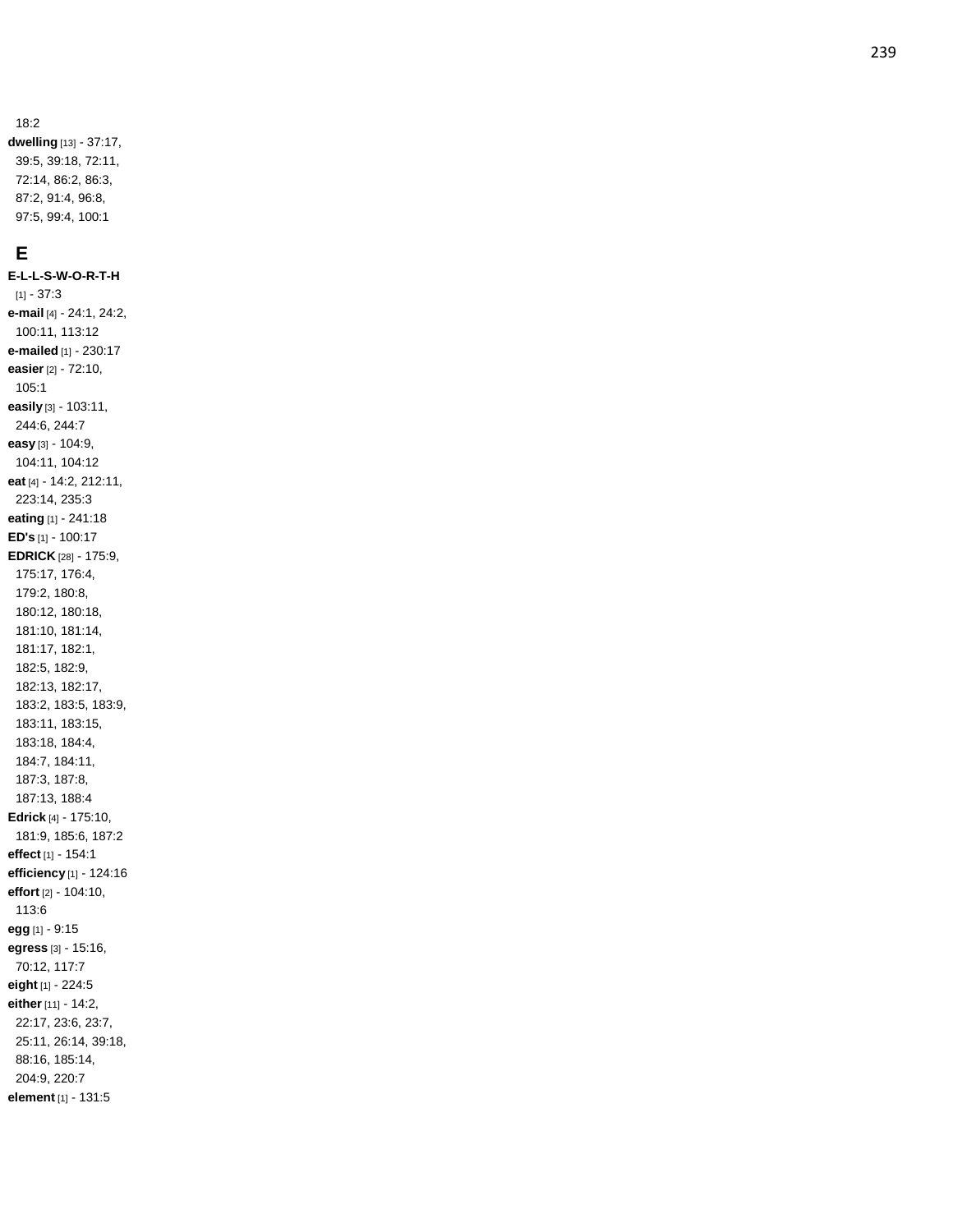18:2

**dwelling** [13] - 37:17, 39:5, 39:18, 72:11, 72:14, 86:2, 86:3, 87:2, 91:4, 96:8, 97:5, 99:4, 100:1

## **E**

**E - L - L - S - W - O - R - T - H** [1] - 37:3 **e -mail** [4] - 24:1, 24:2, 100:11, 113:12 **e -mailed** [1] - 230:17 **easier** [2] - 72:10, 105:1 **easily** [3] - 103:11, 244:6, 244:7 **easy** [3] - 104:9, 104:11, 104:12 **eat** [4] - 14:2, 212:11, 223:14, 235:3 **eating** [1] - 241:18 **ED's** [1] - 100:17 **EDRICK** [28] - 175:9, 175:17, 176:4, 179:2, 180:8, 180:12, 180:18, 181:10, 181:14, 181:17, 182:1, 182:5, 182:9, 182:13, 182:17, 183:2, 183:5, 183:9, 183:11, 183:15, 183:18, 184:4, 184:7, 184:11, 187:3, 187:8, 187:13, 188:4 **Edrick** [4] - 175:10, 181:9, 185:6, 187:2 **effect** [1] - 154:1 **efficiency** [1] - 124:16 **effort** [2] - 104:10, 113:6 **egg** [1] - 9:15 **egress** [3] - 15:16, 70:12, 117:7 **eight** [1] - 224:5 **either** [11] - 14:2, 22:17, 23:6, 23:7, 25:11, 26:14, 39:18, 88:16, 185:14, 204:9, 220:7 **element** [1] - 131:5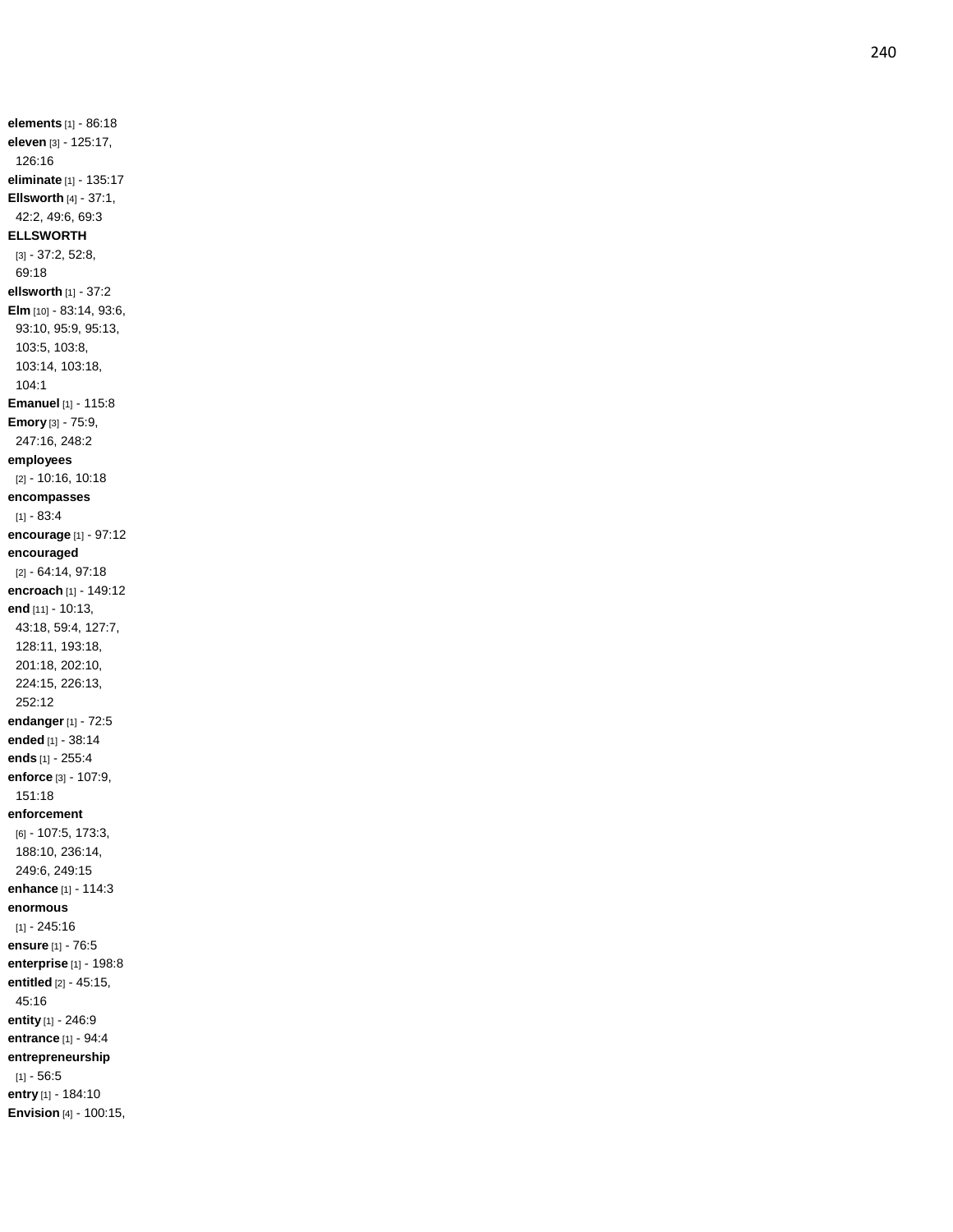**elements** [1] - 86:18 **eleven** [3] - 125:17, 126:16 **eliminate** [1] - 135:17 **Ellsworth** [4] - 37:1, 42:2, 49:6, 69:3 **ELLSWORTH** [3] - 37:2, 52:8, 69:18 **ellsworth** [1] - 37:2 **Elm** [10] - 83:14, 93:6, 93:10, 95:9, 95:13, 103:5, 103:8, 103:14, 103:18, 104:1 **Emanuel** [1] - 115:8 **Emor y** [3] - 75:9, 247:16, 248:2 **employees** [2] - 10:16, 10:18 **encompasses** [1] - 83:4 **encourage** [1] - 97:12 **encouraged** [2] - 64:14, 97:18 **encroach** [1] - 149:12 **end** [11] - 10:13, 43:18, 59:4, 127:7, 128:11, 193:18, 201:18, 202:10, 224:15, 226:13, 252:12 **endanger** [1] - 72:5 **ended** [1] - 38:14 **ends** [1] - 255:4 **enforce** [3] - 107:9, 151:18 **enforcement** [6] - 107:5, 173:3, 188:10, 236:14, 249:6, 249:15 **enhance** [1] - 114:3 **enormous** [1] - 245:16 **ensure** [1] - 76:5 **enterprise** [1] - 198:8 **entitled** [2] - 45:15, 45:16 **entity** [1] - 246:9 **entrance** [1] - 94:4 **entrepreneurship** [1] - 56:5 **entry** [1] - 184:10 **Envision** [4] - 100:15,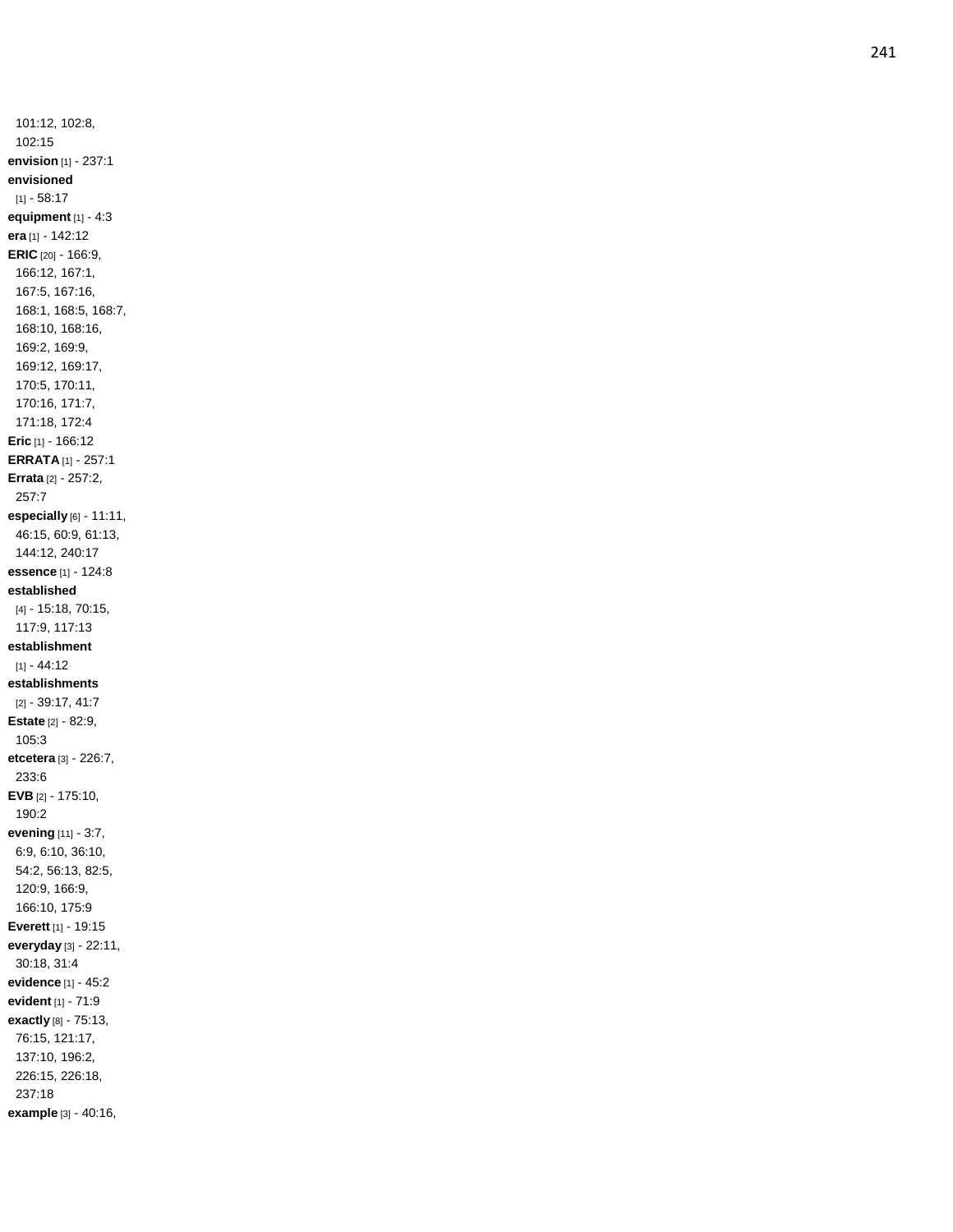101:12, 102:8, 102:15 **envision** [1] - 237:1 **envisioned**  $[1] - 58.17$ **equipment** [1] - 4:3 **era** [1] - 142:12 **ERIC** [20] - 166:9, 166:12, 167:1, 167:5, 167:16, 168:1, 168:5, 168:7, 168:10, 168:16, 169:2, 169:9, 169:12, 169:17, 170:5, 170:11, 170:16, 171:7, 171:18, 172:4 **Eric** [1] - 166:12 **ERRATA** [1] - 257:1 **Errata** [2] - 257:2, 257:7 **especially** [6] - 11:11, 46:15, 60:9, 61:13, 144:12, 240:17 **essence** [1] - 124:8 **established** [4] - 15:18, 70:15, 117:9, 117:13 **establishment** [1] - 44:12 **establishments** [2] - 39:17, 41:7 **Estate** [2] - 82:9, 105:3 **etcetera** [3] - 226:7, 233:6 **EVB** [2] - 175:10, 190:2 **evening** [11] - 3:7, 6:9, 6:10, 36:10, 54:2, 56:13, 82:5, 120:9, 166:9, 166:10, 175:9 **Everett** [1] - 19:15 **everyday** [3] - 22:11, 30:18, 31:4 **evidence** [1] - 45:2 **evident** [1] - 71:9 **exactly** [8] - 75:13, 76:15, 121:17, 137:10, 196:2, 226:15, 226:18, 237:18 **example** [3] - 40:16,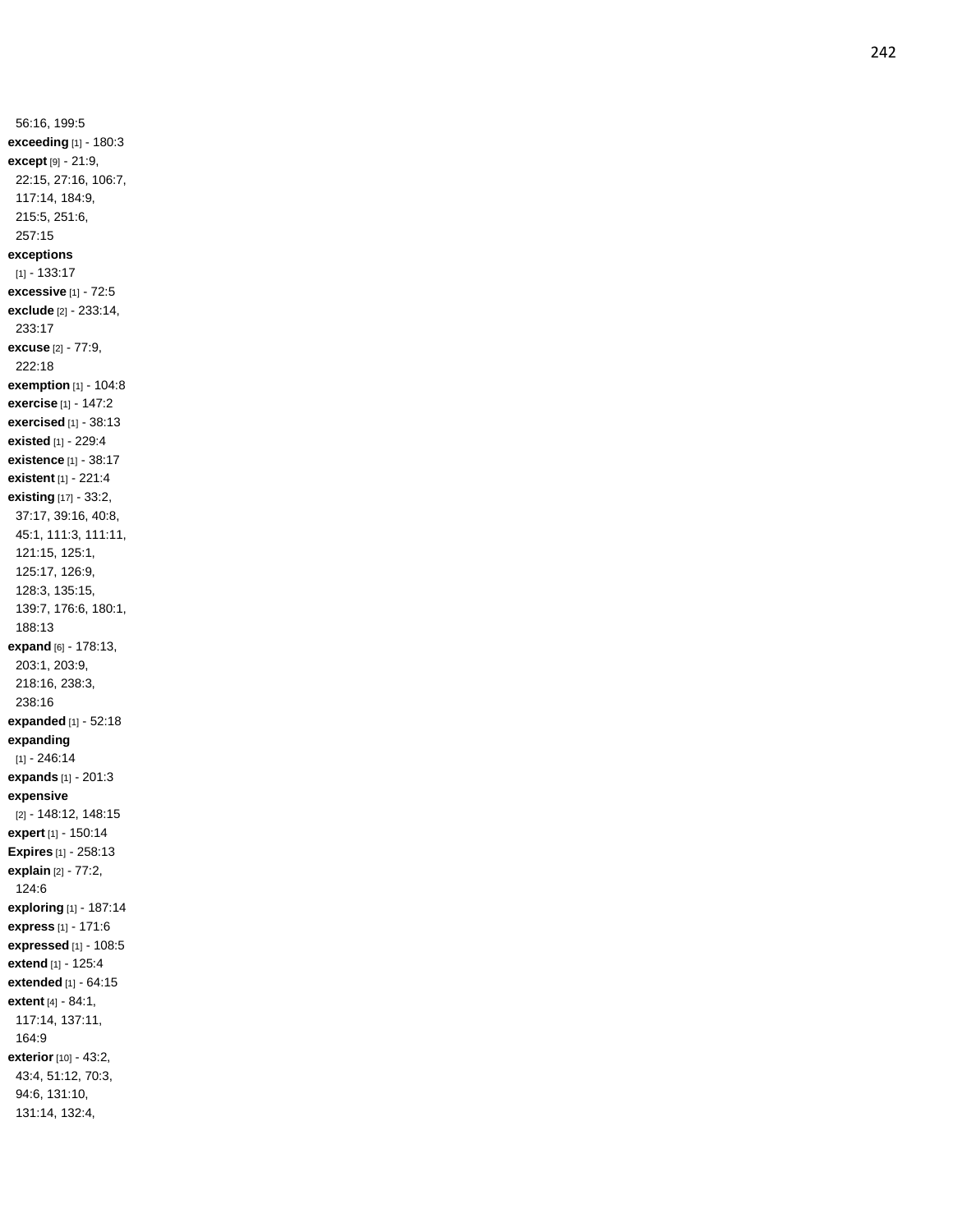56:16, 199:5 **exceeding** [1] - 180:3 **except** [9] - 21:9, 22:15, 27:16, 106:7, 117:14, 184:9, 215:5, 251:6, 257:15 **exceptions** [1] - 133:17 **excessive** [1] - 72:5 **exclude** [2] - 233:14, 233:17 **excuse** [2] - 77:9, 222:18 **exemption** [1] - 104:8 **exercise** [1] - 147:2 **exercised** [1] - 38:13 **existed** [1] - 229:4 **existence** [1] - 38:17 **existent** [1] - 221:4 **existing** [17] - 33:2, 37:17, 39:16, 40:8, 45:1, 111:3, 111:11, 121:15, 125:1, 125:17, 126:9, 128:3, 135:15, 139:7, 176:6, 180:1, 188:13 **expand** [6] - 178:13, 203:1, 203:9, 218:16, 238:3, 238:16 **expanded** [1] - 52:18 **expanding** [1] - 246:14 **expands** [1] - 201:3 **expensive** [2] - 148:12, 148:15 **expert** [1] - 150:14 **Expires** [1] - 258:13 **explain** [2] - 77:2, 124:6 **exploring** [1] - 187:14 **express** [1] - 171:6 **expressed** [1] - 108:5 **extend** [1] - 125:4 **extended** [1] - 64:15 **extent** [4] - 84:1, 117:14, 137:11, 164:9 **exterior** [10] - 43:2, 43:4, 51:12, 70:3, 94:6, 131:10, 131:14, 132:4,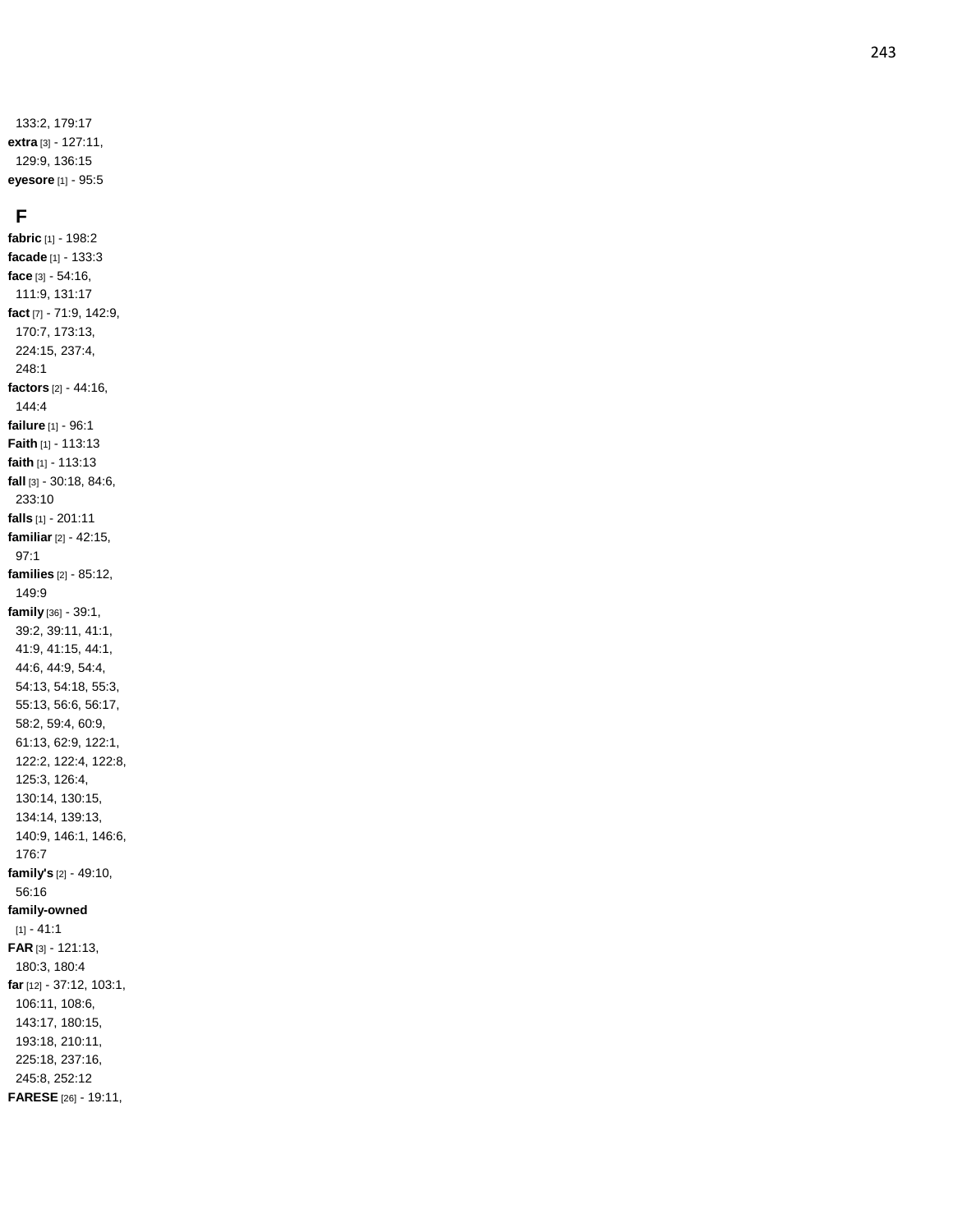133:2, 179:17 **extra** [3] - 127:11, 129:9, 136:15 **eyesore** [1] - 95:5

### **F**

**fabric** [1] - 198:2 **facade** [1] - 133:3 **face** [3] - 54:16, 111:9, 131:17 **fact** [7] - 71:9, 142:9, 170:7, 173:13, 224:15, 237:4, 248:1 **factors** [2] - 44:16, 144:4 **failure** [1] - 96:1 **Faith** [1] - 113:13 **faith** [1] - 113:13 **fall** [3] - 30:18, 84:6, 233:10 **falls** [1] - 201:11 **familiar** [2] - 42:15, 97:1 **families** [2] - 85:12, 149:9 **family** [36] - 39:1, 39:2, 39:11, 41:1, 41:9, 41:15, 44:1, 44:6, 44:9, 54:4, 54:13, 54:18, 55:3, 55:13, 56:6, 56:17, 58:2, 59:4, 60:9, 61:13, 62:9, 122:1, 122:2, 122:4, 122:8, 125:3, 126:4, 130:14, 130:15, 134:14, 139:13, 140:9, 146:1, 146:6, 176:7 **family's** [2] - 49:10, 56:16 **family-owned**  $[1] - 41:1$ **FAR** [3] - 121:13, 180:3, 180:4 **far** [12] - 37:12, 103:1, 106:11, 108:6, 143:17, 180:15, 193:18, 210:11, 225:18, 237:16, 245:8, 252:12 **FARESE** [26] - 19:11,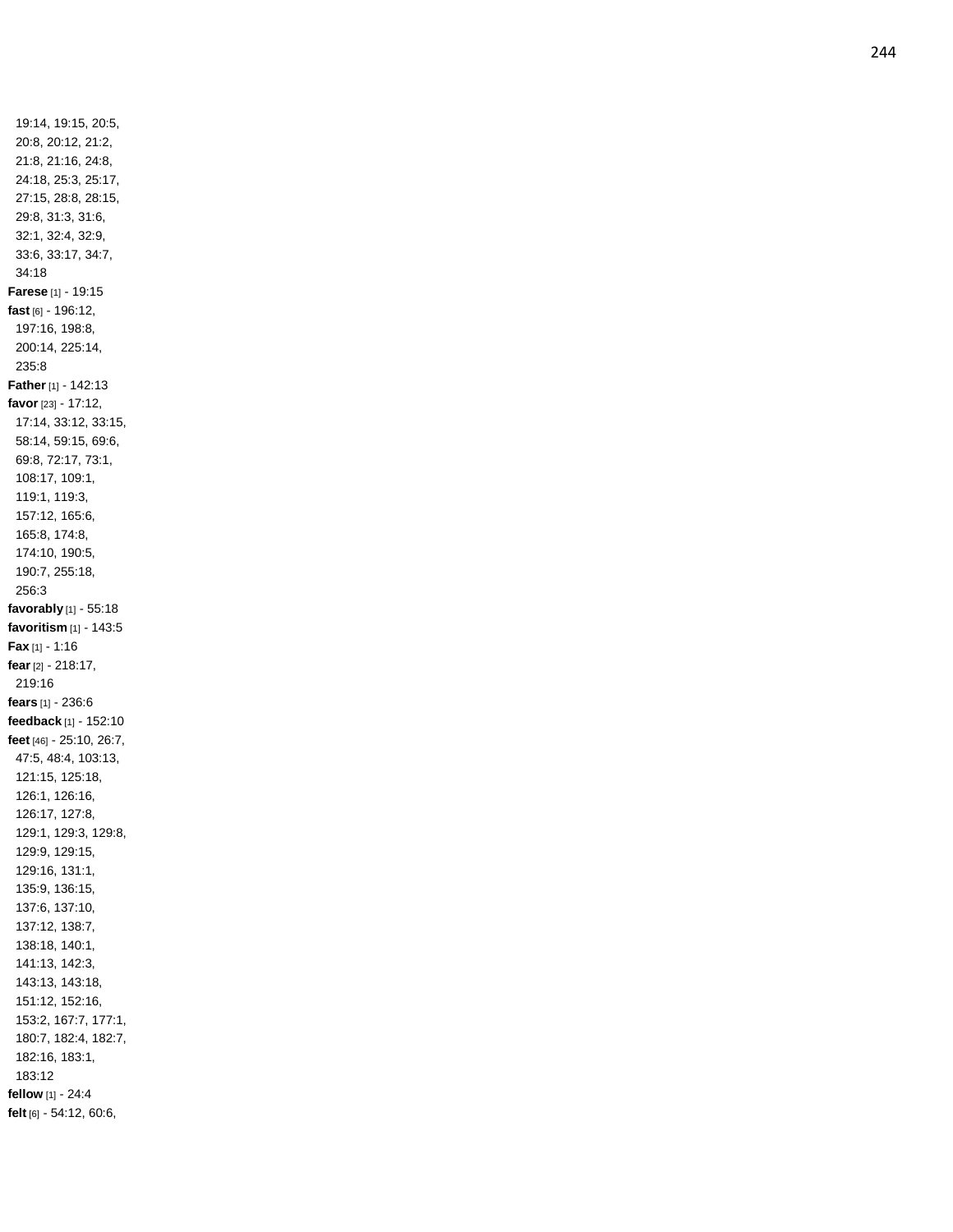19:14, 19:15, 20:5, 20:8, 20:12, 21:2, 21:8, 21:16, 24:8, 24:18, 25:3, 25:17, 27:15, 28:8, 28:15, 29:8, 31:3, 31:6, 32:1, 32:4, 32:9, 33:6, 33:17, 34:7, 34:18 **Farese** [1] - 19:15 **fast** [6] - 196:12, 197:16, 198:8, 200:14, 225:14, 235:8 **Father** [1] - 142:13 **favor** [23] - 17:12, 17:14, 33:12, 33:15, 58:14, 59:15, 69:6, 69:8, 72:17, 73:1, 108:17, 109:1, 119:1, 119:3, 157:12, 165:6, 165:8, 174:8, 174:10, 190:5, 190:7, 255:18, 256:3 **favorably** [1] - 55:18 **favoritism** [1] - 143:5 **Fax** [1] - 1:16 **fear** [2] - 218:17, 219:16 **fears** [1 ] - 236:6 **feedback** [1] - 152:10 **feet** [46] - 25:10, 26:7, 47:5, 48:4, 103:13, 121:15, 125:18, 126:1, 126:16, 126:17, 127:8, 129:1, 129:3, 129:8, 129:9, 129:15, 129:16, 131:1, 135:9, 136:15, 137:6, 137:10, 137:12, 138:7, 138:18, 140:1, 141:13, 142:3, 143:13, 143:18, 151:12, 152:16, 153:2, 167:7, 177:1, 180:7, 182:4, 182:7, 182:16, 183:1, 183:12 **fellow** [1] - 24:4 **felt** [6] - 54:12, 60:6,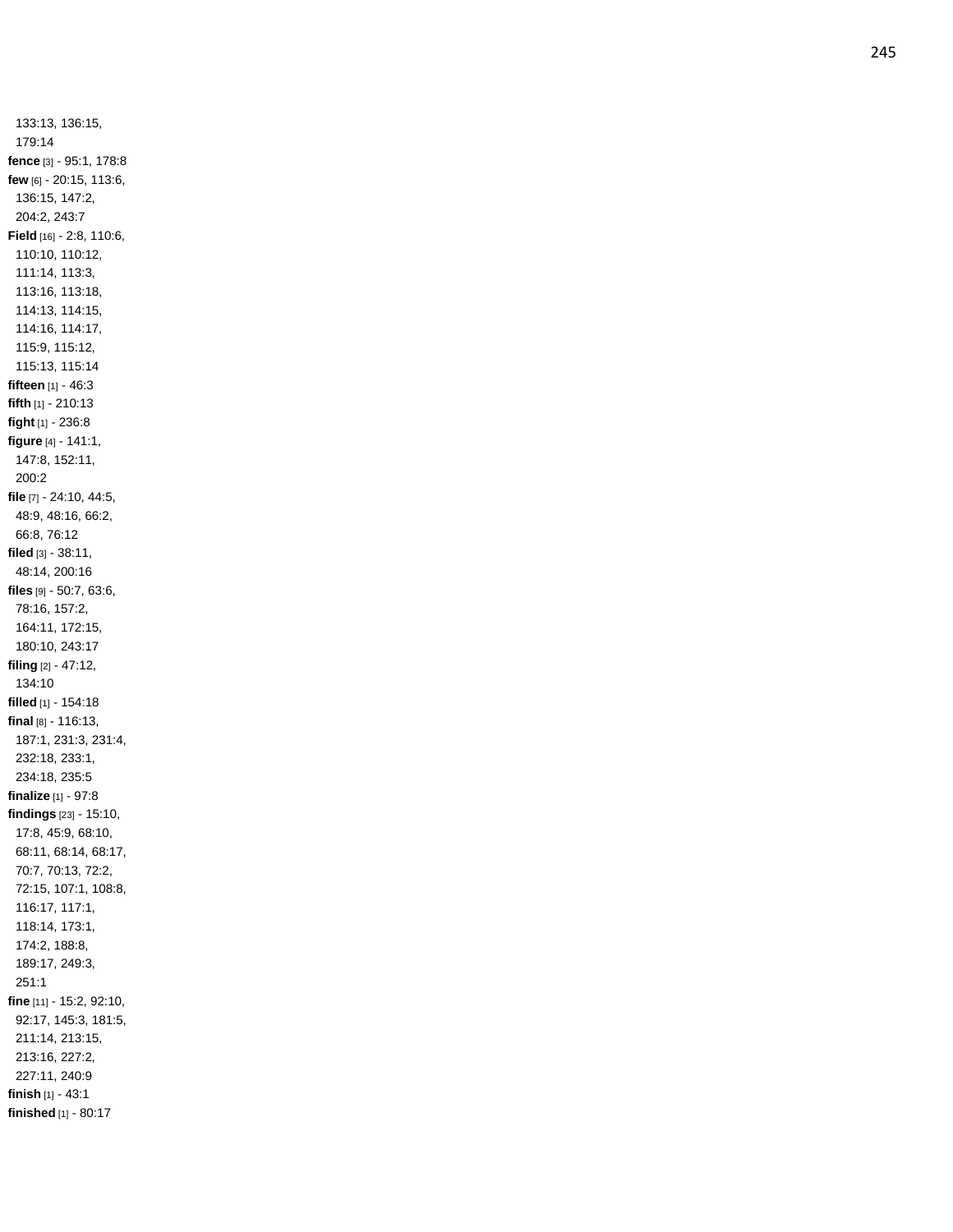133:13, 136:15, 179:14 **fence** [3] - 95:1, 178:8 **few** [6] - 20:15, 113:6, 136:15, 147:2, 204:2, 243:7 **Field** [16] - 2:8, 110:6, 110:10, 110:12, 111:14, 113:3, 113:16, 113:18, 114:13, 114:15, 114:16, 114:17, 115:9, 115:12, 115:13, 115:14 **fifteen** [1] - 46:3 **fifth** [1] - 210:13 **fight** [1] - 236:8 **figure** [4] - 141:1, 147:8, 152:11, 200:2 **file** [7] - 24:10, 44:5, 48:9, 48:16, 66:2, 66:8, 76:12 **filed** [3] - 38:11, 48:14, 200:16 **files** [9] - 50:7, 63:6, 78:16, 157:2, 164:11, 172:15, 180:10, 243:17 **filing** [2] - 47:12, 134:10 **filled** [1] - 154:18 **final** [8] - 116:13, 187:1, 231:3, 231:4, 232:18, 233:1, 234:18, 235:5 **finalize** [1] - 97:8 **findings** [23] - 15:10, 17:8, 45:9, 68:10, 68:11, 68:14, 68:17, 70:7, 70:13, 72:2, 72:15, 107:1, 108:8, 116:17, 117:1, 118:14, 173:1, 174:2, 188:8, 189:17, 249:3, 251:1 **fine** [11] - 15:2, 92:10, 92:17, 145:3, 181:5, 211:14, 213:15, 213:16, 227:2, 227:11, 240:9 **finish** [1] - 43:1 **finished** [1] - 80:17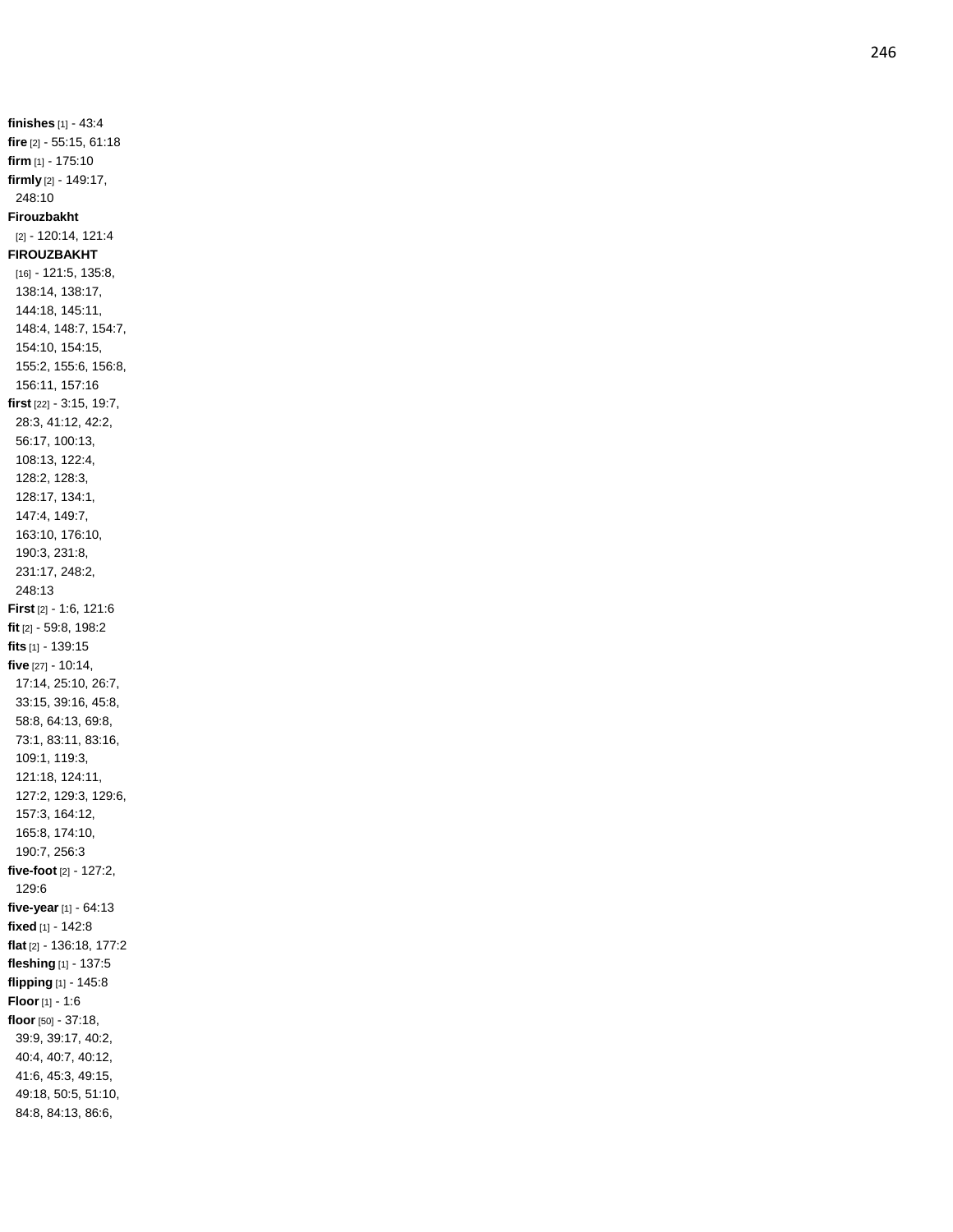**finishes** [1] - 43:4 **fire** [2] - 55:15, 61:18 **firm** [1] - 175:10 **firmly** [2] - 149:17, 248:10 **Firouzbakht** [2] - 120:14, 121:4 **FIROUZBAKHT** [16] - 121:5, 135:8, 138:14, 138:17, 144:18, 145:11, 148:4, 148:7, 154:7, 154:10, 154:15, 155:2, 155:6, 156:8, 156:11, 157:16 **first** [22] - 3:15, 19:7, 28:3, 41:12, 42:2, 56:17, 100:13, 108:13, 122:4, 128:2, 128:3, 128:17, 134:1, 147:4, 149:7, 163:10, 176:10, 190:3, 231:8, 231:17, 248:2, 248:13 **First** [2] - 1:6, 121:6 **fit** [2] - 59:8, 198:2 **fits** [1] - 139:15 **five** [27] - 10:14, 17:14, 25:10, 26:7, 33:15, 39:16, 45:8, 58:8, 64:13, 69:8, 73:1, 83:11, 83:16, 109:1, 119:3, 121:18, 124:11, 127:2, 129:3, 129:6, 157:3, 164:12, 165:8, 174:10, 190:7, 256:3 **five -foot** [2] - 127:2, 129:6 **five -year** [1] - 64:13 **fixe d** [1] - 142:8 **flat** [2] - 136:18, 177:2 **fleshing** [1] - 137:5 **flipping** [1] - 145:8 **Floor** [1] - 1:6 **floor** [50] - 37:18, 39:9, 39:17, 40:2, 40:4, 40:7, 40:12, 41:6, 45:3, 49:15, 49:18, 50:5, 51:10, 84:8, 84:13, 86:6,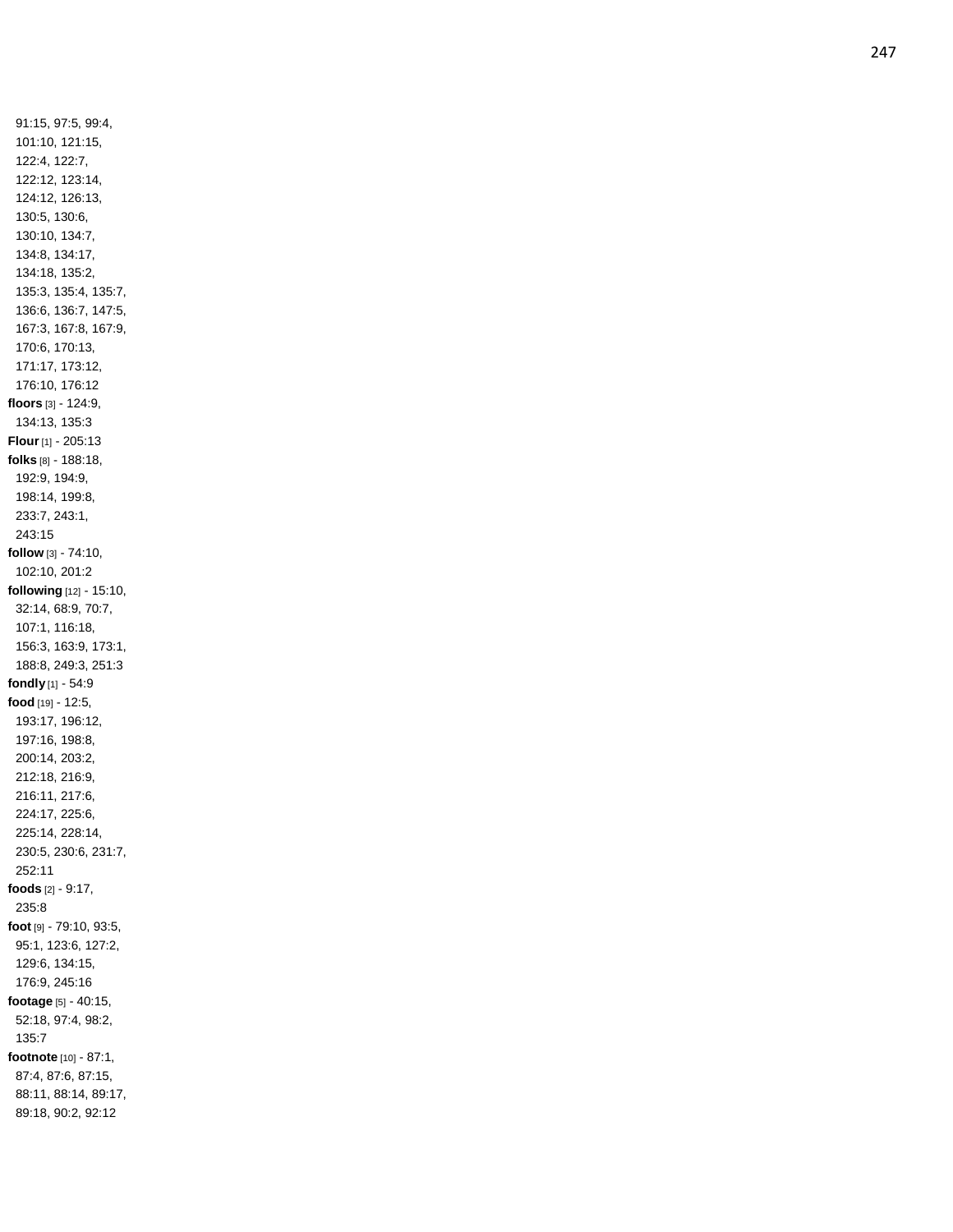91:15, 97:5, 99:4, 101:10, 121:15, 122:4, 122:7, 122:12, 123:14, 124:12, 126:13, 130:5, 130:6, 130:10, 134:7, 134:8, 134:17, 134:18, 135:2, 135:3, 135:4, 135:7, 136:6, 136:7, 147:5, 167:3, 167:8, 167:9, 170:6, 170:13, 171:17, 173:12, 176:10, 176:12 **floors** [3] - 124:9, 134:13, 135:3 **Flour** [1] - 205:13 **folks** [8] - 188:18, 192:9, 194:9, 198:14, 199:8, 233:7, 243:1, 243:15 **follow** [3] - 74:10, 102:10, 201:2 **following** [12] - 15:10, 32:14, 68:9, 70:7, 107:1, 116:18, 156:3, 163:9, 173:1, 188:8, 249:3, 251:3 **fondly** [1] - 54:9 **food** [19] - 12:5, 193:17, 196:12, 197:16, 198:8, 200:14, 203:2, 212:18, 216:9, 216:11, 217:6, 224:17, 225:6, 225:14, 228:14, 230:5, 230:6, 231:7, 252:11 **foods** [2] - 9:17, 235:8 **foot** [9] - 79:10, 93:5, 95:1, 123:6, 127:2, 129:6, 134:15, 176:9, 245:16 **footage** [5] - 40:15, 52:18, 97:4, 98:2, 135:7 **footnote** [10] - 87:1, 87:4, 87:6, 87:15, 88:11, 88:14, 89:17, 89:18, 90:2, 92:12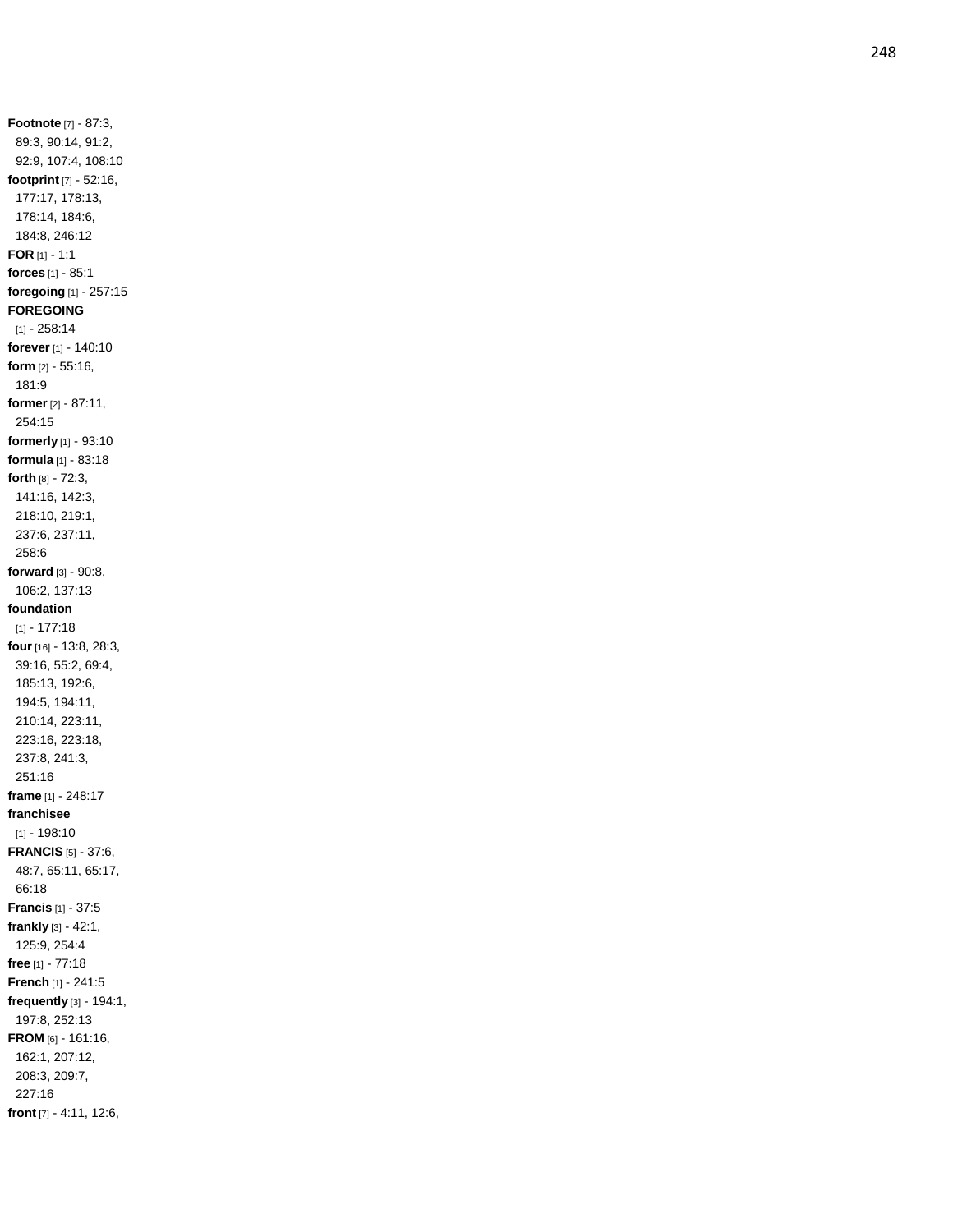**Footnote** [7] - 87:3, 89:3, 90:14, 91:2, 92:9, 107:4, 108:10 **footprint** [7] - 52:16, 177:17, 178:13, 178:14, 184:6, 184:8, 246:12 **FOR** [1] - 1:1 **forces** [1] - 85:1 **foregoing** [1] - 257:15 **FOREGOING** [1] - 258:14 **forever** [1] - 140:10 **form** [2] - 55:16, 181:9 **former** [2] - 87:11, 254:15 **formerly** [1] - 93:10 **formula** [1] - 83:18 **forth** [8] - 72:3, 141:16, 142:3, 218:10, 219:1, 237:6, 237:11, 258:6 **forward** [3 ] - 90:8, 106:2, 137:13 **foundation** [1] - 177:18 **four** [16] - 13:8, 28:3, 39:16, 55:2, 69:4, 185:13, 192:6, 194:5, 194:11, 210:14, 223:11, 223:16, 223:18, 237:8, 241:3, 251:16 **frame** [1] - 248:17 **franchisee** [1] - 198:10 **FRANCIS** [5] - 37:6, 48:7, 65:11, 65:17, 66:18 **Francis** [1] - 37:5 **frankly** [3] - 42:1, 125:9, 254:4 **free** [1] - 77:18 **French** [1] - 241:5 **frequently** [3] - 194:1, 197:8, 252:13 **FROM** [6] - 161:16, 162:1, 207:12, 208:3, 209:7, 227:16 **front** [7] - 4:11, 12:6,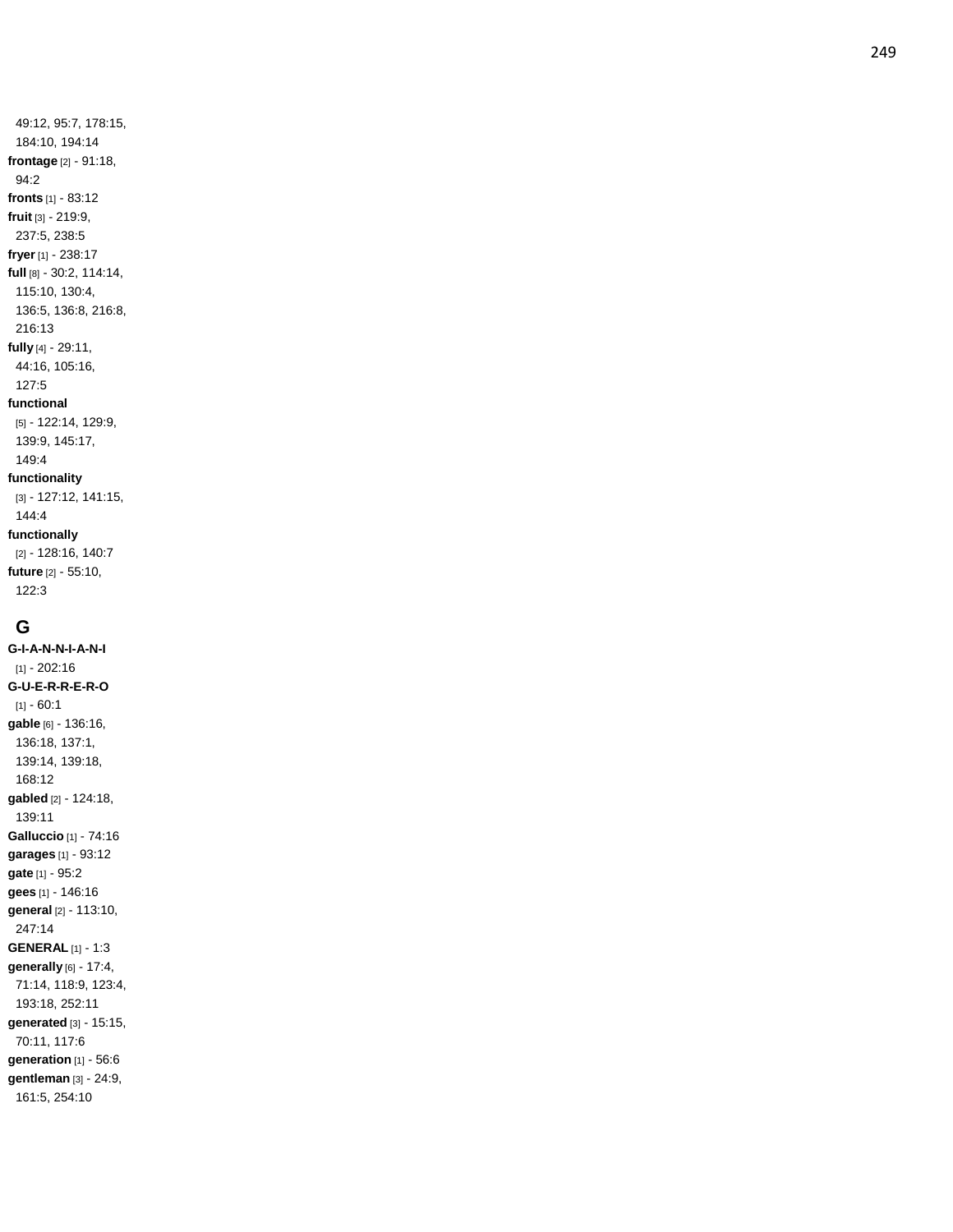#### [5] - 122:14, 129:9,

94:2

139:9, 145:17, 149:4 **functionality** [3] - 127:12, 141:15, 144:4 **functionally** [2] - 128:16, 140:7 **future** [2] - 55:10,

**G**

122:3

**G-I-A-N - N - I - A - N - I** [1] - 202:16 **G - U - E - R - R - E - R - O**  $[1] - 60:1$ **gable** [6] - 136:16, 136:18, 137:1, 139:14, 139:18, 168:12 **gabled** [2] - 124:18, 139:11 **Galluccio** [1] - 74:16 **garages** [1] - 93:12 **gate** [1] - 95:2 **gees** [1] - 146:16 **general** [2] - 113:10, 247:14 **GENERAL** [1] - 1:3 **generally** [6] - 17:4, 71:14, 118:9, 123:4, 193:18, 252:11 **generated** [3] - 15:15, 70:11, 117:6 **generation** [1] - 56:6 **gentleman** [3] - 24:9, 161:5, 254:10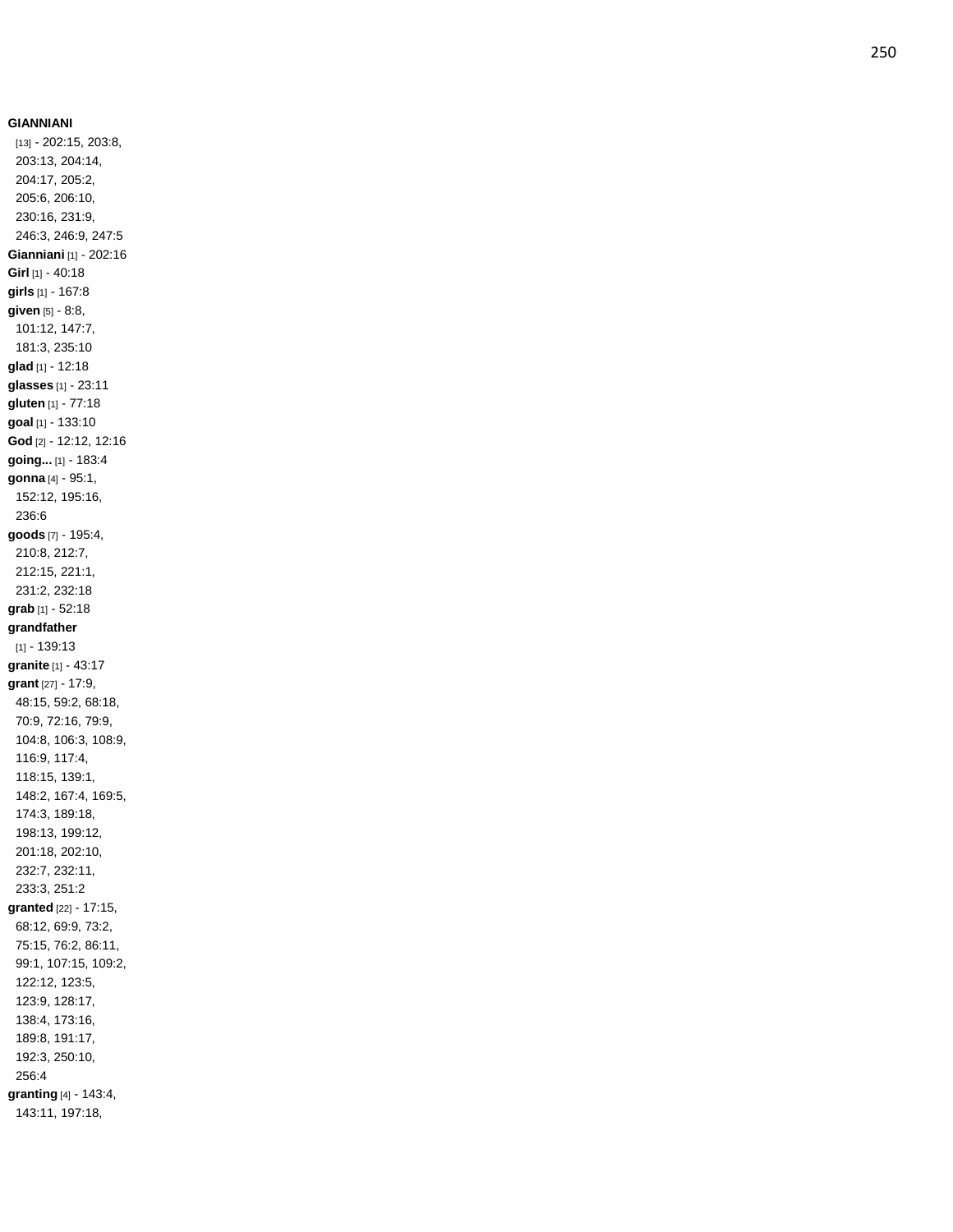**GIANNIANI** [13] - 202:15, 203:8, 203:13, 204:14, 204:17, 205:2, 205:6, 206:10, 230:16, 231:9, 246:3, 246:9, 247:5 **Gianniani** [1] - 202:16 **Girl** [1] - 40:18 **girls** [1] - 167:8 **given** [5] - 8:8, 101:12, 147:7, 181:3, 235:10 **glad** [1] - 12:18 **glasses** [1] - 23:11 **gluten** [1] - 77:18 **goal** [1] - 133:10 **God** [2] - 12:12, 12:16 **going...** [1] - 183:4 **gonna** [4] - 95:1, 152:12, 195:16, 236:6 **goods** [7] - 195:4, 210:8, 212:7, 212:15, 221:1, 231:2, 232:18 **grab** [1] - 52:18 **grandfather** [1] - 139:13 **granite** [1] - 43:17 **grant** [27] - 17:9, 48:15, 59:2, 68:18, 70:9, 72:16, 79:9, 104:8, 106:3, 108:9, 116:9, 117:4, 118:15, 139:1, 148:2, 167:4, 169:5, 174:3, 189:18, 198:13, 199:12, 201:18, 202:10, 232:7, 232:11, 233:3, 251:2 **granted** [22] - 17:15, 68:12, 69:9, 73:2, 75:15, 76:2, 86:11, 99:1, 107:15, 109:2, 122:12, 123:5, 123:9, 128:17, 138:4, 173:16, 189:8, 191:17, 192:3, 250:10, 256:4 **granting** [4] - 143:4, 143:11, 197:18,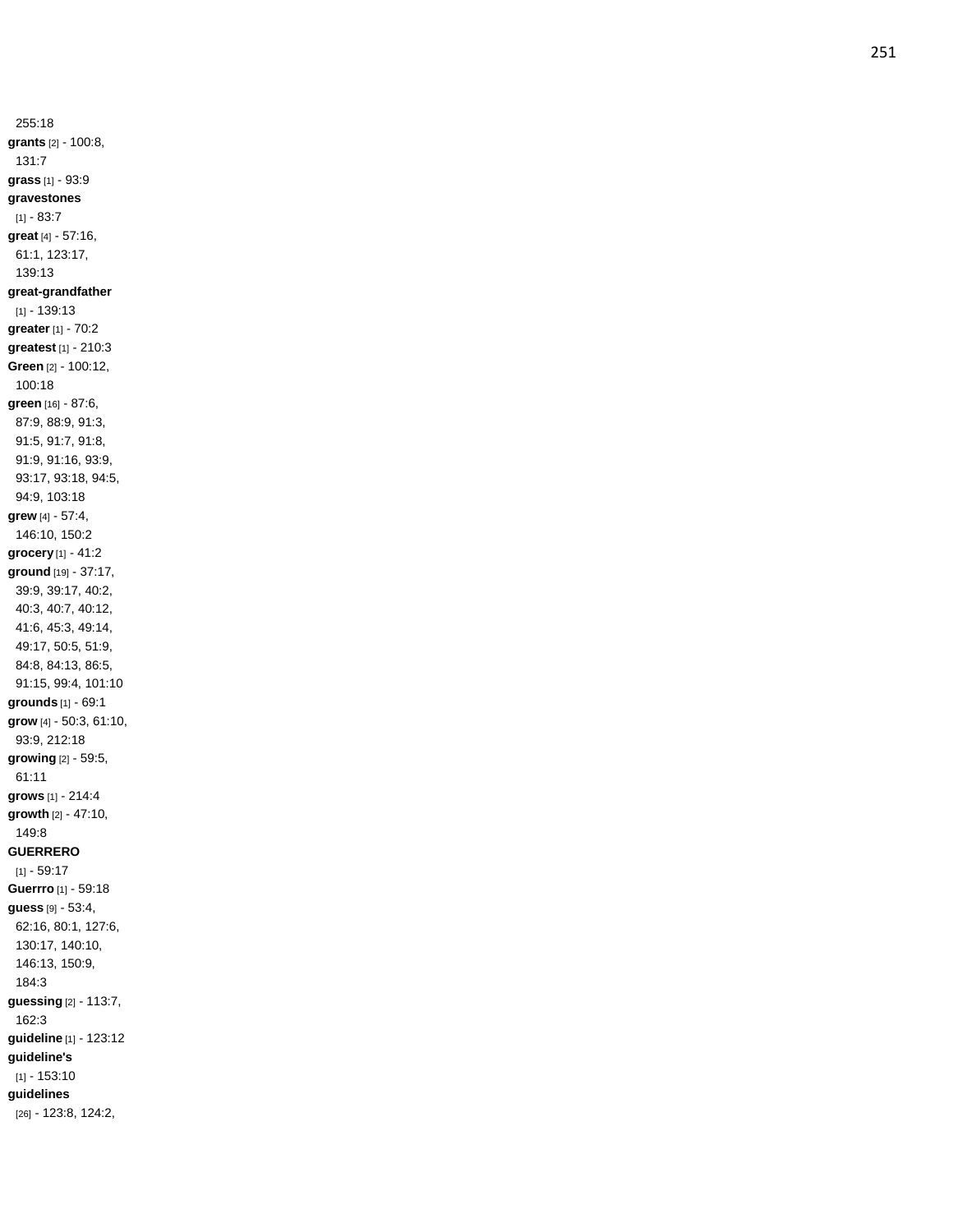255:18 **grants** [2] - 100:8, 131:7 **grass** [1] - 93:9 **gravestones** [1] - 83:7 **great** [4] - 57:16, 61:1, 123:17, 139:13 **great -grandfather** [1] - 139:13 **greater** [1] - 70:2 **greatest** [1] - 210:3 **Green** [2] - 100:12, 100:18 **green** [16] - 87:6, 87:9, 88:9, 91:3, 91:5, 91:7, 91:8, 91:9, 91:16, 93:9, 93:17, 93:18, 94:5, 94:9, 103:18 **grew** [4] - 57:4, 146:10, 150:2 **grocery** [1] - 41:2 **ground** [19] - 37:17, 39:9, 39:17, 40:2, 40:3, 40:7, 40:12, 41:6, 45:3, 49:14, 49:17, 50:5, 51:9, 84:8, 84:13, 86:5, 91:15, 99:4, 101:10 **grounds** [1] - 69:1 **grow** [4] - 50:3, 61:10, 93:9, 212:18 **growing** [2] - 59:5, 61:11 **grows** [1] - 214:4 **growth** [2] - 47:10, 149:8 **GUERRERO**  $[1] - 59:17$ **Guerrro** [1] - 59:18 **guess** [9] - 53:4, 62:16, 80:1, 127:6, 130:17, 140:10, 146:13, 150:9, 184:3 **guessing** [2] - 113:7, 162:3 **guideline** [1] - 123:12 **guideline's** [1] - 153:10 **guidelines** [26] - 123:8, 124:2,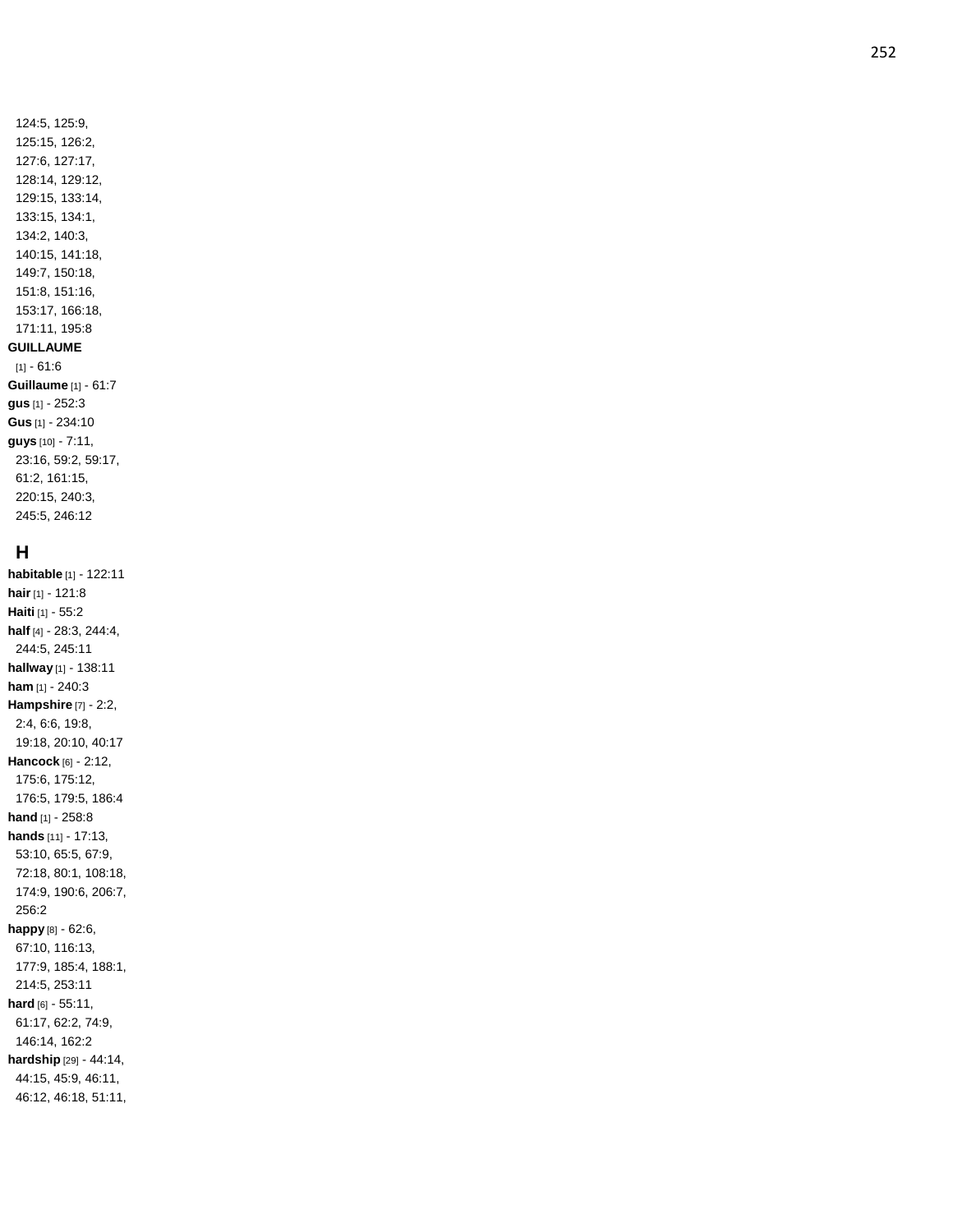## **H**

**habitable** [1] - 122:11 **hair** [1] - 121:8 **Haiti** [1] - 55:2 **half** [4] - 28:3, 244:4, 244:5, 245:11 **hallway** [1] - 138:11 **ham** [1] - 240:3 **Hampshire** [7] - 2:2, 2:4, 6:6, 19:8, 19:18, 20:10, 40:17 **Hancock** [6] - 2:12, 175:6, 175:12, 176:5, 179:5, 186:4 **hand** [1] - 258:8 **hands** [11] - 17:13, 53:10, 65:5, 67:9, 72:18, 80:1, 108:18, 174:9, 190:6, 206:7, 256:2 **happy** [8] - 62:6, 67:10, 116:13, 177:9, 185:4, 188:1, 214:5, 253:11 **hard** [6] - 55:11, 61:17, 62:2, 74:9, 146:14, 162:2 **hardship** [29] - 44:14, 44:15, 45:9, 46:11, 46:12, 46:18, 51:11,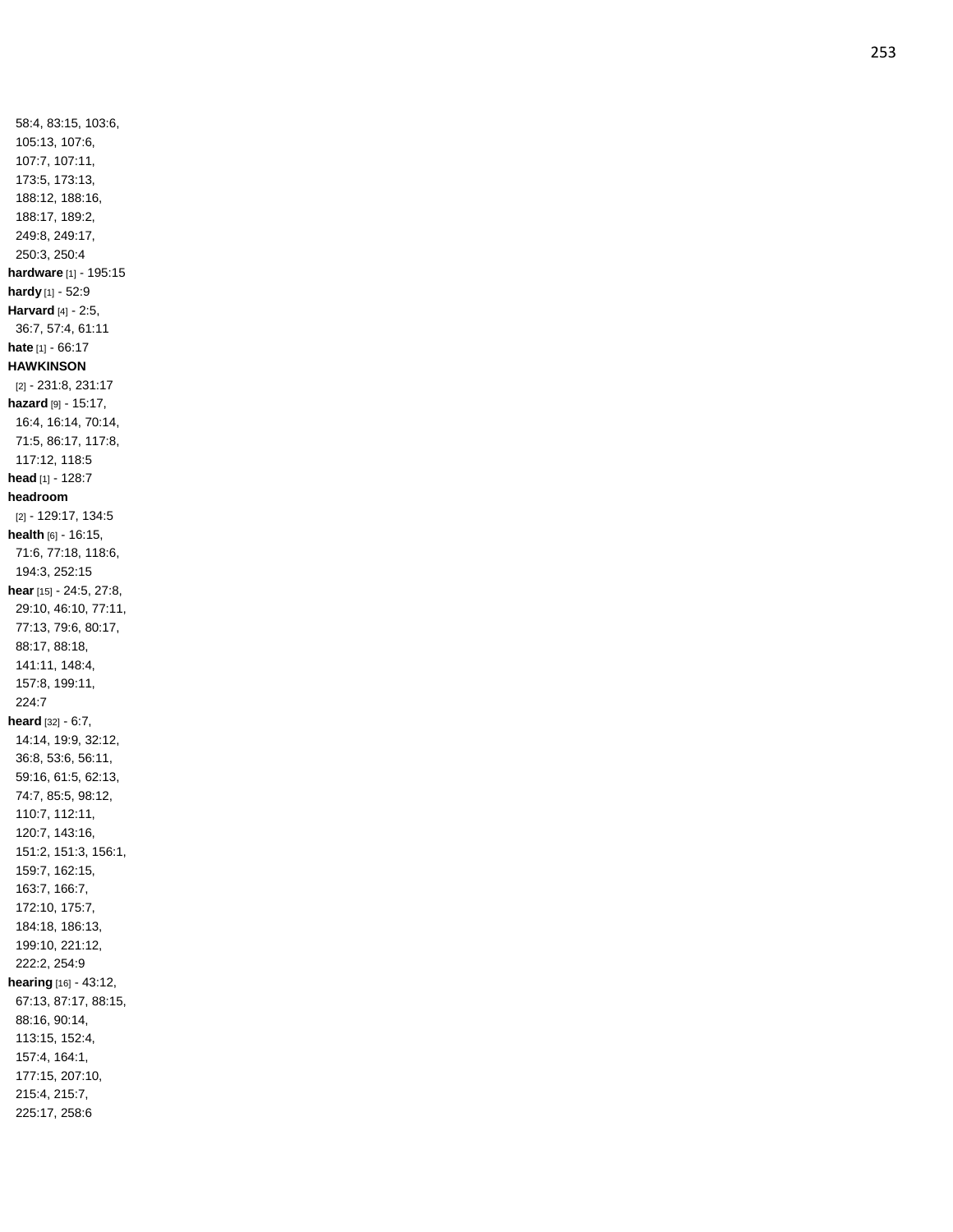58:4, 83:15, 103:6, 105:13, 107:6, 107:7, 107:11, 173:5, 173:13, 188:12, 188:16, 188:17, 189:2, 249:8, 249:17, 250:3, 250:4 **hardware** [1] - 195:15 **hardy** [1] - 52:9 **Harvard** [4] - 2:5, 36:7, 57:4, 61:11 **hate** [1] - 66:17 **HAWKINSON** [2] - 231:8, 231:17 **hazard** [9] - 15:17, 16:4, 16:14, 70:14, 71:5, 86:17, 117:8, 117:12, 118:5 **head** [1] - 128:7 **headroom** [2] - 129:17, 134:5 **health** [6] - 16:15, 71:6, 77:18, 118:6, 194:3, 252:15 **hear** [15] - 24:5, 27:8, 29:10, 46:10, 77:11, 77:13, 79:6, 80:17, 88:17, 88:18, 141:11, 148:4, 157:8, 199:11, 224:7 **heard** [32] - 6:7, 14:14, 19:9, 32:12, 36:8, 53:6, 56:11, 59:16, 61:5, 62:13, 74:7, 85:5, 98:12, 110:7, 112:11, 120:7, 143:16, 151:2, 151:3, 156:1, 159:7, 162:15, 163:7, 166:7, 172:10, 175:7, 184:18, 186:13, 199:10, 221:12, 222:2, 254:9 **hearing** [16] - 43:12, 67:13, 87:17, 88:15, 88:16, 90:14, 113:15, 152:4, 157:4, 164:1, 177:15, 207:10, 215:4, 215:7, 225:17, 258:6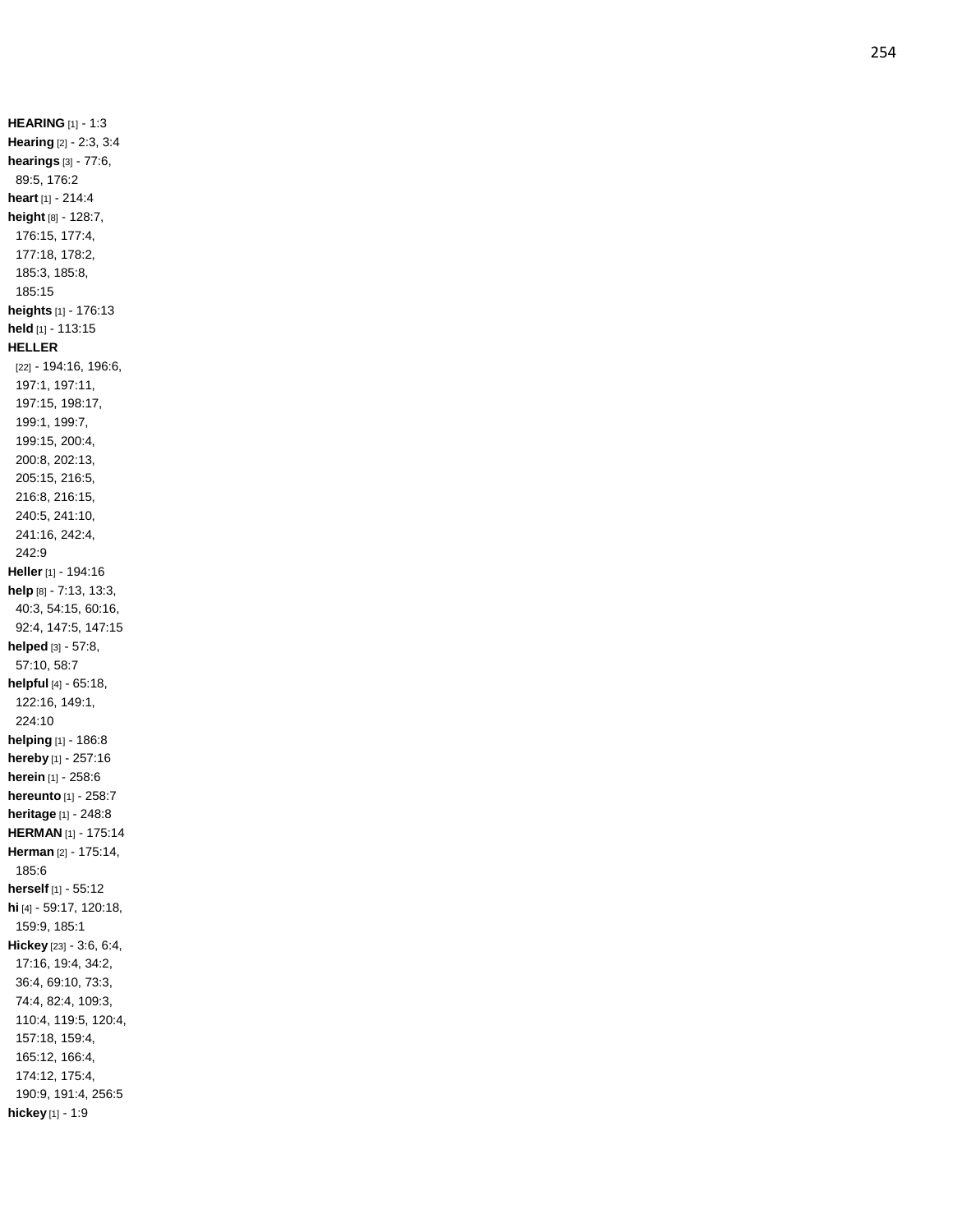**HEARING** [1] - 1:3 **Hearing** [2] - 2:3, 3:4 **hearings** [3] - 77:6, 89:5, 176:2 **heart** [1] - 214:4 **height** [8] - 128:7, 176:15, 177:4, 177:18, 178:2, 185:3, 185:8, 185:15 **heights** [1] - 176:13 **held** [1] - 113:15 **HELLER** [22] - 194:16, 196:6, 197:1, 197:11, 197:15, 198:17, 199:1, 199:7, 199:15, 200:4, 200:8, 202:13, 205:15, 216:5, 216:8, 216:15, 240:5, 241:10, 241:16, 242:4, 242:9 **Heller** [1] - 194:16 **help** [8] - 7:13, 13:3, 40:3, 54:15, 60:16, 92:4, 147:5, 147:15 **helped** [3] - 57:8, 57:10, 58:7 **helpful** [4] - 65:18, 122:16, 149:1, 224:10 **helping** [1] - 186:8 **hereby** [1] - 257:16 **herein** [1] - 258:6 **hereunto** [1] - 258:7 **heritage** [1] - 248:8 **HERMAN** [1] - 175:14 **Herman** [2] - 175:14, 185:6 **herself** [1] - 55:12 **hi** [4] - 59:17, 120:18, 159:9, 185:1 **Hickey** [23] - 3:6, 6:4, 17:16, 19:4, 34:2, 36:4, 69:10, 73:3, 74:4, 82:4, 109:3, 110:4, 119:5, 120:4, 157:18, 159:4, 165:12, 166:4, 174:12, 175:4, 190:9, 191:4, 256:5 **hickey** [1] - 1:9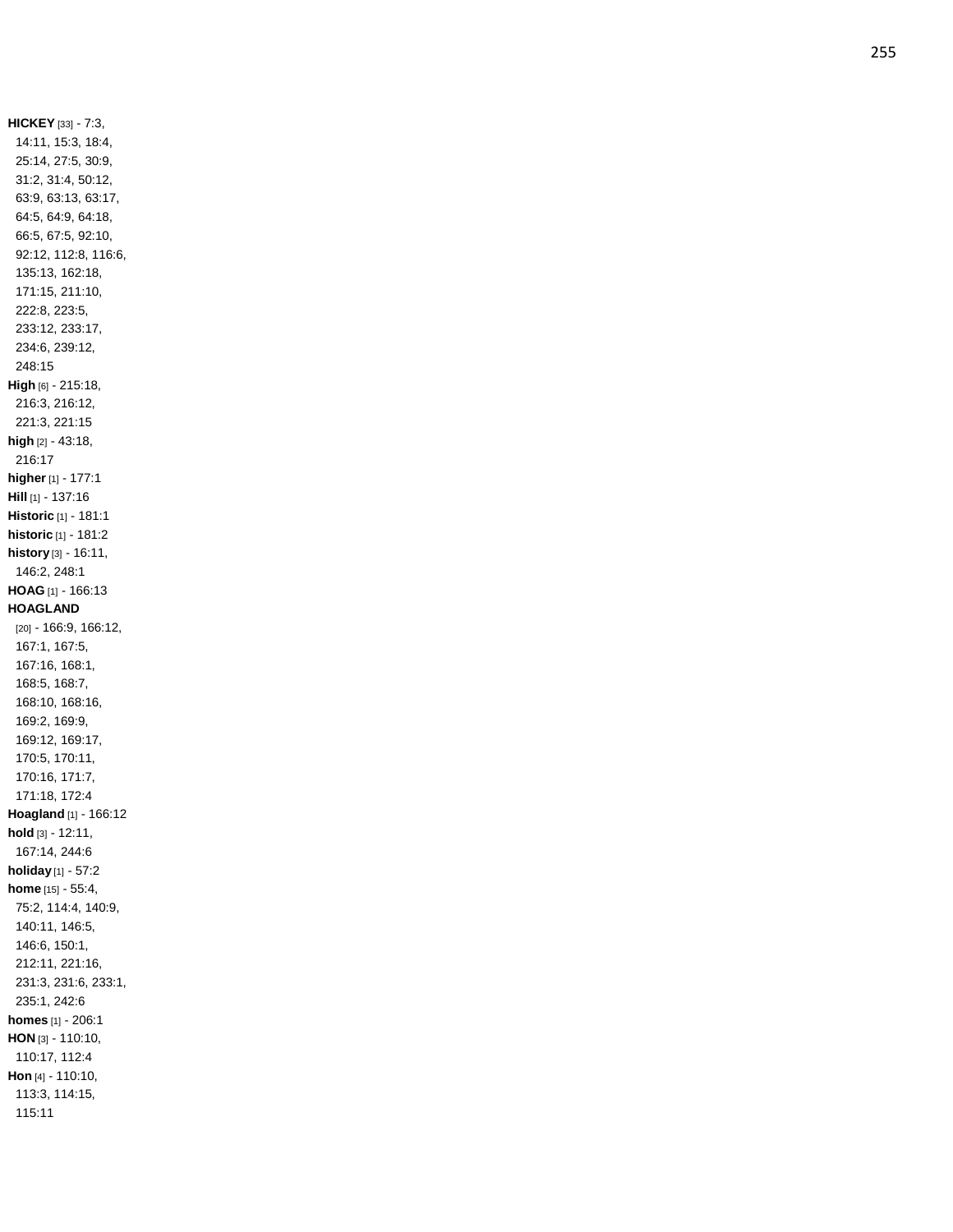**HICKEY** [33] - 7:3, 14:11, 15:3, 18:4, 25:14, 27:5, 30:9, 31:2, 31:4, 50:12, 63:9, 63:13, 63:17, 64:5, 64:9, 64:18, 66:5, 67:5, 92:10, 92:12, 112:8, 116:6, 135:13, 162:18, 171:15, 211:10, 222:8, 223:5, 233:12, 233:17, 234:6, 239:12, 248:15 **High** [6] - 215:18, 216:3, 216:12, 221:3, 221:15 **high** [2] - 43:18, 216:17 **higher** [1 ] - 177:1 **Hill** [1] - 137:16 **Historic** [1] - 181:1 **historic** [1] - 181:2 **history** [3] - 16:11, 146:2, 248:1 **HOAG** [1] - 166:13 **HOAGLAND** [20] - 166:9, 166:12, 167:1, 167:5, 167:16, 168:1, 168:5, 168:7, 168:10, 168:16, 169:2, 169:9, 169:12, 169:17, 170:5, 170:11, 170:16, 171:7, 171:18, 172:4 **Hoagland** [1] - 166:12 **hold** [3] - 12:11, 167:14, 244:6 **holiday** [1] - 57:2 **home** [15] - 55:4, 75:2, 114:4, 140:9, 140:11, 146:5, 146:6, 150:1, 212:11, 221:16, 231:3, 231:6, 233:1, 235:1, 242:6 **homes** [1] - 206:1 **HON** [3] - 110:10, 110:17, 112:4 **Hon** [4] - 110:10, 113:3, 114:15, 115:11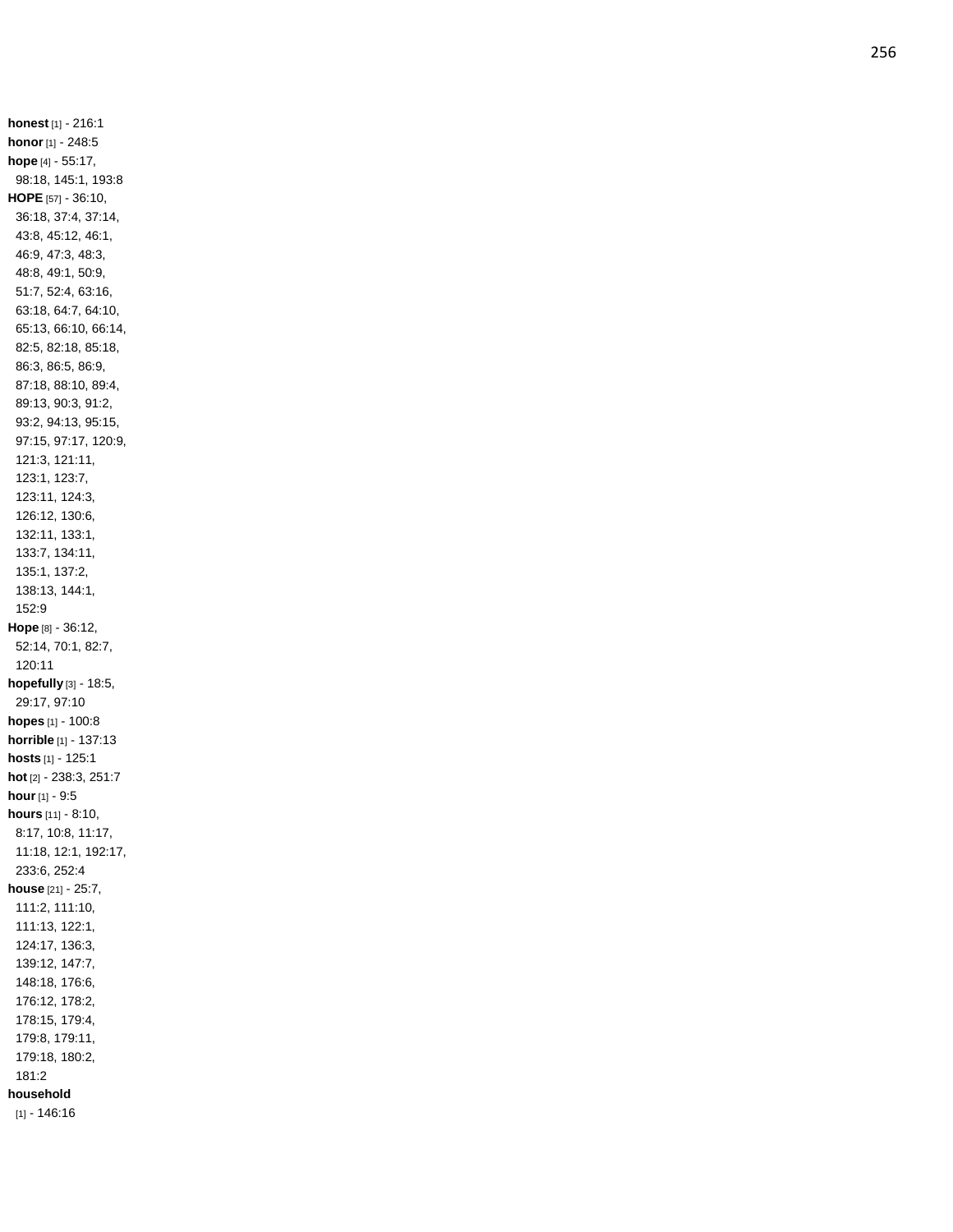**honest** [1] - 216:1 **honor** [1] - 248:5 **hope** [4] - 55:17, 98:18, 145:1, 193:8 **HOPE** [57 ] - 36:10, 36:18, 37:4, 37:14, 43:8, 45:12, 46:1, 46:9, 47:3, 48:3, 48:8, 49:1, 50:9, 51:7, 52:4, 63:16, 63:18, 64:7, 64:10, 65:13, 66:10, 66:14, 82:5, 82:18, 85:18, 86:3, 86:5, 86:9, 87:18, 88:10, 89:4, 89:13, 90:3, 91:2, 93:2, 94:13, 95:15, 97:15, 97:17, 120:9, 121:3, 121:11, 123:1, 123:7, 123:11, 124:3, 126:12, 130:6, 132:11, 133:1, 133:7, 134:11, 135:1, 137:2, 138:13, 144:1, 152:9 **Hope** [8] - 36:12, 52:14, 70:1, 82:7, 120:11 **hopefully** [3] - 18:5, 29:17, 97:10 **hopes** [1] - 100:8 **horrible** [1] - 137:13 **hosts** [1] - 125:1 **hot** [2] - 238:3, 251:7 **hour** [1] - 9:5 **hours** [11] - 8:10, 8:17, 10:8, 11:17, 11:18, 12:1, 192:17, 233:6, 252:4 **house** [21] - 25:7, 111:2, 111:10, 111:13, 122:1, 124:17, 136:3, 139:12, 147:7, 148:18, 176:6, 176:12, 178:2, 178:15, 179:4, 179:8, 179:11, 179:18, 180:2, 181:2 **household** [1] - 146:16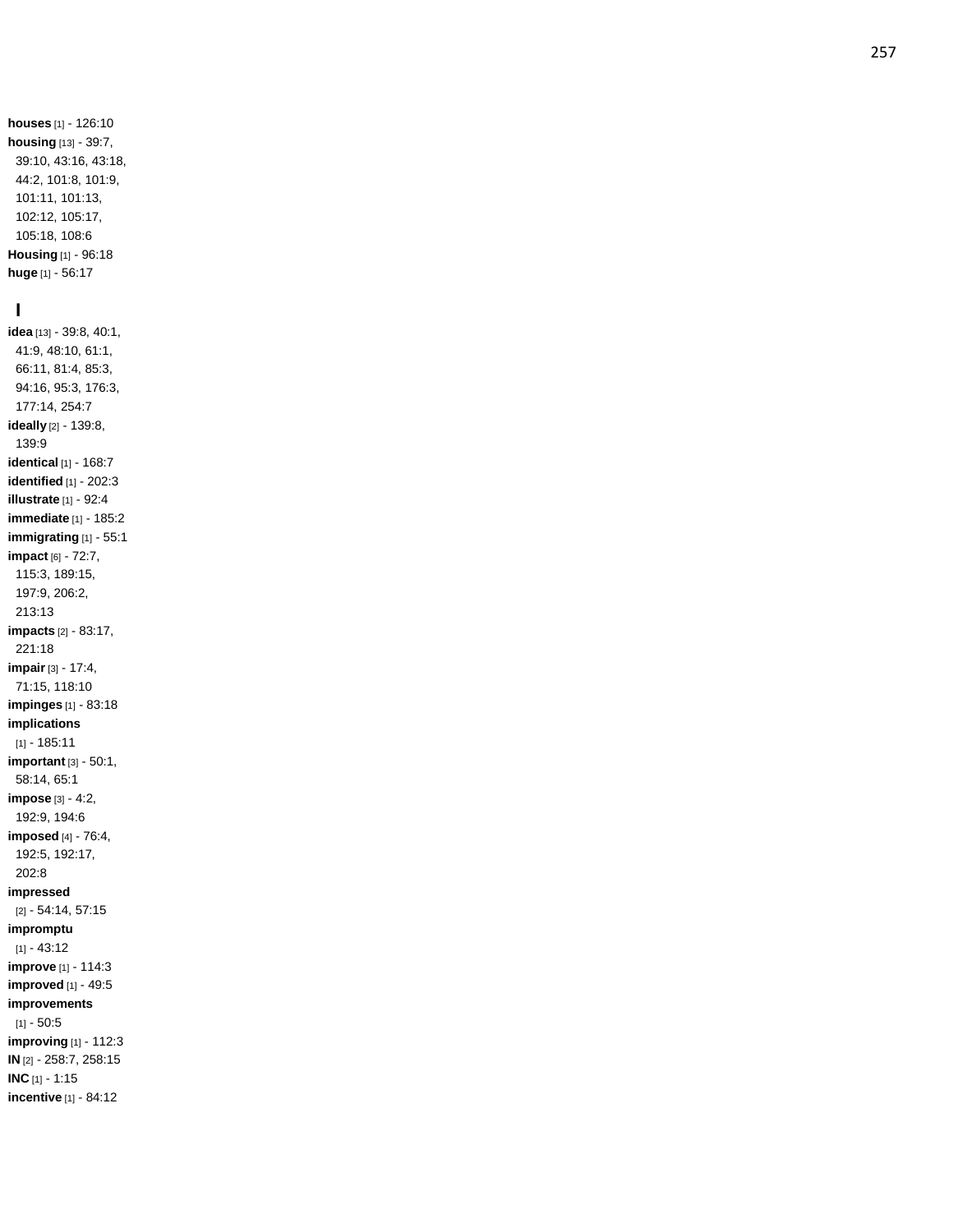**houses** [1] - 126:10 **housing** [13] - 39:7, 39:10, 43:16, 43:18, 44:2, 101:8, 101:9, 101:11, 101:13, 102:12, 105:17, 105:18, 108:6 **Housing** [1] - 96:18 **huge** [1] - 56:17

## **I**

**idea** [13] - 39:8, 40:1, 41:9, 48:10, 61:1, 66:11, 81:4, 85:3, 94:16, 95:3, 176:3, 177:14, 254:7 **ideally** [2] - 139:8, 139:9 **identical** [1] - 168:7 **identified** [1] - 202:3 **illustrate** [1] - 92:4 **immediate** [1] - 185:2 **immigrating** [1] - 55:1 **impact** [6] - 72:7, 115:3, 189:15, 197:9, 206:2, 213:13 **impacts** [2] - 83:17, 221:18 **impair** [3] - 17:4, 71:15, 118:10 **impinges** [1] - 83:18 **implications** [1] - 185:11 **important** [3] - 50:1, 58:14, 65:1 **impose** [3] - 4:2, 192:9, 194:6 **imposed** [4] - 76:4, 192:5, 192:17, 202:8 **impressed** [2] - 54:14, 57:15 **impromptu**  $[1] - 43:12$ **improve** [1] - 114:3 **improved** [1] - 49:5 **improvements** [1] - 50:5 **improving** [1] - 112:3 **IN** [2] - 258:7, 258:15 **INC** [1] - 1:15

**incentive** [1] - 84:12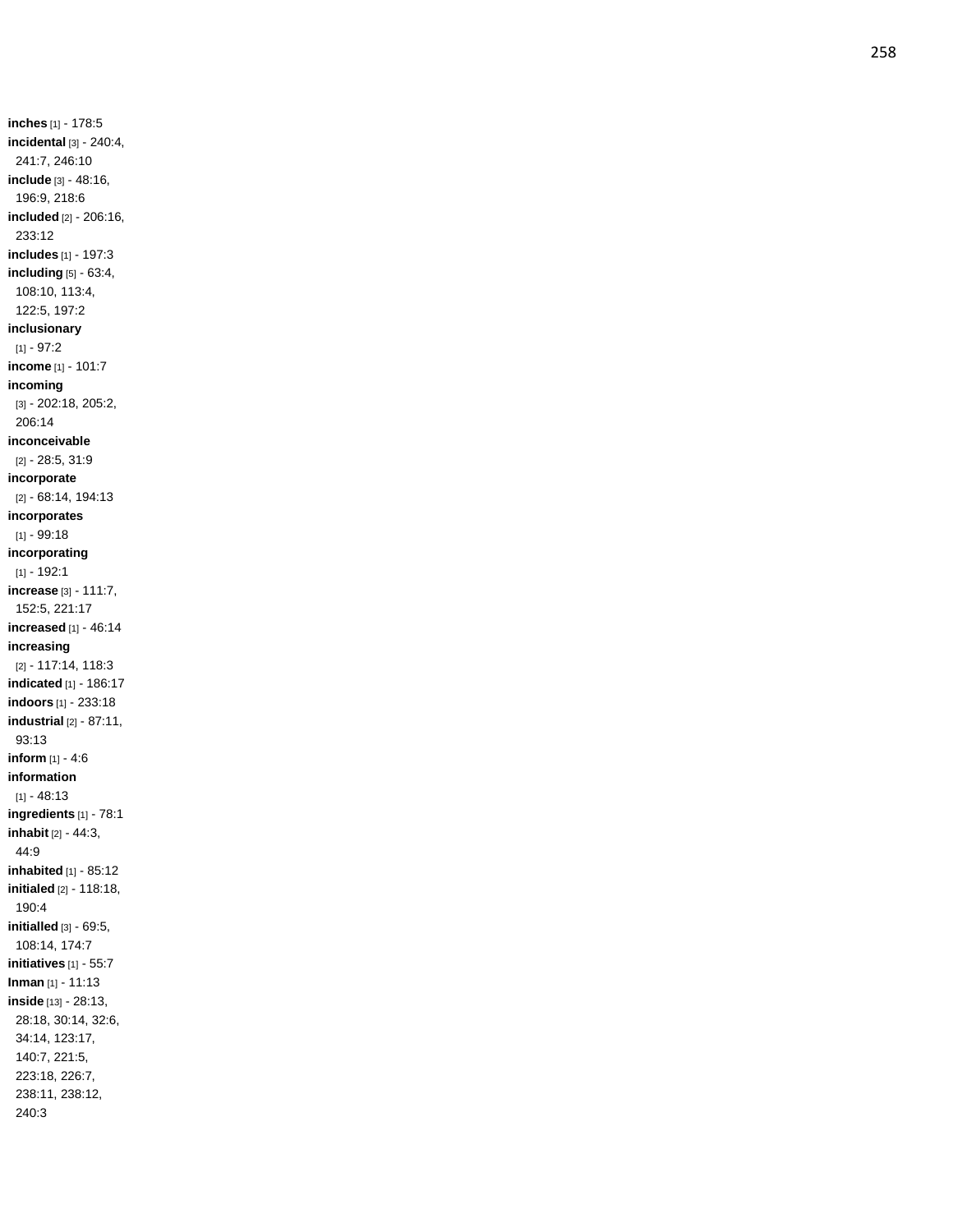**inches** [1] - 178:5 **incidental** [3] - 240:4, 241:7, 246:10 **include** [3] - 48:16, 196:9, 218:6 **included** [2] - 206:16, 233:12 **includes** [1] - 197:3 **including** [5] - 63:4, 108:10, 113:4, 122:5, 197:2 **inclusionary** [1] - 97:2 **income** [1] - 101:7 **incoming** [3] - 202:18, 205:2, 206:14 **inconceivable** [2] - 28:5, 31:9 **incorporate** [2] - 68:14, 194:13 **incorporates** [1] - 99:18 **incorporating** [1] - 192:1 **increase** [3] - 111:7, 152:5, 221:17 **increased** [1] - 46:14 **increasing** [2] - 117:14, 118:3 **indicated** [1] - 186:17 **indoors** [1] - 233:18 **industrial** [2] - 87:11, 93:13 **inform** [1] - 4:6 **information**  $[1] - 48:13$ **ingredients** [1] - 78:1 **inhabit** [2] - 44:3, 44:9 **inhabited** [1] - 85:12 **initialed** [2] - 118:18, 190:4 **initialled** [3] - 69:5, 108:14, 174:7 **initiatives** [1] - 55:7 **Inman** [1] - 11:13 **inside** [13] - 28:13, 28:18, 30:14, 32:6, 34:14, 123:17, 140:7, 221:5, 223:18, 226:7, 238:11, 238:12, 240:3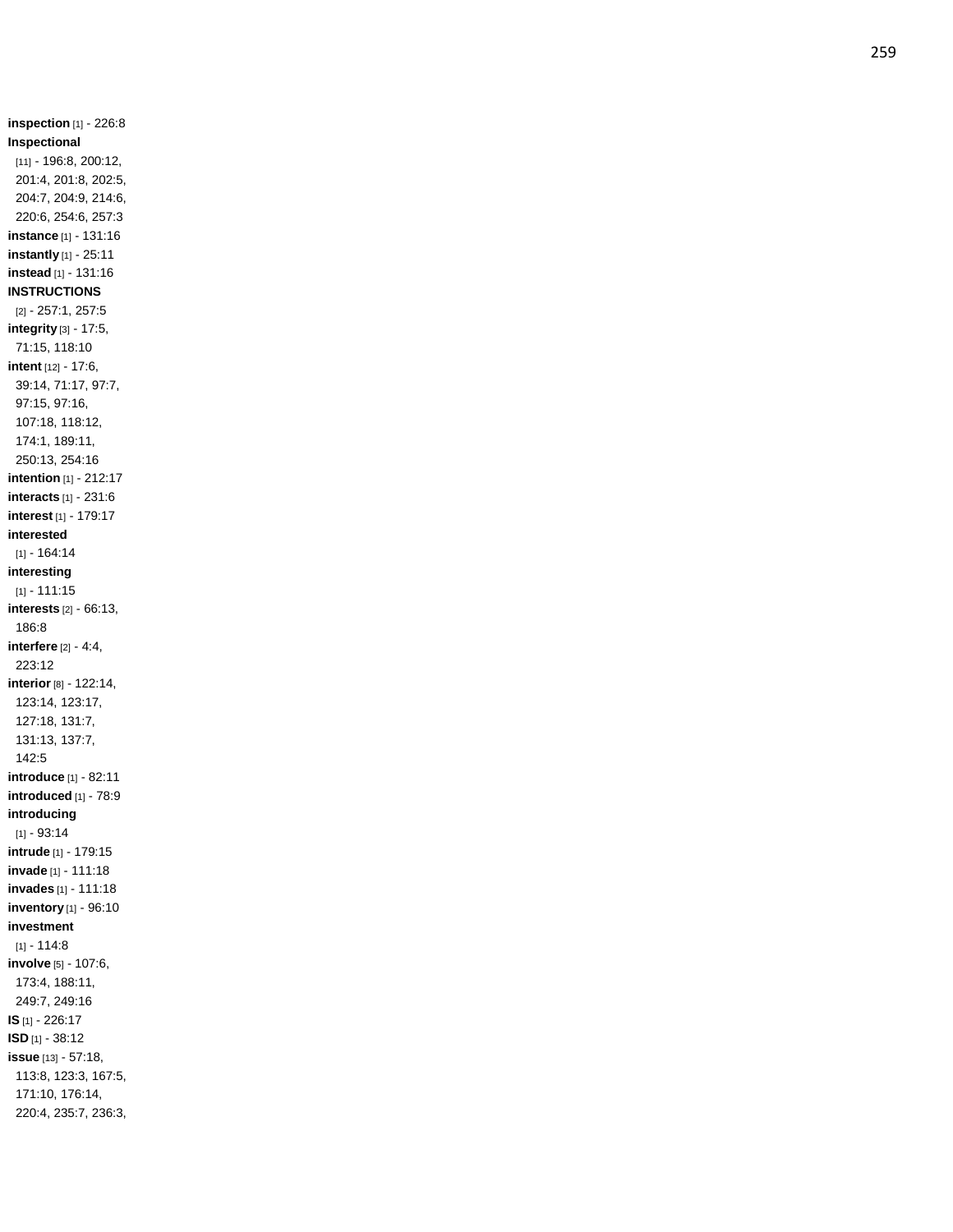**inspection** [1] - 226:8 **Inspectional** [11] - 196:8, 200:12, 201:4, 201:8, 202:5, 204:7, 204:9, 214:6, 220:6, 254:6, 257:3 **instance** [1] - 131:16 **instantly** [1] - 25:11 **instead** [1] - 131:16 **INSTRUCTIONS** [2] - 257:1, 257:5 **integrity** [3] - 17:5, 71:15, 118:10 **intent** [12] - 17:6, 39:14, 71:17, 97:7, 97:15, 97:16, 107:18, 118:12, 174:1, 189:11, 250:13, 254:16 **intention** [1] - 212:17 **interacts** [1] - 231:6 **interest** [1] - 179:1 7 **interested** [1] - 164:14 **interesting** [1] - 111:15 **interests** [2] - 66:13, 186:8 **interfere** [2] - 4:4, 223:12 **interior** [8] - 122:14, 123:14, 123:17, 127:18, 131:7, 131:13, 137:7, 142:5 **introduce** [1] - 82:11 **introduced** [1] - 78:9 **introducing**  $[1] - 93.14$ **intrude** [1] - 179:15 **invade** [1] - 111:18 **invades** [1] - 111:18 **inventory** [1] - 96:10 **investment**  $[1] - 114:8$ **involve** [5] - 107:6, 173:4, 188:11, 249:7, 249:16 **IS** [1] - 226:17 **ISD** [1] - 38:12 **issue** [13] - 57:18, 113:8, 123:3, 167:5, 171:10, 176:14, 220:4, 235:7, 236:3,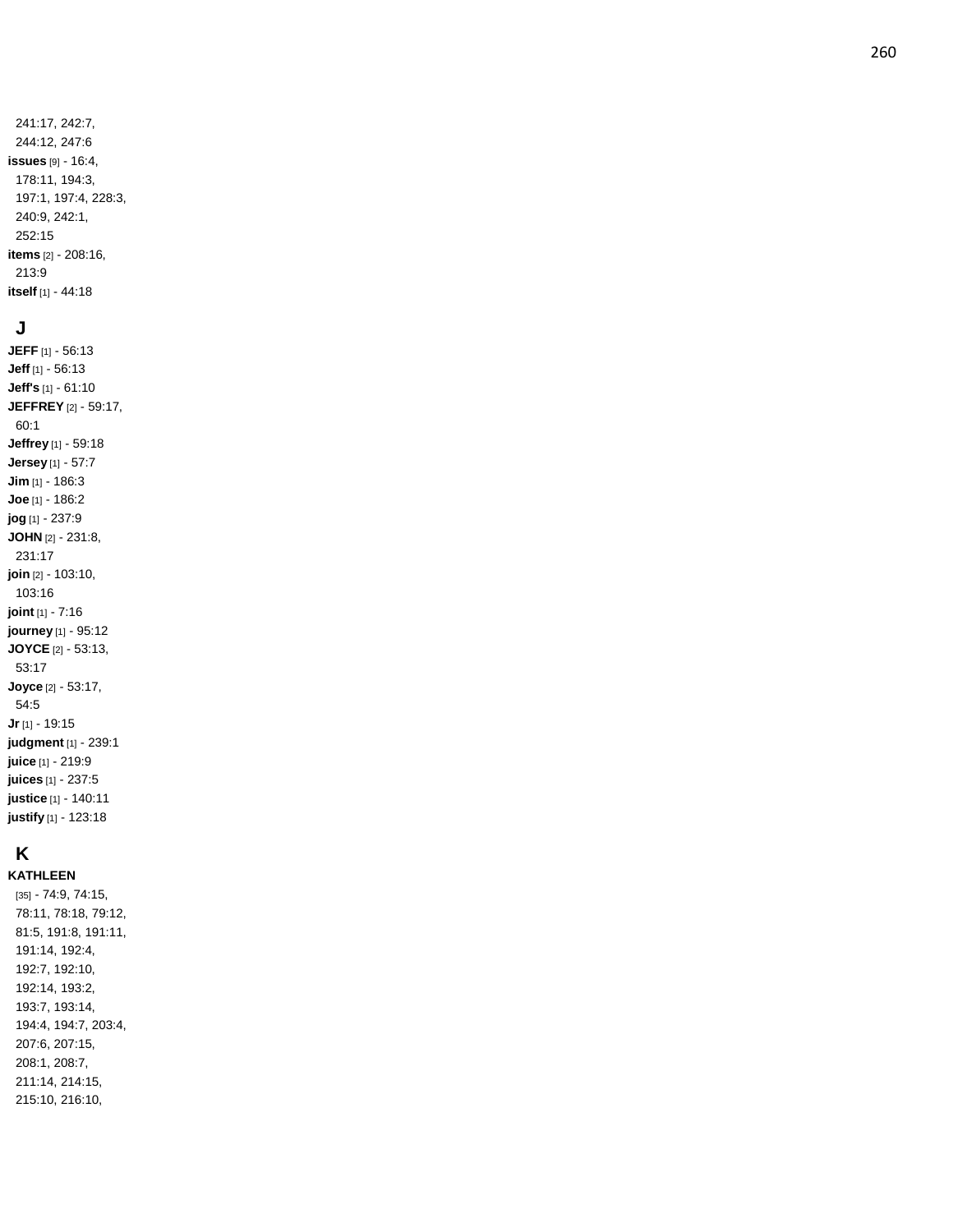#### **J**

**JEFF** [1] - 56:13 **Jeff** [1] - 56:13 **Jeff's** [1] - 61:10 **JEFFREY** [2] - 59:17, 60:1 **Jeffrey** [1] - 59:18 **Jersey** [1] - 57:7 **Jim** [1] - 186:3 **Joe** [1] - 186:2 **jog** [1] - 237:9 **JOHN** [2] - 231:8, 231:17 **join** [2] - 103:10, 103:16 **joint** [1] - 7:16 **journey** [1] - 95:12 **JOYCE** [2] - 53:13, 53:17 **Joyce** [2] - 53:17, 54:5 **Jr** [1] - 19:15 **judgment** [1] - 239:1 **juice** [1] - 219:9 **juices** [1] - 237:5 **justice** [1] - 140:11 **justify** [1] - 123:18

## **K**

**KATHLEEN** [35] - 74:9, 74:15, 78:11, 78:18, 79:12, 81:5, 191:8, 191:11, 191:14, 192:4, 192:7, 192:10, 192:14, 193:2, 193:7, 193:14, 194:4, 194:7, 203:4, 207:6, 207:15, 208:1, 208:7, 211:14, 214:15, 215:10, 216:10,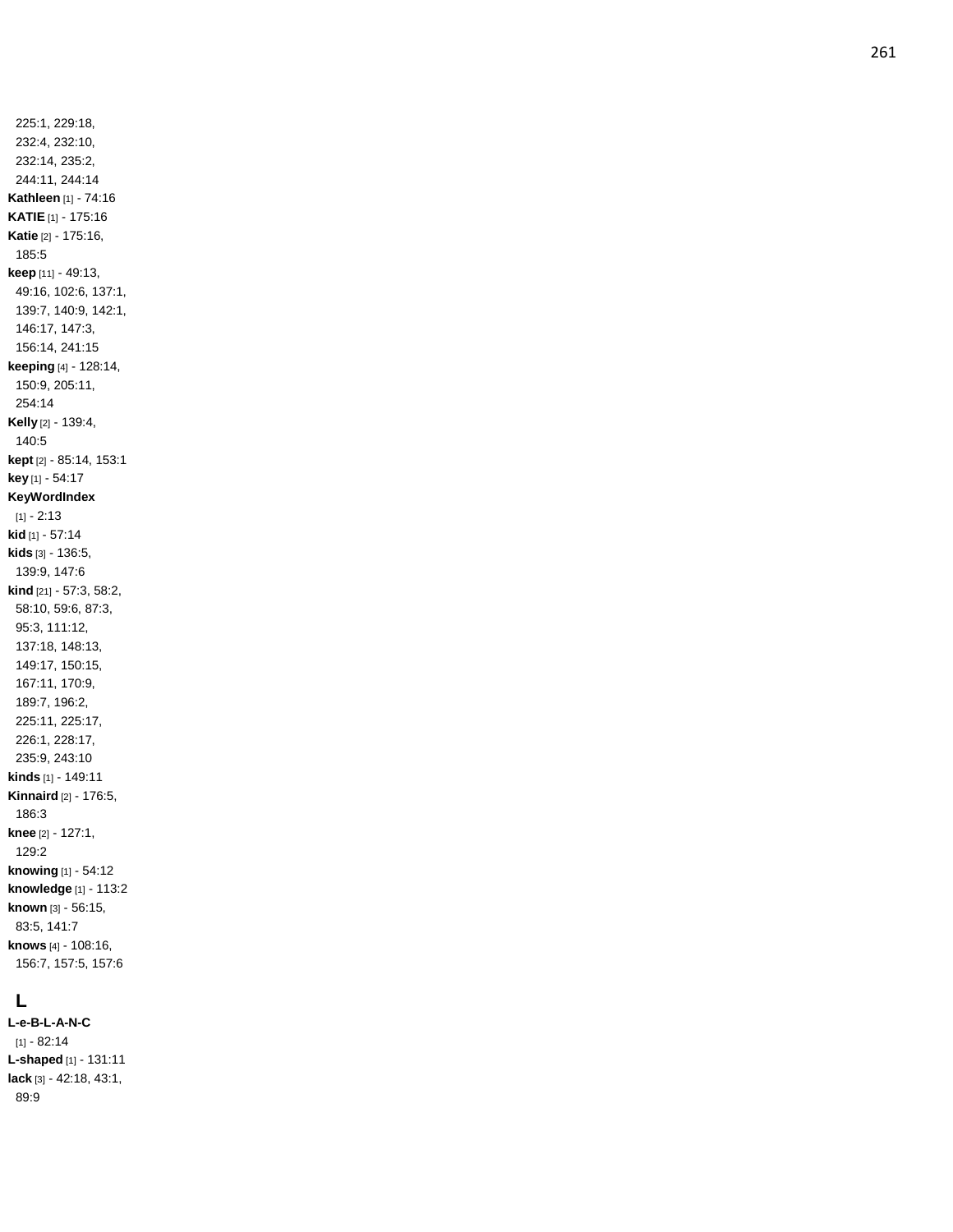225:1, 229:18, 232:4, 232:10, 232:14, 235:2, 244:11, 244:1 4 **Kathleen** [1] - 74:16 **KATIE** [1] - 175:16 **Katie** [2] - 175:16, 185:5 **keep** [11] - 49:13, 49:16, 102:6, 137:1, 139:7, 140:9, 142:1, 146:17, 147:3, 156:14, 241:15 **keeping** [4] - 128:14, 150:9, 205:11, 254:14 **Kelly** [2] - 139:4, 140:5 **kept** [2] - 85:14, 153:1 **key** [1] - 54:17 **KeyWordIndex** [1] - 2:13 **kid** [1] - 57:14 **kids** [3] - 136:5, 139:9, 147:6 **kind** [21] - 57:3, 58:2, 58:10, 59:6, 87:3, 95:3, 111:12, 137:18, 148:13, 149:17, 150:15, 167:11, 170:9, 189:7, 196:2, 225:11, 225:17, 226:1, 228:17, 235:9, 243:10 **kinds** [1] - 149:11 **Kinnaird** [2] - 176:5, 186:3 **knee** [2] - 127:1, 129:2 **knowing** [1] - 54:12 **knowledge** [1] - 113:2 **known** [3] - 56:15, 83:5, 141:7 **knows** [4] - 108:16, 156:7, 157:5, 157:6

## **L**

**L - e - B - L - A - N - C**  $[1] - 82:14$ **L -shaped** [1] - 131:11 **lack** [3] - 42:18, 43:1, 89:9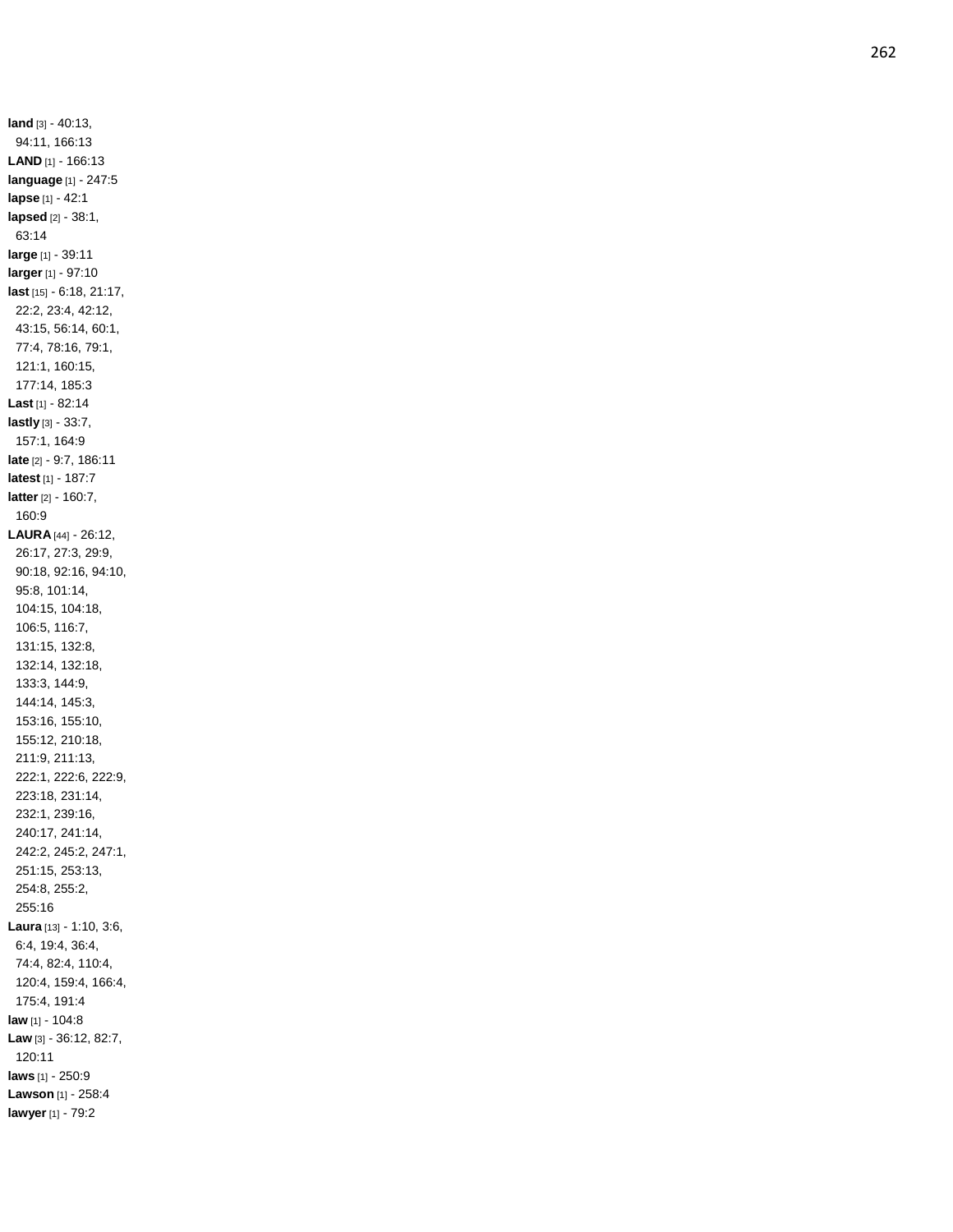**land** [3] - 40:13, 94:11, 166:13 **LAND** [1] - 166:13 **language** [1] - 247:5 **lapse** [1] - 42:1 **lapsed** [2] - 38:1, 63:14 **large** [1] - 39:11 **larger** [1] - 97:10 **last** [15] - 6:18, 21:17, 22:2, 23:4, 42:12, 43:15, 56:14, 60:1, 77:4, 78:16, 79:1, 121:1, 160:15, 177:14, 185:3 **Last** [1] - 82:14 **lastly** [3] - 33:7, 157:1, 164:9 **late** [2] - 9:7, 186:11 **latest** [1] - 187:7 **latter** [2] - 160:7, 160:9 **LAURA** [44] - 26:12, 26:17, 27:3, 29:9, 90:18, 92:16, 94:10, 95:8, 101:14, 104:15, 104:18, 106:5, 116:7, 131:15, 132:8, 132:14, 132:18, 133:3, 144:9, 144:14, 145:3, 153:16, 155:10, 155:12, 210:18, 211:9, 211:13, 222:1, 222:6, 222:9, 223:18, 231:14, 232:1, 239:16, 240:17, 241:14, 242:2, 245:2, 247:1, 251:15, 253:13, 254:8, 255:2, 255:16 **Laura** [13] - 1:10, 3:6, 6:4, 19:4, 36:4, 74:4, 82:4, 110:4, 120:4, 159:4, 166:4, 175:4, 191:4 **law** [1] - 104:8 **Law** [3] - 36:12, 82:7, 120:11 **laws** [1] - 250:9 **Lawson** [1] - 258:4 **lawyer** [1] - 79:2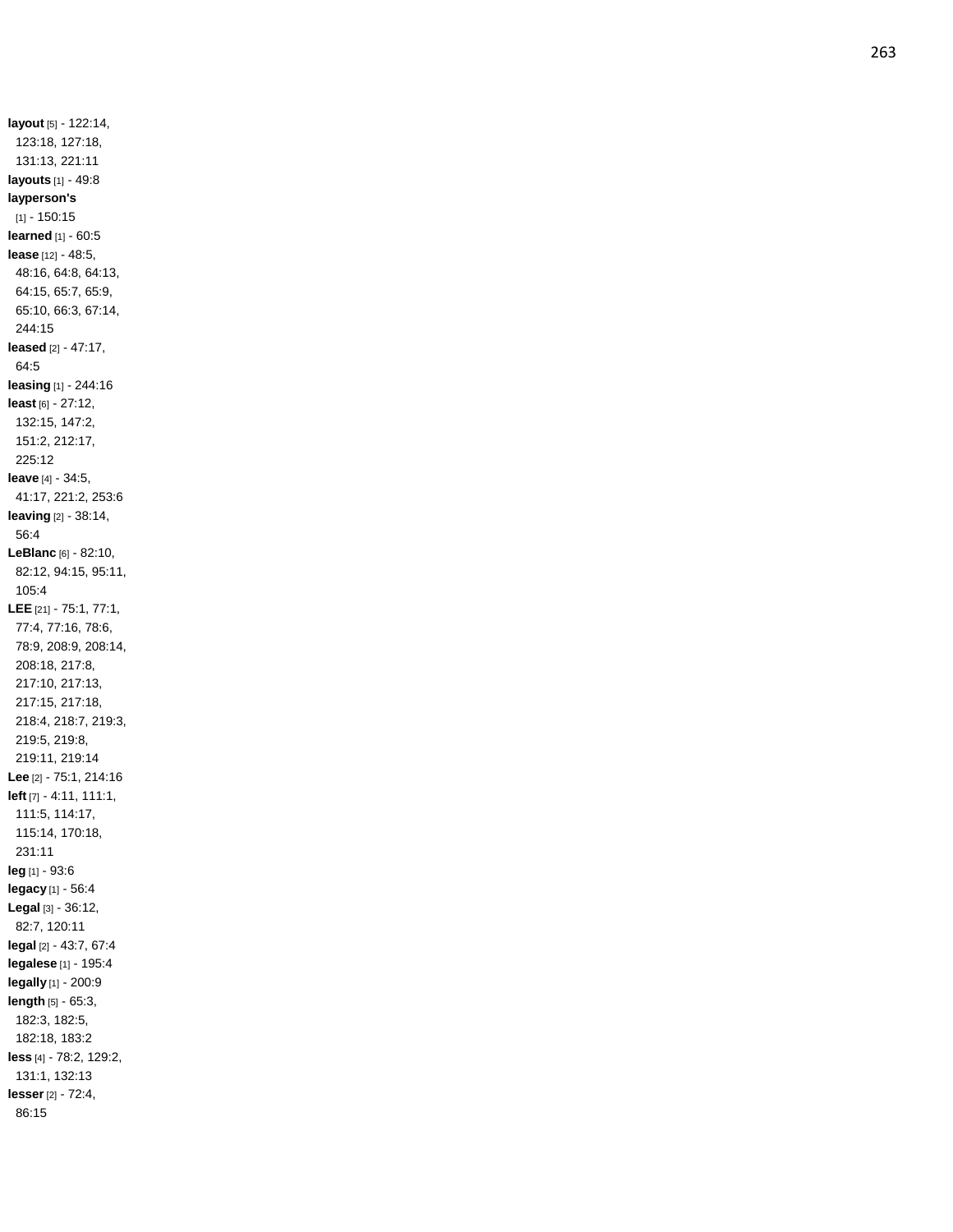**layout** [5] - 122:14, 123:18, 127:18, 131:13, 221:11 **layouts** [1] - 49:8 **layperson's** [1] - 150:15 **learned** [1] - 60:5 **lease** [12] - 48:5, 48:16, 64:8, 64:13, 64:15, 65:7, 65:9, 65:10, 66:3, 67:14, 244:15 **leased** [2] - 47:17, 64:5 **leasing** [1] - 244:16 **least** [6] - 27:12, 132:15, 147:2, 151:2, 212:17, 225:12 **leave** [4] - 34:5, 41:17, 221:2, 253:6 **leaving** [2] - 38:14, 56:4 **LeBlanc** [6] - 82:10, 82:12, 94:15, 95:11, 105:4 **LEE** [21] - 75:1, 77:1, 77:4, 77:16, 78:6, 78:9, 208:9, 208:14, 208:18, 217:8, 217:10, 217:13, 217:15, 217:18, 218:4, 218:7, 219:3, 219:5, 219:8, 219:11, 219:14 **Lee** [2] - 75:1, 214:16 **left** [7] - 4:11, 111:1, 111:5, 114:17, 115:14, 170:18, 231:11 **leg** [1] - 93:6 **legacy** [1] - 56:4 **Legal** [3] - 36:12, 82:7, 120:11 **legal** [2] - 43:7, 67:4 **legalese** [1] - 195:4 **legally** [1] - 200:9 **length** [5] - 65:3, 182:3, 182:5, 182:18, 183:2 **less** [4] - 78:2, 129:2, 131:1, 132:13 **lesse r** [2] - 72:4, 86:15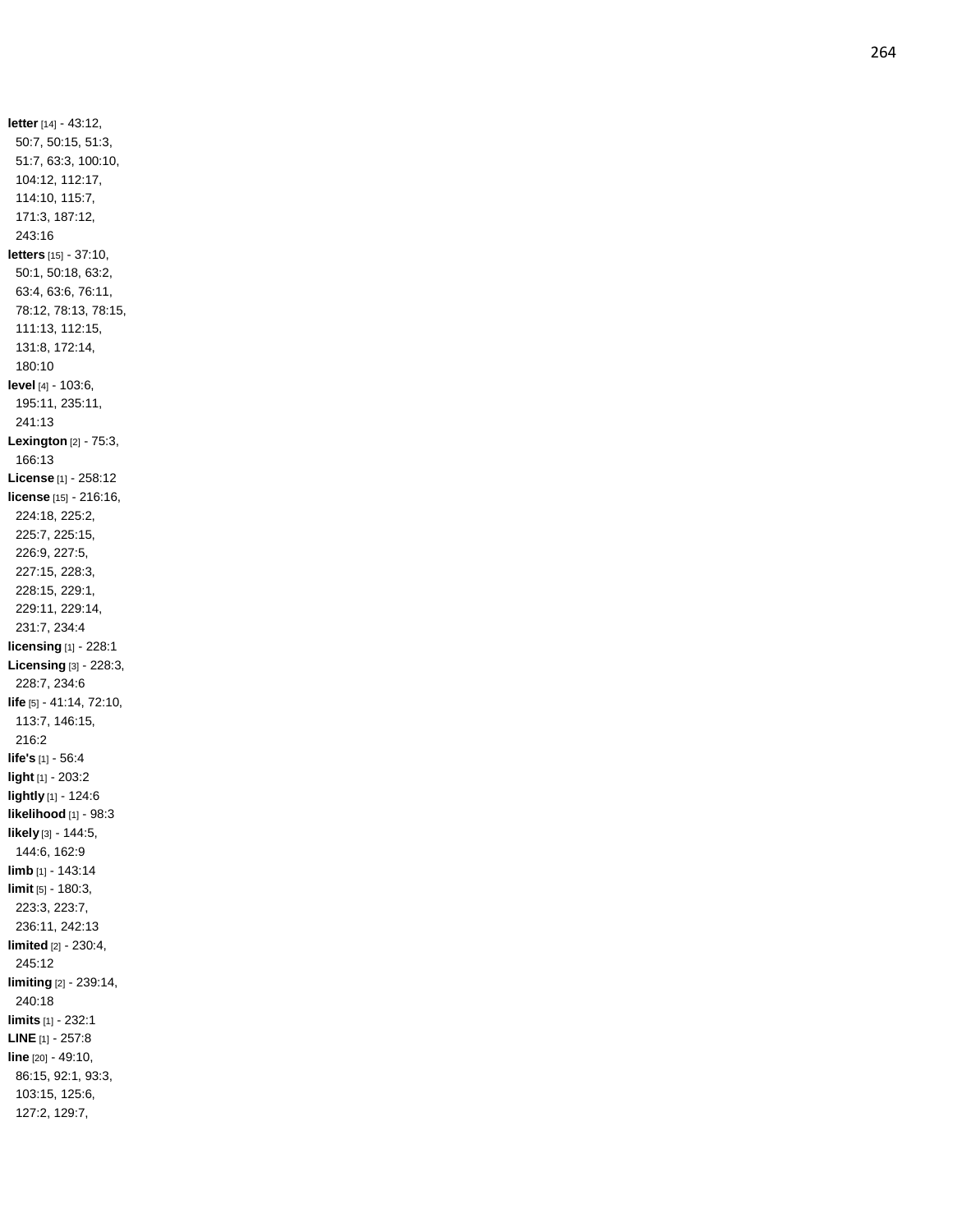**letter** [14] - 43:12, 50:7, 50:15, 51:3, 51:7, 63:3, 100:10, 104:12, 112:17, 114:10, 115:7, 171:3, 187:12, 243:16 **letters** [15] - 37:10, 50:1, 50:18, 63:2, 63:4, 63:6, 76:11, 78:12, 78:13, 78:15, 111:13, 112:15, 131:8, 172:14, 180:10 **leve l** [4] - 103:6, 195:11, 235:11, 241:13 **Lexington** [2] - 75:3, 166:13 **License** [1] - 258:12 **license** [15] - 216:16, 224:18, 225:2, 225:7, 225:15, 226:9, 227:5, 227:15, 228:3, 228:15, 229:1, 229:11, 229:14, 231:7, 234:4 **licensing** [1] - 228:1 **Licensing** [3] - 228:3, 228:7, 234:6 **life** [5] - 41:14, 72:10, 113:7, 146:15, 216:2 **life's** [1] - 56:4 **light** [1] - 203:2 **lightly** [1] - 124:6 **likelihood** [1] - 98:3 **likely** [3] - 144:5, 144:6, 162:9 **limb** [1] - 143:14 **limit** [5] - 180:3, 223:3, 223:7, 236:11, 242:13 **limited** [2] - 230:4, 245:12 **limiting** [2] - 239:14, 240:18 **limits** [1] - 232:1 **LINE** [1] - 257:8 **line** [20] - 49:10, 86:15, 92:1, 93:3, 103:15, 125:6, 127:2, 129:7,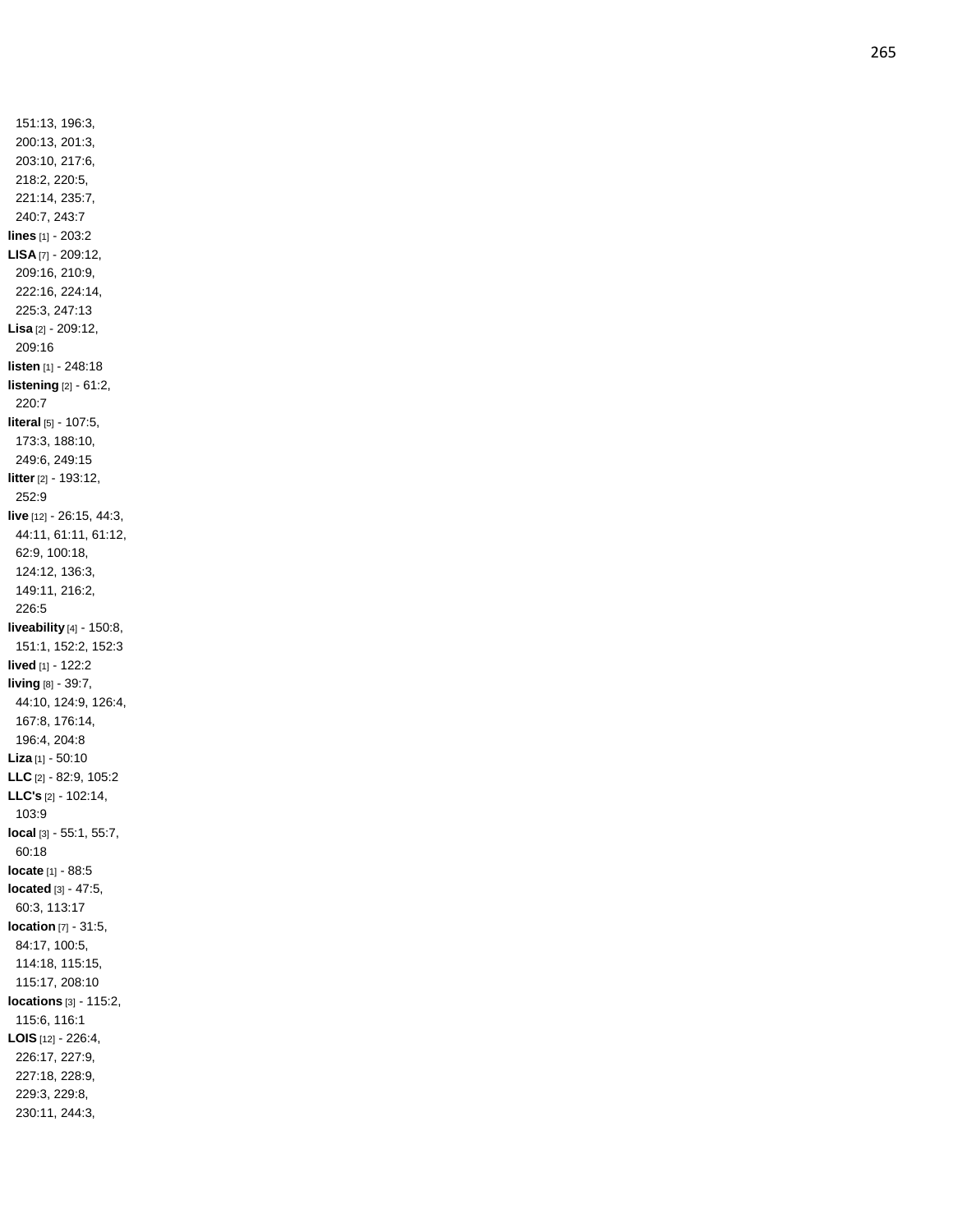151:13, 196:3, 200:13, 201:3, 203:10, 217:6, 218:2, 220:5, 221:14, 235:7, 240:7, 243:7 **lines** [1] - 203:2 **LISA** [7] - 209:12, 209:16, 210:9, 222:16, 224:14, 225:3, 247:13 **Lisa** [2] - 209:12, 209:16 **listen** [1] - 248:18 **listening** [2] - 61:2, 220:7 **literal** [5] - 107:5, 173:3, 188:10, 249:6, 249:15 **litter** [2] - 193:12, 252:9 **live** [12] - 26:15, 44:3, 44:11, 61:11, 61:12, 62:9, 100:18, 124:12, 136:3, 149:11, 216:2, 226:5 **liveability** [4] - 150:8, 151:1, 152:2, 152:3 **lived** [1] - 122:2 **living** [8] - 39:7, 44:10, 124:9, 126:4, 167:8, 176:14, 196:4, 204:8 **Liza** [1] - 50:10 **LLC** [2] - 82:9, 105:2 **LLC's** [2] - 102:14, 103:9 **local** [3] - 55:1, 55:7, 60:18 **locate** [1] - 88:5 **located** [3] - 47:5, 60:3, 113:17 **location** [7] - 31:5, 84:17, 100:5, 114:18, 115:15, 115:17, 208:10 **locations** [3] - 115:2, 115:6, 116:1 **LOIS** [12] - 226:4, 226:17, 227:9, 227:18, 228:9, 229:3, 229:8, 230:11, 244:3,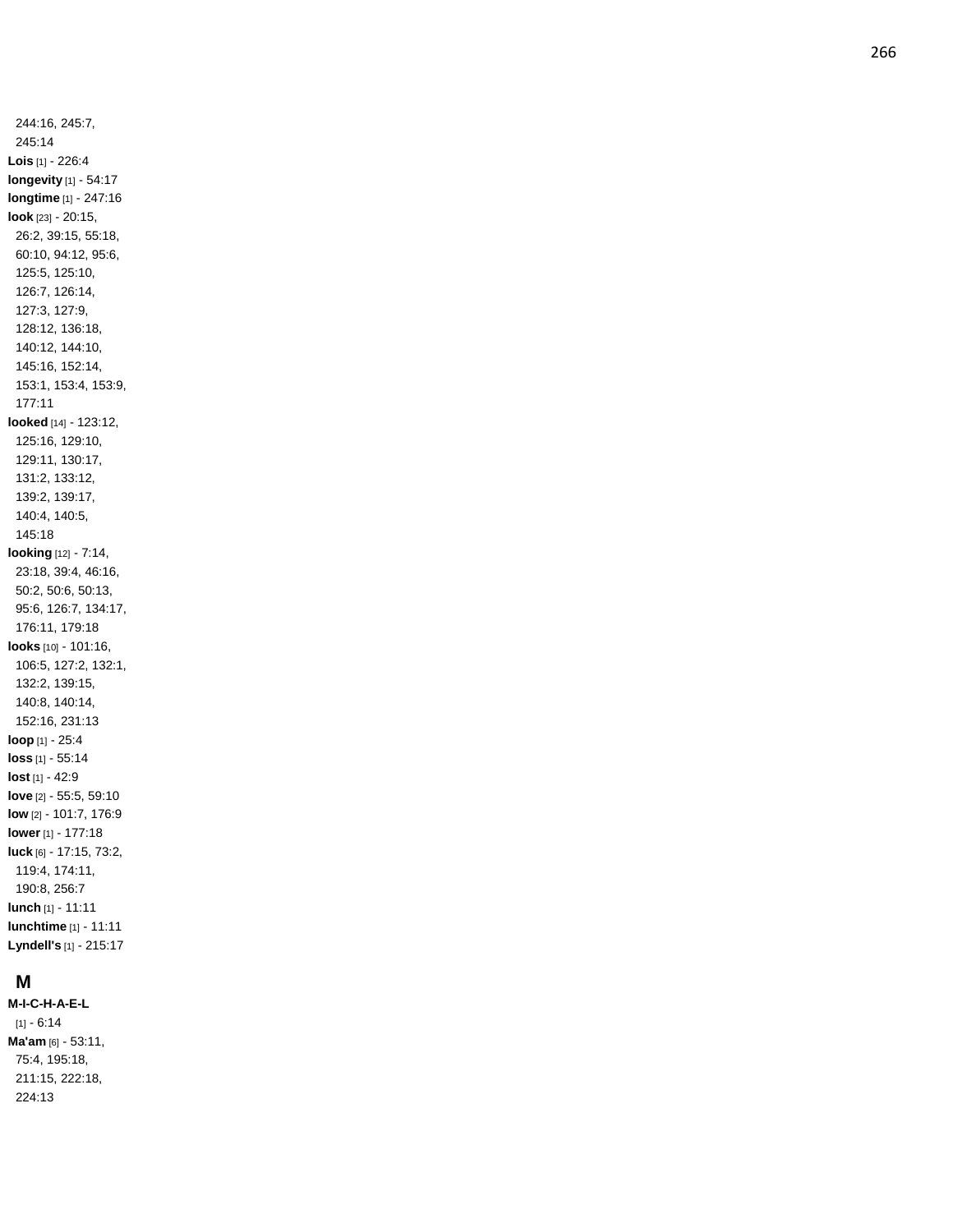244:16, 245:7, 245:14 **Lois** [1] - 226:4 **longevity** [1] - 54:17 **longtime** [1] - 247:16 **look** [23] - 20:15, 26:2, 39:15, 55:18, 60:10, 94:12, 95:6, 125:5, 125:10, 126:7, 126:14, 127:3, 127:9, 128:12, 136:18, 140:12, 144:10, 145:16, 152:14, 153:1, 153:4, 153:9, 177:11 **looked** [14] - 123:12, 125:16, 129:10, 129:11, 130:17, 131:2, 133:12, 139:2, 139:17, 140:4, 140:5, 145:18 **looking** [12] - 7:14, 23:18, 39:4, 46:16, 50:2, 50:6, 50:13, 95:6, 126:7, 134:17, 176:11, 179:18 **looks** [10] - 101:16, 106:5, 127:2, 132:1, 132:2, 139:15, 140:8, 140:14, 152:16, 231:13 **loop** [1] - 25:4 **loss** [1] - 55:14 **lost** [1] - 42:9 **love** [2] - 55:5, 59:10 **low** [2] - 101:7, 176:9 **lower** [1] - 177:18 **luck** [6] - 17:15, 73:2, 119:4, 174:11, 190:8, 256:7 **lunch** [1] - 11:11 **lunchtime** [1] - 11:11 **Lyndell's** [1] - 215:17

## **M**

**M-I-C - H - A - E - L**  $[1] - 6:14$ **Ma'am** [6] - 53:11, 75:4, 195:18, 211:15, 222:18, 224:13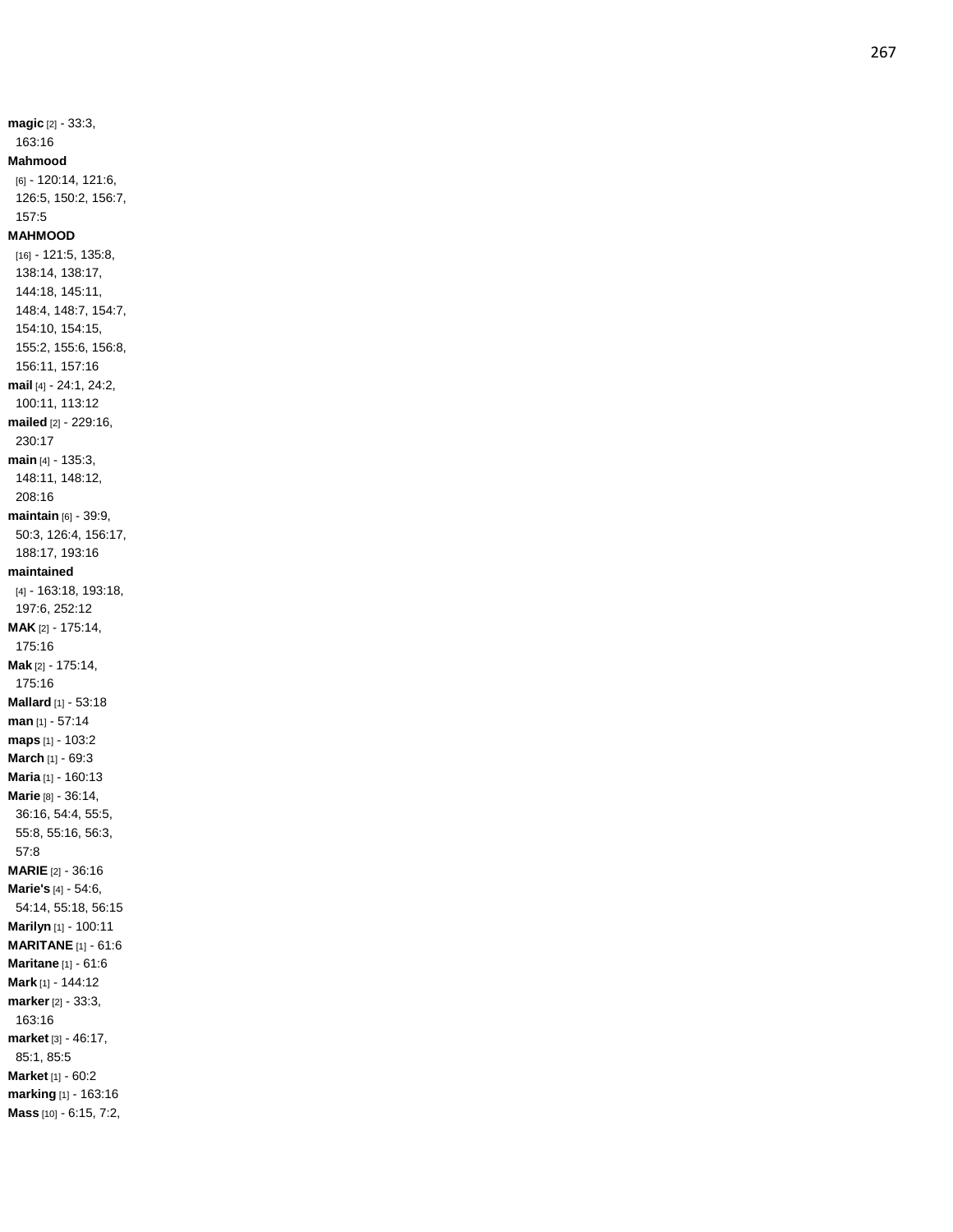**magic** [2] - 33:3, 163:16 **Mahmood** [6] - 120:14, 121:6, 126:5, 150:2, 156:7, 157:5 **MAHMOOD** [16] - 121:5, 135:8, 138:14, 138:17, 144:18, 145:11, 148:4, 148:7, 154:7, 154:10, 154:15, 155:2, 155:6, 156:8, 156:11, 157:16 **mail** [4] - 24:1, 24:2, 100:11, 113:12 **mailed** [2] - 229:16, 230:17 **main** [4] - 135:3, 148:11, 148:12, 208:16 **maintain** [6] - 39:9, 50:3, 126:4, 156:17, 188:17, 193:16 **maintained** [4] - 163:18, 193:18, 197:6, 252:12 **MAK** [2] - 175:14, 175:16 **Mak** [2] - 175:14, 175:16 **Mallard** [1] - 53:18 **man** [1] - 57:14 **maps** [1] - 103:2 **March** [1] - 69:3 **Maria** [1] - 160:13 **Marie** [8] - 36:14, 36:16, 54:4, 55:5, 55:8, 55:16, 56:3, 57:8 **MARIE** [2] - 36:16 **Marie's** [4] - 54:6, 54:14, 55:18, 56:15 **Marilyn** [1] - 100:11 **MARITANE** [1] - 61:6 **Maritane** [1] - 61:6 **Mark** [1] - 144:12 **marker** [2] - 33:3, 163:16 **market** [3] - 46:17, 85:1, 85:5 **Market** [1] - 60:2 **marking** [1] - 163:16 **Mass** [10] - 6:15, 7:2,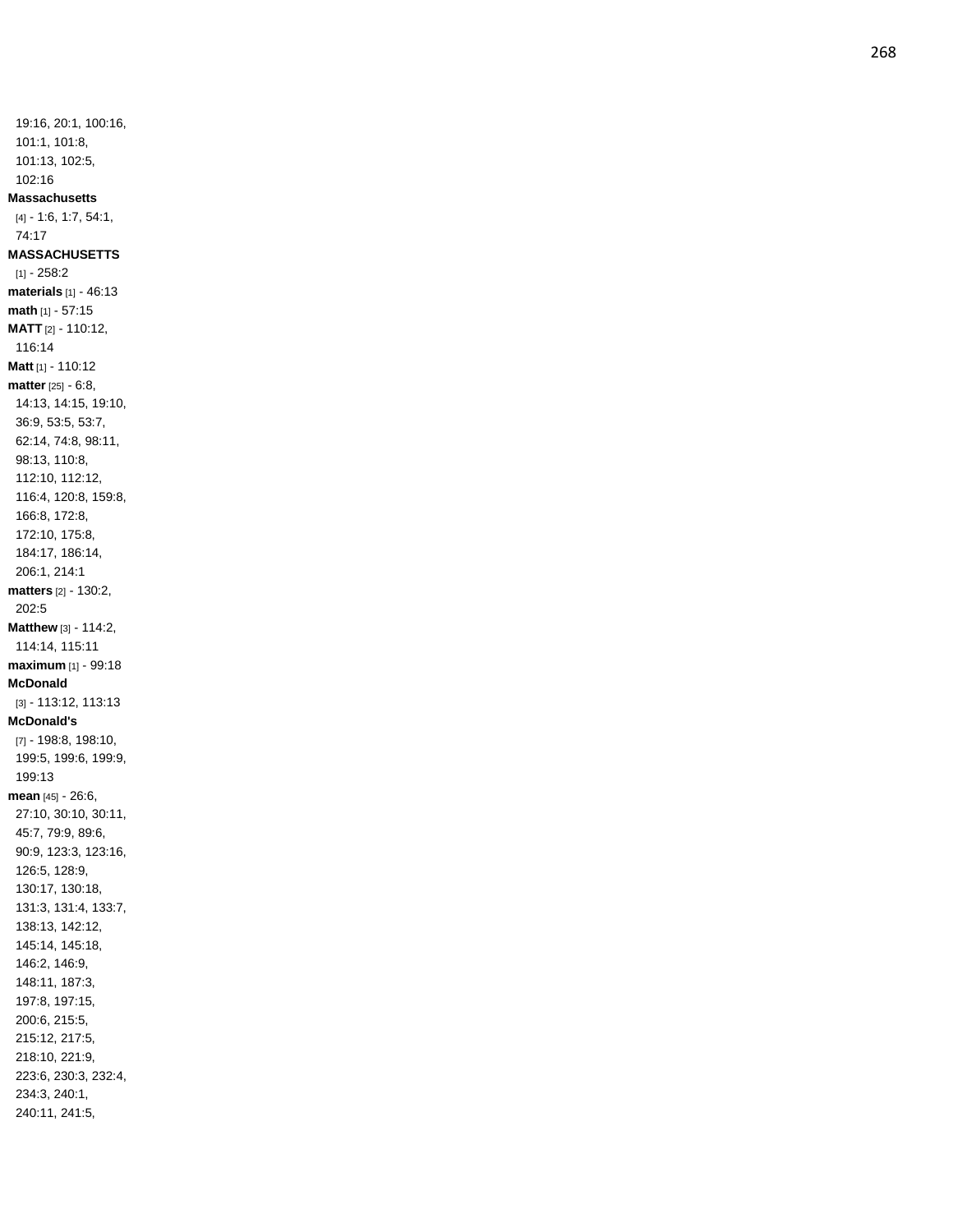19:16, 20:1, 100:16, 101:1, 101:8, 101:13, 102:5, 102:16 **Massachusetts** [4] - 1:6, 1:7, 54:1, 74:17 **MASSACHUSETTS**  $[1] - 258:2$ **materials** [1] - 46:13 **math** [1] - 57:15 **MATT** [2] - 110:12, 116:14 **Matt** [1] - 110:12 **matter** [25] - 6:8, 14:13, 14:15, 19:10, 36:9, 53:5, 53:7, 62:14, 74:8, 98:11, 98:13, 110:8, 112:10, 112:12, 116:4, 120:8, 159:8, 166:8, 172:8, 172:10, 175:8, 184:17, 186:14, 206:1, 214:1 **matters** [2] - 130:2, 202:5 **Matthew** [3] - 114:2, 114:14, 115:11 **maximum** [1] - 99:18 **McDonald** [3] - 113:12, 113:13 **McDonald's** [7] - 198:8, 198:10, 199:5, 199:6, 199:9, 199:13 **mean** [45] - 26:6, 27:10, 30:10, 30:11, 45:7, 79:9, 89:6, 90:9, 123:3, 123:16, 126:5, 128:9, 130:17, 130:18, 131:3, 131:4, 133:7, 138:13, 142:12, 145:14, 145:18, 146:2, 146:9, 148:11, 187:3, 197:8, 197:15, 200:6, 215:5, 215:12, 217:5, 218:10, 221:9, 223:6, 230:3, 232:4, 234:3, 240:1, 240:11, 241:5,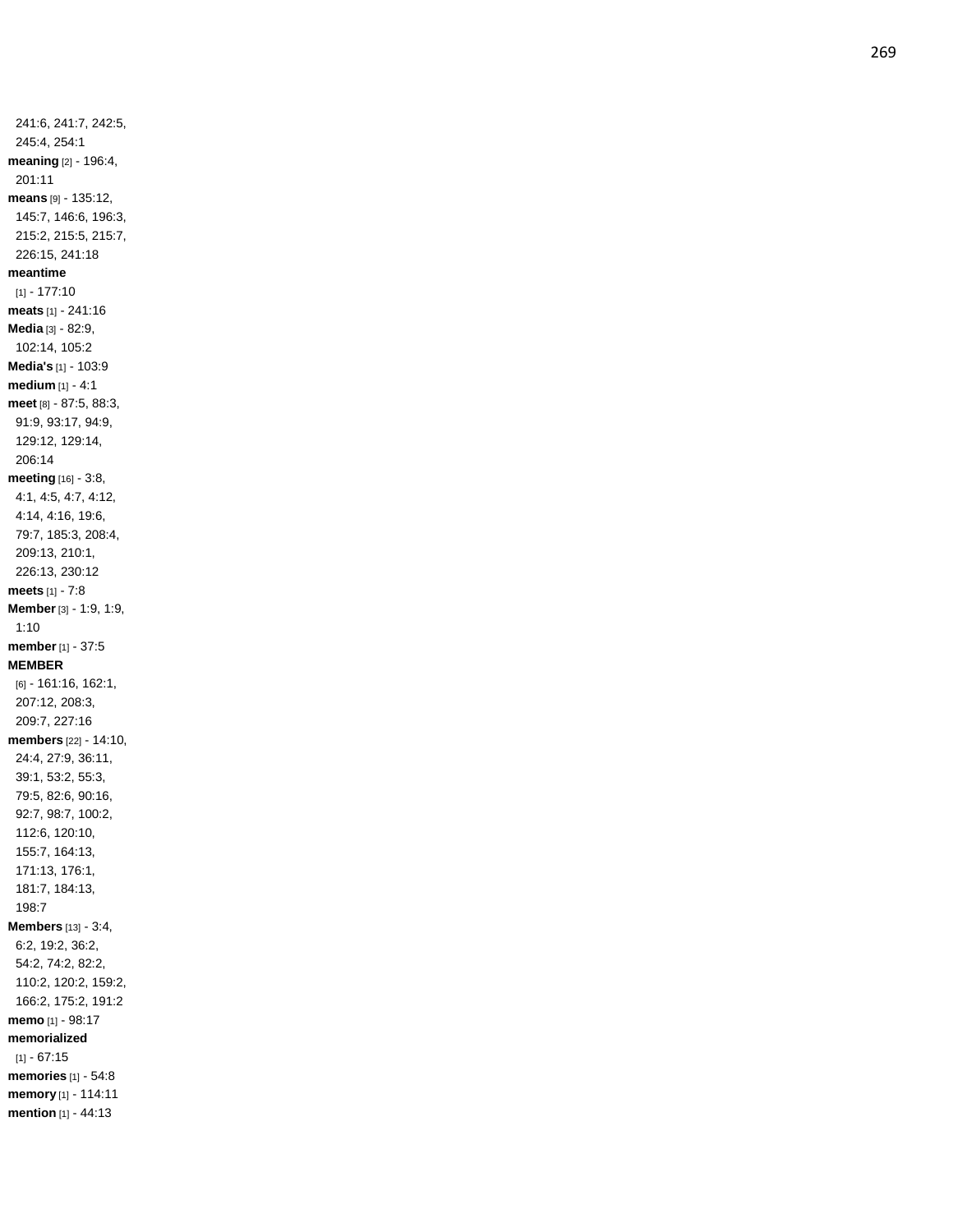241:6, 241:7, 242:5, 245:4, 254:1 **meaning** [2] - 196:4, 201:11 **means** [9] - 135:12, 145:7, 146:6, 196:3, 215:2, 215:5, 215:7, 226:15, 241:18 **meantime** [1] - 177:10 **meats** [1] - 241:16 **Media** [3] - 82:9, 102:14, 105:2 **Media's** [1] - 103:9 **medium** [1] - 4:1 **meet** [8] - 87:5, 88:3, 91:9, 93:17, 94:9, 129:12, 129:14, 206:14 **meeting** [16] - 3:8, 4:1, 4:5, 4:7, 4:12, 4:14, 4:16, 19:6, 79:7, 185:3, 208:4, 209:13, 210:1, 226:13, 230:12 **meets** [1] - 7:8 **Member** [3] - 1:9, 1:9, 1:10 **member** [1] - 37:5 **MEMBER** [6] - 161:16, 162:1, 207:12, 208:3, 209:7, 227:16 **members** [22] - 14:10, 24:4, 27:9, 36:11, 39:1, 53:2, 55:3, 79:5, 82:6, 90:16, 92:7, 98:7, 100:2, 112:6, 120:10, 155:7, 164:13, 171:13, 176:1, 181:7, 184:13, 198:7 **Members** [13] - 3:4, 6:2, 19:2, 36:2, 54:2, 74:2, 82:2, 110:2, 120:2, 159:2, 166:2, 175:2, 191:2 **memo** [1] - 98:17 **memorialized**  $[1] - 67:15$ **memories** [1] - 54:8 **memory** [1] - 114:11 **mention** [1] - 44:13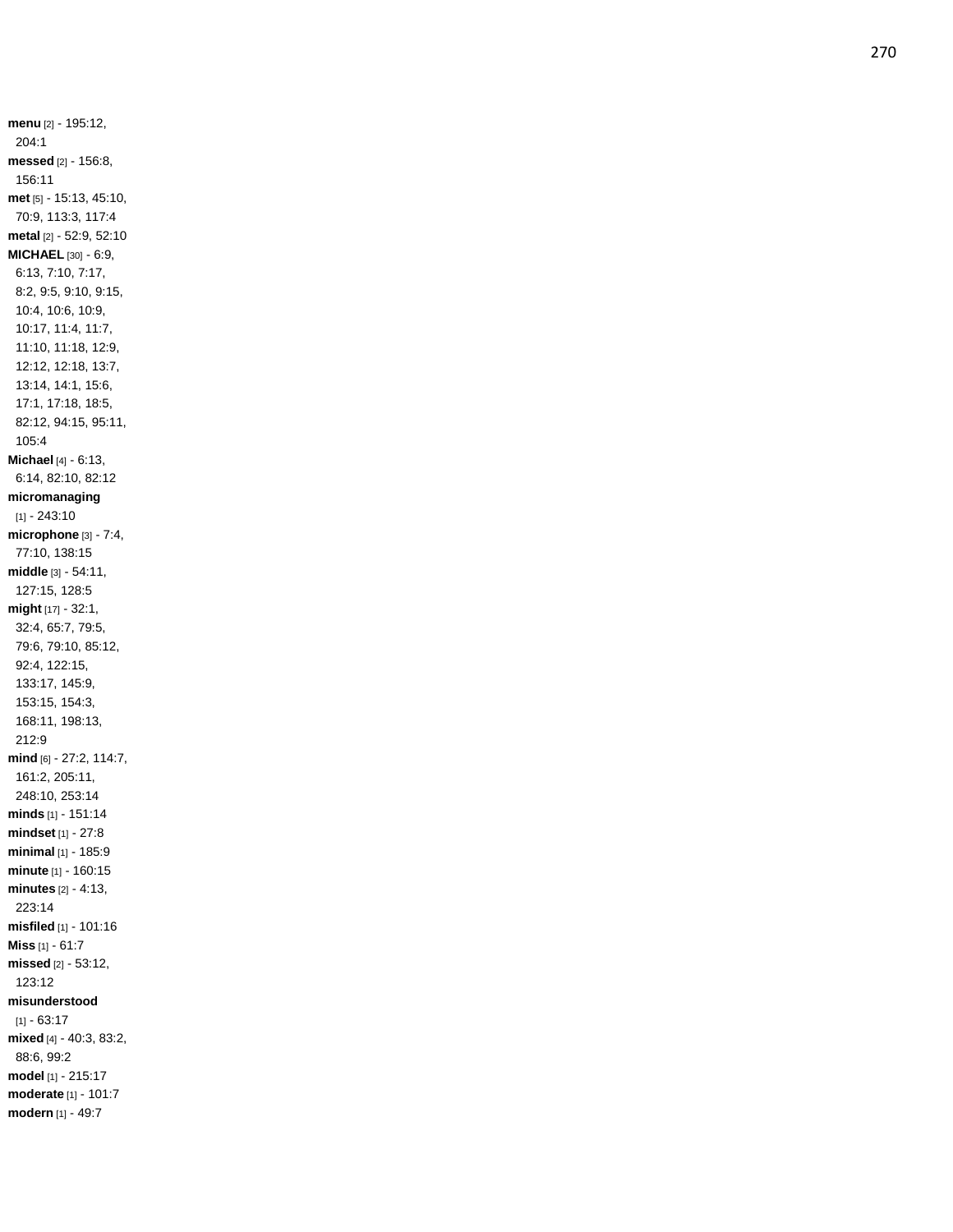**menu** [2] - 195:12, 204:1 **messed** [2] - 156:8, 156:11 **met** [5] - 15:13, 45:10, 70:9, 113:3, 117:4 **metal** [2] - 52:9, 52:10 **MICHAEL** [30] - 6:9, 6:13, 7:10, 7:17, 8:2, 9:5, 9:10, 9:15, 10:4, 10:6, 10:9, 10:17, 11:4, 11:7, 11:10, 11:18, 12:9, 12:12, 12:18, 13:7, 13:14, 14:1, 15:6, 17:1, 17:18, 18:5, 82:12, 94:15, 95:11, 105:4 **Michael** [4] - 6:13, 6:14, 82:10, 82:12 **micromanaging** [1] - 243:10 **microphone** [3] - 7:4, 77:10, 138:15 **middle** [3] - 54:11, 127:15, 128:5 **might** [17] - 32:1, 32:4, 65:7, 79:5, 79:6, 79:10, 85:12, 92:4, 122:15, 133:17, 145:9, 153:15, 154:3, 168:11, 198:13, 212:9 **mind** [6] - 27:2, 114:7, 161:2, 205:11, 248:10, 253:14 **minds** [1] - 151:14 **mindset** [1] - 27:8 **minimal** [1] - 185:9 **minute** [1] - 160:15 **minutes** [2] - 4:13, 223:14 **misfiled** [1] - 101:16 **Miss** [1] - 61:7 **missed** [2] - 53:12, 123:12 **misunderstood**  $[1] - 63.17$ **mixed** [4] - 40:3, 83:2, 88:6, 99:2 **model** [1] - 215:17 **moderate** [1] - 101:7 **modern** [1] - 49:7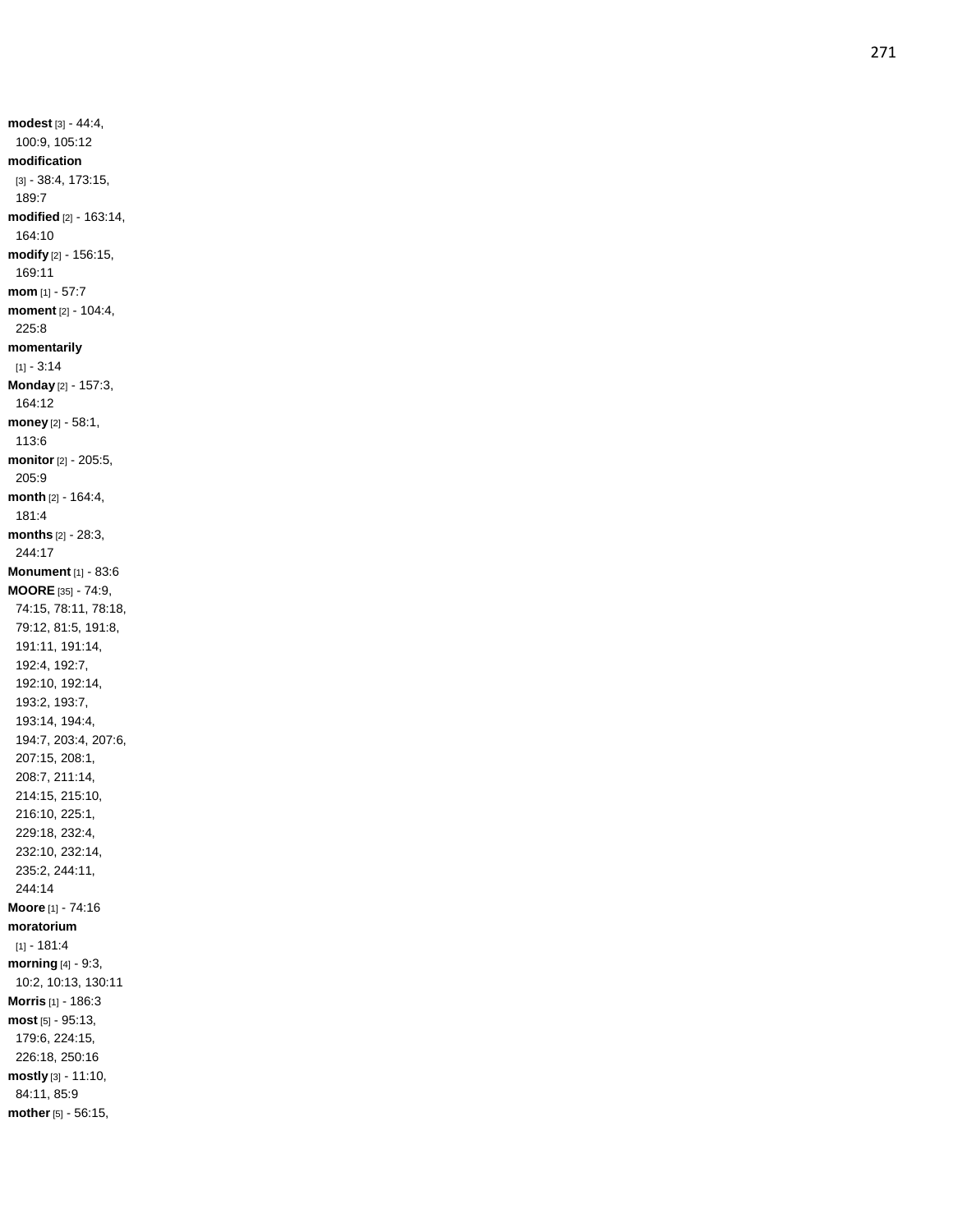**modest** [3] - 44:4, 100:9, 105:12 **modification** [3] - 38:4, 173:15, 189:7 **modified** [2] - 163:14, 164:10 **modify** [2] - 156:15, 169:11 **mom** [1] - 57:7 **moment** [2] - 104:4, 225:8 **momentarily**  $[1] - 3:14$ **Monday** [2] - 157:3, 164:12 **money** [2] - 58:1, 113:6 **monitor** [2] - 205:5, 205:9 **month** [2] - 164:4, 181:4 **months** [2] - 28:3, 244:17 **Monument** [1] - 83:6 **MOORE** [35] - 74:9, 74:15, 78:11, 78:18, 79:12, 81:5, 191:8, 191:11, 191:14, 192:4, 192:7, 192:10, 192:14, 193:2, 193:7, 193:14, 194:4, 194:7, 203:4, 207:6, 207:15, 208:1, 208:7, 211:14, 214:15, 215:10, 216:10, 225:1, 229:18, 232:4, 232:10, 232:14, 235:2, 244:11, 244:14 **Moore** [1] - 74:16 **moratorium**  $[1] - 181:4$ **morning** [4] - 9:3, 10:2, 10:13, 130:11 **Morris** [1] - 186:3 **most** [5] - 95:13, 179:6, 224:15, 226:18, 250:16 **mostly** [3] - 11:10, 84:11, 85:9 **mother** [5] - 56:15,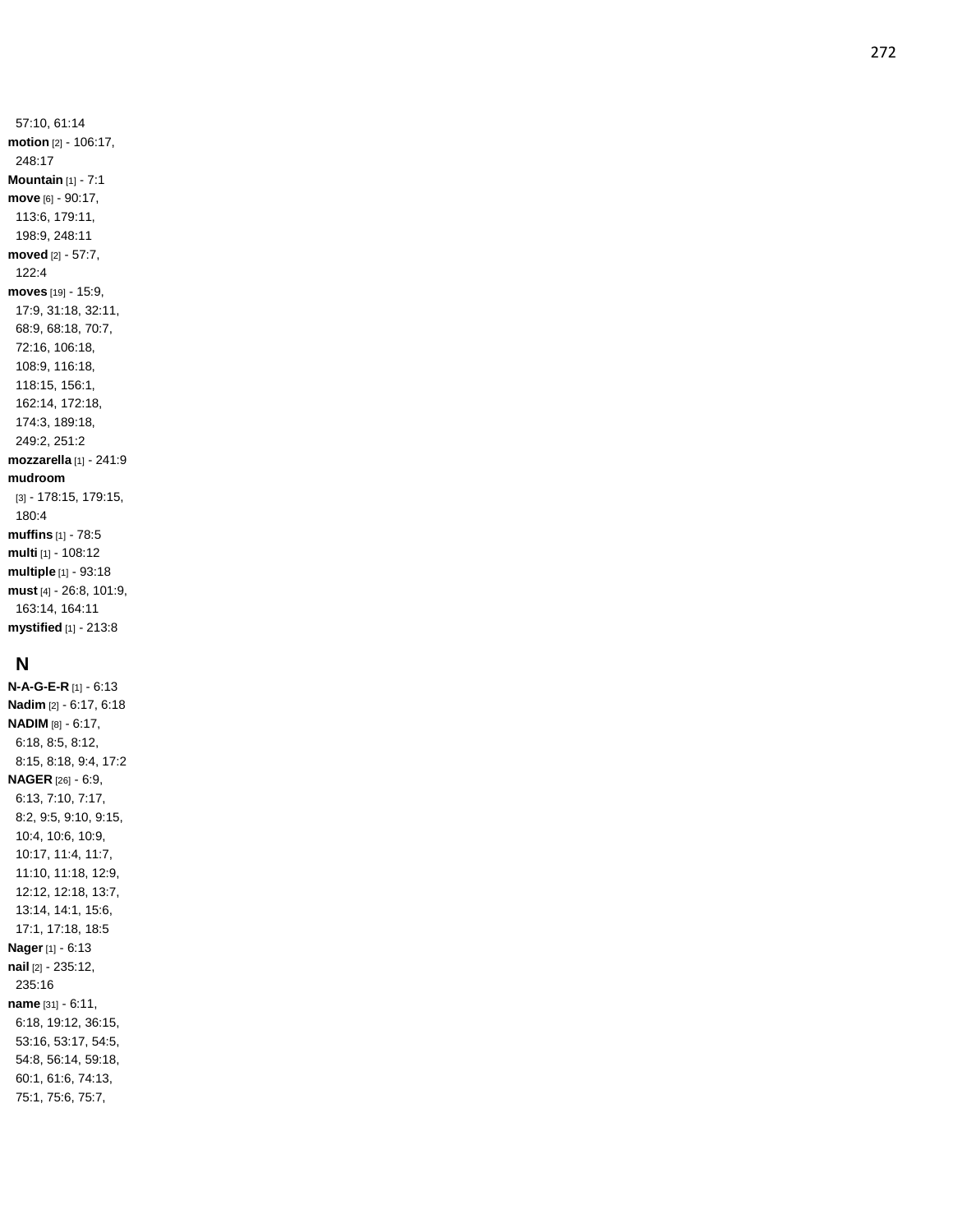57:10, 61:14 **motion** [2] - 106:17, 248:17 **Mountain** [1] - 7:1 **move** [6] - 90:17, 113:6, 179:11, 198:9, 248:11 **moved** [2] - 57:7, 122:4 **moves** [19] - 15:9, 17:9, 31:18, 32:11, 68:9, 68:18, 70:7, 72:16, 106:18, 108:9, 116:18, 118:15, 156:1, 162:14, 172:18, 174:3, 189:18, 249:2, 251:2 **mozzarella** [1] - 241:9 **mudroom** [3] - 178:15, 179:15, 180:4 **muffins** [1] - 78:5 **multi** [1] - 108:12 **multiple** [1] - 93:18 **must** [4] - 26:8, 101:9, 163:14, 164:11

## **N**

**mystified** [1] - 213:8

**N - A - G - E - R** [1] - 6:13 **Nadim** [2] - 6:17, 6:18 **NADIM** [8] - 6:17, 6:18, 8:5, 8:12, 8:15, 8:18, 9:4, 17:2 **NAGER** [26] - 6:9, 6:13, 7:10, 7:17, 8:2, 9:5, 9:10, 9:15, 10:4, 10:6, 10:9, 10:17, 11:4, 11:7, 11:10, 11:18, 12:9, 12:12, 12:18, 13:7, 13:14, 14:1, 15:6, 17:1, 17:18, 18:5 **Nager** [1] - 6:13 **nail** [2] - 235:12, 235:16 **name** [31] - 6:11, 6:18, 19:12, 36:15, 53:16, 53:17, 54:5, 54:8, 56:14, 59:18, 60:1, 61:6, 74:13, 75:1, 75:6, 75:7,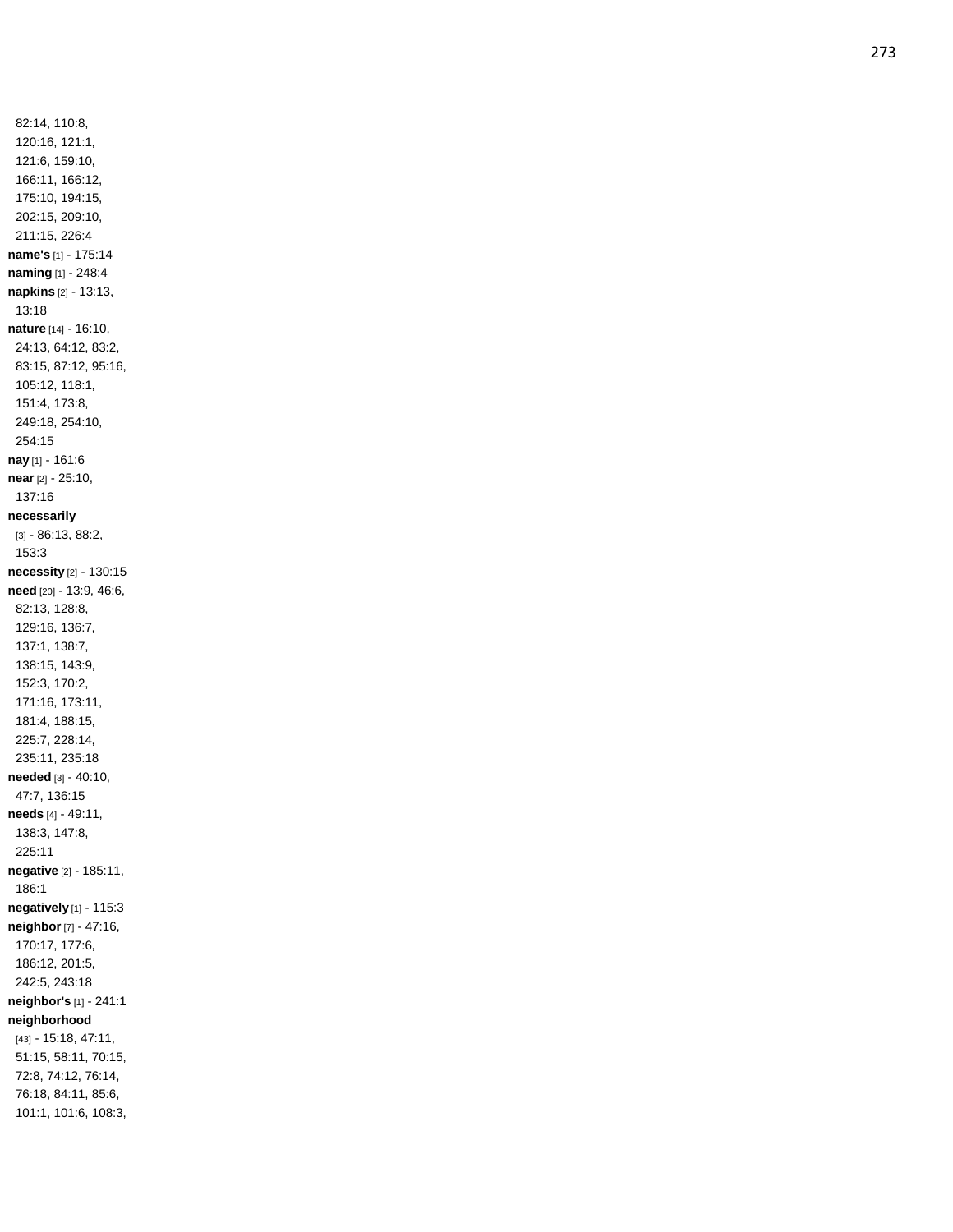82:14, 110:8, 120:16, 121:1, 121:6, 159:10, 166:11, 166:12, 175:10, 194:15, 202:15, 209:10, 211:15, 226:4 **name's** [1] - 175:14 **naming** [1] - 248:4 **napkins** [2] - 13:13, 13:18 **nature** [14] - 16:10, 24:13, 64:12, 83:2, 83:15, 87:12, 95:16, 105:12, 118:1, 151:4, 173:8, 249:18, 254:10, 254:15 **nay** [1] - 161:6 **near** [2] - 25:10, 137:16 **necessarily** [3] - 86:13, 88:2, 153:3 **necessity** [2] - 130:15 **need** [20] - 13:9, 46:6, 82:13, 128:8, 129:16, 136:7, 137:1, 138:7, 138:15, 143:9, 152:3, 170:2, 171:16, 173:11, 181:4, 188:15, 225:7, 228:14, 235:11, 235:18 **needed** [3] - 40:10, 47:7, 136:15 **needs** [4] - 49:11, 138:3, 147:8, 225:11 **negative** [2] - 185:11, 186:1 **negatively** [1] - 115:3 **neighbor** [7] - 47:16, 170:17, 177:6, 186:12, 201:5, 242:5, 243:18 **neighbor's** [1] - 241:1 **neighborhood** [43] - 15:18, 47:11, 51:15, 58:11, 70:15, 72:8, 74:12, 76:14, 76:18, 84:11, 85:6, 101:1, 101:6, 108:3,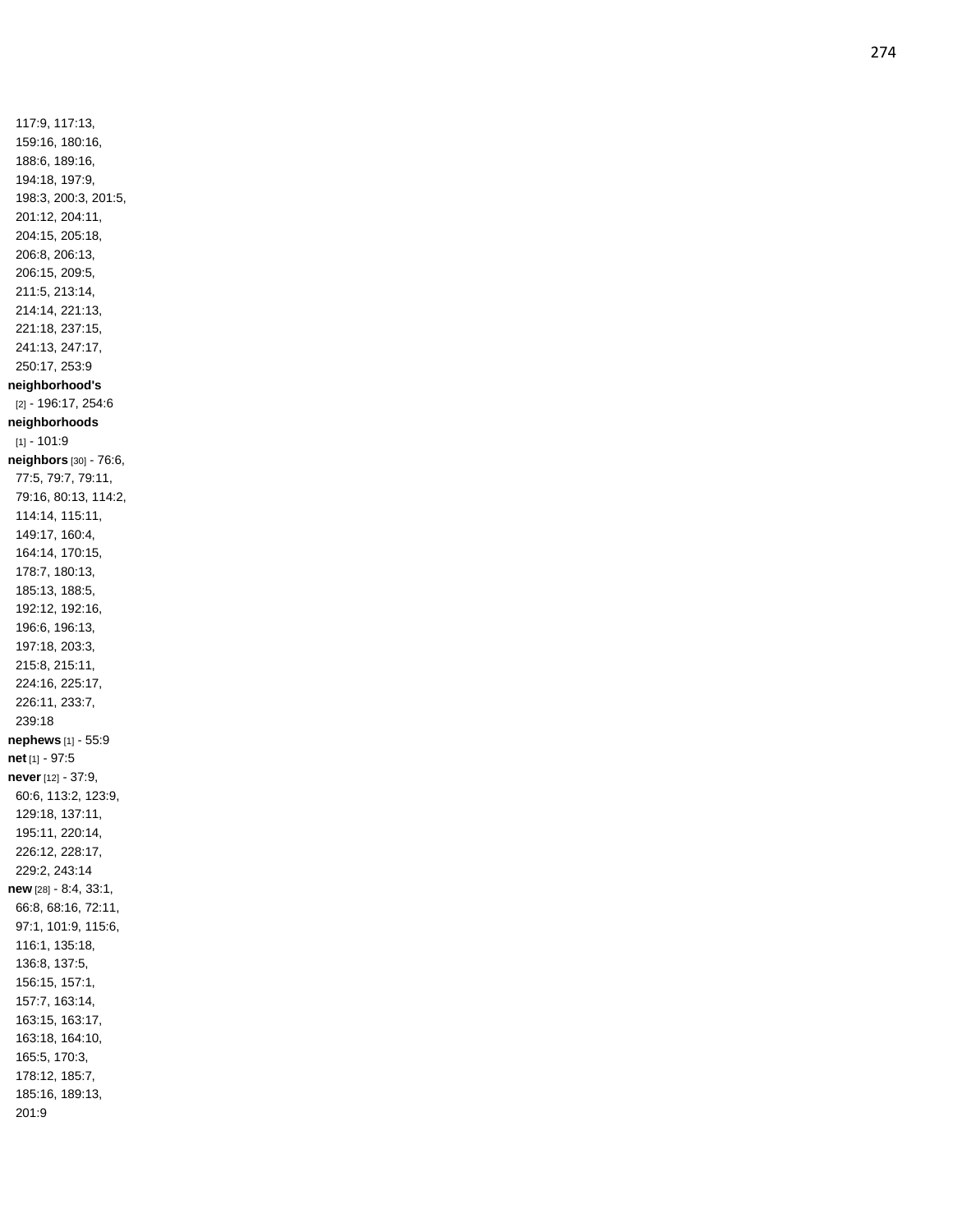117:9, 117:13, 159:16, 180:16, 188:6, 189:16, 194:18, 197:9, 198:3, 200:3, 201:5, 201:12, 204:11, 204:15, 205:18, 206:8, 206:13, 206:15, 209:5, 211:5, 213:14, 214:14, 221:13, 221:18, 237:15, 241:13, 247:17, 250:17, 253:9 **neighborhood's** [2] - 196:17, 254:6 **neighborhoods**  $[1] - 101.9$ **neighbors** [30] - 76:6, 77:5, 79:7, 79:11, 79:16, 80:13, 114:2, 114:14, 115:11, 149:17, 160:4, 164:14, 170:15, 178:7, 180:13, 185:13, 188:5, 192:12, 192:16, 196:6, 196:13, 197:18, 203:3, 215:8, 215:11, 224:16, 225:17, 226:11, 233:7, 239:18 **nephews** [1] - 55:9 **net** [1] - 97:5 **never** [12] - 37:9, 60:6, 113:2, 123:9, 129:18, 137:11, 195:11, 220:14, 226:12, 228:17, 229:2, 243:14 **new** [28] - 8:4, 33:1, 66:8, 68:16, 72:11, 97:1, 101:9, 115:6, 116:1, 135:18, 136:8, 137:5, 156:15, 157:1, 157:7, 163:14, 163:15, 163:17, 163:18, 164:10, 165:5, 170:3, 178:12, 185:7, 185:16, 189:13, 201:9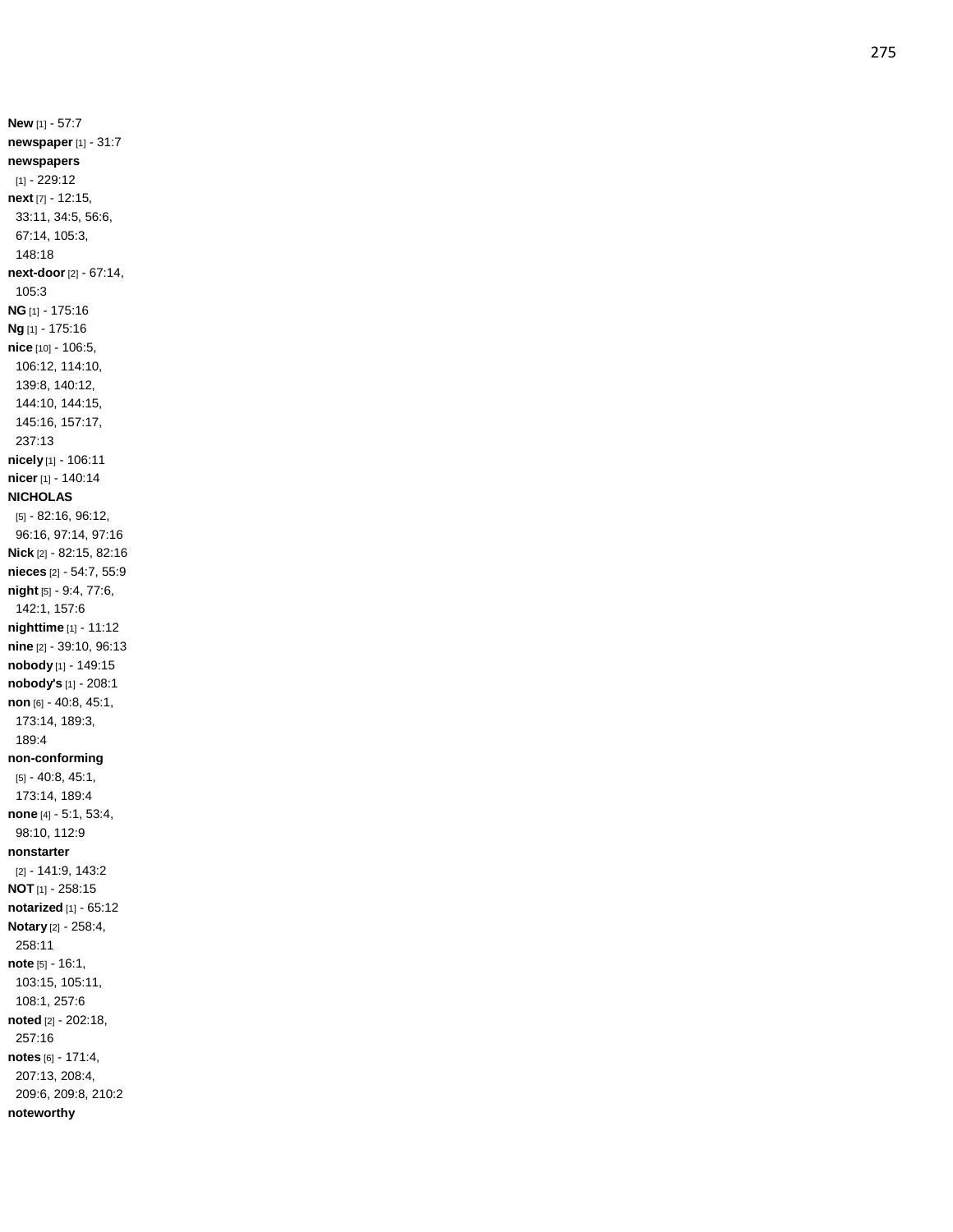**New** [1] - 57:7 **newspaper** [1] - 31:7 **newspapers** [1] - 229:12 **next** [7 ] - 12:15, 33:11, 34:5, 56:6, 67:14, 105:3, 148:18 **next -door** [2] - 67:14, 105:3 **NG** [1] - 175:16 **Ng** [1] - 175:16 **nice** [10] - 106:5, 106:12, 114:10, 139:8, 140:12, 144:10, 144:15, 145:16, 157:17, 237:13 **nicely** [1] - 106:11 **nicer** [1] - 140:14 **NICHOLAS** [5] - 82:16, 96:12, 96:16, 97:14, 97:16 **Nick** [2] - 82:15, 82:16 **nieces** [2] - 54:7, 55:9 **night** [5] - 9:4, 77:6, 142:1, 157:6 **nighttime** [1] - 11:12 **nine** [2] - 39:10, 96:13 **nobody** [1] - 149:15 **nobody's** [1] - 208:1 **non** [6] - 40:8, 45:1, 173:14, 189:3, 189:4 **non -conforming** [5] - 40:8, 45:1, 173:14, 189:4 **none** [4] - 5:1, 53:4, 98:10, 112:9 **nonstarter** [2] - 141:9, 143:2 **NOT** [1] - 258:15 **notarized** [1] - 65:12 **Notary** [2] - 258:4, 258:11 **note** [5] - 16:1, 103:15, 105:11, 108:1, 257:6 **noted** [2] - 202:18, 257:16 **notes** [6] - 171:4, 207:13, 208:4, 209:6, 209:8, 210:2 **noteworthy**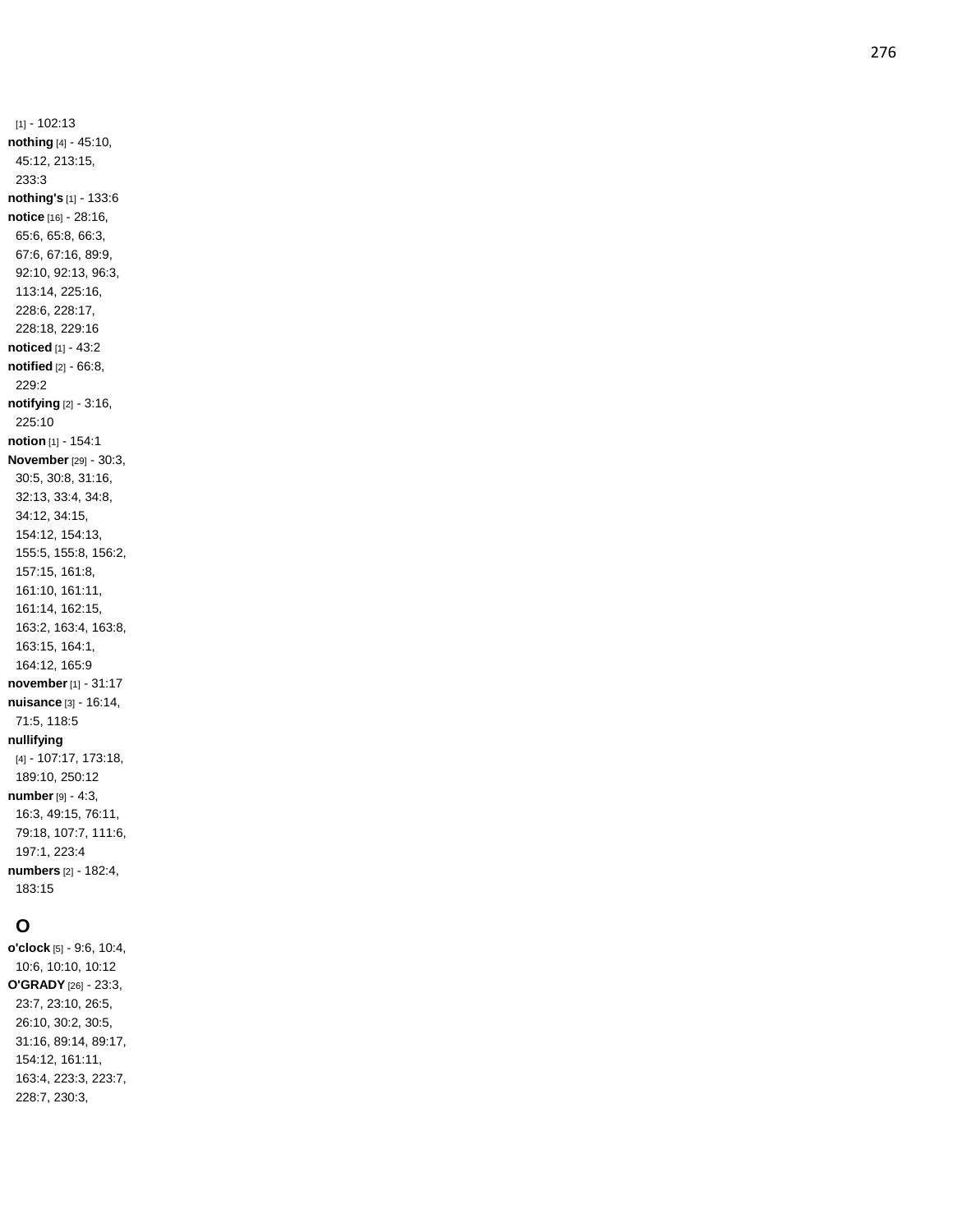[1] - 102:13 **nothing** [4] - 45:10, 45:12, 213:15, 233:3 **nothing's** [1] - 133:6 **notice** [16] - 28:16, 65:6, 65:8, 66:3, 67:6, 67:16, 89:9, 92:10, 92:13, 96:3, 113:14, 225:16, 228:6, 228:17, 228:18, 229:16 **noticed** [1] - 43:2 **notified** [2] - 66:8, 229:2 **notifying** [2] - 3:16, 225:10 **notion** [1] - 154:1 **November** [29] - 30:3, 30:5, 30:8, 31:16, 32:13, 33:4, 34:8, 34:12, 34:15, 154:12, 154:13, 155:5, 155:8, 156:2, 157:15, 161:8, 161:10, 161:11, 161:14, 162:15, 163:2, 163:4, 163:8, 163:15, 164:1, 164:12, 165:9 **november**[1] - 31:17 **nuisance** [3] - 16:14, 71:5, 118:5 **nullifying** [4] - 107:17, 173:18, 189:10, 250:12 **number** [9] - 4:3, 16:3, 49:15, 76:11, 79:18, 107:7, 111:6, 197:1, 223:4 **numbers** [2] - 182:4, 183:15

### **O**

**o'clock** [5] - 9:6, 10:4, 10:6, 10:10, 10:12 **O'GRADY** [26] - 23:3, 23:7, 23:10, 26:5, 26:10, 30:2, 30:5, 31:16, 89:14, 89:17, 154:12, 161:11, 163:4, 223:3, 223:7, 228:7, 230:3,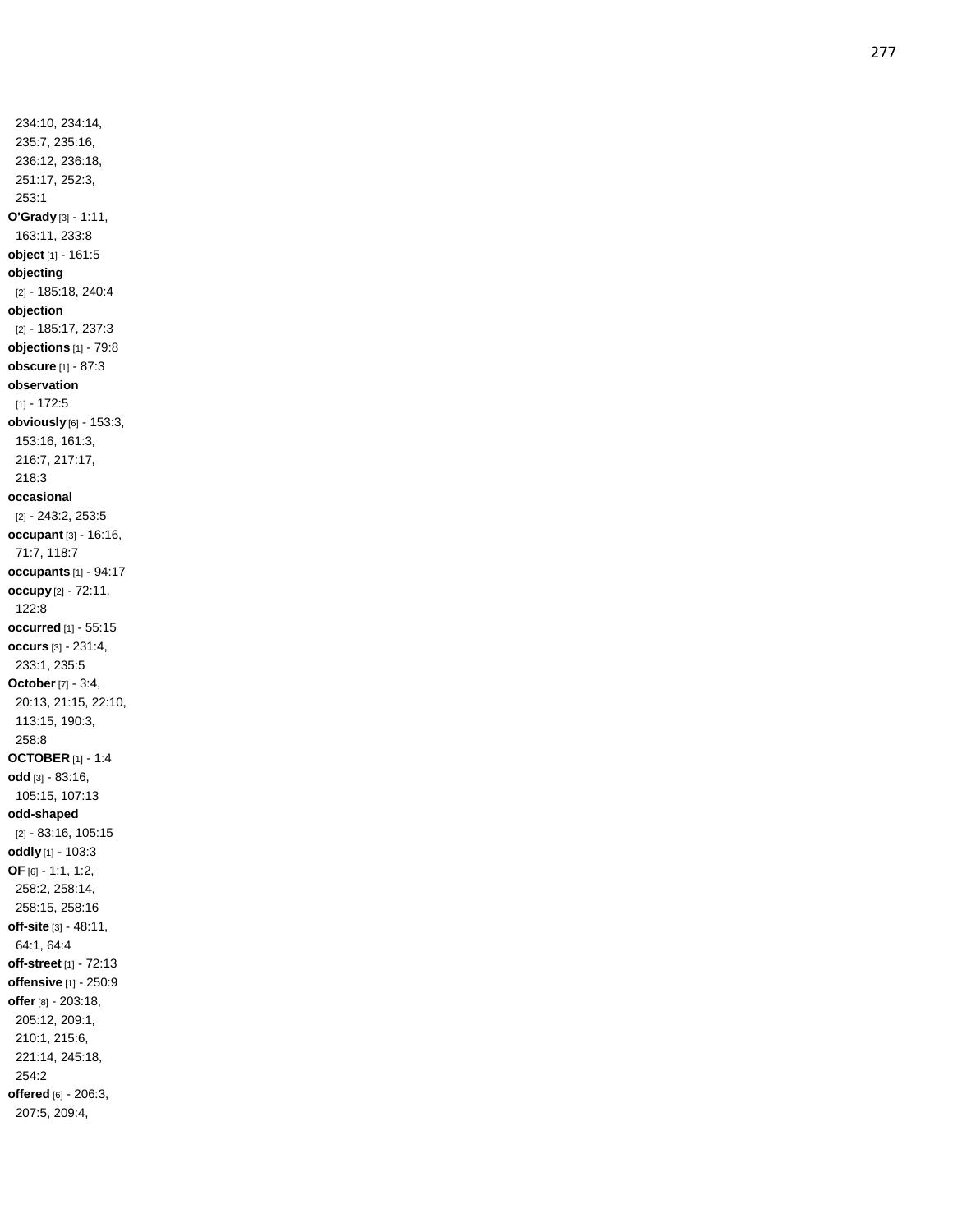234:10, 234:14, 235:7, 235:16, 236:12, 236:18, 251:17, 252:3, 253:1 **O'Grady** [3] - 1:11, 163:11, 233:8 **object** [1] - 161:5 **objecting** [2] - 185:18, 240:4 **objection** [2] - 185:17, 237:3 **objections** [1] - 79:8 **obscure** [1] - 87:3 **observation**  $[1] - 172:5$ **obviously** [6] - 153:3, 153:16, 161:3, 216:7, 217:17, 218:3 **occasional** [2] - 243:2, 253:5 **occupant** [3] - 16:16, 71:7, 118:7 **occupants** [1] - 94:17 **occupy** [2] - 72:11, 122:8 **occurred** [1] - 55:15 **occurs** [3] - 231:4, 233:1, 235:5 **October** [7] - 3:4, 20:13, 21:15, 22:10, 113:15, 190:3, 258:8 **OCTOBER** [1] - 1:4 **odd** [3] - 83:16, 105:15, 107:13 **odd -shaped** [2] - 83:16, 105:15 **oddly** [1] - 103:3 **OF** [6] - 1:1, 1:2, 258:2, 258:14, 258:15, 258:16 **off -site** [3] - 48:11, 64:1, 64:4 **off -street** [1] - 72:13 **offensive** [1] - 250:9 **offer** [8] - 203:18, 205:12, 209:1, 210:1, 215:6, 221:14, 245:18, 254:2 **offered** [6] - 206:3, 207:5, 209:4,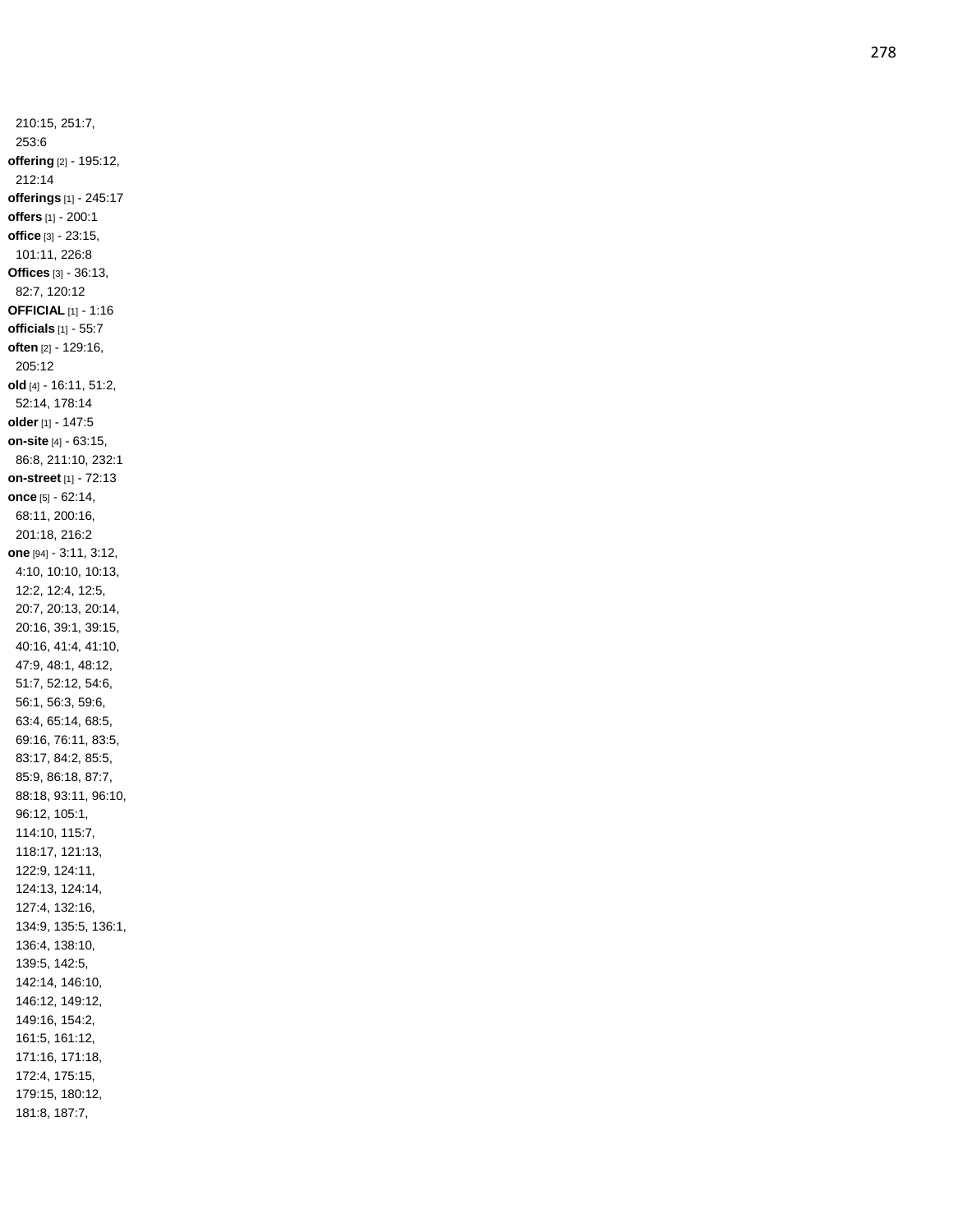210:15, 251:7, 253:6 **offering** [2] - 195:12, 212:14 **offerings** [1] - 245:17 **offers** [1] - 200:1 **office** [3] - 23:15, 101:11, 226:8 **Offices** [3] - 36:13, 82:7, 120:12 **OFFICIAL** [1] - 1:16 **officials** [1] - 55:7 **often** [2] - 129:16, 205:12 **old** [4] - 16:11, 51:2, 52:14, 178:14 **older** [1] - 147:5 **on -site** [4] - 63:15, 86:8, 211:10, 232:1 **on -street** [1] - 72:13 **once** [5] - 62:14, 68:11, 200:16, 201:18, 216:2 **one** [94] - 3:11, 3:12, 4:10, 10:10, 10:13, 12:2, 12:4, 12:5, 20:7, 20:13, 20:14, 20:16, 39:1, 39:15, 40:16, 41:4, 41:10, 47:9, 48:1, 48:12, 51:7, 52:12, 54:6, 56:1, 56:3, 59:6, 63:4, 65:14, 68:5, 69:16, 76:11, 83:5, 83:17, 84:2, 85:5, 85:9, 86:18, 87:7, 88:18, 93:11, 96:10, 96:12, 105:1, 114:10, 115:7, 118:17, 121:13, 122:9, 124:11, 124:13, 124:14, 127:4, 132:16, 134:9, 135:5, 136:1, 136:4, 138:10, 139:5, 142:5, 142:14, 146:10, 146:12, 149:12, 149:16, 154:2, 161:5, 161:12, 171:16, 171:18, 172:4, 175:15, 179:15, 180:12, 181:8, 187:7,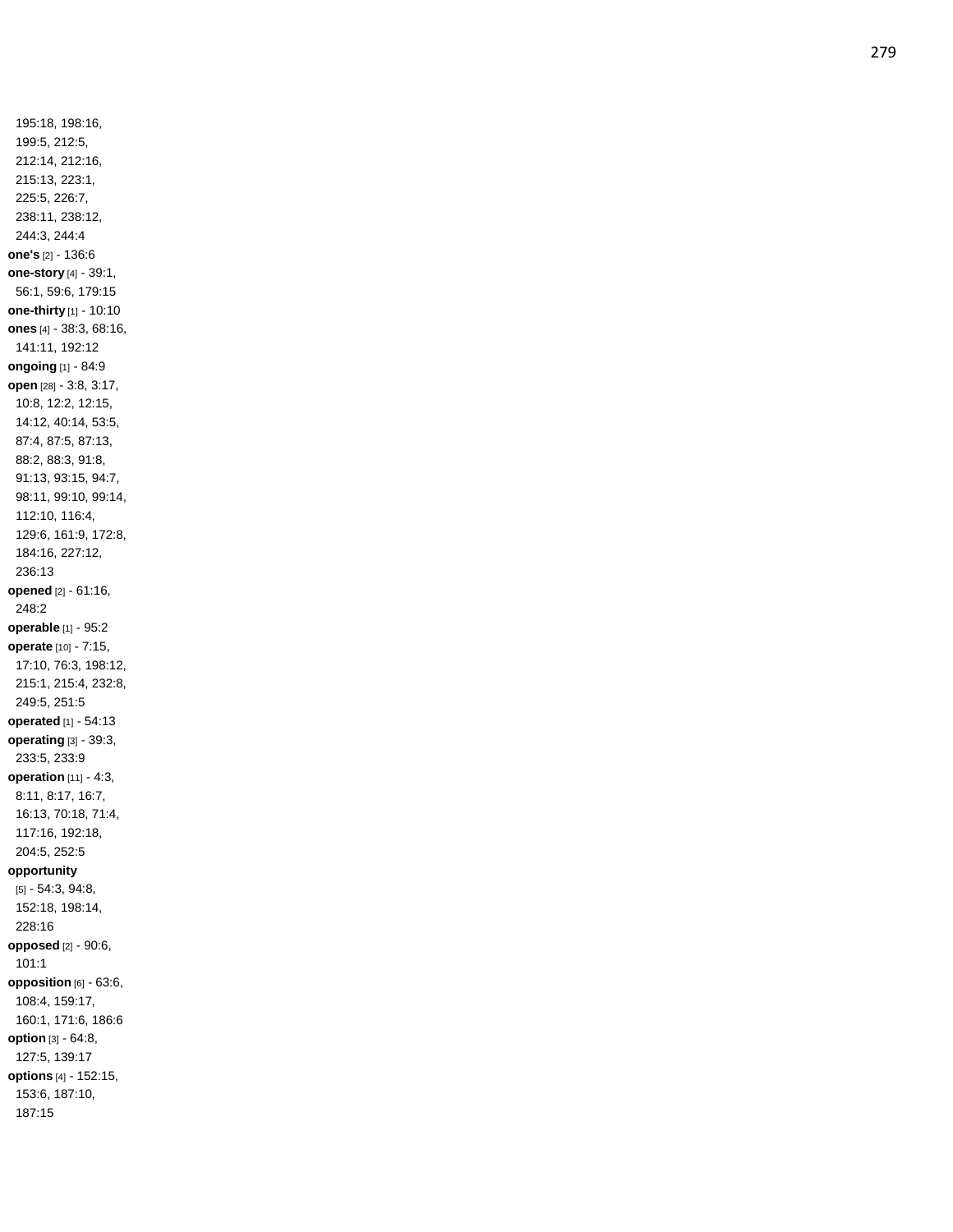195:18, 198:16, 199:5, 212:5, 212:14, 212:16, 215:13, 223:1, 225:5, 226:7, 238:11, 238:12, 244:3, 244:4 **one's** [2] - 136:6 **one -story** [4] - 39:1, 56:1, 59:6, 179:15 **one -thirty** [1] - 10:10 **ones** [4] - 38:3, 68:16, 141:11, 192:12 **ongoing** [1] - 84:9 **open** [28] - 3:8, 3:17, 10:8, 12:2, 12:15, 14:12, 40:14, 53:5, 87:4, 87:5, 87:13, 88:2, 88:3, 91:8, 91:13, 93:15, 94:7, 98:11, 99:10, 99:14, 112:10, 116:4, 129:6, 161:9, 172:8, 184:16, 227:12, 236:13 **opened** [2] - 61:16, 248:2 **operable** [1] - 95:2 **operate** [10] - 7:15, 17:10, 76:3, 198:12, 215:1, 215:4, 232:8, 249:5, 251:5 **operated** [1] - 54:13 **operating** [3] - 39:3, 233:5, 233:9 **operation** [11] - 4:3, 8:11, 8:17, 16:7, 16:13, 70:18, 71:4, 117:16, 192:18, 204:5, 252:5 **opportunity** [5] - 54:3, 94:8, 152:18, 198:14, 228:16 **opposed** [2] - 90:6, 101:1 **opposition** [6] - 63:6, 108:4, 159:17, 160:1, 171:6, 186:6 **option** [3] - 64:8, 127:5, 139:17 **options** [4] - 152:15, 153:6, 187:10, 187:15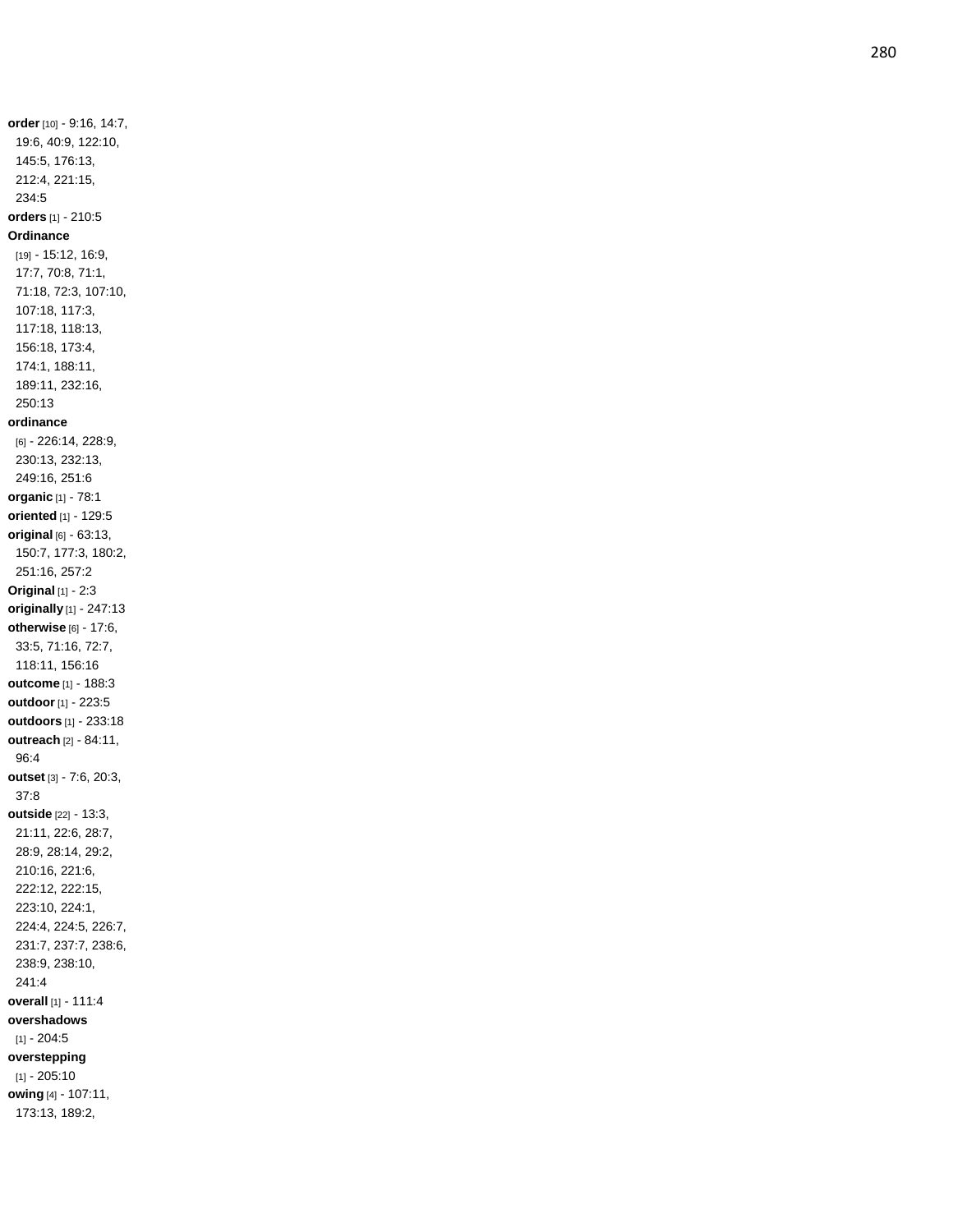**order** [10] - 9:16, 14:7, 19:6, 40:9, 122:10, 145:5, 176:13, 212:4, 221:15, 234:5 **orders** [1] - 210:5 **Ordinance** [19] - 15:12, 16:9, 17:7, 70:8, 71:1, 71:18, 72:3, 107:10, 107:18, 117:3, 117:18, 118:13, 156:18, 173:4, 174:1, 188:11, 189:11, 232:16, 250:13 **ordinance** [6] - 226:14, 228:9, 230:13, 232:13, 249:16, 251:6 **organic** [1] - 78:1 **oriented** [1] - 129:5 **original** [6] - 63:13, 150:7, 177:3, 180:2, 251:16, 257:2 **Original** [1] - 2:3 **originally** [1] - 247:13 **otherwise** [6] - 17:6, 33:5, 71:16, 72:7, 118:11, 156:16 **outcome** [1] - 188:3 **outdoor** [1] - 223:5 **outdoors** [1] - 233:18 **outreach** [2] - 84:11, 96:4 **outset** [3] - 7:6, 20:3, 37:8 **outside** [22] - 13:3, 21:11, 22:6, 28:7, 28:9, 28:14, 29:2, 210:16, 221:6, 222:12, 222:15, 223:10, 224:1, 224:4, 224:5, 226:7, 231:7, 237:7, 238:6, 238:9, 238:10, 241:4 **overall** [1] - 111:4 **overshadows**  $[1] - 204:5$ **overstepping** [1] - 205:10 **owing** [4] - 107:11, 173:13, 189:2,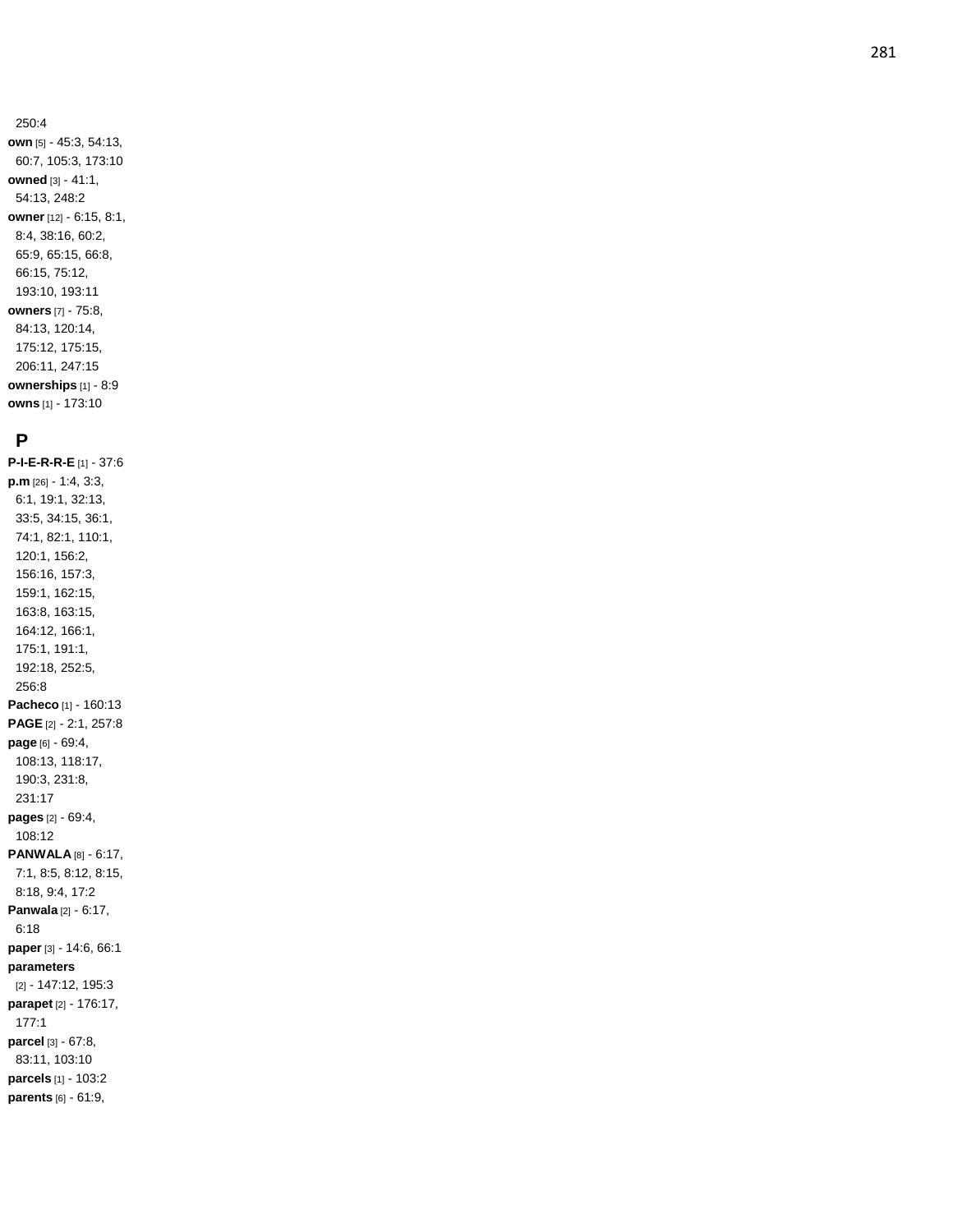#### 250:4 **own** [5] - 45:3, 54:13, 60:7, 105:3, 173:10 **owned** [3] - 41:1, 54:13, 248:2 **owner** [12] - 6:15, 8:1, 8:4, 38:16, 60:2, 65:9, 65:15, 66:8, 66:15, 75:12, 193:10, 193:11 **owners** [7] - 75:8, 84:13, 120:14, 175:12, 175:15, 206:11, 247:15 **ownerships** [1] - 8:9 **owns** [1] - 173:10

# **P**

**P - I - E - R - R - E** [1] - 37:6 **p.m** [26] - 1:4, 3:3, 6:1, 19:1, 32:13, 33:5, 34:15, 36:1, 74:1, 82:1, 110:1, 120:1, 156:2, 156:16, 157:3, 159:1, 162:15, 163:8, 163:15, 164:12, 166:1, 175:1, 191:1, 192:18, 252:5, 256:8 **Pacheco** [1] - 160:13 **PAGE** [2] - 2:1, 257:8 **page** [6] - 69:4, 108:13, 118:17, 190:3, 231:8, 231:17 **pages** [2] - 69:4, 108:12 **PANWALA** [8] - 6:17, 7:1, 8:5, 8:12, 8:15, 8:18, 9:4, 17:2 **Panwala** [2] - 6:17, 6:18 **paper** [3] - 14:6, 66:1 **parameters** [2] - 147:12, 195:3 **parapet** [2] - 176:17, 177:1 **parcel** [3] - 67:8, 83:11, 103:10 **parcels** [1] - 103:2 **parents** [6] - 61:9,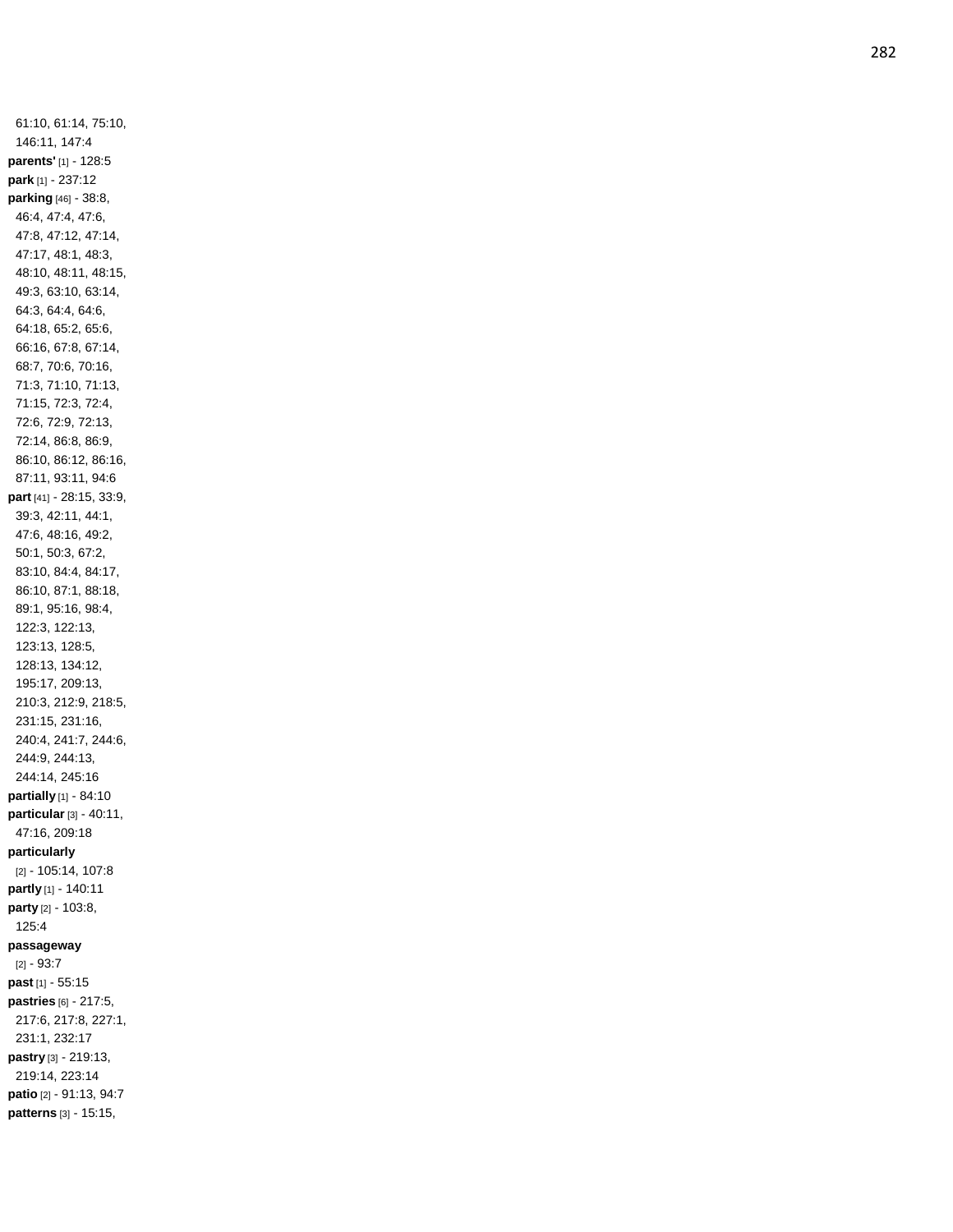61:10, 61:14, 75:10, 146:11, 147:4 **parents'** [1] - 128:5 **park** [1] - 237:12 **parking** [46] - 38:8, 46:4, 47:4, 47:6, 47:8, 47:12, 47:14, 47:17, 48:1, 48:3, 48:10, 48:11, 48:15, 49:3, 63:10, 63:14, 64:3, 64:4, 64:6, 64:18, 65:2, 65:6, 66:16, 67:8, 67:14, 68:7, 70:6, 70:16, 71:3, 71:10, 71:13, 71:15, 72:3, 72:4, 72:6, 72:9, 72:13, 72:14, 86:8, 86:9, 86:10, 86:12, 86:16, 87:11, 93:11, 94:6 **part** [41] - 28:15, 33:9, 39:3, 42:11, 44:1, 47:6, 48:16, 49:2, 50:1, 50:3, 67:2, 83:10, 84:4, 84:17, 86:10, 87:1, 88:18, 89:1, 95:16, 98:4, 122:3, 122:13, 123:13, 128:5, 128:13, 134:12, 195:17, 209:13, 210:3, 212:9, 218:5, 231:15, 231:16, 240:4, 241:7, 244:6, 244:9, 244:13, 244:14, 245:16 **partially** [1] - 84:10 **particular** [3] - 40:11, 47:16, 209:18 **particularly** [2] - 105:14, 107:8 **partly** [1] - 140:11 **party** [2] - 103:8, 125:4 **passageway** [2] - 93:7 **past** [1] - 55:15 **pastries** [6] - 217:5, 217:6, 217:8, 227:1, 231:1, 232:17 **pastry** [3] - 219:13, 219:14, 223:14 **patio** [2] - 91:13, 94:7 **patterns** [3] - 15:15,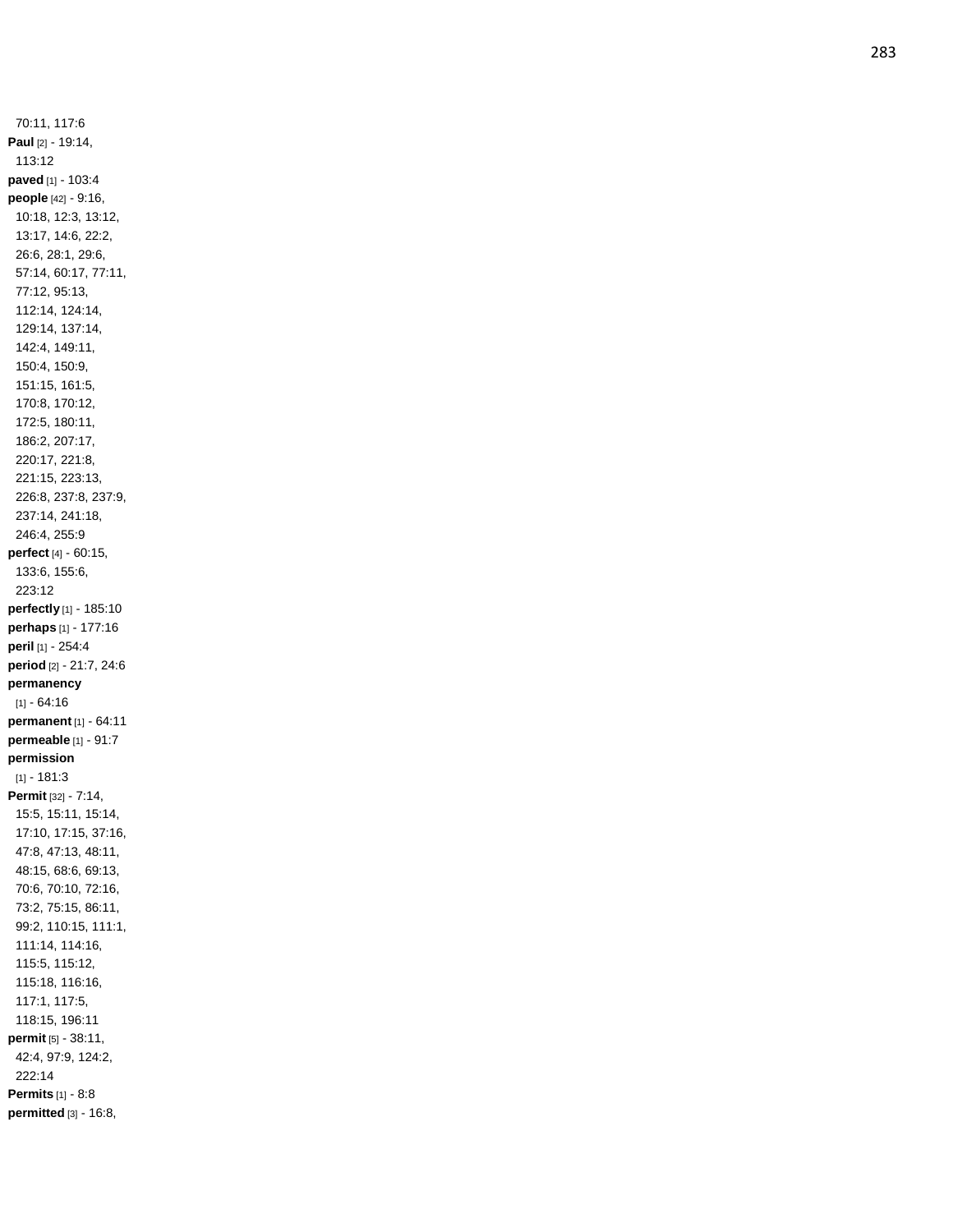70:11, 117:6 **Paul** [2] - 19:14, 113:12 **paved** [1] - 103:4 **people** [42] - 9:16, 10:18, 12:3, 13:12, 13:17, 14:6, 22:2, 26:6, 28:1, 29:6, 57:14, 60:17, 77:11, 77:12, 95:13, 112:14, 124:14, 129:14, 137:14, 142:4, 149:11, 150:4, 150:9, 151:15, 161:5, 170:8, 170:12, 172:5, 180:11, 186:2, 207:17, 220:17, 221:8, 221:15, 223:13, 226:8, 237:8, 237:9, 237:14, 241:18, 246:4, 255:9 **perfect** [4] - 60:15, 133:6, 155:6, 223:12 **perfectly** [1] - 185:10 **perhaps** [1] - 177:16 **peril** [1] - 254:4 **period** [2] - 21:7, 24:6 **permanency**  $[1] - 64:16$ **permanent** [1] - 64:11 **permeable** [1] - 91:7 **permission**  $[1] - 181:3$ **Permit** [32] - 7:14, 15:5, 15:11, 15:14, 17:10, 17:15, 37:16, 47:8, 47:13, 48:11, 48:15, 68:6, 69:13, 70:6, 70:10, 72:16, 73:2, 75:15, 86:11, 99:2, 110:15, 111:1, 111:14, 114:16, 115:5, 115:12, 115:18, 116:16, 117:1, 117:5, 118:15, 196:11 **permit** [5] - 38:11, 42:4, 97:9, 124:2, 222:14 **Permits** [1] - 8:8 **permitted** [3] - 16:8,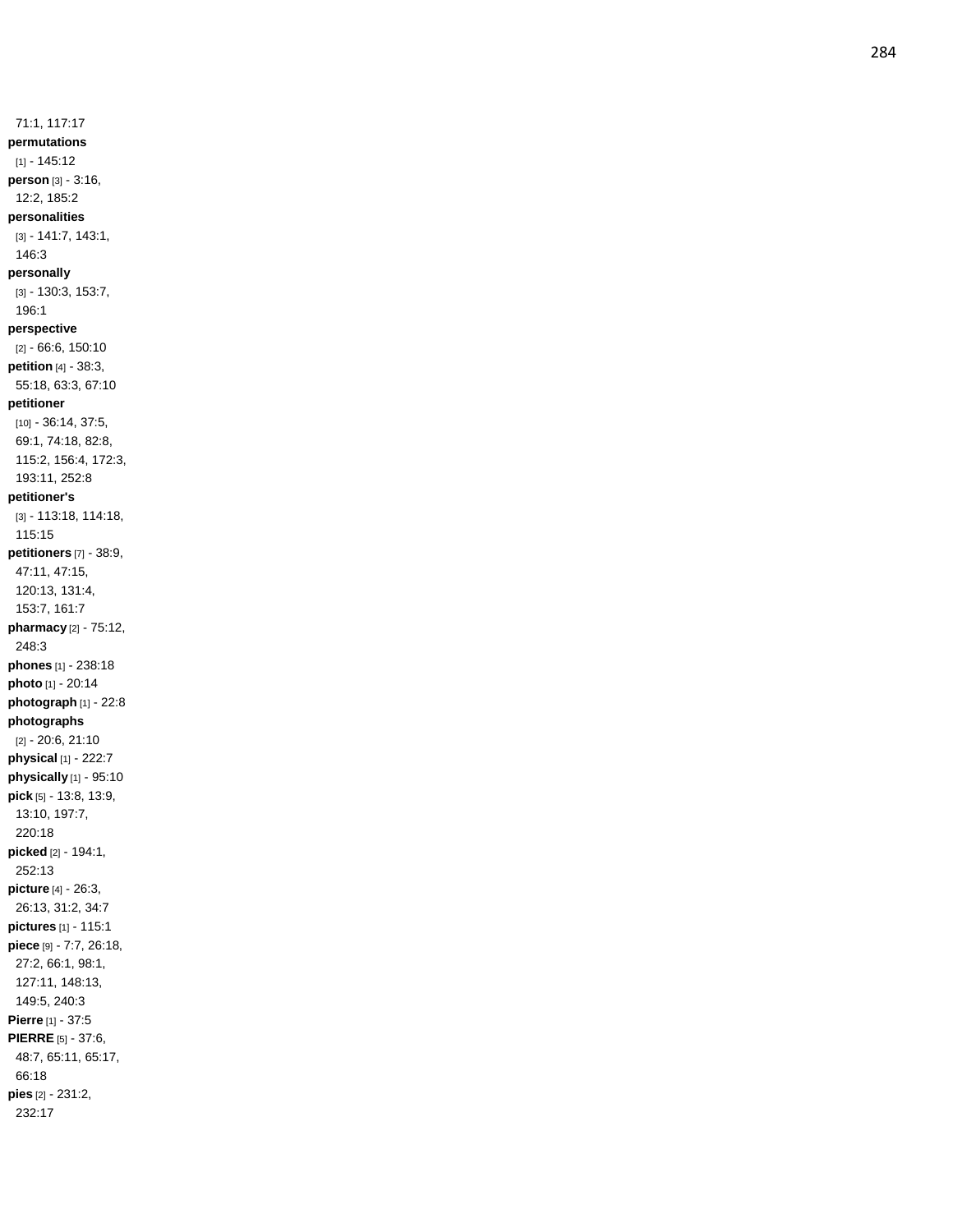71:1, 117:17 **permutations** [1] - 145:12 **person** [3] - 3:16, 12:2, 185:2 **personalities** [3] - 141:7, 143:1, 146:3 **personally** [3] - 130:3, 153:7, 196:1 **perspective** [2] - 66:6, 150:10 **petition** [4] - 38:3, 55:18, 63:3, 67:10 **petitioner** [10] - 36:14, 37:5, 69:1, 74:18, 82:8, 115:2, 156:4, 172:3, 193:11, 252:8 **petitioner's** [3] - 113:18, 114:18, 115:15 **petitioners** [7] - 38:9, 47:11, 47:15, 120:13, 131:4, 153:7, 161:7 **pharmacy** [2] - 75:12, 248:3 **phones** [1] - 238:18 **photo** [1] - 20:14 **photograph** [1] - 22:8 **photographs** [2] - 20:6, 21:10 **physical** [1] - 222:7 **physically** [1] - 95:10 **pick** [5] - 13:8, 13:9, 13:10, 197:7, 220:18 **picked** [2] - 194:1, 252:13 **picture** [4] - 26:3, 26:13, 31:2, 34:7 **pictures** [1] - 115:1 **piece** [9] - 7:7, 26:18, 27:2, 66:1, 98:1, 127:11, 148:13, 149:5, 240:3 **Pierre** [1] - 37:5 **PIERRE** [5] - 37:6, 48:7, 65:11, 65:17, 66:18 **pies** [2] - 231:2, 232:17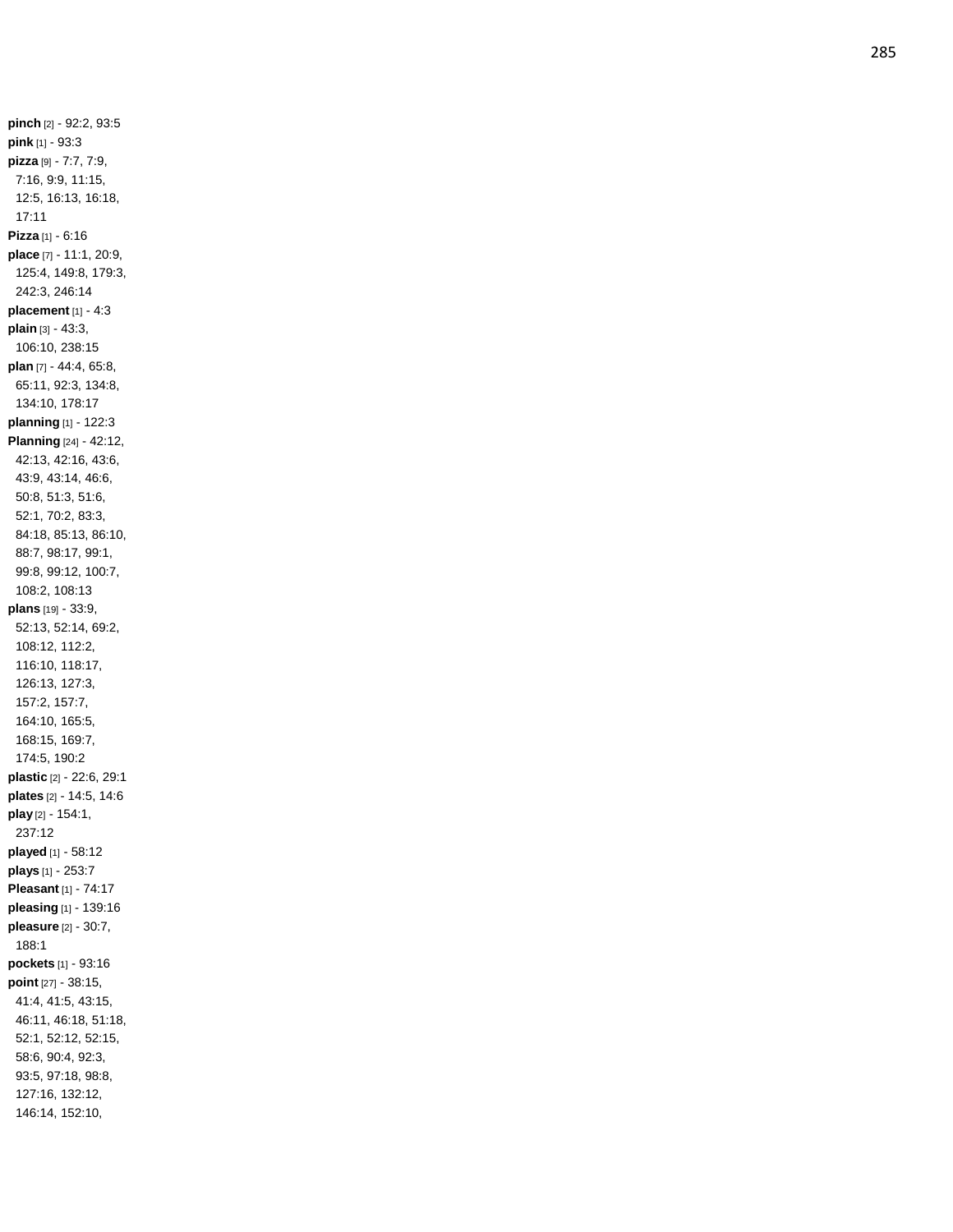**pinch** [2] - 92:2, 93:5 **pink** [1] - 93:3 **pizza** [9] - 7:7, 7:9, 7:16, 9:9, 11:15, 12:5, 16:13, 16:18, 17:11 **Pizza** [1] - 6:16 **place** [7] - 11:1, 20:9, 125:4, 149:8, 179:3, 242:3, 246:14 **placement** [1] - 4:3 **plain** [3] - 43:3, 106:10, 238:15 **plan** [7] - 44:4, 65:8, 65:11, 92:3, 134:8, 134:10, 178:17 **planning** [1] - 122:3 **Planning** [24] - 42:12, 42:13, 42:16, 43:6, 43:9, 43:14, 46:6, 50:8, 51:3, 51:6, 52:1, 70:2, 83:3, 84:18, 85:13, 86:10, 88:7, 98:17, 99:1, 99:8, 99:12, 100:7, 108:2, 108:13 **plans** [19] - 33:9, 52:13, 52:14, 69:2, 108:12, 112:2, 116:10, 118:17, 126:13, 127:3, 157:2, 157:7, 164:10, 165:5, 168:15, 169:7, 174:5, 190:2 **plastic** [2] - 22:6, 29:1 **plates** [2] - 14:5, 14:6 **play** [2] - 154:1, 237:12 **played** [1] - 58:12 **plays** [1] - 253:7 **Pleasant** [1] - 74:17 **pleasing** [1] - 139:16 **pleasure** [2] - 30:7, 188:1 **pockets** [1] - 93:16 **point** [27] - 38:15, 41:4, 41:5, 43:15, 46:11, 46:18, 51:18, 52:1, 52:12, 52:15, 58:6, 90:4, 92:3, 93:5, 97:18, 98:8, 127:16, 132:12, 146:14, 152:10,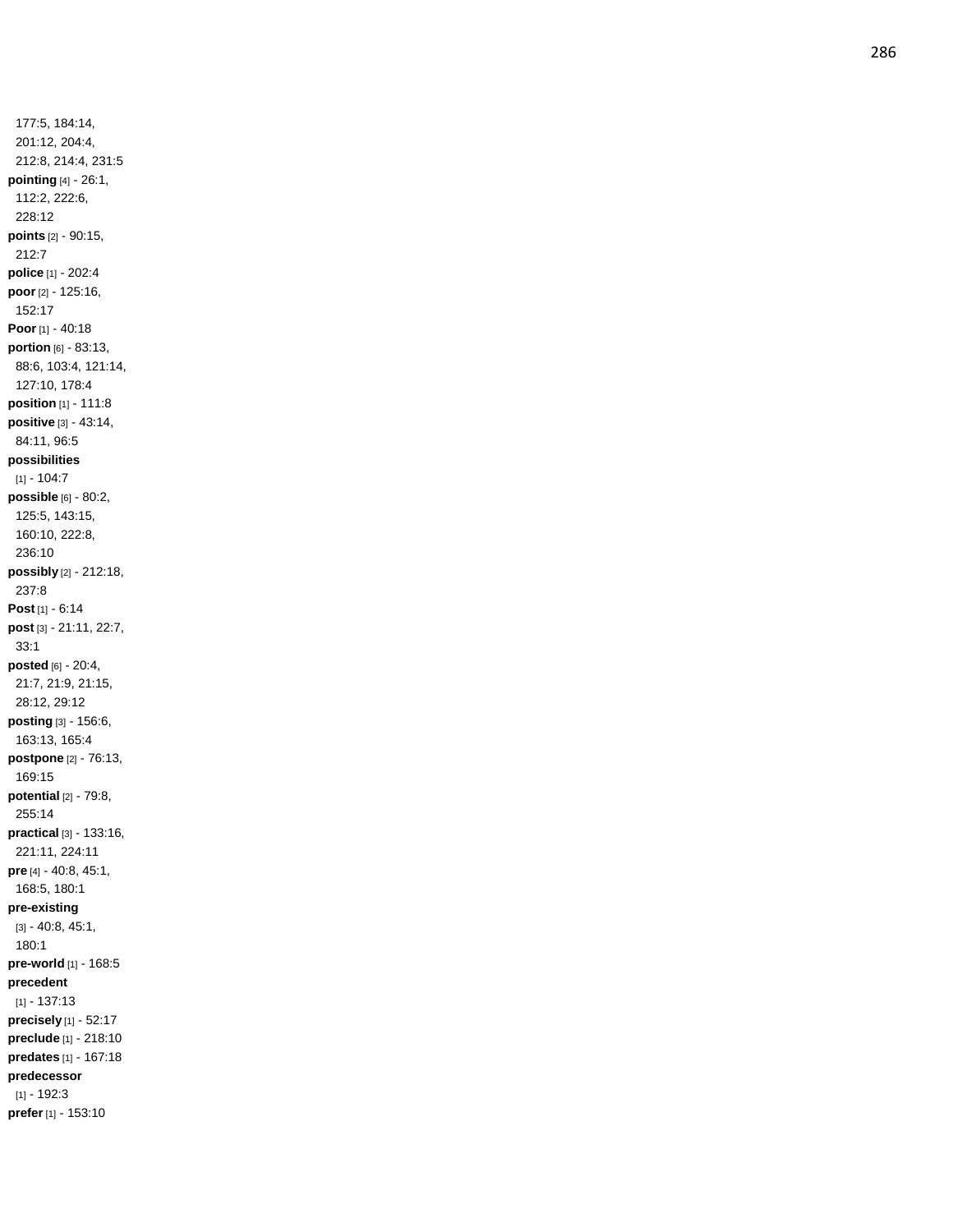177:5, 184:14, 201:12, 204:4, 212:8, 214:4, 231:5 **pointing** [4] - 26:1, 112:2, 222:6, 228:12 **points** [2] - 90:15, 212:7 **police** [1] - 202:4 **poor** [2] - 125:16, 152:17 **Poor** [1] - 40:18 **portion** [6] - 83:13, 88:6, 103:4, 121:14, 127:10, 178:4 **position** [1] - 111:8 **positive** [3] - 43:14, 84:11, 96:5 **possibilities**  $[1] - 104:7$ **possible** [6] - 80:2, 125:5, 143:15, 160:10, 222:8, 236:10 **possibly** [2] - 212:18, 237:8 **Post** [1] - 6:14 **post** [3] - 21:11, 22:7, 33:1 **posted** [6] - 20:4, 21:7, 21:9, 21:15, 28:12, 29:12 **posting** [3] - 156:6, 163:13, 165:4 **postpone** [2] - 76:13, 169:15 **potential** [2] - 79:8, 255:14 **practical** [3] - 133:16, 221:11, 224:11 **pre** [4] - 40:8, 45:1, 168:5, 180:1 **pre -existing** [3] - 40:8, 45:1, 180:1 **pre -world** [1] - 168:5 **precedent** [1] - 137:13 **precisely** [1] - 52:17 **preclude** [1] - 218:10 **predates** [1] - 167:18 **predecessor** [1] - 192:3 **prefer** [1] - 153:10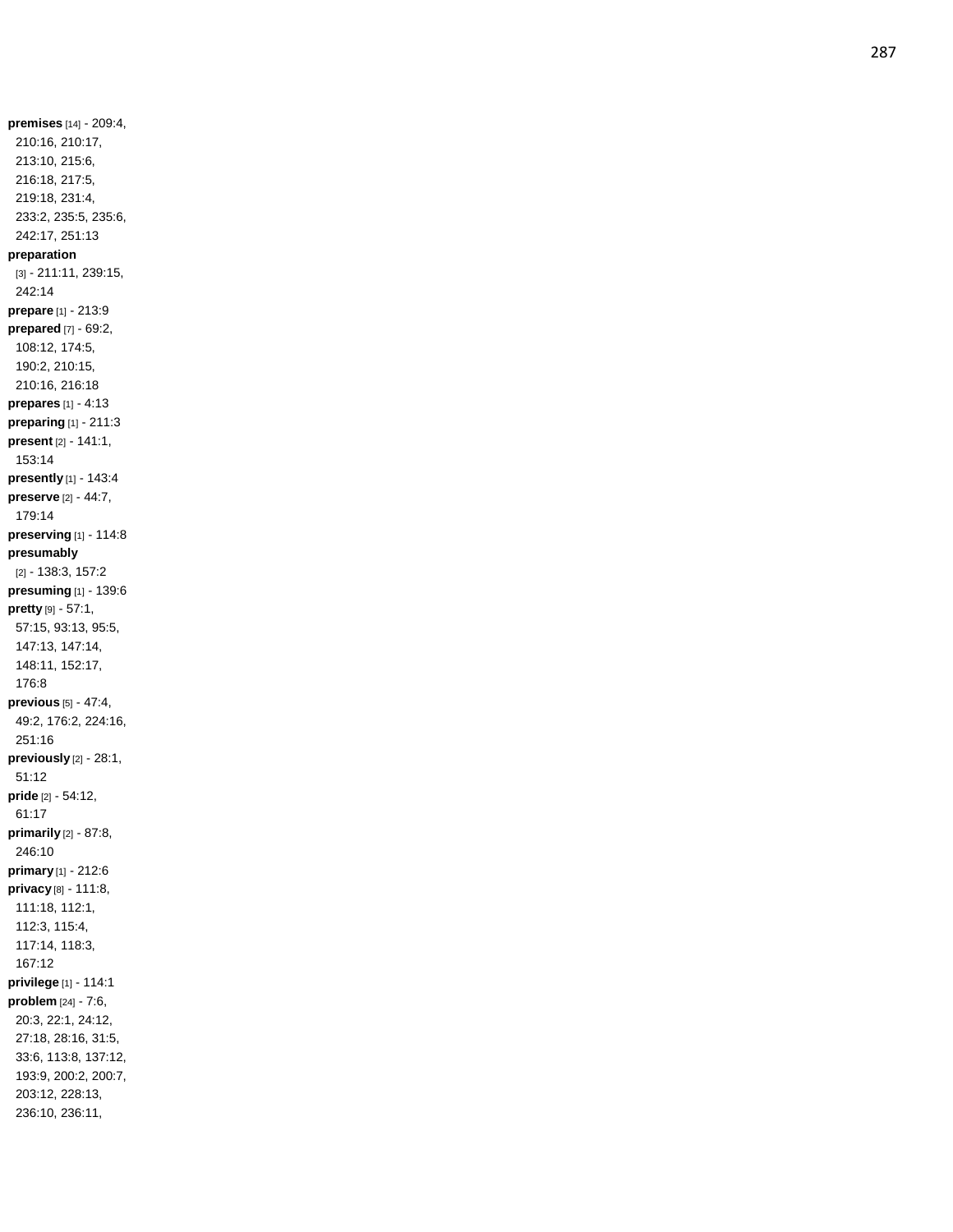**premises** [14] - 209:4, 210:16, 210:17, 213:10, 215:6, 216:18, 217:5, 219:18, 231:4, 233:2, 235:5, 235:6, 242:17, 251:13 **preparation** [3] - 211:11, 239:15, 242:14 **prepare** [1] - 213:9 **prepared** [7] - 69:2, 108:12, 174:5, 190:2, 210:15, 210:16, 216:18 **prepares** [1] - 4:13 **preparing** [1] - 211:3 **present** [2] - 141:1, 153:14 **presently** [1] - 143:4 **preserve** [2] - 44:7, 179:14 **preserving** [1] - 114:8 **presumably** [2] - 138:3, 157:2 **presuming** [1] - 139:6 **pretty** [9 ] - 57:1, 57:15, 93:13, 95:5, 147:13, 147:14, 148:11, 152:17, 176:8 **previous** [5] - 47:4, 49:2, 176:2, 224:16, 251:16 **previously** [2] - 28:1, 51:12 **pride** [2] - 54:12, 61:17 **primarily** [2] - 87:8, 246:10 **primary** [1] - 212:6 **privacy** [8] - 111:8, 111:18, 112:1, 112:3, 115:4, 117:14, 118:3, 167:12 **privilege** [1] - 114:1 **problem** [24] - 7:6, 20:3, 22:1, 24:12, 27:18, 28:16, 31:5, 33:6, 113:8, 137:12, 193:9, 200:2, 200:7, 203:12, 228:13, 236:10, 236:11,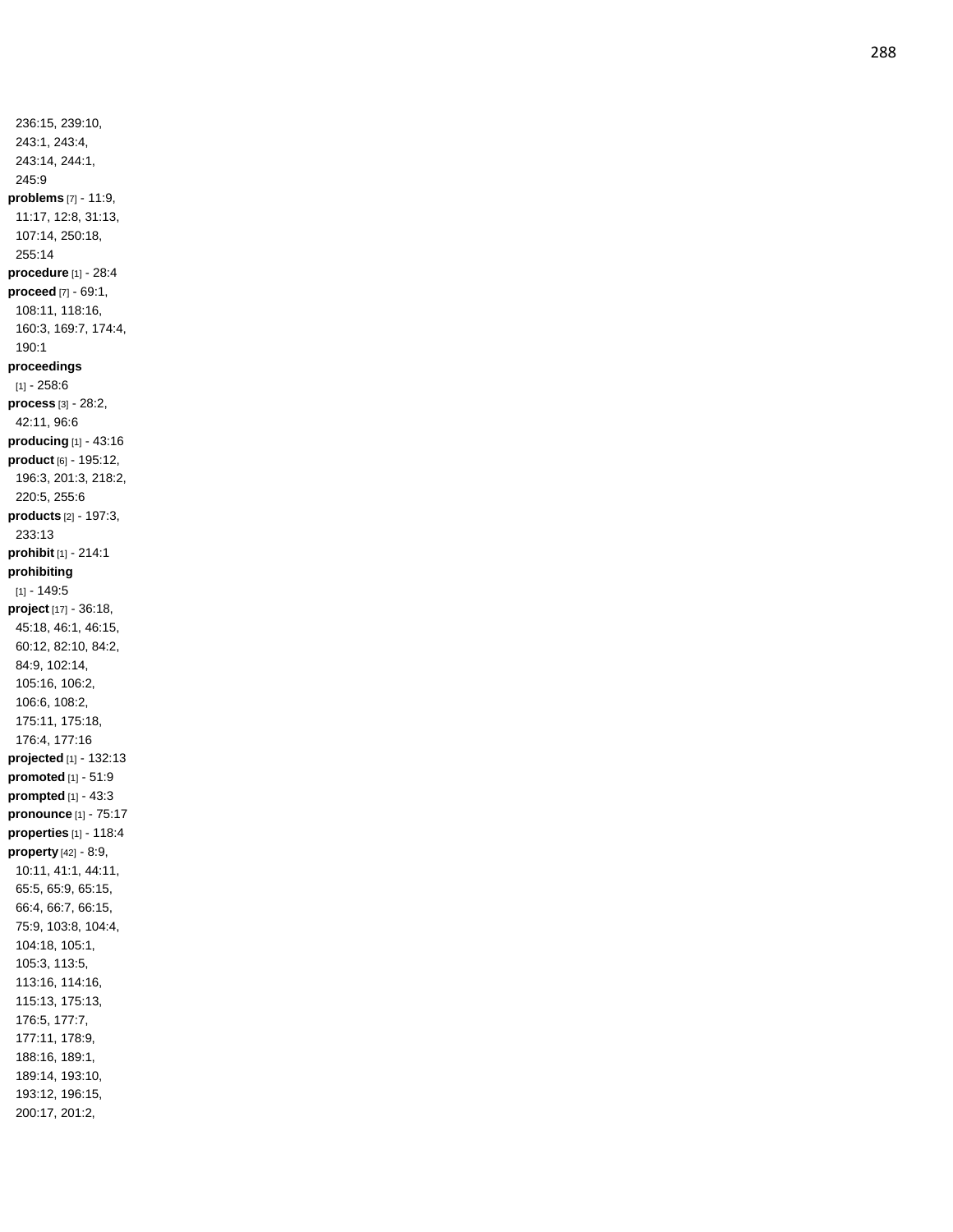236:15, 239:10, 243:1, 243:4, 243:14, 244:1, 245:9 **problems** [7] - 11:9, 11:17, 12:8, 31:13, 107:14, 250:18, 255:14 **procedure** [1] - 28:4 **proceed** [7] - 69:1, 108:11, 118:16, 160:3, 169:7, 174:4, 190:1 **proceedings**  $[1] - 258:6$ **process** [3] - 28:2, 42:11, 96:6 **producing** [1] - 43:16 **product** [6] - 195:12, 196:3, 201:3, 218:2, 220:5, 255:6 **products** [2] - 197:3, 233:13 **prohibit** [1] - 214:1 **prohibiting** [1] - 149:5 **project** [17] - 36:18, 45:18, 46:1, 46:15, 60:12, 82:10, 84:2, 84:9, 102:14, 105:16, 106:2, 106:6, 108:2, 175:11, 175:18, 176:4, 177:16 **projected** [1] - 132:13 **promoted** [1] - 51:9 **prompted** [1] - 43:3 **pronounce** [1] - 75:17 **properties** [1] - 118:4 **property** [42] - 8:9, 10:11, 41:1, 44:11, 65:5, 65:9, 65:15, 66:4, 66:7, 66:15, 75:9, 103:8, 104:4, 104:18, 105:1, 105:3, 113:5, 113:16, 114:16, 115:13, 175:13, 176:5, 177:7, 177:11, 178:9, 188:16, 189:1, 189:14, 193:10, 193:12, 196:15, 200:17, 201:2,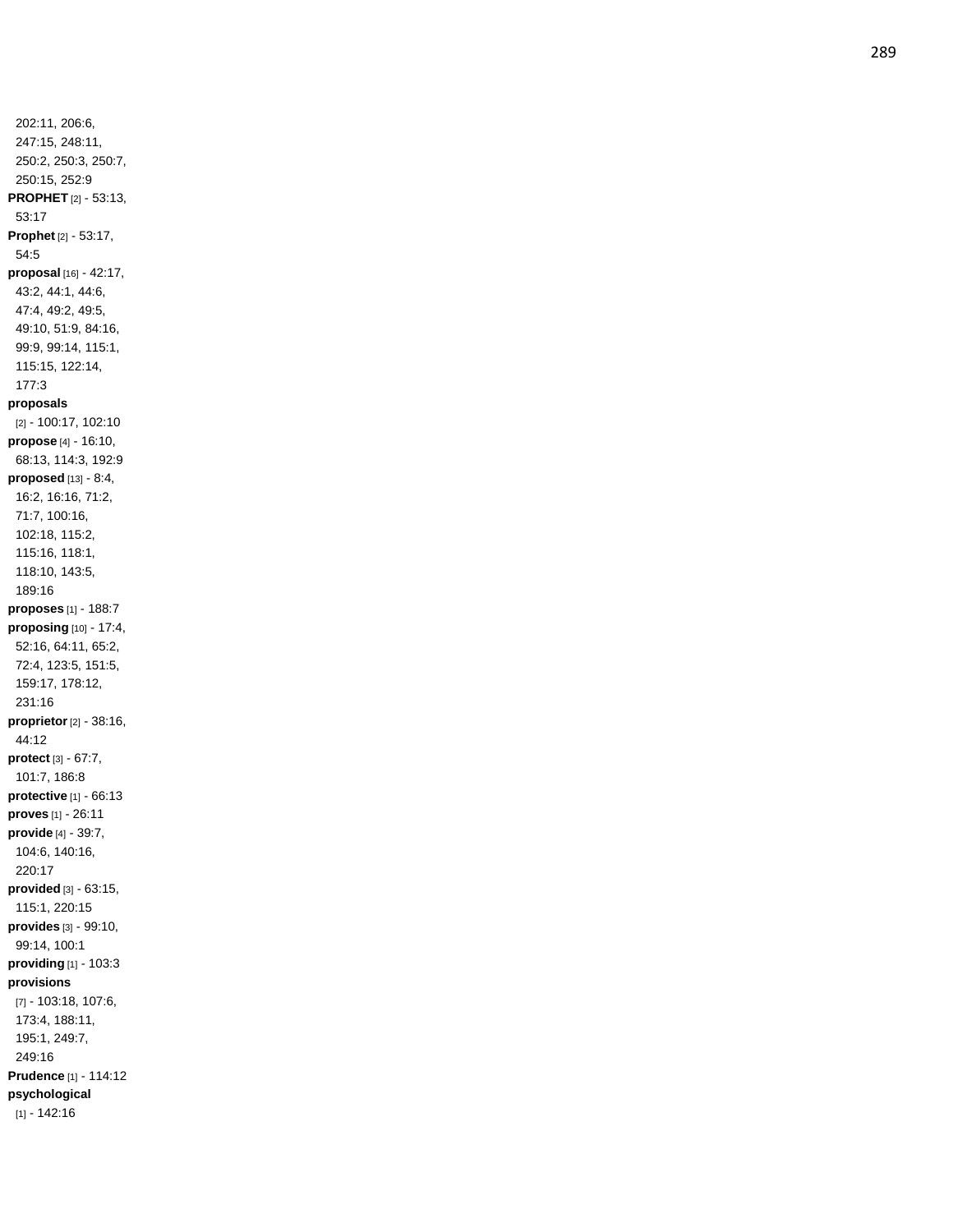202:11, 206:6, 247:15, 248:11, 250:2, 250:3, 250:7, 250:15, 252:9 **PROPHET** [2] - 53:13, 53:17 **Prophet** [2] - 53:17, 54:5 **proposal** [16] - 42:17, 43:2, 44:1, 44:6, 47:4, 49:2, 49:5, 49:10, 51:9, 84:16, 99:9, 99:14, 115:1, 115:15, 122:14, 177:3 **proposals** [2] - 100:17, 102:10 **propose** [4] - 16:10, 68:13, 114:3, 192:9 **proposed** [13] - 8:4, 16:2, 16:16, 71:2, 71:7, 100:16, 102:18, 115:2, 115:16, 118:1, 118:10, 143:5, 189:16 **proposes** [1] - 188:7 **proposing** [10] - 17:4, 52:16, 64:11, 65:2, 72:4, 123:5, 151:5, 159:17, 178:12, 231:16 **proprietor** [2] - 38:16, 44:12 **protect** [3] - 67:7, 101:7, 186:8 **protective** [1] - 66:13 **proves** [1] - 26:11 **provide** [4] - 39:7, 104:6, 140:16, 220:17 **provided** [3] - 63:15, 115:1, 220:15 **provides** [3] - 99:10, 99:14, 100:1 **providing** [1] - 103:3 **provisions** [7] - 103:18, 107:6, 173:4, 188:11, 195:1, 249:7, 249:16 **Prudence** [1] - 114:12 **psychological** [1] - 142:16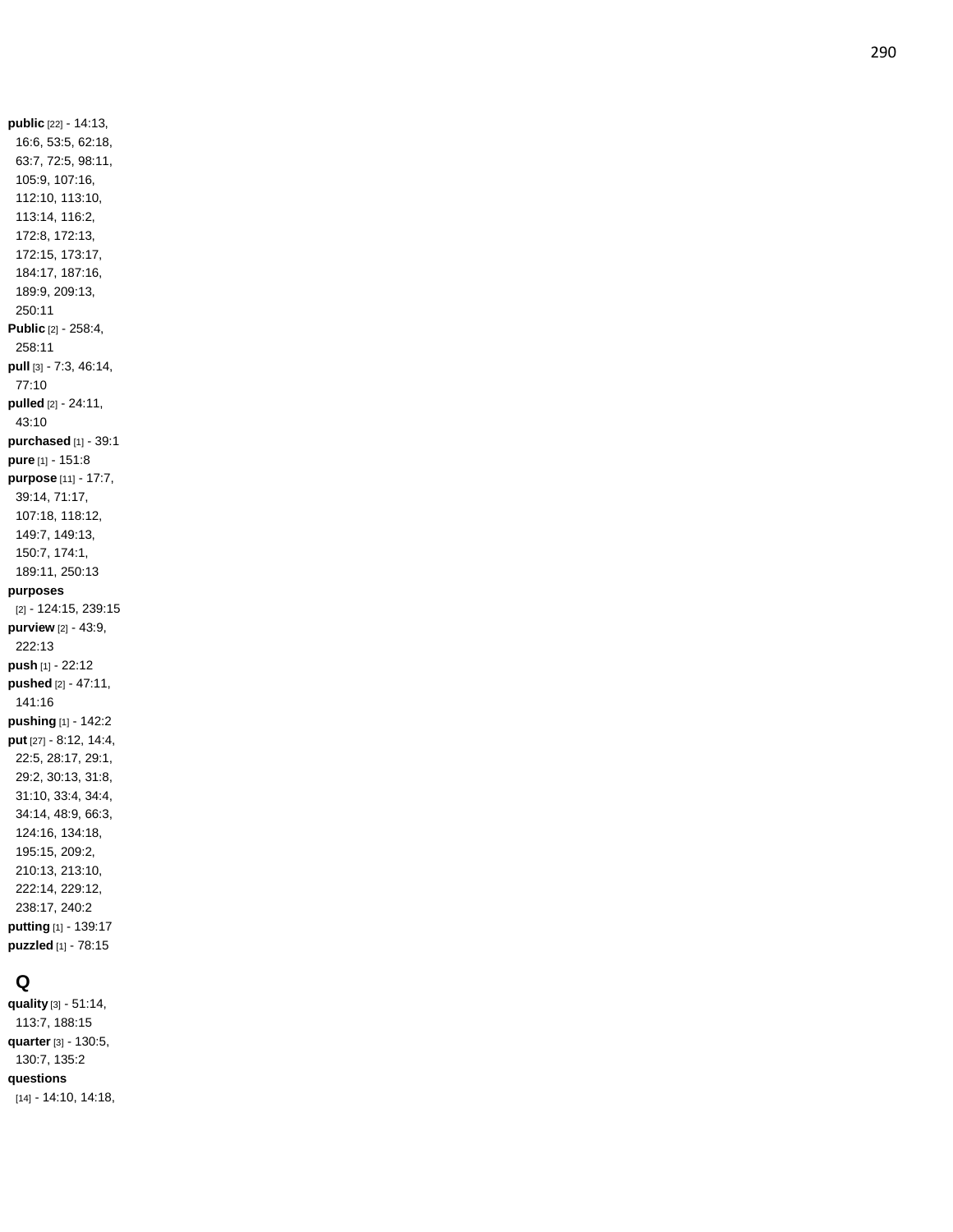**public** [22] - 14:13, 16:6, 53:5, 62:18, 63:7, 72:5, 98:11, 105:9, 107:16, 112:10, 113:10, 113:14, 116:2, 172:8, 172:13, 172:15, 173:17, 184:17, 187:16, 189:9, 209:13, 250:11 **Public** [2] - 258:4, 258:11 **pull** [3] - 7:3, 46:14, 77:10 **pulled** [2] - 24:11, 43:10 **purchased** [1] - 39:1 **pure** [1] - 151:8 **purpose** [11] - 17:7, 39:14, 71:17, 107:18, 118:12, 149:7, 149:13, 150:7, 174:1, 189:11, 250:13 **purposes** [2] - 124:15, 239:15 **purview** [2] - 43:9, 222:13 **push** [1] - 22:12 **pushed** [2] - 47:11, 141:16 **pushing** [1] - 142:2 **put** [27] - 8:12, 14:4, 22:5, 28:17, 29:1, 29:2, 30:13, 31:8, 31:10, 33:4, 34:4, 34:14, 48:9, 66:3, 124:16, 134:18, 195:15, 209:2, 210:13, 213:10, 222:14, 229:12, 238:17, 240:2 **putting** [1] - 139:17 **puzzled** [1] - 78:15

### **Q**

**quality** [3] - 51:14, 113:7, 188:15 **quarter** [3] - 130:5, 130:7, 135:2 **questions** [14] - 14:10, 14:18,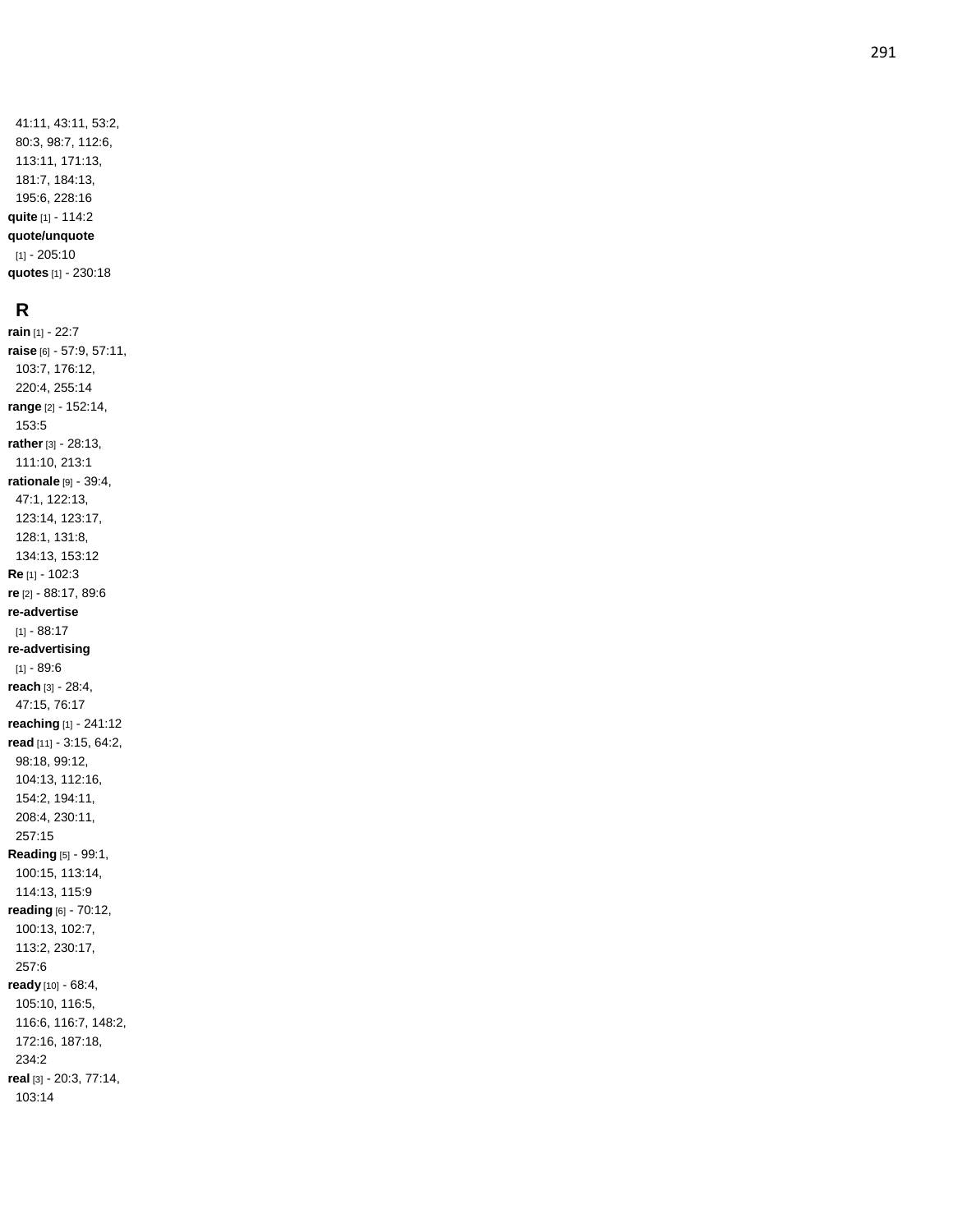41:11, 43:11, 53:2, 80:3, 98:7, 112:6, 113:11, 171:13, 181:7, 184:13, 195:6, 228:16 **quite** [1] - 114:2 **quote/unquote** [1] - 205:10 **quotes** [1] - 230:18

# **R**

**rain** [1] - 22:7 **raise** [6] - 57:9, 57:11, 103:7, 176:12, 220:4, 255:14 **range** [2] - 152:14, 153:5 **rather** [3] - 28:13, 111:10, 213:1 **rationale** [9] - 39:4, 47:1, 122:13, 123:14, 123:17, 128:1, 131:8, 134:13, 153:12 **Re** [1] - 102:3 **re** [2] - 88:17, 89:6 **re -advertise** [1] - 88:17 **re -advertising** [1] - 89:6 **reach** [3 ] - 28:4, 47:15, 76:17 **reaching** [1] - 241:12 **read** [11] - 3:15, 64:2, 98:18, 99:12, 104:13, 112:16, 154:2, 194:11, 208:4, 230:11, 257:15 **Reading** [5] - 99:1, 100:15, 113:14, 114:13, 115:9 **reading** [6] - 70:12, 100:13, 102:7, 113:2, 230:17, 257:6 **ready** [10] - 68:4, 105:10, 116:5, 116:6, 116:7, 148:2, 172:16, 187:18, 234:2 **real** [3] - 20:3, 77:14, 103:14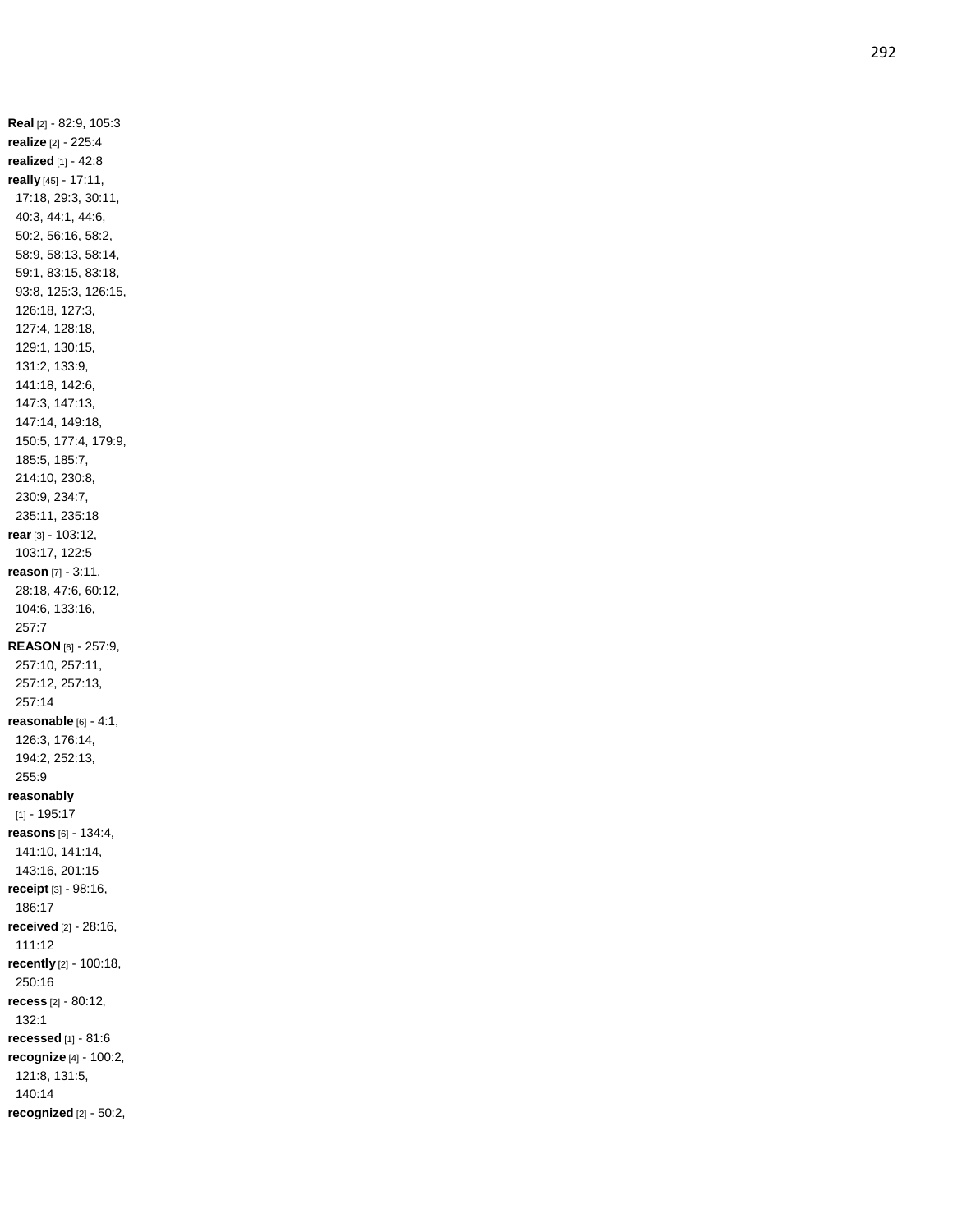**Real** [2] - 82:9, 105:3 **realize** [2] - 225:4 **realized** [1] - 42:8 **really** [45] - 17:11, 17:18, 29:3, 30:11, 40:3, 44:1, 44:6, 50:2, 56:16, 58:2, 58:9, 58:13, 58:14, 59:1, 83:15, 83:18, 93:8, 125:3, 126:15, 126:18, 127:3, 127:4, 128:18, 129:1, 130:15, 131:2, 133:9, 141:18, 142:6, 147:3, 147:13, 147:14, 149:18, 150:5, 177:4, 179:9, 185:5, 185:7, 214:10, 230:8, 230:9, 234:7, 235:11, 235:18 **rear** [3] - 103:12, 103:17, 122:5 **reason** [7] - 3:11, 28:18, 47:6, 60:12, 104:6, 133:16, 257:7 **REASON** [6] - 257:9, 257:10, 257:11, 257:12, 257:13, 257:14 **reasonable** [6] - 4:1, 126:3, 176:14, 194:2, 252:13, 255:9 **reasonably** [1] - 195:17 **reasons** [6] - 134:4, 141:10, 141:14, 143:16, 201:15 **receipt** [3] - 98:16, 186:17 **received** [2] - 28:16, 111:12 **recently** [2] - 100:18, 250:16 **recess** [2] - 80:12, 132:1 **recessed** [1] - 81:6 **recognize** [4] - 100:2, 121:8, 131:5, 140:14 **recognized** [2] - 50:2,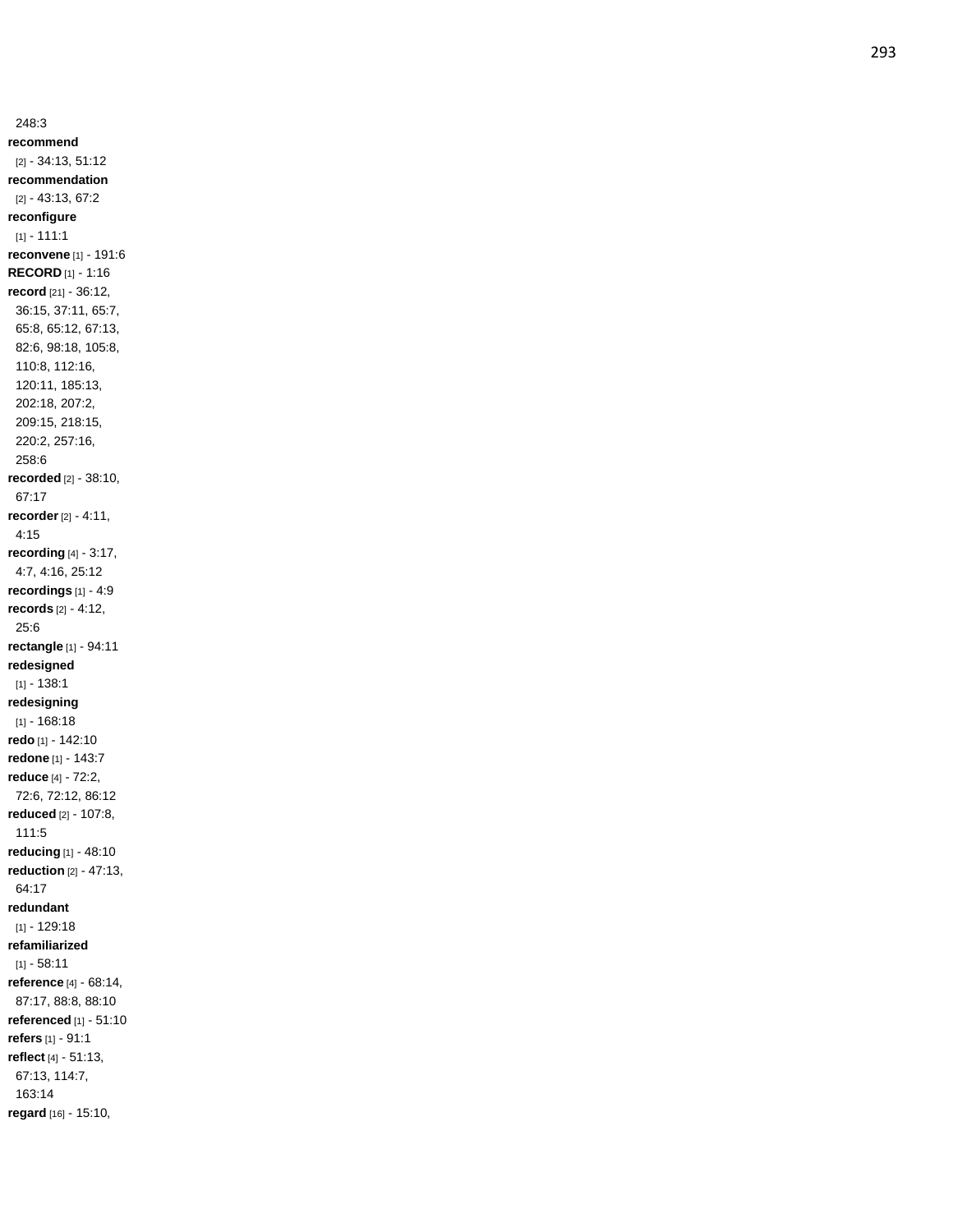248:3 **recommend** [2] - 34:13, 51:12 **recommendation** [2] - 43:13, 67:2 **reconfigure**  $[1] - 111:1$ **reconvene** [1] - 191:6 **RECORD** [1] - 1:16 **record** [21] - 36:12, 36:15, 37:11, 65:7, 65:8, 65:12, 67:13, 82:6, 98:18, 105:8, 110:8, 112:16, 120:11, 185:13, 202:18, 207:2, 209:15, 218:15, 220:2, 257:16, 258:6 **recorded** [2] - 38:10, 67:17 **recorder** [2] - 4:11, 4:15 **recording** [4] - 3:17, 4:7, 4:16, 25:12 **recordings** [1] - 4:9 **records** [2] - 4:12, 25:6 **rectangle** [1] - 94:11 **redesigned**  $[1] - 138:1$ **redesigning** [1] - 168:18 **redo** [1] - 142:10 **redone** [1] - 143:7 **reduce** [4] - 72:2, 72:6, 72:12, 86:12 **reduced** [2] - 107:8, 111:5 **reducing** [1] - 48:10 **reduction** [2] - 47:13, 64:17 **redundant** [1] - 129:18 **refamiliarized**  $[1] - 58.11$ **reference** [4] - 68:14, 87:17, 88:8, 88:10 **referenced** [1] - 51:10 **refers** [1] - 91:1 **reflect** [4] - 51:13, 67:13, 114:7, 163:14 **regard** [16] - 15:10,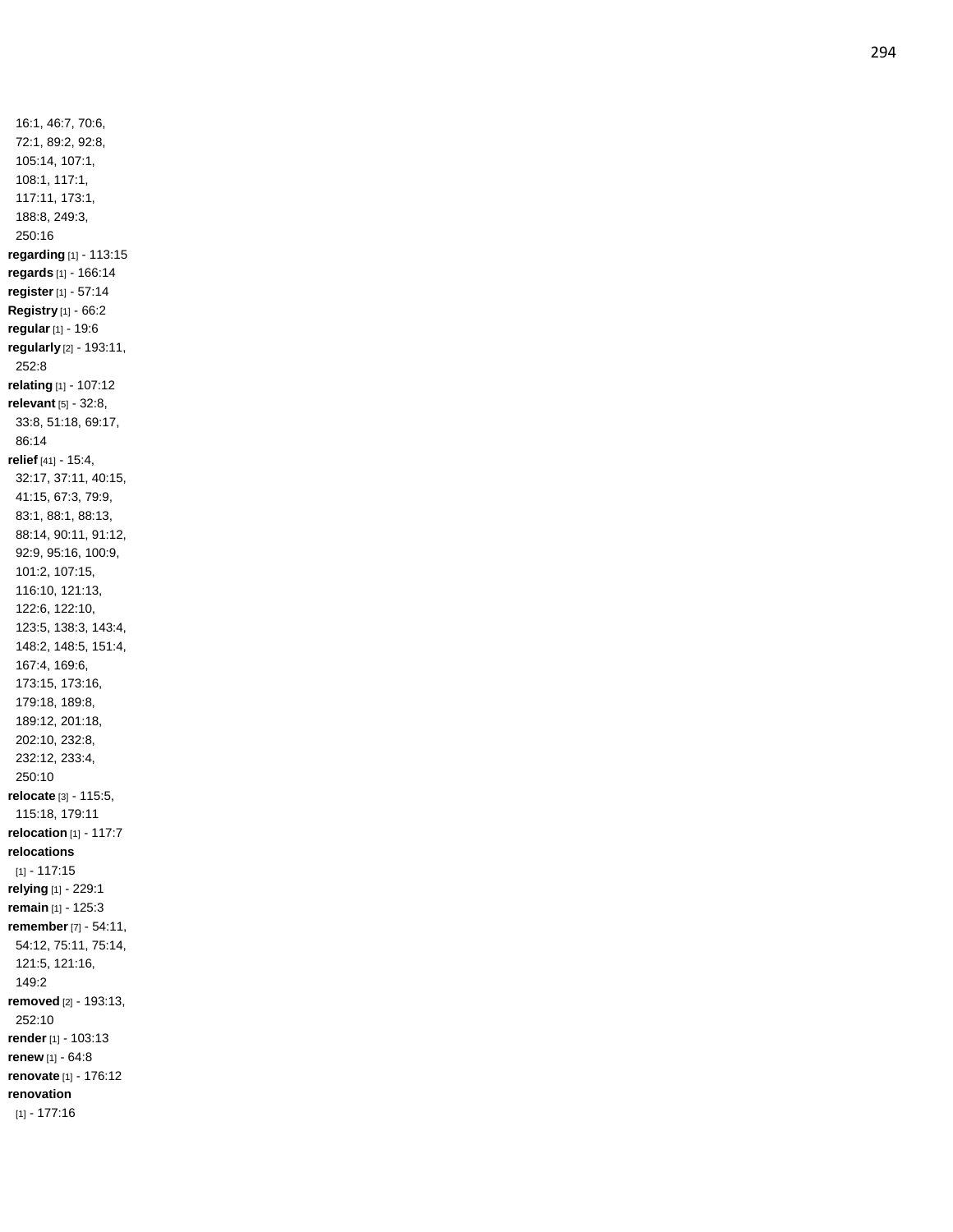16:1, 46:7, 70:6, 72:1, 89:2, 92:8, 105:14, 107:1, 108:1, 117:1, 117:11, 173:1, 188:8, 249:3, 250:16 **regarding** [1] - 113:15 **regards** [1] - 166:14 **register** [1] - 57:14 **Registry** [1] - 66:2 **regular** [1] - 19:6 **regularly** [2] - 193:11, 252:8 **relating** [1] - 107:12 **relevant** [5] - 32:8, 33:8, 51:18, 69:17, 86:14 **relief** [41] - 15:4, 32:17, 37:11, 40:15, 41:15, 67:3, 79:9, 83:1, 88:1, 88:13, 88:14, 90:11, 91:12, 92:9, 95:16, 100:9, 101:2, 107:15, 116:10, 121:13, 122:6, 122:10, 123:5, 138:3, 143:4, 148:2, 148:5, 151:4, 167:4, 169:6, 173:15, 173:16, 179:18, 189:8, 189:12, 201:18, 202:10, 232:8, 232:12, 233:4, 250:10 **relocate** [3] - 115:5, 115:18, 179:11 **relocation** [1] - 117:7 **relocations** [1] - 117:15 **relying** [1] - 229:1 **remain** [1] - 125:3 **remember** [7] - 54:11, 54:12, 75:11, 75:14, 121:5, 121:16, 149:2 **removed** [2] - 193:13, 252:10 **render** [1] - 103:13 **renew** [1] - 64:8 **renovate** [1] - 176:12 **renovation** [1] - 177:16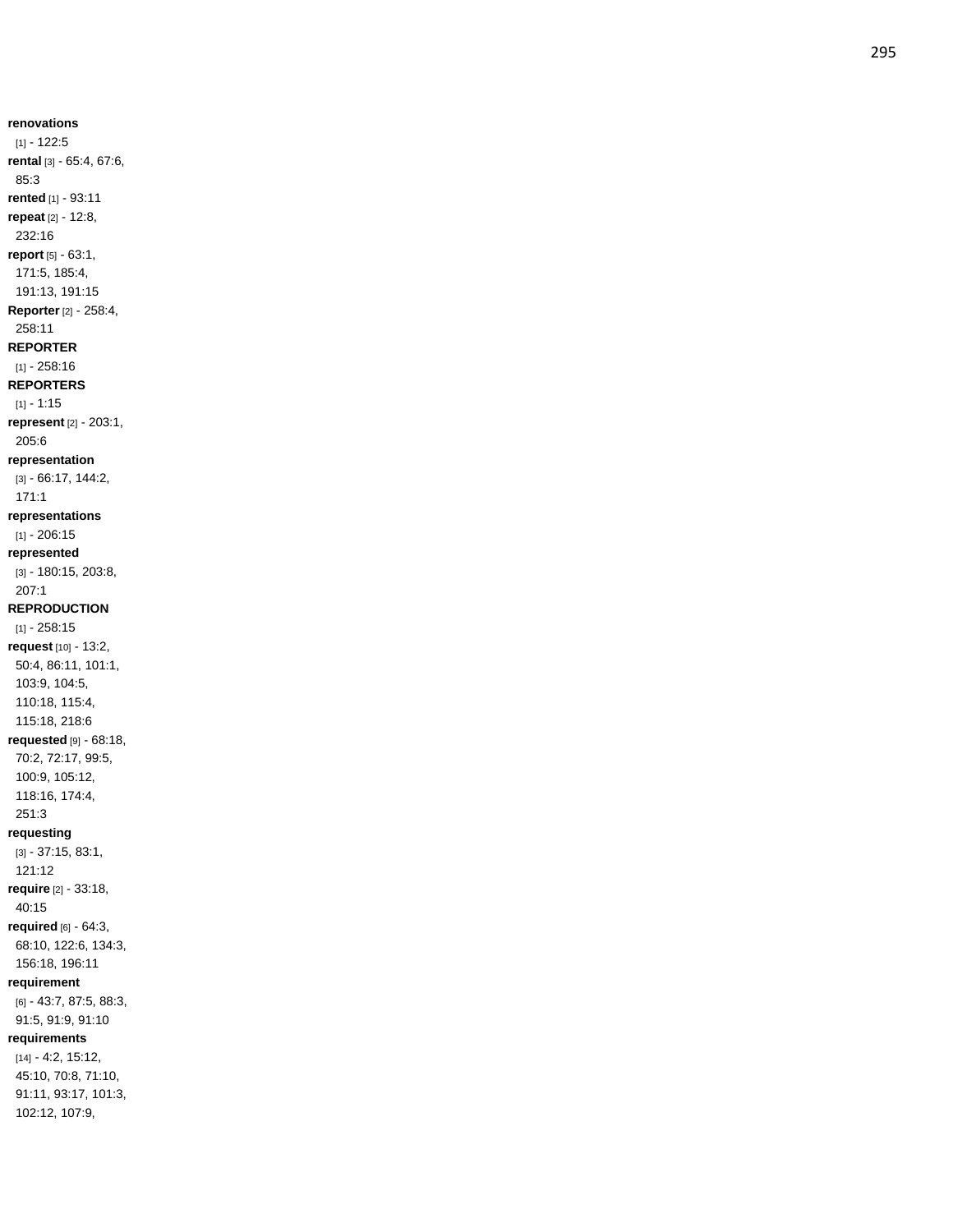**renovations** [1] - 122:5 **rental** [3] - 65:4, 67:6, 85:3 **rented** [1] - 93:11 **repeat** [2] - 12:8, 232:16 **report** [5] - 63:1, 171:5, 185:4, 191:13, 191:15 **Reporter** [2] - 258:4, 258:11 **REPORTER** [1] - 258:16 **REPORTERS** [1] - 1:15 **represent** [2] - 203:1, 205:6 **representation** [3] - 66:17, 144:2, 171:1 **representations** [1] - 206:15 **represented** [3] - 180:15, 203:8, 207:1 **REPRODUCTION** [1] - 258:15 **request** [10] - 13:2, 50:4, 86:11, 101:1, 103:9, 104:5, 110:18, 115:4, 115:18, 218:6 **requested** [9] - 68:18, 70:2, 72:17, 99:5, 100:9, 105:12, 118:16, 174:4, 251:3 **requesting** [3] - 37:15, 83:1, 121:12 **require** [2] - 33:18, 40:15 **required** [6] - 64:3, 68:10, 122:6, 134:3, 156:18, 196:11 **requirement** [6] - 43:7, 87:5, 88:3, 91:5, 91:9, 91:10 **requirements** [14] - 4:2, 15:12,

45:10, 70:8, 71:10, 91:11, 93:17, 101:3, 102:12, 107:9,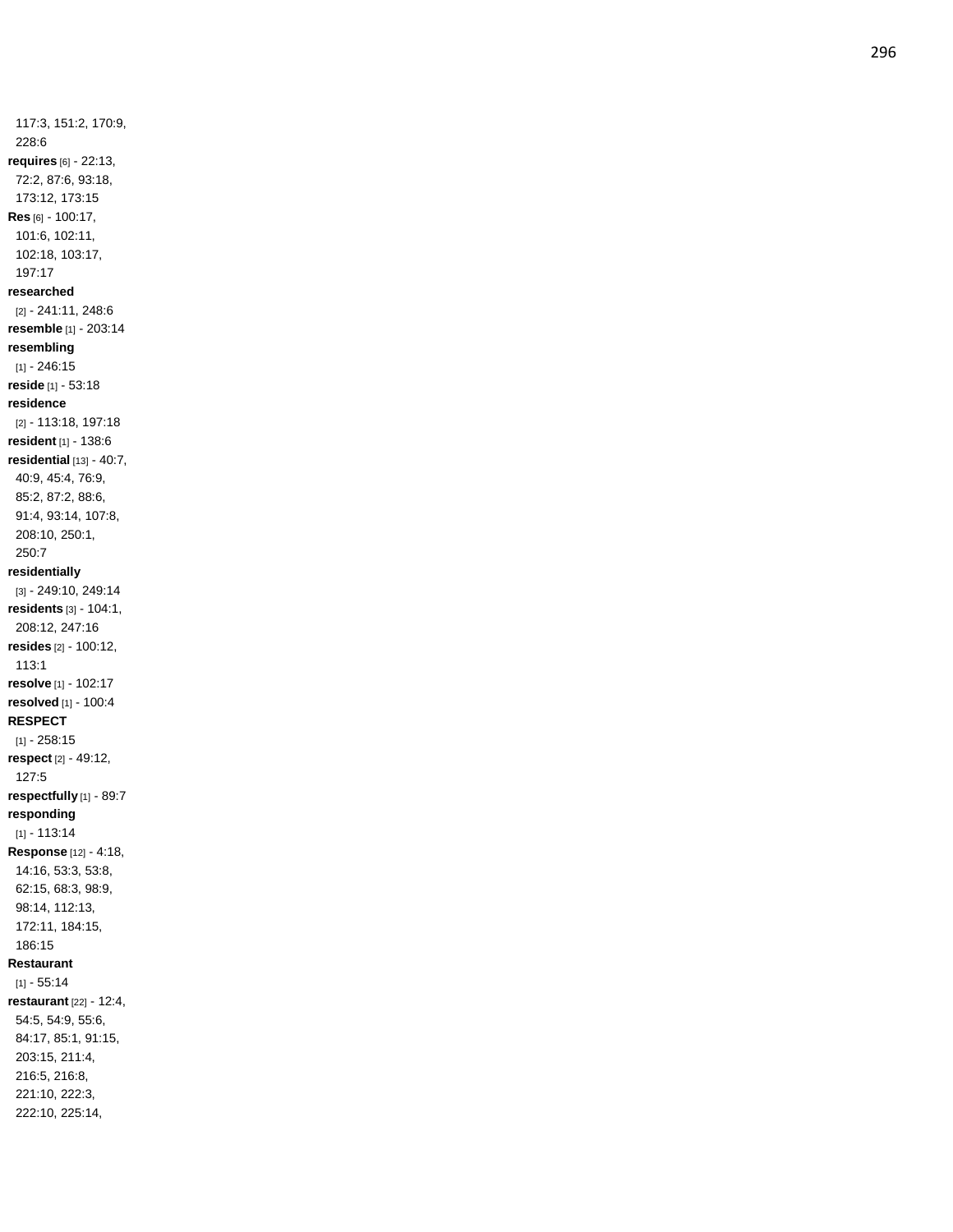117:3, 151:2, 170:9, 228:6 **requires** [6] - 22:13, 72:2, 87:6, 93:18, 173:12, 173:15 **Res** [6] - 100:17, 101:6, 102:11, 102:18, 103:17, 197:17 **researched** [2] - 241:11, 248:6 **resemble** [1] - 203:14 **resembling** [1] - 246:15 **reside** [1] - 53:18 **residence** [2] - 113:18, 197:18 **resident** [1] - 138:6 **residential** [13] - 40:7, 40:9, 45:4, 76:9, 85:2, 87:2, 88:6, 91:4, 93:14, 107:8, 208:10, 250:1, 250:7 **residentially** [3] - 249:10, 249:14 **residents** [3] - 104:1, 208:12, 247:16 **resides** [2] - 100:12, 113:1 **resolve** [1] - 102:17 **resolved** [1] - 100:4 **RESPECT** [1] - 258:15 **respect** [2] - 49:12, 127:5 **respectfully** [1] - 89:7 **responding** [1] - 113:14 **Response** [12] - 4:18, 14:16, 53:3, 53:8, 62:15, 68:3, 98:9, 98:14, 112:13, 172:11, 184:15, 186:15 **Restaurant**  $[1] - 55.14$ **restaurant** [22] - 12:4, 54:5, 54:9, 55:6, 84:17, 85:1, 91:15, 203:15, 211:4, 216:5, 216:8, 221:10, 222:3, 222:10, 225:14,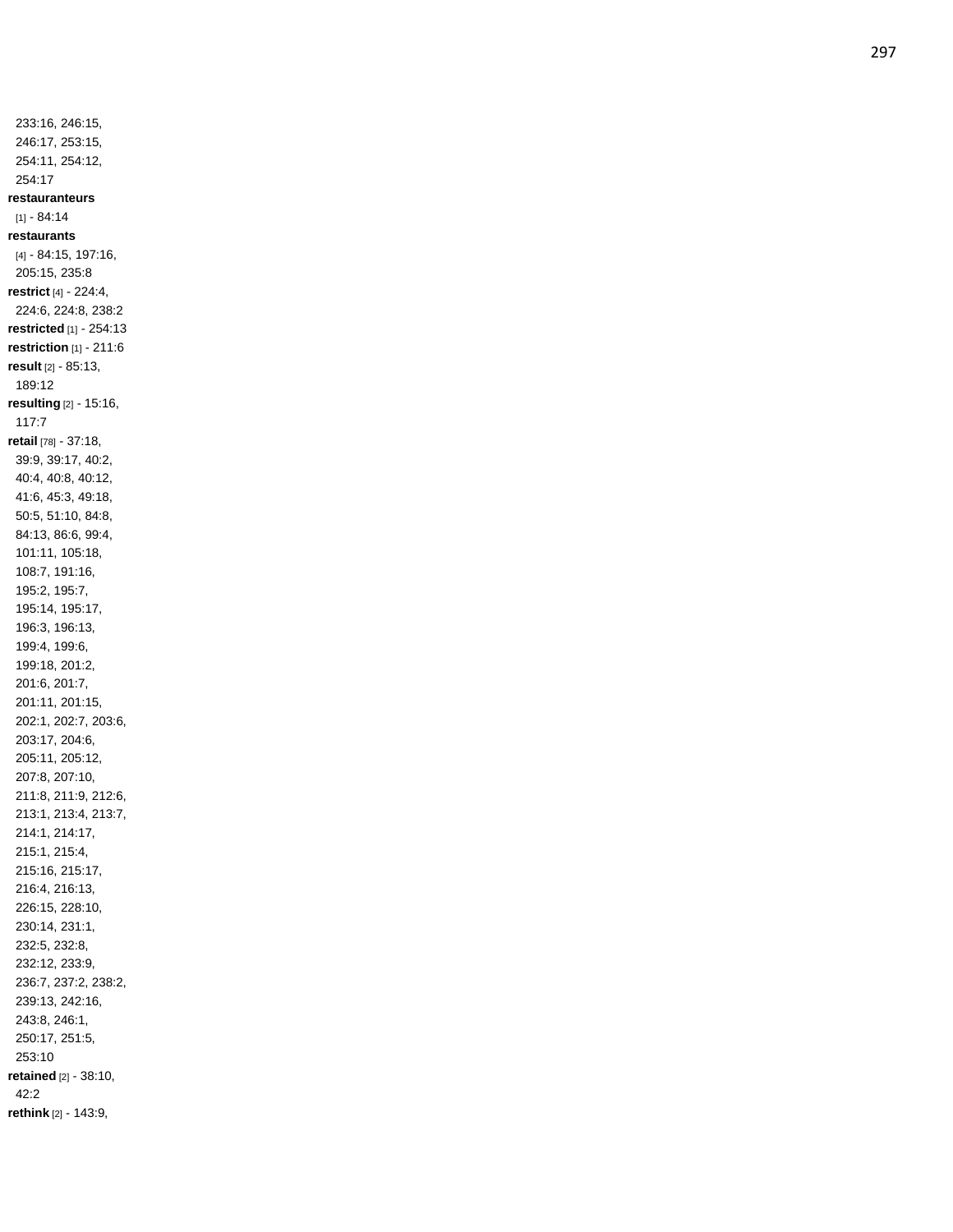233:16, 246:15, 246:17, 253:15, 254:11, 254:12, 254:17 **restauranteurs**  $[1] - 84:14$ **restaurants** [4] - 84:15, 197:16, 205:15, 235:8 **restrict** [4] - 224:4, 224:6, 224:8, 238:2 **restricted** [1] - 254:13 **restriction** [1] - 211:6 **result** [2] - 85:13, 189:12 **resulting** [2] - 15:16, 117:7 **retail** [78] - 37:18, 39:9, 39:17, 40:2, 40:4, 40:8, 40:12, 41:6, 45:3, 49:18, 50:5, 51:10, 84:8, 84:13, 86:6, 99:4, 101:11, 105:18, 108:7, 191:16, 195:2, 195:7, 195:14, 195:17, 196:3, 196:13, 199:4, 199:6, 199:18, 201:2, 201:6, 201:7, 201:11, 201:15, 202:1, 202:7, 203:6, 203:17, 204:6, 205:11, 205:12, 207:8, 207:10, 211:8, 211:9, 212:6, 213:1, 213:4, 213:7, 214:1, 214:17, 215:1, 215:4, 215:16, 215:17, 216:4, 216:13, 226:15, 228:10, 230:14, 231:1, 232:5, 232:8, 232:12, 233:9, 236:7, 237:2, 238:2, 239:13, 242:16, 243:8, 246:1, 250:17, 251:5, 253:10 **retained** [2] - 38:10, 42:2 **rethink** [2] - 143:9,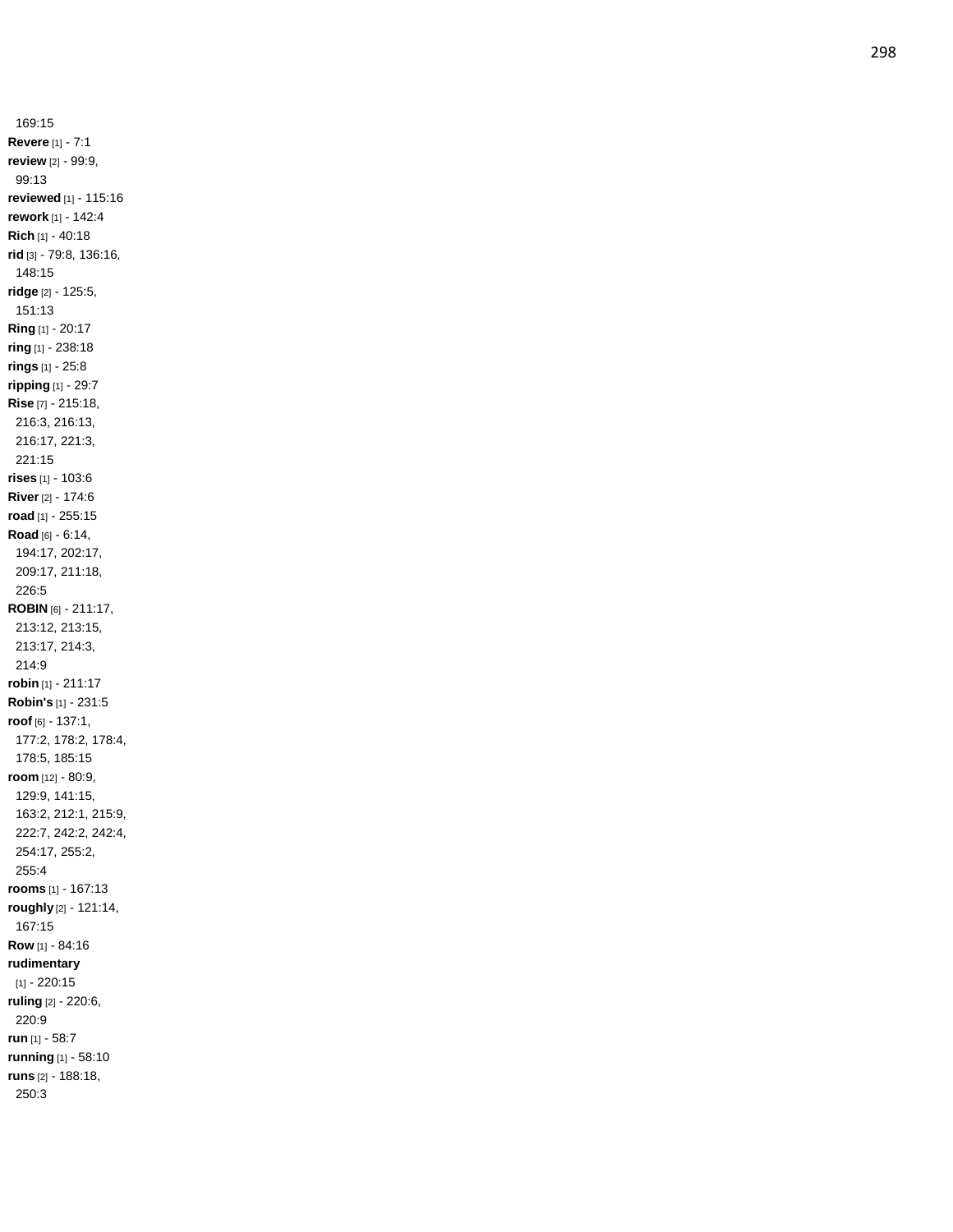169:15 **Revere** [1] - 7:1 **review** [2] - 99:9, 99:13 **reviewed** [1] - 115:16 **rework** [1] - 142:4 **Rich** [1] - 40:18 **rid** [3] - 79:8, 136:16, 148:15 **ridge** [2] - 125:5, 151:13 **Ring** [1] - 20:17 **ring** [1] - 238:18 **rings** [1] - 25:8 **ripping** [1] - 29:7 **Rise** [7] - 215:18, 216:3, 216:13, 216:17, 221:3, 221:15 **rises** [1] - 103:6 **River** [2] - 174:6 **road** [1] - 255:15 **Road** [6] - 6:14, 194:17, 202:17, 209:17, 211:18, 226:5 **ROBIN** [6] - 211:17, 213:12, 213:15, 213:17, 214:3, 214:9 **robin** [1] - 211:17 **Robin's** [1] - 231:5 **roof** [6] - 137:1, 177:2, 178:2, 178:4, 178:5, 185:15 **room** [12] - 80:9, 129:9, 141:15, 163:2, 212:1, 215:9, 222:7, 242:2, 242:4, 254:17, 255:2, 255:4 **rooms** [1] - 167:13 **roughly** [2] - 121:14, 167:15 **Row** [1] - 84:16 **rudimentary** [1] - 220:15 **ruling** [2] - 220:6, 220:9 **run** [1] - 58:7 **running** [1] - 58:10 **runs** [2] - 188:18, 250:3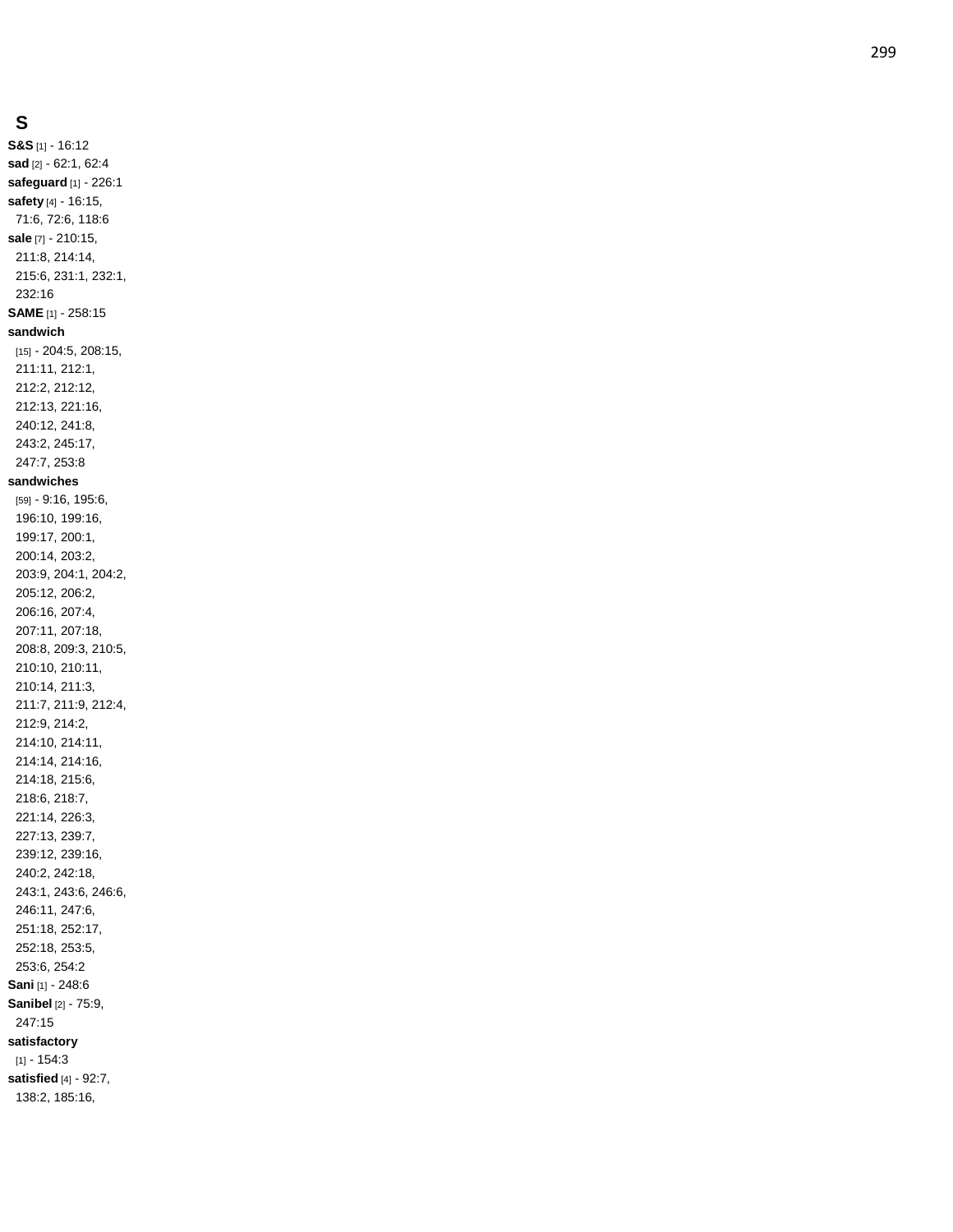## **S**

**S&S** [1] - 16:12 **sad** [2] - 62:1, 62:4 **safeguard** [1] - 226:1 **safety** [4] - 16:15, 71:6, 72:6, 118:6 **sale** [7] - 210:15, 211:8, 214:14, 215:6, 231:1, 232:1, 232:16 **SAME** [1] - 258:15 **sandwich** [15] - 204:5, 208:15, 211:11, 212:1, 212:2, 212:12, 212:13, 221:16, 240:12, 241:8, 243:2, 245:17, 247:7, 253:8 **sandwiches** [59] - 9:16, 195:6, 196:10, 199:16, 199:17, 200:1, 200:14, 203:2, 203:9, 204:1, 204:2, 205:12, 206:2, 206:16, 207:4, 207:11, 207:18, 208:8, 209:3, 210:5, 210:10, 210:11, 210:14, 211:3, 211:7, 211:9, 212:4, 212:9, 214:2, 214:10, 214:11, 214:14, 214:16, 214:18, 215:6, 218:6, 218:7, 221:14, 226:3, 227:13, 239:7, 239:12, 239:16, 240:2, 242:18, 243:1, 243:6, 246:6, 246:11, 247:6, 251:18, 252:17, 252:18, 253:5, 253:6, 254:2 **Sani** [1] - 248:6 **Sanibel** [2] - 75:9, 247:15 **satisfactory**  $[1] - 154:3$ **satisfied** [4] - 92:7, 138:2, 185:16,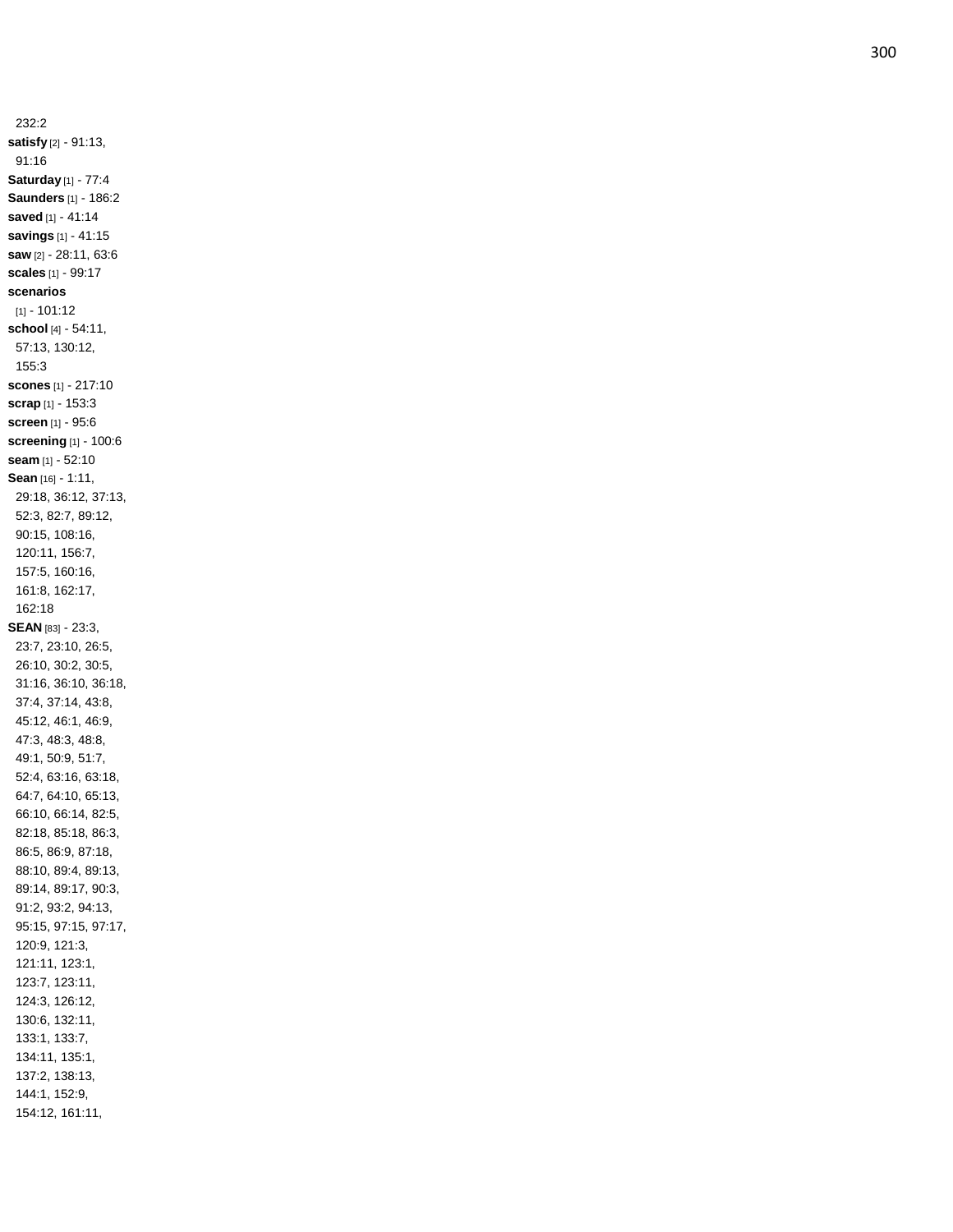232:2 **satisfy** [2] - 91:13, 91:16 **Saturday** [1] - 77:4 **Saunders** [1] - 186:2 **saved** [1] - 41:14 **savings** [1] - 41:15 **saw** [2] - 28:11, 63:6 **scales** [1] - 99:17 **scenarios** [1] - 101:12 **school** [4] - 54:11, 57:13, 130:12, 155:3 **scones** [1] - 217:10 **scrap** [1] - 153:3 **screen** [1] - 95:6 **screening** [1] - 100:6 **seam** [1] - 52:10 **Sean** [16] - 1:11, 29:18, 36:12, 37:13, 52:3, 82:7, 89:12, 90:15, 108:16, 120:11, 156:7, 157:5, 160:16, 161:8, 162:17, 162:18 **SEAN** [83] - 23:3, 23:7, 23:10, 26:5, 26:10, 30:2, 30:5, 31:16, 36:10, 36:18, 37:4, 37:14, 43:8, 45:12, 46:1, 46:9, 47:3, 48:3, 48:8, 49:1, 50:9, 51:7, 52:4, 63:16, 63:18, 64:7, 64:10, 65:13, 66:10, 66:14, 82:5, 82:18, 85:18, 86:3, 86:5, 86:9, 87:18, 88:10, 89:4, 89:13, 89:14, 89:17, 90:3, 91:2, 93:2, 94:13, 95:15, 97:15, 97:17, 120:9, 121:3, 121:11, 123:1, 123:7, 123:11, 124:3, 126:12, 130:6, 132:11, 133:1, 133:7, 134:11, 135:1, 137:2, 138:13, 144:1, 152:9, 154:12, 161:11,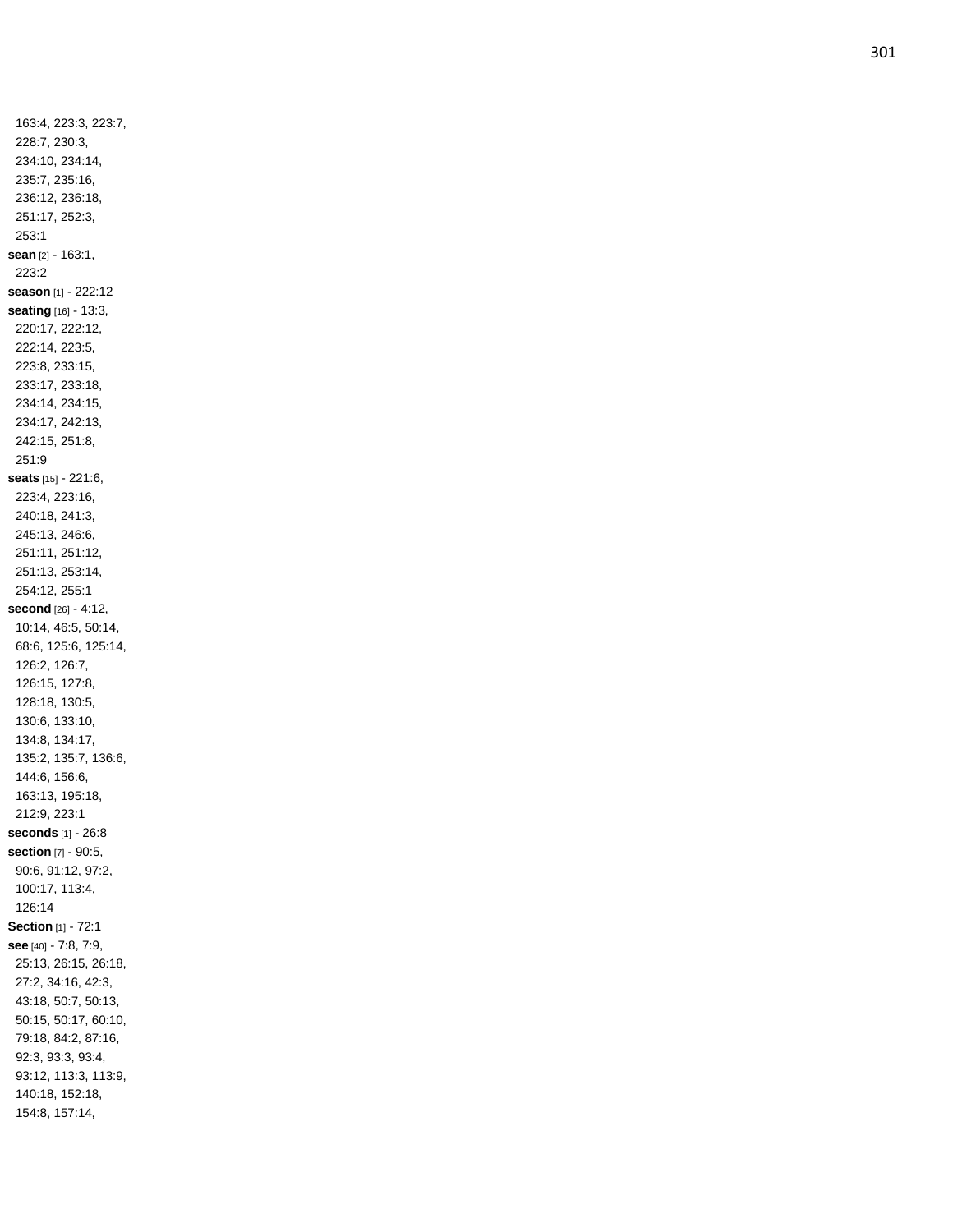163:4, 223:3, 223:7, 228:7, 230:3, 234:10, 234:14, 235:7, 235:16, 236:12, 236:18, 251:17, 252:3, 253:1 **sean** [2] - 163:1, 223:2 **season** [1] - 222:12 **seating** [16] - 13:3, 220:17, 222:12, 222:14, 223:5, 223:8, 233:15, 233:17, 233:18, 234:14, 234:15, 234:17, 242:13, 242:15, 251:8, 251:9 **seats** [15] - 221:6, 223:4, 223:16, 240:18, 241:3, 245:13, 246:6, 251:11, 251:12, 251:13, 253:14, 254:12, 255:1 **second** [26] - 4:12, 10:14, 46:5, 50:14, 68:6, 125:6, 125:14, 126:2, 126:7, 126:15, 127:8, 128:18, 130:5, 130:6, 133:10, 134:8, 134:17, 135:2, 135:7, 136:6, 144:6, 156:6, 163:13, 195:18, 212:9, 223:1 **seconds** [1] - 26:8 **section** [7] - 90:5, 90:6, 91:12, 97:2, 100:17, 113:4, 126:14 **Section** [1] - 72:1 **see** [40] - 7:8, 7:9, 25:13, 26:15, 26:18, 27:2, 34:16, 42:3, 43:18, 50:7, 50:13, 50:15, 50:17, 60:10, 79:18, 84:2, 87:16, 92:3, 93:3, 93:4, 93:12, 113:3, 113:9, 140:18, 152:18, 154:8, 157:14,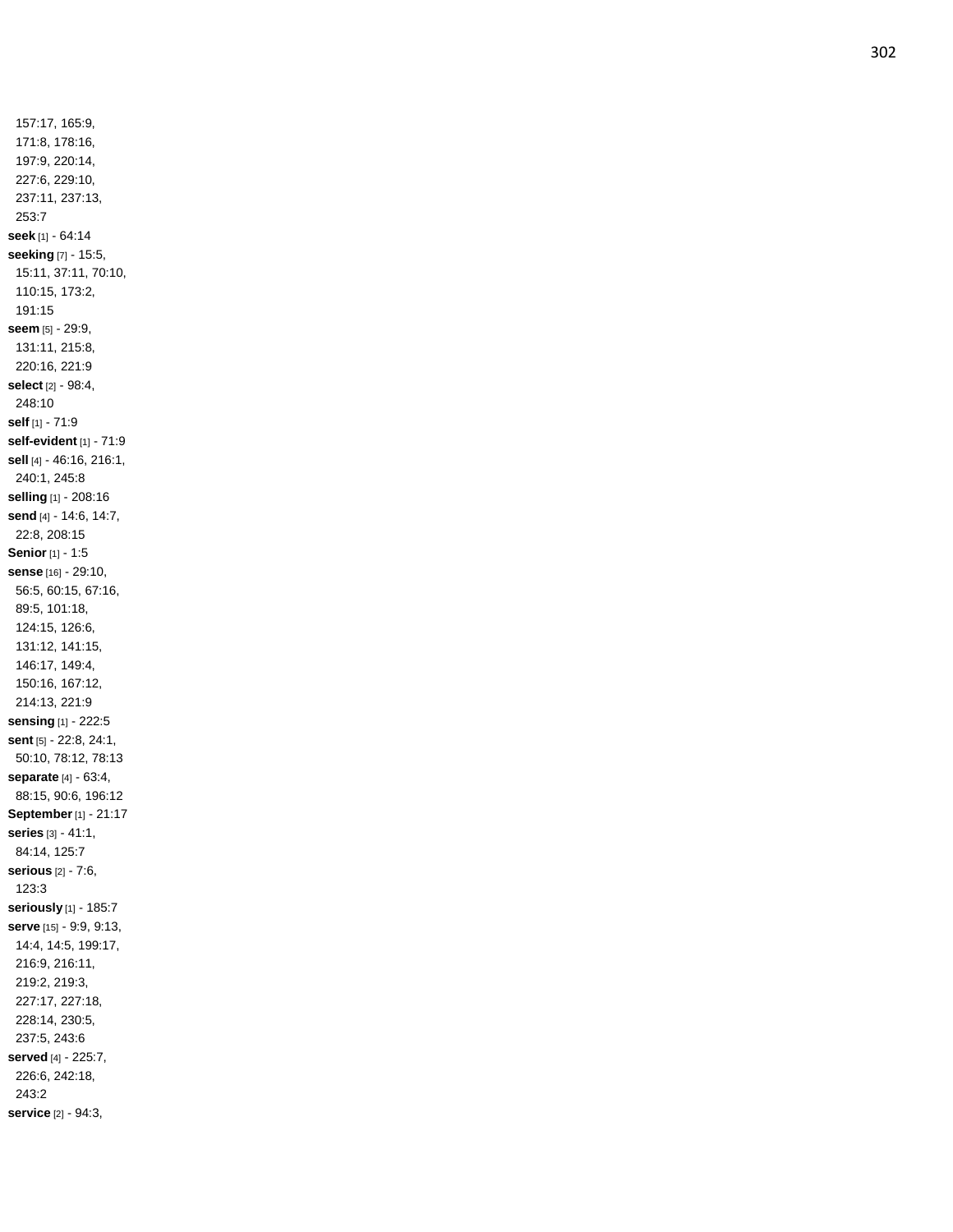157:17, 165:9, 171:8, 178:16, 197:9, 220:14, 227:6, 229:10, 237:11, 237:13, 253:7 **seek** [1] - 64:14 **seeking** [7] - 15:5, 15:11, 37:11, 70:10, 110:15, 173:2, 191:15 **seem** [5] - 29:9, 131:11, 215:8, 220:16, 221:9 **select** [2] - 98:4, 248:10 **self** [1] - 71:9 **self -evident** [1] - 71:9 **sell** [4] - 46:16, 216:1, 240:1, 245:8 **selling** [1] - 208:16 **send** [4] - 14:6, 14:7, 22:8, 208:15 **Senior** [1] - 1:5 **sense** [16] - 29:10, 56:5, 60:15, 67:16, 89:5, 101:18, 124:15, 126:6, 131:12, 141:15, 146:17, 149:4, 150:16, 167:12, 214:13, 221:9 **sensing** [1] - 222:5 **sent** [5] - 22:8, 24:1, 50:10, 78:12, 78:13 **separate** [4] - 63:4, 88:15, 90:6, 196:12 **September**[1] - 21:17 **series** [3] - 41:1, 84:14, 125:7 **serious** [2] - 7:6, 123:3 **seriously** [1] - 185:7 **serve** [15] - 9:9, 9:13, 14:4, 14:5, 199:17, 216:9, 216:11, 219:2, 219:3, 227:17, 227:18, 228:14, 230:5, 237:5, 243:6 **served** [4] - 225:7, 226:6, 242:18, 243:2 **service** [2] - 94:3,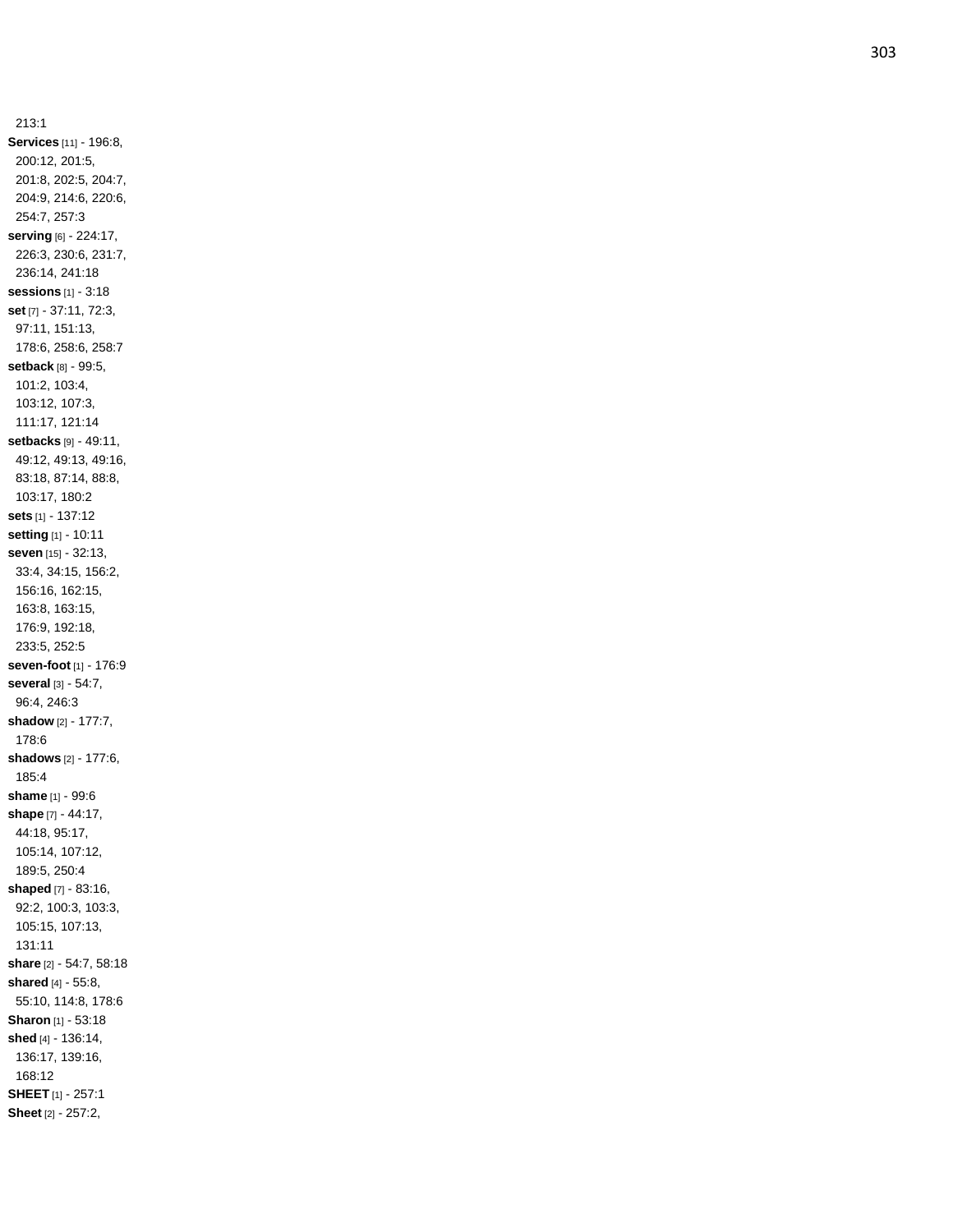213:1 **Services** [11] - 196:8, 200:12, 201:5, 201:8, 202:5, 204:7, 204:9, 214:6, 220:6, 254:7, 257:3 **serving** [6] - 224:17, 226:3, 230:6, 231:7, 236:14, 241:18 **sessions** [1] - 3:18 **set** [7] - 37:11, 72:3, 97:11, 151:13, 178:6, 258:6, 258:7 **setback** [8] - 99:5, 101:2, 103:4, 103:12, 107:3, 111:17, 121:14 **setbacks** [9] - 49:11, 49:12, 49:13, 49:16, 83:18, 87:14, 88:8, 103:17, 180:2 **sets** [1] - 137:12 **setting** [1] - 10:11 **seven** [15] - 32:13, 33:4, 34:15, 156:2, 156:16, 162:15, 163:8, 163:15, 176:9, 192:18, 233:5, 252:5 **seven -foot** [1] - 176:9 **several** [3] - 54:7, 96:4, 246:3 **shadow** [2] - 177:7, 178:6 **shadows** [2] - 177:6, 185:4 **shame** [1] - 99:6 **shape** [7] - 44:17, 44:18, 95:17, 105:14, 107:12, 189:5, 250:4 **shaped** [7] - 83:16, 92:2, 100:3, 103:3, 105:15, 107:13, 131:11 **share** [2] - 54:7, 58:18 **shared** [4] - 55:8, 55:10, 114:8, 178:6 **Sharon** [1] - 53:18 **shed** [4] - 136:14, 136:17, 139:16, 168:12 **SHEET** [1] - 257:1 **Sheet** [2] - 257:2,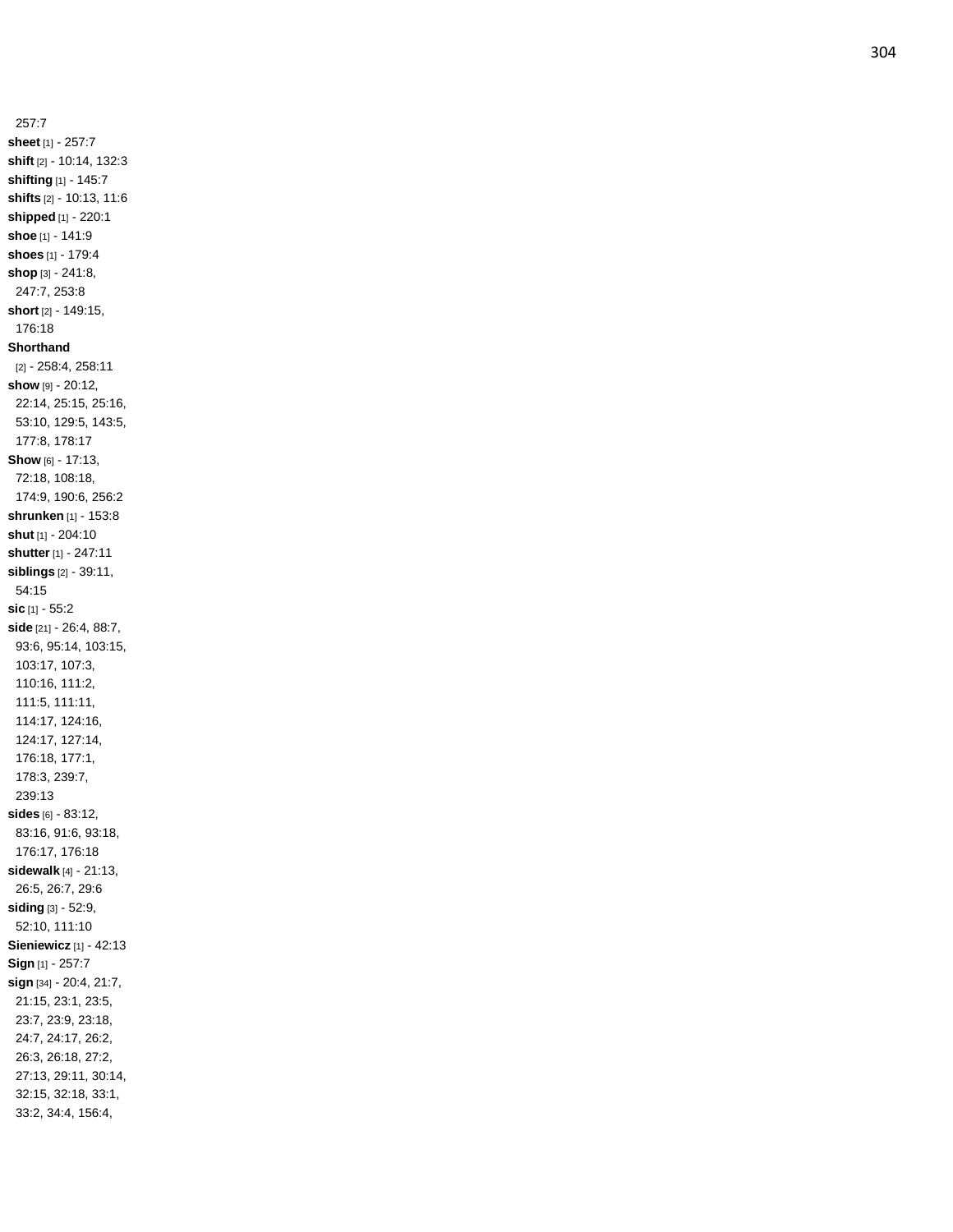257:7 **sheet** [1] - 257:7 **shift** [2] - 10:14, 132:3 **shifting** [1] - 145:7 **shifts** [2] - 10:13, 11:6 **shipped** [1] - 220:1 **shoe** [1] - 141:9 **shoes** [1] - 179:4 **shop** [3] - 241:8, 247:7, 253:8 **short** [2] - 149:15, 176:18 **Shorthand** [2] - 258:4, 258:11 **show** [9] - 20:12, 22:14, 25:15, 25:16, 53:10, 129:5, 143:5, 177:8, 178:17 **Show** [6] - 17:13, 72:18, 108:18, 174:9, 190:6, 256:2 **shrunken** [1] - 153:8 **shut** [1] - 204:10 **shutter** [1] - 247:11 **siblings** [2] - 39:11, 54:15 **sic** [1] - 55:2 **side** [21] - 26:4, 88:7, 93:6, 95:14, 103:15, 103:17, 107:3, 110:16, 111:2, 111:5, 111:11, 114:17, 124:16, 124:17, 127:14, 176:18, 177:1, 178:3, 239:7, 239:13 **sides** [6] - 83:12, 83:16, 91:6, 93:18, 176:17, 176:18 **sidewalk** [4] - 21:13, 26:5, 26:7, 29:6 **siding** [3] - 52:9, 52:10, 111:10 **Sieniewicz** [1] - 42:13 **Sign** [1] - 257:7 **sign** [34] - 20:4, 21:7, 21:15, 23:1, 23:5, 23:7, 23:9, 23:18, 24:7, 24:17, 26:2, 26:3, 26:18, 27:2, 27:13, 29:11, 30:14, 32:15, 32:18, 33:1, 33:2, 34:4, 156:4,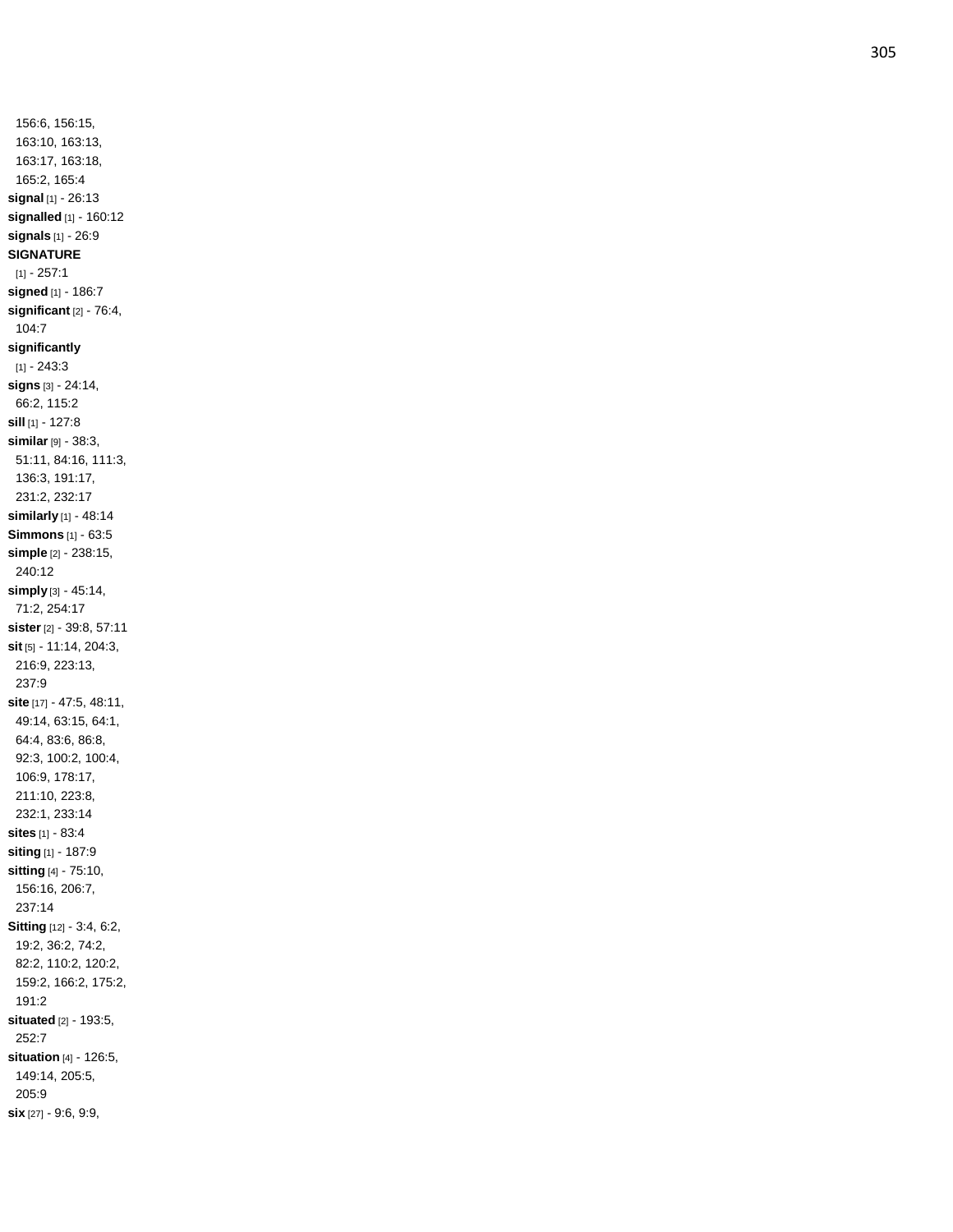156:6, 156:15, 163:10, 163:13, 163:17, 163:18, 165:2, 165:4 **signal** [1] - 26:13 **signalled** [1] - 160:12 **signals** [1] - 26:9 **SIGNATURE**  $[1] - 257:1$ **signed** [1] - 186:7 **significant** [2] - 76:4, 104:7 **significantly** [1] - 243:3 **signs** [3] - 24:14, 66:2, 115:2 **sill** [1] - 127:8 **similar** [9] - 38:3, 51:11, 84:16, 111:3, 136:3, 191:17, 231:2, 232:17 **similarly** [1] - 48:14 **Simmons** [1] - 63:5 **simple** [2] - 238:15, 240:12 **simply** [3] - 45:14, 71:2, 254:17 **sister** [2] - 39:8, 57:11 **sit** [5] - 11:14, 204:3, 216:9, 223:13, 237:9 **site** [17] - 47:5, 48:11, 49:14, 63:15, 64:1, 64:4, 83:6, 86:8, 92:3, 100:2, 100:4, 106:9, 178:17, 211:10, 223:8, 232:1, 233:14 **sites** [1] - 83:4 **siting** [1] - 187:9 **sitting** [4] - 75:10, 156:16, 206:7, 237:14 **Sitting** [12] - 3:4, 6:2, 19:2, 36:2, 74:2, 82:2, 110:2, 120:2, 159:2, 166:2, 175:2, 191:2 **situated** [2] - 193:5, 252:7 **situation** [4] - 126:5, 149:14, 205:5, 205:9 **six** [27] - 9:6, 9:9,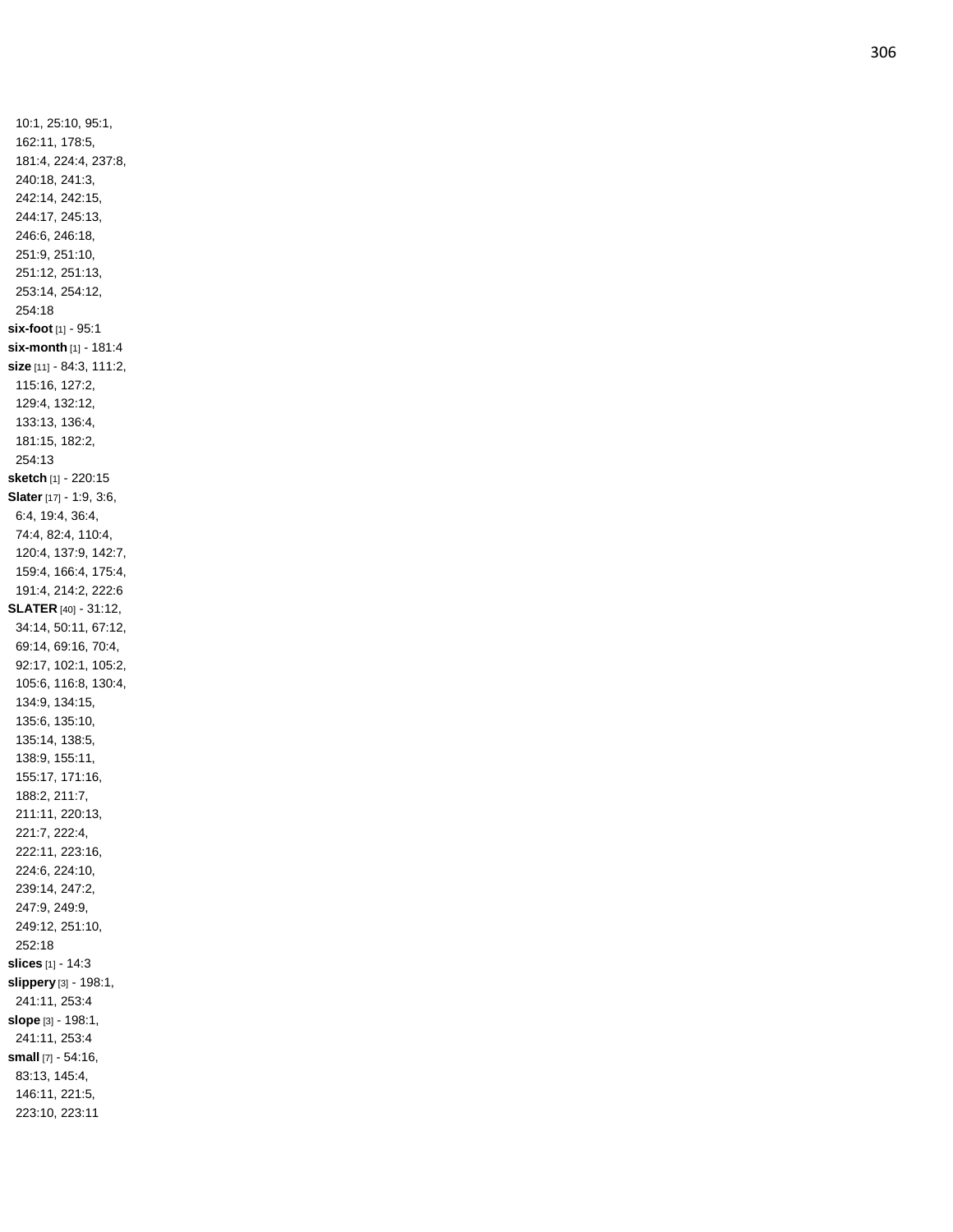10:1, 25:10, 95:1, 162:11, 178:5, 181:4, 224:4, 237:8, 240:18, 241:3, 242:14, 242:15, 244:17, 245:13, 246:6, 246:18, 251:9, 251:10, 251:12, 251:13, 253:14, 254:12, 254:18 **six -foot** [1] - 95:1 **six -month** [1] - 181:4 **size** [11] - 84:3, 111:2, 115:16, 127:2, 129:4, 132:12, 133:13, 136:4, 181:15, 182:2, 254:13 **sketch** [1] - 220:15 **Slater** [17] - 1:9, 3:6, 6:4, 19:4, 36:4, 74:4, 82:4, 110:4, 120:4, 137:9, 142:7, 159:4, 166:4, 175:4, 191:4, 214:2, 222:6 **SLATER** [40] - 31:12, 34:14, 50:11, 67:12, 69:14, 69:16, 70:4, 92:17, 102:1, 105:2, 105:6, 116:8, 130:4, 134:9, 134:15, 135:6, 135:10, 135:14, 138:5, 138:9, 155:11, 155:17, 171:16, 188:2, 211:7, 211:11, 220:13, 221:7, 222:4, 222:11, 223:16, 224:6, 224:10, 239:14, 247:2, 247:9, 249:9, 249:12, 251:10, 252:18 **slices** [1] - 14:3 **slippery** [3] - 198:1, 241:11, 253:4 **slope** [3] - 198:1, 241:11, 253:4 **small** [7] - 54:16, 83:13, 145:4, 146:11, 221:5, 223:10, 223:11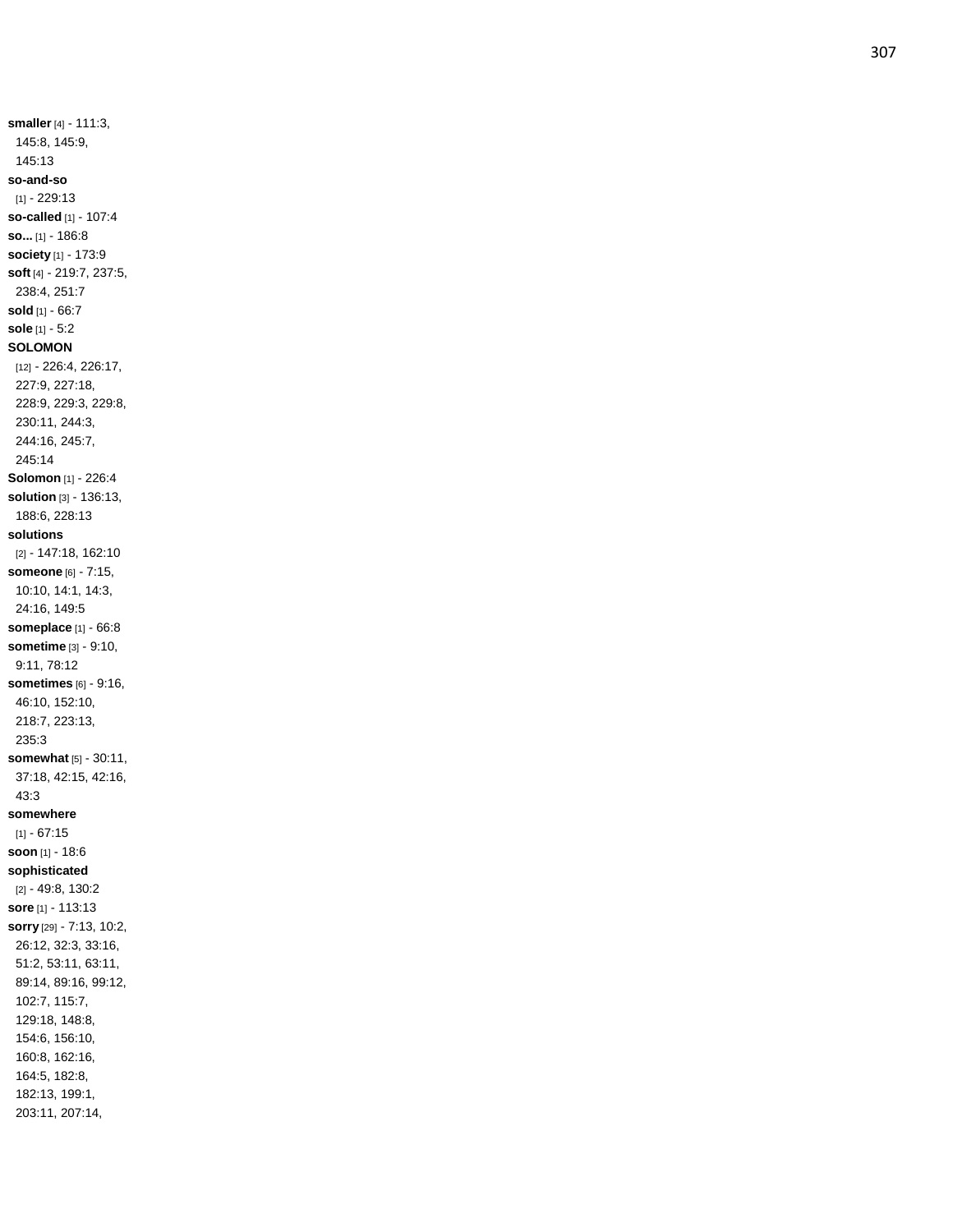**smaller** [4] - 111:3, 145:8, 145:9, 145:13 **so -and -so** [1] - 229:13 **so -called** [1] - 107:4 **so...** [1] - 186:8 **society** [1] - 173:9 **soft** [4] - 219:7, 237:5, 238:4, 251:7 **sold** [1] - 66:7 **sole** [1] - 5:2 **SOLOMON** [12] - 226:4, 226:17, 227:9, 227:18, 228:9, 229:3, 229:8, 230:11, 244:3, 244:16, 245:7, 245:14 **Solomon** [1] - 226:4 **solution** [3] - 136:13, 188:6, 228:13 **solutions** [2] - 147:18, 162:10 **someone** [6] - 7:15, 10:10, 14:1, 14:3, 24:16, 149:5 **someplace** [1] - 66:8 **sometime** [3] - 9:10, 9:11, 78:12 **sometimes** [6] - 9:16, 46:10, 152:10, 218:7, 223:13, 235:3 **somewhat** [5] - 30:11, 37:18, 42:15, 42:16, 43:3 **somewhere**  $[1] - 67:15$ **soon** [1] - 18:6 **sophisticated** [2] - 49:8, 130:2 **sore** [1] - 113:13 **sorry** [29] - 7:13, 10:2, 26:12, 32:3, 33:16, 51:2, 53:11, 63:11, 89:14, 89:16, 99:12, 102:7, 115:7, 129:18, 148:8, 154:6, 156:10, 160:8, 162:16, 164:5, 182:8, 182:13, 199:1, 203:11, 207:14,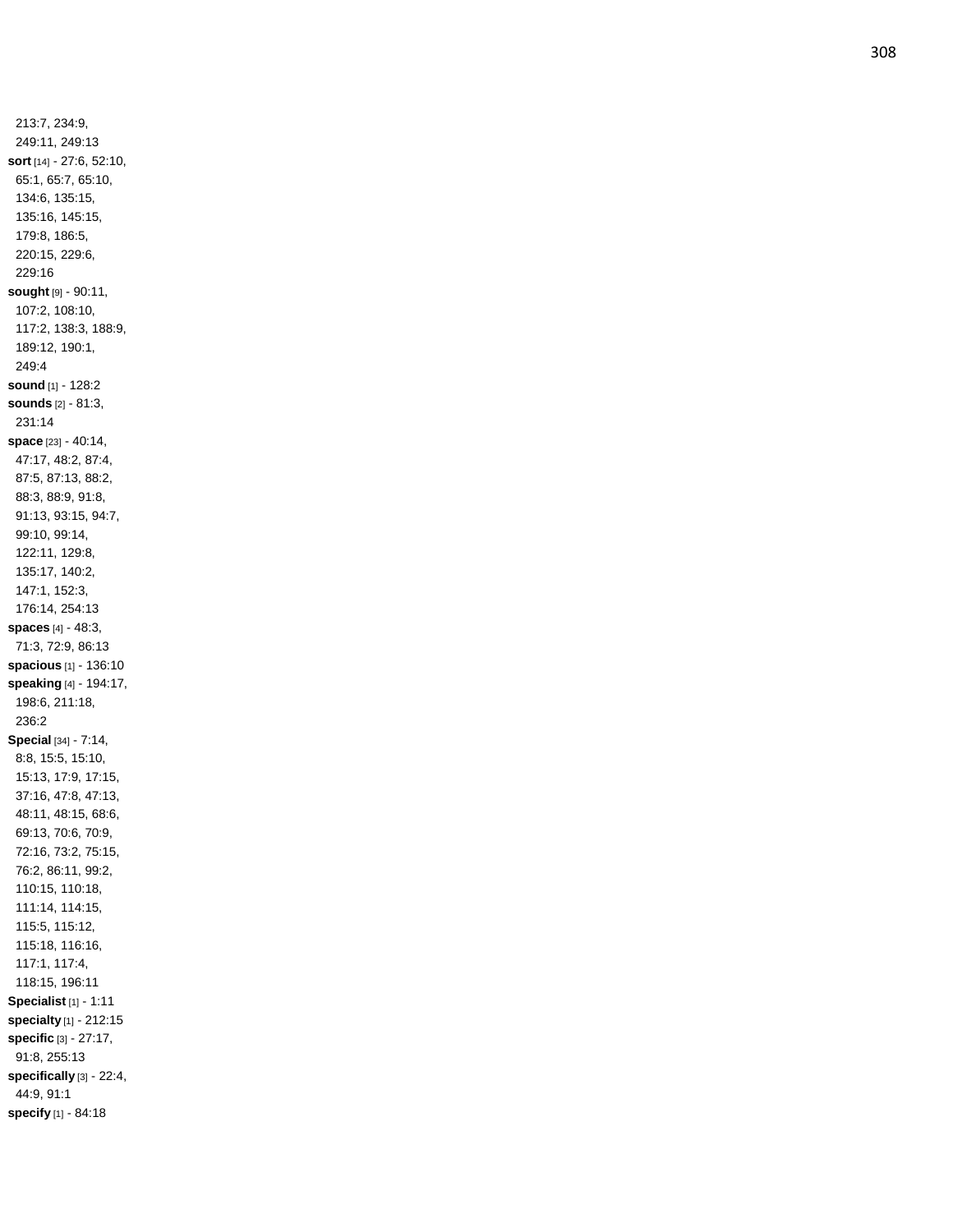213:7, 234:9, 249:11, 249:13 **sort** [14] - 27:6, 52:10, 65:1, 65:7, 65:10, 134:6, 135:15, 135:16, 145:15, 179:8, 186:5, 220:15, 229:6, 229:16 **sought** [9] - 90:11, 107:2, 108:10, 117:2, 138:3, 188:9, 189:12, 190:1, 249:4 **sound** [1] - 128:2 **sounds** [2] - 81:3, 231:14 **space** [23] - 40:14, 47:17, 48:2, 87:4, 87:5, 87:13, 88:2, 88:3, 88:9, 91:8, 91:13, 93:15, 94:7, 99:10, 99:14, 122:11, 129:8, 135:17, 140:2, 147:1, 152:3, 176:14, 254:13 **spaces** [4] - 48:3, 71:3, 72:9, 86:13 **spacious** [1] - 136:10 **speaking** [4] - 194:17, 198:6, 211:18, 236:2 **Special** [34] - 7:14, 8:8, 15:5, 15:10, 15:13, 17:9, 17:15, 37:16, 47:8, 47:13, 48:11, 48:15, 68:6, 69:13, 70:6, 70:9, 72:16, 73:2, 75:15, 76:2, 86:11, 99:2, 110:15, 110:18, 111:14, 114:15, 115:5, 115:12, 115:18, 116:16, 117:1, 117:4, 118:15, 196:11 **Specialist** [1] - 1:11 **specialty** [1] - 212:15 **specific** [3] - 27:17, 91:8, 255:13 **specifically** [3] - 22:4, 44:9, 91:1 **specify** [1] - 84:18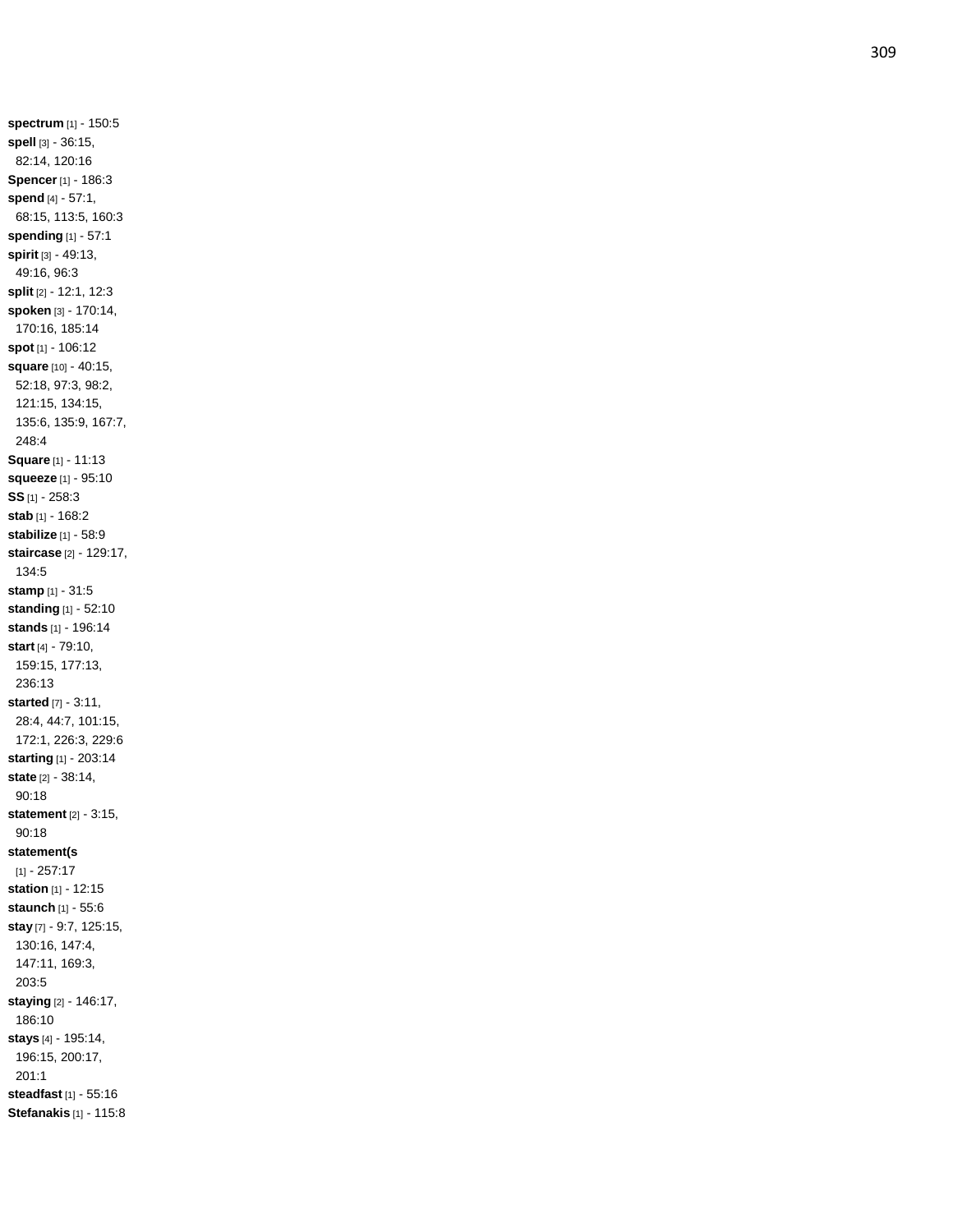**spectrum** [1] - 150:5 **spell** [3] - 36:15, 82:14, 120:16 **Spencer** [1] - 186:3 **spend** [4] - 57:1, 68:15, 113:5, 160:3 **spending** [1] - 57:1 **spirit** [3] - 49:13, 49:16, 96:3 **split** [2] - 12:1, 12:3 **spoken** [3] - 170:14, 170:16, 185:14 **spot** [1] - 106:12 **square** [10] - 40:15, 52:18, 97:3, 98:2, 121:15, 134:15, 135:6, 135:9, 167:7, 248:4 **Square** [1] - 11:13 **squeeze** [1] - 95:10 **SS** [1] - 258:3 **stab** [1] - 168:2 **stabilize** [1] - 58:9 **staircase** [2] - 129:17, 134:5 **stamp** [1] - 31:5 **standing** [1] - 52:10 **stands** [1] - 196:14 **start** [4] - 79:10, 159:15, 177:13, 236:13 **started** [7] - 3:11, 28:4, 44:7, 101:15, 172:1, 226:3, 229:6 **starting** [1] - 203:14 **state** [2] - 38:14, 90:18 **statement** [2] - 3:15, 90:18 **statement(s** [1] - 257:17 **station** [1] - 12:15 **staunch** [1] - 55:6 **stay** [7] - 9:7, 125:15, 130:16, 147:4, 147:11, 169:3, 203:5 **staying** [2] - 146:17, 186:10 **stays** [4] - 195:14, 196:15, 200:17, 201:1 **steadfast** [1] - 55:16 **Stefanakis** [1] - 115:8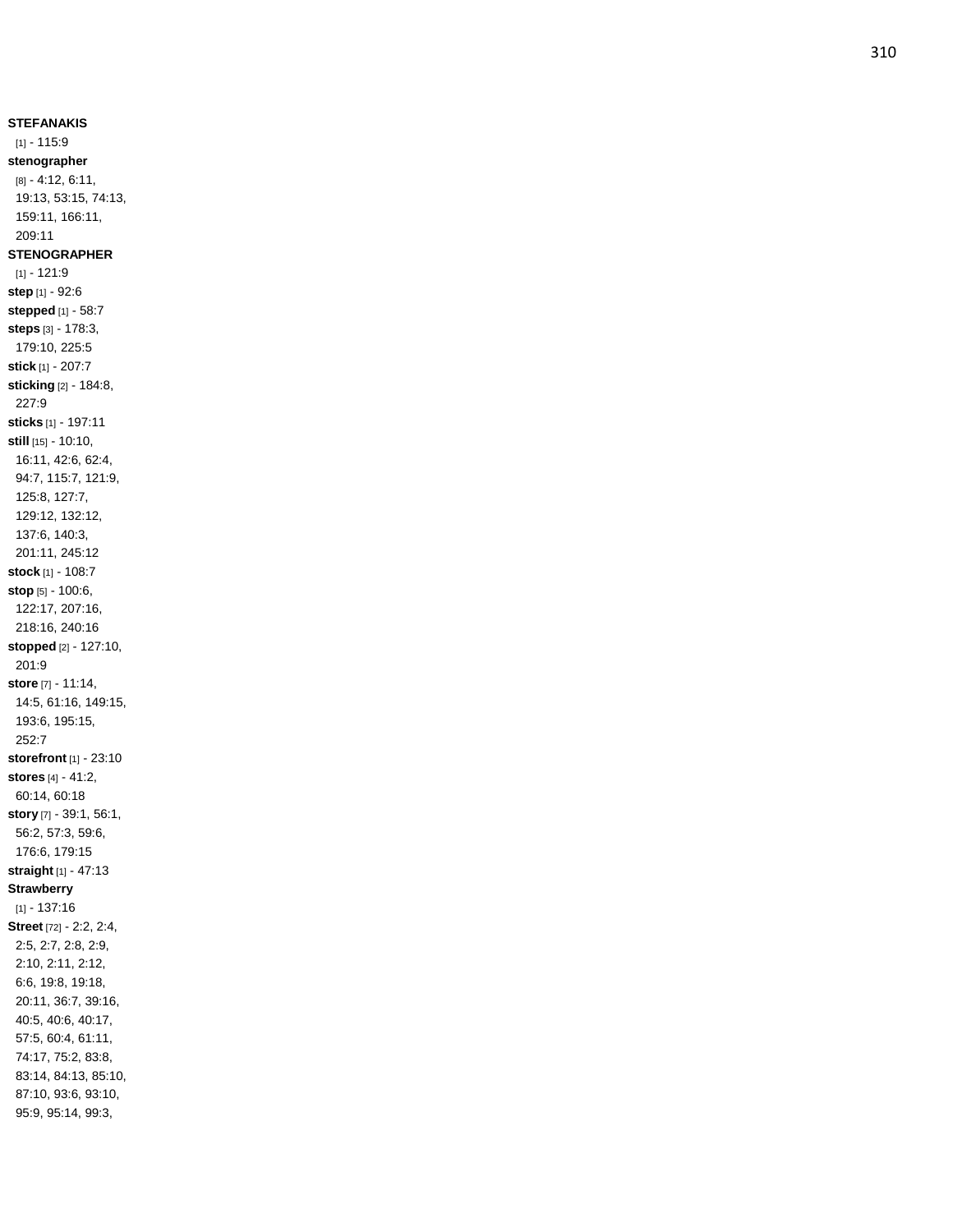**STEFANAKIS**  $[1] - 115.9$ **stenographer** [8] - 4:12, 6:11, 19:13, 53:15, 74:13, 159:11, 166:11, 209:11 **STENOGRAPHER**  $[1] - 121:9$ **step** [1] - 92:6 **stepped** [1] - 58:7 **steps** [3] - 178:3, 179:10, 225:5 **stick** [1] - 207:7 **sticking** [2] - 184:8, 227:9 **sticks** [1] - 197:11 **still** [15] - 10:10, 16:11, 42:6, 62:4, 94:7, 115:7, 121:9, 125:8, 127:7, 129:12, 132:12, 137:6, 140:3, 201:11, 245:12 **stock** [1] - 108:7 **stop** [5] - 100:6, 122:17, 207:16, 218:16, 240:16 **stopped** [2] - 127:10, 201:9 **store** [7] - 11:14, 14:5, 61:16, 149:15, 193:6, 195:15, 252:7 **storefront** [1] - 23:10 **stores** [4] - 41:2, 60:14, 60:18 **story** [7] - 39:1, 56:1, 56:2, 57:3, 59:6, 176:6, 179:15 **straight** [1] - 47:13 **Strawberry** [1] - 137:16 **Street** [72] - 2:2, 2:4, 2:5, 2:7, 2:8, 2:9, 2:10, 2:11, 2:12, 6:6, 19:8, 19:18, 20:11, 36:7, 39:16, 40:5, 40:6, 40:17, 57:5, 60:4, 61:11, 74:17, 75:2, 83:8, 83:14, 84:13, 85:10, 87:10, 93:6, 93:10, 95:9, 95:14, 99:3,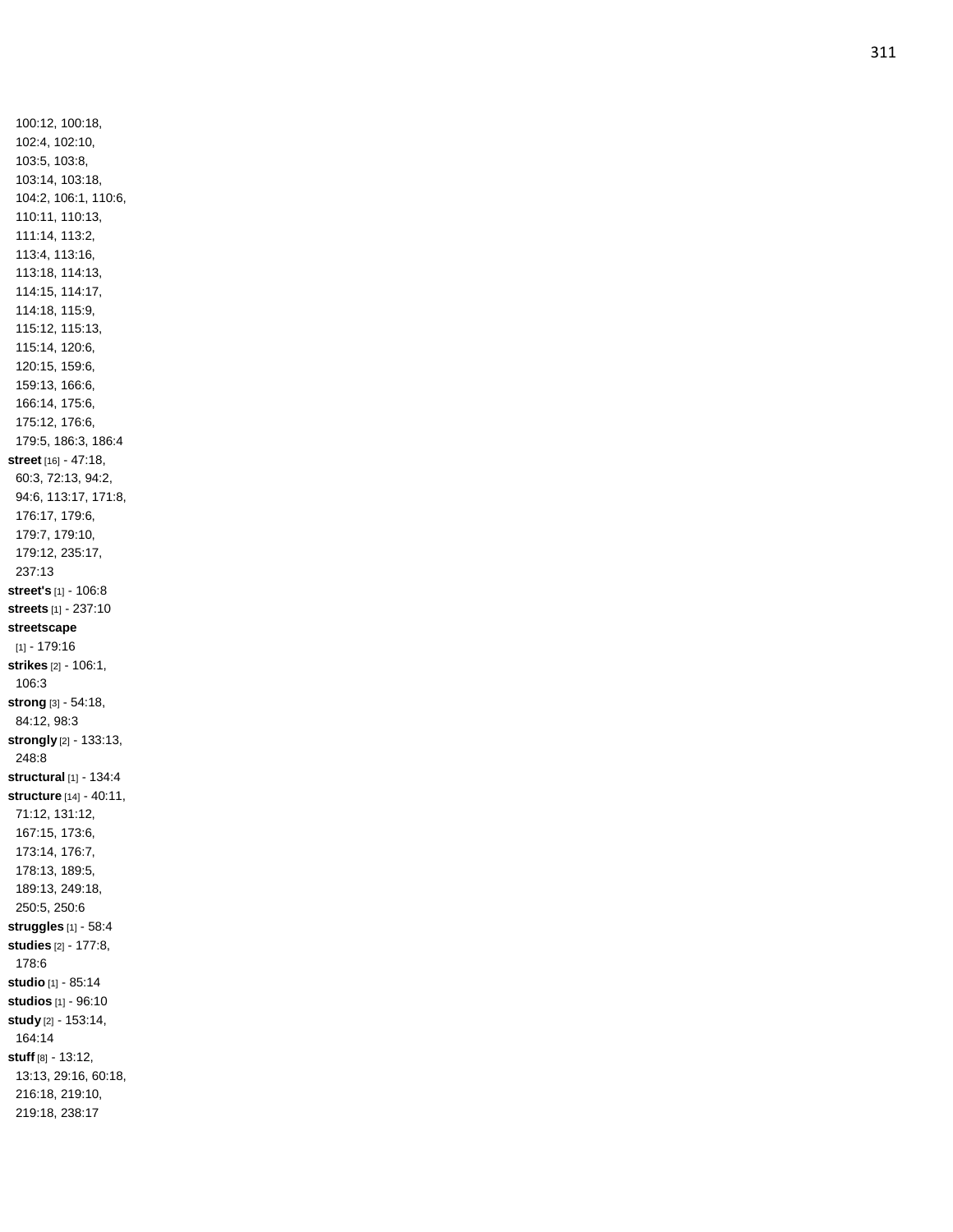100:12, 100:18, 102:4, 102:10, 103:5, 103:8, 103:14, 103:18, 104:2, 106:1, 110:6, 110:11, 110:13, 111:14, 113:2, 113:4, 113:16, 113:18, 114:13, 114:15, 114:17, 114:18, 115:9, 115:12, 115:13, 115:14, 120:6, 120:15, 159:6, 159:13, 166:6, 166:14, 175:6, 175:12, 176:6, 179:5, 186:3, 186:4 **street** [16] - 47:18, 60:3, 72:13, 94:2, 94:6, 113:17, 171:8, 176:17, 179:6, 179:7, 179:10, 179:12, 235:17, 237:13 **street's** [1] - 106:8 **streets** [1] - 237:10 **streetscape** [1] - 179:16 **strikes** [2] - 106:1, 106:3 **strong** [3] - 54:18, 84:12, 98:3 **strongly** [2] - 133:13, 248:8 **structural** [1] - 134:4 **structure** [14] - 40:11, 71:12, 131:12, 167:15, 173:6, 173:14, 176:7, 178:13, 189:5, 189:13, 249:18, 250:5, 250:6 **struggles** [1] - 58:4 **studies** [2] - 177:8, 178:6 **studio** [1] - 85:14 **studios** [1] - 96:10 **study** [2] - 153:14, 164:14 **stuff** [8] - 13:12, 13:13, 29:16, 60:18, 216:18, 219:10, 219:18, 238:17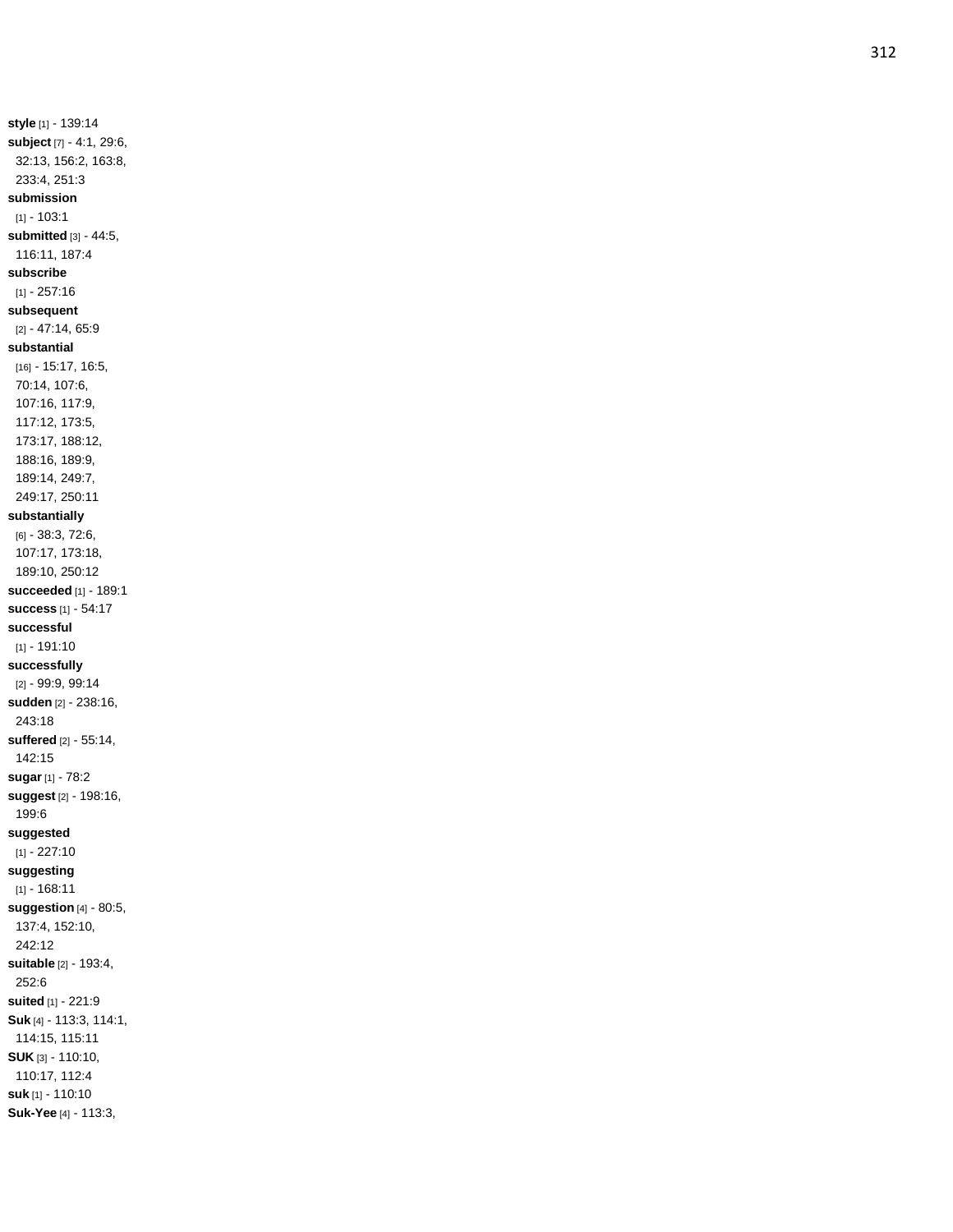**style** [1] - 139:14 **subject** [7] - 4:1, 29:6, 32:13, 156:2, 163:8, 233:4, 251:3 **submission**  $[1] - 103:1$ **submitted** [3] - 44:5, 116:11, 187:4 **subscribe** [1] - 257:16 **subsequent** [2] - 47:14, 65:9 **substantial** [16] - 15:17, 16:5, 70:14, 107:6, 107:16, 117:9, 117:12, 173:5, 173:17, 188:12, 188:16, 189:9, 189:14, 249:7, 249:17, 250:11 **substantially** [6] - 38:3, 72:6, 107:17, 173:18, 189:10, 250:12 **succeeded** [1] - 189:1 **success** [1] - 54:17 **successful** [1] - 191:10 **successfully** [2] - 99:9, 99:14 **sudden** [2] - 238:16, 243:18 **suffered** [2] - 55:14, 142:15 **sugar** [1] - 78:2 **suggest** [2] - 198:16, 199:6 **suggested** [1] - 227:10 **suggesting** [1] - 168:11 **suggestion** [4] - 80:5, 137:4, 152:10, 242:12 **suitable** [2] - 193:4, 252:6 **suited** [1] - 221:9 **Suk** [4] - 113:3, 114:1, 114:15, 115:11 **SUK** [3] - 110:10, 110:17, 112:4 **suk** [1] - 110:10 **Suk -Yee** [4] - 113:3,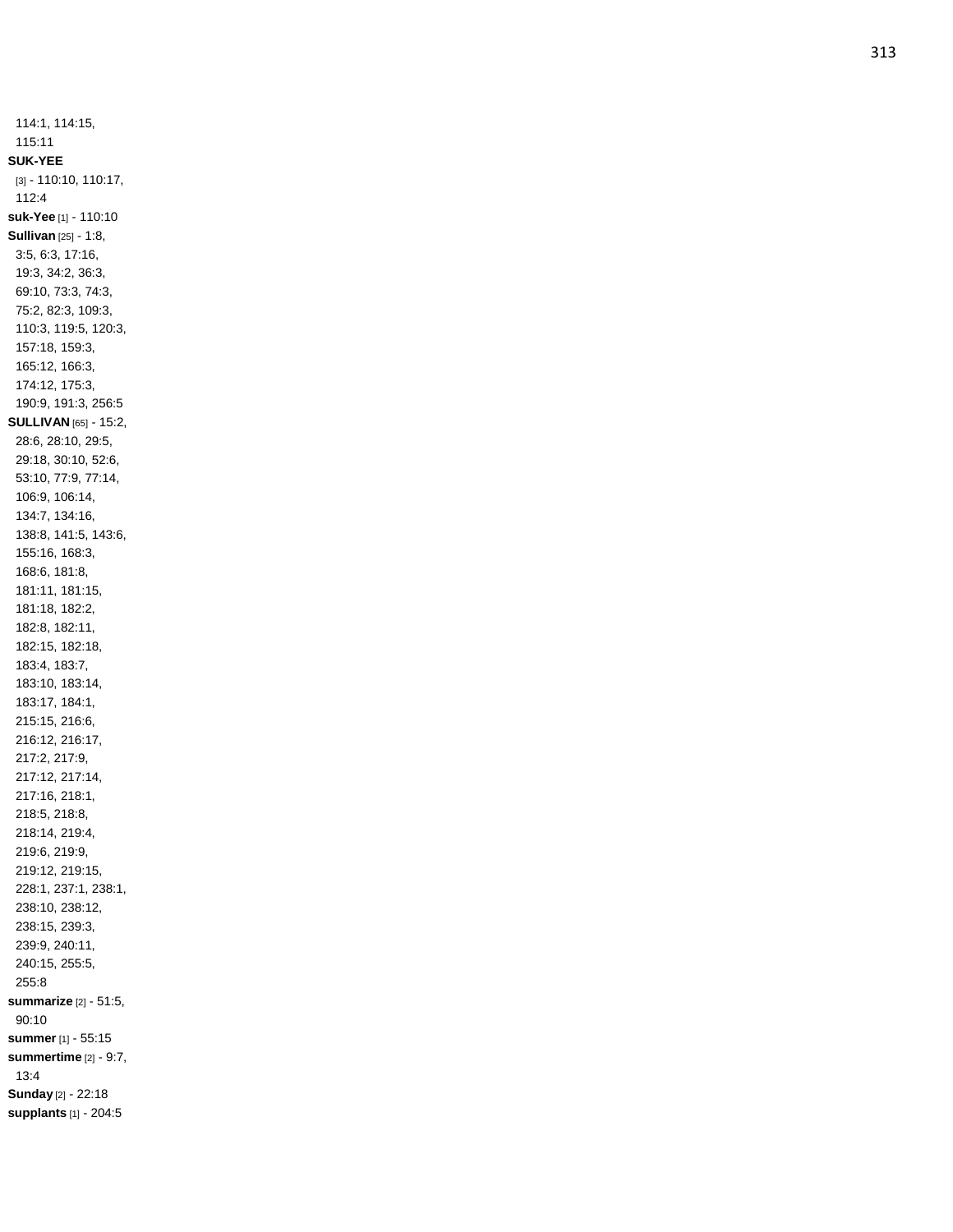114:1, 114:15, 115:11 **SUK -YEE** [3] - 110:10, 110:17, 112:4 **suk -Yee** [1] - 110:10 **Sullivan** [25] - 1:8, 3:5, 6:3, 17:16, 19:3, 34:2, 36:3, 69:10, 73:3, 74:3, 75:2, 82:3, 109:3, 110:3, 119:5, 120:3, 157:18, 159:3, 165:12, 166:3, 174:12, 175:3, 190:9, 191:3, 256:5 **SULLIVAN** [65] - 15:2, 28:6, 28:10, 29:5, 29:18, 30:10, 52:6, 53:10, 77:9, 77:14, 106:9, 106:14, 134:7, 134:16, 138:8, 141:5, 143:6, 155:16, 168:3, 168:6, 181:8, 181:11, 181:15, 181:18, 182:2, 182:8, 182:11, 182:15, 182:18, 183:4, 183:7, 183:10, 183:14, 183:17, 184:1, 215:15, 216:6, 216:12, 216:17, 217:2, 217:9, 217:12, 217:14, 217:16, 218:1, 218:5, 218:8, 218:14, 219:4, 219:6, 219:9, 219:12, 219:15, 228:1, 237:1, 238:1, 238:10, 238:12, 238:15, 239:3, 239:9, 240:11, 240:15, 255:5, 255:8 **summarize** [2] - 51:5, 90:10 **summer** [1] - 55:15 **summertime** [2] - 9:7, 13:4 **Sunday** [2] - 22:18 **supplants** [1] - 204:5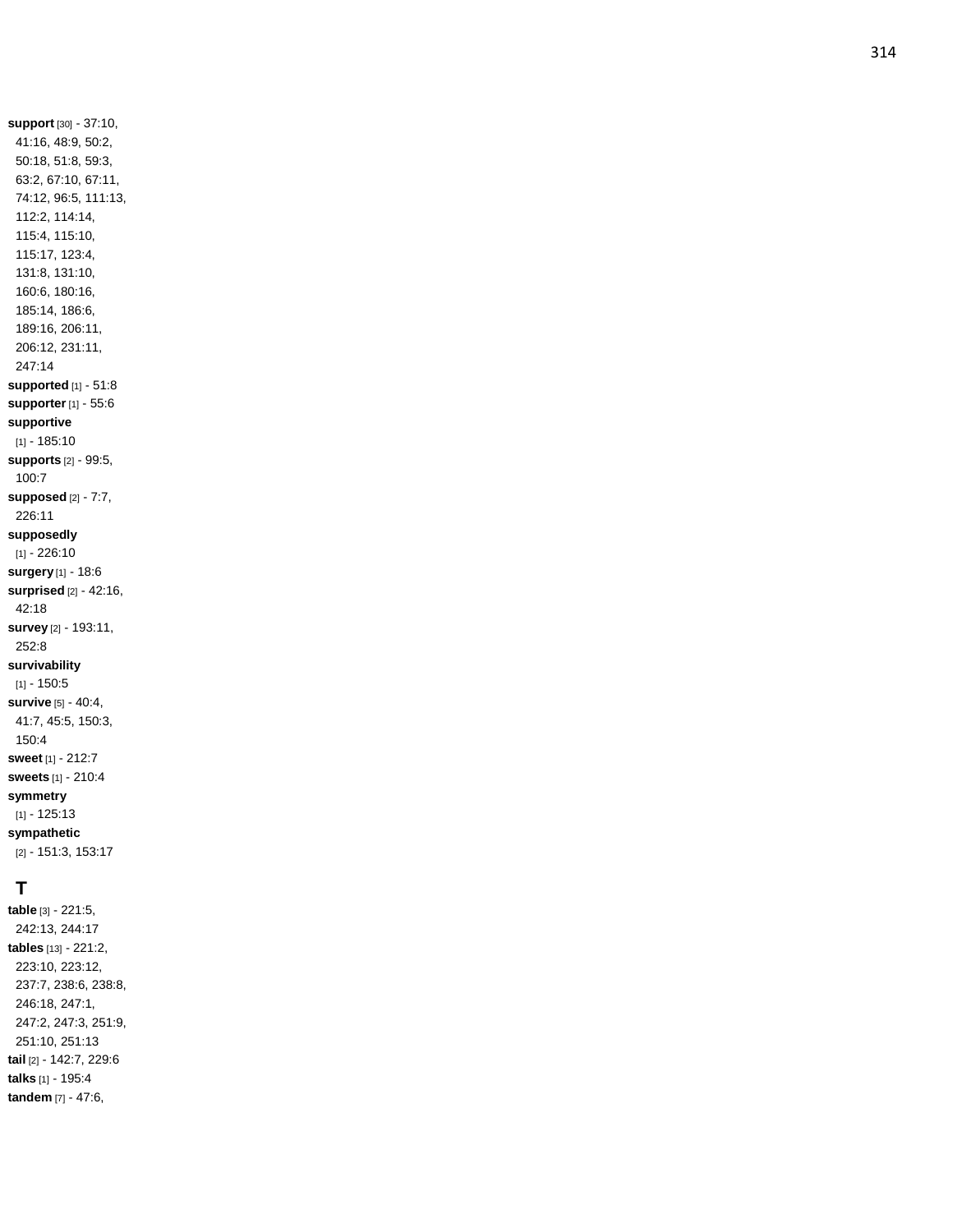41:16, 48:9, 50:2, 50:18, 51:8, 59:3, 63:2, 67:10, 67:11, 74:12, 96:5, 111:13, 112:2, 114:14, 115:4, 115:10, 115:17, 123:4, 131:8, 131:10, 160:6, 180:16, 185:14, 186:6, 189:16, 206:11, 206:12, 231:11, 247:14 **supported** [1] - 51: 8 **supporter** [1] - 55:6 **supportive** [1] - 185:10 **supports** [2] - 99:5, 100:7 **supposed** [2] - 7:7, 226:11 **supposedly** [1] - 226:10 **surgery** [1] - 18:6 **surprised** [2] - 42:16, 42:18 **survey** [2] - 193:11, 252:8 **survivability**  $[1] - 150.5$ **survive** [5] - 40:4, 41:7, 45:5, 150:3, 150:4 **sweet** [1] - 212:7 **sweets** [1] - 210:4 **symmetry** [1] - 125:13 **sympathetic** [2] - 151:3, 153:17

**support** [30] - 37:10,

# **T**

**table** [3] - 221:5, 242:13, 244:17 **tables** [13] - 221:2, 223:10, 223:12, 237:7, 238:6, 238:8, 246:18, 247:1, 247:2, 247:3, 251:9, 251:10, 251:13 **tail** [2] - 142:7, 229:6 **talks** [1] - 195:4 **tandem** [7] - 47:6,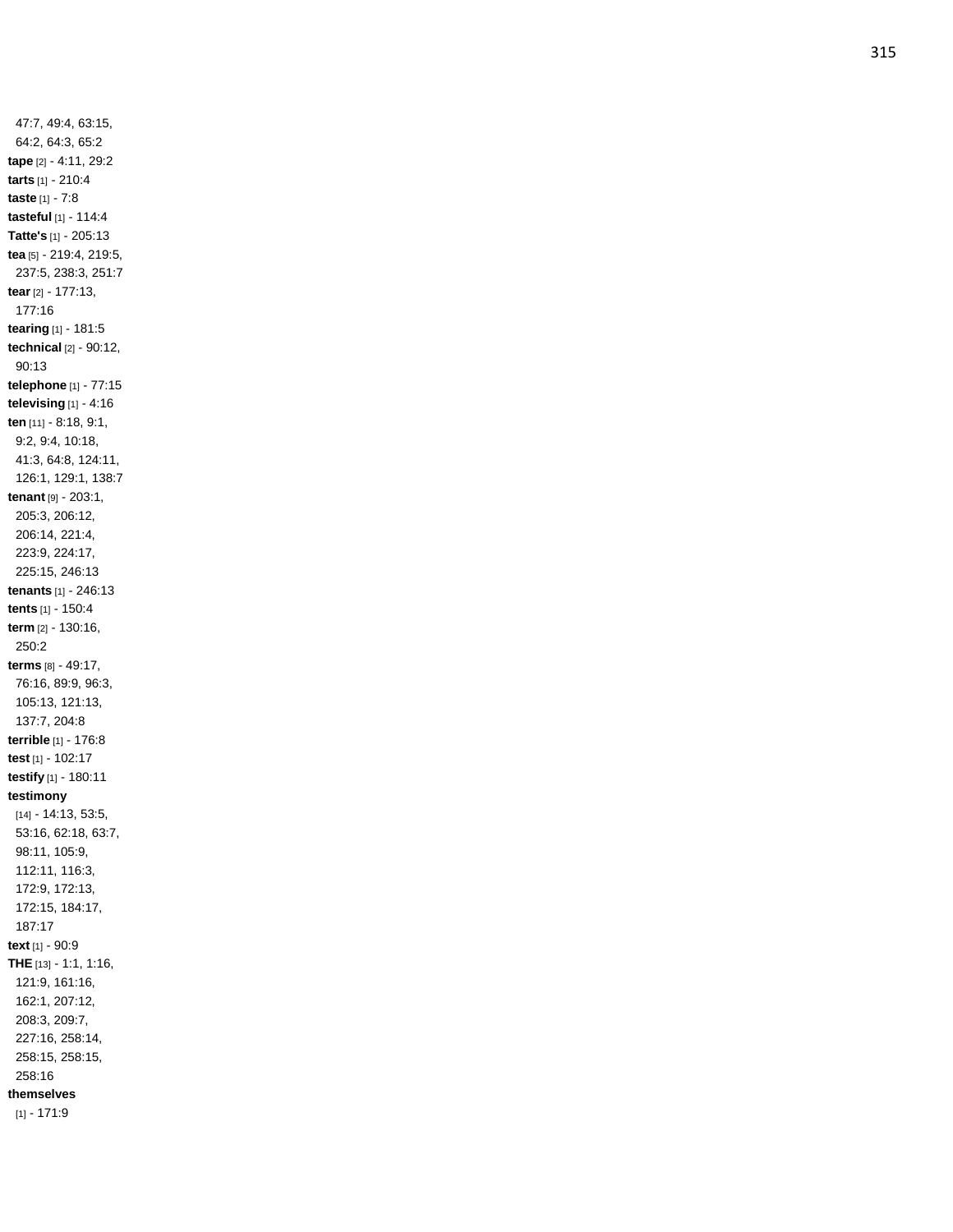47:7, 49:4, 63:15, 64:2, 64:3, 65:2 **tape** [2] - 4:11, 29:2 **tarts** [1] - 210:4 **taste** [1] - 7:8 **tasteful** [1] - 114:4 **Tatte's** [1] - 205:13 **tea** [5] - 219:4, 219:5, 237:5, 238:3, 251:7 **tear** [2] - 177:13, 177:16 **tearing** [1] - 181:5 **technical** [2] - 90:12, 90:13 **telephone** [1] - 77:15 **televising** [1] - 4:16 **ten** [11] - 8:18, 9:1, 9:2, 9:4, 10:18, 41:3, 64:8, 124:11, 126:1, 129:1, 138:7 **tenant** [9] - 203:1, 205:3, 206:12, 206:14, 221:4, 223:9, 224:17, 225:15, 246:13 **tenants** [1] - 246:13 **tents** [1] - 150:4 **term** [2] - 130:16, 250:2 **terms** [8] - 49:17, 76:16, 89:9, 96:3, 105:13, 121:13, 137:7, 204:8 **terrible** [1] - 176:8 **test** [1] - 102:17 **testify** [1] - 180:11 **testimony** [14] - 14:13, 53:5, 53:16, 62:18, 63:7, 98:11, 105:9, 112:11, 116:3, 172:9, 172:13, 172:15, 184:17, 187:17 **text** [1] - 90:9 **THE** [13] - 1:1, 1:16, 121:9, 161:16, 162:1, 207:12, 208:3, 209:7, 227:16, 258:14, 258:15, 258:15, 258:16 **themselves**  $[1] - 171:9$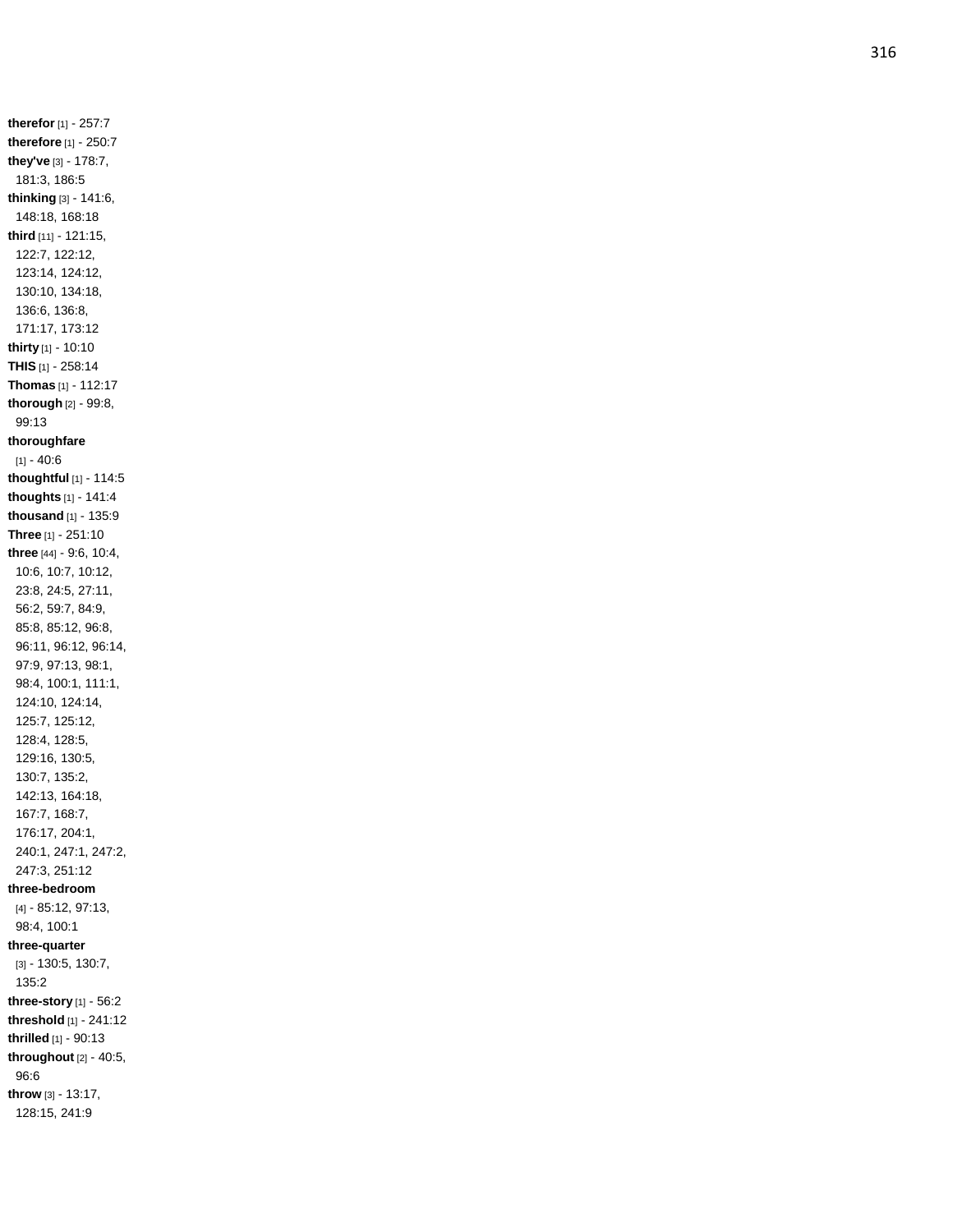**therefor** [1 ] - 257:7 **therefore** [1] - 250:7 **they've** [3] - 178:7, 181:3, 186:5 **thinking** [3] - 141:6, 148:18, 168:18 **third** [11] - 121:15, 122:7, 122:12, 123:14, 124:12, 130:10, 134:18, 136:6, 136:8, 171:17, 173:12 **thirty** [1] - 10:10 **THIS** [1] - 258:14 **Thomas** [1] - 112:17 **thorough** [2] - 99:8, 99:13 **thoroughfare** [1] - 40:6 **thoughtful** [1] - 114:5 **thoughts** [1] - 141:4 **thousand** [1] - 135:9 **Three** [1] - 251:10 **three** [44] - 9:6, 10:4, 10:6, 10:7, 10:12, 23:8, 24:5, 27:11, 56:2, 59:7, 84:9, 85:8, 85:12, 96:8, 96:11, 96:12, 96:14, 97:9, 97:13, 98:1, 98:4, 100:1, 111:1, 124:10, 124:14, 125:7, 125:12, 128:4, 128:5, 129:16, 130:5, 130:7, 135:2, 142:13, 164:18, 167:7, 168:7, 176:17, 204:1, 240:1, 247:1, 247:2, 247:3, 251:12 **three -bedroom** [4] - 85:12, 97:13, 98:4, 100:1 **three -quarter** [3] - 130:5, 130:7, 135:2 **three -story** [1] - 56:2 **threshold** [1] - 241:12 **thrilled** [1] - 90:13 **throughout** [2] - 40:5, 96:6 **throw** [3] - 13:17, 128:15, 241:9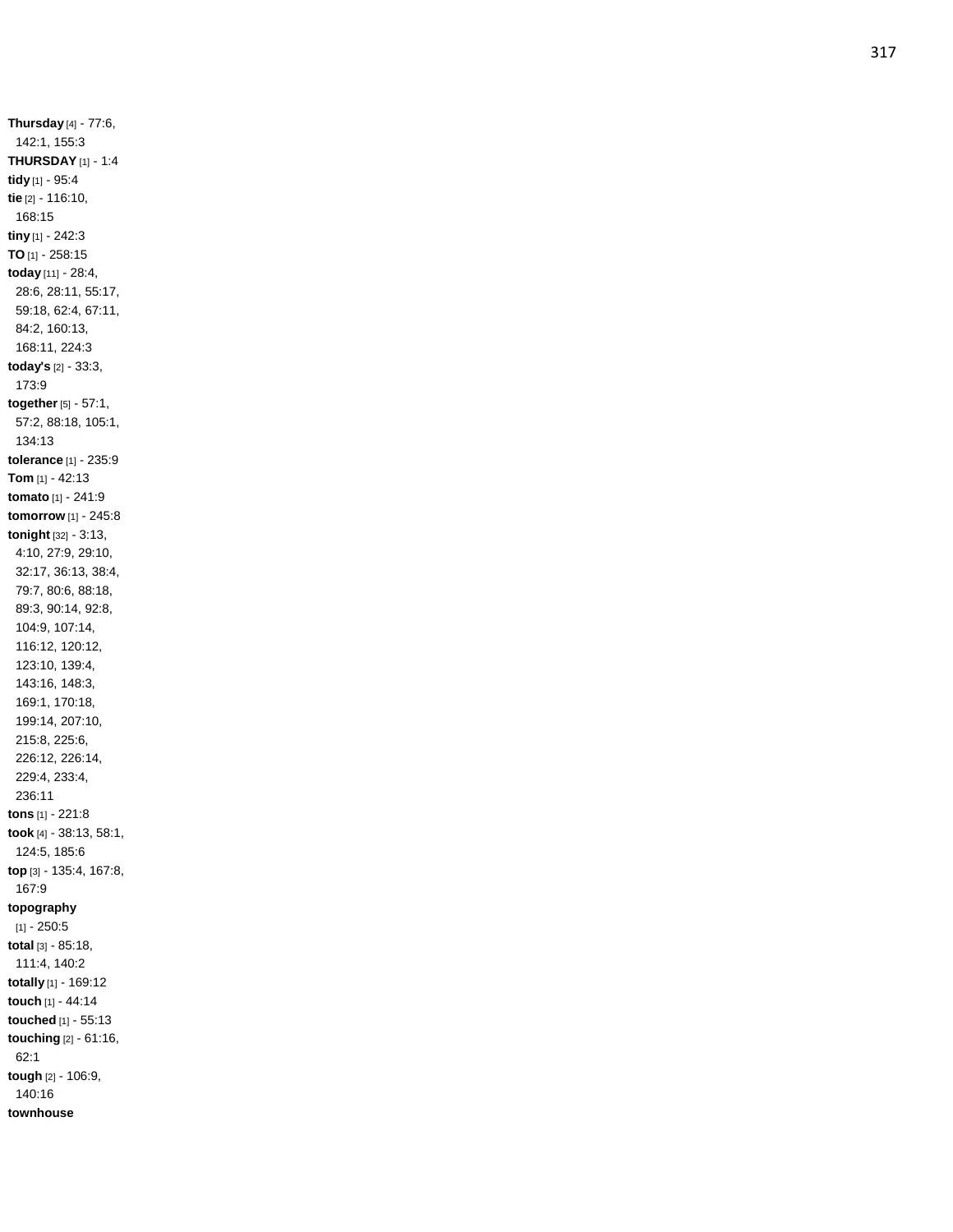**Thursday** [4] - 77:6, 142:1, 155:3 **THURSDAY** [1] - 1:4 **tidy** [1] - 95:4 **tie** [2] - 116:10, 168:15 **tiny** [1] - 242:3 **TO** [1] - 258:15 **today** [11] - 28:4, 28:6, 28:11, 55:17, 59:18, 62:4, 67:11, 84:2, 160:13, 168:11, 224:3 **today's** [2] - 33:3, 173:9 **together** [5] - 57:1, 57:2, 88:18, 105:1, 134:13 **tolerance** [1] - 235:9 **Tom** [1] - 42:13 **tomato** [1] - 241:9 **tomorrow** [1] - 245:8 **tonight** [32] - 3:13, 4:10, 27:9, 29:10, 32:17, 36:13, 38:4, 79:7, 80:6, 88:18, 89:3, 90:14, 92:8, 104:9, 107:14, 116:12, 120:12, 123:10, 139:4, 143:16, 148:3, 169:1, 170:18, 199:14, 207:10, 215:8, 225:6, 226:12, 226:14, 229:4, 233:4, 236:11 **tons** [1] - 221:8 **took** [4] - 38:13, 58:1, 124:5, 185:6 **top** [3] - 135:4, 167:8, 167:9 **topography**  $[1] - 250:5$ **total** [3] - 85:18, 111:4, 140:2 **totally** [1] - 169:12 **touch** [1] - 44:14 **touched** [1] - 55:13 **touching** [2] - 61:16, 62:1 **tough** [2] - 106:9, 140:16 **townhouse**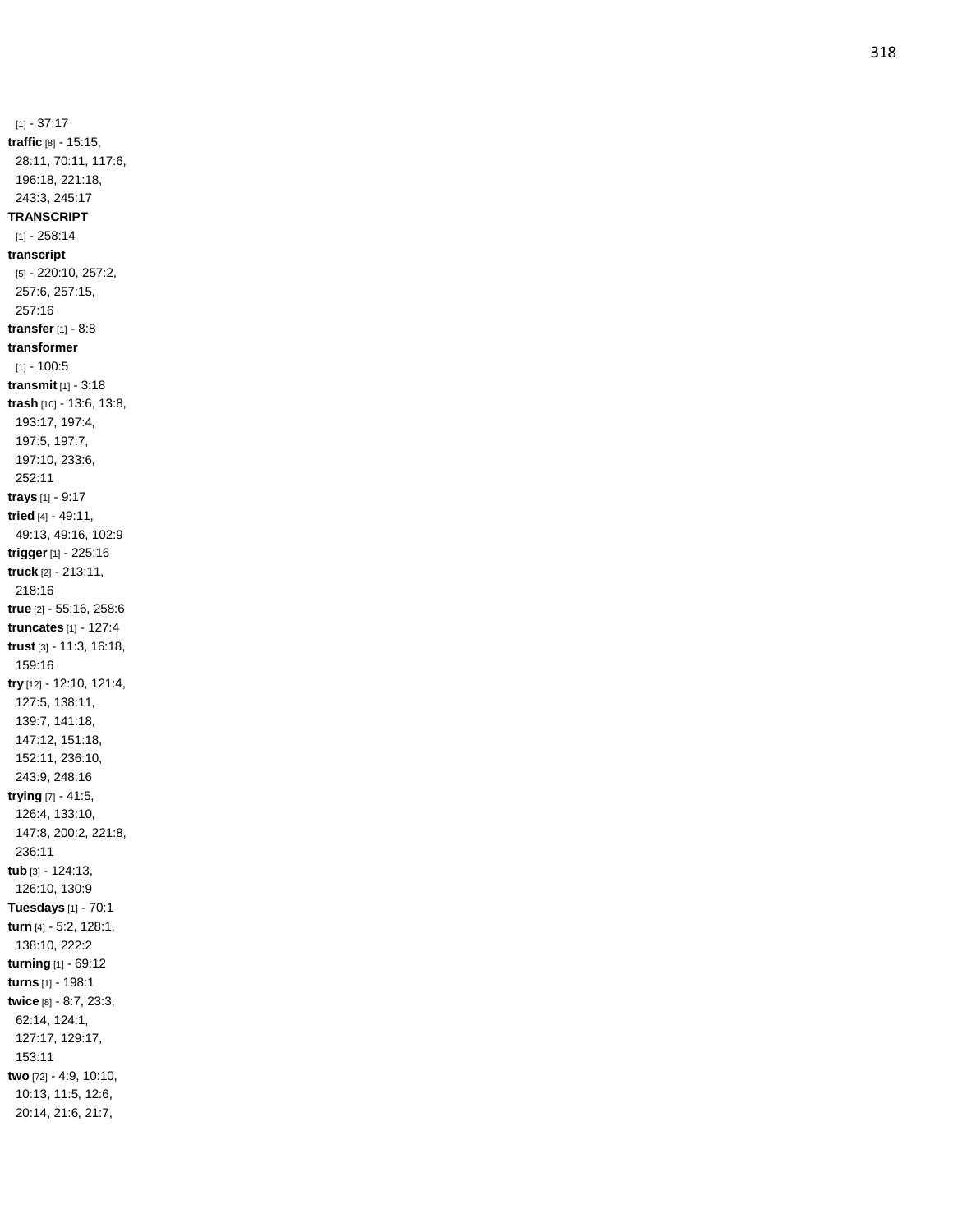$[1] - 37:17$ **traffic** [8] - 15:15, 28:11, 70:11, 117:6, 196:18, 221:18, 243:3, 245:17 **TRANSCRIPT** [1] - 258:14 **transcript** [5] - 220:10, 257:2, 257:6, 257:15, 257:16 **transfer** [1] - 8:8 **transformer**  $[1] - 100:5$ **transmit** [1] - 3:18 **trash** [10] - 13:6, 13:8, 193:17, 197:4, 197:5, 197:7, 197:10, 233:6, 252:11 **trays** [1] - 9:17 **tried** [4] - 49:11, 49:13, 49:16, 102:9 **trigger** [1] - 225:16 **truck** [2] - 213:11, 218:16 **true** [2] - 55:16, 258:6 **truncates** [1] - 127:4 **trust** [3] - 11:3, 16:18, 159:16 **try** [12] - 12:10, 121:4, 127:5, 138:11, 139:7, 141:18, 147:12, 151:18, 152:11, 236:10, 243:9, 248:16 **trying** [7] - 41:5, 126:4, 133:10, 147:8, 200:2, 221:8, 236:11 **tub** [3] - 124:13, 126:10, 130:9 **Tuesdays** [1] - 70:1 **turn** [4] - 5:2, 128:1, 138:10, 222:2 **turning** [1] - 69:12 **turns** [1] - 198:1 **twice** [8] - 8:7, 23:3, 62:14, 124:1, 127:17, 129:17, 153:11 **two** [72] - 4:9, 10:10, 10:13, 11:5, 12:6, 20:14, 21:6, 21:7,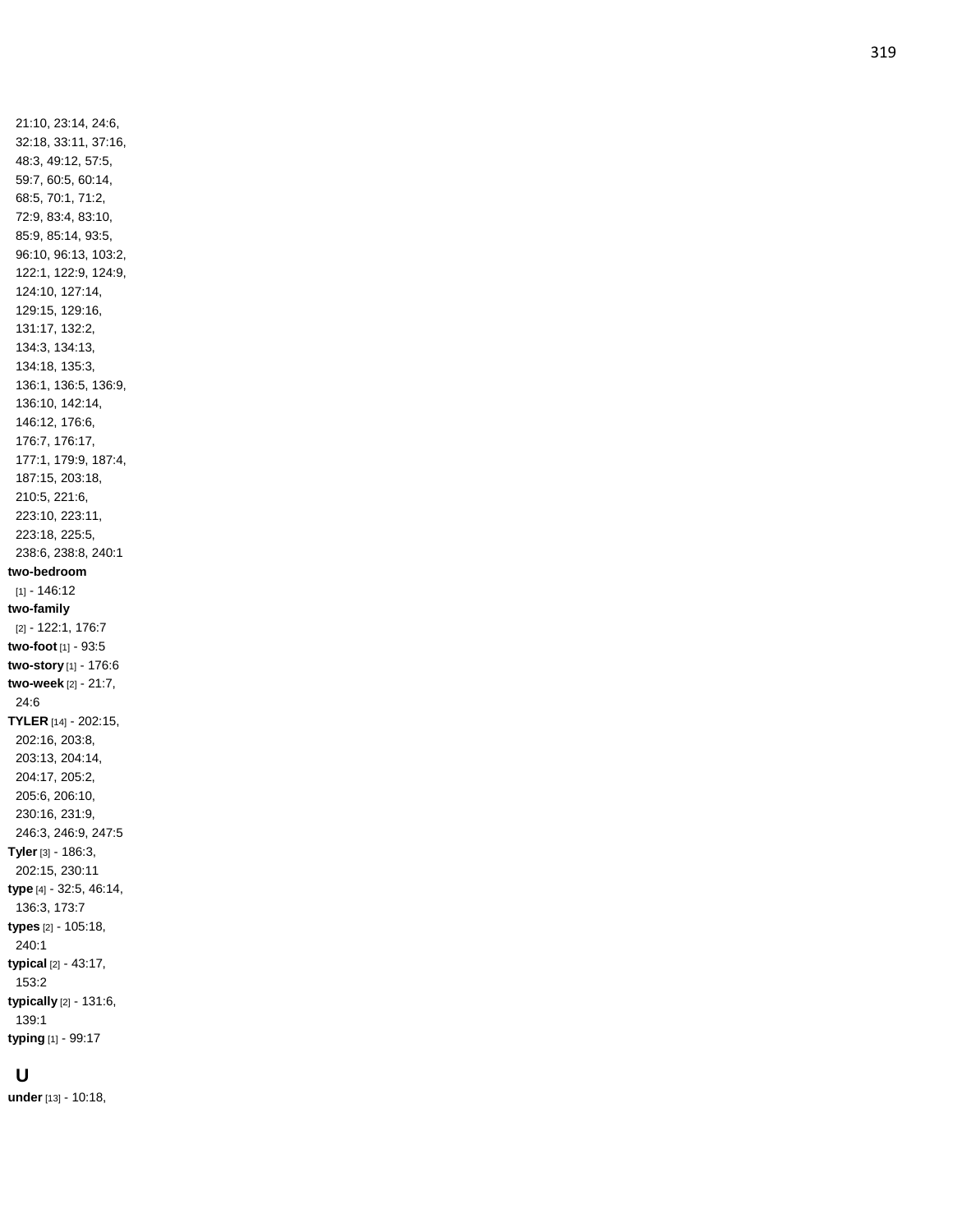21:10, 23:14, 24:6, 32:18, 33:11, 37:16, 48:3, 49:12, 57:5, 59:7, 60:5, 60:14, 68:5, 70:1, 71:2, 72:9, 83:4, 83:10, 85:9, 85:14, 93:5, 96:10, 96:13, 103:2, 122:1, 122:9, 124:9, 124:10, 127:14, 129:15, 129:16, 131:17, 132:2, 134:3, 134:13, 134:18, 135:3, 136:1, 136:5, 136:9, 136:10, 142:14, 146:12, 176:6, 176:7, 176:17, 177:1, 179:9, 187:4, 187:15, 203:18, 210:5, 221:6, 223:10, 223:11, 223:18, 225:5, 238:6, 238:8, 240:1 **two -bedroom** [1] - 146:12 **two -family** [2] - 122:1, 176:7 **two -foot** [1] - 93:5 **two -story** [1] - 176:6 **two -week** [2] - 21:7, 24:6 **TYLER** [14] - 202:15, 202:16, 203:8, 203:13, 204:14, 204:17, 205:2, 205:6, 206:10, 230:16, 231:9, 246:3, 246:9, 247:5 **Tyler** [3] - 186:3, 202:15, 230:11 **type** [4] - 32:5, 46:14, 136:3, 173:7 **types** [2] - 105:18, 240:1 **typical** [2] - 43:17, 153:2 **typically** [2] - 131:6, 139:1 **typing** [1] - 99:17

### **U**

**under** [13] - 10:18,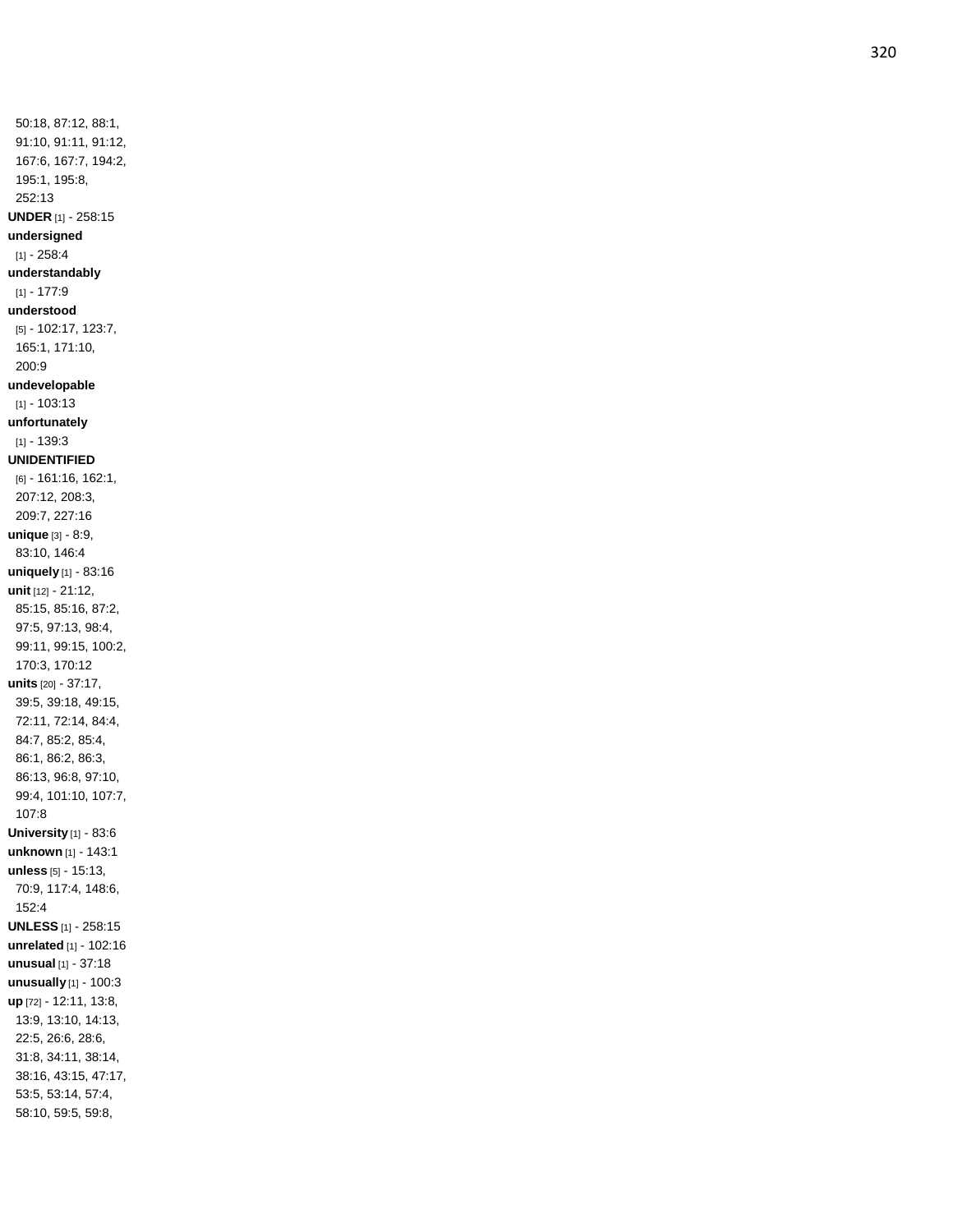50:18, 87:12, 88:1, 91:10, 91:11, 91:12, 167:6, 167:7, 194:2, 195:1, 195:8, 252:13 **UNDER** [1] - 258:15 **undersigned**  $[1] - 258:4$ **understandably** [1] - 177:9 **understood** [5] - 102:17, 123:7, 165:1, 171:10, 200:9 **undevelopable** [1] - 103:13 **unfortunately**  $[1] - 139:3$ **UNIDENTIFIED** [6] - 161:16, 162:1, 207:12, 208:3, 209:7, 227:16 **unique** [3] - 8:9, 83:10, 146:4 **uniquely** [1] - 83:16 **unit** [12] - 21:12, 85:15, 85:16, 87:2, 97:5, 97:13, 98:4, 99:11, 99:15, 100:2, 170:3, 170:12 **units** [20] - 37:17, 39:5, 39:18, 49:15, 72:11, 72:14, 84:4, 84:7, 85:2, 85:4, 86:1, 86:2, 86:3, 86:13, 96:8, 97:10, 99:4, 101:10, 107:7, 107:8 **University** [1] - 83:6 **unknown** [1] - 143:1 **unless** [5] - 15:13, 70:9, 117:4, 148:6, 152:4 **UNLESS** [1] - 258:15 **unrelated** [1] - 102:16 **unusual** [1] - 37:18 **unusually** [1] - 100:3 **up** [72] - 12:11, 13:8, 13:9, 13:10, 14:13, 22:5, 26:6, 28:6, 31:8, 34:11, 38:14, 38:16, 43:15, 47:17, 53:5, 53:14, 57:4, 58:10, 59:5, 59:8,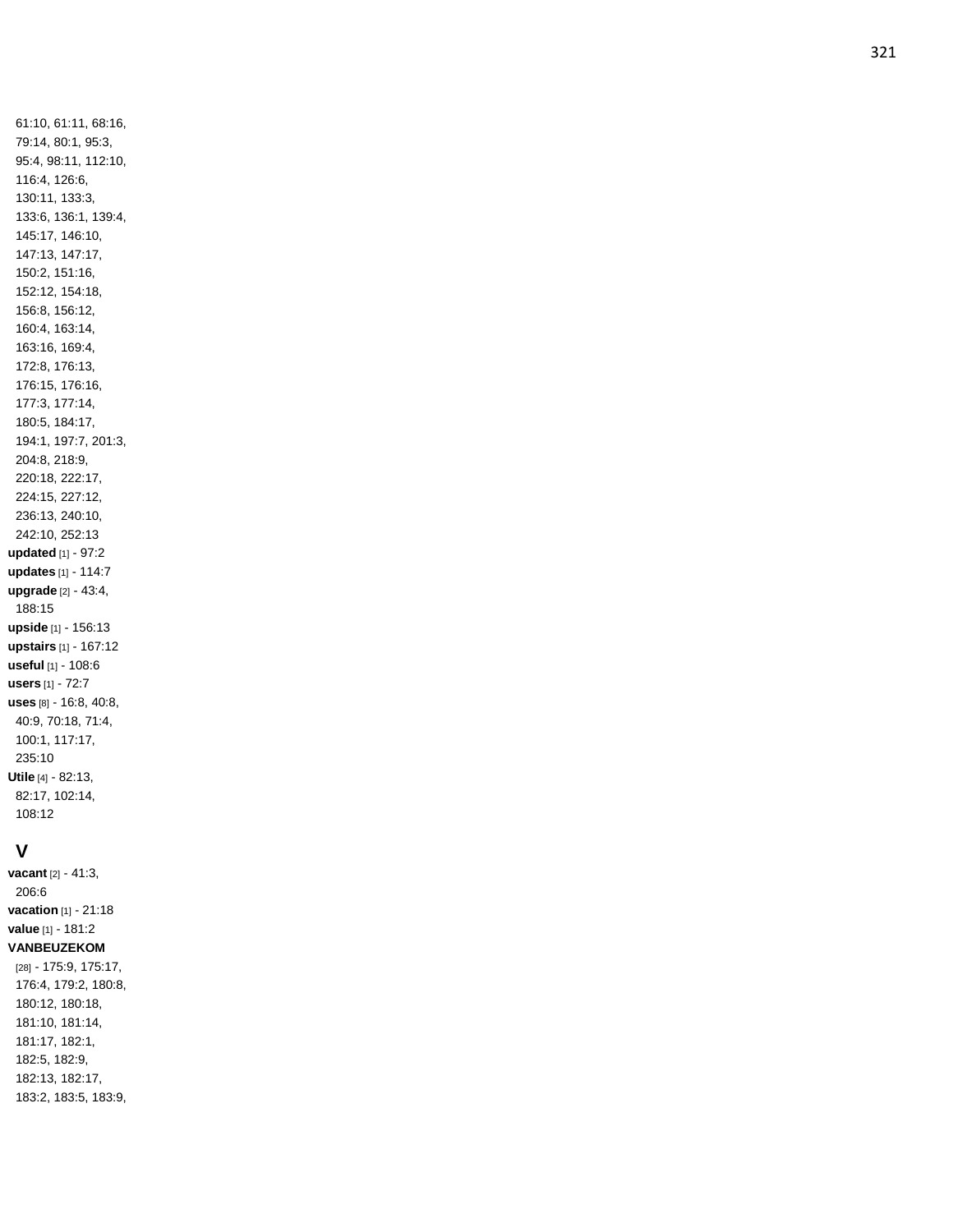61:10, 61:11, 68:16, 79:14, 80:1, 95:3, 95:4, 98:11, 112:10, 116:4, 126:6, 130:11, 133:3, 133:6, 136:1, 139:4, 145:17, 146:10, 147:13, 147:17, 150:2, 151:16, 152:12, 154:18, 156:8, 156:12, 160:4, 163:14, 163:16, 169:4, 172:8, 176:13, 176:15, 176:16, 177:3, 177:14, 180:5, 184:17, 194:1, 197:7, 201:3, 204:8, 218:9, 220:18, 222:17, 224:15, 227:12, 236:13, 240:10, 242:10, 252:13 **updated** [1] - 97:2 **updates** [1] - 114:7 **upgrade** [2] - 43:4, 188:15 **upside** [1] - 156:13 **upstairs** [1] - 167:12 **useful** [1] - 108:6 **users** [1] - 72:7 **uses** [8] - 16:8, 40:8, 40:9, 70:18, 71:4, 100:1, 117:17, 235:10 **Utile** [4] - 82:13, 82:17, 102:14, 108:12

### **V**

**vacant** [2] - 41:3, 206:6 **vacation** [1] - 21:18 **value** [1] - 181:2 **VANBEUZEKOM** [28] - 175:9, 175:17, 176:4, 179:2, 180:8, 180:12, 180:18, 181:10, 181:14, 181:17, 182:1, 182:5, 182:9, 182:13, 182:17, 183:2, 183:5, 183:9,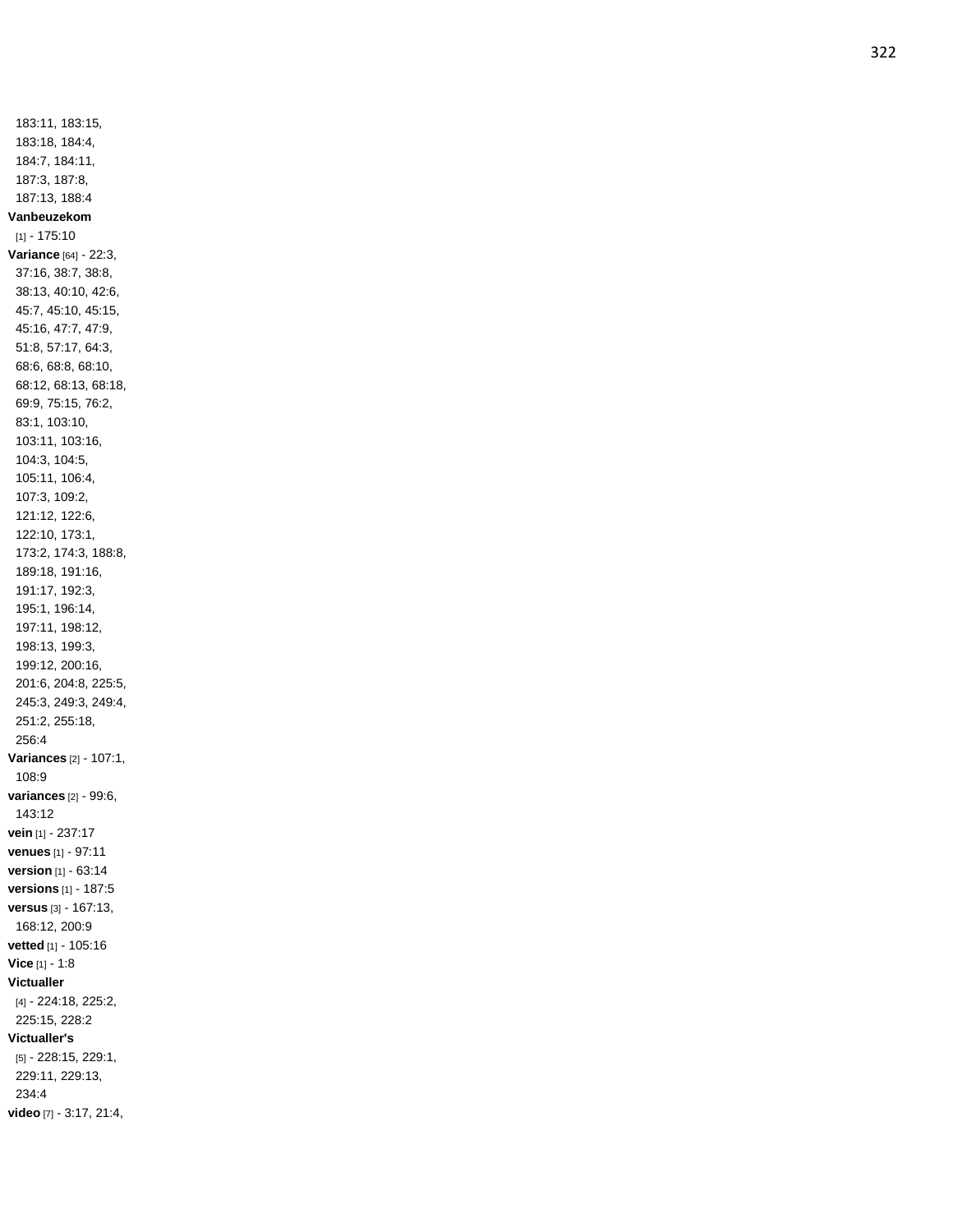183:11, 183:15, 183:18, 184:4, 184:7, 184:11, 187:3, 187:8, 187:13, 188:4 **Vanbeuzekom** [1] - 175:10 **Variance** [64] - 22:3, 37:16, 38:7, 38:8, 38:13, 40:10, 42:6, 45:7, 45:10, 45:15, 45:16, 47:7, 47:9, 51:8, 57:17, 64:3, 68:6, 68:8, 68:10, 68:12, 68:13, 68:18, 69:9, 75:15, 76:2, 83:1, 103:10, 103:11, 103:16, 104:3, 104:5, 105:11, 106:4, 107:3, 109:2, 121:12, 122:6, 122:10, 173:1, 173:2, 174:3, 188:8, 189:18, 191:16, 191:17, 192:3, 195:1, 196:14, 197:11, 198:12, 198:13, 199:3, 199:12, 200:16, 201:6, 204:8, 225:5, 245:3, 249:3, 249:4, 251:2, 255:18, 256:4 **Variances** [2] - 107:1, 108:9 **variances** [2] - 99:6, 143:12 **vein** [1] - 237:17 **venues** [1] - 97:11 **version** [1] - 63:14 **versions** [1] - 187:5 **versus** [3] - 167:13, 168:12, 200:9 **vetted** [1] - 105:16 **Vice** [1] - 1:8 **Victualler** [4] - 224:18, 225:2, 225:15, 228:2 **Victualler's** [5] - 228:15, 229:1, 229:11, 229:13, 234:4 **video** [7] - 3:17, 21:4,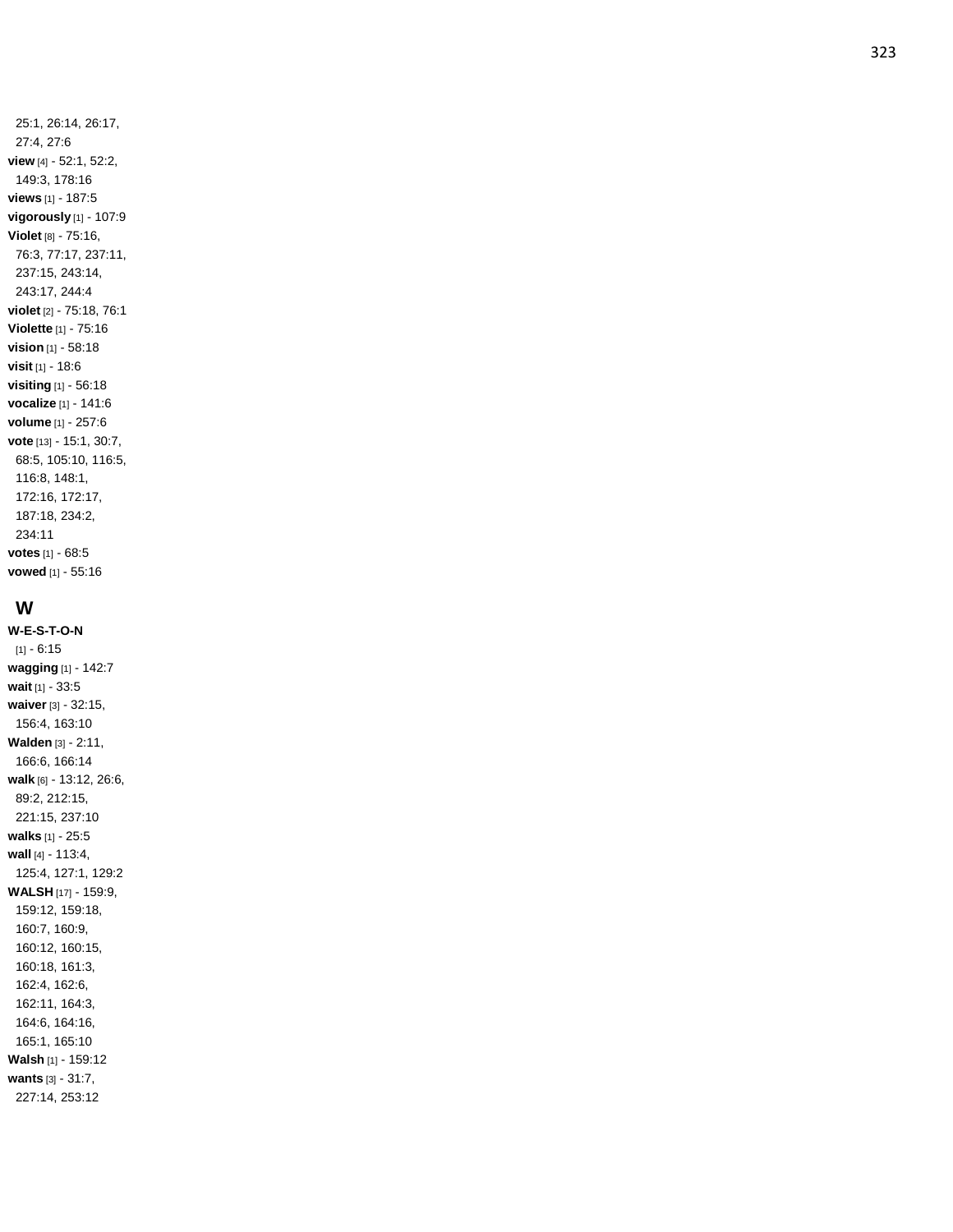25:1, 26:14, 26:17, 27:4, 27:6 **view** [4] - 52:1, 52:2, 149:3, 178:16 **views** [1] - 187:5 **vigorously** [1] - 107:9 **Violet** [8] - 75:16, 76:3, 77:17, 237:11, 237:15, 243:14, 243:17, 244:4 **violet** [2] - 75:18, 76:1 **Violette** [1] - 75:16 **vision** [1] - 58:18 **visit** [1] - 18:6 **visiting** [1] - 56:18 **vocalize** [1] - 141:6 **volume** [1] - 257:6 **vote** [13] - 15:1, 30:7, 68:5, 105:10, 116:5, 116:8, 148:1, 172:16, 172:17, 187:18, 234:2, 234:11 **votes** [1] - 68:5 **vowed** [1] - 55:16

## **W**

**W-E-S - T - O - N** [1] - 6:15 **wagging** [1] - 142:7 **wait** [1] - 33:5 **waiver** [3] - 32:15, 156:4, 163:10 **Walden** [3] - 2:11, 166:6, 166:14 **walk** [6] - 13:12, 26:6, 89:2, 212:15, 221:15, 237:10 **walks** [1] - 25:5 **wall** [4] - 113:4, 125:4, 127:1, 129:2 **WALSH** [17] - 159:9, 159:12, 159:18, 160:7, 160:9, 160:12, 160:15, 160:18, 161:3, 162:4, 162:6, 162:11, 164:3, 164:6, 164:16, 165:1, 165:10 **Walsh** [1] - 159:12 **wants** [3] - 31:7, 227:14, 253:12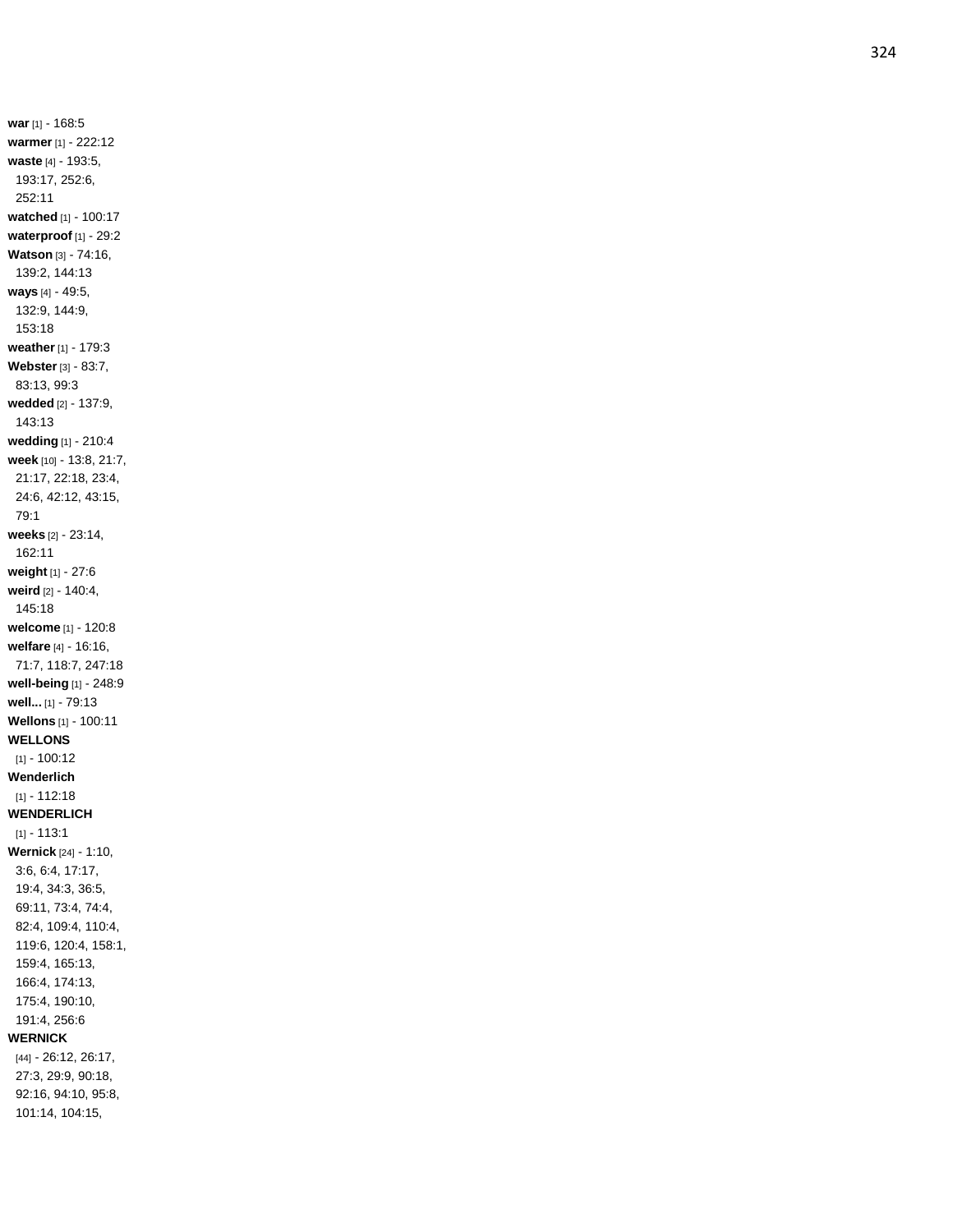**war** [1] - 168:5 **warmer** [1] - 222:12 **waste** [4] - 193:5, 193:17, 252:6, 252:11 **watched** [1] - 100:17 **waterproof** [1] - 29:2 **Watson** [3] - 74:16, 139:2, 144:13 **ways** [4] - 49:5, 132:9, 144:9, 153:18 **weather** [1] - 179:3 **Webster** [3] - 83:7, 83:13, 99:3 **wedded** [2] - 137:9, 143:13 **wedding** [1] - 210:4 **week** [10] - 13:8, 21:7, 21:17, 22:18, 23:4, 24:6, 42:12, 43:15, 79:1 **weeks** [2] - 23:14, 162:11 **weight** [1] - 27:6 **weird** [2] - 140:4, 145:18 **welcome** [1] - 120:8 **welfare** [4] - 16:16, 71:7, 118:7, 247:18 **well -being** [1] - 248:9 **well...** [1] - 79:13 **Wellons** [1] - 100:11 **WELLONS** [1] - 100:12 **Wenderlich** [1] - 112:18 **WENDERLICH**  $[1] - 113:1$ **Wernick** [24] - 1:10, 3:6, 6:4, 17:17, 19:4, 34:3, 36:5, 69:11, 73:4, 74:4, 82:4, 109:4, 110:4, 119:6, 120:4, 158:1, 159:4, 165:13, 166:4, 174:13, 175:4, 190:10, 191:4, 256:6 **WERNICK** [44] - 26:12, 26:17, 27:3, 29:9, 90:18, 92:16, 94:10, 95:8, 101:14, 104:15,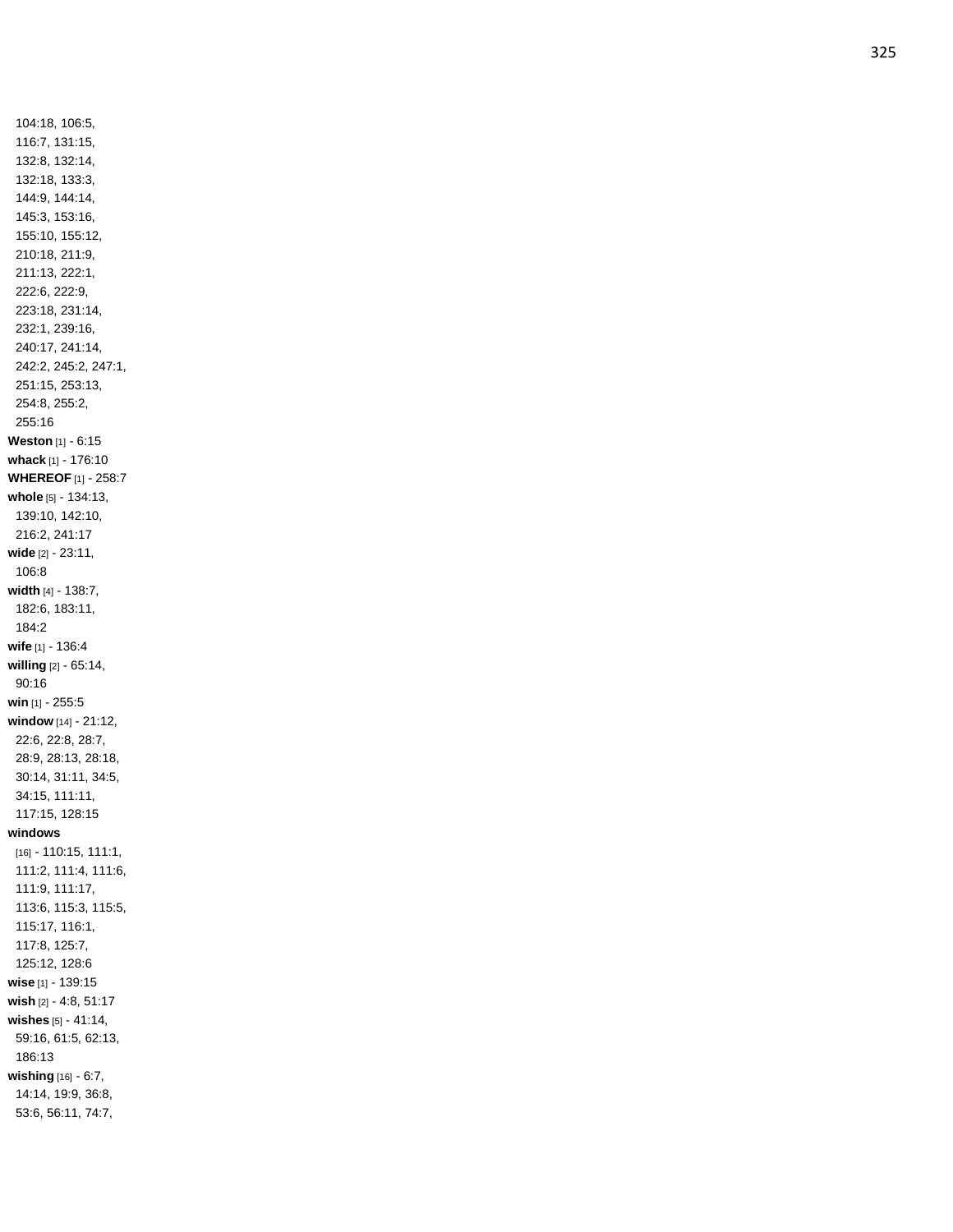104:18, 106:5, 116:7, 131:15, 132:8, 132:14, 132:18, 133:3, 144:9, 144:14, 145:3, 153:16, 155:10, 155:12, 210:18, 211:9, 211:13, 222:1, 222:6, 222:9, 223:18, 231:14, 232:1, 239:16, 240:17, 241:14, 242:2, 245:2, 247:1, 251:15, 253:13, 254:8, 255:2, 255:16 **Weston** [1] - 6:15 **whack** [1] - 176:10 **WHEREOF** [1] - 258:7 **whole** [5] - 134:13, 139:10, 142:10, 216:2, 241:17 **wide** [2] - 23:11, 106:8 **width** [4] - 138:7, 182:6, 183:11, 184:2 **wife** [1] - 136:4 **willing** [2] - 65:14, 90:16 **win** [1] - 255:5 **window** [14] - 21:12, 22:6, 22:8, 28:7, 28:9, 28:13, 28:18, 30:14, 31:11, 34:5, 34:15, 111:11, 117:15, 128:15 **windows** [16] - 110:15, 111:1, 111:2, 111:4, 111:6, 111:9, 111:17, 113:6, 115:3, 115:5, 115:17, 116:1, 117:8, 125:7, 125:12, 128:6 **wise** [1] - 139:15 **wish** [2] - 4:8, 51:17 **wishes** [5] - 41:14, 59:16, 61:5, 62:13, 186:13 **wishing** [16] - 6:7, 14:14, 19:9, 36:8, 53:6, 56:11, 74:7,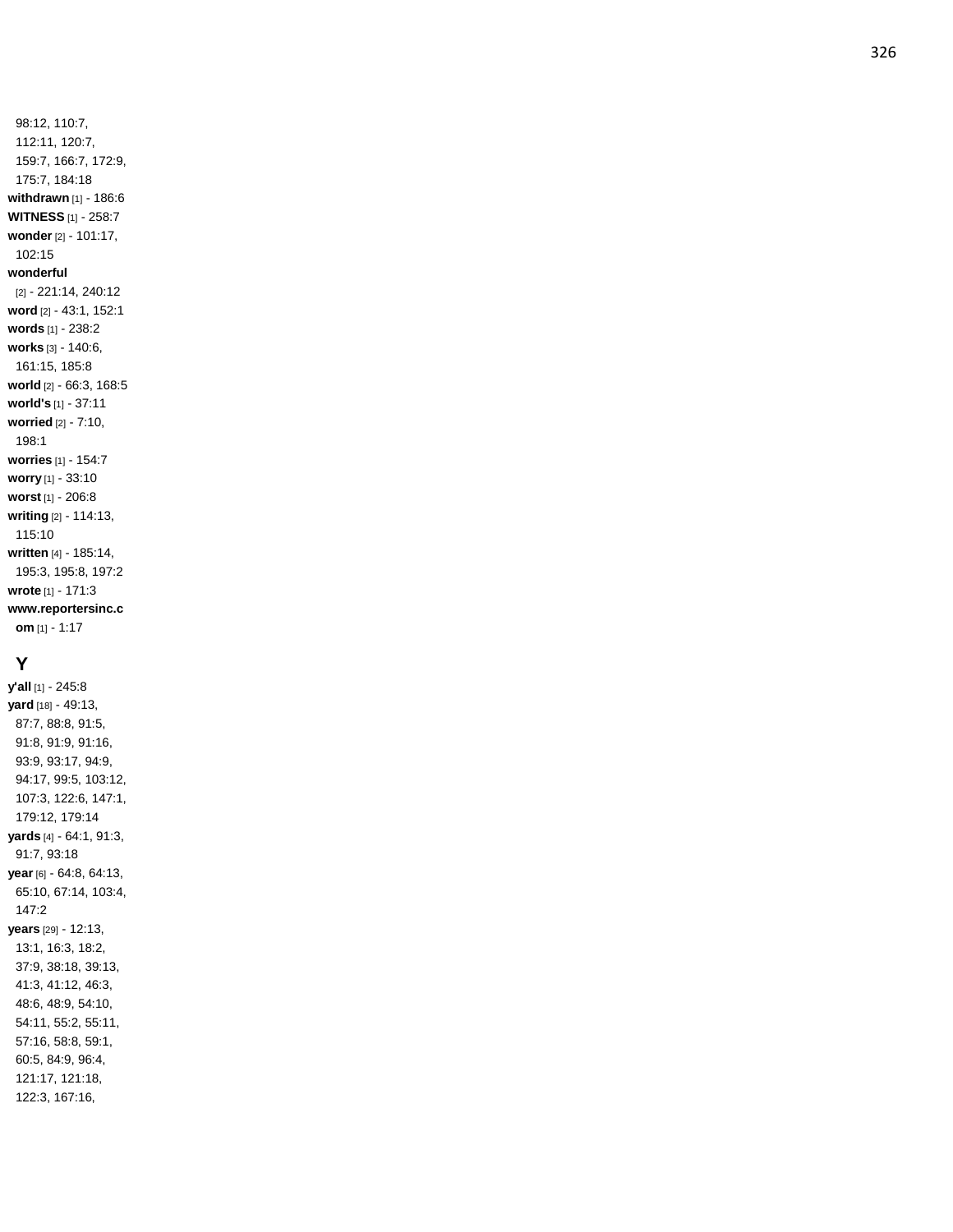98:12, 110:7, 112:11, 120:7, 159:7, 166:7, 172:9, 175:7, 184:18 **withdrawn** [1] - 186: 6 **WITNESS** [1] - 258:7 **wonder** [2] - 101:17, 102:15 **wonderful** [2] - 221:14, 240:12 **word** [2] - 43:1, 152:1 **words** [1] - 238:2 **works** [3] - 140:6, 161:15, 185:8 **world** [2] - 66:3, 168:5 **world's** [1] - 37:11 **worried** [2] - 7:10, 198:1 **worries** [1] - 154:7 **worry** [1] - 33:10 **worst** [1] - 206:8 **writing** [2] - 114:13, 115:10 **written** [4] - 185:14, 195:3, 195:8, 197:2 **wrote** [1] - 171:3 **www.reportersinc.c om** [1] - 1:17

## **Y**

**y'all** [1] - 245:8 **yard** [18] - 49:13, 87:7, 88:8, 91:5, 91:8, 91:9, 91:16, 93:9, 93:17, 94:9, 94:17, 99:5, 103:12, 107:3, 122:6, 147:1, 179:12, 179:14 **yards** [4] - 64:1, 91:3, 91:7, 93:18 **year** [6] - 64:8, 64:13, 65:10, 67:14, 103:4, 147:2 **years** [29] - 12:13, 13:1, 16:3, 18:2, 37:9, 38:18, 39:13, 41:3, 41:12, 46:3, 48:6, 48:9, 54:10, 54:11, 55:2, 55:11, 57:16, 58:8, 59:1, 60:5, 84:9, 96:4, 121:17, 121:18, 122:3, 167:16,